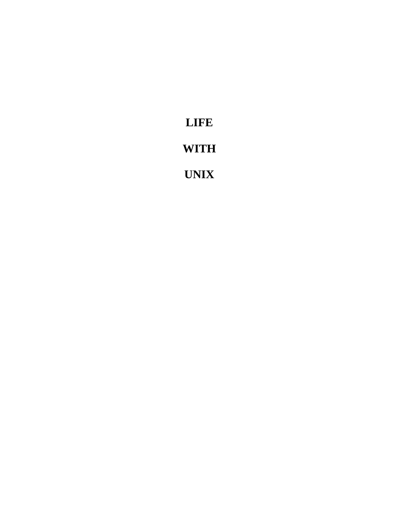**LIFE WITH UNIX**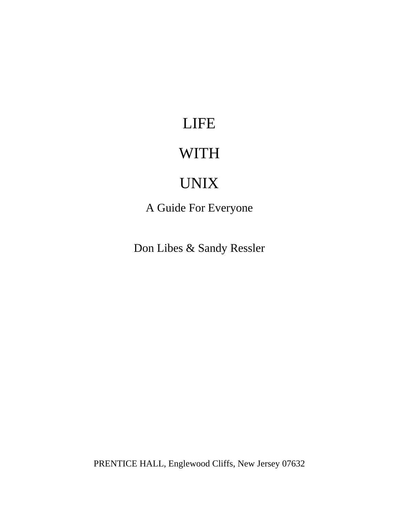# LIFE

## WITH

# UNIX

A Guide For Everyone

Don Libes & Sandy Ressler

PRENTICE HALL, Englewood Cliffs, New Jersey 07632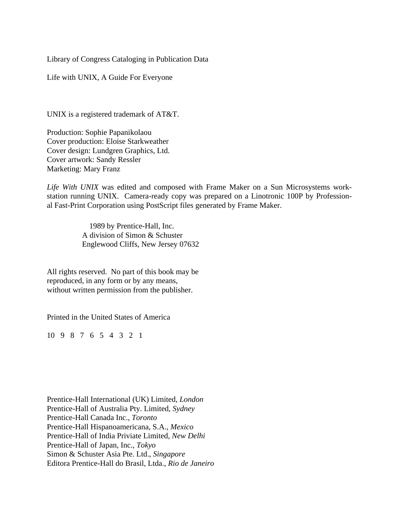Library of Congress Cataloging in Publication Data

Life with UNIX, A Guide For Everyone

UNIX is a registered trademark of AT&T.

Production: Sophie Papanikolaou Cover production: Eloise Starkweather Cover design: Lundgren Graphics, Ltd. Cover artwork: Sandy Ressler Marketing: Mary Franz

*Life With UNIX* was edited and composed with Frame Maker on a Sun Microsystems workstation running UNIX. Camera-ready copy was prepared on a Linotronic 100P by Professional Fast-Print Corporation using PostScript files generated by Frame Maker.

> 1989 by Prentice-Hall, Inc. A division of Simon & Schuster Englewood Cliffs, New Jersey 07632

All rights reserved. No part of this book may be reproduced, in any form or by any means, without written permission from the publisher.

Printed in the United States of America

10 9 8 7 6 5 4 3 2 1

Prentice-Hall International (UK) Limited, *London* Prentice-Hall of Australia Pty. Limited, *Sydney* Prentice-Hall Canada Inc., *Toronto* Prentice-Hall Hispanoamericana, S.A., *Mexico* Prentice-Hall of India Priviate Limited, *New Delhi* Prentice-Hall of Japan, Inc., *Tokyo* Simon & Schuster Asia Pte. Ltd., *Singapore* Editora Prentice-Hall do Brasil, Ltda., *Rio de Janeiro*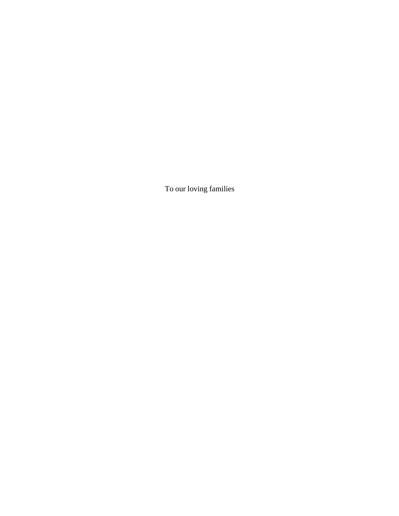To our loving families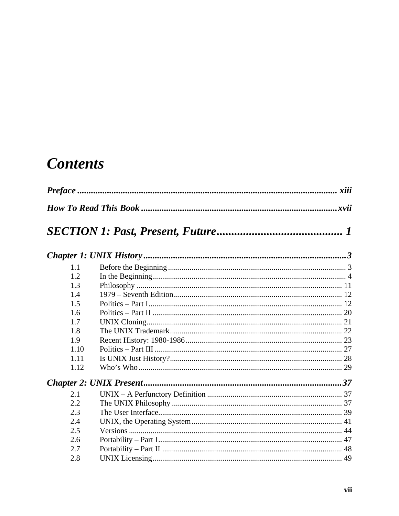## **Contents**

| 1.1  |  |  |  |
|------|--|--|--|
| 1.2  |  |  |  |
| 1.3  |  |  |  |
| 1.4  |  |  |  |
| 1.5  |  |  |  |
| 1.6  |  |  |  |
| 1.7  |  |  |  |
| 1.8  |  |  |  |
| 1.9  |  |  |  |
| 1.10 |  |  |  |
| 1.11 |  |  |  |
| 1.12 |  |  |  |
|      |  |  |  |
| 2.1  |  |  |  |
| 2.2  |  |  |  |
| 2.3  |  |  |  |
| 2.4  |  |  |  |
| 2.5  |  |  |  |
| 2.6  |  |  |  |
| 2.7  |  |  |  |
| 2.8  |  |  |  |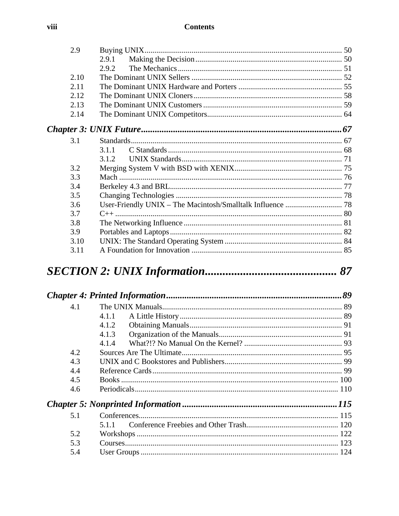| 2.9.1 |  |
|-------|--|
| 2.9.2 |  |
|       |  |
|       |  |
|       |  |
|       |  |
|       |  |
|       |  |
|       |  |
| 3.1.1 |  |
| 3.1.2 |  |
|       |  |
|       |  |
|       |  |
|       |  |
|       |  |
|       |  |
|       |  |
|       |  |
|       |  |
|       |  |
|       |  |

# 

| 4.1 |       |  |
|-----|-------|--|
|     | 4.1.1 |  |
|     | 4.1.2 |  |
|     | 4.1.3 |  |
|     | 4.1.4 |  |
| 4.2 |       |  |
| 4.3 |       |  |
| 4.4 | 4.5   |  |
|     |       |  |
| 4.6 |       |  |
|     |       |  |
| 5.1 |       |  |
|     | 5.1.1 |  |
| 5.2 |       |  |
| 5.3 |       |  |
| 5.4 |       |  |
|     |       |  |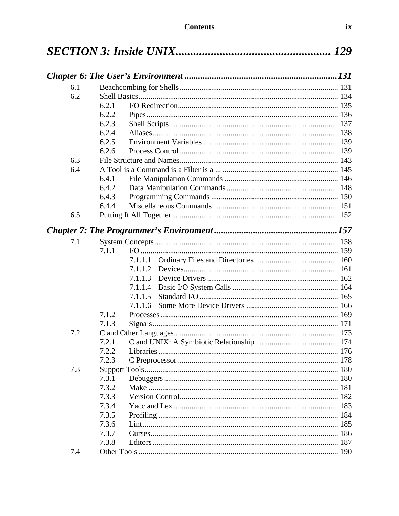| 6.1 |       |         |     |
|-----|-------|---------|-----|
| 6.2 |       |         |     |
|     | 6.2.1 |         |     |
|     | 6.2.2 |         |     |
|     | 6.2.3 |         |     |
|     | 6.2.4 |         |     |
|     | 6.2.5 |         |     |
|     | 6.2.6 |         |     |
| 6.3 |       |         |     |
| 6.4 |       |         |     |
|     | 6.4.1 |         |     |
|     | 6.4.2 |         |     |
|     | 6.4.3 |         |     |
|     | 6.4.4 |         |     |
| 6.5 |       |         |     |
|     |       |         |     |
| 7.1 |       |         |     |
|     | 7.1.1 |         |     |
|     |       | 7.1.1.1 |     |
|     |       | 7.1.1.2 |     |
|     |       | 7.1.1.3 |     |
|     |       | 7.1.1.4 |     |
|     |       | 7.1.1.5 |     |
|     |       | 7.1.1.6 |     |
|     | 7.1.2 |         |     |
|     | 7.1.3 |         |     |
| 7.2 |       |         |     |
|     | 7.2.1 |         |     |
|     | 7.2.2 |         |     |
|     | 7.2.3 |         |     |
| 7.3 |       |         |     |
|     | 7.3.1 |         |     |
|     | 7.3.2 |         |     |
|     | 7.3.3 |         |     |
|     | 7.3.4 |         |     |
|     | 7.3.5 |         |     |
|     | 7.3.6 |         |     |
|     | 7.3.7 |         |     |
|     | 7.3.8 |         |     |
| 7.4 |       |         | 190 |
|     |       |         |     |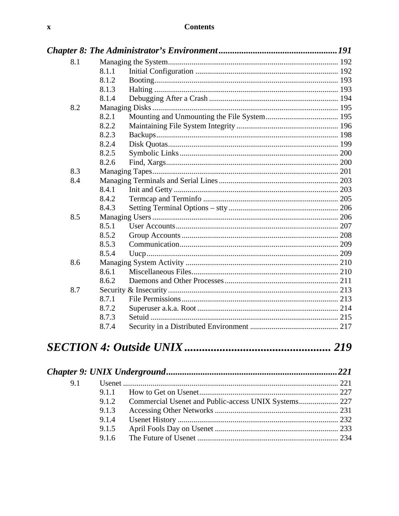| 8.1 |       |                                                      |  |  |
|-----|-------|------------------------------------------------------|--|--|
|     | 8.1.1 |                                                      |  |  |
|     | 8.1.2 |                                                      |  |  |
|     | 8.1.3 |                                                      |  |  |
|     | 8.1.4 |                                                      |  |  |
| 8.2 |       |                                                      |  |  |
|     | 8.2.1 |                                                      |  |  |
|     | 8.2.2 |                                                      |  |  |
|     | 8.2.3 |                                                      |  |  |
|     | 8.2.4 |                                                      |  |  |
|     | 8.2.5 |                                                      |  |  |
|     | 8.2.6 |                                                      |  |  |
| 8.3 |       |                                                      |  |  |
| 8.4 |       |                                                      |  |  |
|     | 8.4.1 |                                                      |  |  |
|     | 8.4.2 |                                                      |  |  |
|     | 8.4.3 |                                                      |  |  |
| 8.5 |       |                                                      |  |  |
|     | 8.5.1 |                                                      |  |  |
|     | 8.5.2 |                                                      |  |  |
|     | 8.5.3 |                                                      |  |  |
|     | 8.5.4 |                                                      |  |  |
| 8.6 |       |                                                      |  |  |
|     | 8.6.1 |                                                      |  |  |
|     | 8.6.2 |                                                      |  |  |
| 8.7 |       |                                                      |  |  |
|     | 8.7.1 |                                                      |  |  |
|     | 8.7.2 |                                                      |  |  |
|     | 8.7.3 |                                                      |  |  |
|     | 8.7.4 |                                                      |  |  |
|     |       |                                                      |  |  |
|     |       |                                                      |  |  |
| 9.1 |       |                                                      |  |  |
|     | 9.1.1 |                                                      |  |  |
|     | 9.1.2 | Commercial Usenet and Public-access UNIX Systems 227 |  |  |
|     | 9.1.3 |                                                      |  |  |
|     | 9.1.4 |                                                      |  |  |
|     | 9.1.5 |                                                      |  |  |
|     | 9.1.6 |                                                      |  |  |
|     |       |                                                      |  |  |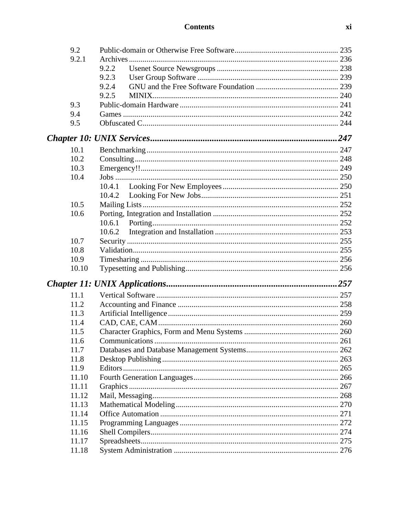### **Contents**

| 9.2   |        |  |
|-------|--------|--|
| 9.2.1 |        |  |
|       | 9.2.2  |  |
|       | 9.2.3  |  |
|       | 9.2.4  |  |
|       | 9.2.5  |  |
| 9.3   |        |  |
| 9.4   |        |  |
| 9.5   |        |  |
|       |        |  |
| 10.1  |        |  |
| 10.2  |        |  |
| 10.3  |        |  |
| 10.4  |        |  |
|       |        |  |
|       | 10.4.2 |  |
| 10.5  |        |  |
| 10.6  |        |  |
|       | 10.6.1 |  |
|       | 10.6.2 |  |
| 10.7  |        |  |
| 10.8  |        |  |
| 10.9  |        |  |
| 10.10 |        |  |
|       |        |  |
|       |        |  |
| 11.1  |        |  |
| 11.2  |        |  |
| 11.3  |        |  |
| 11.4  |        |  |
| 11.5  |        |  |
| 11.6  |        |  |
| 11.7  |        |  |
| 11.8  |        |  |
| 11.9  |        |  |
| 11.10 |        |  |
| 11.11 |        |  |
| 11.12 |        |  |
| 11.13 |        |  |
| 11.14 |        |  |
| 11.15 |        |  |
| 11.16 |        |  |
| 11.17 |        |  |
| 11.18 |        |  |
|       |        |  |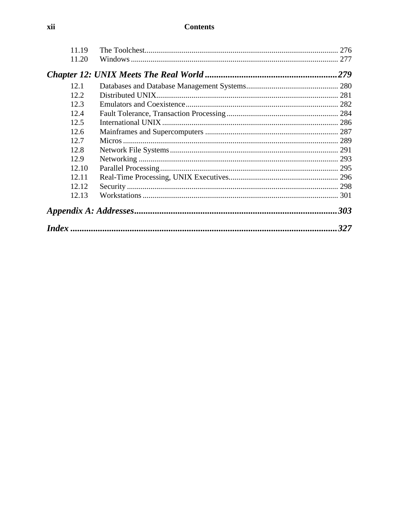### **Contents**

| 11.19 |      |
|-------|------|
| 11.20 |      |
|       |      |
| 12.1  |      |
| 12.2  |      |
| 12.3  |      |
| 12.4  |      |
| 12.5  |      |
| 12.6  |      |
| 12.7  |      |
| 12.8  |      |
| 12.9  |      |
| 12.10 |      |
| 12.11 |      |
| 12.12 |      |
| 12.13 |      |
|       | .303 |
|       | 327  |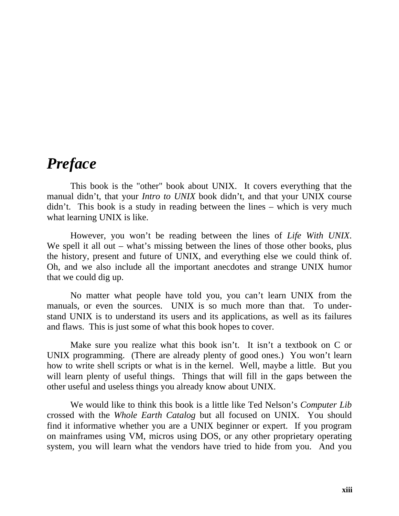## *Preface*

This book is the "other" book about UNIX. It covers everything that the manual didn't, that your *Intro to UNIX* book didn't, and that your UNIX course didn't. This book is a study in reading between the lines – which is very much what learning UNIX is like.

However, you won't be reading between the lines of *Life With UNIX*. We spell it all out – what's missing between the lines of those other books, plus the history, present and future of UNIX, and everything else we could think of. Oh, and we also include all the important anecdotes and strange UNIX humor that we could dig up.

No matter what people have told you, you can't learn UNIX from the manuals, or even the sources. UNIX is so much more than that. To understand UNIX is to understand its users and its applications, as well as its failures and flaws. This is just some of what this book hopes to cover.

Make sure you realize what this book isn't. It isn't a textbook on C or UNIX programming. (There are already plenty of good ones.) You won't learn how to write shell scripts or what is in the kernel. Well, maybe a little. But you will learn plenty of useful things. Things that will fill in the gaps between the other useful and useless things you already know about UNIX.

We would like to think this book is a little like Ted Nelson's *Computer Lib* crossed with the *Whole Earth Catalog* but all focused on UNIX. You should find it informative whether you are a UNIX beginner or expert. If you program on mainframes using VM, micros using DOS, or any other proprietary operating system, you will learn what the vendors have tried to hide from you. And you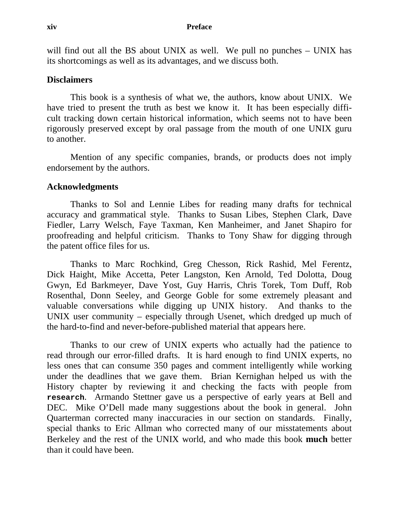### **xiv Preface**

will find out all the BS about UNIX as well. We pull no punches – UNIX has its shortcomings as well as its advantages, and we discuss both.

### **Disclaimers**

This book is a synthesis of what we, the authors, know about UNIX. We have tried to present the truth as best we know it. It has been especially difficult tracking down certain historical information, which seems not to have been rigorously preserved except by oral passage from the mouth of one UNIX guru to another.

Mention of any specific companies, brands, or products does not imply endorsement by the authors.

### **Acknowledgments**

Thanks to Sol and Lennie Libes for reading many drafts for technical accuracy and grammatical style. Thanks to Susan Libes, Stephen Clark, Dave Fiedler, Larry Welsch, Faye Taxman, Ken Manheimer, and Janet Shapiro for proofreading and helpful criticism. Thanks to Tony Shaw for digging through the patent office files for us.

Thanks to Marc Rochkind, Greg Chesson, Rick Rashid, Mel Ferentz, Dick Haight, Mike Accetta, Peter Langston, Ken Arnold, Ted Dolotta, Doug Gwyn, Ed Barkmeyer, Dave Yost, Guy Harris, Chris Torek, Tom Duff, Rob Rosenthal, Donn Seeley, and George Goble for some extremely pleasant and valuable conversations while digging up UNIX history. And thanks to the UNIX user community – especially through Usenet, which dredged up much of the hard-to-find and never-before-published material that appears here.

Thanks to our crew of UNIX experts who actually had the patience to read through our error-filled drafts. It is hard enough to find UNIX experts, no less ones that can consume 350 pages and comment intelligently while working under the deadlines that we gave them. Brian Kernighan helped us with the History chapter by reviewing it and checking the facts with people from **research**. Armando Stettner gave us a perspective of early years at Bell and DEC. Mike O'Dell made many suggestions about the book in general. John Quarterman corrected many inaccuracies in our section on standards. Finally, special thanks to Eric Allman who corrected many of our misstatements about Berkeley and the rest of the UNIX world, and who made this book **much** better than it could have been.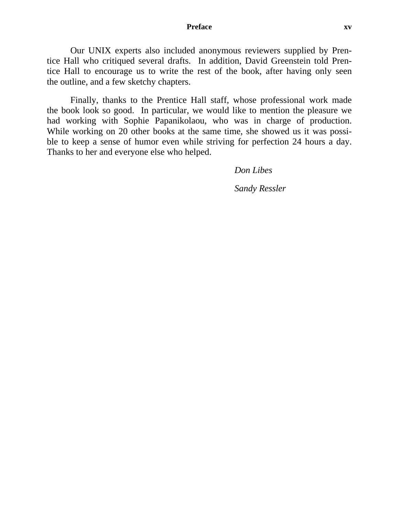Our UNIX experts also included anonymous reviewers supplied by Prentice Hall who critiqued several drafts. In addition, David Greenstein told Prentice Hall to encourage us to write the rest of the book, after having only seen the outline, and a few sketchy chapters.

Finally, thanks to the Prentice Hall staff, whose professional work made the book look so good. In particular, we would like to mention the pleasure we had working with Sophie Papanikolaou, who was in charge of production. While working on 20 other books at the same time, she showed us it was possible to keep a sense of humor even while striving for perfection 24 hours a day. Thanks to her and everyone else who helped.

 *Don Libes*

 *Sandy Ressler*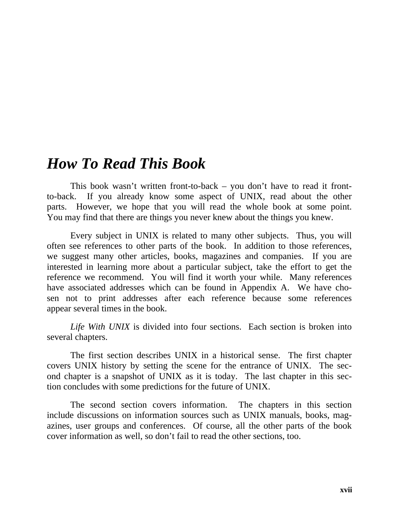## *How To Read This Book*

This book wasn't written front-to-back – you don't have to read it frontto-back. If you already know some aspect of UNIX, read about the other parts. However, we hope that you will read the whole book at some point. You may find that there are things you never knew about the things you knew.

Every subject in UNIX is related to many other subjects. Thus, you will often see references to other parts of the book. In addition to those references, we suggest many other articles, books, magazines and companies. If you are interested in learning more about a particular subject, take the effort to get the reference we recommend. You will find it worth your while. Many references have associated addresses which can be found in Appendix A. We have chosen not to print addresses after each reference because some references appear several times in the book.

*Life With UNIX* is divided into four sections. Each section is broken into several chapters.

The first section describes UNIX in a historical sense. The first chapter covers UNIX history by setting the scene for the entrance of UNIX. The second chapter is a snapshot of UNIX as it is today. The last chapter in this section concludes with some predictions for the future of UNIX.

The second section covers information. The chapters in this section include discussions on information sources such as UNIX manuals, books, magazines, user groups and conferences. Of course, all the other parts of the book cover information as well, so don't fail to read the other sections, too.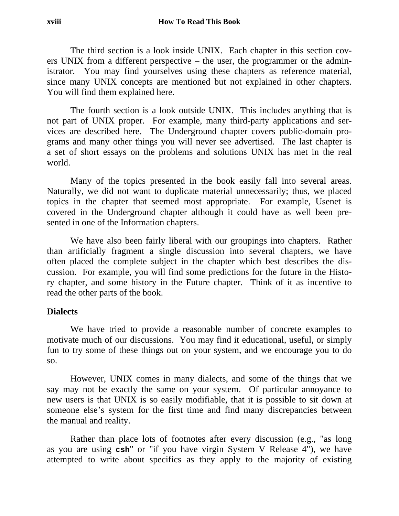The third section is a look inside UNIX. Each chapter in this section covers UNIX from a different perspective – the user, the programmer or the administrator. You may find yourselves using these chapters as reference material, since many UNIX concepts are mentioned but not explained in other chapters. You will find them explained here.

The fourth section is a look outside UNIX. This includes anything that is not part of UNIX proper. For example, many third-party applications and services are described here. The Underground chapter covers public-domain programs and many other things you will never see advertised. The last chapter is a set of short essays on the problems and solutions UNIX has met in the real world.

Many of the topics presented in the book easily fall into several areas. Naturally, we did not want to duplicate material unnecessarily; thus, we placed topics in the chapter that seemed most appropriate. For example, Usenet is covered in the Underground chapter although it could have as well been presented in one of the Information chapters.

We have also been fairly liberal with our groupings into chapters. Rather than artificially fragment a single discussion into several chapters, we have often placed the complete subject in the chapter which best describes the discussion. For example, you will find some predictions for the future in the History chapter, and some history in the Future chapter. Think of it as incentive to read the other parts of the book.

### **Dialects**

We have tried to provide a reasonable number of concrete examples to motivate much of our discussions. You may find it educational, useful, or simply fun to try some of these things out on your system, and we encourage you to do so.

However, UNIX comes in many dialects, and some of the things that we say may not be exactly the same on your system. Of particular annoyance to new users is that UNIX is so easily modifiable, that it is possible to sit down at someone else's system for the first time and find many discrepancies between the manual and reality.

Rather than place lots of footnotes after every discussion (e.g., "as long as you are using **csh**" or "if you have virgin System V Release 4"), we have attempted to write about specifics as they apply to the majority of existing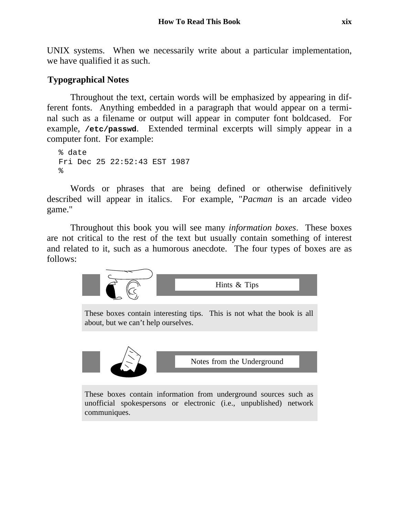UNIX systems. When we necessarily write about a particular implementation, we have qualified it as such.

### **Typographical Notes**

Throughout the text, certain words will be emphasized by appearing in different fonts. Anything embedded in a paragraph that would appear on a terminal such as a filename or output will appear in computer font boldcased. For example, **/etc/passwd**. Extended terminal excerpts will simply appear in a computer font. For example:

```
% date
Fri Dec 25 22:52:43 EST 1987
%
```
Words or phrases that are being defined or otherwise definitively described will appear in italics. For example, "*Pacman* is an arcade video game."

Throughout this book you will see many *information boxes*. These boxes are not critical to the rest of the text but usually contain something of interest and related to it, such as a humorous anecdote. The four types of boxes are as follows:

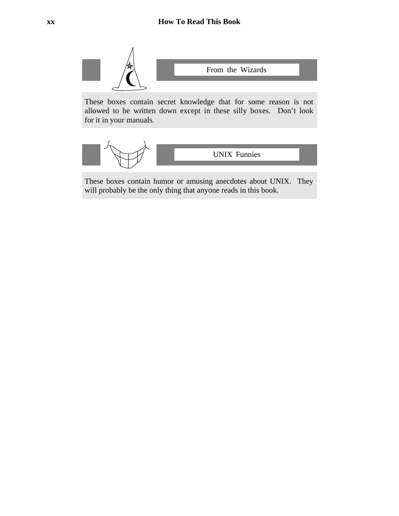

These boxes contain secret knowledge that for some reason is not allowed to be written down except in these silly boxes. Don't look for it in your manuals.



These boxes contain humor or amusing anecdotes about UNIX. They will probably be the only thing that anyone reads in this book.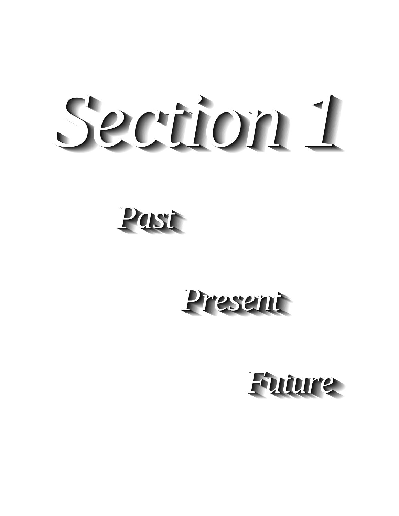Section 1





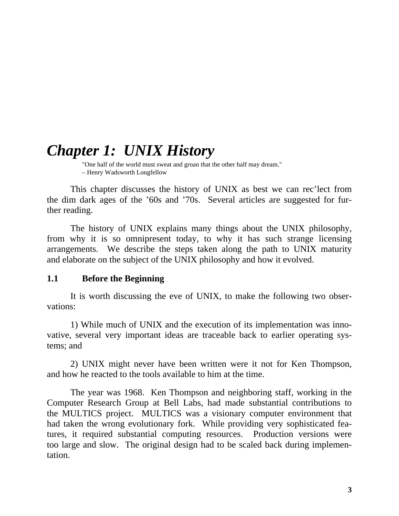## *Chapter 1: UNIX History*

"One half of the world must sweat and groan that the other half may dream." – Henry Wadsworth Longfellow

This chapter discusses the history of UNIX as best we can rec'lect from the dim dark ages of the '60s and '70s. Several articles are suggested for further reading.

The history of UNIX explains many things about the UNIX philosophy, from why it is so omnipresent today, to why it has such strange licensing arrangements. We describe the steps taken along the path to UNIX maturity and elaborate on the subject of the UNIX philosophy and how it evolved.

### **1.1 Before the Beginning**

It is worth discussing the eve of UNIX, to make the following two observations:

1) While much of UNIX and the execution of its implementation was innovative, several very important ideas are traceable back to earlier operating systems; and

2) UNIX might never have been written were it not for Ken Thompson, and how he reacted to the tools available to him at the time.

The year was 1968. Ken Thompson and neighboring staff, working in the Computer Research Group at Bell Labs, had made substantial contributions to the MULTICS project. MULTICS was a visionary computer environment that had taken the wrong evolutionary fork. While providing very sophisticated features, it required substantial computing resources. Production versions were too large and slow. The original design had to be scaled back during implementation.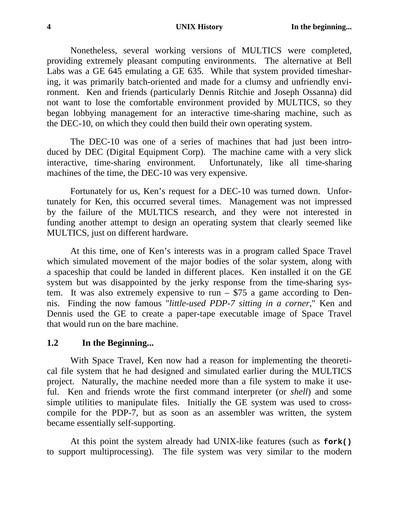Nonetheless, several working versions of MULTICS were completed, providing extremely pleasant computing environments. The alternative at Bell Labs was a GE 645 emulating a GE 635. While that system provided timesharing, it was primarily batch-oriented and made for a clumsy and unfriendly environment. Ken and friends (particularly Dennis Ritchie and Joseph Ossanna) did not want to lose the comfortable environment provided by MULTICS, so they began lobbying management for an interactive time-sharing machine, such as the DEC-10, on which they could then build their own operating system.

The DEC-10 was one of a series of machines that had just been introduced by DEC (Digital Equipment Corp). The machine came with a very slick interactive, time-sharing environment. Unfortunately, like all time-sharing machines of the time, the DEC-10 was very expensive.

Fortunately for us, Ken's request for a DEC-10 was turned down. Unfortunately for Ken, this occurred several times. Management was not impressed by the failure of the MULTICS research, and they were not interested in funding another attempt to design an operating system that clearly seemed like MULTICS, just on different hardware.

At this time, one of Ken's interests was in a program called Space Travel which simulated movement of the major bodies of the solar system, along with a spaceship that could be landed in different places. Ken installed it on the GE system but was disappointed by the jerky response from the time-sharing system. It was also extremely expensive to run  $-$  \$75 a game according to Dennis. Finding the now famous "*little-used PDP-7 sitting in a corner*," Ken and Dennis used the GE to create a paper-tape executable image of Space Travel that would run on the bare machine.

### **1.2 In the Beginning...**

With Space Travel, Ken now had a reason for implementing the theoretical file system that he had designed and simulated earlier during the MULTICS project. Naturally, the machine needed more than a file system to make it useful. Ken and friends wrote the first command interpreter (or *shell*) and some simple utilities to manipulate files. Initially the GE system was used to crosscompile for the PDP-7, but as soon as an assembler was written, the system became essentially self-supporting.

At this point the system already had UNIX-like features (such as **fork()** to support multiprocessing). The file system was very similar to the modern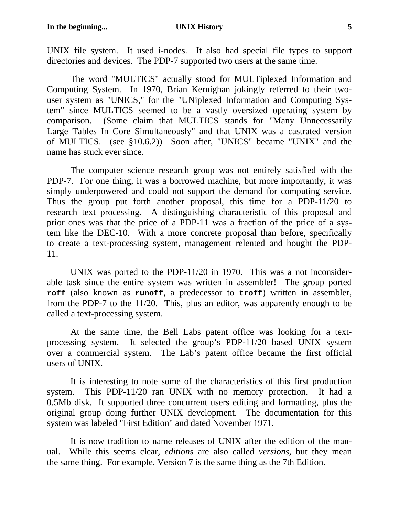UNIX file system. It used i-nodes. It also had special file types to support directories and devices. The PDP-7 supported two users at the same time.

The word "MULTICS" actually stood for MULTiplexed Information and Computing System. In 1970, Brian Kernighan jokingly referred to their twouser system as "UNICS," for the "UNiplexed Information and Computing System" since MULTICS seemed to be a vastly oversized operating system by comparison. (Some claim that MULTICS stands for "Many Unnecessarily Large Tables In Core Simultaneously" and that UNIX was a castrated version of MULTICS. (see §10.6.2)) Soon after, "UNICS" became "UNIX" and the name has stuck ever since.

The computer science research group was not entirely satisfied with the PDP-7. For one thing, it was a borrowed machine, but more importantly, it was simply underpowered and could not support the demand for computing service. Thus the group put forth another proposal, this time for a PDP-11/20 to research text processing. A distinguishing characteristic of this proposal and prior ones was that the price of a PDP-11 was a fraction of the price of a system like the DEC-10. With a more concrete proposal than before, specifically to create a text-processing system, management relented and bought the PDP-11.

UNIX was ported to the PDP-11/20 in 1970. This was a not inconsiderable task since the entire system was written in assembler! The group ported **roff** (also known as **runoff**, a predecessor to **troff**) written in assembler, from the PDP-7 to the 11/20. This, plus an editor, was apparently enough to be called a text-processing system.

At the same time, the Bell Labs patent office was looking for a textprocessing system. It selected the group's PDP-11/20 based UNIX system over a commercial system. The Lab's patent office became the first official users of UNIX.

It is interesting to note some of the characteristics of this first production system. This PDP-11/20 ran UNIX with no memory protection. It had a 0.5Mb disk. It supported three concurrent users editing and formatting, plus the original group doing further UNIX development. The documentation for this system was labeled "First Edition" and dated November 1971.

It is now tradition to name releases of UNIX after the edition of the manual. While this seems clear, *editions* are also called *versions*, but they mean the same thing. For example, Version 7 is the same thing as the 7th Edition.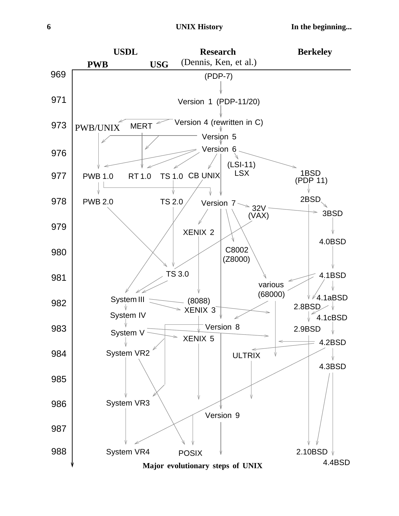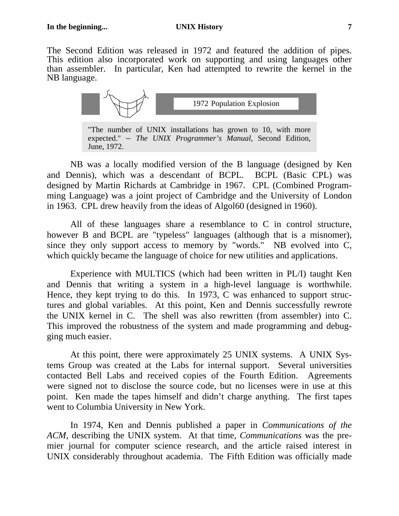June, 1972.

The Second Edition was released in 1972 and featured the addition of pipes. This edition also incorporated work on supporting and using languages other than assembler. In particular, Ken had attempted to rewrite the kernel in the NB language.



NB was a locally modified version of the B language (designed by Ken and Dennis), which was a descendant of BCPL. BCPL (Basic CPL) was designed by Martin Richards at Cambridge in 1967. CPL (Combined Programming Language) was a joint project of Cambridge and the University of London in 1963. CPL drew heavily from the ideas of Algol60 (designed in 1960).

All of these languages share a resemblance to C in control structure, however B and BCPL are "typeless" languages (although that is a misnomer), since they only support access to memory by "words." NB evolved into C, which quickly became the language of choice for new utilities and applications.

Experience with MULTICS (which had been written in PL/I) taught Ken and Dennis that writing a system in a high-level language is worthwhile. Hence, they kept trying to do this. In 1973, C was enhanced to support structures and global variables. At this point, Ken and Dennis successfully rewrote the UNIX kernel in C. The shell was also rewritten (from assembler) into C. This improved the robustness of the system and made programming and debugging much easier.

At this point, there were approximately 25 UNIX systems. A UNIX Systems Group was created at the Labs for internal support. Several universities contacted Bell Labs and received copies of the Fourth Edition. Agreements were signed not to disclose the source code, but no licenses were in use at this point. Ken made the tapes himself and didn't charge anything. The first tapes went to Columbia University in New York.

In 1974, Ken and Dennis published a paper in *Communications of the ACM*, describing the UNIX system. At that time, *Communications* was the premier journal for computer science research, and the article raised interest in UNIX considerably throughout academia. The Fifth Edition was officially made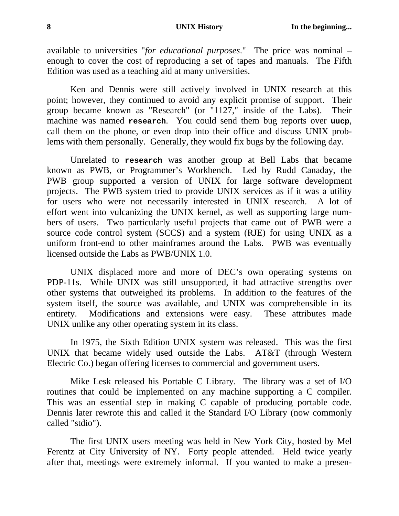available to universities "*for educational purposes*." The price was nominal – enough to cover the cost of reproducing a set of tapes and manuals. The Fifth Edition was used as a teaching aid at many universities.

Ken and Dennis were still actively involved in UNIX research at this point; however, they continued to avoid any explicit promise of support. Their group became known as "Research" (or "1127," inside of the Labs). Their machine was named **research**. You could send them bug reports over **uucp**, call them on the phone, or even drop into their office and discuss UNIX problems with them personally. Generally, they would fix bugs by the following day.

Unrelated to **research** was another group at Bell Labs that became known as PWB, or Programmer's Workbench. Led by Rudd Canaday, the PWB group supported a version of UNIX for large software development projects. The PWB system tried to provide UNIX services as if it was a utility for users who were not necessarily interested in UNIX research. A lot of effort went into vulcanizing the UNIX kernel, as well as supporting large numbers of users. Two particularly useful projects that came out of PWB were a source code control system (SCCS) and a system (RJE) for using UNIX as a uniform front-end to other mainframes around the Labs. PWB was eventually licensed outside the Labs as PWB/UNIX 1.0.

UNIX displaced more and more of DEC's own operating systems on PDP-11s. While UNIX was still unsupported, it had attractive strengths over other systems that outweighed its problems. In addition to the features of the system itself, the source was available, and UNIX was comprehensible in its entirety. Modifications and extensions were easy. These attributes made UNIX unlike any other operating system in its class.

In 1975, the Sixth Edition UNIX system was released. This was the first UNIX that became widely used outside the Labs. AT&T (through Western Electric Co.) began offering licenses to commercial and government users.

Mike Lesk released his Portable C Library. The library was a set of I/O routines that could be implemented on any machine supporting a C compiler. This was an essential step in making C capable of producing portable code. Dennis later rewrote this and called it the Standard I/O Library (now commonly called "stdio").

The first UNIX users meeting was held in New York City, hosted by Mel Ferentz at City University of NY. Forty people attended. Held twice yearly after that, meetings were extremely informal. If you wanted to make a presen-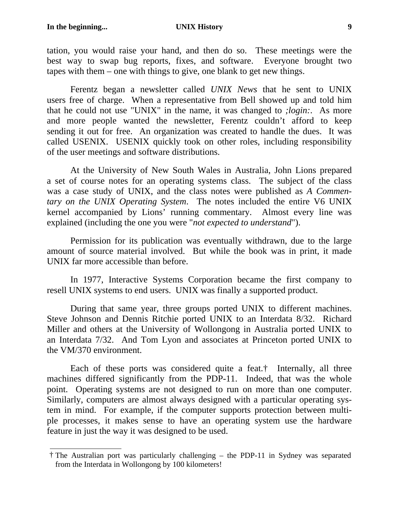tation, you would raise your hand, and then do so. These meetings were the best way to swap bug reports, fixes, and software. Everyone brought two tapes with them – one with things to give, one blank to get new things.

Ferentz began a newsletter called *UNIX News* that he sent to UNIX users free of charge. When a representative from Bell showed up and told him that he could not use "UNIX" in the name, it was changed to *;login:*. As more and more people wanted the newsletter, Ferentz couldn't afford to keep sending it out for free. An organization was created to handle the dues. It was called USENIX. USENIX quickly took on other roles, including responsibility of the user meetings and software distributions.

At the University of New South Wales in Australia, John Lions prepared a set of course notes for an operating systems class. The subject of the class was a case study of UNIX, and the class notes were published as *A Commentary on the UNIX Operating System*. The notes included the entire V6 UNIX kernel accompanied by Lions' running commentary. Almost every line was explained (including the one you were "*not expected to understand*").

Permission for its publication was eventually withdrawn, due to the large amount of source material involved. But while the book was in print, it made UNIX far more accessible than before.

In 1977, Interactive Systems Corporation became the first company to resell UNIX systems to end users. UNIX was finally a supported product.

During that same year, three groups ported UNIX to different machines. Steve Johnson and Dennis Ritchie ported UNIX to an Interdata 8/32. Richard Miller and others at the University of Wollongong in Australia ported UNIX to an Interdata 7/32. And Tom Lyon and associates at Princeton ported UNIX to the VM/370 environment.

Each of these ports was considered quite a feat.† Internally, all three machines differed significantly from the PDP-11. Indeed, that was the whole point. Operating systems are not designed to run on more than one computer. Similarly, computers are almost always designed with a particular operating system in mind. For example, if the computer supports protection between multiple processes, it makes sense to have an operating system use the hardware feature in just the way it was designed to be used.

The Australian port was particularly challenging – the PDP-11 in Sydney was separated †from the Interdata in Wollongong by 100 kilometers!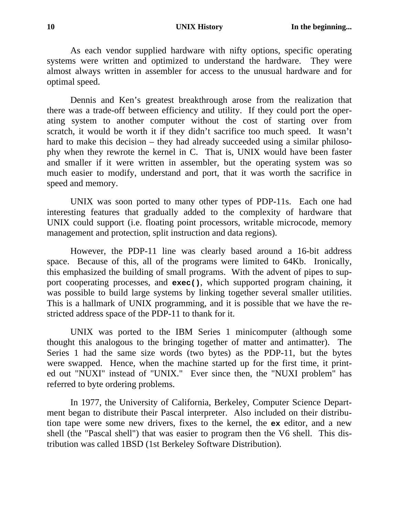As each vendor supplied hardware with nifty options, specific operating systems were written and optimized to understand the hardware. They were almost always written in assembler for access to the unusual hardware and for optimal speed.

Dennis and Ken's greatest breakthrough arose from the realization that there was a trade-off between efficiency and utility. If they could port the operating system to another computer without the cost of starting over from scratch, it would be worth it if they didn't sacrifice too much speed. It wasn't hard to make this decision – they had already succeeded using a similar philosophy when they rewrote the kernel in C. That is, UNIX would have been faster and smaller if it were written in assembler, but the operating system was so much easier to modify, understand and port, that it was worth the sacrifice in speed and memory.

UNIX was soon ported to many other types of PDP-11s. Each one had interesting features that gradually added to the complexity of hardware that UNIX could support (i.e. floating point processors, writable microcode, memory management and protection, split instruction and data regions).

However, the PDP-11 line was clearly based around a 16-bit address space. Because of this, all of the programs were limited to 64Kb. Ironically, this emphasized the building of small programs. With the advent of pipes to support cooperating processes, and **exec()**, which supported program chaining, it was possible to build large systems by linking together several smaller utilities. This is a hallmark of UNIX programming, and it is possible that we have the restricted address space of the PDP-11 to thank for it.

UNIX was ported to the IBM Series 1 minicomputer (although some thought this analogous to the bringing together of matter and antimatter). The Series 1 had the same size words (two bytes) as the PDP-11, but the bytes were swapped. Hence, when the machine started up for the first time, it printed out "NUXI" instead of "UNIX." Ever since then, the "NUXI problem" has referred to byte ordering problems.

In 1977, the University of California, Berkeley, Computer Science Department began to distribute their Pascal interpreter. Also included on their distribution tape were some new drivers, fixes to the kernel, the **ex** editor, and a new shell (the "Pascal shell") that was easier to program then the V6 shell. This distribution was called 1BSD (1st Berkeley Software Distribution).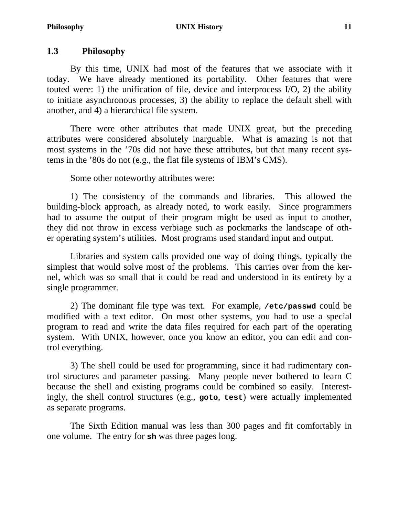### **Philosophy UNIX History 11**

### **1.3 Philosophy**

By this time, UNIX had most of the features that we associate with it today. We have already mentioned its portability. Other features that were touted were: 1) the unification of file, device and interprocess I/O, 2) the ability to initiate asynchronous processes, 3) the ability to replace the default shell with another, and 4) a hierarchical file system.

There were other attributes that made UNIX great, but the preceding attributes were considered absolutely inarguable. What is amazing is not that most systems in the '70s did not have these attributes, but that many recent systems in the '80s do not (e.g., the flat file systems of IBM's CMS).

Some other noteworthy attributes were:

1) The consistency of the commands and libraries. This allowed the building-block approach, as already noted, to work easily. Since programmers had to assume the output of their program might be used as input to another, they did not throw in excess verbiage such as pockmarks the landscape of other operating system's utilities. Most programs used standard input and output.

Libraries and system calls provided one way of doing things, typically the simplest that would solve most of the problems. This carries over from the kernel, which was so small that it could be read and understood in its entirety by a single programmer.

2) The dominant file type was text. For example, **/etc/passwd** could be modified with a text editor. On most other systems, you had to use a special program to read and write the data files required for each part of the operating system. With UNIX, however, once you know an editor, you can edit and control everything.

3) The shell could be used for programming, since it had rudimentary control structures and parameter passing. Many people never bothered to learn C because the shell and existing programs could be combined so easily. Interestingly, the shell control structures (e.g., **goto**, **test**) were actually implemented as separate programs.

The Sixth Edition manual was less than 300 pages and fit comfortably in one volume. The entry for **sh** was three pages long.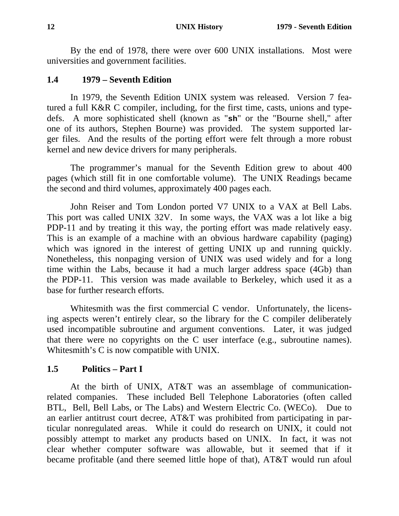By the end of 1978, there were over 600 UNIX installations. Most were universities and government facilities.

### **1.4 1979 – Seventh Edition**

In 1979, the Seventh Edition UNIX system was released. Version 7 featured a full K&R C compiler, including, for the first time, casts, unions and typedefs. A more sophisticated shell (known as "**sh**" or the "Bourne shell," after one of its authors, Stephen Bourne) was provided. The system supported larger files. And the results of the porting effort were felt through a more robust kernel and new device drivers for many peripherals.

The programmer's manual for the Seventh Edition grew to about 400 pages (which still fit in one comfortable volume). The UNIX Readings became the second and third volumes, approximately 400 pages each.

John Reiser and Tom London ported V7 UNIX to a VAX at Bell Labs. This port was called UNIX 32V. In some ways, the VAX was a lot like a big PDP-11 and by treating it this way, the porting effort was made relatively easy. This is an example of a machine with an obvious hardware capability (paging) which was ignored in the interest of getting UNIX up and running quickly. Nonetheless, this nonpaging version of UNIX was used widely and for a long time within the Labs, because it had a much larger address space (4Gb) than the PDP-11. This version was made available to Berkeley, which used it as a base for further research efforts.

Whitesmith was the first commercial C vendor. Unfortunately, the licensing aspects weren't entirely clear, so the library for the C compiler deliberately used incompatible subroutine and argument conventions. Later, it was judged that there were no copyrights on the C user interface (e.g., subroutine names). Whitesmith's C is now compatible with UNIX.

### **1.5 Politics – Part I**

At the birth of UNIX, AT&T was an assemblage of communicationrelated companies. These included Bell Telephone Laboratories (often called BTL, Bell, Bell Labs, or The Labs) and Western Electric Co. (WECo). Due to an earlier antitrust court decree, AT&T was prohibited from participating in particular nonregulated areas. While it could do research on UNIX, it could not possibly attempt to market any products based on UNIX. In fact, it was not clear whether computer software was allowable, but it seemed that if it became profitable (and there seemed little hope of that), AT&T would run afoul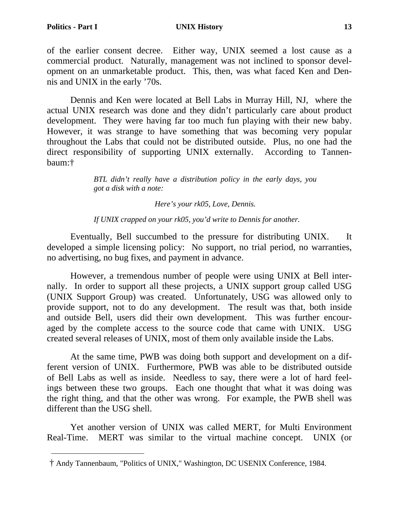of the earlier consent decree. Either way, UNIX seemed a lost cause as a commercial product. Naturally, management was not inclined to sponsor development on an unmarketable product. This, then, was what faced Ken and Dennis and UNIX in the early '70s.

Dennis and Ken were located at Bell Labs in Murray Hill, NJ, where the actual UNIX research was done and they didn't particularly care about product development. They were having far too much fun playing with their new baby. However, it was strange to have something that was becoming very popular throughout the Labs that could not be distributed outside. Plus, no one had the direct responsibility of supporting UNIX externally. According to Tannenbaum:†

> *BTL didn't really have a distribution policy in the early days, you got a disk with a note:*

> > *Here's your rk05, Love, Dennis.*

*If UNIX crapped on your rk05, you'd write to Dennis for another.*

Eventually, Bell succumbed to the pressure for distributing UNIX. It developed a simple licensing policy: No support, no trial period, no warranties, no advertising, no bug fixes, and payment in advance.

However, a tremendous number of people were using UNIX at Bell internally. In order to support all these projects, a UNIX support group called USG (UNIX Support Group) was created. Unfortunately, USG was allowed only to provide support, not to do any development. The result was that, both inside and outside Bell, users did their own development. This was further encouraged by the complete access to the source code that came with UNIX. USG created several releases of UNIX, most of them only available inside the Labs.

At the same time, PWB was doing both support and development on a different version of UNIX. Furthermore, PWB was able to be distributed outside of Bell Labs as well as inside. Needless to say, there were a lot of hard feelings between these two groups. Each one thought that what it was doing was the right thing, and that the other was wrong. For example, the PWB shell was different than the USG shell.

Yet another version of UNIX was called MERT, for Multi Environment Real-Time. MERT was similar to the virtual machine concept. UNIX (or

<sup>†</sup> Andy Tannenbaum, "Politics of UNIX," Washington, DC USENIX Conference, 1984.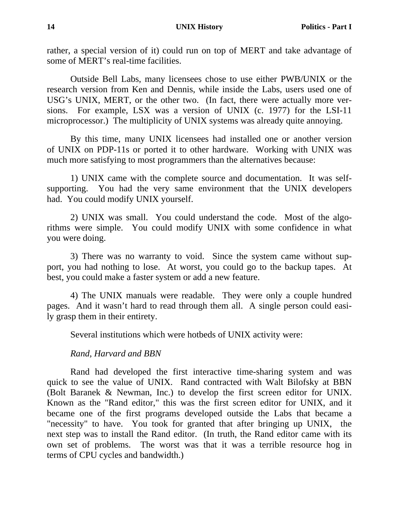rather, a special version of it) could run on top of MERT and take advantage of some of MERT's real-time facilities.

Outside Bell Labs, many licensees chose to use either PWB/UNIX or the research version from Ken and Dennis, while inside the Labs, users used one of USG's UNIX, MERT, or the other two. (In fact, there were actually more versions. For example, LSX was a version of UNIX (c. 1977) for the LSI-11 microprocessor.) The multiplicity of UNIX systems was already quite annoying.

By this time, many UNIX licensees had installed one or another version of UNIX on PDP-11s or ported it to other hardware. Working with UNIX was much more satisfying to most programmers than the alternatives because:

1) UNIX came with the complete source and documentation. It was selfsupporting. You had the very same environment that the UNIX developers had. You could modify UNIX yourself.

2) UNIX was small. You could understand the code. Most of the algorithms were simple. You could modify UNIX with some confidence in what you were doing.

3) There was no warranty to void. Since the system came without support, you had nothing to lose. At worst, you could go to the backup tapes. At best, you could make a faster system or add a new feature.

4) The UNIX manuals were readable. They were only a couple hundred pages. And it wasn't hard to read through them all. A single person could easily grasp them in their entirety.

Several institutions which were hotbeds of UNIX activity were:

### *Rand, Harvard and BBN*

Rand had developed the first interactive time-sharing system and was quick to see the value of UNIX. Rand contracted with Walt Bilofsky at BBN (Bolt Baranek & Newman, Inc.) to develop the first screen editor for UNIX. Known as the "Rand editor," this was the first screen editor for UNIX, and it became one of the first programs developed outside the Labs that became a "necessity" to have. You took for granted that after bringing up UNIX, the next step was to install the Rand editor. (In truth, the Rand editor came with its own set of problems. The worst was that it was a terrible resource hog in terms of CPU cycles and bandwidth.)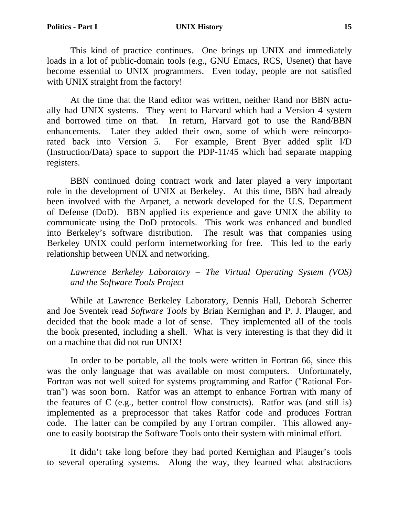This kind of practice continues. One brings up UNIX and immediately loads in a lot of public-domain tools (e.g., GNU Emacs, RCS, Usenet) that have become essential to UNIX programmers. Even today, people are not satisfied with UNIX straight from the factory!

At the time that the Rand editor was written, neither Rand nor BBN actually had UNIX systems. They went to Harvard which had a Version 4 system and borrowed time on that. In return, Harvard got to use the Rand/BBN enhancements. Later they added their own, some of which were reincorporated back into Version 5. For example, Brent Byer added split I/D (Instruction/Data) space to support the PDP-11/45 which had separate mapping registers.

BBN continued doing contract work and later played a very important role in the development of UNIX at Berkeley. At this time, BBN had already been involved with the Arpanet, a network developed for the U.S. Department of Defense (DoD). BBN applied its experience and gave UNIX the ability to communicate using the DoD protocols. This work was enhanced and bundled into Berkeley's software distribution. The result was that companies using Berkeley UNIX could perform internetworking for free. This led to the early relationship between UNIX and networking.

*Lawrence Berkeley Laboratory – The Virtual Operating System (VOS) and the Software Tools Project*

While at Lawrence Berkeley Laboratory, Dennis Hall, Deborah Scherrer and Joe Sventek read *Software Tools* by Brian Kernighan and P. J. Plauger, and decided that the book made a lot of sense. They implemented all of the tools the book presented, including a shell. What is very interesting is that they did it on a machine that did not run UNIX!

In order to be portable, all the tools were written in Fortran 66, since this was the only language that was available on most computers. Unfortunately, Fortran was not well suited for systems programming and Ratfor ("Rational Fortran") was soon born. Ratfor was an attempt to enhance Fortran with many of the features of C (e.g., better control flow constructs). Ratfor was (and still is) implemented as a preprocessor that takes Ratfor code and produces Fortran code. The latter can be compiled by any Fortran compiler. This allowed anyone to easily bootstrap the Software Tools onto their system with minimal effort.

It didn't take long before they had ported Kernighan and Plauger's tools to several operating systems. Along the way, they learned what abstractions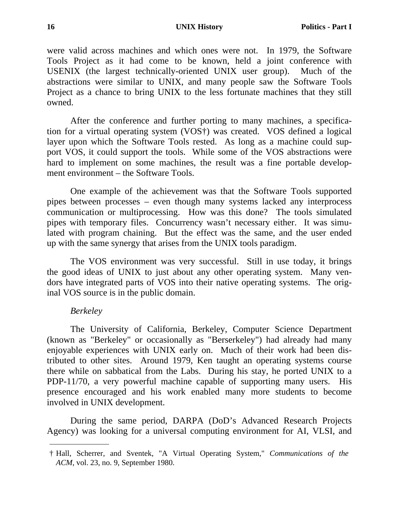were valid across machines and which ones were not. In 1979, the Software Tools Project as it had come to be known, held a joint conference with USENIX (the largest technically-oriented UNIX user group). Much of the abstractions were similar to UNIX, and many people saw the Software Tools Project as a chance to bring UNIX to the less fortunate machines that they still owned.

After the conference and further porting to many machines, a specification for a virtual operating system (VOS†) was created. VOS defined a logical layer upon which the Software Tools rested. As long as a machine could support VOS, it could support the tools. While some of the VOS abstractions were hard to implement on some machines, the result was a fine portable development environment – the Software Tools.

One example of the achievement was that the Software Tools supported pipes between processes – even though many systems lacked any interprocess communication or multiprocessing. How was this done? The tools simulated pipes with temporary files. Concurrency wasn't necessary either. It was simulated with program chaining. But the effect was the same, and the user ended up with the same synergy that arises from the UNIX tools paradigm.

The VOS environment was very successful. Still in use today, it brings the good ideas of UNIX to just about any other operating system. Many vendors have integrated parts of VOS into their native operating systems. The original VOS source is in the public domain.

### *Berkeley*

The University of California, Berkeley, Computer Science Department (known as "Berkeley" or occasionally as "Berserkeley") had already had many enjoyable experiences with UNIX early on. Much of their work had been distributed to other sites. Around 1979, Ken taught an operating systems course there while on sabbatical from the Labs. During his stay, he ported UNIX to a PDP-11/70, a very powerful machine capable of supporting many users. His presence encouraged and his work enabled many more students to become involved in UNIX development.

During the same period, DARPA (DoD's Advanced Research Projects Agency) was looking for a universal computing environment for AI, VLSI, and

<sup>&</sup>lt;sup>†</sup> Hall, Scherrer, and Sventek, "A Virtual Operating System," Communications of the *ACM*, vol. 23, no. 9, September 1980.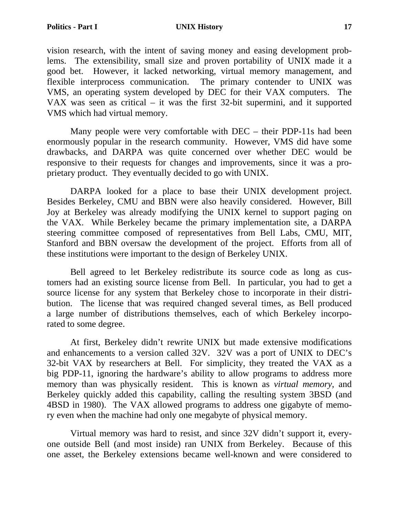vision research, with the intent of saving money and easing development problems. The extensibility, small size and proven portability of UNIX made it a good bet. However, it lacked networking, virtual memory management, and flexible interprocess communication. The primary contender to UNIX was VMS, an operating system developed by DEC for their VAX computers. The VAX was seen as critical – it was the first 32-bit supermini, and it supported VMS which had virtual memory.

Many people were very comfortable with DEC – their PDP-11s had been enormously popular in the research community. However, VMS did have some drawbacks, and DARPA was quite concerned over whether DEC would be responsive to their requests for changes and improvements, since it was a proprietary product. They eventually decided to go with UNIX.

DARPA looked for a place to base their UNIX development project. Besides Berkeley, CMU and BBN were also heavily considered. However, Bill Joy at Berkeley was already modifying the UNIX kernel to support paging on the VAX. While Berkeley became the primary implementation site, a DARPA steering committee composed of representatives from Bell Labs, CMU, MIT, Stanford and BBN oversaw the development of the project. Efforts from all of these institutions were important to the design of Berkeley UNIX.

Bell agreed to let Berkeley redistribute its source code as long as customers had an existing source license from Bell. In particular, you had to get a source license for any system that Berkeley chose to incorporate in their distribution. The license that was required changed several times, as Bell produced a large number of distributions themselves, each of which Berkeley incorporated to some degree.

At first, Berkeley didn't rewrite UNIX but made extensive modifications and enhancements to a version called 32V. 32V was a port of UNIX to DEC's 32-bit VAX by researchers at Bell. For simplicity, they treated the VAX as a big PDP-11, ignoring the hardware's ability to allow programs to address more memory than was physically resident. This is known as *virtual memory*, and Berkeley quickly added this capability, calling the resulting system 3BSD (and 4BSD in 1980). The VAX allowed programs to address one gigabyte of memory even when the machine had only one megabyte of physical memory.

Virtual memory was hard to resist, and since 32V didn't support it, everyone outside Bell (and most inside) ran UNIX from Berkeley. Because of this one asset, the Berkeley extensions became well-known and were considered to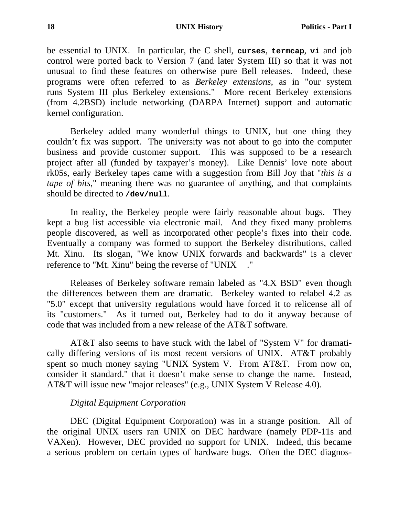be essential to UNIX. In particular, the C shell, **curses**, **termcap**, **vi** and job control were ported back to Version 7 (and later System III) so that it was not unusual to find these features on otherwise pure Bell releases. Indeed, these programs were often referred to as *Berkeley extensions*, as in "our system runs System III plus Berkeley extensions." More recent Berkeley extensions (from 4.2BSD) include networking (DARPA Internet) support and automatic kernel configuration.

Berkeley added many wonderful things to UNIX, but one thing they couldn't fix was support. The university was not about to go into the computer business and provide customer support. This was supposed to be a research project after all (funded by taxpayer's money). Like Dennis' love note about rk05s, early Berkeley tapes came with a suggestion from Bill Joy that "*this is a tape of bits*," meaning there was no guarantee of anything, and that complaints should be directed to **/dev/null**.

In reality, the Berkeley people were fairly reasonable about bugs. They kept a bug list accessible via electronic mail. And they fixed many problems people discovered, as well as incorporated other people's fixes into their code. Eventually a company was formed to support the Berkeley distributions, called Mt. Xinu. Its slogan, "We know UNIX forwards and backwards" is a clever reference to "Mt. Xinu" being the reverse of "UNIX ."

Releases of Berkeley software remain labeled as "4.X BSD" even though the differences between them are dramatic. Berkeley wanted to relabel 4.2 as "5.0" except that university regulations would have forced it to relicense all of its "customers." As it turned out, Berkeley had to do it anyway because of code that was included from a new release of the AT&T software.

AT&T also seems to have stuck with the label of "System V" for dramatically differing versions of its most recent versions of UNIX. AT&T probably spent so much money saying "UNIX System V. From AT&T. From now on, consider it standard." that it doesn't make sense to change the name. Instead, AT&T will issue new "major releases" (e.g., UNIX System V Release 4.0).

### *Digital Equipment Corporation*

DEC (Digital Equipment Corporation) was in a strange position. All of the original UNIX users ran UNIX on DEC hardware (namely PDP-11s and VAXen). However, DEC provided no support for UNIX. Indeed, this became a serious problem on certain types of hardware bugs. Often the DEC diagnos-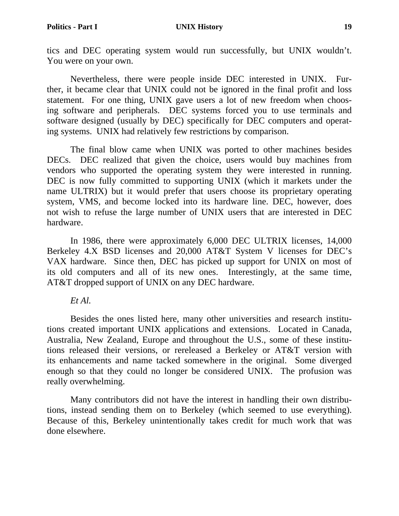tics and DEC operating system would run successfully, but UNIX wouldn't. You were on your own.

Nevertheless, there were people inside DEC interested in UNIX. Further, it became clear that UNIX could not be ignored in the final profit and loss statement. For one thing, UNIX gave users a lot of new freedom when choosing software and peripherals. DEC systems forced you to use terminals and software designed (usually by DEC) specifically for DEC computers and operating systems. UNIX had relatively few restrictions by comparison.

The final blow came when UNIX was ported to other machines besides DECs. DEC realized that given the choice, users would buy machines from vendors who supported the operating system they were interested in running. DEC is now fully committed to supporting UNIX (which it markets under the name ULTRIX) but it would prefer that users choose its proprietary operating system, VMS, and become locked into its hardware line. DEC, however, does not wish to refuse the large number of UNIX users that are interested in DEC hardware.

In 1986, there were approximately 6,000 DEC ULTRIX licenses, 14,000 Berkeley 4.X BSD licenses and 20,000 AT&T System V licenses for DEC's VAX hardware. Since then, DEC has picked up support for UNIX on most of its old computers and all of its new ones. Interestingly, at the same time, AT&T dropped support of UNIX on any DEC hardware.

#### *Et Al.*

Besides the ones listed here, many other universities and research institutions created important UNIX applications and extensions. Located in Canada, Australia, New Zealand, Europe and throughout the U.S., some of these institutions released their versions, or rereleased a Berkeley or AT&T version with its enhancements and name tacked somewhere in the original. Some diverged enough so that they could no longer be considered UNIX. The profusion was really overwhelming.

Many contributors did not have the interest in handling their own distributions, instead sending them on to Berkeley (which seemed to use everything). Because of this, Berkeley unintentionally takes credit for much work that was done elsewhere.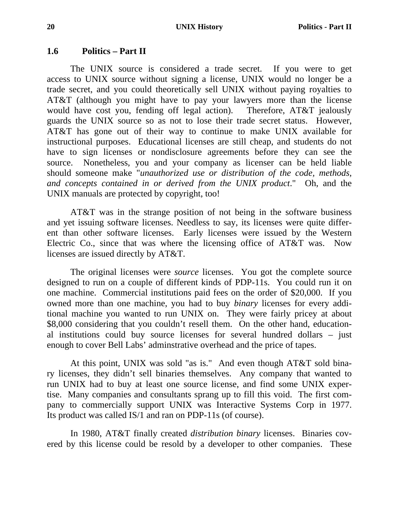## **1.6 Politics – Part II**

The UNIX source is considered a trade secret. If you were to get access to UNIX source without signing a license, UNIX would no longer be a trade secret, and you could theoretically sell UNIX without paying royalties to AT&T (although you might have to pay your lawyers more than the license would have cost you, fending off legal action). Therefore, AT&T jealously guards the UNIX source so as not to lose their trade secret status. However, AT&T has gone out of their way to continue to make UNIX available for instructional purposes. Educational licenses are still cheap, and students do not have to sign licenses or nondisclosure agreements before they can see the source. Nonetheless, you and your company as licenser can be held liable should someone make "*unauthorized use or distribution of the code, methods, and concepts contained in or derived from the UNIX product*." Oh, and the UNIX manuals are protected by copyright, too!

AT&T was in the strange position of not being in the software business and yet issuing software licenses. Needless to say, its licenses were quite different than other software licenses. Early licenses were issued by the Western Electric Co., since that was where the licensing office of AT&T was. Now licenses are issued directly by AT&T.

The original licenses were *source* licenses. You got the complete source designed to run on a couple of different kinds of PDP-11s. You could run it on one machine. Commercial institutions paid fees on the order of \$20,000. If you owned more than one machine, you had to buy *binary* licenses for every additional machine you wanted to run UNIX on. They were fairly pricey at about \$8,000 considering that you couldn't resell them. On the other hand, educational institutions could buy source licenses for several hundred dollars – just enough to cover Bell Labs' adminstrative overhead and the price of tapes.

At this point, UNIX was sold "as is." And even though AT&T sold binary licenses, they didn't sell binaries themselves. Any company that wanted to run UNIX had to buy at least one source license, and find some UNIX expertise. Many companies and consultants sprang up to fill this void. The first company to commercially support UNIX was Interactive Systems Corp in 1977. Its product was called IS/1 and ran on PDP-11s (of course).

In 1980, AT&T finally created *distribution binary* licenses. Binaries covered by this license could be resold by a developer to other companies. These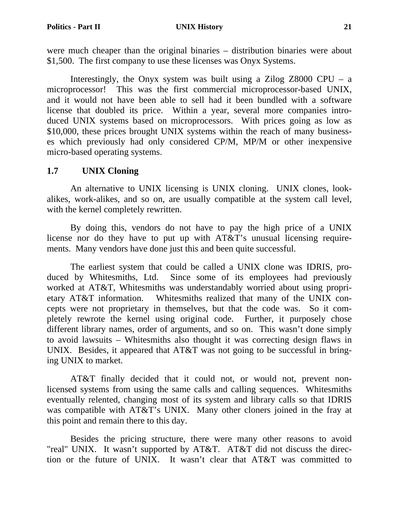were much cheaper than the original binaries – distribution binaries were about \$1,500. The first company to use these licenses was Onyx Systems.

Interestingly, the Onyx system was built using a Zilog  $Z8000$  CPU – a microprocessor! This was the first commercial microprocessor-based UNIX, and it would not have been able to sell had it been bundled with a software license that doubled its price. Within a year, several more companies introduced UNIX systems based on microprocessors. With prices going as low as \$10,000, these prices brought UNIX systems within the reach of many businesses which previously had only considered CP/M, MP/M or other inexpensive micro-based operating systems.

### **1.7 UNIX Cloning**

An alternative to UNIX licensing is UNIX cloning. UNIX clones, lookalikes, work-alikes, and so on, are usually compatible at the system call level, with the kernel completely rewritten.

By doing this, vendors do not have to pay the high price of a UNIX license nor do they have to put up with AT&T's unusual licensing requirements. Many vendors have done just this and been quite successful.

The earliest system that could be called a UNIX clone was IDRIS, produced by Whitesmiths, Ltd. Since some of its employees had previously worked at AT&T, Whitesmiths was understandably worried about using proprietary AT&T information. Whitesmiths realized that many of the UNIX concepts were not proprietary in themselves, but that the code was. So it completely rewrote the kernel using original code. Further, it purposely chose different library names, order of arguments, and so on. This wasn't done simply to avoid lawsuits – Whitesmiths also thought it was correcting design flaws in UNIX. Besides, it appeared that AT&T was not going to be successful in bringing UNIX to market.

AT&T finally decided that it could not, or would not, prevent nonlicensed systems from using the same calls and calling sequences. Whitesmiths eventually relented, changing most of its system and library calls so that IDRIS was compatible with AT&T's UNIX. Many other cloners joined in the fray at this point and remain there to this day.

Besides the pricing structure, there were many other reasons to avoid "real" UNIX. It wasn't supported by AT&T. AT&T did not discuss the direction or the future of UNIX. It wasn't clear that AT&T was committed to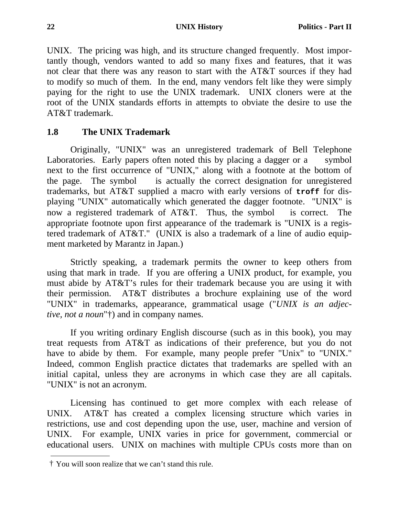UNIX. The pricing was high, and its structure changed frequently. Most importantly though, vendors wanted to add so many fixes and features, that it was not clear that there was any reason to start with the AT&T sources if they had to modify so much of them. In the end, many vendors felt like they were simply paying for the right to use the UNIX trademark. UNIX cloners were at the root of the UNIX standards efforts in attempts to obviate the desire to use the AT&T trademark.

### **1.8 The UNIX Trademark**

Originally, "UNIX" was an unregistered trademark of Bell Telephone Laboratories. Early papers often noted this by placing a dagger or a  $\bar{w}$  symbol next to the first occurrence of "UNIX," along with a footnote at the bottom of the page. The symbol  $\overline{m}$  is actually the correct designation for unregistered trademarks, but AT&T supplied a macro with early versions of **troff** for displaying "UNIX" automatically which generated the dagger footnote. "UNIX" is now a registered trademark of AT&T. Thus, the symbol  $\circledast$  is correct. The appropriate footnote upon first appearance of the trademark is "UNIX is a registered trademark of AT&T." (UNIX is also a trademark of a line of audio equipment marketed by Marantz in Japan.)

Strictly speaking, a trademark permits the owner to keep others from using that mark in trade. If you are offering a UNIX product, for example, you must abide by AT&T's rules for their trademark because you are using it with their permission. AT&T distributes a brochure explaining use of the word "UNIX" in trademarks, appearance, grammatical usage ("*UNIX is an adjective, not a noun*"†) and in company names.

If you writing ordinary English discourse (such as in this book), you may treat requests from AT&T as indications of their preference, but you do not have to abide by them. For example, many people prefer "Unix" to "UNIX." Indeed, common English practice dictates that trademarks are spelled with an initial capital, unless they are acronyms in which case they are all capitals. "UNIX" is not an acronym.

Licensing has continued to get more complex with each release of UNIX. AT&T has created a complex licensing structure which varies in restrictions, use and cost depending upon the use, user, machine and version of UNIX. For example, UNIX varies in price for government, commercial or educational users. UNIX on machines with multiple CPUs costs more than on

<sup>†</sup> You will soon realize that we can't stand this rule.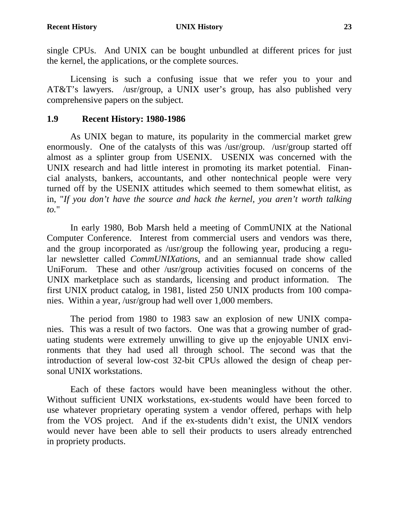single CPUs. And UNIX can be bought unbundled at different prices for just the kernel, the applications, or the complete sources.

Licensing is such a confusing issue that we refer you to your and AT&T's lawyers. /usr/group, a UNIX user's group, has also published very comprehensive papers on the subject.

#### **1.9 Recent History: 1980-1986**

As UNIX began to mature, its popularity in the commercial market grew enormously. One of the catalysts of this was /usr/group. /usr/group started off almost as a splinter group from USENIX. USENIX was concerned with the UNIX research and had little interest in promoting its market potential. Financial analysts, bankers, accountants, and other nontechnical people were very turned off by the USENIX attitudes which seemed to them somewhat elitist, as in, "*If you don't have the source and hack the kernel, you aren't worth talking to.*"

In early 1980, Bob Marsh held a meeting of CommUNIX at the National Computer Conference. Interest from commercial users and vendors was there, and the group incorporated as /usr/group the following year, producing a regular newsletter called *CommUNIXations*, and an semiannual trade show called UniForum. These and other /usr/group activities focused on concerns of the UNIX marketplace such as standards, licensing and product information. The first UNIX product catalog, in 1981, listed 250 UNIX products from 100 companies. Within a year, /usr/group had well over 1,000 members.

The period from 1980 to 1983 saw an explosion of new UNIX companies. This was a result of two factors. One was that a growing number of graduating students were extremely unwilling to give up the enjoyable UNIX environments that they had used all through school. The second was that the introduction of several low-cost 32-bit CPUs allowed the design of cheap personal UNIX workstations.

Each of these factors would have been meaningless without the other. Without sufficient UNIX workstations, ex-students would have been forced to use whatever proprietary operating system a vendor offered, perhaps with help from the VOS project. And if the ex-students didn't exist, the UNIX vendors would never have been able to sell their products to users already entrenched in propriety products.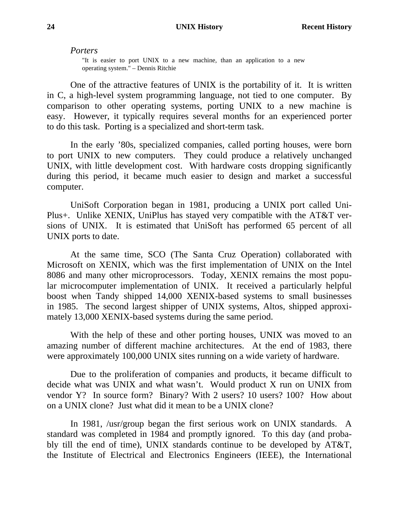*Porters*

"It is easier to port UNIX to a new machine, than an application to a new operating system." – Dennis Ritchie

One of the attractive features of UNIX is the portability of it. It is written in C, a high-level system programming language, not tied to one computer. By comparison to other operating systems, porting UNIX to a new machine is easy. However, it typically requires several months for an experienced porter to do this task. Porting is a specialized and short-term task.

In the early '80s, specialized companies, called porting houses, were born to port UNIX to new computers. They could produce a relatively unchanged UNIX, with little development cost. With hardware costs dropping significantly during this period, it became much easier to design and market a successful computer.

UniSoft Corporation began in 1981, producing a UNIX port called Uni-Plus+. Unlike XENIX, UniPlus has stayed very compatible with the AT&T versions of UNIX. It is estimated that UniSoft has performed 65 percent of all UNIX ports to date.

At the same time, SCO (The Santa Cruz Operation) collaborated with Microsoft on XENIX, which was the first implementation of UNIX on the Intel 8086 and many other microprocessors. Today, XENIX remains the most popular microcomputer implementation of UNIX. It received a particularly helpful boost when Tandy shipped 14,000 XENIX-based systems to small businesses in 1985. The second largest shipper of UNIX systems, Altos, shipped approximately 13,000 XENIX-based systems during the same period.

With the help of these and other porting houses, UNIX was moved to an amazing number of different machine architectures. At the end of 1983, there were approximately 100,000 UNIX sites running on a wide variety of hardware.

Due to the proliferation of companies and products, it became difficult to decide what was UNIX and what wasn't. Would product X run on UNIX from vendor Y? In source form? Binary? With 2 users? 10 users? 100? How about on a UNIX clone? Just what did it mean to be a UNIX clone?

In 1981, /usr/group began the first serious work on UNIX standards. A standard was completed in 1984 and promptly ignored. To this day (and probably till the end of time), UNIX standards continue to be developed by AT&T, the Institute of Electrical and Electronics Engineers (IEEE), the International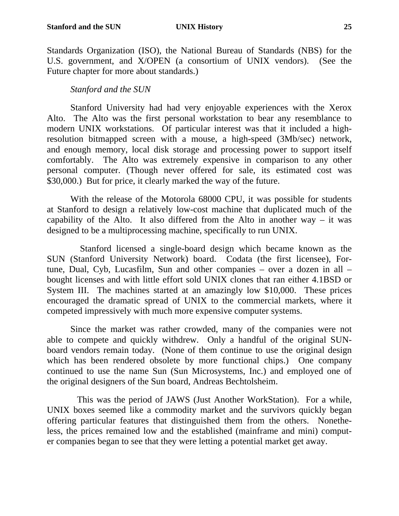Standards Organization (ISO), the National Bureau of Standards (NBS) for the U.S. government, and X/OPEN (a consortium of UNIX vendors). (See the Future chapter for more about standards.)

#### *Stanford and the SUN*

Stanford University had had very enjoyable experiences with the Xerox Alto. The Alto was the first personal workstation to bear any resemblance to modern UNIX workstations. Of particular interest was that it included a highresolution bitmapped screen with a mouse, a high-speed (3Mb/sec) network, and enough memory, local disk storage and processing power to support itself comfortably. The Alto was extremely expensive in comparison to any other personal computer. (Though never offered for sale, its estimated cost was \$30,000.) But for price, it clearly marked the way of the future.

With the release of the Motorola 68000 CPU, it was possible for students at Stanford to design a relatively low-cost machine that duplicated much of the capability of the Alto. It also differed from the Alto in another way – it was designed to be a multiprocessing machine, specifically to run UNIX.

 Stanford licensed a single-board design which became known as the SUN (Stanford University Network) board. Codata (the first licensee), Fortune, Dual, Cyb, Lucasfilm, Sun and other companies – over a dozen in all – bought licenses and with little effort sold UNIX clones that ran either 4.1BSD or System III. The machines started at an amazingly low \$10,000. These prices encouraged the dramatic spread of UNIX to the commercial markets, where it competed impressively with much more expensive computer systems.

Since the market was rather crowded, many of the companies were not able to compete and quickly withdrew. Only a handful of the original SUNboard vendors remain today. (None of them continue to use the original design which has been rendered obsolete by more functional chips.) One company continued to use the name Sun (Sun Microsystems, Inc.) and employed one of the original designers of the Sun board, Andreas Bechtolsheim.

 This was the period of JAWS (Just Another WorkStation). For a while, UNIX boxes seemed like a commodity market and the survivors quickly began offering particular features that distinguished them from the others. Nonetheless, the prices remained low and the established (mainframe and mini) computer companies began to see that they were letting a potential market get away.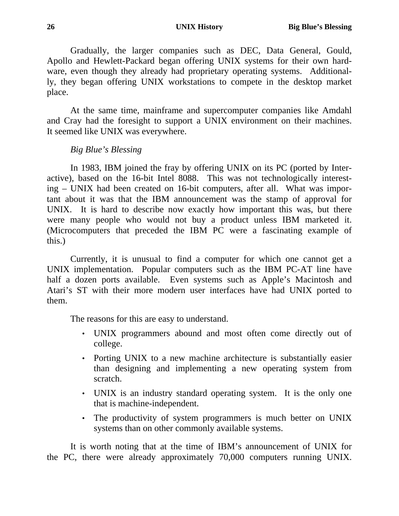Gradually, the larger companies such as DEC, Data General, Gould, Apollo and Hewlett-Packard began offering UNIX systems for their own hardware, even though they already had proprietary operating systems. Additionally, they began offering UNIX workstations to compete in the desktop market place.

At the same time, mainframe and supercomputer companies like Amdahl and Cray had the foresight to support a UNIX environment on their machines. It seemed like UNIX was everywhere.

### *Big Blue's Blessing*

In 1983, IBM joined the fray by offering UNIX on its PC (ported by Interactive), based on the 16-bit Intel 8088. This was not technologically interesting – UNIX had been created on 16-bit computers, after all. What was important about it was that the IBM announcement was the stamp of approval for UNIX. It is hard to describe now exactly how important this was, but there were many people who would not buy a product unless IBM marketed it. (Microcomputers that preceded the IBM PC were a fascinating example of this.)

Currently, it is unusual to find a computer for which one cannot get a UNIX implementation. Popular computers such as the IBM PC-AT line have half a dozen ports available. Even systems such as Apple's Macintosh and Atari's ST with their more modern user interfaces have had UNIX ported to them.

The reasons for this are easy to understand.

- UNIX programmers abound and most often come directly out of college.
- Porting UNIX to a new machine architecture is substantially easier than designing and implementing a new operating system from scratch.
- UNIX is an industry standard operating system. It is the only one that is machine-independent.
- The productivity of system programmers is much better on UNIX systems than on other commonly available systems.

It is worth noting that at the time of IBM's announcement of UNIX for the PC, there were already approximately 70,000 computers running UNIX.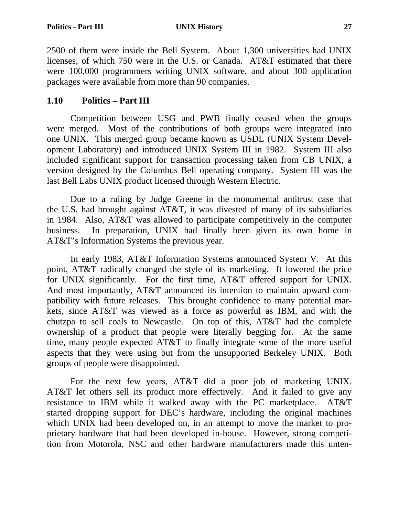2500 of them were inside the Bell System. About 1,300 universities had UNIX licenses, of which 750 were in the U.S. or Canada. AT&T estimated that there were 100,000 programmers writing UNIX software, and about 300 application packages were available from more than 90 companies.

#### **1.10 Politics – Part III**

Competition between USG and PWB finally ceased when the groups were merged. Most of the contributions of both groups were integrated into one UNIX. This merged group became known as USDL (UNIX System Development Laboratory) and introduced UNIX System III in 1982. System III also included significant support for transaction processing taken from CB UNIX, a version designed by the Columbus Bell operating company. System III was the last Bell Labs UNIX product licensed through Western Electric.

Due to a ruling by Judge Greene in the monumental antitrust case that the U.S. had brought against AT&T, it was divested of many of its subsidiaries in 1984. Also, AT&T was allowed to participate competitively in the computer business. In preparation, UNIX had finally been given its own home in AT&T's Information Systems the previous year.

In early 1983, AT&T Information Systems announced System V. At this point, AT&T radically changed the style of its marketing. It lowered the price for UNIX significantly. For the first time, AT&T offered support for UNIX. And most importantly, AT&T announced its intention to maintain upward compatibility with future releases. This brought confidence to many potential markets, since AT&T was viewed as a force as powerful as IBM, and with the chutzpa to sell coals to Newcastle. On top of this, AT&T had the complete ownership of a product that people were literally begging for. At the same time, many people expected AT&T to finally integrate some of the more useful aspects that they were using but from the unsupported Berkeley UNIX. Both groups of people were disappointed.

For the next few years, AT&T did a poor job of marketing UNIX. AT&T let others sell its product more effectively. And it failed to give any resistance to IBM while it walked away with the PC marketplace. AT&T started dropping support for DEC's hardware, including the original machines which UNIX had been developed on, in an attempt to move the market to proprietary hardware that had been developed in-house. However, strong competition from Motorola, NSC and other hardware manufacturers made this unten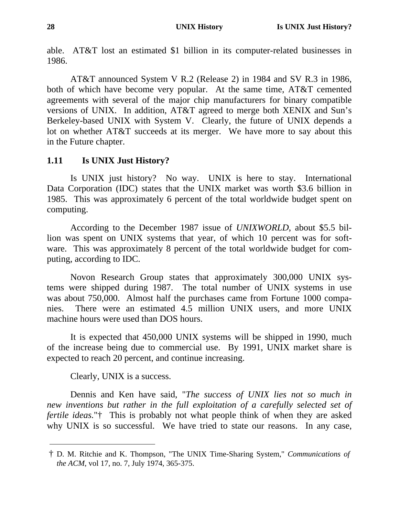able. AT&T lost an estimated \$1 billion in its computer-related businesses in 1986.

AT&T announced System V R.2 (Release 2) in 1984 and SV R.3 in 1986, both of which have become very popular. At the same time, AT&T cemented agreements with several of the major chip manufacturers for binary compatible versions of UNIX. In addition, AT&T agreed to merge both XENIX and Sun's Berkeley-based UNIX with System V. Clearly, the future of UNIX depends a lot on whether AT&T succeeds at its merger. We have more to say about this in the Future chapter.

# **1.11 Is UNIX Just History?**

Is UNIX just history? No way. UNIX is here to stay. International Data Corporation (IDC) states that the UNIX market was worth \$3.6 billion in 1985. This was approximately 6 percent of the total worldwide budget spent on computing.

According to the December 1987 issue of *UNIXWORLD*, about \$5.5 billion was spent on UNIX systems that year, of which 10 percent was for software. This was approximately 8 percent of the total worldwide budget for computing, according to IDC.

Novon Research Group states that approximately 300,000 UNIX systems were shipped during 1987. The total number of UNIX systems in use was about 750,000. Almost half the purchases came from Fortune 1000 companies. There were an estimated 4.5 million UNIX users, and more UNIX machine hours were used than DOS hours.

It is expected that 450,000 UNIX systems will be shipped in 1990, much of the increase being due to commercial use. By 1991, UNIX market share is expected to reach 20 percent, and continue increasing.

Clearly, UNIX is a success.

Dennis and Ken have said, "*The success of UNIX lies not so much in new inventions but rather in the full exploitation of a carefully selected set of fertile ideas.*"† This is probably not what people think of when they are asked why UNIX is so successful. We have tried to state our reasons. In any case,

D. M. Ritchie and K. Thompson, "The UNIX Time-Sharing System," *Communications of* †*the ACM*, vol 17, no. 7, July 1974, 365-375.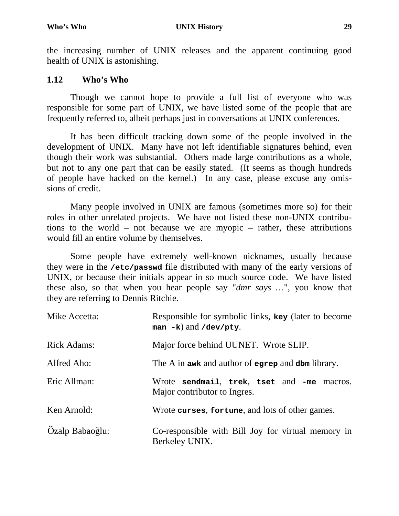the increasing number of UNIX releases and the apparent continuing good health of UNIX is astonishing.

### **1.12 Who's Who**

Though we cannot hope to provide a full list of everyone who was responsible for some part of UNIX, we have listed some of the people that are frequently referred to, albeit perhaps just in conversations at UNIX conferences.

It has been difficult tracking down some of the people involved in the development of UNIX. Many have not left identifiable signatures behind, even though their work was substantial. Others made large contributions as a whole, but not to any one part that can be easily stated. (It seems as though hundreds of people have hacked on the kernel.) In any case, please excuse any omissions of credit.

Many people involved in UNIX are famous (sometimes more so) for their roles in other unrelated projects. We have not listed these non-UNIX contributions to the world – not because we are myopic – rather, these attributions would fill an entire volume by themselves.

Some people have extremely well-known nicknames, usually because they were in the **/etc/passwd** file distributed with many of the early versions of UNIX, or because their initials appear in so much source code. We have listed these also, so that when you hear people say "*dmr says …*", you know that they are referring to Dennis Ritchie.

| Mike Accetta:      | Responsible for symbolic links, key (later to become<br>man $-k$ ) and /dev/pty. |
|--------------------|----------------------------------------------------------------------------------|
| <b>Rick Adams:</b> | Major force behind UUNET. Wrote SLIP.                                            |
| Alfred Aho:        | The A in awk and author of egrep and dbm library.                                |
| Eric Allman:       | Wrote sendmail, trek, tset and -me macros.<br>Major contributor to Ingres.       |
| Ken Arnold:        | Wrote curses, fortune, and lots of other games.                                  |
| Özalp Babaoğlu:    | Co-responsible with Bill Joy for virtual memory in<br>Berkeley UNIX.             |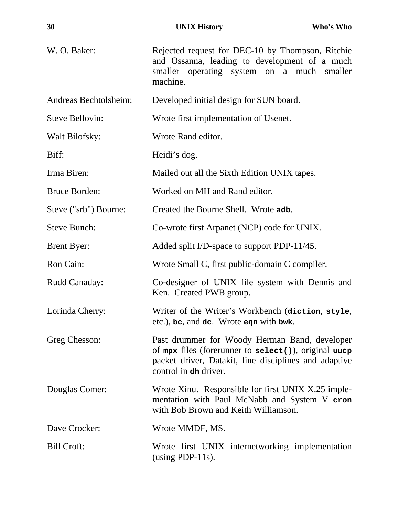| W. O. Baker:          | Rejected request for DEC-10 by Thompson, Ritchie<br>and Ossanna, leading to development of a much<br>smaller operating system on a much smaller<br>machine.                             |
|-----------------------|-----------------------------------------------------------------------------------------------------------------------------------------------------------------------------------------|
| Andreas Bechtolsheim: | Developed initial design for SUN board.                                                                                                                                                 |
| Steve Bellovin:       | Wrote first implementation of Usenet.                                                                                                                                                   |
| Walt Bilofsky:        | Wrote Rand editor.                                                                                                                                                                      |
| Biff:                 | Heidi's dog.                                                                                                                                                                            |
| Irma Biren:           | Mailed out all the Sixth Edition UNIX tapes.                                                                                                                                            |
| <b>Bruce Borden:</b>  | Worked on MH and Rand editor.                                                                                                                                                           |
| Steve ("srb") Bourne: | Created the Bourne Shell. Wrote adb.                                                                                                                                                    |
| <b>Steve Bunch:</b>   | Co-wrote first Arpanet (NCP) code for UNIX.                                                                                                                                             |
| <b>Brent Byer:</b>    | Added split I/D-space to support PDP-11/45.                                                                                                                                             |
| Ron Cain:             | Wrote Small C, first public-domain C compiler.                                                                                                                                          |
| Rudd Canaday:         | Co-designer of UNIX file system with Dennis and<br>Ken. Created PWB group.                                                                                                              |
| Lorinda Cherry:       | Writer of the Writer's Workbench (diction, style,<br>etc.), bc, and dc. Wrote eqn with bwk.                                                                                             |
| Greg Chesson:         | Past drummer for Woody Herman Band, developer<br>of mpx files (forerunner to select()), original uucp<br>packet driver, Datakit, line disciplines and adaptive<br>control in dh driver. |
| Douglas Comer:        | Wrote Xinu. Responsible for first UNIX X.25 imple-<br>mentation with Paul McNabb and System V cron<br>with Bob Brown and Keith Williamson.                                              |
| Dave Crocker:         | Wrote MMDF, MS.                                                                                                                                                                         |
| <b>Bill Croft:</b>    | Wrote first UNIX internetworking implementation<br>(using PDP- $11s$ ).                                                                                                                 |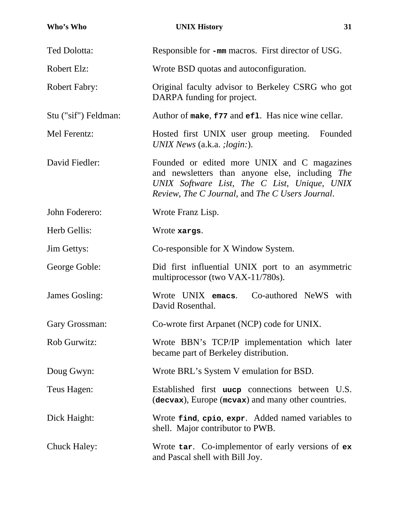| Who's Who            | 31<br><b>UNIX History</b>                                                                                                                                                                         |
|----------------------|---------------------------------------------------------------------------------------------------------------------------------------------------------------------------------------------------|
| Ted Dolotta:         | Responsible for $-\text{mm}$ macros. First director of USG.                                                                                                                                       |
| Robert Elz:          | Wrote BSD quotas and autoconfiguration.                                                                                                                                                           |
| <b>Robert Fabry:</b> | Original faculty advisor to Berkeley CSRG who got<br>DARPA funding for project.                                                                                                                   |
| Stu ("sif") Feldman: | Author of make, £77 and ef1. Has nice wine cellar.                                                                                                                                                |
| Mel Ferentz:         | Hosted first UNIX user group meeting. Founded<br>UNIX News $(a.k.a. ; login$ .                                                                                                                    |
| David Fiedler:       | Founded or edited more UNIX and C magazines<br>and newsletters than anyone else, including The<br>UNIX Software List, The C List, Unique, UNIX<br>Review, The C Journal, and The C Users Journal. |
| John Foderero:       | Wrote Franz Lisp.                                                                                                                                                                                 |
| Herb Gellis:         | Wrote xargs.                                                                                                                                                                                      |
| <b>Jim Gettys:</b>   | Co-responsible for X Window System.                                                                                                                                                               |
| George Goble:        | Did first influential UNIX port to an asymmetric<br>multiprocessor (two VAX-11/780s).                                                                                                             |
| James Gosling:       | Wrote UNIX emacs.<br>Co-authored NeWS with<br>David Rosenthal.                                                                                                                                    |
| Gary Grossman:       | Co-wrote first Arpanet (NCP) code for UNIX.                                                                                                                                                       |
| Rob Gurwitz:         | Wrote BBN's TCP/IP implementation which later<br>became part of Berkeley distribution.                                                                                                            |
| Doug Gwyn:           | Wrote BRL's System V emulation for BSD.                                                                                                                                                           |
| Teus Hagen:          | Established first uucp connections between U.S.<br>(decvax), Europe (mcvax) and many other countries.                                                                                             |
| Dick Haight:         | Wrote find, cpio, expr. Added named variables to<br>shell. Major contributor to PWB.                                                                                                              |
| <b>Chuck Haley:</b>  | Wrote tar. Co-implementor of early versions of ex-<br>and Pascal shell with Bill Joy.                                                                                                             |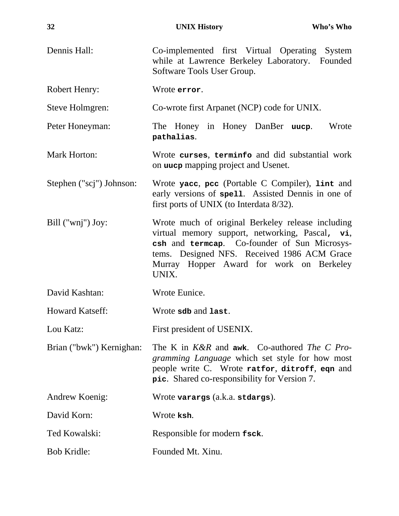| 32                       | <b>UNIX History</b>                                                                                                                                                                                                                                      | Who's Who |
|--------------------------|----------------------------------------------------------------------------------------------------------------------------------------------------------------------------------------------------------------------------------------------------------|-----------|
| Dennis Hall:             | Co-implemented first Virtual Operating System<br>while at Lawrence Berkeley Laboratory. Founded<br>Software Tools User Group.                                                                                                                            |           |
| <b>Robert Henry:</b>     | Wrote error.                                                                                                                                                                                                                                             |           |
| Steve Holmgren:          | Co-wrote first Arpanet (NCP) code for UNIX.                                                                                                                                                                                                              |           |
| Peter Honeyman:          | The Honey in Honey DanBer uucp.<br>pathalias.                                                                                                                                                                                                            | Wrote     |
| <b>Mark Horton:</b>      | Wrote curses, terminfo and did substantial work<br>on uucp mapping project and Usenet.                                                                                                                                                                   |           |
| Stephen ("scj") Johnson: | Wrote yacc, pcc (Portable C Compiler), lint and<br>early versions of spell. Assisted Dennis in one of<br>first ports of UNIX (to Interdata 8/32).                                                                                                        |           |
| Bill ("wnj") Joy:        | Wrote much of original Berkeley release including<br>virtual memory support, networking, Pascal, vi,<br>csh and termcap. Co-founder of Sun Microsys-<br>tems. Designed NFS. Received 1986 ACM Grace<br>Murray Hopper Award for work on Berkeley<br>UNIX. |           |
| David Kashtan:           | Wrote Eunice.                                                                                                                                                                                                                                            |           |
| Howard Katseff:          | Wrote sdb and last.                                                                                                                                                                                                                                      |           |
| Lou Katz:                | First president of USENIX.                                                                                                                                                                                                                               |           |
| Brian ("bwk") Kernighan: | The K in $K\&R$ and awk. Co-authored The C Pro-<br><i>gramming Language</i> which set style for how most<br>people write C. Wrote ratfor, ditroff, eqn and<br>pic. Shared co-responsibility for Version 7.                                               |           |
| Andrew Koenig:           | Wrote varargs (a.k.a. stdargs).                                                                                                                                                                                                                          |           |
| David Korn:              | Wrote ksh.                                                                                                                                                                                                                                               |           |
| Ted Kowalski:            | Responsible for modern <b>fsck.</b>                                                                                                                                                                                                                      |           |
| <b>Bob Kridle:</b>       | Founded Mt. Xinu.                                                                                                                                                                                                                                        |           |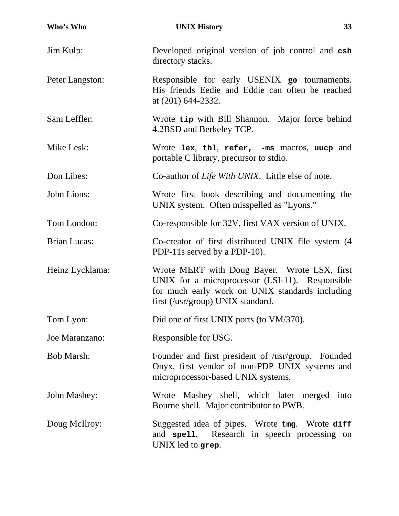| Who's Who           | 33<br><b>UNIX History</b>                                                                                                                                                               |
|---------------------|-----------------------------------------------------------------------------------------------------------------------------------------------------------------------------------------|
| Jim Kulp:           | Developed original version of job control and csh<br>directory stacks.                                                                                                                  |
| Peter Langston:     | Responsible for early USENIX go tournaments.<br>His friends Eedie and Eddie can often be reached<br>at $(201)$ 644-2332.                                                                |
| Sam Leffler:        | Wrote tip with Bill Shannon. Major force behind<br>4.2BSD and Berkeley TCP.                                                                                                             |
| Mike Lesk:          | Wrote lex, tbl, refer, -ms macros, uucp and<br>portable C library, precursor to stdio.                                                                                                  |
| Don Libes:          | Co-author of <i>Life With UNIX</i> . Little else of note.                                                                                                                               |
| John Lions:         | Wrote first book describing and documenting the<br>UNIX system. Often misspelled as "Lyons."                                                                                            |
| Tom London:         | Co-responsible for 32V, first VAX version of UNIX.                                                                                                                                      |
| <b>Brian Lucas:</b> | Co-creator of first distributed UNIX file system (4)<br>PDP-11s served by a PDP-10).                                                                                                    |
| Heinz Lycklama:     | Wrote MERT with Doug Bayer. Wrote LSX, first<br>UNIX for a microprocessor (LSI-11). Responsible<br>for much early work on UNIX standards including<br>first (/usr/group) UNIX standard. |
| Tom Lyon:           | Did one of first UNIX ports (to VM/370).                                                                                                                                                |
| Joe Maranzano:      | Responsible for USG.                                                                                                                                                                    |
| <b>Bob Marsh:</b>   | Founder and first president of /usr/group. Founded<br>Onyx, first vendor of non-PDP UNIX systems and<br>microprocessor-based UNIX systems.                                              |
| John Mashey:        | Wrote Mashey shell, which later merged into<br>Bourne shell. Major contributor to PWB.                                                                                                  |
| Doug McIlroy:       | Suggested idea of pipes. Wrote tmg. Wrote diff<br>and spell. Research in speech processing on<br>UNIX led to grep.                                                                      |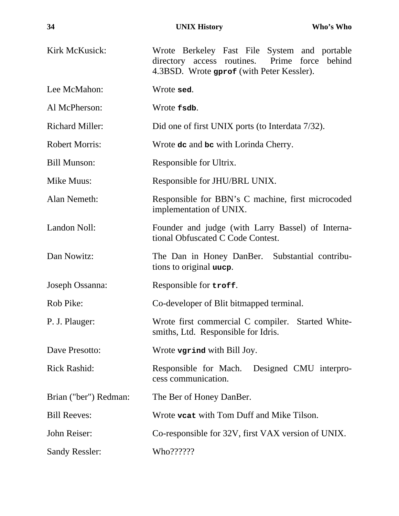| Kirk McKusick:         | Wrote Berkeley Fast File System and portable<br>directory access routines. Prime<br>force behind<br>4.3BSD. Wrote gprof (with Peter Kessler). |
|------------------------|-----------------------------------------------------------------------------------------------------------------------------------------------|
| Lee McMahon:           | Wrote sed.                                                                                                                                    |
| Al McPherson:          | Wrote fsdb.                                                                                                                                   |
| <b>Richard Miller:</b> | Did one of first UNIX ports (to Interdata 7/32).                                                                                              |
| <b>Robert Morris:</b>  | Wrote do and bo with Lorinda Cherry.                                                                                                          |
| <b>Bill Munson:</b>    | Responsible for Ultrix.                                                                                                                       |
| Mike Muus:             | Responsible for JHU/BRL UNIX.                                                                                                                 |
| Alan Nemeth:           | Responsible for BBN's C machine, first microcoded<br>implementation of UNIX.                                                                  |
| Landon Noll:           | Founder and judge (with Larry Bassel) of Interna-<br>tional Obfuscated C Code Contest.                                                        |
| Dan Nowitz:            | The Dan in Honey DanBer. Substantial contribu-<br>tions to original uucp.                                                                     |
| Joseph Ossanna:        | Responsible for troff.                                                                                                                        |
| Rob Pike:              | Co-developer of Blit bitmapped terminal.                                                                                                      |
| P. J. Plauger:         | Wrote first commercial C compiler. Started White-<br>smiths, Ltd. Responsible for Idris.                                                      |
| Dave Presotto:         | Wrote vgrind with Bill Joy.                                                                                                                   |
| <b>Rick Rashid:</b>    | Responsible for Mach. Designed CMU interpro-<br>cess communication.                                                                           |
| Brian ("ber") Redman:  | The Ber of Honey DanBer.                                                                                                                      |
| <b>Bill Reeves:</b>    | Wrote yeat with Tom Duff and Mike Tilson.                                                                                                     |
| John Reiser:           | Co-responsible for 32V, first VAX version of UNIX.                                                                                            |
| <b>Sandy Ressler:</b>  | Who??????                                                                                                                                     |

**34 UNIX History Who's Who**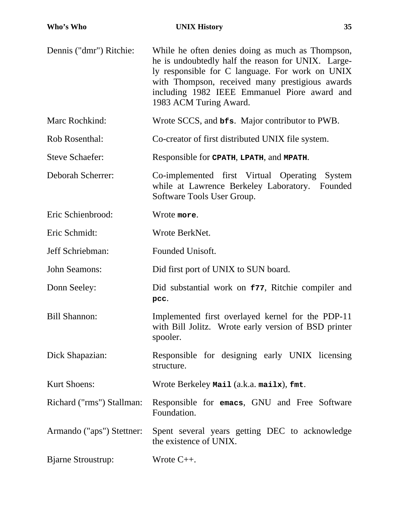## **Who's Who CONIX History 35**

| Dennis ("dmr") Ritchie:   | While he often denies doing as much as Thompson,<br>he is undoubtedly half the reason for UNIX. Large-<br>ly responsible for C language. For work on UNIX<br>with Thompson, received many prestigious awards<br>including 1982 IEEE Emmanuel Piore award and<br>1983 ACM Turing Award. |
|---------------------------|----------------------------------------------------------------------------------------------------------------------------------------------------------------------------------------------------------------------------------------------------------------------------------------|
| Marc Rochkind:            | Wrote SCCS, and bfs. Major contributor to PWB.                                                                                                                                                                                                                                         |
| Rob Rosenthal:            | Co-creator of first distributed UNIX file system.                                                                                                                                                                                                                                      |
| <b>Steve Schaefer:</b>    | Responsible for CPATH, LPATH, and MPATH.                                                                                                                                                                                                                                               |
| Deborah Scherrer:         | Co-implemented first Virtual Operating<br>System<br>while at Lawrence Berkeley Laboratory. Founded<br>Software Tools User Group.                                                                                                                                                       |
| Eric Schienbrood:         | Wrote more.                                                                                                                                                                                                                                                                            |
| Eric Schmidt:             | Wrote BerkNet.                                                                                                                                                                                                                                                                         |
| Jeff Schriebman:          | Founded Unisoft.                                                                                                                                                                                                                                                                       |
| <b>John Seamons:</b>      | Did first port of UNIX to SUN board.                                                                                                                                                                                                                                                   |
| Donn Seeley:              | Did substantial work on <b>£77</b> , Ritchie compiler and<br>pcc.                                                                                                                                                                                                                      |
| <b>Bill Shannon:</b>      | Implemented first overlayed kernel for the PDP-11<br>with Bill Jolitz. Wrote early version of BSD printer<br>spooler.                                                                                                                                                                  |
| Dick Shapazian:           | Responsible for designing early UNIX licensing<br>structure.                                                                                                                                                                                                                           |
| <b>Kurt Shoens:</b>       | Wrote Berkeley Mail (a.k.a. mailx), fmt.                                                                                                                                                                                                                                               |
| Richard ("rms") Stallman: | Responsible for emacs, GNU and Free Software<br>Foundation.                                                                                                                                                                                                                            |
| Armando ("aps") Stettner: | Spent several years getting DEC to acknowledge<br>the existence of UNIX.                                                                                                                                                                                                               |
| <b>Bjarne Stroustrup:</b> | Wrote $C_{++}$ .                                                                                                                                                                                                                                                                       |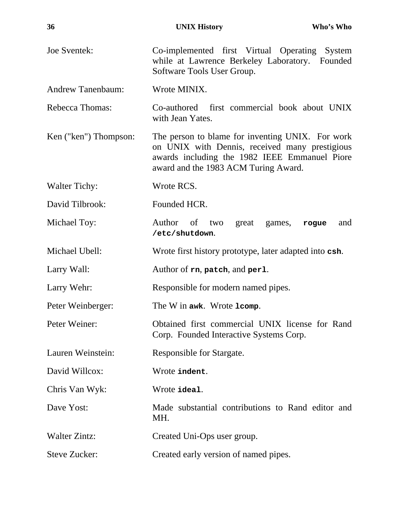| Joe Sventek:             | Co-implemented first Virtual Operating System<br>while at Lawrence Berkeley Laboratory. Founded<br>Software Tools User Group.                                                               |
|--------------------------|---------------------------------------------------------------------------------------------------------------------------------------------------------------------------------------------|
| <b>Andrew Tanenbaum:</b> | Wrote MINIX.                                                                                                                                                                                |
| Rebecca Thomas:          | Co-authored first commercial book about UNIX<br>with Jean Yates.                                                                                                                            |
| Ken ("ken") Thompson:    | The person to blame for inventing UNIX. For work<br>on UNIX with Dennis, received many prestigious<br>awards including the 1982 IEEE Emmanuel Piore<br>award and the 1983 ACM Turing Award. |
| <b>Walter Tichy:</b>     | Wrote RCS.                                                                                                                                                                                  |
| David Tilbrook:          | Founded HCR.                                                                                                                                                                                |
| <b>Michael Toy:</b>      | Author<br>of two<br>great games,<br>and<br>rogue<br>/etc/shutdown.                                                                                                                          |
| Michael Ubell:           | Wrote first history prototype, later adapted into csh.                                                                                                                                      |
| Larry Wall:              | Author of rn, patch, and perl.                                                                                                                                                              |
| Larry Wehr:              | Responsible for modern named pipes.                                                                                                                                                         |
| Peter Weinberger:        | The W in awk. Wrote 1 comp.                                                                                                                                                                 |
| Peter Weiner:            | Obtained first commercial UNIX license for Rand<br>Corp. Founded Interactive Systems Corp.                                                                                                  |
| Lauren Weinstein:        | Responsible for Stargate.                                                                                                                                                                   |
| David Willcox:           | Wrote indent.                                                                                                                                                                               |
| Chris Van Wyk:           | Wrote ideal.                                                                                                                                                                                |
| Dave Yost:               | Made substantial contributions to Rand editor and<br>MH.                                                                                                                                    |
| <b>Walter Zintz:</b>     | Created Uni-Ops user group.                                                                                                                                                                 |
| <b>Steve Zucker:</b>     | Created early version of named pipes.                                                                                                                                                       |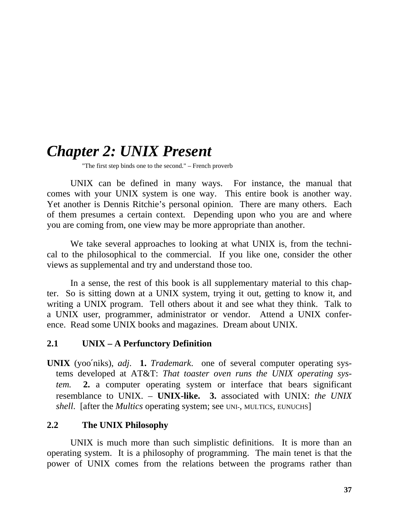# *Chapter 2: UNIX Present*

"The first step binds one to the second." – French proverb

UNIX can be defined in many ways. For instance, the manual that comes with your UNIX system is one way. This entire book is another way. Yet another is Dennis Ritchie's personal opinion. There are many others. Each of them presumes a certain context. Depending upon who you are and where you are coming from, one view may be more appropriate than another.

We take several approaches to looking at what UNIX is, from the technical to the philosophical to the commercial. If you like one, consider the other views as supplemental and try and understand those too.

In a sense, the rest of this book is all supplementary material to this chapter. So is sitting down at a UNIX system, trying it out, getting to know it, and writing a UNIX program. Tell others about it and see what they think. Talk to a UNIX user, programmer, administrator or vendor. Attend a UNIX conference. Read some UNIX books and magazines. Dream about UNIX.

### **2.1 UNIX – A Perfunctory Definition**

**UNIX** (yoo′niks), *adj*. **1.** *Trademark*. one of several computer operating systems developed at AT&T: *That toaster oven runs the UNIX operating system.* **2.** a computer operating system or interface that bears significant resemblance to UNIX. – **UNIX-like. 3.** associated with UNIX: *the UNIX shell.* [after the *Multics* operating system; see UNI-, MULTICS, EUNUCHS]

### **2.2 The UNIX Philosophy**

UNIX is much more than such simplistic definitions. It is more than an operating system. It is a philosophy of programming. The main tenet is that the power of UNIX comes from the relations between the programs rather than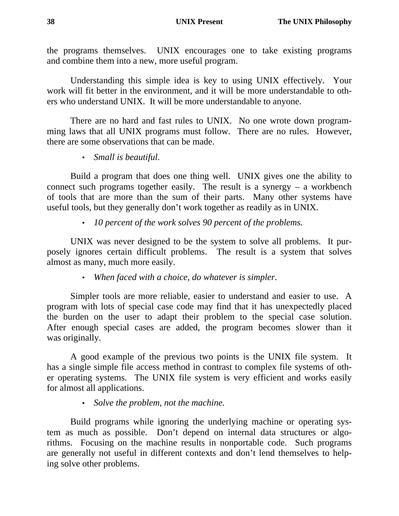the programs themselves. UNIX encourages one to take existing programs and combine them into a new, more useful program.

Understanding this simple idea is key to using UNIX effectively. Your work will fit better in the environment, and it will be more understandable to others who understand UNIX. It will be more understandable to anyone.

There are no hard and fast rules to UNIX. No one wrote down programming laws that all UNIX programs must follow. There are no rules. However, there are some observations that can be made.

• *Small is beautiful.*

Build a program that does one thing well. UNIX gives one the ability to connect such programs together easily. The result is a synergy  $-$  a workbench of tools that are more than the sum of their parts. Many other systems have useful tools, but they generally don't work together as readily as in UNIX.

• *10 percent of the work solves 90 percent of the problems.*

UNIX was never designed to be the system to solve all problems. It purposely ignores certain difficult problems. The result is a system that solves almost as many, much more easily.

• *When faced with a choice, do whatever is simpler.*

Simpler tools are more reliable, easier to understand and easier to use. A program with lots of special case code may find that it has unexpectedly placed the burden on the user to adapt their problem to the special case solution. After enough special cases are added, the program becomes slower than it was originally.

A good example of the previous two points is the UNIX file system. It has a single simple file access method in contrast to complex file systems of other operating systems. The UNIX file system is very efficient and works easily for almost all applications.

• *Solve the problem, not the machine.*

Build programs while ignoring the underlying machine or operating system as much as possible. Don't depend on internal data structures or algorithms. Focusing on the machine results in nonportable code. Such programs are generally not useful in different contexts and don't lend themselves to helping solve other problems.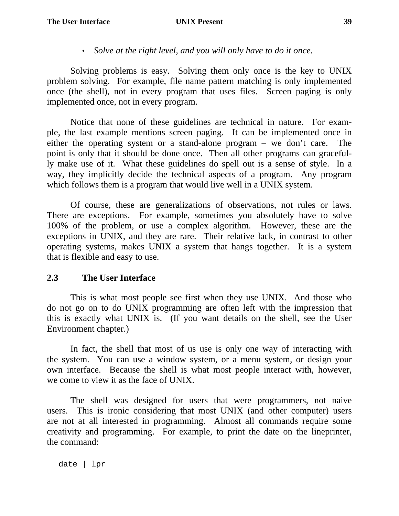• *Solve at the right level, and you will only have to do it once.*

Solving problems is easy. Solving them only once is the key to UNIX problem solving. For example, file name pattern matching is only implemented once (the shell), not in every program that uses files. Screen paging is only implemented once, not in every program.

Notice that none of these guidelines are technical in nature. For example, the last example mentions screen paging. It can be implemented once in either the operating system or a stand-alone program – we don't care. The point is only that it should be done once. Then all other programs can gracefully make use of it. What these guidelines do spell out is a sense of style. In a way, they implicitly decide the technical aspects of a program. Any program which follows them is a program that would live well in a UNIX system.

Of course, these are generalizations of observations, not rules or laws. There are exceptions. For example, sometimes you absolutely have to solve 100% of the problem, or use a complex algorithm. However, these are the exceptions in UNIX, and they are rare. Their relative lack, in contrast to other operating systems, makes UNIX a system that hangs together. It is a system that is flexible and easy to use.

# **2.3 The User Interface**

This is what most people see first when they use UNIX. And those who do not go on to do UNIX programming are often left with the impression that this is exactly what UNIX is. (If you want details on the shell, see the User Environment chapter.)

In fact, the shell that most of us use is only one way of interacting with the system. You can use a window system, or a menu system, or design your own interface. Because the shell is what most people interact with, however, we come to view it as the face of UNIX.

The shell was designed for users that were programmers, not naive users. This is ironic considering that most UNIX (and other computer) users are not at all interested in programming. Almost all commands require some creativity and programming. For example, to print the date on the lineprinter, the command:

date | lpr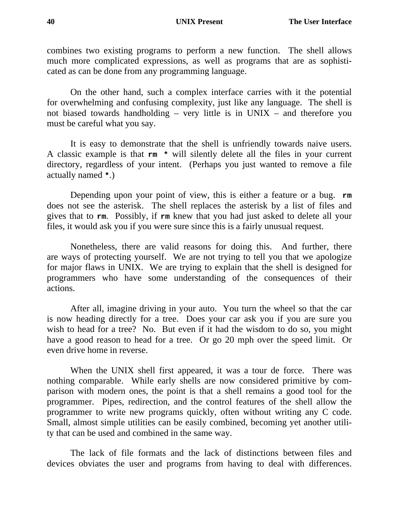combines two existing programs to perform a new function. The shell allows much more complicated expressions, as well as programs that are as sophisticated as can be done from any programming language.

On the other hand, such a complex interface carries with it the potential for overwhelming and confusing complexity, just like any language. The shell is not biased towards handholding – very little is in UNIX – and therefore you must be careful what you say.

It is easy to demonstrate that the shell is unfriendly towards naive users. A classic example is that **rm \*** will silently delete all the files in your current directory, regardless of your intent. (Perhaps you just wanted to remove a file actually named **\***.)

Depending upon your point of view, this is either a feature or a bug. **rm** does not see the asterisk. The shell replaces the asterisk by a list of files and gives that to **rm**. Possibly, if **rm** knew that you had just asked to delete all your files, it would ask you if you were sure since this is a fairly unusual request.

Nonetheless, there are valid reasons for doing this. And further, there are ways of protecting yourself. We are not trying to tell you that we apologize for major flaws in UNIX. We are trying to explain that the shell is designed for programmers who have some understanding of the consequences of their actions.

After all, imagine driving in your auto. You turn the wheel so that the car is now heading directly for a tree. Does your car ask you if you are sure you wish to head for a tree? No. But even if it had the wisdom to do so, you might have a good reason to head for a tree. Or go 20 mph over the speed limit. Or even drive home in reverse.

When the UNIX shell first appeared, it was a tour de force. There was nothing comparable. While early shells are now considered primitive by comparison with modern ones, the point is that a shell remains a good tool for the programmer. Pipes, redirection, and the control features of the shell allow the programmer to write new programs quickly, often without writing any C code. Small, almost simple utilities can be easily combined, becoming yet another utility that can be used and combined in the same way.

The lack of file formats and the lack of distinctions between files and devices obviates the user and programs from having to deal with differences.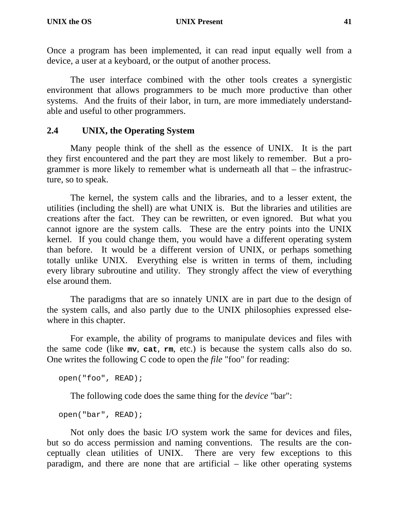Once a program has been implemented, it can read input equally well from a device, a user at a keyboard, or the output of another process.

The user interface combined with the other tools creates a synergistic environment that allows programmers to be much more productive than other systems. And the fruits of their labor, in turn, are more immediately understandable and useful to other programmers.

# **2.4 UNIX, the Operating System**

Many people think of the shell as the essence of UNIX. It is the part they first encountered and the part they are most likely to remember. But a programmer is more likely to remember what is underneath all that – the infrastructure, so to speak.

The kernel, the system calls and the libraries, and to a lesser extent, the utilities (including the shell) are what UNIX is. But the libraries and utilities are creations after the fact. They can be rewritten, or even ignored. But what you cannot ignore are the system calls. These are the entry points into the UNIX kernel. If you could change them, you would have a different operating system than before. It would be a different version of UNIX, or perhaps something totally unlike UNIX. Everything else is written in terms of them, including every library subroutine and utility. They strongly affect the view of everything else around them.

The paradigms that are so innately UNIX are in part due to the design of the system calls, and also partly due to the UNIX philosophies expressed elsewhere in this chapter.

For example, the ability of programs to manipulate devices and files with the same code (like **mv**, **cat**, **rm**, etc.) is because the system calls also do so. One writes the following C code to open the *file* "foo" for reading:

open("foo", READ);

The following code does the same thing for the *device* "bar":

open("bar", READ);

Not only does the basic I/O system work the same for devices and files, but so do access permission and naming conventions. The results are the conceptually clean utilities of UNIX. There are very few exceptions to this paradigm, and there are none that are artificial – like other operating systems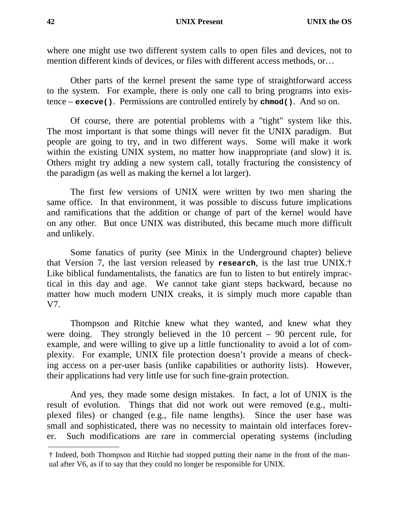#### **42 UNIX Present UNIX the OS**

where one might use two different system calls to open files and devices, not to mention different kinds of devices, or files with different access methods, or…

Other parts of the kernel present the same type of straightforward access to the system. For example, there is only one call to bring programs into existence – **execve()**. Permissions are controlled entirely by **chmod()**. And so on.

Of course, there are potential problems with a "tight" system like this. The most important is that some things will never fit the UNIX paradigm. But people are going to try, and in two different ways. Some will make it work within the existing UNIX system, no matter how inappropriate (and slow) it is. Others might try adding a new system call, totally fracturing the consistency of the paradigm (as well as making the kernel a lot larger).

The first few versions of UNIX were written by two men sharing the same office. In that environment, it was possible to discuss future implications and ramifications that the addition or change of part of the kernel would have on any other. But once UNIX was distributed, this became much more difficult and unlikely.

Some fanatics of purity (see Minix in the Underground chapter) believe that Version 7, the last version released by **research**, is the last true UNIX.† Like biblical fundamentalists, the fanatics are fun to listen to but entirely impractical in this day and age. We cannot take giant steps backward, because no matter how much modern UNIX creaks, it is simply much more capable than V7.

Thompson and Ritchie knew what they wanted, and knew what they were doing. They strongly believed in the 10 percent – 90 percent rule, for example, and were willing to give up a little functionality to avoid a lot of complexity. For example, UNIX file protection doesn't provide a means of checking access on a per-user basis (unlike capabilities or authority lists). However, their applications had very little use for such fine-grain protection.

And yes, they made some design mistakes. In fact, a lot of UNIX is the result of evolution. Things that did not work out were removed (e.g., multiplexed files) or changed (e.g., file name lengths). Since the user base was small and sophisticated, there was no necessity to maintain old interfaces forever. Such modifications are rare in commercial operating systems (including

<sup>†</sup> Indeed, both Thompson and Ritchie had stopped putting their name in the front of the manual after V6, as if to say that they could no longer be responsible for UNIX.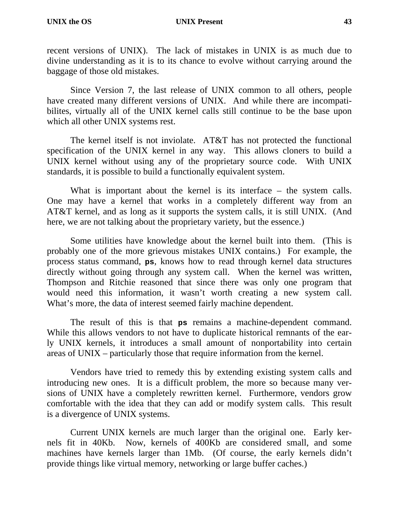#### UNIX the OS **UNIX Present** 43

recent versions of UNIX). The lack of mistakes in UNIX is as much due to divine understanding as it is to its chance to evolve without carrying around the baggage of those old mistakes.

Since Version 7, the last release of UNIX common to all others, people have created many different versions of UNIX. And while there are incompatibilites, virtually all of the UNIX kernel calls still continue to be the base upon which all other UNIX systems rest.

The kernel itself is not inviolate. AT&T has not protected the functional specification of the UNIX kernel in any way. This allows cloners to build a UNIX kernel without using any of the proprietary source code. With UNIX standards, it is possible to build a functionally equivalent system.

What is important about the kernel is its interface – the system calls. One may have a kernel that works in a completely different way from an AT&T kernel, and as long as it supports the system calls, it is still UNIX. (And here, we are not talking about the proprietary variety, but the essence.)

Some utilities have knowledge about the kernel built into them. (This is probably one of the more grievous mistakes UNIX contains.) For example, the process status command, **ps**, knows how to read through kernel data structures directly without going through any system call. When the kernel was written, Thompson and Ritchie reasoned that since there was only one program that would need this information, it wasn't worth creating a new system call. What's more, the data of interest seemed fairly machine dependent.

The result of this is that **ps** remains a machine-dependent command. While this allows vendors to not have to duplicate historical remnants of the early UNIX kernels, it introduces a small amount of nonportability into certain areas of UNIX – particularly those that require information from the kernel.

Vendors have tried to remedy this by extending existing system calls and introducing new ones. It is a difficult problem, the more so because many versions of UNIX have a completely rewritten kernel. Furthermore, vendors grow comfortable with the idea that they can add or modify system calls. This result is a divergence of UNIX systems.

Current UNIX kernels are much larger than the original one. Early kernels fit in 40Kb. Now, kernels of 400Kb are considered small, and some machines have kernels larger than 1Mb. (Of course, the early kernels didn't provide things like virtual memory, networking or large buffer caches.)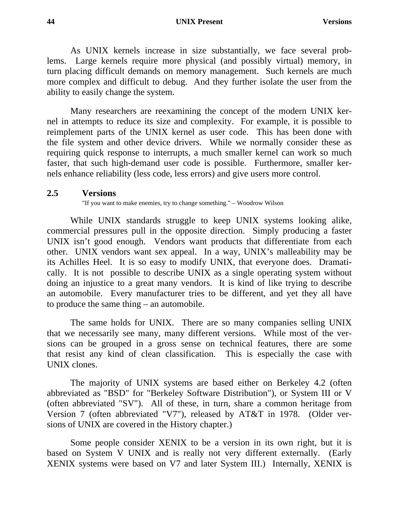#### **44 UNIX Present Versions**

As UNIX kernels increase in size substantially, we face several problems. Large kernels require more physical (and possibly virtual) memory, in turn placing difficult demands on memory management. Such kernels are much more complex and difficult to debug. And they further isolate the user from the ability to easily change the system.

Many researchers are reexamining the concept of the modern UNIX kernel in attempts to reduce its size and complexity. For example, it is possible to reimplement parts of the UNIX kernel as user code. This has been done with the file system and other device drivers. While we normally consider these as requiring quick response to interrupts, a much smaller kernel can work so much faster, that such high-demand user code is possible. Furthermore, smaller kernels enhance reliability (less code, less errors) and give users more control.

#### **2.5 Versions**

"If you want to make enemies, try to change something." – Woodrow Wilson

While UNIX standards struggle to keep UNIX systems looking alike, commercial pressures pull in the opposite direction. Simply producing a faster UNIX isn't good enough. Vendors want products that differentiate from each other. UNIX vendors want sex appeal. In a way, UNIX's malleability may be its Achilles Heel. It is so easy to modify UNIX, that everyone does. Dramatically. It is not possible to describe UNIX as a single operating system without doing an injustice to a great many vendors. It is kind of like trying to describe an automobile. Every manufacturer tries to be different, and yet they all have to produce the same thing – an automobile.

The same holds for UNIX. There are so many companies selling UNIX that we necessarily see many, many different versions. While most of the versions can be grouped in a gross sense on technical features, there are some that resist any kind of clean classification. This is especially the case with UNIX clones.

The majority of UNIX systems are based either on Berkeley 4.2 (often abbreviated as "BSD" for "Berkeley Software Distribution"), or System III or V (often abbreviated "SV"). All of these, in turn, share a common heritage from Version 7 (often abbreviated "V7"), released by AT&T in 1978. (Older versions of UNIX are covered in the History chapter.)

Some people consider XENIX to be a version in its own right, but it is based on System V UNIX and is really not very different externally. (Early XENIX systems were based on V7 and later System III.) Internally, XENIX is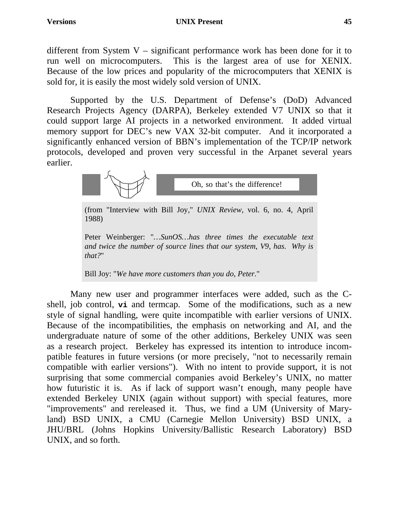different from System V – significant performance work has been done for it to run well on microcomputers. This is the largest area of use for XENIX. Because of the low prices and popularity of the microcomputers that XENIX is sold for, it is easily the most widely sold version of UNIX.

Supported by the U.S. Department of Defense's (DoD) Advanced Research Projects Agency (DARPA), Berkeley extended V7 UNIX so that it could support large AI projects in a networked environment. It added virtual memory support for DEC's new VAX 32-bit computer. And it incorporated a significantly enhanced version of BBN's implementation of the TCP/IP network protocols, developed and proven very successful in the Arpanet several years earlier.



(from "Interview with Bill Joy," *UNIX Review*, vol. 6, no. 4, April 1988)

Peter Weinberger: "*…SunOS…has three times the executable text and twice the number of source lines that our system, V9, has. Why is that?*"

Bill Joy: "*We have more customers than you do, Peter.*"

Many new user and programmer interfaces were added, such as the Cshell, job control, **vi** and termcap. Some of the modifications, such as a new style of signal handling, were quite incompatible with earlier versions of UNIX. Because of the incompatibilities, the emphasis on networking and AI, and the undergraduate nature of some of the other additions, Berkeley UNIX was seen as a research project. Berkeley has expressed its intention to introduce incompatible features in future versions (or more precisely, "not to necessarily remain compatible with earlier versions"). With no intent to provide support, it is not surprising that some commercial companies avoid Berkeley's UNIX, no matter how futuristic it is. As if lack of support wasn't enough, many people have extended Berkeley UNIX (again without support) with special features, more "improvements" and rereleased it. Thus, we find a UM (University of Maryland) BSD UNIX, a CMU (Carnegie Mellon University) BSD UNIX, a JHU/BRL (Johns Hopkins University/Ballistic Research Laboratory) BSD UNIX, and so forth.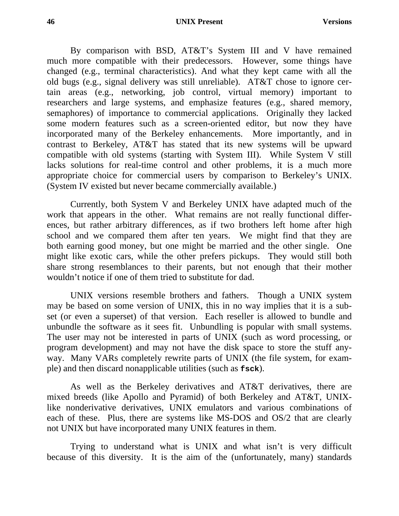#### **46 UNIX Present Versions**

By comparison with BSD, AT&T's System III and V have remained much more compatible with their predecessors. However, some things have changed (e.g., terminal characteristics). And what they kept came with all the old bugs (e.g., signal delivery was still unreliable). AT&T chose to ignore certain areas (e.g., networking, job control, virtual memory) important to researchers and large systems, and emphasize features (e.g., shared memory, semaphores) of importance to commercial applications. Originally they lacked some modern features such as a screen-oriented editor, but now they have incorporated many of the Berkeley enhancements. More importantly, and in contrast to Berkeley, AT&T has stated that its new systems will be upward compatible with old systems (starting with System III). While System V still lacks solutions for real-time control and other problems, it is a much more appropriate choice for commercial users by comparison to Berkeley's UNIX. (System IV existed but never became commercially available.)

Currently, both System V and Berkeley UNIX have adapted much of the work that appears in the other. What remains are not really functional differences, but rather arbitrary differences, as if two brothers left home after high school and we compared them after ten years. We might find that they are both earning good money, but one might be married and the other single. One might like exotic cars, while the other prefers pickups. They would still both share strong resemblances to their parents, but not enough that their mother wouldn't notice if one of them tried to substitute for dad.

UNIX versions resemble brothers and fathers. Though a UNIX system may be based on some version of UNIX, this in no way implies that it is a subset (or even a superset) of that version. Each reseller is allowed to bundle and unbundle the software as it sees fit. Unbundling is popular with small systems. The user may not be interested in parts of UNIX (such as word processing, or program development) and may not have the disk space to store the stuff anyway. Many VARs completely rewrite parts of UNIX (the file system, for example) and then discard nonapplicable utilities (such as **fsck**).

As well as the Berkeley derivatives and AT&T derivatives, there are mixed breeds (like Apollo and Pyramid) of both Berkeley and AT&T, UNIXlike nonderivative derivatives, UNIX emulators and various combinations of each of these. Plus, there are systems like MS-DOS and OS/2 that are clearly not UNIX but have incorporated many UNIX features in them.

Trying to understand what is UNIX and what isn't is very difficult because of this diversity. It is the aim of the (unfortunately, many) standards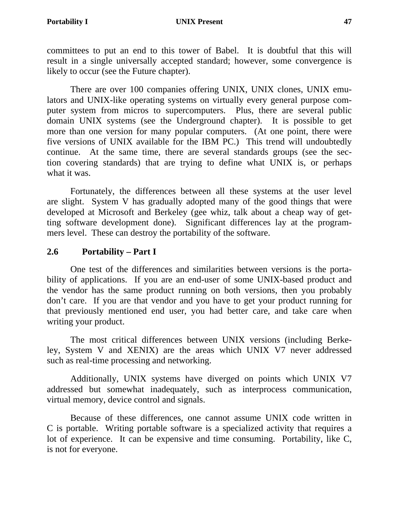#### **Portability I UNIX Present 47**

committees to put an end to this tower of Babel. It is doubtful that this will result in a single universally accepted standard; however, some convergence is likely to occur (see the Future chapter).

There are over 100 companies offering UNIX, UNIX clones, UNIX emulators and UNIX-like operating systems on virtually every general purpose computer system from micros to supercomputers. Plus, there are several public domain UNIX systems (see the Underground chapter). It is possible to get more than one version for many popular computers. (At one point, there were five versions of UNIX available for the IBM PC.) This trend will undoubtedly continue. At the same time, there are several standards groups (see the section covering standards) that are trying to define what UNIX is, or perhaps what it was.

Fortunately, the differences between all these systems at the user level are slight. System V has gradually adopted many of the good things that were developed at Microsoft and Berkeley (gee whiz, talk about a cheap way of getting software development done). Significant differences lay at the programmers level. These can destroy the portability of the software.

# **2.6 Portability – Part I**

One test of the differences and similarities between versions is the portability of applications. If you are an end-user of some UNIX-based product and the vendor has the same product running on both versions, then you probably don't care. If you are that vendor and you have to get your product running for that previously mentioned end user, you had better care, and take care when writing your product.

The most critical differences between UNIX versions (including Berkeley, System V and XENIX) are the areas which UNIX V7 never addressed such as real-time processing and networking.

Additionally, UNIX systems have diverged on points which UNIX V7 addressed but somewhat inadequately, such as interprocess communication, virtual memory, device control and signals.

Because of these differences, one cannot assume UNIX code written in C is portable. Writing portable software is a specialized activity that requires a lot of experience. It can be expensive and time consuming. Portability, like C, is not for everyone.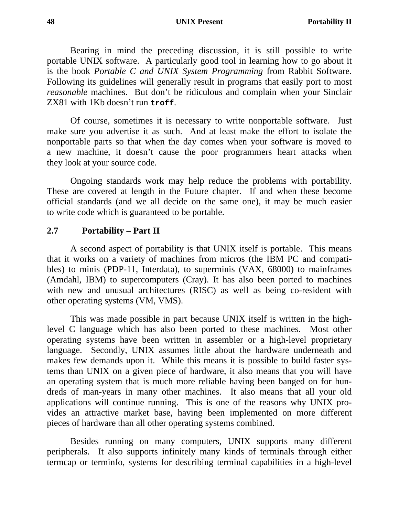Bearing in mind the preceding discussion, it is still possible to write portable UNIX software. A particularly good tool in learning how to go about it is the book *Portable C and UNIX System Programming* from Rabbit Software. Following its guidelines will generally result in programs that easily port to most *reasonable* machines. But don't be ridiculous and complain when your Sinclair ZX81 with 1Kb doesn't run **troff**.

Of course, sometimes it is necessary to write nonportable software. Just make sure you advertise it as such. And at least make the effort to isolate the nonportable parts so that when the day comes when your software is moved to a new machine, it doesn't cause the poor programmers heart attacks when they look at your source code.

Ongoing standards work may help reduce the problems with portability. These are covered at length in the Future chapter. If and when these become official standards (and we all decide on the same one), it may be much easier to write code which is guaranteed to be portable.

#### **2.7 Portability – Part II**

A second aspect of portability is that UNIX itself is portable. This means that it works on a variety of machines from micros (the IBM PC and compatibles) to minis (PDP-11, Interdata), to superminis (VAX, 68000) to mainframes (Amdahl, IBM) to supercomputers (Cray). It has also been ported to machines with new and unusual architectures (RISC) as well as being co-resident with other operating systems (VM, VMS).

This was made possible in part because UNIX itself is written in the highlevel C language which has also been ported to these machines. Most other operating systems have been written in assembler or a high-level proprietary language. Secondly, UNIX assumes little about the hardware underneath and makes few demands upon it. While this means it is possible to build faster systems than UNIX on a given piece of hardware, it also means that you will have an operating system that is much more reliable having been banged on for hundreds of man-years in many other machines. It also means that all your old applications will continue running. This is one of the reasons why UNIX provides an attractive market base, having been implemented on more different pieces of hardware than all other operating systems combined.

Besides running on many computers, UNIX supports many different peripherals. It also supports infinitely many kinds of terminals through either termcap or terminfo, systems for describing terminal capabilities in a high-level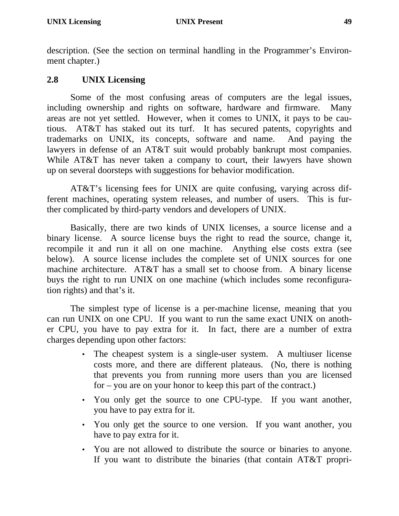description. (See the section on terminal handling in the Programmer's Environment chapter.)

# **2.8 UNIX Licensing**

Some of the most confusing areas of computers are the legal issues, including ownership and rights on software, hardware and firmware. Many areas are not yet settled. However, when it comes to UNIX, it pays to be cautious. AT&T has staked out its turf. It has secured patents, copyrights and trademarks on UNIX, its concepts, software and name. And paying the lawyers in defense of an AT&T suit would probably bankrupt most companies. While AT&T has never taken a company to court, their lawyers have shown up on several doorsteps with suggestions for behavior modification.

AT&T's licensing fees for UNIX are quite confusing, varying across different machines, operating system releases, and number of users. This is further complicated by third-party vendors and developers of UNIX.

Basically, there are two kinds of UNIX licenses, a source license and a binary license. A source license buys the right to read the source, change it, recompile it and run it all on one machine. Anything else costs extra (see below). A source license includes the complete set of UNIX sources for one machine architecture. AT&T has a small set to choose from. A binary license buys the right to run UNIX on one machine (which includes some reconfiguration rights) and that's it.

The simplest type of license is a per-machine license, meaning that you can run UNIX on one CPU. If you want to run the same exact UNIX on another CPU, you have to pay extra for it. In fact, there are a number of extra charges depending upon other factors:

- The cheapest system is a single-user system. A multiuser license costs more, and there are different plateaus. (No, there is nothing that prevents you from running more users than you are licensed for – you are on your honor to keep this part of the contract.)
- You only get the source to one CPU-type. If you want another, you have to pay extra for it.
- You only get the source to one version. If you want another, you have to pay extra for it.
- You are not allowed to distribute the source or binaries to anyone. If you want to distribute the binaries (that contain AT&T propri-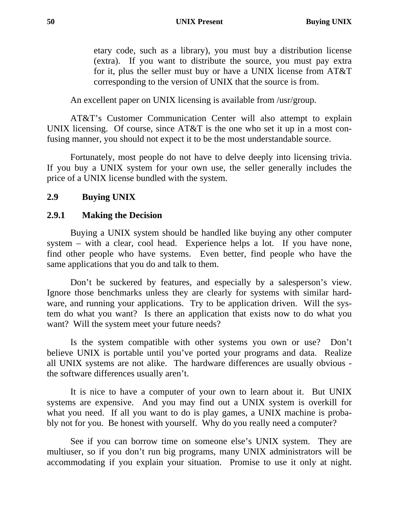#### **50 UNIX Present Buying UNIX**

etary code, such as a library), you must buy a distribution license (extra). If you want to distribute the source, you must pay extra for it, plus the seller must buy or have a UNIX license from AT&T corresponding to the version of UNIX that the source is from.

An excellent paper on UNIX licensing is available from /usr/group.

AT&T's Customer Communication Center will also attempt to explain UNIX licensing. Of course, since AT&T is the one who set it up in a most confusing manner, you should not expect it to be the most understandable source.

Fortunately, most people do not have to delve deeply into licensing trivia. If you buy a UNIX system for your own use, the seller generally includes the price of a UNIX license bundled with the system.

# **2.9 Buying UNIX**

### **2.9.1 Making the Decision**

Buying a UNIX system should be handled like buying any other computer system – with a clear, cool head. Experience helps a lot. If you have none, find other people who have systems. Even better, find people who have the same applications that you do and talk to them.

Don't be suckered by features, and especially by a salesperson's view. Ignore those benchmarks unless they are clearly for systems with similar hardware, and running your applications. Try to be application driven. Will the system do what you want? Is there an application that exists now to do what you want? Will the system meet your future needs?

Is the system compatible with other systems you own or use? Don't believe UNIX is portable until you've ported your programs and data. Realize all UNIX systems are not alike. The hardware differences are usually obvious the software differences usually aren't.

It is nice to have a computer of your own to learn about it. But UNIX systems are expensive. And you may find out a UNIX system is overkill for what you need. If all you want to do is play games, a UNIX machine is probably not for you. Be honest with yourself. Why do you really need a computer?

See if you can borrow time on someone else's UNIX system. They are multiuser, so if you don't run big programs, many UNIX administrators will be accommodating if you explain your situation. Promise to use it only at night.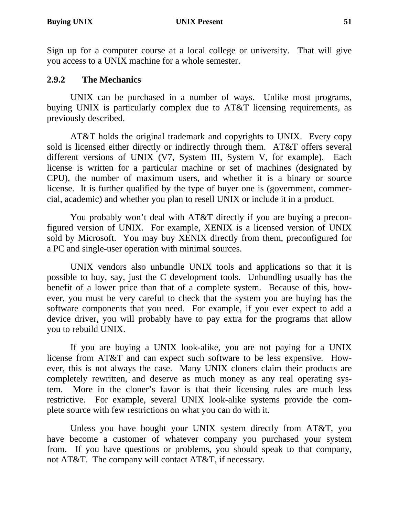Sign up for a computer course at a local college or university. That will give you access to a UNIX machine for a whole semester.

## **2.9.2 The Mechanics**

UNIX can be purchased in a number of ways. Unlike most programs, buying UNIX is particularly complex due to AT&T licensing requirements, as previously described.

AT&T holds the original trademark and copyrights to UNIX. Every copy sold is licensed either directly or indirectly through them. AT&T offers several different versions of UNIX (V7, System III, System V, for example). Each license is written for a particular machine or set of machines (designated by CPU), the number of maximum users, and whether it is a binary or source license. It is further qualified by the type of buyer one is (government, commercial, academic) and whether you plan to resell UNIX or include it in a product.

You probably won't deal with AT&T directly if you are buying a preconfigured version of UNIX. For example, XENIX is a licensed version of UNIX sold by Microsoft. You may buy XENIX directly from them, preconfigured for a PC and single-user operation with minimal sources.

UNIX vendors also unbundle UNIX tools and applications so that it is possible to buy, say, just the C development tools. Unbundling usually has the benefit of a lower price than that of a complete system. Because of this, however, you must be very careful to check that the system you are buying has the software components that you need. For example, if you ever expect to add a device driver, you will probably have to pay extra for the programs that allow you to rebuild UNIX.

If you are buying a UNIX look-alike, you are not paying for a UNIX license from AT&T and can expect such software to be less expensive. However, this is not always the case. Many UNIX cloners claim their products are completely rewritten, and deserve as much money as any real operating system. More in the cloner's favor is that their licensing rules are much less restrictive. For example, several UNIX look-alike systems provide the complete source with few restrictions on what you can do with it.

Unless you have bought your UNIX system directly from AT&T, you have become a customer of whatever company you purchased your system from. If you have questions or problems, you should speak to that company, not AT&T. The company will contact AT&T, if necessary.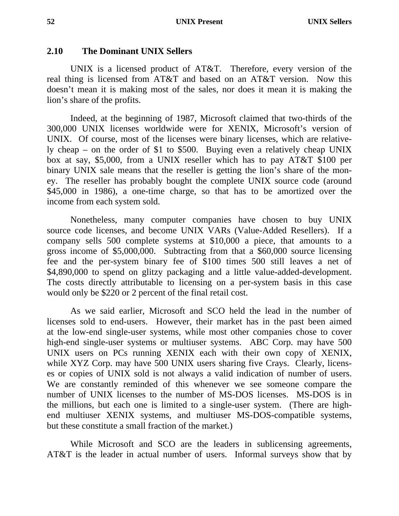#### **2.10 The Dominant UNIX Sellers**

UNIX is a licensed product of AT&T. Therefore, every version of the real thing is licensed from AT&T and based on an AT&T version. Now this doesn't mean it is making most of the sales, nor does it mean it is making the lion's share of the profits.

Indeed, at the beginning of 1987, Microsoft claimed that two-thirds of the 300,000 UNIX licenses worldwide were for XENIX, Microsoft's version of UNIX. Of course, most of the licenses were binary licenses, which are relatively cheap – on the order of \$1 to \$500. Buying even a relatively cheap UNIX box at say, \$5,000, from a UNIX reseller which has to pay AT&T \$100 per binary UNIX sale means that the reseller is getting the lion's share of the money. The reseller has probably bought the complete UNIX source code (around \$45,000 in 1986), a one-time charge, so that has to be amortized over the income from each system sold.

Nonetheless, many computer companies have chosen to buy UNIX source code licenses, and become UNIX VARs (Value-Added Resellers). If a company sells 500 complete systems at \$10,000 a piece, that amounts to a gross income of \$5,000,000. Subtracting from that a \$60,000 source licensing fee and the per-system binary fee of \$100 times 500 still leaves a net of \$4,890,000 to spend on glitzy packaging and a little value-added-development. The costs directly attributable to licensing on a per-system basis in this case would only be \$220 or 2 percent of the final retail cost.

As we said earlier, Microsoft and SCO held the lead in the number of licenses sold to end-users. However, their market has in the past been aimed at the low-end single-user systems, while most other companies chose to cover high-end single-user systems or multiuser systems. ABC Corp. may have 500 UNIX users on PCs running XENIX each with their own copy of XENIX, while XYZ Corp. may have 500 UNIX users sharing five Crays. Clearly, licenses or copies of UNIX sold is not always a valid indication of number of users. We are constantly reminded of this whenever we see someone compare the number of UNIX licenses to the number of MS-DOS licenses. MS-DOS is in the millions, but each one is limited to a single-user system. (There are highend multiuser XENIX systems, and multiuser MS-DOS-compatible systems, but these constitute a small fraction of the market.)

While Microsoft and SCO are the leaders in sublicensing agreements, AT&T is the leader in actual number of users. Informal surveys show that by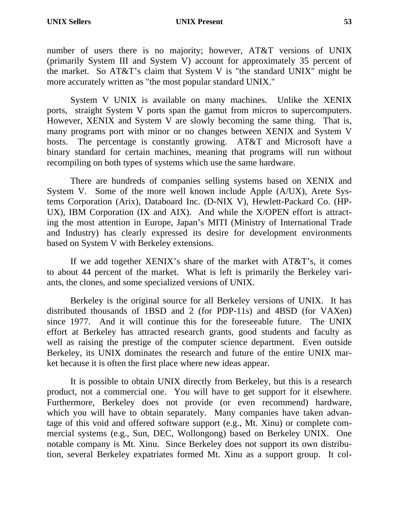### **UNIX Sellers UNIX Present 53**

number of users there is no majority; however, AT&T versions of UNIX (primarily System III and System V) account for approximately 35 percent of the market. So AT&T's claim that System V is "the standard UNIX" might be more accurately written as "the most popular standard UNIX."

System V UNIX is available on many machines. Unlike the XENIX ports, straight System V ports span the gamut from micros to supercomputers. However, XENIX and System V are slowly becoming the same thing. That is, many programs port with minor or no changes between XENIX and System V hosts. The percentage is constantly growing. AT&T and Microsoft have a binary standard for certain machines, meaning that programs will run without recompiling on both types of systems which use the same hardware.

There are hundreds of companies selling systems based on XENIX and System V. Some of the more well known include Apple (A/UX), Arete Systems Corporation (Arix), Databoard Inc. (D-NIX V), Hewlett-Packard Co. (HP-UX), IBM Corporation (IX and AIX). And while the X/OPEN effort is attracting the most attention in Europe, Japan's MITI (Ministry of International Trade and Industry) has clearly expressed its desire for development environments based on System V with Berkeley extensions.

If we add together XENIX's share of the market with AT&T's, it comes to about 44 percent of the market. What is left is primarily the Berkeley variants, the clones, and some specialized versions of UNIX.

Berkeley is the original source for all Berkeley versions of UNIX. It has distributed thousands of 1BSD and 2 (for PDP-11s) and 4BSD (for VAXen) since 1977. And it will continue this for the foreseeable future. The UNIX effort at Berkeley has attracted research grants, good students and faculty as well as raising the prestige of the computer science department. Even outside Berkeley, its UNIX dominates the research and future of the entire UNIX market because it is often the first place where new ideas appear.

It is possible to obtain UNIX directly from Berkeley, but this is a research product, not a commercial one. You will have to get support for it elsewhere. Furthermore, Berkeley does not provide (or even recommend) hardware, which you will have to obtain separately. Many companies have taken advantage of this void and offered software support (e.g., Mt. Xinu) or complete commercial systems (e.g., Sun, DEC, Wollongong) based on Berkeley UNIX. One notable company is Mt. Xinu. Since Berkeley does not support its own distribution, several Berkeley expatriates formed Mt. Xinu as a support group. It col-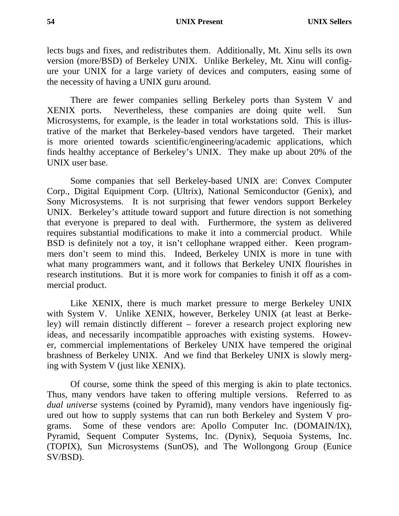lects bugs and fixes, and redistributes them. Additionally, Mt. Xinu sells its own version (more/BSD) of Berkeley UNIX. Unlike Berkeley, Mt. Xinu will configure your UNIX for a large variety of devices and computers, easing some of the necessity of having a UNIX guru around.

There are fewer companies selling Berkeley ports than System V and XENIX ports. Nevertheless, these companies are doing quite well. Sun Microsystems, for example, is the leader in total workstations sold. This is illustrative of the market that Berkeley-based vendors have targeted. Their market is more oriented towards scientific/engineering/academic applications, which finds healthy acceptance of Berkeley's UNIX. They make up about 20% of the UNIX user base.

Some companies that sell Berkeley-based UNIX are: Convex Computer Corp., Digital Equipment Corp. (Ultrix), National Semiconductor (Genix), and Sony Microsystems. It is not surprising that fewer vendors support Berkeley UNIX. Berkeley's attitude toward support and future direction is not something that everyone is prepared to deal with. Furthermore, the system as delivered requires substantial modifications to make it into a commercial product. While BSD is definitely not a toy, it isn't cellophane wrapped either. Keen programmers don't seem to mind this. Indeed, Berkeley UNIX is more in tune with what many programmers want, and it follows that Berkeley UNIX flourishes in research institutions. But it is more work for companies to finish it off as a commercial product.

Like XENIX, there is much market pressure to merge Berkeley UNIX with System V. Unlike XENIX, however, Berkeley UNIX (at least at Berkeley) will remain distinctly different – forever a research project exploring new ideas, and necessarily incompatible approaches with existing systems. However, commercial implementations of Berkeley UNIX have tempered the original brashness of Berkeley UNIX. And we find that Berkeley UNIX is slowly merging with System V (just like XENIX).

Of course, some think the speed of this merging is akin to plate tectonics. Thus, many vendors have taken to offering multiple versions. Referred to as *dual universe* systems (coined by Pyramid), many vendors have ingeniously figured out how to supply systems that can run both Berkeley and System V programs. Some of these vendors are: Apollo Computer Inc. (DOMAIN/IX), Pyramid, Sequent Computer Systems, Inc. (Dynix), Sequoia Systems, Inc. (TOPIX), Sun Microsystems (SunOS), and The Wollongong Group (Eunice SV/BSD).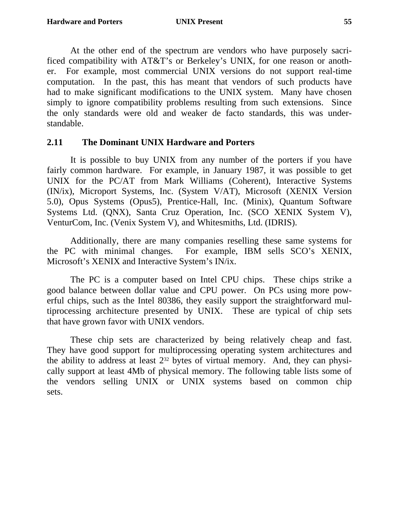At the other end of the spectrum are vendors who have purposely sacrificed compatibility with AT&T's or Berkeley's UNIX, for one reason or another. For example, most commercial UNIX versions do not support real-time computation. In the past, this has meant that vendors of such products have had to make significant modifications to the UNIX system. Many have chosen simply to ignore compatibility problems resulting from such extensions. Since the only standards were old and weaker de facto standards, this was understandable.

### **2.11 The Dominant UNIX Hardware and Porters**

It is possible to buy UNIX from any number of the porters if you have fairly common hardware. For example, in January 1987, it was possible to get UNIX for the PC/AT from Mark Williams (Coherent), Interactive Systems (IN/ix), Microport Systems, Inc. (System V/AT), Microsoft (XENIX Version 5.0), Opus Systems (Opus5), Prentice-Hall, Inc. (Minix), Quantum Software Systems Ltd. (QNX), Santa Cruz Operation, Inc. (SCO XENIX System V), VenturCom, Inc. (Venix System V), and Whitesmiths, Ltd. (IDRIS).

Additionally, there are many companies reselling these same systems for the PC with minimal changes. For example, IBM sells SCO's XENIX, Microsoft's XENIX and Interactive System's IN/ix.

The PC is a computer based on Intel CPU chips. These chips strike a good balance between dollar value and CPU power. On PCs using more powerful chips, such as the Intel 80386, they easily support the straightforward multiprocessing architecture presented by UNIX. These are typical of chip sets that have grown favor with UNIX vendors.

These chip sets are characterized by being relatively cheap and fast. They have good support for multiprocessing operating system architectures and the ability to address at least  $2^{32}$  bytes of virtual memory. And, they can physically support at least 4Mb of physical memory. The following table lists some of the vendors selling UNIX or UNIX systems based on common chip sets.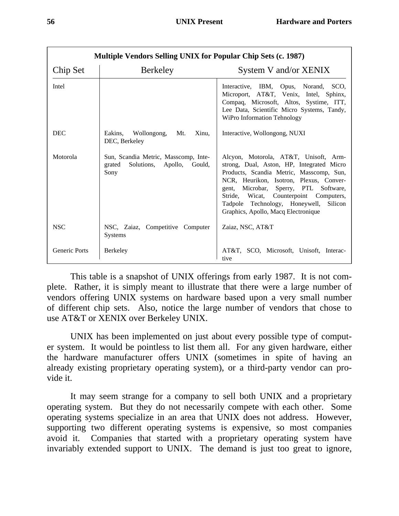| <b>Multiple Vendors Selling UNIX for Popular Chip Sets (c. 1987)</b> |                                                                                           |                                                                                                                                                                                                                                                                                                                                                        |
|----------------------------------------------------------------------|-------------------------------------------------------------------------------------------|--------------------------------------------------------------------------------------------------------------------------------------------------------------------------------------------------------------------------------------------------------------------------------------------------------------------------------------------------------|
| Chip Set                                                             | <b>Berkeley</b>                                                                           | System V and/or XENIX                                                                                                                                                                                                                                                                                                                                  |
| Intel                                                                |                                                                                           | Interactive, IBM,<br>Opus, Norand,<br>SCO.<br>Microport, AT&T, Venix, Intel, Sphinx,<br>Compaq, Microsoft, Altos, Systime, ITT,<br>Lee Data, Scientific Micro Systems, Tandy,<br>WiPro Information Tehnology                                                                                                                                           |
| <b>DEC</b>                                                           | Eakins,<br>Wollongong,<br>Mt.<br>Xinu,<br>DEC, Berkeley                                   | Interactive, Wollongong, NUXI                                                                                                                                                                                                                                                                                                                          |
| Motorola                                                             | Sun, Scandia Metric, Masscomp, Inte-<br>Solutions,<br>Apollo,<br>Gould,<br>grated<br>Sony | Alcyon, Motorola, AT&T, Unisoft, Arm-<br>strong, Dual, Aston, HP, Integrated Micro<br>Products, Scandia Metric, Masscomp, Sun,<br>NCR, Heurikon, Isotron, Plexus, Conver-<br>Microbar, Sperry, PTL Software,<br>gent,<br>Stride, Wicat,<br>Counterpoint Computers,<br>Tadpole Technology, Honeywell,<br>Silicon<br>Graphics, Apollo, Macq Electronique |
| <b>NSC</b>                                                           | NSC, Zaiaz, Competitive Computer<br>Systems                                               | Zaiaz, NSC, AT&T                                                                                                                                                                                                                                                                                                                                       |
| Generic Ports                                                        | Berkeley                                                                                  | AT&T, SCO, Microsoft, Unisoft, Interac-<br>tive                                                                                                                                                                                                                                                                                                        |

This table is a snapshot of UNIX offerings from early 1987. It is not complete. Rather, it is simply meant to illustrate that there were a large number of vendors offering UNIX systems on hardware based upon a very small number of different chip sets. Also, notice the large number of vendors that chose to use AT&T or XENIX over Berkeley UNIX.

UNIX has been implemented on just about every possible type of computer system. It would be pointless to list them all. For any given hardware, either the hardware manufacturer offers UNIX (sometimes in spite of having an already existing proprietary operating system), or a third-party vendor can provide it.

It may seem strange for a company to sell both UNIX and a proprietary operating system. But they do not necessarily compete with each other. Some operating systems specialize in an area that UNIX does not address. However, supporting two different operating systems is expensive, so most companies avoid it. Companies that started with a proprietary operating system have invariably extended support to UNIX. The demand is just too great to ignore,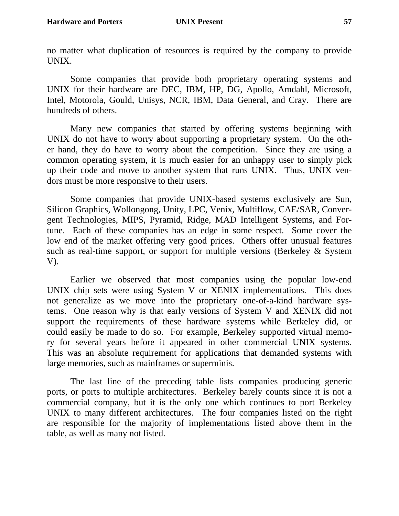no matter what duplication of resources is required by the company to provide UNIX.

Some companies that provide both proprietary operating systems and UNIX for their hardware are DEC, IBM, HP, DG, Apollo, Amdahl, Microsoft, Intel, Motorola, Gould, Unisys, NCR, IBM, Data General, and Cray. There are hundreds of others.

Many new companies that started by offering systems beginning with UNIX do not have to worry about supporting a proprietary system. On the other hand, they do have to worry about the competition. Since they are using a common operating system, it is much easier for an unhappy user to simply pick up their code and move to another system that runs UNIX. Thus, UNIX vendors must be more responsive to their users.

Some companies that provide UNIX-based systems exclusively are Sun, Silicon Graphics, Wollongong, Unity, LPC, Venix, Multiflow, CAE/SAR, Convergent Technologies, MIPS, Pyramid, Ridge, MAD Intelligent Systems, and Fortune. Each of these companies has an edge in some respect. Some cover the low end of the market offering very good prices. Others offer unusual features such as real-time support, or support for multiple versions (Berkeley & System V).

Earlier we observed that most companies using the popular low-end UNIX chip sets were using System V or XENIX implementations. This does not generalize as we move into the proprietary one-of-a-kind hardware systems. One reason why is that early versions of System V and XENIX did not support the requirements of these hardware systems while Berkeley did, or could easily be made to do so. For example, Berkeley supported virtual memory for several years before it appeared in other commercial UNIX systems. This was an absolute requirement for applications that demanded systems with large memories, such as mainframes or superminis.

The last line of the preceding table lists companies producing generic ports, or ports to multiple architectures. Berkeley barely counts since it is not a commercial company, but it is the only one which continues to port Berkeley UNIX to many different architectures. The four companies listed on the right are responsible for the majority of implementations listed above them in the table, as well as many not listed.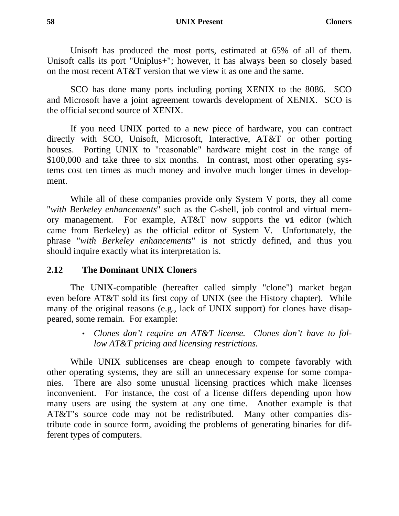### **58 UNIX Present Cloners**

Unisoft has produced the most ports, estimated at 65% of all of them. Unisoft calls its port "Uniplus+"; however, it has always been so closely based on the most recent AT&T version that we view it as one and the same.

SCO has done many ports including porting XENIX to the 8086. SCO and Microsoft have a joint agreement towards development of XENIX. SCO is the official second source of XENIX.

If you need UNIX ported to a new piece of hardware, you can contract directly with SCO, Unisoft, Microsoft, Interactive, AT&T or other porting houses. Porting UNIX to "reasonable" hardware might cost in the range of \$100,000 and take three to six months. In contrast, most other operating systems cost ten times as much money and involve much longer times in development.

While all of these companies provide only System V ports, they all come "*with Berkeley enhancements*" such as the C-shell, job control and virtual memory management. For example, AT&T now supports the **vi** editor (which came from Berkeley) as the official editor of System V. Unfortunately, the phrase "*with Berkeley enhancements*" is not strictly defined, and thus you should inquire exactly what its interpretation is.

### **2.12 The Dominant UNIX Cloners**

The UNIX-compatible (hereafter called simply "clone") market began even before AT&T sold its first copy of UNIX (see the History chapter). While many of the original reasons (e.g., lack of UNIX support) for clones have disappeared, some remain. For example:

> • *Clones don't require an AT&T license. Clones don't have to follow AT&T pricing and licensing restrictions.*

While UNIX sublicenses are cheap enough to compete favorably with other operating systems, they are still an unnecessary expense for some companies. There are also some unusual licensing practices which make licenses inconvenient. For instance, the cost of a license differs depending upon how many users are using the system at any one time. Another example is that AT&T's source code may not be redistributed. Many other companies distribute code in source form, avoiding the problems of generating binaries for different types of computers.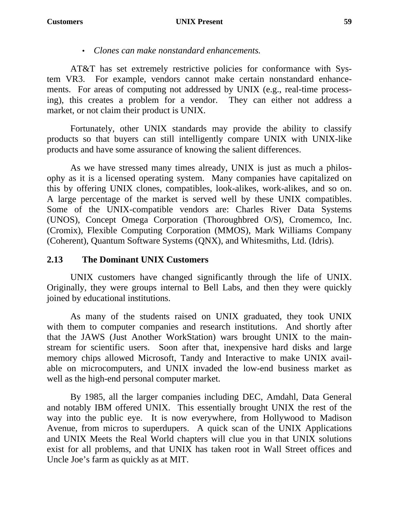### **Customers UNIX Present 59**

### • *Clones can make nonstandard enhancements.*

AT&T has set extremely restrictive policies for conformance with System VR3. For example, vendors cannot make certain nonstandard enhancements. For areas of computing not addressed by UNIX (e.g., real-time processing), this creates a problem for a vendor. They can either not address a market, or not claim their product is UNIX.

Fortunately, other UNIX standards may provide the ability to classify products so that buyers can still intelligently compare UNIX with UNIX-like products and have some assurance of knowing the salient differences.

As we have stressed many times already, UNIX is just as much a philosophy as it is a licensed operating system. Many companies have capitalized on this by offering UNIX clones, compatibles, look-alikes, work-alikes, and so on. A large percentage of the market is served well by these UNIX compatibles. Some of the UNIX-compatible vendors are: Charles River Data Systems (UNOS), Concept Omega Corporation (Thoroughbred O/S), Cromemco, Inc. (Cromix), Flexible Computing Corporation (MMOS), Mark Williams Company (Coherent), Quantum Software Systems (QNX), and Whitesmiths, Ltd. (Idris).

### **2.13 The Dominant UNIX Customers**

UNIX customers have changed significantly through the life of UNIX. Originally, they were groups internal to Bell Labs, and then they were quickly joined by educational institutions.

As many of the students raised on UNIX graduated, they took UNIX with them to computer companies and research institutions. And shortly after that the JAWS (Just Another WorkStation) wars brought UNIX to the mainstream for scientific users. Soon after that, inexpensive hard disks and large memory chips allowed Microsoft, Tandy and Interactive to make UNIX available on microcomputers, and UNIX invaded the low-end business market as well as the high-end personal computer market.

By 1985, all the larger companies including DEC, Amdahl, Data General and notably IBM offered UNIX. This essentially brought UNIX the rest of the way into the public eye. It is now everywhere, from Hollywood to Madison Avenue, from micros to superdupers. A quick scan of the UNIX Applications and UNIX Meets the Real World chapters will clue you in that UNIX solutions exist for all problems, and that UNIX has taken root in Wall Street offices and Uncle Joe's farm as quickly as at MIT.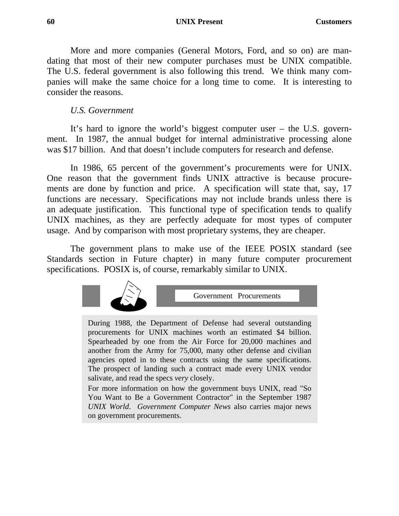### **60 UNIX Present Customers**

More and more companies (General Motors, Ford, and so on) are mandating that most of their new computer purchases must be UNIX compatible. The U.S. federal government is also following this trend. We think many companies will make the same choice for a long time to come. It is interesting to consider the reasons.

### *U.S. Government*

It's hard to ignore the world's biggest computer user – the U.S. government. In 1987, the annual budget for internal administrative processing alone was \$17 billion. And that doesn't include computers for research and defense.

In 1986, 65 percent of the government's procurements were for UNIX. One reason that the government finds UNIX attractive is because procurements are done by function and price. A specification will state that, say, 17 functions are necessary. Specifications may not include brands unless there is an adequate justification. This functional type of specification tends to qualify UNIX machines, as they are perfectly adequate for most types of computer usage. And by comparison with most proprietary systems, they are cheaper.

The government plans to make use of the IEEE POSIX standard (see Standards section in Future chapter) in many future computer procurement specifications. POSIX is, of course, remarkably similar to UNIX.



Government Procurements

During 1988, the Department of Defense had several outstanding procurements for UNIX machines worth an estimated \$4 billion. Spearheaded by one from the Air Force for 20,000 machines and another from the Army for 75,000, many other defense and civilian agencies opted in to these contracts using the same specifications. The prospect of landing such a contract made every UNIX vendor salivate, and read the specs *very* closely.

For more information on how the government buys UNIX, read "So You Want to Be a Government Contractor" in the September 1987 *UNIX World*. *Government Computer News* also carries major news on government procurements.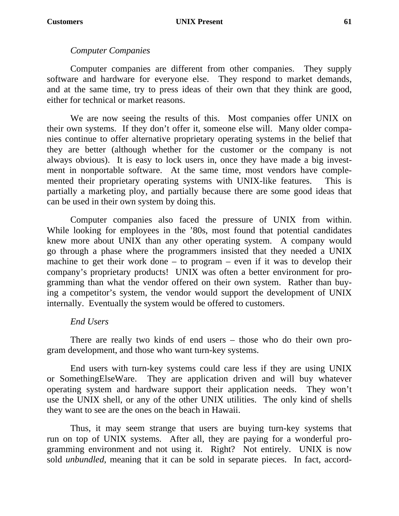# *Computer Companies*

Computer companies are different from other companies. They supply software and hardware for everyone else. They respond to market demands, and at the same time, try to press ideas of their own that they think are good, either for technical or market reasons.

We are now seeing the results of this. Most companies offer UNIX on their own systems. If they don't offer it, someone else will. Many older companies continue to offer alternative proprietary operating systems in the belief that they are better (although whether for the customer or the company is not always obvious). It is easy to lock users in, once they have made a big investment in nonportable software. At the same time, most vendors have complemented their proprietary operating systems with UNIX-like features. This is partially a marketing ploy, and partially because there are some good ideas that can be used in their own system by doing this.

Computer companies also faced the pressure of UNIX from within. While looking for employees in the '80s, most found that potential candidates knew more about UNIX than any other operating system. A company would go through a phase where the programmers insisted that they needed a UNIX machine to get their work done – to program – even if it was to develop their company's proprietary products! UNIX was often a better environment for programming than what the vendor offered on their own system. Rather than buying a competitor's system, the vendor would support the development of UNIX internally. Eventually the system would be offered to customers.

### *End Users*

There are really two kinds of end users – those who do their own program development, and those who want turn-key systems.

End users with turn-key systems could care less if they are using UNIX or SomethingElseWare. They are application driven and will buy whatever operating system and hardware support their application needs. They won't use the UNIX shell, or any of the other UNIX utilities. The only kind of shells they want to see are the ones on the beach in Hawaii.

Thus, it may seem strange that users are buying turn-key systems that run on top of UNIX systems. After all, they are paying for a wonderful programming environment and not using it. Right? Not entirely. UNIX is now sold *unbundled*, meaning that it can be sold in separate pieces. In fact, accord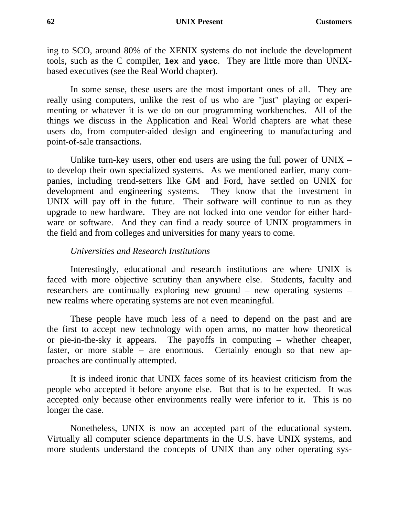**62 UNIX Present Customers**

ing to SCO, around 80% of the XENIX systems do not include the development tools, such as the C compiler, **lex** and **yacc**. They are little more than UNIXbased executives (see the Real World chapter).

In some sense, these users are the most important ones of all. They are really using computers, unlike the rest of us who are "just" playing or experimenting or whatever it is we do on our programming workbenches. All of the things we discuss in the Application and Real World chapters are what these users do, from computer-aided design and engineering to manufacturing and point-of-sale transactions.

Unlike turn-key users, other end users are using the full power of  $UNIX$ to develop their own specialized systems. As we mentioned earlier, many companies, including trend-setters like GM and Ford, have settled on UNIX for development and engineering systems. They know that the investment in UNIX will pay off in the future. Their software will continue to run as they upgrade to new hardware. They are not locked into one vendor for either hardware or software. And they can find a ready source of UNIX programmers in the field and from colleges and universities for many years to come.

### *Universities and Research Institutions*

Interestingly, educational and research institutions are where UNIX is faced with more objective scrutiny than anywhere else. Students, faculty and researchers are continually exploring new ground – new operating systems – new realms where operating systems are not even meaningful.

These people have much less of a need to depend on the past and are the first to accept new technology with open arms, no matter how theoretical or pie-in-the-sky it appears. The payoffs in computing – whether cheaper, faster, or more stable – are enormous. Certainly enough so that new approaches are continually attempted.

It is indeed ironic that UNIX faces some of its heaviest criticism from the people who accepted it before anyone else. But that is to be expected. It was accepted only because other environments really were inferior to it. This is no longer the case.

Nonetheless, UNIX is now an accepted part of the educational system. Virtually all computer science departments in the U.S. have UNIX systems, and more students understand the concepts of UNIX than any other operating sys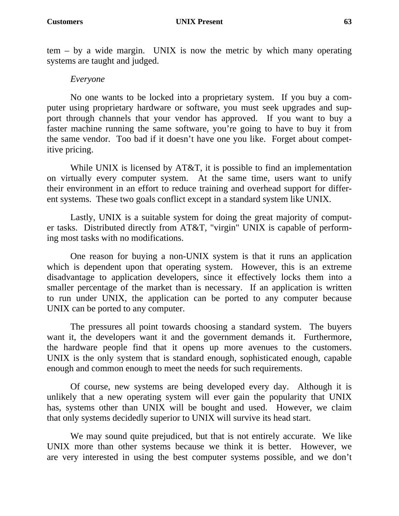$tem - by a wide margin.$  UNIX is now the metric by which many operating systems are taught and judged.

### *Everyone*

No one wants to be locked into a proprietary system. If you buy a computer using proprietary hardware or software, you must seek upgrades and support through channels that your vendor has approved. If you want to buy a faster machine running the same software, you're going to have to buy it from the same vendor. Too bad if it doesn't have one you like. Forget about competitive pricing.

While UNIX is licensed by AT&T, it is possible to find an implementation on virtually every computer system. At the same time, users want to unify their environment in an effort to reduce training and overhead support for different systems. These two goals conflict except in a standard system like UNIX.

Lastly, UNIX is a suitable system for doing the great majority of computer tasks. Distributed directly from AT&T, "virgin" UNIX is capable of performing most tasks with no modifications.

One reason for buying a non-UNIX system is that it runs an application which is dependent upon that operating system. However, this is an extreme disadvantage to application developers, since it effectively locks them into a smaller percentage of the market than is necessary. If an application is written to run under UNIX, the application can be ported to any computer because UNIX can be ported to any computer.

The pressures all point towards choosing a standard system. The buyers want it, the developers want it and the government demands it. Furthermore, the hardware people find that it opens up more avenues to the customers. UNIX is the only system that is standard enough, sophisticated enough, capable enough and common enough to meet the needs for such requirements.

Of course, new systems are being developed every day. Although it is unlikely that a new operating system will ever gain the popularity that UNIX has, systems other than UNIX will be bought and used. However, we claim that only systems decidedly superior to UNIX will survive its head start.

We may sound quite prejudiced, but that is not entirely accurate. We like UNIX more than other systems because we think it is better. However, we are very interested in using the best computer systems possible, and we don't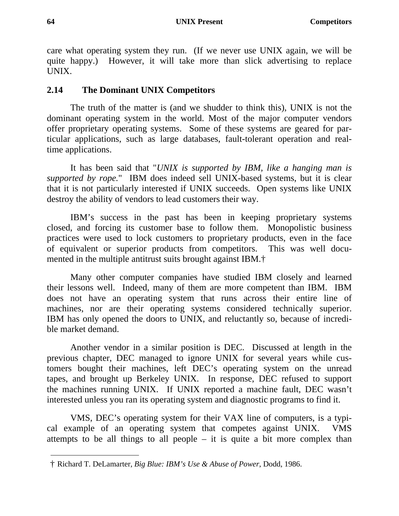care what operating system they run. (If we never use UNIX again, we will be quite happy.) However, it will take more than slick advertising to replace UNIX.

# **2.14 The Dominant UNIX Competitors**

The truth of the matter is (and we shudder to think this), UNIX is not the dominant operating system in the world. Most of the major computer vendors offer proprietary operating systems. Some of these systems are geared for particular applications, such as large databases, fault-tolerant operation and realtime applications.

It has been said that "*UNIX is supported by IBM, like a hanging man is supported by rope.*" IBM does indeed sell UNIX-based systems, but it is clear that it is not particularly interested if UNIX succeeds. Open systems like UNIX destroy the ability of vendors to lead customers their way.

IBM's success in the past has been in keeping proprietary systems closed, and forcing its customer base to follow them. Monopolistic business practices were used to lock customers to proprietary products, even in the face of equivalent or superior products from competitors. This was well documented in the multiple antitrust suits brought against IBM.†

Many other computer companies have studied IBM closely and learned their lessons well. Indeed, many of them are more competent than IBM. IBM does not have an operating system that runs across their entire line of machines, nor are their operating systems considered technically superior. IBM has only opened the doors to UNIX, and reluctantly so, because of incredible market demand.

Another vendor in a similar position is DEC. Discussed at length in the previous chapter, DEC managed to ignore UNIX for several years while customers bought their machines, left DEC's operating system on the unread tapes, and brought up Berkeley UNIX. In response, DEC refused to support the machines running UNIX. If UNIX reported a machine fault, DEC wasn't interested unless you ran its operating system and diagnostic programs to find it.

VMS, DEC's operating system for their VAX line of computers, is a typical example of an operating system that competes against UNIX. VMS attempts to be all things to all people – it is quite a bit more complex than

<sup>†</sup> Richard T. DeLamarter, *Big Blue: IBM's Use & Abuse of Power*, Dodd, 1986.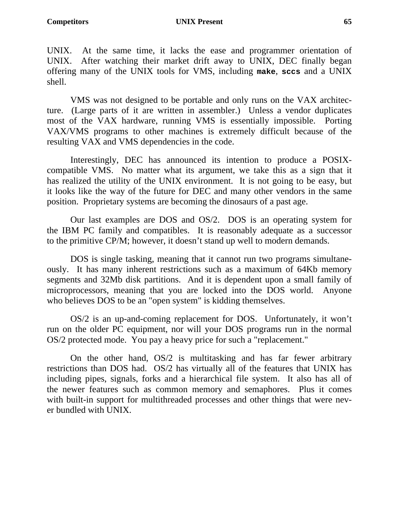### **Competitors** UNIX Present 65

UNIX. At the same time, it lacks the ease and programmer orientation of UNIX. After watching their market drift away to UNIX, DEC finally began offering many of the UNIX tools for VMS, including **make**, **sccs** and a UNIX shell.

VMS was not designed to be portable and only runs on the VAX architecture. (Large parts of it are written in assembler.) Unless a vendor duplicates most of the VAX hardware, running VMS is essentially impossible. Porting VAX/VMS programs to other machines is extremely difficult because of the resulting VAX and VMS dependencies in the code.

Interestingly, DEC has announced its intention to produce a POSIXcompatible VMS. No matter what its argument, we take this as a sign that it has realized the utility of the UNIX environment. It is not going to be easy, but it looks like the way of the future for DEC and many other vendors in the same position. Proprietary systems are becoming the dinosaurs of a past age.

Our last examples are DOS and OS/2. DOS is an operating system for the IBM PC family and compatibles. It is reasonably adequate as a successor to the primitive CP/M; however, it doesn't stand up well to modern demands.

DOS is single tasking, meaning that it cannot run two programs simultaneously. It has many inherent restrictions such as a maximum of 64Kb memory segments and 32Mb disk partitions. And it is dependent upon a small family of microprocessors, meaning that you are locked into the DOS world. Anyone who believes DOS to be an "open system" is kidding themselves.

OS/2 is an up-and-coming replacement for DOS. Unfortunately, it won't run on the older PC equipment, nor will your DOS programs run in the normal OS/2 protected mode. You pay a heavy price for such a "replacement."

On the other hand, OS/2 is multitasking and has far fewer arbitrary restrictions than DOS had. OS/2 has virtually all of the features that UNIX has including pipes, signals, forks and a hierarchical file system. It also has all of the newer features such as common memory and semaphores. Plus it comes with built-in support for multithreaded processes and other things that were never bundled with UNIX.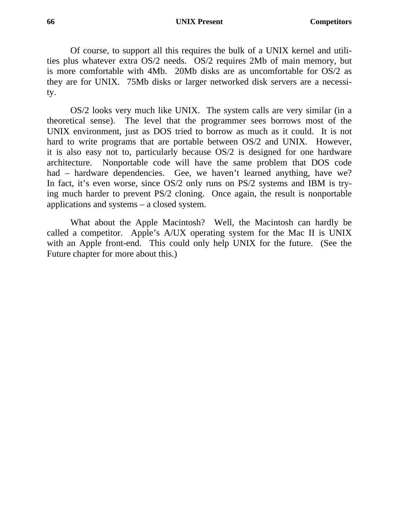### **66 UNIX Present Competitors**

Of course, to support all this requires the bulk of a UNIX kernel and utilities plus whatever extra OS/2 needs. OS/2 requires 2Mb of main memory, but is more comfortable with 4Mb. 20Mb disks are as uncomfortable for OS/2 as they are for UNIX. 75Mb disks or larger networked disk servers are a necessity.

OS/2 looks very much like UNIX. The system calls are very similar (in a theoretical sense). The level that the programmer sees borrows most of the UNIX environment, just as DOS tried to borrow as much as it could. It is not hard to write programs that are portable between OS/2 and UNIX. However, it is also easy not to, particularly because OS/2 is designed for one hardware architecture. Nonportable code will have the same problem that DOS code had – hardware dependencies. Gee, we haven't learned anything, have we? In fact, it's even worse, since OS/2 only runs on PS/2 systems and IBM is trying much harder to prevent PS/2 cloning. Once again, the result is nonportable applications and systems – a closed system.

What about the Apple Macintosh? Well, the Macintosh can hardly be called a competitor. Apple's A/UX operating system for the Mac II is UNIX with an Apple front-end. This could only help UNIX for the future. (See the Future chapter for more about this.)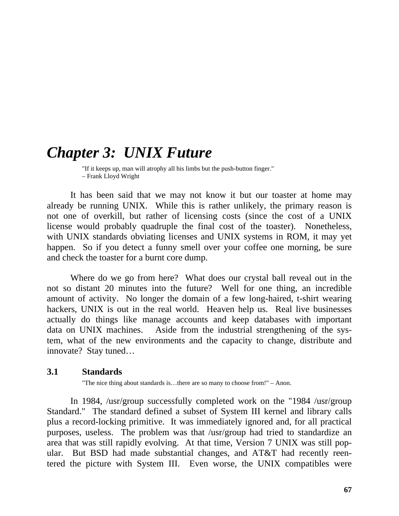# *Chapter 3: UNIX Future*

"If it keeps up, man will atrophy all his limbs but the push-button finger." – Frank Lloyd Wright

It has been said that we may not know it but our toaster at home may already be running UNIX. While this is rather unlikely, the primary reason is not one of overkill, but rather of licensing costs (since the cost of a UNIX license would probably quadruple the final cost of the toaster). Nonetheless, with UNIX standards obviating licenses and UNIX systems in ROM, it may yet happen. So if you detect a funny smell over your coffee one morning, be sure and check the toaster for a burnt core dump.

Where do we go from here? What does our crystal ball reveal out in the not so distant 20 minutes into the future? Well for one thing, an incredible amount of activity. No longer the domain of a few long-haired, t-shirt wearing hackers, UNIX is out in the real world. Heaven help us. Real live businesses actually do things like manage accounts and keep databases with important data on UNIX machines. Aside from the industrial strengthening of the system, what of the new environments and the capacity to change, distribute and innovate? Stay tuned…

### **3.1 Standards**

"The nice thing about standards is…there are so many to choose from!" – Anon.

In 1984, /usr/group successfully completed work on the "1984 /usr/group Standard." The standard defined a subset of System III kernel and library calls plus a record-locking primitive. It was immediately ignored and, for all practical purposes, useless. The problem was that /usr/group had tried to standardize an area that was still rapidly evolving. At that time, Version 7 UNIX was still popular. But BSD had made substantial changes, and AT&T had recently reentered the picture with System III. Even worse, the UNIX compatibles were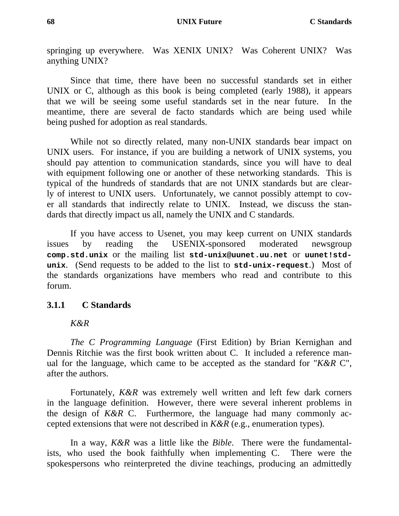springing up everywhere. Was XENIX UNIX? Was Coherent UNIX? Was anything UNIX?

Since that time, there have been no successful standards set in either UNIX or C, although as this book is being completed (early 1988), it appears that we will be seeing some useful standards set in the near future. In the meantime, there are several de facto standards which are being used while being pushed for adoption as real standards.

While not so directly related, many non-UNIX standards bear impact on UNIX users. For instance, if you are building a network of UNIX systems, you should pay attention to communication standards, since you will have to deal with equipment following one or another of these networking standards. This is typical of the hundreds of standards that are not UNIX standards but are clearly of interest to UNIX users. Unfortunately, we cannot possibly attempt to cover all standards that indirectly relate to UNIX. Instead, we discuss the standards that directly impact us all, namely the UNIX and C standards.

If you have access to Usenet, you may keep current on UNIX standards issues by reading the USENIX-sponsored moderated newsgroup **comp.std.unix** or the mailing list **std-unix@uunet.uu.net** or **uunet!stdunix**. (Send requests to be added to the list to **std-unix-request**.) Most of the standards organizations have members who read and contribute to this forum.

### **3.1.1 C Standards**

### *K&R*

*The C Programming Language* (First Edition) by Brian Kernighan and Dennis Ritchie was the first book written about C. It included a reference manual for the language, which came to be accepted as the standard for "*K&R* C", after the authors.

Fortunately, *K&R* was extremely well written and left few dark corners in the language definition. However, there were several inherent problems in the design of *K&R* C. Furthermore, the language had many commonly accepted extensions that were not described in *K&R* (e.g., enumeration types).

In a way, *K&R* was a little like the *Bible*. There were the fundamentalists, who used the book faithfully when implementing C. There were the spokespersons who reinterpreted the divine teachings, producing an admittedly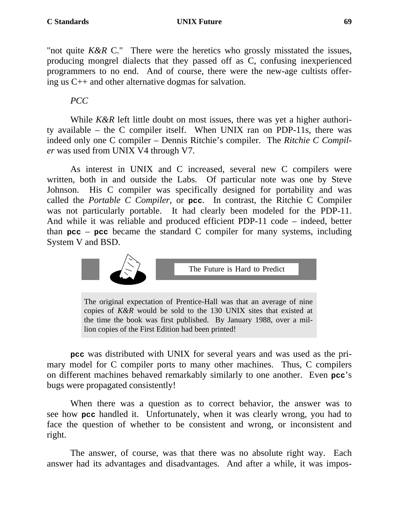### **C Standards UNIX Future 69**

"not quite *K&R* C." There were the heretics who grossly misstated the issues, producing mongrel dialects that they passed off as C, confusing inexperienced programmers to no end. And of course, there were the new-age cultists offering us C++ and other alternative dogmas for salvation.

*PCC*

While *K&R* left little doubt on most issues, there was yet a higher authority available – the C compiler itself. When UNIX ran on PDP-11s, there was indeed only one C compiler – Dennis Ritchie's compiler. The *Ritchie C Compiler* was used from UNIX V4 through V7.

As interest in UNIX and C increased, several new C compilers were written, both in and outside the Labs. Of particular note was one by Steve Johnson. His C compiler was specifically designed for portability and was called the *Portable C Compiler*, or **pcc**. In contrast, the Ritchie C Compiler was not particularly portable. It had clearly been modeled for the PDP-11. And while it was reliable and produced efficient PDP-11 code – indeed, better than **pcc** – **pcc** became the standard C compiler for many systems, including System V and BSD.



The original expectation of Prentice-Hall was that an average of nine copies of *K&R* would be sold to the 130 UNIX sites that existed at the time the book was first published. By January 1988, over a million copies of the First Edition had been printed!

**pcc** was distributed with UNIX for several years and was used as the primary model for C compiler ports to many other machines. Thus, C compilers on different machines behaved remarkably similarly to one another. Even **pcc**'s bugs were propagated consistently!

When there was a question as to correct behavior, the answer was to see how **pcc** handled it. Unfortunately, when it was clearly wrong, you had to face the question of whether to be consistent and wrong, or inconsistent and right.

The answer, of course, was that there was no absolute right way. Each answer had its advantages and disadvantages. And after a while, it was impos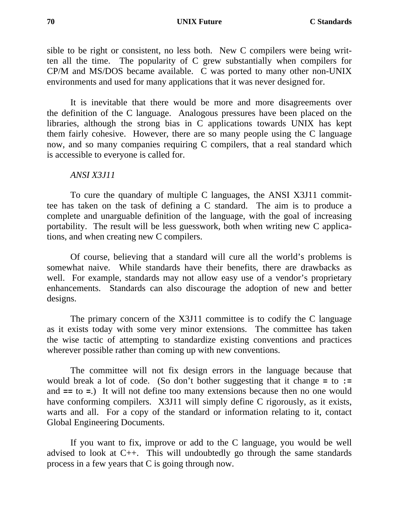**70 UNIX Future C Standards**

sible to be right or consistent, no less both. New C compilers were being written all the time. The popularity of C grew substantially when compilers for CP/M and MS/DOS became available. C was ported to many other non-UNIX environments and used for many applications that it was never designed for.

It is inevitable that there would be more and more disagreements over the definition of the C language. Analogous pressures have been placed on the libraries, although the strong bias in C applications towards UNIX has kept them fairly cohesive. However, there are so many people using the C language now, and so many companies requiring C compilers, that a real standard which is accessible to everyone is called for.

### *ANSI X3J11*

To cure the quandary of multiple C languages, the ANSI X3J11 committee has taken on the task of defining a C standard. The aim is to produce a complete and unarguable definition of the language, with the goal of increasing portability. The result will be less guesswork, both when writing new C applications, and when creating new C compilers.

Of course, believing that a standard will cure all the world's problems is somewhat naive. While standards have their benefits, there are drawbacks as well. For example, standards may not allow easy use of a vendor's proprietary enhancements. Standards can also discourage the adoption of new and better designs.

The primary concern of the X3J11 committee is to codify the C language as it exists today with some very minor extensions. The committee has taken the wise tactic of attempting to standardize existing conventions and practices wherever possible rather than coming up with new conventions.

The committee will not fix design errors in the language because that would break a lot of code. (So don't bother suggesting that it change **=** to **:=** and **==** to **=**.) It will not define too many extensions because then no one would have conforming compilers. X3J11 will simply define C rigorously, as it exists, warts and all. For a copy of the standard or information relating to it, contact Global Engineering Documents.

If you want to fix, improve or add to the C language, you would be well advised to look at C++. This will undoubtedly go through the same standards process in a few years that C is going through now.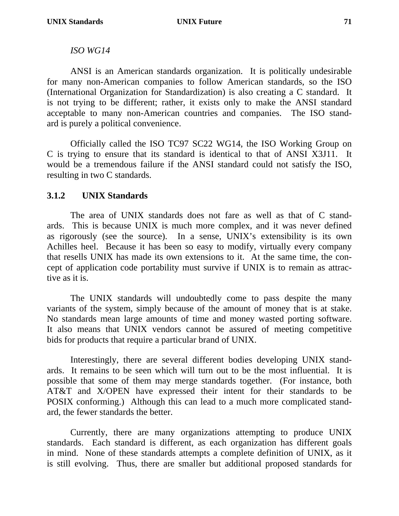# *ISO WG14*

ANSI is an American standards organization. It is politically undesirable for many non-American companies to follow American standards, so the ISO (International Organization for Standardization) is also creating a C standard. It is not trying to be different; rather, it exists only to make the ANSI standard acceptable to many non-American countries and companies. The ISO standard is purely a political convenience.

Officially called the ISO TC97 SC22 WG14, the ISO Working Group on C is trying to ensure that its standard is identical to that of ANSI X3J11. It would be a tremendous failure if the ANSI standard could not satisfy the ISO, resulting in two C standards.

### **3.1.2 UNIX Standards**

The area of UNIX standards does not fare as well as that of C standards. This is because UNIX is much more complex, and it was never defined as rigorously (see the source). In a sense, UNIX's extensibility is its own Achilles heel. Because it has been so easy to modify, virtually every company that resells UNIX has made its own extensions to it. At the same time, the concept of application code portability must survive if UNIX is to remain as attractive as it is.

The UNIX standards will undoubtedly come to pass despite the many variants of the system, simply because of the amount of money that is at stake. No standards mean large amounts of time and money wasted porting software. It also means that UNIX vendors cannot be assured of meeting competitive bids for products that require a particular brand of UNIX.

Interestingly, there are several different bodies developing UNIX standards. It remains to be seen which will turn out to be the most influential. It is possible that some of them may merge standards together. (For instance, both AT&T and X/OPEN have expressed their intent for their standards to be POSIX conforming.) Although this can lead to a much more complicated standard, the fewer standards the better.

Currently, there are many organizations attempting to produce UNIX standards. Each standard is different, as each organization has different goals in mind. None of these standards attempts a complete definition of UNIX, as it is still evolving. Thus, there are smaller but additional proposed standards for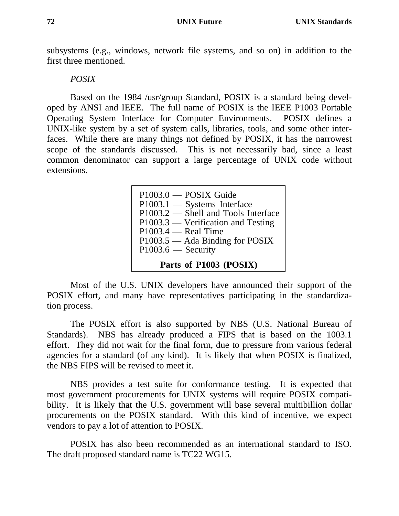subsystems (e.g., windows, network file systems, and so on) in addition to the first three mentioned.

### *POSIX*

Based on the 1984 /usr/group Standard, POSIX is a standard being developed by ANSI and IEEE. The full name of POSIX is the IEEE P1003 Portable Operating System Interface for Computer Environments. POSIX defines a UNIX-like system by a set of system calls, libraries, tools, and some other interfaces. While there are many things not defined by POSIX, it has the narrowest scope of the standards discussed. This is not necessarily bad, since a least common denominator can support a large percentage of UNIX code without extensions.

> **Parts of P1003 (POSIX)** P1003.0 — POSIX Guide P1003.2 — Shell and Tools Interface P1003.3 — Verification and Testing P1003.4 — Real Time P1003.5 — Ada Binding for POSIX  $P1003.6$  — Security P1003.1 — Systems Interface

Most of the U.S. UNIX developers have announced their support of the POSIX effort, and many have representatives participating in the standardization process.

The POSIX effort is also supported by NBS (U.S. National Bureau of Standards). NBS has already produced a FIPS that is based on the 1003.1 effort. They did not wait for the final form, due to pressure from various federal agencies for a standard (of any kind). It is likely that when POSIX is finalized, the NBS FIPS will be revised to meet it.

NBS provides a test suite for conformance testing. It is expected that most government procurements for UNIX systems will require POSIX compatibility. It is likely that the U.S. government will base several multibillion dollar procurements on the POSIX standard. With this kind of incentive, we expect vendors to pay a lot of attention to POSIX.

POSIX has also been recommended as an international standard to ISO. The draft proposed standard name is TC22 WG15.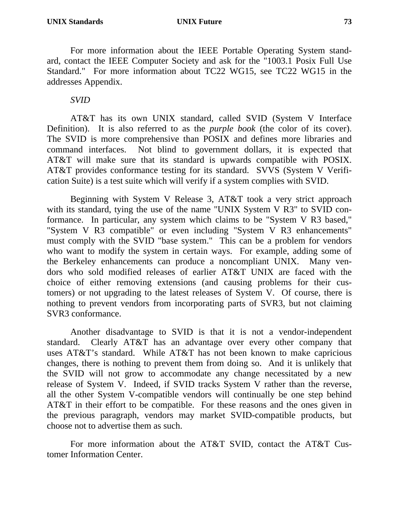For more information about the IEEE Portable Operating System standard, contact the IEEE Computer Society and ask for the "1003.1 Posix Full Use Standard." For more information about TC22 WG15, see TC22 WG15 in the addresses Appendix.

*SVID*

AT&T has its own UNIX standard, called SVID (System V Interface Definition). It is also referred to as the *purple book* (the color of its cover). The SVID is more comprehensive than POSIX and defines more libraries and command interfaces. Not blind to government dollars, it is expected that AT&T will make sure that its standard is upwards compatible with POSIX. AT&T provides conformance testing for its standard. SVVS (System V Verification Suite) is a test suite which will verify if a system complies with SVID.

Beginning with System V Release 3, AT&T took a very strict approach with its standard, tying the use of the name "UNIX System V R3" to SVID conformance. In particular, any system which claims to be "System V R3 based," "System V R3 compatible" or even including "System V R3 enhancements" must comply with the SVID "base system." This can be a problem for vendors who want to modify the system in certain ways. For example, adding some of the Berkeley enhancements can produce a noncompliant UNIX. Many vendors who sold modified releases of earlier AT&T UNIX are faced with the choice of either removing extensions (and causing problems for their customers) or not upgrading to the latest releases of System V. Of course, there is nothing to prevent vendors from incorporating parts of SVR3, but not claiming SVR3 conformance.

Another disadvantage to SVID is that it is not a vendor-independent standard. Clearly AT&T has an advantage over every other company that uses AT&T's standard. While AT&T has not been known to make capricious changes, there is nothing to prevent them from doing so. And it is unlikely that the SVID will not grow to accommodate any change necessitated by a new release of System V. Indeed, if SVID tracks System V rather than the reverse, all the other System V-compatible vendors will continually be one step behind AT&T in their effort to be compatible. For these reasons and the ones given in the previous paragraph, vendors may market SVID-compatible products, but choose not to advertise them as such.

For more information about the AT&T SVID, contact the AT&T Customer Information Center.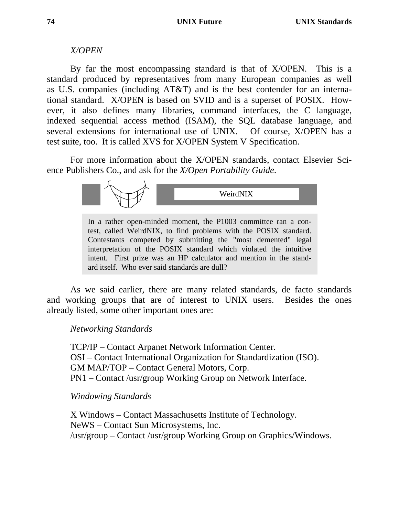### *X/OPEN*

By far the most encompassing standard is that of X/OPEN. This is a standard produced by representatives from many European companies as well as U.S. companies (including AT&T) and is the best contender for an international standard. X/OPEN is based on SVID and is a superset of POSIX. However, it also defines many libraries, command interfaces, the C language, indexed sequential access method (ISAM), the SQL database language, and several extensions for international use of UNIX. Of course, X/OPEN has a test suite, too. It is called XVS for X/OPEN System V Specification.

For more information about the X/OPEN standards, contact Elsevier Science Publishers Co., and ask for the *X/Open Portability Guide*.



In a rather open-minded moment, the P1003 committee ran a contest, called WeirdNIX, to find problems with the POSIX standard. Contestants competed by submitting the "most demented" legal interpretation of the POSIX standard which violated the intuitive intent. First prize was an HP calculator and mention in the standard itself. Who ever said standards are dull?

As we said earlier, there are many related standards, de facto standards and working groups that are of interest to UNIX users. Besides the ones already listed, some other important ones are:

*Networking Standards*

TCP/IP – Contact Arpanet Network Information Center. OSI – Contact International Organization for Standardization (ISO). GM MAP/TOP – Contact General Motors, Corp. PN1 – Contact /usr/group Working Group on Network Interface.

*Windowing Standards*

X Windows – Contact Massachusetts Institute of Technology. NeWS – Contact Sun Microsystems, Inc. /usr/group – Contact /usr/group Working Group on Graphics/Windows.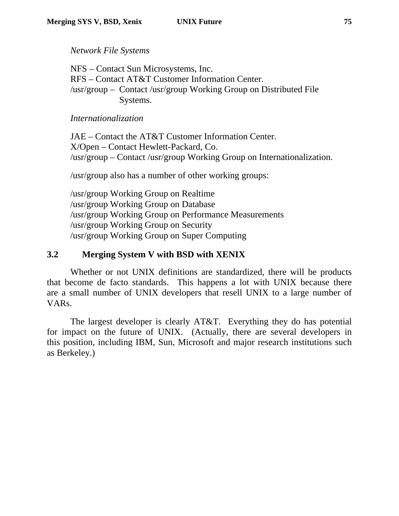*Network File Systems*

NFS – Contact Sun Microsystems, Inc. RFS – Contact AT&T Customer Information Center. /usr/group – Contact /usr/group Working Group on Distributed File Systems.

*Internationalization*

JAE – Contact the AT&T Customer Information Center. X/Open – Contact Hewlett-Packard, Co. /usr/group – Contact /usr/group Working Group on Internationalization.

/usr/group also has a number of other working groups:

/usr/group Working Group on Realtime /usr/group Working Group on Database /usr/group Working Group on Performance Measurements /usr/group Working Group on Security /usr/group Working Group on Super Computing

# **3.2 Merging System V with BSD with XENIX**

Whether or not UNIX definitions are standardized, there will be products that become de facto standards. This happens a lot with UNIX because there are a small number of UNIX developers that resell UNIX to a large number of VARs.

The largest developer is clearly AT&T. Everything they do has potential for impact on the future of UNIX. (Actually, there are several developers in this position, including IBM, Sun, Microsoft and major research institutions such as Berkeley.)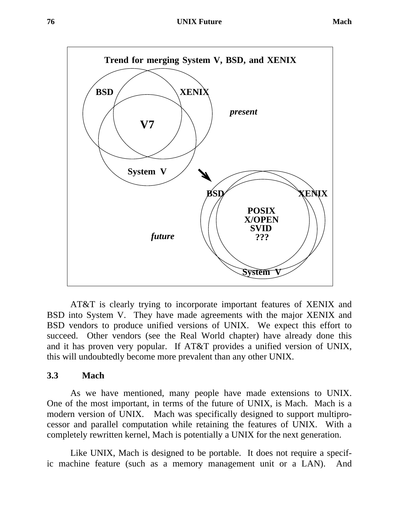

AT&T is clearly trying to incorporate important features of XENIX and BSD into System V. They have made agreements with the major XENIX and BSD vendors to produce unified versions of UNIX. We expect this effort to succeed. Other vendors (see the Real World chapter) have already done this and it has proven very popular. If AT&T provides a unified version of UNIX, this will undoubtedly become more prevalent than any other UNIX.

### **3.3 Mach**

As we have mentioned, many people have made extensions to UNIX. One of the most important, in terms of the future of UNIX, is Mach. Mach is a modern version of UNIX. Mach was specifically designed to support multiprocessor and parallel computation while retaining the features of UNIX. With a completely rewritten kernel, Mach is potentially a UNIX for the next generation.

Like UNIX, Mach is designed to be portable. It does not require a specific machine feature (such as a memory management unit or a LAN). And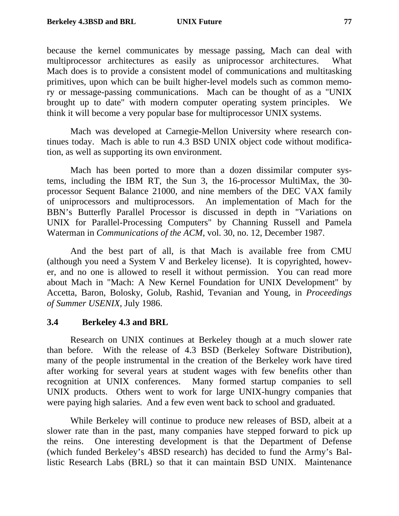because the kernel communicates by message passing, Mach can deal with multiprocessor architectures as easily as uniprocessor architectures. What Mach does is to provide a consistent model of communications and multitasking primitives, upon which can be built higher-level models such as common memory or message-passing communications. Mach can be thought of as a "UNIX brought up to date" with modern computer operating system principles. We think it will become a very popular base for multiprocessor UNIX systems.

Mach was developed at Carnegie-Mellon University where research continues today. Mach is able to run 4.3 BSD UNIX object code without modification, as well as supporting its own environment.

Mach has been ported to more than a dozen dissimilar computer systems, including the IBM RT, the Sun 3, the 16-processor MultiMax, the 30 processor Sequent Balance 21000, and nine members of the DEC VAX family of uniprocessors and multiprocessors. An implementation of Mach for the BBN's Butterfly Parallel Processor is discussed in depth in "Variations on UNIX for Parallel-Processing Computers" by Channing Russell and Pamela Waterman in *Communications of the ACM*, vol. 30, no. 12, December 1987.

And the best part of all, is that Mach is available free from CMU (although you need a System V and Berkeley license). It is copyrighted, however, and no one is allowed to resell it without permission. You can read more about Mach in "Mach: A New Kernel Foundation for UNIX Development" by Accetta, Baron, Bolosky, Golub, Rashid, Tevanian and Young, in *Proceedings of Summer USENIX*, July 1986.

### **3.4 Berkeley 4.3 and BRL**

Research on UNIX continues at Berkeley though at a much slower rate than before. With the release of 4.3 BSD (Berkeley Software Distribution), many of the people instrumental in the creation of the Berkeley work have tired after working for several years at student wages with few benefits other than recognition at UNIX conferences. Many formed startup companies to sell UNIX products. Others went to work for large UNIX-hungry companies that were paying high salaries. And a few even went back to school and graduated.

While Berkeley will continue to produce new releases of BSD, albeit at a slower rate than in the past, many companies have stepped forward to pick up the reins. One interesting development is that the Department of Defense (which funded Berkeley's 4BSD research) has decided to fund the Army's Ballistic Research Labs (BRL) so that it can maintain BSD UNIX. Maintenance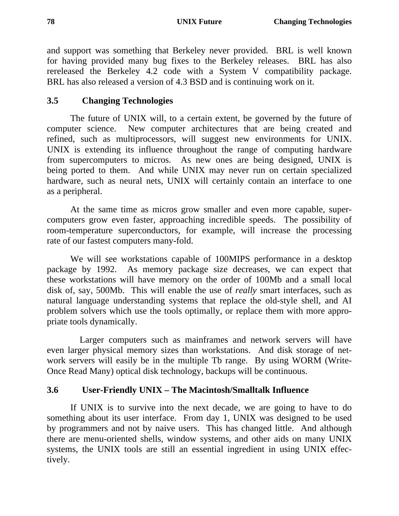and support was something that Berkeley never provided. BRL is well known for having provided many bug fixes to the Berkeley releases. BRL has also rereleased the Berkeley 4.2 code with a System V compatibility package. BRL has also released a version of 4.3 BSD and is continuing work on it.

# **3.5 Changing Technologies**

The future of UNIX will, to a certain extent, be governed by the future of computer science. New computer architectures that are being created and refined, such as multiprocessors, will suggest new environments for UNIX. UNIX is extending its influence throughout the range of computing hardware from supercomputers to micros. As new ones are being designed, UNIX is being ported to them. And while UNIX may never run on certain specialized hardware, such as neural nets, UNIX will certainly contain an interface to one as a peripheral.

At the same time as micros grow smaller and even more capable, supercomputers grow even faster, approaching incredible speeds. The possibility of room-temperature superconductors, for example, will increase the processing rate of our fastest computers many-fold.

We will see workstations capable of 100MIPS performance in a desktop package by 1992. As memory package size decreases, we can expect that these workstations will have memory on the order of 100Mb and a small local disk of, say, 500Mb. This will enable the use of *really* smart interfaces, such as natural language understanding systems that replace the old-style shell, and AI problem solvers which use the tools optimally, or replace them with more appropriate tools dynamically.

 Larger computers such as mainframes and network servers will have even larger physical memory sizes than workstations. And disk storage of network servers will easily be in the multiple Tb range. By using WORM (Write-Once Read Many) optical disk technology, backups will be continuous.

# **3.6 User-Friendly UNIX – The Macintosh/Smalltalk Influence**

If UNIX is to survive into the next decade, we are going to have to do something about its user interface. From day 1, UNIX was designed to be used by programmers and not by naive users. This has changed little. And although there are menu-oriented shells, window systems, and other aids on many UNIX systems, the UNIX tools are still an essential ingredient in using UNIX effectively.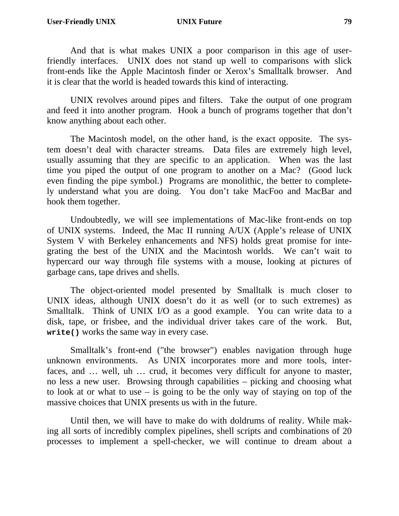And that is what makes UNIX a poor comparison in this age of userfriendly interfaces. UNIX does not stand up well to comparisons with slick front-ends like the Apple Macintosh finder or Xerox's Smalltalk browser. And it is clear that the world is headed towards this kind of interacting.

UNIX revolves around pipes and filters. Take the output of one program and feed it into another program. Hook a bunch of programs together that don't know anything about each other.

The Macintosh model, on the other hand, is the exact opposite. The system doesn't deal with character streams. Data files are extremely high level, usually assuming that they are specific to an application. When was the last time you piped the output of one program to another on a Mac? (Good luck even finding the pipe symbol.) Programs are monolithic, the better to completely understand what you are doing. You don't take MacFoo and MacBar and hook them together.

Undoubtedly, we will see implementations of Mac-like front-ends on top of UNIX systems. Indeed, the Mac II running A/UX (Apple's release of UNIX System V with Berkeley enhancements and NFS) holds great promise for integrating the best of the UNIX and the Macintosh worlds. We can't wait to hypercard our way through file systems with a mouse, looking at pictures of garbage cans, tape drives and shells.

The object-oriented model presented by Smalltalk is much closer to UNIX ideas, although UNIX doesn't do it as well (or to such extremes) as Smalltalk. Think of UNIX I/O as a good example. You can write data to a disk, tape, or frisbee, and the individual driver takes care of the work. But, **write()** works the same way in every case.

Smalltalk's front-end ("the browser") enables navigation through huge unknown environments. As UNIX incorporates more and more tools, interfaces, and … well, uh … crud, it becomes very difficult for anyone to master, no less a new user. Browsing through capabilities – picking and choosing what to look at or what to use  $-$  is going to be the only way of staying on top of the massive choices that UNIX presents us with in the future.

Until then, we will have to make do with doldrums of reality. While making all sorts of incredibly complex pipelines, shell scripts and combinations of 20 processes to implement a spell-checker, we will continue to dream about a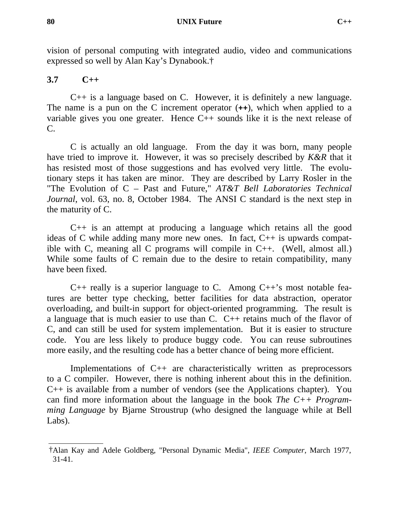**80 UNIX Future C++**

vision of personal computing with integrated audio, video and communications expressed so well by Alan Kay's Dynabook.†

**3.7 C++**

C++ is a language based on C. However, it is definitely a new language. The name is a pun on the C increment operator (**++**), which when applied to a variable gives you one greater. Hence C++ sounds like it is the next release of C.

C is actually an old language. From the day it was born, many people have tried to improve it. However, it was so precisely described by *K&R* that it has resisted most of those suggestions and has evolved very little. The evolutionary steps it has taken are minor. They are described by Larry Rosler in the "The Evolution of C – Past and Future," *AT&T Bell Laboratories Technical Journal*, vol. 63, no. 8, October 1984. The ANSI C standard is the next step in the maturity of C.

C++ is an attempt at producing a language which retains all the good ideas of C while adding many more new ones. In fact, C++ is upwards compatible with C, meaning all C programs will compile in C++. (Well, almost all.) While some faults of C remain due to the desire to retain compatibility, many have been fixed.

 $C_{++}$  really is a superior language to C. Among  $C_{++}$ 's most notable features are better type checking, better facilities for data abstraction, operator overloading, and built-in support for object-oriented programming. The result is a language that is much easier to use than C. C++ retains much of the flavor of C, and can still be used for system implementation. But it is easier to structure code. You are less likely to produce buggy code. You can reuse subroutines more easily, and the resulting code has a better chance of being more efficient.

Implementations of C++ are characteristically written as preprocessors to a C compiler. However, there is nothing inherent about this in the definition. C++ is available from a number of vendors (see the Applications chapter). You can find more information about the language in the book *The C++ Programming Language* by Bjarne Stroustrup (who designed the language while at Bell Labs).

Alan Kay and Adele Goldberg, "Personal Dynamic Media", *IEEE Computer*, March 1977, †31-41.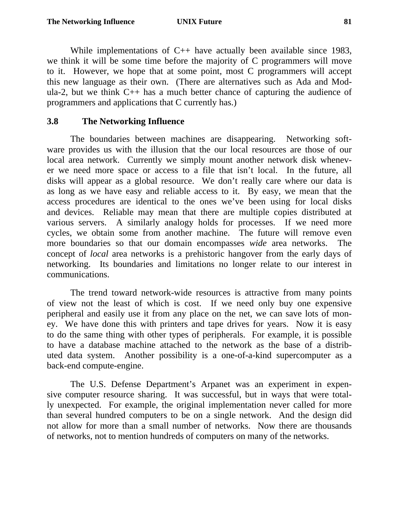While implementations of C++ have actually been available since 1983, we think it will be some time before the majority of C programmers will move to it. However, we hope that at some point, most C programmers will accept this new language as their own. (There are alternatives such as Ada and Modula-2, but we think C++ has a much better chance of capturing the audience of programmers and applications that C currently has.)

# **3.8 The Networking Influence**

The boundaries between machines are disappearing. Networking software provides us with the illusion that the our local resources are those of our local area network. Currently we simply mount another network disk whenever we need more space or access to a file that isn't local. In the future, all disks will appear as a global resource. We don't really care where our data is as long as we have easy and reliable access to it. By easy, we mean that the access procedures are identical to the ones we've been using for local disks and devices. Reliable may mean that there are multiple copies distributed at various servers. A similarly analogy holds for processes. If we need more cycles, we obtain some from another machine. The future will remove even more boundaries so that our domain encompasses *wide* area networks. The concept of *local* area networks is a prehistoric hangover from the early days of networking. Its boundaries and limitations no longer relate to our interest in communications.

The trend toward network-wide resources is attractive from many points of view not the least of which is cost. If we need only buy one expensive peripheral and easily use it from any place on the net, we can save lots of money. We have done this with printers and tape drives for years. Now it is easy to do the same thing with other types of peripherals. For example, it is possible to have a database machine attached to the network as the base of a distributed data system. Another possibility is a one-of-a-kind supercomputer as a back-end compute-engine.

The U.S. Defense Department's Arpanet was an experiment in expensive computer resource sharing. It was successful, but in ways that were totally unexpected. For example, the original implementation never called for more than several hundred computers to be on a single network. And the design did not allow for more than a small number of networks. Now there are thousands of networks, not to mention hundreds of computers on many of the networks.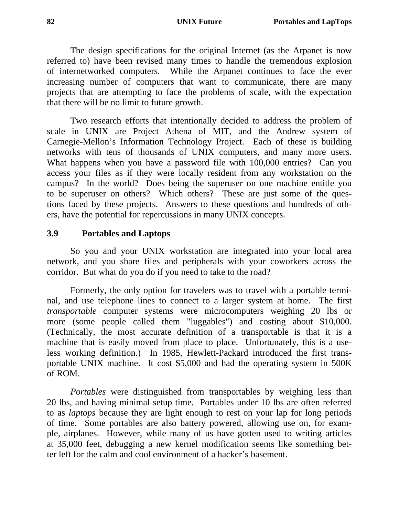The design specifications for the original Internet (as the Arpanet is now referred to) have been revised many times to handle the tremendous explosion of internetworked computers. While the Arpanet continues to face the ever increasing number of computers that want to communicate, there are many projects that are attempting to face the problems of scale, with the expectation that there will be no limit to future growth.

Two research efforts that intentionally decided to address the problem of scale in UNIX are Project Athena of MIT, and the Andrew system of Carnegie-Mellon's Information Technology Project. Each of these is building networks with tens of thousands of UNIX computers, and many more users. What happens when you have a password file with 100,000 entries? Can you access your files as if they were locally resident from any workstation on the campus? In the world? Does being the superuser on one machine entitle you to be superuser on others? Which others? These are just some of the questions faced by these projects. Answers to these questions and hundreds of others, have the potential for repercussions in many UNIX concepts.

### **3.9 Portables and Laptops**

So you and your UNIX workstation are integrated into your local area network, and you share files and peripherals with your coworkers across the corridor. But what do you do if you need to take to the road?

Formerly, the only option for travelers was to travel with a portable terminal, and use telephone lines to connect to a larger system at home. The first *transportable* computer systems were microcomputers weighing 20 lbs or more (some people called them "luggables") and costing about \$10,000. (Technically, the most accurate definition of a transportable is that it is a machine that is easily moved from place to place. Unfortunately, this is a useless working definition.) In 1985, Hewlett-Packard introduced the first transportable UNIX machine. It cost \$5,000 and had the operating system in 500K of ROM.

*Portables* were distinguished from transportables by weighing less than 20 lbs, and having minimal setup time. Portables under 10 lbs are often referred to as *laptops* because they are light enough to rest on your lap for long periods of time. Some portables are also battery powered, allowing use on, for example, airplanes. However, while many of us have gotten used to writing articles at 35,000 feet, debugging a new kernel modification seems like something better left for the calm and cool environment of a hacker's basement.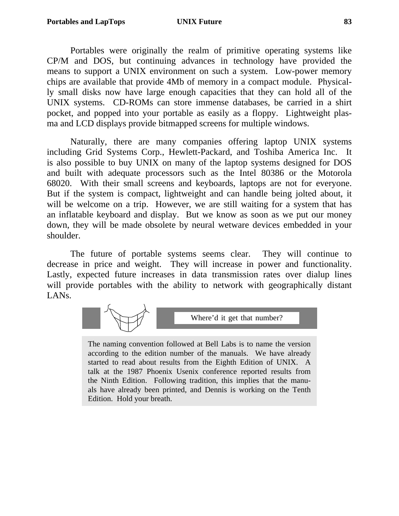Portables were originally the realm of primitive operating systems like CP/M and DOS, but continuing advances in technology have provided the means to support a UNIX environment on such a system. Low-power memory chips are available that provide 4Mb of memory in a compact module. Physically small disks now have large enough capacities that they can hold all of the UNIX systems. CD-ROMs can store immense databases, be carried in a shirt pocket, and popped into your portable as easily as a floppy. Lightweight plasma and LCD displays provide bitmapped screens for multiple windows.

Naturally, there are many companies offering laptop UNIX systems including Grid Systems Corp., Hewlett-Packard, and Toshiba America Inc. It is also possible to buy UNIX on many of the laptop systems designed for DOS and built with adequate processors such as the Intel 80386 or the Motorola 68020. With their small screens and keyboards, laptops are not for everyone. But if the system is compact, lightweight and can handle being jolted about, it will be welcome on a trip. However, we are still waiting for a system that has an inflatable keyboard and display. But we know as soon as we put our money down, they will be made obsolete by neural wetware devices embedded in your shoulder.

The future of portable systems seems clear. They will continue to decrease in price and weight. They will increase in power and functionality. Lastly, expected future increases in data transmission rates over dialup lines will provide portables with the ability to network with geographically distant LANs.



The naming convention followed at Bell Labs is to name the version according to the edition number of the manuals. We have already started to read about results from the Eighth Edition of UNIX. A talk at the 1987 Phoenix Usenix conference reported results from the Ninth Edition. Following tradition, this implies that the manuals have already been printed, and Dennis is working on the Tenth Edition. Hold your breath.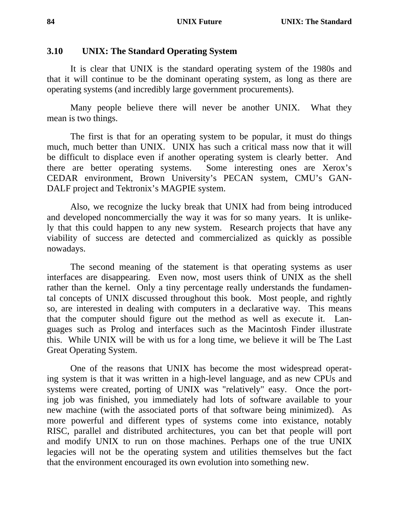### **3.10 UNIX: The Standard Operating System**

It is clear that UNIX is the standard operating system of the 1980s and that it will continue to be the dominant operating system, as long as there are operating systems (and incredibly large government procurements).

Many people believe there will never be another UNIX. What they mean is two things.

The first is that for an operating system to be popular, it must do things much, much better than UNIX. UNIX has such a critical mass now that it will be difficult to displace even if another operating system is clearly better. And there are better operating systems. Some interesting ones are Xerox's CEDAR environment, Brown University's PECAN system, CMU's GAN-DALF project and Tektronix's MAGPIE system.

Also, we recognize the lucky break that UNIX had from being introduced and developed noncommercially the way it was for so many years. It is unlikely that this could happen to any new system. Research projects that have any viability of success are detected and commercialized as quickly as possible nowadays.

The second meaning of the statement is that operating systems as user interfaces are disappearing. Even now, most users think of UNIX as the shell rather than the kernel. Only a tiny percentage really understands the fundamental concepts of UNIX discussed throughout this book. Most people, and rightly so, are interested in dealing with computers in a declarative way. This means that the computer should figure out the method as well as execute it. Languages such as Prolog and interfaces such as the Macintosh Finder illustrate this. While UNIX will be with us for a long time, we believe it will be The Last Great Operating System.

One of the reasons that UNIX has become the most widespread operating system is that it was written in a high-level language, and as new CPUs and systems were created, porting of UNIX was "relatively" easy. Once the porting job was finished, you immediately had lots of software available to your new machine (with the associated ports of that software being minimized). As more powerful and different types of systems come into existance, notably RISC, parallel and distributed architectures, you can bet that people will port and modify UNIX to run on those machines. Perhaps one of the true UNIX legacies will not be the operating system and utilities themselves but the fact that the environment encouraged its own evolution into something new.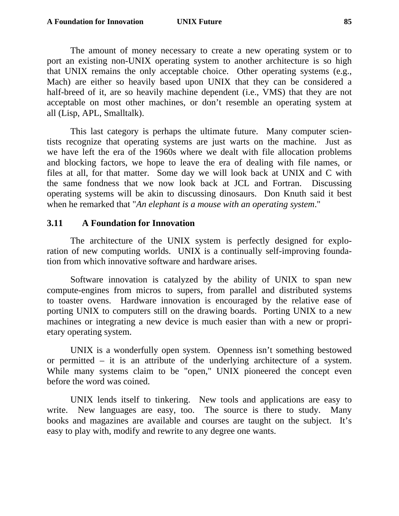The amount of money necessary to create a new operating system or to port an existing non-UNIX operating system to another architecture is so high that UNIX remains the only acceptable choice. Other operating systems (e.g., Mach) are either so heavily based upon UNIX that they can be considered a half-breed of it, are so heavily machine dependent (i.e., VMS) that they are not acceptable on most other machines, or don't resemble an operating system at all (Lisp, APL, Smalltalk).

This last category is perhaps the ultimate future. Many computer scientists recognize that operating systems are just warts on the machine. Just as we have left the era of the 1960s where we dealt with file allocation problems and blocking factors, we hope to leave the era of dealing with file names, or files at all, for that matter. Some day we will look back at UNIX and C with the same fondness that we now look back at JCL and Fortran. Discussing operating systems will be akin to discussing dinosaurs. Don Knuth said it best when he remarked that "*An elephant is a mouse with an operating system*."

### **3.11 A Foundation for Innovation**

The architecture of the UNIX system is perfectly designed for exploration of new computing worlds. UNIX is a continually self-improving foundation from which innovative software and hardware arises.

Software innovation is catalyzed by the ability of UNIX to span new compute-engines from micros to supers, from parallel and distributed systems to toaster ovens. Hardware innovation is encouraged by the relative ease of porting UNIX to computers still on the drawing boards. Porting UNIX to a new machines or integrating a new device is much easier than with a new or proprietary operating system.

UNIX is a wonderfully open system. Openness isn't something bestowed or permitted – it is an attribute of the underlying architecture of a system. While many systems claim to be "open," UNIX pioneered the concept even before the word was coined.

UNIX lends itself to tinkering. New tools and applications are easy to write. New languages are easy, too. The source is there to study. Many books and magazines are available and courses are taught on the subject. It's easy to play with, modify and rewrite to any degree one wants.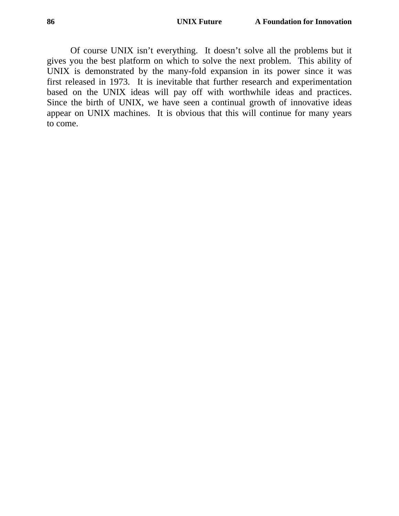Of course UNIX isn't everything. It doesn't solve all the problems but it gives you the best platform on which to solve the next problem. This ability of UNIX is demonstrated by the many-fold expansion in its power since it was first released in 1973. It is inevitable that further research and experimentation based on the UNIX ideas will pay off with worthwhile ideas and practices. Since the birth of UNIX, we have seen a continual growth of innovative ideas appear on UNIX machines. It is obvious that this will continue for many years to come.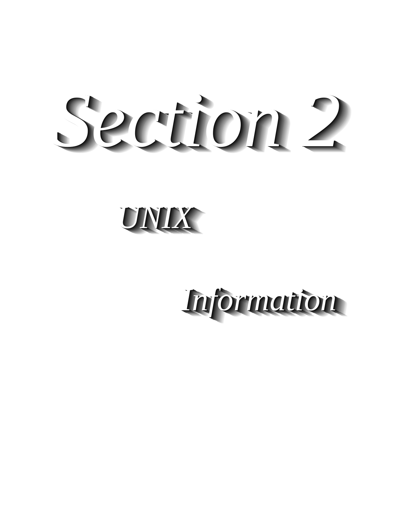Section 2



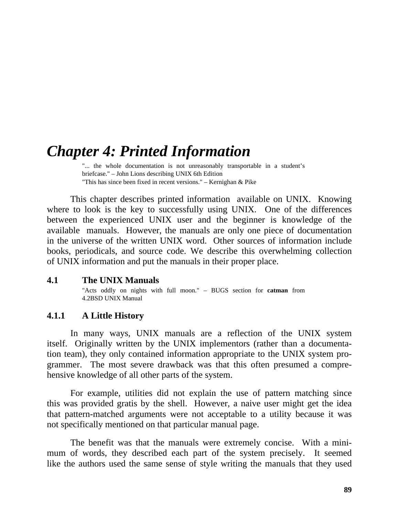# *Chapter 4: Printed Information*

"... the whole documentation is not unreasonably transportable in a student's briefcase." – John Lions describing UNIX 6th Edition "This has since been fixed in recent versions." – Kernighan & Pike

This chapter describes printed information available on UNIX. Knowing where to look is the key to successfully using UNIX. One of the differences between the experienced UNIX user and the beginner is knowledge of the available manuals. However, the manuals are only one piece of documentation in the universe of the written UNIX word. Other sources of information include books, periodicals, and source code. We describe this overwhelming collection of UNIX information and put the manuals in their proper place.

## **4.1 The UNIX Manuals**

"Acts oddly on nights with full moon." – BUGS section for **catman** from 4.2BSD UNIX Manual

# **4.1.1 A Little History**

In many ways, UNIX manuals are a reflection of the UNIX system itself. Originally written by the UNIX implementors (rather than a documentation team), they only contained information appropriate to the UNIX system programmer. The most severe drawback was that this often presumed a comprehensive knowledge of all other parts of the system.

For example, utilities did not explain the use of pattern matching since this was provided gratis by the shell. However, a naive user might get the idea that pattern-matched arguments were not acceptable to a utility because it was not specifically mentioned on that particular manual page.

The benefit was that the manuals were extremely concise. With a minimum of words, they described each part of the system precisely. It seemed like the authors used the same sense of style writing the manuals that they used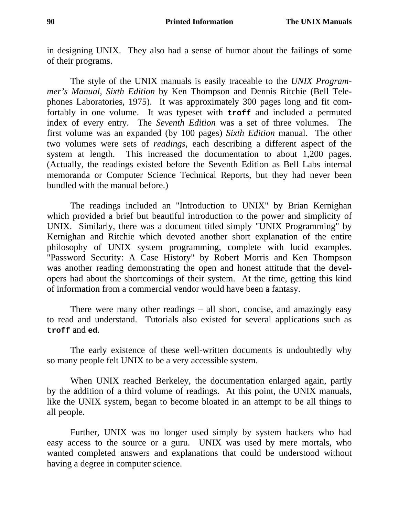in designing UNIX. They also had a sense of humor about the failings of some of their programs.

The style of the UNIX manuals is easily traceable to the *UNIX Programmer's Manual, Sixth Edition* by Ken Thompson and Dennis Ritchie (Bell Telephones Laboratories, 1975). It was approximately 300 pages long and fit comfortably in one volume. It was typeset with **troff** and included a permuted index of every entry. The *Seventh Edition* was a set of three volumes. The first volume was an expanded (by 100 pages) *Sixth Edition* manual. The other two volumes were sets of *readings*, each describing a different aspect of the system at length. This increased the documentation to about 1,200 pages. (Actually, the readings existed before the Seventh Edition as Bell Labs internal memoranda or Computer Science Technical Reports, but they had never been bundled with the manual before.)

The readings included an "Introduction to UNIX" by Brian Kernighan which provided a brief but beautiful introduction to the power and simplicity of UNIX. Similarly, there was a document titled simply "UNIX Programming" by Kernighan and Ritchie which devoted another short explanation of the entire philosophy of UNIX system programming, complete with lucid examples. "Password Security: A Case History" by Robert Morris and Ken Thompson was another reading demonstrating the open and honest attitude that the developers had about the shortcomings of their system. At the time, getting this kind of information from a commercial vendor would have been a fantasy.

There were many other readings – all short, concise, and amazingly easy to read and understand. Tutorials also existed for several applications such as **troff** and **ed**.

The early existence of these well-written documents is undoubtedly why so many people felt UNIX to be a very accessible system.

When UNIX reached Berkeley, the documentation enlarged again, partly by the addition of a third volume of readings. At this point, the UNIX manuals, like the UNIX system, began to become bloated in an attempt to be all things to all people.

Further, UNIX was no longer used simply by system hackers who had easy access to the source or a guru. UNIX was used by mere mortals, who wanted completed answers and explanations that could be understood without having a degree in computer science.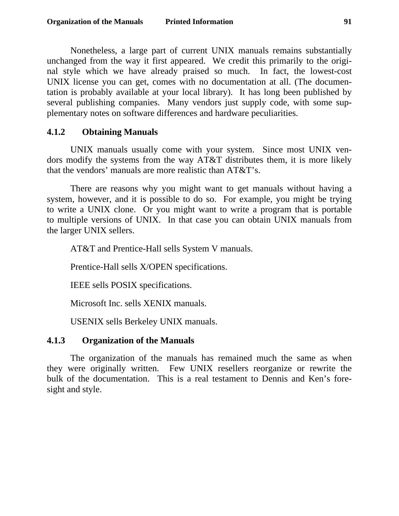Nonetheless, a large part of current UNIX manuals remains substantially unchanged from the way it first appeared. We credit this primarily to the original style which we have already praised so much. In fact, the lowest-cost UNIX license you can get, comes with no documentation at all. (The documentation is probably available at your local library). It has long been published by several publishing companies. Many vendors just supply code, with some supplementary notes on software differences and hardware peculiarities.

# **4.1.2 Obtaining Manuals**

UNIX manuals usually come with your system. Since most UNIX vendors modify the systems from the way AT&T distributes them, it is more likely that the vendors' manuals are more realistic than AT&T's.

There are reasons why you might want to get manuals without having a system, however, and it is possible to do so. For example, you might be trying to write a UNIX clone. Or you might want to write a program that is portable to multiple versions of UNIX. In that case you can obtain UNIX manuals from the larger UNIX sellers.

AT&T and Prentice-Hall sells System V manuals.

Prentice-Hall sells X/OPEN specifications.

IEEE sells POSIX specifications.

Microsoft Inc. sells XENIX manuals.

USENIX sells Berkeley UNIX manuals.

# **4.1.3 Organization of the Manuals**

The organization of the manuals has remained much the same as when they were originally written. Few UNIX resellers reorganize or rewrite the bulk of the documentation. This is a real testament to Dennis and Ken's foresight and style.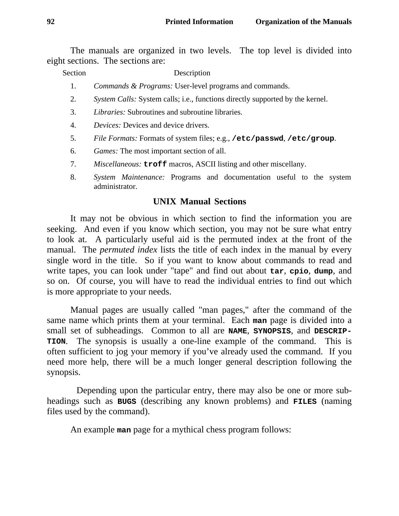The manuals are organized in two levels. The top level is divided into eight sections. The sections are:

Section Description

- 1. *Commands & Programs:* User-level programs and commands.
- 2. *System Calls:* System calls; i.e., functions directly supported by the kernel.
- 3. *Libraries:* Subroutines and subroutine libraries.
- 4. *Devices:* Devices and device drivers.
- 5. *File Formats:* Formats of system files; e.g., **/etc/passwd**, **/etc/group**.
- 6. *Games:* The most important section of all.
- 7. *Miscellaneous:* **troff** macros, ASCII listing and other miscellany.
- 8. *System Maintenance:* Programs and documentation useful to the system administrator.

# **UNIX Manual Sections**

It may not be obvious in which section to find the information you are seeking. And even if you know which section, you may not be sure what entry to look at. A particularly useful aid is the permuted index at the front of the manual. The *permuted index* lists the title of each index in the manual by every single word in the title. So if you want to know about commands to read and write tapes, you can look under "tape" and find out about **tar**, **cpio**, **dump**, and so on. Of course, you will have to read the individual entries to find out which is more appropriate to your needs.

Manual pages are usually called "man pages," after the command of the same name which prints them at your terminal. Each **man** page is divided into a small set of subheadings. Common to all are **NAME**, **SYNOPSIS**, and **DESCRIP-TION**. The synopsis is usually a one-line example of the command. This is often sufficient to jog your memory if you've already used the command. If you need more help, there will be a much longer general description following the synopsis.

 Depending upon the particular entry, there may also be one or more subheadings such as **BUGS** (describing any known problems) and **FILES** (naming files used by the command).

An example **man** page for a mythical chess program follows: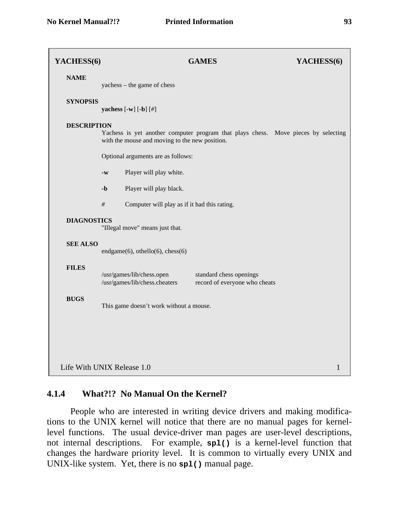| YACHESS(6)         | <b>GAMES</b>                                                                                                                         | YACHESS(6) |
|--------------------|--------------------------------------------------------------------------------------------------------------------------------------|------------|
| <b>NAME</b>        | yachess – the game of chess                                                                                                          |            |
| <b>SYNOPSIS</b>    | yachess [-w] [-b] [#]                                                                                                                |            |
| <b>DESCRIPTION</b> | Yachess is yet another computer program that plays chess. Move pieces by selecting<br>with the mouse and moving to the new position. |            |
|                    | Optional arguments are as follows:                                                                                                   |            |
|                    | Player will play white.<br>$-W$                                                                                                      |            |
|                    | Player will play black.<br>$-b$                                                                                                      |            |
|                    | #<br>Computer will play as if it had this rating.                                                                                    |            |
| <b>DIAGNOSTICS</b> | "Illegal move" means just that.                                                                                                      |            |
| <b>SEE ALSO</b>    | endgame $(6)$ , othello $(6)$ , chess $(6)$                                                                                          |            |
| <b>FILES</b>       | /usr/games/lib/chess.open<br>standard chess openings<br>/usr/games/lib/chess.cheaters<br>record of everyone who cheats               |            |
| <b>BUGS</b>        | This game doesn't work without a mouse.                                                                                              |            |
|                    |                                                                                                                                      |            |
|                    |                                                                                                                                      |            |
|                    | Life With UNIX Release 1.0                                                                                                           | 1          |

# **4.1.4 What?!? No Manual On the Kernel?**

People who are interested in writing device drivers and making modifications to the UNIX kernel will notice that there are no manual pages for kernellevel functions. The usual device-driver man pages are user-level descriptions, not internal descriptions. For example, **spl()** is a kernel-level function that changes the hardware priority level. It is common to virtually every UNIX and UNIX-like system. Yet, there is no **spl()** manual page.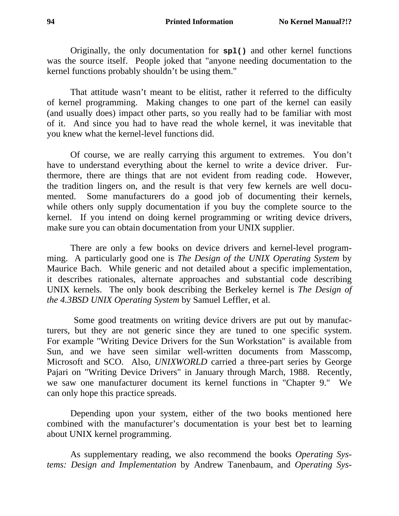Originally, the only documentation for **spl()** and other kernel functions was the source itself. People joked that "anyone needing documentation to the kernel functions probably shouldn't be using them."

That attitude wasn't meant to be elitist, rather it referred to the difficulty of kernel programming. Making changes to one part of the kernel can easily (and usually does) impact other parts, so you really had to be familiar with most of it. And since you had to have read the whole kernel, it was inevitable that you knew what the kernel-level functions did.

Of course, we are really carrying this argument to extremes. You don't have to understand everything about the kernel to write a device driver. Furthermore, there are things that are not evident from reading code. However, the tradition lingers on, and the result is that very few kernels are well documented. Some manufacturers do a good job of documenting their kernels, while others only supply documentation if you buy the complete source to the kernel. If you intend on doing kernel programming or writing device drivers, make sure you can obtain documentation from your UNIX supplier.

There are only a few books on device drivers and kernel-level programming. A particularly good one is *The Design of the UNIX Operating System* by Maurice Bach. While generic and not detailed about a specific implementation, it describes rationales, alternate approaches and substantial code describing UNIX kernels. The only book describing the Berkeley kernel is *The Design of the 4.3BSD UNIX Operating System* by Samuel Leffler, et al.

 Some good treatments on writing device drivers are put out by manufacturers, but they are not generic since they are tuned to one specific system. For example "Writing Device Drivers for the Sun Workstation" is available from Sun, and we have seen similar well-written documents from Masscomp, Microsoft and SCO. Also, *UNIXWORLD* carried a three-part series by George Pajari on "Writing Device Drivers" in January through March, 1988. Recently, we saw one manufacturer document its kernel functions in "Chapter 9." We can only hope this practice spreads.

Depending upon your system, either of the two books mentioned here combined with the manufacturer's documentation is your best bet to learning about UNIX kernel programming.

As supplementary reading, we also recommend the books *Operating Systems: Design and Implementation* by Andrew Tanenbaum, and *Operating Sys-*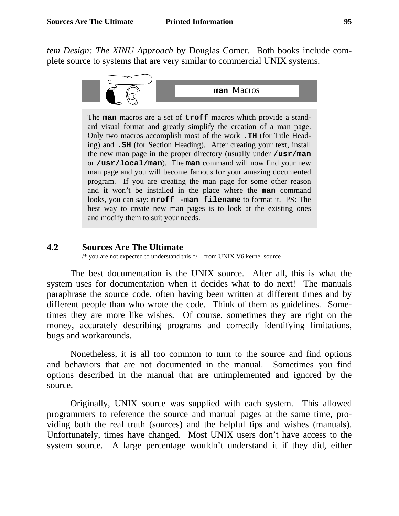*tem Design: The XINU Approach* by Douglas Comer. Both books include complete source to systems that are very similar to commercial UNIX systems.



The **man** macros are a set of **troff** macros which provide a standard visual format and greatly simplify the creation of a man page. Only two macros accomplish most of the work **.TH** (for Title Heading) and **.SH** (for Section Heading). After creating your text, install the new man page in the proper directory (usually under **/usr/man** or **/usr/local/man**). The **man** command will now find your new man page and you will become famous for your amazing documented program. If you are creating the man page for some other reason and it won't be installed in the place where the **man** command looks, you can say: **nroff -man filename** to format it. PS: The best way to create new man pages is to look at the existing ones and modify them to suit your needs.

#### **4.2 Sources Are The Ultimate**

 $\frac{1}{2}$  you are not expected to understand this  $\frac{1}{2}$  – from UNIX V6 kernel source

The best documentation is the UNIX source. After all, this is what the system uses for documentation when it decides what to do next! The manuals paraphrase the source code, often having been written at different times and by different people than who wrote the code. Think of them as guidelines. Sometimes they are more like wishes. Of course, sometimes they are right on the money, accurately describing programs and correctly identifying limitations, bugs and workarounds.

Nonetheless, it is all too common to turn to the source and find options and behaviors that are not documented in the manual. Sometimes you find options described in the manual that are unimplemented and ignored by the source.

Originally, UNIX source was supplied with each system. This allowed programmers to reference the source and manual pages at the same time, providing both the real truth (sources) and the helpful tips and wishes (manuals). Unfortunately, times have changed. Most UNIX users don't have access to the system source. A large percentage wouldn't understand it if they did, either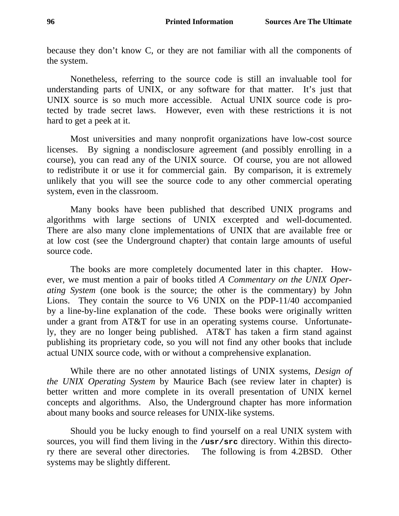because they don't know C, or they are not familiar with all the components of the system.

Nonetheless, referring to the source code is still an invaluable tool for understanding parts of UNIX, or any software for that matter. It's just that UNIX source is so much more accessible. Actual UNIX source code is protected by trade secret laws. However, even with these restrictions it is not hard to get a peek at it.

Most universities and many nonprofit organizations have low-cost source licenses. By signing a nondisclosure agreement (and possibly enrolling in a course), you can read any of the UNIX source. Of course, you are not allowed to redistribute it or use it for commercial gain. By comparison, it is extremely unlikely that you will see the source code to any other commercial operating system, even in the classroom.

Many books have been published that described UNIX programs and algorithms with large sections of UNIX excerpted and well-documented. There are also many clone implementations of UNIX that are available free or at low cost (see the Underground chapter) that contain large amounts of useful source code.

The books are more completely documented later in this chapter. However, we must mention a pair of books titled *A Commentary on the UNIX Operating System* (one book is the source; the other is the commentary) by John Lions. They contain the source to V6 UNIX on the PDP-11/40 accompanied by a line-by-line explanation of the code. These books were originally written under a grant from AT&T for use in an operating systems course. Unfortunately, they are no longer being published. AT&T has taken a firm stand against publishing its proprietary code, so you will not find any other books that include actual UNIX source code, with or without a comprehensive explanation.

While there are no other annotated listings of UNIX systems, *Design of the UNIX Operating System* by Maurice Bach (see review later in chapter) is better written and more complete in its overall presentation of UNIX kernel concepts and algorithms. Also, the Underground chapter has more information about many books and source releases for UNIX-like systems.

Should you be lucky enough to find yourself on a real UNIX system with sources, you will find them living in the **/usr/src** directory. Within this directory there are several other directories. The following is from 4.2BSD. Other systems may be slightly different.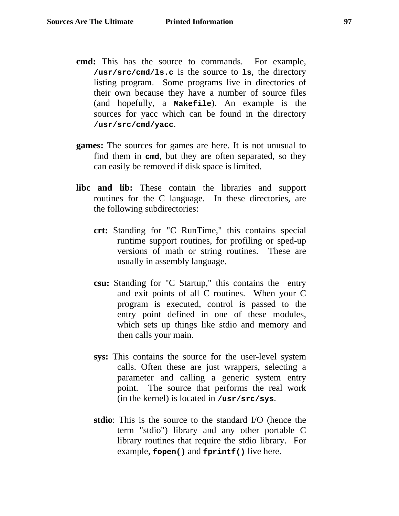- **cmd:** This has the source to commands. For example, **/usr/src/cmd/ls.c** is the source to **ls**, the directory listing program. Some programs live in directories of their own because they have a number of source files (and hopefully, a **Makefile**). An example is the sources for yacc which can be found in the directory **/usr/src/cmd/yacc**.
- **games:** The sources for games are here. It is not unusual to find them in **cmd**, but they are often separated, so they can easily be removed if disk space is limited.
- **libc and lib:** These contain the libraries and support routines for the C language. In these directories, are the following subdirectories:
	- **crt:** Standing for "C RunTime," this contains special runtime support routines, for profiling or sped-up versions of math or string routines. These are usually in assembly language.
	- **csu:** Standing for "C Startup," this contains the entry and exit points of all C routines. When your C program is executed, control is passed to the entry point defined in one of these modules, which sets up things like stdio and memory and then calls your main.
	- **sys:** This contains the source for the user-level system calls. Often these are just wrappers, selecting a parameter and calling a generic system entry point. The source that performs the real work (in the kernel) is located in **/usr/src/sys**.
	- **stdio**: This is the source to the standard I/O (hence the term "stdio") library and any other portable C library routines that require the stdio library. For example, **fopen()** and **fprintf()** live here.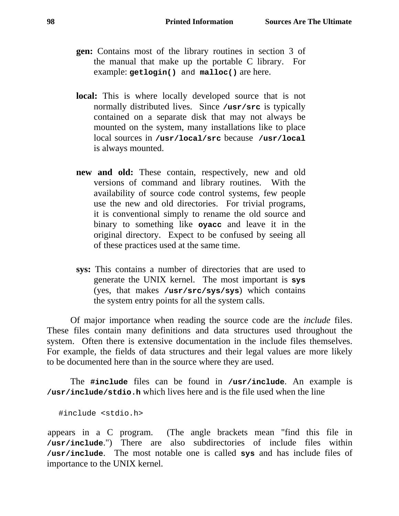- **gen:** Contains most of the library routines in section 3 of the manual that make up the portable C library. For example: **getlogin()** and **malloc()** are here.
- **local:** This is where locally developed source that is not normally distributed lives. Since **/usr/src** is typically contained on a separate disk that may not always be mounted on the system, many installations like to place local sources in **/usr/local/src** because **/usr/local** is always mounted.
- **new and old:** These contain, respectively, new and old versions of command and library routines. With the availability of source code control systems, few people use the new and old directories. For trivial programs, it is conventional simply to rename the old source and binary to something like **oyacc** and leave it in the original directory. Expect to be confused by seeing all of these practices used at the same time.
- **sys:** This contains a number of directories that are used to generate the UNIX kernel. The most important is **sys** (yes, that makes **/usr/src/sys/sys**) which contains the system entry points for all the system calls.

Of major importance when reading the source code are the *include* files. These files contain many definitions and data structures used throughout the system. Often there is extensive documentation in the include files themselves. For example, the fields of data structures and their legal values are more likely to be documented here than in the source where they are used.

The **#include** files can be found in **/usr/include**. An example is **/usr/include/stdio.h** which lives here and is the file used when the line

#include <stdio.h>

appears in a C program. (The angle brackets mean "find this file in **/usr/include**.") There are also subdirectories of include files within **/usr/include**. The most notable one is called **sys** and has include files of importance to the UNIX kernel.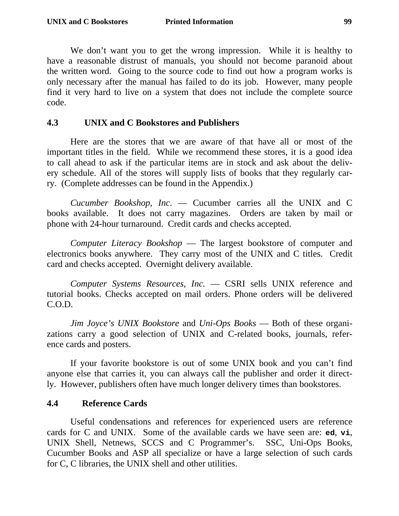We don't want you to get the wrong impression. While it is healthy to have a reasonable distrust of manuals, you should not become paranoid about the written word. Going to the source code to find out how a program works is only necessary after the manual has failed to do its job. However, many people find it very hard to live on a system that does not include the complete source code.

# **4.3 UNIX and C Bookstores and Publishers**

Here are the stores that we are aware of that have all or most of the important titles in the field. While we recommend these stores, it is a good idea to call ahead to ask if the particular items are in stock and ask about the delivery schedule. All of the stores will supply lists of books that they regularly carry. (Complete addresses can be found in the Appendix.)

*Cucumber Bookshop, Inc*. — Cucumber carries all the UNIX and C books available. It does not carry magazines. Orders are taken by mail or phone with 24-hour turnaround. Credit cards and checks accepted.

*Computer Literacy Bookshop* — The largest bookstore of computer and electronics books anywhere. They carry most of the UNIX and C titles. Credit card and checks accepted. Overnight delivery available.

*Computer Systems Resources, Inc.* — CSRI sells UNIX reference and tutorial books. Checks accepted on mail orders. Phone orders will be delivered C.O.D.

*Jim Joyce's UNIX Bookstore* and *Uni-Ops Books* — Both of these organizations carry a good selection of UNIX and C-related books, journals, reference cards and posters.

If your favorite bookstore is out of some UNIX book and you can't find anyone else that carries it, you can always call the publisher and order it directly. However, publishers often have much longer delivery times than bookstores.

# **4.4 Reference Cards**

Useful condensations and references for experienced users are reference cards for C and UNIX. Some of the available cards we have seen are: **ed**, **vi**, UNIX Shell, Netnews, SCCS and C Programmer's. SSC, Uni-Ops Books, Cucumber Books and ASP all specialize or have a large selection of such cards for C, C libraries, the UNIX shell and other utilities.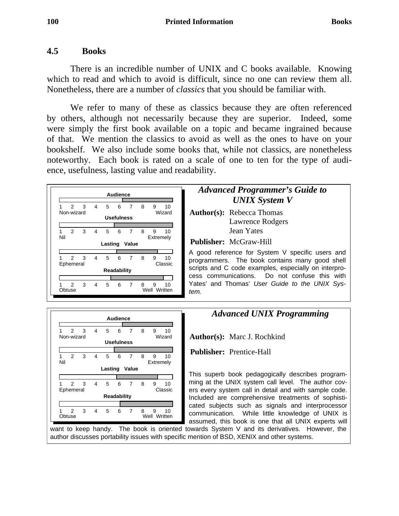# **4.5 Books**

There is an incredible number of UNIX and C books available. Knowing which to read and which to avoid is difficult, since no one can review them all. Nonetheless, there are a number of *classics* that you should be familiar with.

We refer to many of these as classics because they are often referenced by others, although not necessarily because they are superior. Indeed, some were simply the first book available on a topic and became ingrained because of that. We mention the classics to avoid as well as the ones to have on your bookshelf. We also include some books that, while not classics, are nonetheless noteworthy. Each book is rated on a scale of one to ten for the type of audience, usefulness, lasting value and readability.

|     |               |     |                |               | <b>Audience</b>    |                |   |              |         |
|-----|---------------|-----|----------------|---------------|--------------------|----------------|---|--------------|---------|
|     |               |     |                |               |                    |                |   |              |         |
| 1   | 2             | - 3 | 4              | 5             | 6                  | 7              | 8 | 9            | 10      |
|     | Non-wizard    |     |                |               |                    |                |   |              | Wizard  |
|     |               |     |                |               | <b>Usefulness</b>  |                |   |              |         |
|     |               |     |                |               |                    |                |   |              |         |
| 1   | 2             | 3   | $\overline{4}$ | 5             | 6                  | 7              | 8 | 9            | 10      |
| Nil |               |     |                |               |                    |                |   | Extremely    |         |
|     |               |     |                | Lasting Value |                    |                |   |              |         |
|     |               |     |                |               |                    |                |   |              |         |
| 1   | $2 \quad 3$   |     | 4              | 5             | 6                  | $\overline{7}$ | 8 | 9            | 10      |
|     | Ephemeral     |     |                |               |                    |                |   |              | Classic |
|     |               |     |                |               | <b>Readability</b> |                |   |              |         |
|     |               |     |                |               |                    |                |   |              |         |
|     |               |     |                |               |                    |                |   |              |         |
|     | $\mathcal{P}$ | -3  | $\overline{4}$ | 5             | 6                  | 7              | 8 | 9            | 10      |
|     | Obtuse        |     |                |               |                    |                |   | Well Written |         |

# *Advanced Programmer's Guide to UNIX System V*

**Author(s):** Rebecca Thomas Lawrence Rodgers Jean Yates

**Publisher:** McGraw-Hill

A good reference for System V specific users and programmers. The book contains many good shell scripts and C code examples, especially on interprocess communications. Do not confuse this with Yates' and Thomas' User Guide to the UNIX System.

|          |                          |    |   |               | <b>Audience</b>    |                |   |                |                    |
|----------|--------------------------|----|---|---------------|--------------------|----------------|---|----------------|--------------------|
|          |                          |    |   |               |                    |                |   |                |                    |
| 1        | 2<br>Non-wizard          | -3 | 4 | 5             | 6                  | 7              | 8 | 9              | 10<br>Wizard       |
|          |                          |    |   |               |                    |                |   |                |                    |
|          |                          |    |   |               |                    |                |   |                |                    |
| 1<br>Nil | $\mathcal{P}$            | 3  | 4 | 5             | 6                  | 7              | 8 | 9<br>Extremely | 10                 |
|          |                          |    |   | Lasting Value |                    |                |   |                |                    |
|          |                          |    |   |               |                    |                |   |                |                    |
| 1        | $2 \quad 3$<br>Ephemeral |    | 4 | 5             | 6                  | 7              | 8 | 9              | 10<br>Classic      |
|          |                          |    |   |               | <b>Readability</b> |                |   |                |                    |
|          |                          |    |   |               |                    |                |   |                |                    |
| Obtuse   | $\mathbf{2}^{\circ}$     | 3  | 4 | 5             | 6                  | $\overline{7}$ | 8 | -9             | 10<br>Well Written |

# *Advanced UNIX Programming*

**Author(s):** Marc J. Rochkind

**Publisher:** Prentice-Hall

This superb book pedagogically describes programming at the UNIX system call level. The author covers every system call in detail and with sample code. Included are comprehensive treatments of sophisticated subjects such as signals and interprocessor communication. While little knowledge of UNIX is assumed, this book is one that all UNIX experts will

want to keep handy. The book is oriented towards System V and its derivatives. However, the author discusses portability issues with specific mention of BSD, XENIX and other systems.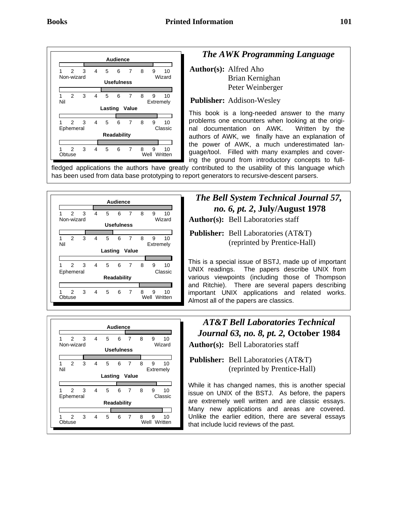

# **Audience AWK Programming Language**

**Author(s):** Alfred Aho Brian Kernighan Peter Weinberger

**Publisher:** Addison-Wesley

This book is a long-needed answer to the many problems one encounters when looking at the original documentation on AWK. Written by the authors of AWK, we finally have an explanation of the power of AWK, a much underestimated language/tool. Filled with many examples and covering the ground from introductory concepts to full-

fledged applications the authors have greatly contributed to the usability of this language which has been used from data base prototyping to report generators to recursive-descent parsers.



# *The Bell System Technical Journal 57, no. 6, pt. 2***, July/August 1978**

**Author(s):** Bell Laboratories staff

**Publisher:** Bell Laboratories (AT&T) (reprinted by Prentice-Hall)

This is a special issue of BSTJ, made up of important UNIX readings. The papers describe UNIX from various viewpoints (including those of Thompson and Ritchie). There are several papers describing important UNIX applications and related works. Almost all of the papers are classics.

|          |                 |    |                |               | <b>Audience</b>   |   |   |                   |              |
|----------|-----------------|----|----------------|---------------|-------------------|---|---|-------------------|--------------|
| 1        | 2<br>Non-wizard | 3  | 4              | 5             | 6                 | 7 | 8 | 9                 | 10<br>Wizard |
|          |                 |    |                |               | <b>Usefulness</b> |   |   |                   |              |
|          |                 |    |                |               |                   |   |   |                   |              |
| 1<br>Nil | 2               | 3  | 4              | 5             | 6                 | 7 | 8 | 9<br>Extremely    | 10           |
|          |                 |    |                | Lasting Value |                   |   |   |                   |              |
|          | $\mathcal{P}$   | -3 | $\overline{4}$ | 5             | 6                 | 7 | 8 | 9                 | 10           |
|          | Ephemeral       |    |                |               |                   |   |   |                   | Classic      |
|          |                 |    |                |               | Readability       |   |   |                   |              |
|          |                 |    |                |               |                   |   |   |                   |              |
|          | 2<br>Obtuse     | 3  | 4              | 5             | 6                 | 7 | 8 | 9<br>Well Written | 10           |

# *AT&T Bell Laboratories Technical Journal 63, no. 8, pt. 2,* **October 1984**

**Author(s):** Bell Laboratories staff

**Publisher:** Bell Laboratories (AT&T) (reprinted by Prentice-Hall)

While it has changed names, this is another special issue on UNIX of the BSTJ. As before, the papers are extremely well written and are classic essays. Many new applications and areas are covered. Unlike the earlier edition, there are several essays that include lucid reviews of the past.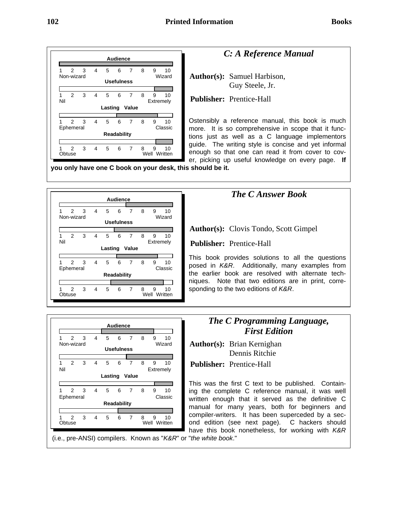|     |               |     |   |   | <b>Audience</b>    |               |   |                   |         |
|-----|---------------|-----|---|---|--------------------|---------------|---|-------------------|---------|
| 1   | $\mathbf{2}$  | -3  | 4 | 5 | 6                  | 7             | 8 | 9                 | 10      |
|     | Non-wizard    |     |   |   |                    |               |   |                   | Wizard  |
|     |               |     |   |   | <b>Usefulness</b>  |               |   |                   |         |
|     |               |     |   |   |                    |               |   |                   |         |
| 1   | 2             | 3   | 4 | 5 | 6                  | 7             | 8 | 9                 | 10      |
| Nil |               |     |   |   |                    |               |   | Extremely         |         |
|     |               |     |   |   |                    | Lasting Value |   |                   |         |
| 1   | $\mathcal{P}$ | - 3 | 4 | 5 | 6                  | 7             | 8 | 9                 | 10      |
|     | Ephemeral     |     |   |   |                    |               |   |                   | Classic |
|     |               |     |   |   | <b>Readability</b> |               |   |                   |         |
|     |               |     |   |   |                    |               |   |                   |         |
|     | 2<br>Obtuse   | 3   | 4 | 5 | 6                  | 7             | 8 | 9<br>Well Written | 10      |

# $C: A$  Reference Manual

**Author(s):** Samuel Harbison, Guy Steele, Jr.

**Publisher:** Prentice-Hall

Ostensibly a reference manual, this book is much more. It is so comprehensive in scope that it functions just as well as a C language implementors guide. The writing style is concise and yet informal enough so that one can read it from cover to cover, picking up useful knowledge on every page. **If**

*The C Answer Book* 

This book provides solutions to all the questions posed in K&R. Additionally, many examples from the earlier book are resolved with alternate techniques. Note that two editions are in print, corre-

Author(s): Clovis Tondo, Scott Gimpel

**you only have one C book on your desk, this should be it.**

|     |             |   |   |               | <b>Audience</b>    |   |   |              |         |
|-----|-------------|---|---|---------------|--------------------|---|---|--------------|---------|
|     |             |   |   |               |                    |   |   |              |         |
| 1   | 2           | 3 | 4 | 5             | 6                  | 7 | 8 | 9            | 10      |
|     | Non-wizard  |   |   |               |                    |   |   |              | Wizard  |
|     |             |   |   |               | <b>Usefulness</b>  |   |   |              |         |
|     |             |   |   |               |                    |   |   |              |         |
| 1   | 2           | 3 | 4 | -5            | 6                  | 7 | 8 | 9            | 10      |
| Nil |             |   |   |               |                    |   |   | Extremely    |         |
|     |             |   |   | Lasting Value |                    |   |   |              |         |
|     |             |   |   |               |                    |   |   |              |         |
|     | $2 \quad 3$ |   | 4 | -5            | 6                  | 7 | 8 | 9            | 10      |
|     | Ephemeral   |   |   |               |                    |   |   |              | Classic |
|     |             |   |   |               | <b>Readability</b> |   |   |              |         |
|     |             |   |   |               |                    |   |   |              |         |
|     | 2           | 3 | 4 | 5             | 6                  | 7 | 8 | 9            | 10      |
|     | Obtuse      |   |   |               |                    |   |   | Well Written |         |

# sponding to the two editions of K&R. **Audience** ┓ 1 2 3 4 5 6 7 8 9 10 Non-wizard Wizard **Usefulness** 1 2 3 4 5 6 7 8 9 10 Nil Extremely **Lasting Value** 1 2 3 4 5 6 7 8 9 10 Ephemeral Classic

**Readability**

⊏

1 2 3 4 5 6 7 8 9 10 Obtuse Well Written

# *The C Programming Language, First Edition*

**Author(s):** Brian Kernighan Dennis Ritchie

**Publisher:** Prentice-Hall

**Publisher:** Prentice-Hall

This was the first C text to be published. Containing the complete C reference manual, it was well written enough that it served as the definitive C manual for many years, both for beginners and compiler-writers. It has been superceded by a second edition (see next page). C hackers should have this book nonetheless, for working with K&R

(i.e., pre-ANSI) compilers. Known as "K&R" or "the white book."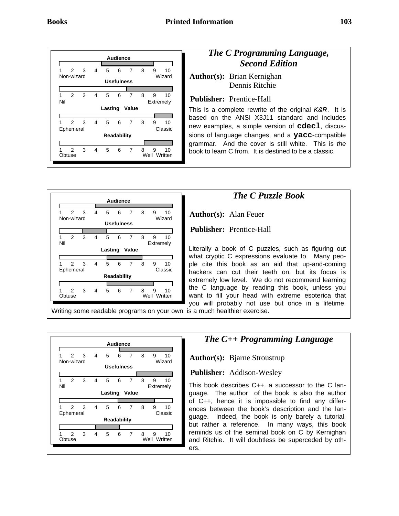|     |                         |                           |                |               | <b>Audience</b>   |   |           |           |               |
|-----|-------------------------|---------------------------|----------------|---------------|-------------------|---|-----------|-----------|---------------|
| 1   | 2<br>Non-wizard         | 3                         | 4              | 5             | 6                 | 7 | 8         | 9         | 10<br>Wizard  |
|     |                         |                           |                |               | <b>Usefulness</b> |   |           |           |               |
|     |                         |                           |                |               |                   |   |           |           |               |
| 1   | 2                       | 3                         | 4              | 5             | 6                 | 7 | 8         | 9         | 10            |
| Nil |                         |                           |                |               |                   |   |           | Extremely |               |
|     |                         |                           |                | Lasting Value |                   |   |           |           |               |
|     |                         |                           |                |               |                   |   |           |           |               |
| 1   | 2                       | $\overline{\phantom{a}3}$ | $\overline{4}$ | 5             | 6                 | 7 | 8         | 9         | 10            |
|     | Ephemeral               |                           |                |               |                   |   |           |           | Classic       |
|     |                         |                           |                |               | Readability       |   |           |           |               |
|     |                         |                           |                |               |                   |   |           |           |               |
|     | $\mathcal{P}$<br>)btuse | 3                         | 4              | 5             | 6                 | 7 | 8<br>Well | 9         | 10<br>Written |

# *The C Programming Language, Second Edition*

**Author(s):** Brian Kernighan Dennis Ritchie

**Publisher:** Prentice-Hall

This is a complete rewrite of the original K&R. It is based on the ANSI X3J11 standard and includes new examples, a simple version of **cdecl**, discussions of language changes, and a **yacc**-compatible grammar. And the cover is still white. This is the book to learn C from. It is destined to be a classic.



**Author(s):** Alan Feuer

**Publisher:** Prentice-Hall

Literally a book of C puzzles, such as figuring out what cryptic C expressions evaluate to. Many people cite this book as an aid that up-and-coming hackers can cut their teeth on, but its focus is extremely low level. We do not recommend learning the C language by reading this book, unless you want to fill your head with extreme esoterica that you will probably not use but once in a lifetime.

Writing some readable programs on your own is a much healthier exercise.



# *The C++ Programming Language* **Audience**

**Author(s):** Bjarne Stroustrup

**Publisher:** Addison-Wesley

This book describes C++, a successor to the C language. The author of the book is also the author of C++, hence it is impossible to find any differences between the book's description and the language. Indeed, the book is only barely a tutorial, but rather a reference. In many ways, this book reminds us of the seminal book on C by Kernighan and Ritchie. It will doubtless be superceded by others.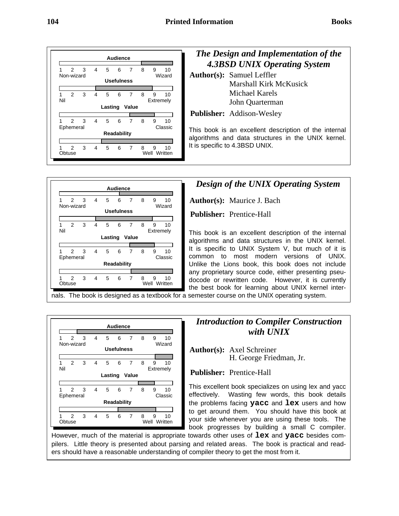|     |                 |     |                |               | Audience           |                |   |           |                    |
|-----|-----------------|-----|----------------|---------------|--------------------|----------------|---|-----------|--------------------|
|     | 2<br>Non-wizard | -3  | $\overline{4}$ | 5             | 6                  | 7              | 8 | 9         | 10<br>Wizard       |
|     |                 |     |                |               | <b>Usefulness</b>  |                |   |           |                    |
|     |                 |     |                |               |                    |                |   |           |                    |
| 1   | 2               | 3   | 4              | 5             | 6                  | $\overline{7}$ | 8 | 9         | 10                 |
| Nil |                 |     |                |               |                    |                |   | Extremely |                    |
|     |                 |     |                | Lasting Value |                    |                |   |           |                    |
|     |                 |     |                |               |                    |                |   |           |                    |
|     | $\mathcal{P}$   | - 3 | 4              | 5             | 6                  | 7              | 8 | 9         | 10                 |
|     | Ephemeral       |     |                |               |                    |                |   |           | Classic            |
|     |                 |     |                |               | <b>Readability</b> |                |   |           |                    |
|     |                 |     |                |               |                    |                |   |           |                    |
|     | 2<br>Obtuse     | 3   | 4              | 5             | 6                  | 7              | 8 | 9         | 10<br>Well Written |

# *The Design and Implementation of the 4.3BSD UNIX Operating System*

**Author(s):** Samuel Leffler Marshall Kirk McKusick Michael Karels John Quarterman

**Publisher:** Addison-Wesley

This book is an excellent description of the internal algorithms and data structures in the UNIX kernel. It is specific to 4.3BSD UNIX.



# **Audience** *Design of the UNIX Operating System*

**Author(s):** Maurice J. Bach

**Publisher:** Prentice-Hall

This book is an excellent description of the internal algorithms and data structures in the UNIX kernel. It is specific to UNIX System V, but much of it is common to most modern versions of UNIX. Unlike the Lions book, this book does not include any proprietary source code, either presenting pseudocode or rewritten code. However, it is currently the best book for learning about UNIX kernel inter-

nals. The book is designed as a textbook for a semester course on the UNIX operating system.

|          |                    |             |   |               | <b>Audience</b>    |   |           |                |               |
|----------|--------------------|-------------|---|---------------|--------------------|---|-----------|----------------|---------------|
| 1        | 2<br>Non-wizard    | -3          | 4 | 5             | 6                  | 7 | 8         | 9              | 10<br>Wizard  |
|          |                    |             |   |               | <b>Usefulness</b>  |   |           |                |               |
|          |                    |             |   |               |                    |   |           |                |               |
| 1<br>Nil | $\mathcal{P}$      | 3           | 4 | 5             | 6                  | 7 | 8         | 9<br>Extremely | 10            |
|          |                    |             |   | Lasting Value |                    |   |           |                |               |
|          |                    |             |   |               |                    |   |           |                |               |
| 1        | Ephemeral          | $2 \quad 3$ | 4 | 5             | 6                  | 7 | 8         | 9              | 10<br>Classic |
|          |                    |             |   |               | <b>Readability</b> |   |           |                |               |
|          |                    |             |   |               |                    |   |           |                |               |
|          | 2<br><b>Dbtuse</b> | 3           | 4 | 5             | 6                  | 7 | 8<br>Well | 9              | 10<br>Written |

# *Introduction to Compiler Construction with UNIX*

**Author(s):** Axel Schreiner H. George Friedman, Jr.

**Publisher:** Prentice-Hall

This excellent book specializes on using lex and yacc effectively. Wasting few words, this book details the problems facing **yacc** and **lex** users and how to get around them. You should have this book at your side whenever you are using these tools. The book progresses by building a small C compiler.

However, much of the material is appropriate towards other uses of **lex** and **yacc** besides compilers. Little theory is presented about parsing and related areas. The book is practical and readers should have a reasonable understanding of compiler theory to get the most from it.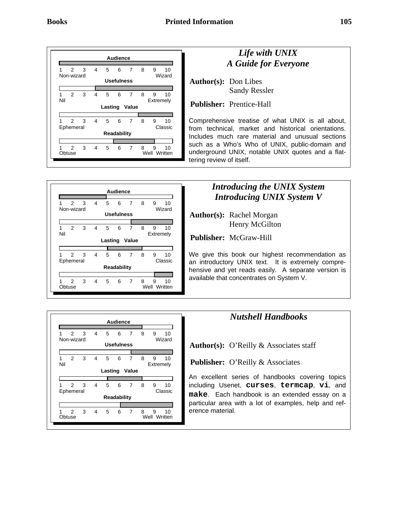|          |                 |   |   |         | <b>Audience</b>    |       |           |                |               |
|----------|-----------------|---|---|---------|--------------------|-------|-----------|----------------|---------------|
| 1        | 2<br>Non-wizard | 3 | 4 | 5       | 6                  | 7     | 8         | 9              | 10<br>Wizard  |
|          |                 |   |   |         | <b>Usefulness</b>  |       |           |                |               |
|          |                 |   |   |         |                    |       |           |                |               |
| 1<br>Nil | 2               | 3 | 4 | 5       | 6                  | 7     | 8         | 9<br>Extremely | 10            |
|          |                 |   |   | Lasting |                    | Value |           |                |               |
| 1        | $2 \quad 3$     |   | 4 | 5       | 6                  | 7     | 8         | 9              | 10            |
|          | Ephemeral       |   |   |         | <b>Readability</b> |       |           |                | Classic       |
|          |                 |   |   |         |                    |       |           |                |               |
| Obtuse   | 2               | 3 | 4 | 5       | 6                  | 7     | 8<br>Well | 9              | 10<br>Written |

# *Life with UNIX A Guide for Everyone*

**Author(s):** Don Libes Sandy Ressler

**Publisher:** Prentice-Hall

Comprehensive treatise of what UNIX is all about, from technical, market and historical orientations. Includes much rare material and unusual sections such as a Who's Who of UNIX, public-domain and underground UNIX, notable UNIX quotes and a flattering review of itself.

|          |                         |   |                |               | <b>Audience</b>    |                |   |                   |               |
|----------|-------------------------|---|----------------|---------------|--------------------|----------------|---|-------------------|---------------|
| 1        | 2<br>Non-wizard         | 3 | $\overline{4}$ | 5             | 6                  | $\overline{7}$ | 8 | 9                 | 10<br>Wizard  |
|          |                         |   |                |               | <b>Usefulness</b>  |                |   |                   |               |
|          |                         |   |                |               |                    |                |   |                   |               |
| 1<br>Nil | 2                       | 3 | 4              | 5             | 6                  | 7              | 8 | 9<br>Extremely    | 10            |
|          |                         |   |                | Lasting Value |                    |                |   |                   |               |
|          |                         |   |                |               |                    |                |   |                   |               |
|          | 2 3<br>Ephemeral        |   | 4              | 5             | 6                  | $\overline{7}$ | 8 | 9                 | 10<br>Classic |
|          |                         |   |                |               | <b>Readability</b> |                |   |                   |               |
|          |                         |   |                |               |                    |                |   |                   |               |
|          | $\mathcal{P}$<br>Obtuse | 3 | 4              | 5             | 6                  | 7              | 8 | 9<br>Well Written | 10            |

## *Introducing the UNIX System Introducing UNIX System V*

**Author(s):** Rachel Morgan Henry McGilton

**Publisher:** McGraw-Hill

We give this book our highest recommendation as an introductory UNIX text. It is extremely comprehensive and yet reads easily. A separate version is available that concentrates on System V.

|     |                         |    |                |   | <b>Audience</b>    |                |   |                   |         |
|-----|-------------------------|----|----------------|---|--------------------|----------------|---|-------------------|---------|
| 1   | 2                       | -3 | 4              | 5 | 6                  | $\overline{7}$ | 8 |                   | 10      |
|     | Non-wizard              |    |                |   |                    |                |   | 9                 | Wizard  |
|     |                         |    |                |   | <b>Usefulness</b>  |                |   |                   |         |
|     |                         |    |                |   |                    |                |   |                   |         |
| 1   | 2                       | 3  | 4              | 5 | 6                  | 7              | 8 | 9                 | 10      |
| Nil |                         |    |                |   |                    |                |   | Extremely         |         |
|     |                         |    |                |   |                    | Lasting Value  |   |                   |         |
|     |                         |    |                |   |                    |                |   |                   |         |
| 1   | $2 \quad 3$             |    | 4              | 5 | 6                  | $\overline{7}$ | 8 | 9                 | 10      |
|     | Ephemeral               |    |                |   |                    |                |   |                   | Classic |
|     |                         |    |                |   | <b>Readability</b> |                |   |                   |         |
|     |                         |    |                |   |                    |                |   |                   |         |
|     | $\mathcal{P}$<br>Obtuse | -3 | $\overline{4}$ | 5 | 6                  | 7              | 8 | 9<br>Well Written | 10      |

# *Nutshell Handbooks*

Author(s): O'Reilly & Associates staff

**Publisher:** O'Reilly & Associates

An excellent series of handbooks covering topics including Usenet, **curses**, **termcap**, **vi**, and **make**. Each handbook is an extended essay on a particular area with a lot of examples, help and reference material.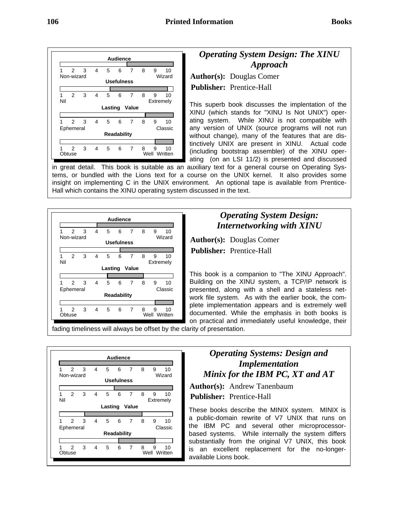|        |             |    |   |   | Audience           |               |           |           |               |
|--------|-------------|----|---|---|--------------------|---------------|-----------|-----------|---------------|
| 1      | 2           | -3 | 4 | 5 | 6                  | 7             | 8         | 9         | 10            |
|        | Non-wizard  |    |   |   | <b>Usefulness</b>  |               |           |           | Wizard        |
|        |             |    |   |   |                    |               |           |           |               |
| 1      | 2           | 3  | 4 | 5 | 6                  | 7             | 8         | 9         | 10            |
| Nil    |             |    |   |   |                    |               |           | Extremely |               |
|        |             |    |   |   |                    | Lasting Value |           |           |               |
|        |             |    |   |   |                    |               |           |           |               |
| 1      | $2 \quad 3$ |    | 4 | 5 | 6                  | 7             | 8         | 9         | 10            |
|        | Ephemeral   |    |   |   |                    |               |           |           | Classic       |
|        |             |    |   |   | <b>Readability</b> |               |           |           |               |
|        |             |    |   |   |                    |               |           |           |               |
| Obtuse | 2           | 3  | 4 | 5 | 6                  | 7             | 8<br>Well | 9         | 10<br>Written |

# *Operating System Design: The XINU Approach*

**Author(s):** Douglas Comer

**Publisher:** Prentice-Hall

This superb book discusses the implentation of the XINU (which stands for "XINU Is Not UNIX") operating system. While XINU is not compatible with any version of UNIX (source programs will not run without change), many of the features that are distinctively UNIX are present in XINU. Actual code (including bootstrap assembler) of the XINU operating (on an LSI 11/2) is presented and discussed

in great detail. This book is suitable as an auxiliary text for a general course on Operating Systems, or bundled with the Lions text for a course on the UNIX kernel. It also provides some insight on implementing C in the UNIX environment. An optional tape is available from Prentice-Hall which contains the XINU operating system discussed in the text.

|     |                         |   |   |               | Audience           |   |   |                   |         |
|-----|-------------------------|---|---|---------------|--------------------|---|---|-------------------|---------|
|     |                         |   |   |               |                    |   |   |                   |         |
| 1   | 2                       | 3 | 4 | 5             | 6                  | 7 | 8 | 9                 | 10      |
|     | Non-wizard              |   |   |               |                    |   |   |                   | Wizard  |
|     |                         |   |   |               | <b>Usefulness</b>  |   |   |                   |         |
|     |                         |   |   |               |                    |   |   |                   |         |
| 1   | 2                       | 3 | 4 | 5             | 6                  | 7 | 8 | 9                 | 10      |
| Nil |                         |   |   |               |                    |   |   | Extremely         |         |
|     |                         |   |   | Lasting Value |                    |   |   |                   |         |
|     |                         |   |   |               |                    |   |   |                   |         |
| 1   | $2 \quad 3$             |   | 4 | 5             | 6                  | 7 | 8 | 9                 | 10      |
|     | Ephemeral               |   |   |               |                    |   |   |                   | Classic |
|     |                         |   |   |               | <b>Readability</b> |   |   |                   |         |
|     |                         |   |   |               |                    |   |   |                   |         |
|     | $\mathcal{P}$<br>Obtuse | 3 | 4 | 5             | 6                  | 7 | 8 | 9<br>Well Written | 10      |

# *Operating System Design: Internetworking with XINU*

**Author(s):** Douglas Comer **Publisher:** Prentice-Hall

This book is a companion to "The XINU Approach". Building on the XINU system, a TCP/IP network is presented, along with a shell and a stateless network file system. As with the earlier book, the complete implementation appears and is extremely well documented. While the emphasis in both books is on practical and immediately useful knowledge, their

fading timeliness will always be offset by the clarity of presentation.



# *Operating Systems: Design and Implementation Minix for the IBM PC, XT and AT*

**Author(s):** Andrew Tanenbaum **Publisher:** Prentice-Hall

These books describe the MINIX system. MINIX is a public-domain rewrite of V7 UNIX that runs on the IBM PC and several other microprocessorbased systems. While internally the system differs substantially from the original V7 UNIX, this book is an excellent replacement for the no-longeravailable Lions book.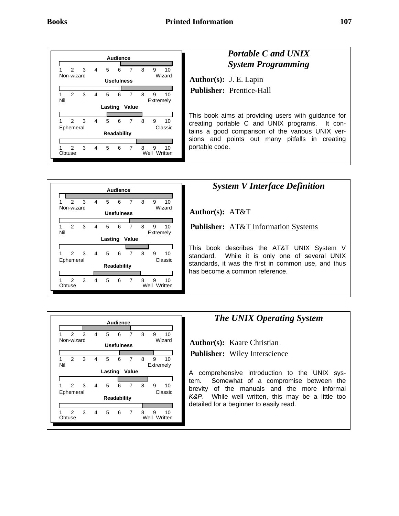|     |                |     |   |   | <b>Audience</b>    |               |   |           |         |
|-----|----------------|-----|---|---|--------------------|---------------|---|-----------|---------|
|     |                |     |   |   |                    |               |   |           |         |
| 1   | 2              | 3   | 4 | 5 | 6                  | 7             | 8 | 9         | 10      |
|     | Non-wizard     |     |   |   |                    |               |   |           | Wizard  |
|     |                |     |   |   | <b>Usefulness</b>  |               |   |           |         |
|     |                |     |   |   |                    |               |   |           |         |
| 1   | $\mathfrak{p}$ | 3   | 4 | 5 | 6                  | 7             | 8 | 9         | 10      |
| Nil |                |     |   |   |                    |               |   | Extremely |         |
|     |                |     |   |   |                    | Lasting Value |   |           |         |
|     |                |     |   |   |                    |               |   |           |         |
| 1   | $\mathcal{P}$  | - 3 | 4 | 5 | 6                  | 7             | 8 | 9         | 10      |
|     | Ephemeral      |     |   |   |                    |               |   |           | Classic |
|     |                |     |   |   | <b>Readability</b> |               |   |           |         |
|     |                |     |   |   |                    |               |   |           |         |
|     |                |     |   |   |                    |               |   |           |         |
|     | $\mathcal{P}$  | 3   | 4 | 5 | 6                  | 7             | 8 | 9         | 10      |

# *Portable C and UNIX System Programming*

**Author(s):** J. E. Lapin **Publisher:** Prentice-Hall

This book aims at providing users with guidance for creating portable C and UNIX programs. It contains a good comparison of the various UNIX versions and points out many pitfalls in creating portable code.

| Audience                                                                               | <b>System V Interface Definition</b>                                                                     |
|----------------------------------------------------------------------------------------|----------------------------------------------------------------------------------------------------------|
| 5<br>8<br>9<br>10<br>3<br>6<br>4<br>Wizard<br>Non-wizard<br><b>Usefulness</b>          | Author(s): $AT&T$                                                                                        |
| 10<br>$\mathcal{P}$<br>3<br>5<br>6<br>8<br>9<br>4<br>Nil<br>Extremely<br>Lasting Value | <b>Publisher:</b> AT&T Information Systems                                                               |
|                                                                                        | This book describes the AT&T UNIX System V                                                               |
| 8<br>9<br>10<br>3<br>5<br>6<br>4<br>Classic<br>Ephemeral<br><b>Readability</b>         | While it is only one of several UNIX<br>standard.<br>standards, it was the first in common use, and thus |
|                                                                                        | has become a common reference.                                                                           |
| 3<br>10<br>5<br>6<br>8<br>9<br>4<br>Written<br>Obtuse<br>Well                          |                                                                                                          |

|     |                |                            |   |   | <b>Audience</b>    |   |   |           |         |
|-----|----------------|----------------------------|---|---|--------------------|---|---|-----------|---------|
|     |                |                            |   |   |                    |   |   |           |         |
| 1   | $\mathfrak{p}$ | 3                          | 4 | 5 | 6                  | 7 | 8 | 9         | 10      |
|     | Non-wizard     |                            |   |   |                    |   |   |           | Wizard  |
|     |                |                            |   |   | <b>Usefulness</b>  |   |   |           |         |
|     |                |                            |   |   |                    |   |   |           |         |
| 1   | 2              | 3                          | 4 | 5 | 6                  | 7 | 8 | 9         | 10      |
| Nil |                |                            |   |   |                    |   |   | Extremely |         |
|     |                |                            |   |   | Lasting Value      |   |   |           |         |
|     |                |                            |   |   |                    |   |   |           |         |
| 1   | $\mathcal{P}$  | $\overline{\phantom{a}}$ 3 | 4 | 5 | 6                  | 7 | 8 | 9         | 10      |
|     | Ephemeral      |                            |   |   |                    |   |   |           | Classic |
|     |                |                            |   |   | <b>Readability</b> |   |   |           |         |
|     |                |                            |   |   |                    |   |   |           |         |
|     |                |                            |   |   |                    |   |   |           |         |
|     | 2              | 3                          | 4 | 5 | 6                  | 7 | 8 | 9         | 10      |

# **The UNIX Operating System**

**Author(s):** Kaare Christian **Publisher:** Wiley Interscience

A comprehensive introduction to the UNIX system. Somewhat of a compromise between the brevity of the manuals and the more informal K&P. While well written, this may be a little too detailed for a beginner to easily read.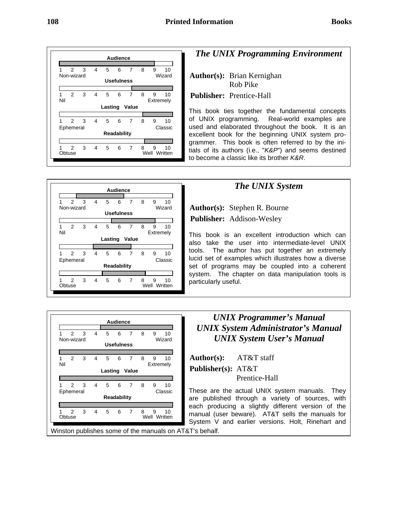|          |                            |    |   |         | <b>Audience</b>   |       |           |                |               |
|----------|----------------------------|----|---|---------|-------------------|-------|-----------|----------------|---------------|
| 1        | $\mathbf{2}$<br>Non-wizard | -3 | 4 | 5       | 6                 | 7     | 8         | 9              | 10<br>Wizard  |
|          |                            |    |   |         | <b>Usefulness</b> |       |           |                |               |
|          |                            |    |   |         |                   |       |           |                |               |
| 1<br>Nil | $\mathfrak{p}$             | 3  | 4 | 5       | 6                 | 7     | 8         | 9<br>Extremely | 10            |
|          |                            |    |   | Lasting |                   | Value |           |                |               |
|          |                            |    |   |         |                   |       |           |                |               |
| 1        | $2 \quad 3$                |    | 4 | 5       | 6                 | 7     | 8         | 9              | 10            |
|          | Ephemeral                  |    |   |         |                   |       |           |                | Classic       |
|          |                            |    |   |         | Readability       |       |           |                |               |
|          |                            |    |   |         |                   |       |           |                |               |
| Obtuse   | $\mathcal{P}$              | 3  | 4 | 5       | 6                 | 7     | 8<br>Well | 9              | 10<br>Written |

# *The UNIX Programming Environment*

**Author(s):** Brian Kernighan Rob Pike

**Publisher:** Prentice-Hall

This book ties together the fundamental concepts of UNIX programming. Real-world examples are used and elaborated throughout the book. It is an excellent book for the beginning UNIX system programmer. This book is often referred to by the initials of its authors (i.e., " $K\&P$ ") and seems destined to become a classic like its brother K&R.

|     |                          |    |   |   | <b>Audience</b>    |               |    |                   |         |
|-----|--------------------------|----|---|---|--------------------|---------------|----|-------------------|---------|
|     |                          |    |   |   |                    |               |    |                   |         |
| 1   | 2                        | -3 | 4 | 5 | 6                  | 7             | 8  | 9                 | 10      |
|     | Non-wizard               |    |   |   |                    |               |    |                   | Wizard  |
|     |                          |    |   |   | <b>Usefulness</b>  |               |    |                   |         |
|     |                          |    |   |   |                    |               |    |                   |         |
| 1   | 2                        | 3  | 4 | 5 | 6                  | 7             | -8 | 9                 | 10      |
| Nil |                          |    |   |   |                    |               |    | Extremely         |         |
|     |                          |    |   |   |                    | Lasting Value |    |                   |         |
|     |                          |    |   |   |                    |               |    |                   |         |
|     | $\mathcal{P}$            | -3 | 4 | 5 | 6                  | 7             | 8  | 9                 | 10      |
|     | Ephemeral                |    |   |   |                    |               |    |                   | Classic |
|     |                          |    |   |   | <b>Readability</b> |               |    |                   |         |
|     |                          |    |   |   |                    |               |    |                   |         |
|     | $\mathfrak{p}$<br>Obtuse | 3  | 4 | 5 | 6                  | 7             | 8  | 9<br>Well Written | 10      |

# *The UNIX System*

**Author(s):** Stephen R. Bourne **Publisher:** Addison-Wesley

This book is an excellent introduction which can also take the user into intermediate-level UNIX tools. The author has put together an extremely lucid set of examples which illustrates how a diverse set of programs may be coupled into a coherent system. The chapter on data manipulation tools is particularly useful.

|     |                             |    |   |         | <b>Audience</b>    |                |    |           |                    |
|-----|-----------------------------|----|---|---------|--------------------|----------------|----|-----------|--------------------|
| 1   | $\mathcal{P}$<br>Non-wizard | -3 | 4 | 5       | 6                  | 7              | 8  | 9         | 10<br>Wizard       |
|     |                             |    |   |         | <b>Usefulness</b>  |                |    |           |                    |
| 1   | $\mathcal{P}$               | 3  | 4 | 5       | 6                  | $\overline{7}$ | 8  | 9         | 10                 |
| Nil |                             |    |   | Lasting |                    | Value          |    | Extremely |                    |
|     |                             |    |   |         |                    |                |    |           |                    |
|     | $\mathcal{P}$               | -3 | 4 | 5       | 6                  | $\overline{7}$ | 8  | 9         | 10                 |
|     | Ephemeral                   |    |   |         |                    |                |    |           | Classic            |
|     |                             |    |   |         | <b>Readability</b> |                |    |           |                    |
|     |                             |    |   |         |                    |                |    |           |                    |
|     | $\mathcal{P}$<br>Obtuse     | 3  | 4 | 5       | 6                  | 7              | 8. | 9         | 10<br>Well Written |

# *UNIX Programmer's Manual UNIX System Administrator's Manual UNIX System User's Manual*

**Publisher(s):** AT&T Prentice-Hall **Author(s):** AT&T staff

These are the actual UNIX system manuals. They are published through a variety of sources, with each producing a slightly different version of the manual (user beware). AT&T sells the manuals for System V and earlier versions. Holt, Rinehart and

**XT's behalf.**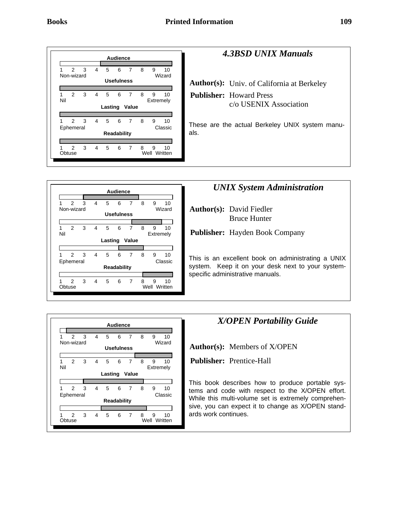|          |                             |    |                |               | <b>Audience</b>    |                |   |                   |              |
|----------|-----------------------------|----|----------------|---------------|--------------------|----------------|---|-------------------|--------------|
| 1        | $\mathcal{P}$<br>Non-wizard | 3  | 4              | 5             | 6                  | 7              | 8 | 9                 | 10<br>Wizard |
|          |                             |    |                |               | <b>Usefulness</b>  |                |   |                   |              |
| 1<br>Nil | 2                           | 3  | 4              | 5             | 6                  | 7              | 8 | 9<br>Extremely    | 10           |
|          |                             |    |                | Lasting Value |                    |                |   |                   |              |
|          | $\mathcal{P}$               | -3 | $\overline{4}$ | 5             | 6                  | 7              | 8 | 9                 | 10           |
|          | Ephemeral                   |    |                |               | <b>Readability</b> |                |   |                   | Classic      |
|          |                             |    |                |               |                    |                |   |                   |              |
| Obtuse   | 2                           | 3  | 4              | 5             | 6                  | $\overline{7}$ | 8 | 9<br>Well Written | 10           |

# **4.3BSD UNIX Manuals**

**Author(s):** Univ. of California at Berkeley **Publisher:** Howard Press

c/o USENIX Association

These are the actual Berkeley UNIX system manuals.



|          |                 |    |   |               | <b>Audience</b>    |   |   |                   |              |
|----------|-----------------|----|---|---------------|--------------------|---|---|-------------------|--------------|
| 1        | 2<br>Non-wizard | 3  | 4 | 5             | 6                  | 7 | 8 | 9                 | 10<br>Wizard |
|          |                 |    |   |               | <b>Usefulness</b>  |   |   |                   |              |
|          |                 |    |   |               |                    |   |   |                   |              |
| 1<br>Nil | 2               | 3  | 4 | 5             | 6                  | 7 | 8 | 9<br>Extremely    | 10           |
|          |                 |    |   | Lasting Value |                    |   |   |                   |              |
|          |                 |    |   |               |                    |   |   |                   |              |
| 1        | 2               | -3 | 4 | 5             | 6                  | 7 | 8 | 9                 | 10           |
|          | Ephemeral       |    |   |               |                    |   |   |                   | Classic      |
|          |                 |    |   |               | <b>Readability</b> |   |   |                   |              |
|          |                 |    |   |               |                    |   |   |                   |              |
|          | 2<br>Obtuse     | 3  | 4 | 5             | 6                  | 7 | 8 | 9<br>Well Written | 10           |

# $X/OPEN$  *Portability Guide*

**Author(s):** Members of X/OPEN

**Publisher:** Prentice-Hall

This book describes how to produce portable systems and code with respect to the X/OPEN effort. While this multi-volume set is extremely comprehensive, you can expect it to change as X/OPEN standards work continues.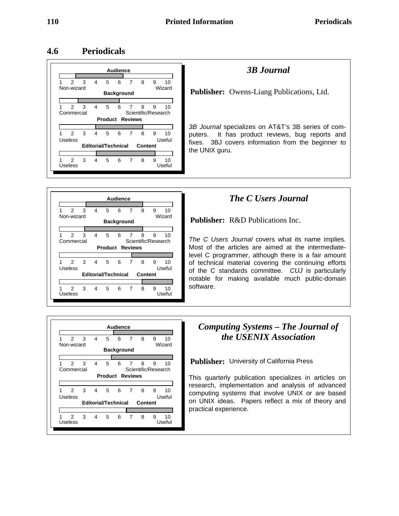# **4.6 Periodicals**



| Audience                                                                                                         | <b>The C Users Journal</b>                                                                                                                                                                                           |
|------------------------------------------------------------------------------------------------------------------|----------------------------------------------------------------------------------------------------------------------------------------------------------------------------------------------------------------------|
| 3<br>8<br>9<br>10<br>5<br>6<br>$\overline{7}$<br>2<br>4<br>Wizard<br>Non-wizard<br><b>Background</b>             | <b>Publisher:</b> R&D Publications Inc.                                                                                                                                                                              |
| 10<br>З<br>5<br>8<br>9<br>6<br>4<br>Scientific/Research<br>Commercial<br><b>Product Reviews</b>                  | The C Users Journal covers what its name implies.<br>Most of the articles are aimed at the intermediate-                                                                                                             |
| $\overline{5}$<br>9<br>10<br>2<br>3<br>6<br>8<br>4<br><b>Useless</b><br>Useful<br>Editorial/Technical<br>Content | level C programmer, although there is a fair amount<br>of technical material covering the continuing efforts<br>of the C standards committee. CUJ is particularly<br>notable for making available much public-domain |
| 3<br>5<br>10<br>2<br>6<br>7<br>8<br>4<br>9<br>Useful<br>Useless                                                  | software.                                                                                                                                                                                                            |

|   |                |   |   |   | Audience                   |   |                |                     |              |
|---|----------------|---|---|---|----------------------------|---|----------------|---------------------|--------------|
|   | $\mathcal{P}$  | 3 | 4 | 5 | 6                          | 7 | 8              | 9                   | 10           |
|   | Non-wizard     |   |   |   |                            |   |                |                     | Wizard       |
|   |                |   |   |   | <b>Background</b>          |   |                |                     |              |
|   |                |   |   |   |                            |   |                |                     |              |
| 1 | $\mathfrak{p}$ | 3 | 4 | 5 | 6                          | 7 | 8              | 9                   | 10           |
|   | Commercial     |   |   |   |                            |   |                | Scientific/Research |              |
|   |                |   |   |   | <b>Product Reviews</b>     |   |                |                     |              |
|   | $\mathcal{P}$  | 3 | 4 | 5 | 6                          | 7 | 8              | 9                   | 10           |
|   | Useless        |   |   |   |                            |   |                |                     | Useful       |
|   |                |   |   |   | <b>Editorial/Technical</b> |   | <b>Content</b> |                     |              |
|   |                |   |   |   |                            |   |                |                     |              |
|   | 2<br>Useless   | 3 | 4 | 5 | 6                          | 7 | 8              | 9                   | 10<br>Useful |

# *Computing Systems – The Journal of the USENIX Association*

**Publisher:** University of California Press

This quarterly publication specializes in articles on research, implementation and analysis of advanced computing systems that involve UNIX or are based on UNIX ideas. Papers reflect a mix of theory and practical experience.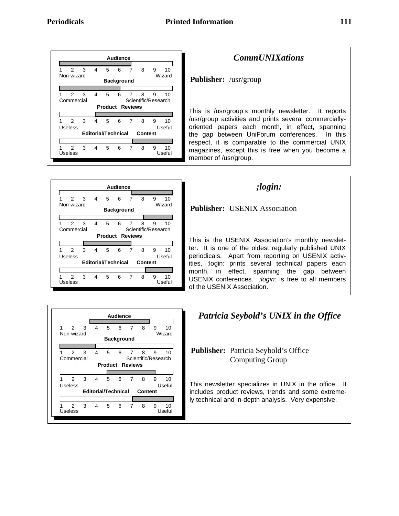|                                              |            |    |   |                        | <b>Audience</b>   |   |                     |   |        |
|----------------------------------------------|------------|----|---|------------------------|-------------------|---|---------------------|---|--------|
|                                              |            |    |   |                        |                   |   |                     |   |        |
| 1                                            | 2          | 3  | 4 | 5                      | 6                 | 7 | 8                   | 9 | 10     |
|                                              | Non-wizard |    |   |                        |                   |   |                     |   | Wizard |
|                                              |            |    |   |                        | <b>Background</b> |   |                     |   |        |
|                                              |            |    |   |                        |                   |   |                     |   |        |
|                                              | 2          | -3 | 4 | 5                      | 6                 | 7 | 8                   | 9 | 10     |
|                                              | Commercial |    |   |                        |                   |   | Scientific/Research |   |        |
|                                              |            |    |   | <b>Product Reviews</b> |                   |   |                     |   |        |
|                                              |            |    |   |                        |                   |   |                     |   |        |
|                                              |            |    |   |                        |                   |   |                     |   |        |
| 1                                            | 2          | 3  | 4 | 5                      | 6                 | 7 | 8                   | 9 | 10     |
|                                              | Useless    |    |   |                        |                   |   |                     |   | Useful |
| <b>Editorial/Technical</b><br><b>Content</b> |            |    |   |                        |                   |   |                     |   |        |
|                                              |            |    |   |                        |                   |   |                     |   |        |
|                                              |            |    |   |                        |                   |   |                     |   |        |
|                                              | 2          |    |   |                        |                   |   |                     |   | 10     |
|                                              | Useless    | 3  | 4 | 5                      | 6                 | 7 | 8                   | 9 | Useful |

# $CommUNIXations$

#### **Publisher:** /usr/group

This is /usr/group's monthly newsletter. It reports /usr/group activities and prints several commerciallyoriented papers each month, in effect, spanning the gap between UniForum conferences. In this respect, it is comparable to the commercial UNIX magazines, except this is free when you become a member of /usr/group.

| <b>Audience</b>                                                                                             | ; <i>login</i> :                                                                                                                                                                                                         |
|-------------------------------------------------------------------------------------------------------------|--------------------------------------------------------------------------------------------------------------------------------------------------------------------------------------------------------------------------|
| 3<br>5<br>8<br>6<br>9<br>2<br>10<br>4<br>Wizard<br>Non-wizard<br><b>Background</b>                          | <b>Publisher:</b> USENIX Association                                                                                                                                                                                     |
| 8<br>3<br>5<br>9<br>6<br>10<br>4<br>Scientific/Research<br>Commercial<br><b>Product Reviews</b>             |                                                                                                                                                                                                                          |
| 10 <sup>1</sup><br>8<br>9<br>з<br>6<br>5<br>2<br>Useful<br>Useless<br><b>Editorial/Technical</b><br>Content | This is the USENIX Association's monthly newslet-<br>ter. It is one of the oldest regularly published UNIX<br>periodicals. Apart from reporting on USENIX activ-<br>ities, ; login: prints several technical papers each |
| 3<br>5<br>6<br>8<br>9<br>10<br>4<br>Useful<br>Useless                                                       | effect, spanning the<br>month, in<br>between<br>gap<br>USENIX conferences. ; login: is free to all members<br>of the USENIX Association.                                                                                 |

|   |               |    |   |                            | <b>Audience</b>   |   |                     |   |        |
|---|---------------|----|---|----------------------------|-------------------|---|---------------------|---|--------|
|   |               |    |   |                            |                   |   |                     |   |        |
|   | $\mathcal{P}$ | 3  | 4 | 5                          | 6                 | 7 | 8                   | 9 | 10     |
|   | Non-wizard    |    |   |                            |                   |   |                     |   | Wizard |
|   |               |    |   |                            | <b>Background</b> |   |                     |   |        |
|   |               |    |   |                            |                   |   |                     |   |        |
| 1 | $\mathcal{P}$ | -3 | 4 | 5                          | 6                 | 7 | 8                   | 9 | 10     |
|   | Commercial    |    |   |                            |                   |   | Scientific/Research |   |        |
|   |               |    |   |                            |                   |   |                     |   |        |
|   |               |    |   | <b>Product Reviews</b>     |                   |   |                     |   |        |
|   |               |    |   |                            |                   |   |                     |   |        |
|   | 2             | -3 | 4 | -5                         | 6                 | 7 | 8                   | 9 | 10     |
|   | Useless       |    |   |                            |                   |   |                     |   | Useful |
|   |               |    |   | <b>Editorial/Technical</b> |                   |   | Content             |   |        |
|   |               |    |   |                            |                   |   |                     |   |        |
|   | 2             | 3  | 4 | 5                          | 6                 | 7 | 8                   | 9 | 10     |

# **Patricia Seybold's UNIX in the Office**

**Publisher:** Patricia Seybold's Office Computing Group

This newsletter specializes in UNIX in the office. It includes product reviews, trends and some extremely technical and in-depth analysis. Very expensive.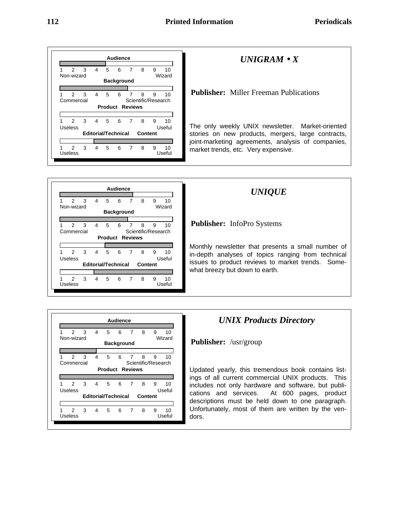|         |                                 |    |   |   | <b>Audience</b>            |                        |                     |   |        |
|---------|---------------------------------|----|---|---|----------------------------|------------------------|---------------------|---|--------|
|         | $\mathcal{P}$                   | 3  | 4 | 5 | 6                          | 7                      | 8                   | 9 | 10     |
|         |                                 |    |   |   |                            |                        |                     |   | Wizard |
|         | Non-wizard<br><b>Background</b> |    |   |   |                            |                        |                     |   |        |
|         |                                 |    |   |   |                            |                        |                     |   |        |
|         | $\mathcal{P}$                   | -3 | 4 | 5 | 6                          | 7                      | 8                   | 9 | 10     |
|         |                                 |    |   |   |                            |                        |                     |   |        |
|         | Commercial                      |    |   |   |                            |                        | Scientific/Research |   |        |
|         |                                 |    |   |   |                            | <b>Product Reviews</b> |                     |   |        |
| 1       | $\mathcal{P}$                   | 3  | 4 | 5 | 6                          | 7                      | 8                   | 9 | 10     |
| Useless |                                 |    |   |   |                            |                        |                     |   |        |
|         |                                 |    |   |   | <b>Editorial/Technical</b> |                        | Content             |   |        |
|         |                                 |    |   |   |                            |                        |                     |   | Useful |
|         | 2                               | 3  | 4 | 5 | 6                          | 7                      | 8                   | 9 | 10     |

# $UNIGRAM • X$

**Publisher:** Miller Freeman Publications

The only weekly UNIX newsletter. Market-oriented stories on new products, mergers, large contracts, joint-marketing agreements, analysis of companies, market trends, etc. Very expensive.



|                                           |               |     |   |   | <b>Audience</b>            |                        |         |                     |        |
|-------------------------------------------|---------------|-----|---|---|----------------------------|------------------------|---------|---------------------|--------|
| 1                                         | 2             | 3   | 4 | 5 | 6                          | 7                      | 8       | 9                   | 10     |
| Non-wizard<br>Wizard<br><b>Background</b> |               |     |   |   |                            |                        |         |                     |        |
| 1                                         | $\mathcal{P}$ | - 3 | 4 | 5 | 6                          | 7                      | 8       | 9                   | 10     |
|                                           | Commercial    |     |   |   |                            |                        |         | Scientific/Research |        |
|                                           |               |     |   |   |                            | <b>Product Reviews</b> |         |                     |        |
|                                           |               |     |   |   |                            |                        |         |                     |        |
|                                           | $\mathcal{P}$ | 3   | 4 | 5 | 6                          | $\overline{7}$         | 8       | 9                   | 10     |
|                                           | Useless       |     |   |   | <b>Editorial/Technical</b> |                        | Content |                     |        |
|                                           |               |     |   |   |                            |                        |         |                     | Useful |

# *UNIX Products Directory*

**Publisher:** /usr/group

Updated yearly, this tremendous book contains listings of all current commercial UNIX products. This includes not only hardware and software, but publications and services. At 600 pages, product descriptions must be held down to one paragraph. Unfortunately, most of them are written by the vendors.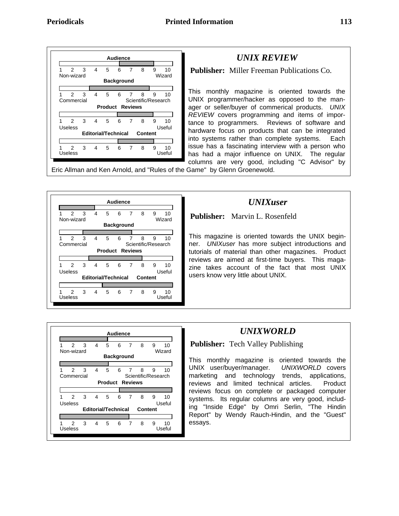|   |               |    |   |                            | <b>Audience</b>   |                |                     |   |        |
|---|---------------|----|---|----------------------------|-------------------|----------------|---------------------|---|--------|
|   |               |    |   |                            |                   |                |                     |   |        |
| 1 | 2             | -3 | 4 | 5                          | 6                 | 7              | 8                   | 9 | 10     |
|   | Non-wizard    |    |   |                            |                   |                |                     |   | Wizard |
|   |               |    |   |                            | <b>Background</b> |                |                     |   |        |
|   |               |    |   |                            |                   |                |                     |   |        |
| 1 | $\mathcal{P}$ | -3 | 4 | 5                          | 6                 | $\overline{7}$ | 8                   | 9 | 10     |
|   | Commercial    |    |   |                            |                   |                | Scientific/Research |   |        |
|   |               |    |   | <b>Product Reviews</b>     |                   |                |                     |   |        |
|   |               |    |   |                            |                   |                |                     |   |        |
| 1 | 2             | 3  | 4 | 5                          | 6                 | 7              | 8                   | 9 | 10     |
|   | Useless       |    |   |                            |                   |                |                     |   | Useful |
|   |               |    |   | <b>Editorial/Technical</b> |                   |                | Content             |   |        |
|   |               |    |   |                            |                   |                |                     |   |        |
|   | 2             | 3  | 4 | 5                          | 6                 | 7              | 8                   | 9 | 10     |
|   | Useless       |    |   |                            |                   |                |                     |   | Useful |
|   |               |    |   |                            |                   |                |                     |   |        |

## **Audience** *UNIX REVIEW*

**Publisher:** Miller Freeman Publications Co.

This monthly magazine is oriented towards the UNIX programmer/hacker as opposed to the manager or seller/buyer of commerical products. UNIX REVIEW covers programming and items of importance to programmers. Reviews of software and hardware focus on products that can be integrated into systems rather than complete systems. Each issue has a fascinating interview with a person who has had a major influence on UNIX. The regular columns are very good, including "C Advisor" by

Eric Allman and Ken Arnold, and "Rules of the Game" by Glenn Groenewold.

| Audience                                                                                                          | <b>UNIXuser</b>                                                                                                                                                    |
|-------------------------------------------------------------------------------------------------------------------|--------------------------------------------------------------------------------------------------------------------------------------------------------------------|
| 3<br>8<br>5<br>9<br>2<br>6<br>Non-wizard<br>Wizard<br><b>Background</b>                                           | 10<br><b>Publisher:</b> Marvin L. Rosenfeld                                                                                                                        |
| 3<br>$\overline{7}$<br>-8<br>9<br>2<br>5<br>6<br>4<br>Scientific/Research<br>Commercial<br><b>Product Reviews</b> | This magazine is oriented towards the UNIX begin-<br>10<br>ner. UNIXuser has more subject introductions and<br>tutorials of material than other magazines. Product |
| $\mathcal{P}$<br>3<br>5<br>6<br>7<br>8<br>9<br>Useful<br><b>Useless</b><br><b>Editorial/Technical</b><br>Content  | reviews are aimed at first-time buyers. This maga-<br>10<br>zine takes account of the fact that most UNIX<br>users know very little about UNIX.                    |
| 3<br>5<br>6<br>8<br>9<br>4<br>Useful<br>Useless                                                                   | 10                                                                                                                                                                 |

|   |                 |   |   |                            | <b>Audience</b>   |   |                     |   |              |
|---|-----------------|---|---|----------------------------|-------------------|---|---------------------|---|--------------|
|   | 2<br>Non-wizard | 3 | 4 | 5                          | 6                 | 7 | 8                   | 9 | 10<br>Wizard |
|   |                 |   |   |                            | <b>Background</b> |   |                     |   |              |
|   | 2               | 3 | 4 | 5                          | 6                 | 7 | 8                   | 9 | 10           |
|   | Commercial      |   |   |                            |                   |   | Scientific/Research |   |              |
|   |                 |   |   | <b>Product Reviews</b>     |                   |   |                     |   |              |
| 1 | 2               | 3 | 4 | 5                          | 6                 | 7 | 8                   | 9 | 10           |
|   | Useless         |   |   |                            |                   |   |                     |   | Useful       |
|   |                 |   |   | <b>Editorial/Technical</b> |                   |   | Content             |   |              |
|   | 2<br>Useless    | 3 | 4 | 5                          | 6                 | 7 | 8                   | 9 | 10<br>Useful |

# $UNIXWORLD$

**Publisher:** Tech Valley Publishing

This monthly magazine is oriented towards the UNIX user/buyer/manager. UNIXWORLD covers marketing and technology trends, applications, reviews and limited technical articles. Product reviews focus on complete or packaged computer systems. Its regular columns are very good, including "Inside Edge" by Omri Serlin, "The Hindin Report" by Wendy Rauch-Hindin, and the "Guest" essays.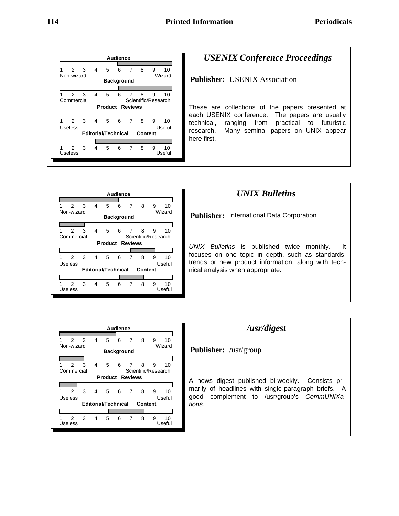|   |                             |    |   |                            | <b>Audience</b>   |   |         |                     |              |
|---|-----------------------------|----|---|----------------------------|-------------------|---|---------|---------------------|--------------|
| 1 | $\mathcal{P}$<br>Non-wizard | -3 | 4 | 5                          | 6                 | 7 | 8       | 9                   | 10<br>Wizard |
|   |                             |    |   |                            | <b>Background</b> |   |         |                     |              |
|   |                             |    |   |                            |                   |   |         |                     |              |
| 1 | 2                           | 3  | 4 | 5                          | 6                 | 7 | 8       | 9                   | 10           |
|   | Commercial                  |    |   |                            |                   |   |         | Scientific/Research |              |
|   |                             |    |   | <b>Product Reviews</b>     |                   |   |         |                     |              |
|   | $\mathcal{P}$               | -3 | 4 | -5                         | 6                 | 7 | 8       | 9                   | 10           |
|   | Useless                     |    |   |                            |                   |   |         |                     | Useful       |
|   |                             |    |   | <b>Editorial/Technical</b> |                   |   | Content |                     |              |
|   |                             |    |   |                            |                   |   |         |                     |              |
|   | 2<br>Useless                | 3  | 4 | 5                          | 6                 | 7 | 8       | 9                   | 10<br>Useful |

# **Audience** *USENIX Conference Proceedings*

**Publisher:** USENIX Association

These are collections of the papers presented at each USENIX conference. The papers are usually technical, ranging from practical to futuristic research. Many seminal papers on UNIX appear here first.

| Audience                                                                                                                                      | <b>UNIX Bulletins</b>                                                                                                                        |
|-----------------------------------------------------------------------------------------------------------------------------------------------|----------------------------------------------------------------------------------------------------------------------------------------------|
| 9<br>$\mathcal{P}$<br>5<br>6<br>$\overline{7}$<br>8<br>10<br>3<br>4<br>Non-wizard<br>Wizard<br><b>Background</b>                              | <b>Publisher:</b> International Data Corporation                                                                                             |
| $\mathcal{P}$<br>5<br>3<br>9<br>10<br>6<br>8<br>7<br>4<br>Scientific/Research<br>Commercial<br><b>Product Reviews</b>                         | UNIX Bulletins is published twice monthly.<br>It                                                                                             |
| 5<br>$\overline{7}$<br>9<br>10<br>$\mathcal{P}$<br>$\mathcal{R}$<br>6<br>8<br>4<br>Useful<br>Useless<br><b>Editorial/Technical</b><br>Content | focuses on one topic in depth, such as standards,<br>trends or new product information, along with tech-<br>nical analysis when appropriate. |
| 3<br>5<br>9<br>6<br>$\overline{7}$<br>8<br>10<br>4<br>Useless<br>Useful                                                                       |                                                                                                                                              |

|                                                      | $\mathcal{P}$ | -3 | 4           | -5 | 6  | $\overline{7}$         | 8 | 9                   | 10     |
|------------------------------------------------------|---------------|----|-------------|----|----|------------------------|---|---------------------|--------|
|                                                      | Non-wizard    |    |             |    |    |                        |   |                     | Wizard |
|                                                      |               |    |             |    |    | <b>Background</b>      |   |                     |        |
|                                                      | $\mathcal{P}$ | -3 | 4           | 5  | 6  | 7                      | 8 | 9                   | 10     |
|                                                      | Commercial    |    |             |    |    |                        |   | Scientific/Research |        |
|                                                      |               |    |             |    |    |                        |   |                     |        |
|                                                      |               |    |             |    |    | <b>Product Reviews</b> |   |                     |        |
|                                                      | 2             |    | $3 \quad 4$ | 5  | -6 | -7                     | 8 | 9                   | 10     |
|                                                      |               |    |             |    |    |                        |   |                     | Useful |
| <b>Useless</b><br><b>Editorial/Technical Content</b> |               |    |             |    |    |                        |   |                     |        |
|                                                      |               |    |             |    |    |                        |   |                     |        |
|                                                      | $\mathcal{P}$ | 3  | 4           | 5  | 6  | 7                      | 8 | 9                   | 10     |

| Audience                                            | /usr/digest                                         |
|-----------------------------------------------------|-----------------------------------------------------|
| 5.<br>6<br>8<br>9<br>10<br>$\overline{7}$<br>Wizard |                                                     |
| ackground                                           | <b>Publisher:</b> /usr/group                        |
|                                                     |                                                     |
| 5.<br>10<br>6<br>8<br>9                             |                                                     |
| Scientific/Research                                 |                                                     |
| duct Reviews                                        |                                                     |
|                                                     | A news digest published bi-weekly.<br>Consists pri- |
| 6<br>8<br>10<br>9<br>7                              | marily of headlines with single-paragraph briefs. A |
| Useful                                              | complement to /usr/group's CommUNIXa-<br>good       |
| echnical<br>Content                                 | tions.                                              |
|                                                     |                                                     |
| 6<br>8<br>10<br>9                                   |                                                     |
| Useful                                              |                                                     |
|                                                     |                                                     |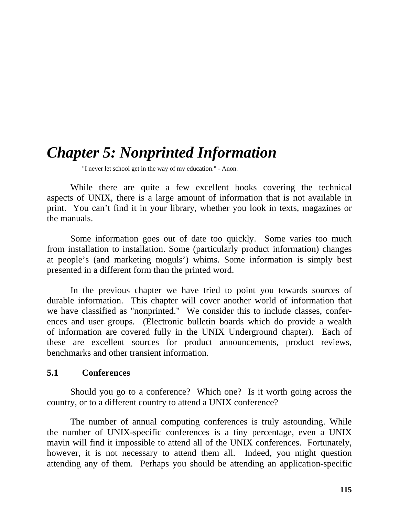# *Chapter 5: Nonprinted Information*

"I never let school get in the way of my education." - Anon.

While there are quite a few excellent books covering the technical aspects of UNIX, there is a large amount of information that is not available in print. You can't find it in your library, whether you look in texts, magazines or the manuals.

Some information goes out of date too quickly. Some varies too much from installation to installation. Some (particularly product information) changes at people's (and marketing moguls') whims. Some information is simply best presented in a different form than the printed word.

In the previous chapter we have tried to point you towards sources of durable information. This chapter will cover another world of information that we have classified as "nonprinted." We consider this to include classes, conferences and user groups. (Electronic bulletin boards which do provide a wealth of information are covered fully in the UNIX Underground chapter). Each of these are excellent sources for product announcements, product reviews, benchmarks and other transient information.

# **5.1 Conferences**

Should you go to a conference? Which one? Is it worth going across the country, or to a different country to attend a UNIX conference?

The number of annual computing conferences is truly astounding. While the number of UNIX-specific conferences is a tiny percentage, even a UNIX mavin will find it impossible to attend all of the UNIX conferences. Fortunately, however, it is not necessary to attend them all. Indeed, you might question attending any of them. Perhaps you should be attending an application-specific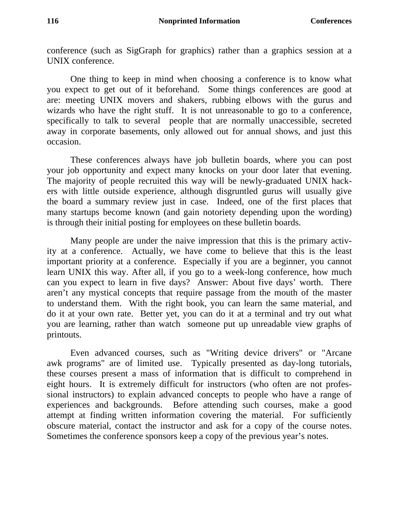conference (such as SigGraph for graphics) rather than a graphics session at a UNIX conference.

One thing to keep in mind when choosing a conference is to know what you expect to get out of it beforehand. Some things conferences are good at are: meeting UNIX movers and shakers, rubbing elbows with the gurus and wizards who have the right stuff. It is not unreasonable to go to a conference, specifically to talk to several people that are normally unaccessible, secreted away in corporate basements, only allowed out for annual shows, and just this occasion.

These conferences always have job bulletin boards, where you can post your job opportunity and expect many knocks on your door later that evening. The majority of people recruited this way will be newly-graduated UNIX hackers with little outside experience, although disgruntled gurus will usually give the board a summary review just in case. Indeed, one of the first places that many startups become known (and gain notoriety depending upon the wording) is through their initial posting for employees on these bulletin boards.

Many people are under the naive impression that this is the primary activity at a conference. Actually, we have come to believe that this is the least important priority at a conference. Especially if you are a beginner, you cannot learn UNIX this way. After all, if you go to a week-long conference, how much can you expect to learn in five days? Answer: About five days' worth. There aren't any mystical concepts that require passage from the mouth of the master to understand them. With the right book, you can learn the same material, and do it at your own rate. Better yet, you can do it at a terminal and try out what you are learning, rather than watch someone put up unreadable view graphs of printouts.

Even advanced courses, such as "Writing device drivers" or "Arcane awk programs" are of limited use. Typically presented as day-long tutorials, these courses present a mass of information that is difficult to comprehend in eight hours. It is extremely difficult for instructors (who often are not professional instructors) to explain advanced concepts to people who have a range of experiences and backgrounds. Before attending such courses, make a good attempt at finding written information covering the material. For sufficiently obscure material, contact the instructor and ask for a copy of the course notes. Sometimes the conference sponsors keep a copy of the previous year's notes.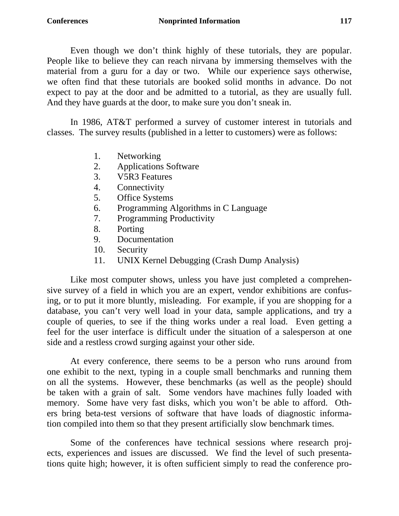Even though we don't think highly of these tutorials, they are popular. People like to believe they can reach nirvana by immersing themselves with the material from a guru for a day or two. While our experience says otherwise, we often find that these tutorials are booked solid months in advance. Do not expect to pay at the door and be admitted to a tutorial, as they are usually full. And they have guards at the door, to make sure you don't sneak in.

In 1986, AT&T performed a survey of customer interest in tutorials and classes. The survey results (published in a letter to customers) were as follows:

- 1. Networking
- 2. Applications Software
- 3. V5R3 Features
- 4. Connectivity
- 5. Office Systems
- 6. Programming Algorithms in C Language
- 7. Programming Productivity
- 8. Porting
- 9. Documentation
- 10. Security
- 11. UNIX Kernel Debugging (Crash Dump Analysis)

Like most computer shows, unless you have just completed a comprehensive survey of a field in which you are an expert, vendor exhibitions are confusing, or to put it more bluntly, misleading. For example, if you are shopping for a database, you can't very well load in your data, sample applications, and try a couple of queries, to see if the thing works under a real load. Even getting a feel for the user interface is difficult under the situation of a salesperson at one side and a restless crowd surging against your other side.

At every conference, there seems to be a person who runs around from one exhibit to the next, typing in a couple small benchmarks and running them on all the systems. However, these benchmarks (as well as the people) should be taken with a grain of salt. Some vendors have machines fully loaded with memory. Some have very fast disks, which you won't be able to afford. Others bring beta-test versions of software that have loads of diagnostic information compiled into them so that they present artificially slow benchmark times.

Some of the conferences have technical sessions where research projects, experiences and issues are discussed. We find the level of such presentations quite high; however, it is often sufficient simply to read the conference pro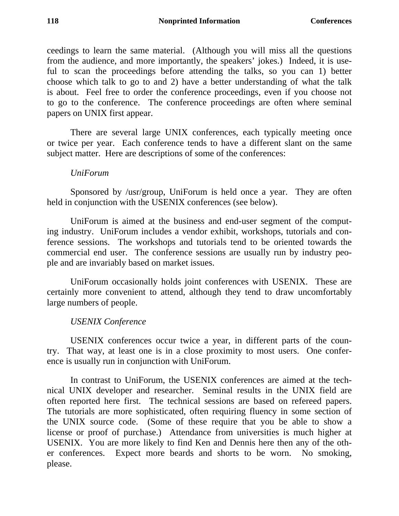ceedings to learn the same material. (Although you will miss all the questions from the audience, and more importantly, the speakers' jokes.) Indeed, it is useful to scan the proceedings before attending the talks, so you can 1) better choose which talk to go to and 2) have a better understanding of what the talk is about. Feel free to order the conference proceedings, even if you choose not to go to the conference. The conference proceedings are often where seminal papers on UNIX first appear.

There are several large UNIX conferences, each typically meeting once or twice per year. Each conference tends to have a different slant on the same subject matter. Here are descriptions of some of the conferences:

## *UniForum*

Sponsored by /usr/group, UniForum is held once a year. They are often held in conjunction with the USENIX conferences (see below).

UniForum is aimed at the business and end-user segment of the computing industry. UniForum includes a vendor exhibit, workshops, tutorials and conference sessions. The workshops and tutorials tend to be oriented towards the commercial end user. The conference sessions are usually run by industry people and are invariably based on market issues.

UniForum occasionally holds joint conferences with USENIX. These are certainly more convenient to attend, although they tend to draw uncomfortably large numbers of people.

# *USENIX Conference*

USENIX conferences occur twice a year, in different parts of the country. That way, at least one is in a close proximity to most users. One conference is usually run in conjunction with UniForum.

In contrast to UniForum, the USENIX conferences are aimed at the technical UNIX developer and researcher. Seminal results in the UNIX field are often reported here first. The technical sessions are based on refereed papers. The tutorials are more sophisticated, often requiring fluency in some section of the UNIX source code. (Some of these require that you be able to show a license or proof of purchase.) Attendance from universities is much higher at USENIX. You are more likely to find Ken and Dennis here then any of the other conferences. Expect more beards and shorts to be worn. No smoking, please.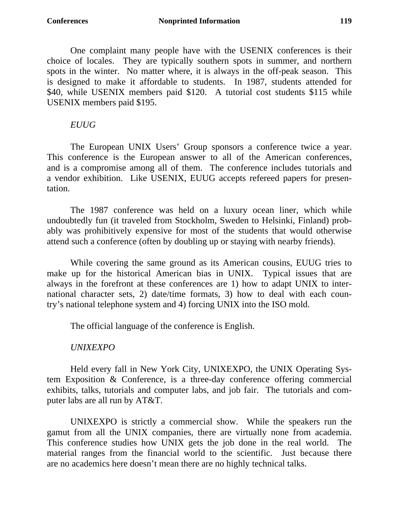One complaint many people have with the USENIX conferences is their choice of locales. They are typically southern spots in summer, and northern spots in the winter. No matter where, it is always in the off-peak season. This is designed to make it affordable to students. In 1987, students attended for \$40, while USENIX members paid \$120. A tutorial cost students \$115 while USENIX members paid \$195.

# *EUUG*

The European UNIX Users' Group sponsors a conference twice a year. This conference is the European answer to all of the American conferences, and is a compromise among all of them. The conference includes tutorials and a vendor exhibition. Like USENIX, EUUG accepts refereed papers for presentation.

The 1987 conference was held on a luxury ocean liner, which while undoubtedly fun (it traveled from Stockholm, Sweden to Helsinki, Finland) probably was prohibitively expensive for most of the students that would otherwise attend such a conference (often by doubling up or staying with nearby friends).

While covering the same ground as its American cousins, EUUG tries to make up for the historical American bias in UNIX. Typical issues that are always in the forefront at these conferences are 1) how to adapt UNIX to international character sets, 2) date/time formats, 3) how to deal with each country's national telephone system and 4) forcing UNIX into the ISO mold.

The official language of the conference is English.

# *UNIXEXPO*

Held every fall in New York City, UNIXEXPO, the UNIX Operating System Exposition & Conference, is a three-day conference offering commercial exhibits, talks, tutorials and computer labs, and job fair. The tutorials and computer labs are all run by AT&T.

UNIXEXPO is strictly a commercial show. While the speakers run the gamut from all the UNIX companies, there are virtually none from academia. This conference studies how UNIX gets the job done in the real world. The material ranges from the financial world to the scientific. Just because there are no academics here doesn't mean there are no highly technical talks.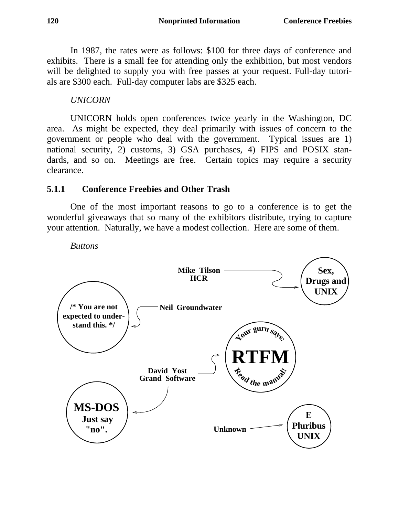In 1987, the rates were as follows: \$100 for three days of conference and exhibits. There is a small fee for attending only the exhibition, but most vendors will be delighted to supply you with free passes at your request. Full-day tutorials are \$300 each. Full-day computer labs are \$325 each.

# *UNICORN*

UNICORN holds open conferences twice yearly in the Washington, DC area. As might be expected, they deal primarily with issues of concern to the government or people who deal with the government. Typical issues are 1) national security, 2) customs, 3) GSA purchases, 4) FIPS and POSIX standards, and so on. Meetings are free. Certain topics may require a security clearance.

# **5.1.1 Conference Freebies and Other Trash**

One of the most important reasons to go to a conference is to get the wonderful giveaways that so many of the exhibitors distribute, trying to capture your attention. Naturally, we have a modest collection. Here are some of them.

*Buttons*

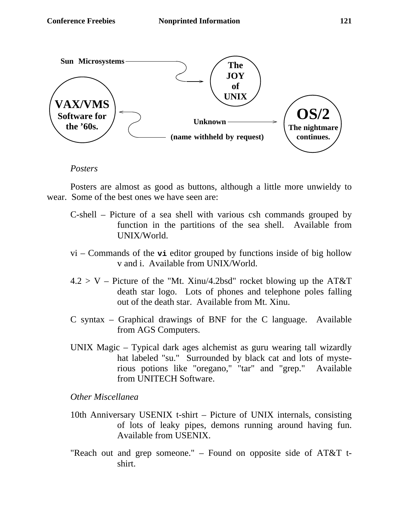

*Posters*

Posters are almost as good as buttons, although a little more unwieldy to wear. Some of the best ones we have seen are:

- C-shell Picture of a sea shell with various csh commands grouped by function in the partitions of the sea shell. Available from UNIX/World.
- vi Commands of the **vi** editor grouped by functions inside of big hollow v and i. Available from UNIX/World.
- $4.2 > V$  Picture of the "Mt. Xinu/4.2bsd" rocket blowing up the AT&T death star logo. Lots of phones and telephone poles falling out of the death star. Available from Mt. Xinu.
- C syntax Graphical drawings of BNF for the C language. Available from AGS Computers.
- UNIX Magic Typical dark ages alchemist as guru wearing tall wizardly hat labeled "su." Surrounded by black cat and lots of mysterious potions like "oregano," "tar" and "grep." Available from UNITECH Software.

*Other Miscellanea*

- 10th Anniversary USENIX t-shirt Picture of UNIX internals, consisting of lots of leaky pipes, demons running around having fun. Available from USENIX.
- "Reach out and grep someone." Found on opposite side of AT&T tshirt.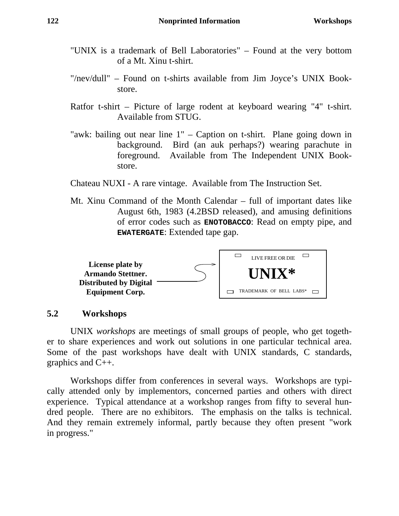- "UNIX is a trademark of Bell Laboratories" Found at the very bottom of a Mt. Xinu t-shirt.
- "/nev/dull" Found on t-shirts available from Jim Joyce's UNIX Bookstore.
- Ratfor t-shirt Picture of large rodent at keyboard wearing "4" t-shirt. Available from STUG.
- "awk: bailing out near line 1" Caption on t-shirt. Plane going down in background. Bird (an auk perhaps?) wearing parachute in foreground. Available from The Independent UNIX Bookstore.

Chateau NUXI - A rare vintage. Available from The Instruction Set.

Mt. Xinu Command of the Month Calendar – full of important dates like August 6th, 1983 (4.2BSD released), and amusing definitions of error codes such as **ENOTOBACCO**: Read on empty pipe, and **EWATERGATE**: Extended tape gap.



# **5.2 Workshops**

UNIX *workshops* are meetings of small groups of people, who get together to share experiences and work out solutions in one particular technical area. Some of the past workshops have dealt with UNIX standards, C standards, graphics and C++.

Workshops differ from conferences in several ways. Workshops are typically attended only by implementors, concerned parties and others with direct experience. Typical attendance at a workshop ranges from fifty to several hundred people. There are no exhibitors. The emphasis on the talks is technical. And they remain extremely informal, partly because they often present "work in progress."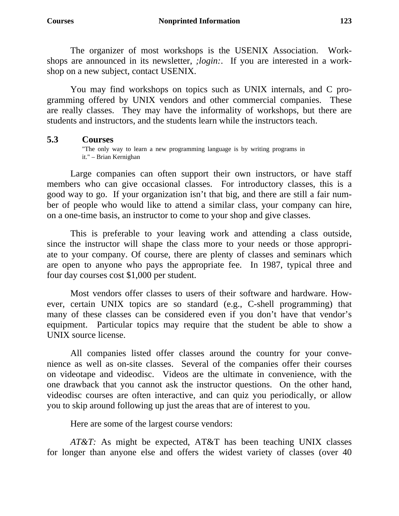The organizer of most workshops is the USENIX Association. Workshops are announced in its newsletter, *;login:*. If you are interested in a workshop on a new subject, contact USENIX.

You may find workshops on topics such as UNIX internals, and C programming offered by UNIX vendors and other commercial companies. These are really classes. They may have the informality of workshops, but there are students and instructors, and the students learn while the instructors teach.

# **5.3 Courses**

"The only way to learn a new programming language is by writing programs in it." – Brian Kernighan

Large companies can often support their own instructors, or have staff members who can give occasional classes. For introductory classes, this is a good way to go. If your organization isn't that big, and there are still a fair number of people who would like to attend a similar class, your company can hire, on a one-time basis, an instructor to come to your shop and give classes.

This is preferable to your leaving work and attending a class outside, since the instructor will shape the class more to your needs or those appropriate to your company. Of course, there are plenty of classes and seminars which are open to anyone who pays the appropriate fee. In 1987, typical three and four day courses cost \$1,000 per student.

Most vendors offer classes to users of their software and hardware. However, certain UNIX topics are so standard (e.g., C-shell programming) that many of these classes can be considered even if you don't have that vendor's equipment. Particular topics may require that the student be able to show a UNIX source license.

All companies listed offer classes around the country for your convenience as well as on-site classes. Several of the companies offer their courses on videotape and videodisc. Videos are the ultimate in convenience, with the one drawback that you cannot ask the instructor questions. On the other hand, videodisc courses are often interactive, and can quiz you periodically, or allow you to skip around following up just the areas that are of interest to you.

Here are some of the largest course vendors:

*AT&T:* As might be expected, AT&T has been teaching UNIX classes for longer than anyone else and offers the widest variety of classes (over 40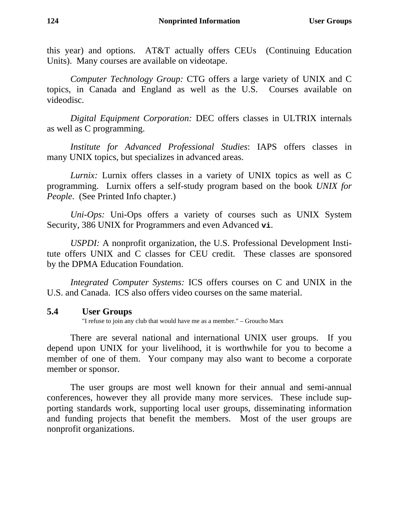this year) and options. AT&T actually offers CEUs (Continuing Education Units). Many courses are available on videotape.

*Computer Technology Group:* CTG offers a large variety of UNIX and C topics, in Canada and England as well as the U.S. Courses available on videodisc.

*Digital Equipment Corporation:* DEC offers classes in ULTRIX internals as well as C programming.

*Institute for Advanced Professional Studies*: IAPS offers classes in many UNIX topics, but specializes in advanced areas.

*Lurnix:* Lurnix offers classes in a variety of UNIX topics as well as C programming. Lurnix offers a self-study program based on the book *UNIX for People*. (See Printed Info chapter.)

*Uni-Ops:* Uni-Ops offers a variety of courses such as UNIX System Security, 386 UNIX for Programmers and even Advanced **vi**.

*USPDI:* A nonprofit organization, the U.S. Professional Development Institute offers UNIX and C classes for CEU credit. These classes are sponsored by the DPMA Education Foundation.

*Integrated Computer Systems:* ICS offers courses on C and UNIX in the U.S. and Canada. ICS also offers video courses on the same material.

# **5.4 User Groups**

"I refuse to join any club that would have me as a member." – Groucho Marx

There are several national and international UNIX user groups. If you depend upon UNIX for your livelihood, it is worthwhile for you to become a member of one of them. Your company may also want to become a corporate member or sponsor.

The user groups are most well known for their annual and semi-annual conferences, however they all provide many more services. These include supporting standards work, supporting local user groups, disseminating information and funding projects that benefit the members. Most of the user groups are nonprofit organizations.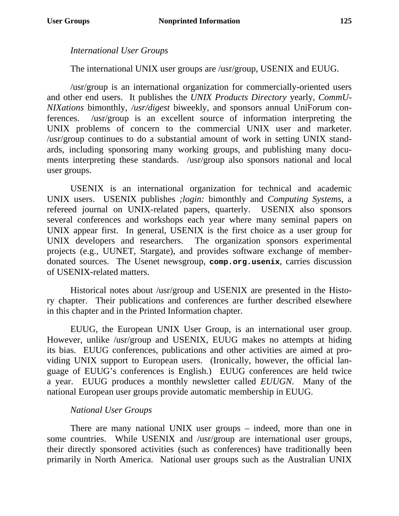### *International User Groups*

The international UNIX user groups are /usr/group, USENIX and EUUG.

/usr/group is an international organization for commercially-oriented users and other end users. It publishes the *UNIX Products Directory* yearly, *CommU-NIXations* bimonthly, */usr/digest* biweekly, and sponsors annual UniForum conferences. /usr/group is an excellent source of information interpreting the UNIX problems of concern to the commercial UNIX user and marketer. /usr/group continues to do a substantial amount of work in setting UNIX standards, including sponsoring many working groups, and publishing many documents interpreting these standards. /usr/group also sponsors national and local user groups.

USENIX is an international organization for technical and academic UNIX users. USENIX publishes *;login:* bimonthly and *Computing Systems*, a refereed journal on UNIX-related papers, quarterly. USENIX also sponsors several conferences and workshops each year where many seminal papers on UNIX appear first. In general, USENIX is the first choice as a user group for UNIX developers and researchers. The organization sponsors experimental projects (e.g., UUNET, Stargate), and provides software exchange of memberdonated sources. The Usenet newsgroup, **comp.org.usenix**, carries discussion of USENIX-related matters.

Historical notes about /usr/group and USENIX are presented in the History chapter. Their publications and conferences are further described elsewhere in this chapter and in the Printed Information chapter.

EUUG, the European UNIX User Group, is an international user group. However, unlike /usr/group and USENIX, EUUG makes no attempts at hiding its bias. EUUG conferences, publications and other activities are aimed at providing UNIX support to European users. (Ironically, however, the official language of EUUG's conferences is English.) EUUG conferences are held twice a year. EUUG produces a monthly newsletter called *EUUGN*. Many of the national European user groups provide automatic membership in EUUG.

### *National User Groups*

There are many national UNIX user groups – indeed, more than one in some countries. While USENIX and /usr/group are international user groups, their directly sponsored activities (such as conferences) have traditionally been primarily in North America. National user groups such as the Australian UNIX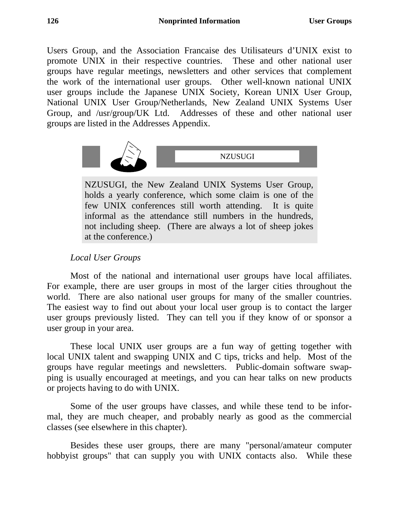Users Group, and the Association Francaise des Utilisateurs d'UNIX exist to promote UNIX in their respective countries. These and other national user groups have regular meetings, newsletters and other services that complement the work of the international user groups. Other well-known national UNIX user groups include the Japanese UNIX Society, Korean UNIX User Group, National UNIX User Group/Netherlands, New Zealand UNIX Systems User Group, and /usr/group/UK Ltd. Addresses of these and other national user groups are listed in the Addresses Appendix.



NZUSUGI, the New Zealand UNIX Systems User Group, holds a yearly conference, which some claim is one of the few UNIX conferences still worth attending. It is quite informal as the attendance still numbers in the hundreds, not including sheep. (There are always a lot of sheep jokes at the conference.)

### *Local User Groups*

Most of the national and international user groups have local affiliates. For example, there are user groups in most of the larger cities throughout the world. There are also national user groups for many of the smaller countries. The easiest way to find out about your local user group is to contact the larger user groups previously listed. They can tell you if they know of or sponsor a user group in your area.

These local UNIX user groups are a fun way of getting together with local UNIX talent and swapping UNIX and C tips, tricks and help. Most of the groups have regular meetings and newsletters. Public-domain software swapping is usually encouraged at meetings, and you can hear talks on new products or projects having to do with UNIX.

Some of the user groups have classes, and while these tend to be informal, they are much cheaper, and probably nearly as good as the commercial classes (see elsewhere in this chapter).

Besides these user groups, there are many "personal/amateur computer hobbyist groups" that can supply you with UNIX contacts also. While these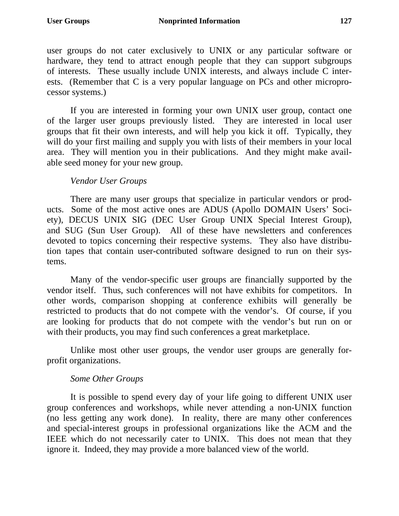user groups do not cater exclusively to UNIX or any particular software or hardware, they tend to attract enough people that they can support subgroups of interests. These usually include UNIX interests, and always include C interests. (Remember that C is a very popular language on PCs and other microprocessor systems.)

If you are interested in forming your own UNIX user group, contact one of the larger user groups previously listed. They are interested in local user groups that fit their own interests, and will help you kick it off. Typically, they will do your first mailing and supply you with lists of their members in your local area. They will mention you in their publications. And they might make available seed money for your new group.

### *Vendor User Groups*

There are many user groups that specialize in particular vendors or products. Some of the most active ones are ADUS (Apollo DOMAIN Users' Society), DECUS UNIX SIG (DEC User Group UNIX Special Interest Group), and SUG (Sun User Group). All of these have newsletters and conferences devoted to topics concerning their respective systems. They also have distribution tapes that contain user-contributed software designed to run on their systems.

Many of the vendor-specific user groups are financially supported by the vendor itself. Thus, such conferences will not have exhibits for competitors. In other words, comparison shopping at conference exhibits will generally be restricted to products that do not compete with the vendor's. Of course, if you are looking for products that do not compete with the vendor's but run on or with their products, you may find such conferences a great marketplace.

Unlike most other user groups, the vendor user groups are generally forprofit organizations.

### *Some Other Groups*

It is possible to spend every day of your life going to different UNIX user group conferences and workshops, while never attending a non-UNIX function (no less getting any work done). In reality, there are many other conferences and special-interest groups in professional organizations like the ACM and the IEEE which do not necessarily cater to UNIX. This does not mean that they ignore it. Indeed, they may provide a more balanced view of the world.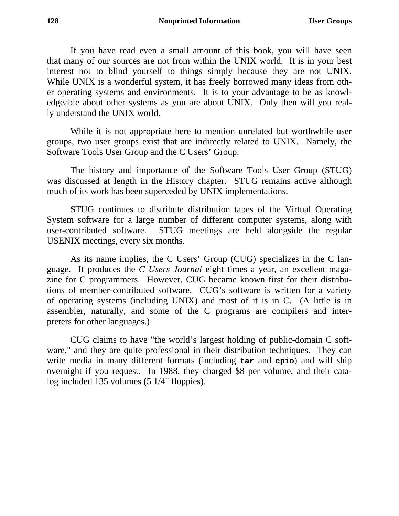If you have read even a small amount of this book, you will have seen that many of our sources are not from within the UNIX world. It is in your best interest not to blind yourself to things simply because they are not UNIX. While UNIX is a wonderful system, it has freely borrowed many ideas from other operating systems and environments. It is to your advantage to be as knowledgeable about other systems as you are about UNIX. Only then will you really understand the UNIX world.

While it is not appropriate here to mention unrelated but worthwhile user groups, two user groups exist that are indirectly related to UNIX. Namely, the Software Tools User Group and the C Users' Group.

The history and importance of the Software Tools User Group (STUG) was discussed at length in the History chapter. STUG remains active although much of its work has been superceded by UNIX implementations.

STUG continues to distribute distribution tapes of the Virtual Operating System software for a large number of different computer systems, along with user-contributed software. STUG meetings are held alongside the regular USENIX meetings, every six months.

As its name implies, the C Users' Group (CUG) specializes in the C language. It produces the *C Users Journal* eight times a year, an excellent magazine for C programmers. However, CUG became known first for their distributions of member-contributed software. CUG's software is written for a variety of operating systems (including UNIX) and most of it is in C. (A little is in assembler, naturally, and some of the C programs are compilers and interpreters for other languages.)

CUG claims to have "the world's largest holding of public-domain C software," and they are quite professional in their distribution techniques. They can write media in many different formats (including **tar** and **cpio**) and will ship overnight if you request. In 1988, they charged \$8 per volume, and their catalog included 135 volumes (5 1/4" floppies).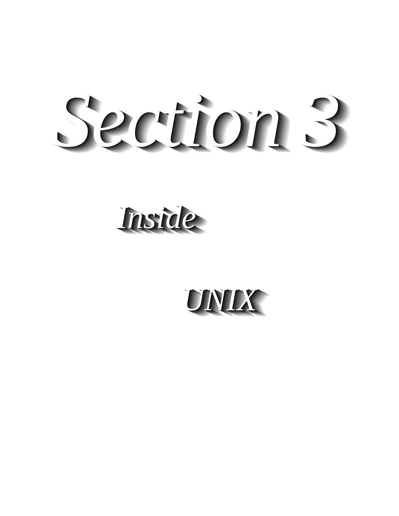Section 3



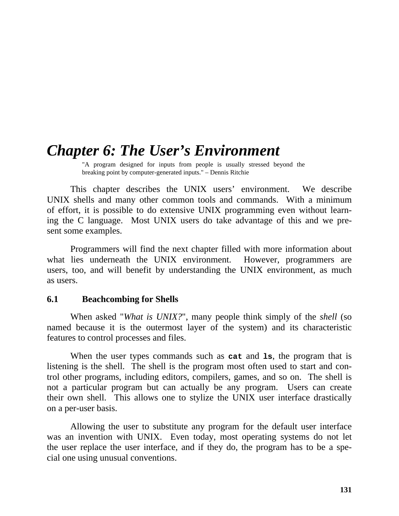# *Chapter 6: The User's Environment*

"A program designed for inputs from people is usually stressed beyond the breaking point by computer-generated inputs." – Dennis Ritchie

This chapter describes the UNIX users' environment. We describe UNIX shells and many other common tools and commands. With a minimum of effort, it is possible to do extensive UNIX programming even without learning the C language. Most UNIX users do take advantage of this and we present some examples.

Programmers will find the next chapter filled with more information about what lies underneath the UNIX environment. However, programmers are users, too, and will benefit by understanding the UNIX environment, as much as users.

### **6.1 Beachcombing for Shells**

When asked "*What is UNIX?*", many people think simply of the *shell* (so named because it is the outermost layer of the system) and its characteristic features to control processes and files.

When the user types commands such as **cat** and **ls**, the program that is listening is the shell. The shell is the program most often used to start and control other programs, including editors, compilers, games, and so on. The shell is not a particular program but can actually be any program. Users can create their own shell. This allows one to stylize the UNIX user interface drastically on a per-user basis.

Allowing the user to substitute any program for the default user interface was an invention with UNIX. Even today, most operating systems do not let the user replace the user interface, and if they do, the program has to be a special one using unusual conventions.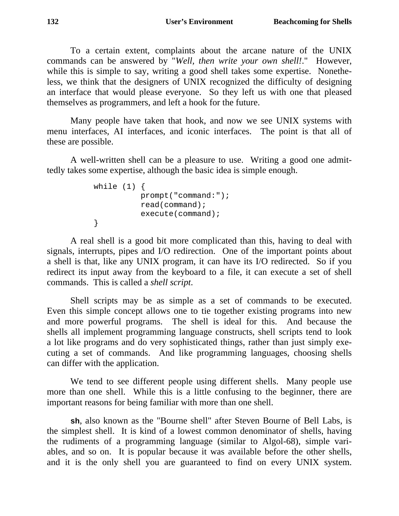To a certain extent, complaints about the arcane nature of the UNIX commands can be answered by "*Well, then write your own shell!*." However, while this is simple to say, writing a good shell takes some expertise. Nonetheless, we think that the designers of UNIX recognized the difficulty of designing an interface that would please everyone. So they left us with one that pleased themselves as programmers, and left a hook for the future.

Many people have taken that hook, and now we see UNIX systems with menu interfaces, AI interfaces, and iconic interfaces. The point is that all of these are possible.

A well-written shell can be a pleasure to use. Writing a good one admittedly takes some expertise, although the basic idea is simple enough.

```
while (1) {
          prompt("command:");
          read(command);
          execute(command);
}
```
A real shell is a good bit more complicated than this, having to deal with signals, interrupts, pipes and I/O redirection. One of the important points about a shell is that, like any UNIX program, it can have its I/O redirected. So if you redirect its input away from the keyboard to a file, it can execute a set of shell commands. This is called a *shell script*.

Shell scripts may be as simple as a set of commands to be executed. Even this simple concept allows one to tie together existing programs into new and more powerful programs. The shell is ideal for this. And because the shells all implement programming language constructs, shell scripts tend to look a lot like programs and do very sophisticated things, rather than just simply executing a set of commands. And like programming languages, choosing shells can differ with the application.

We tend to see different people using different shells. Many people use more than one shell. While this is a little confusing to the beginner, there are important reasons for being familiar with more than one shell.

**sh**, also known as the "Bourne shell" after Steven Bourne of Bell Labs, is the simplest shell. It is kind of a lowest common denominator of shells, having the rudiments of a programming language (similar to Algol-68), simple variables, and so on. It is popular because it was available before the other shells, and it is the only shell you are guaranteed to find on every UNIX system.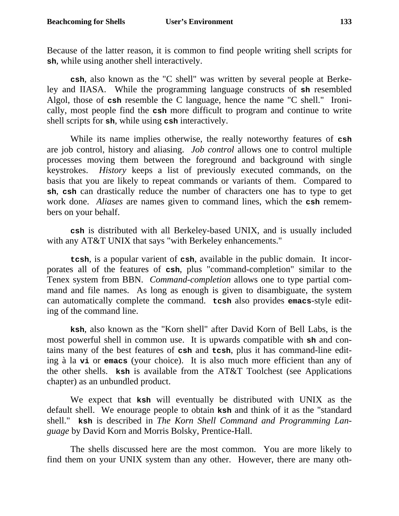Because of the latter reason, it is common to find people writing shell scripts for **sh**, while using another shell interactively.

**csh**, also known as the "C shell" was written by several people at Berkeley and IIASA. While the programming language constructs of **sh** resembled Algol, those of **csh** resemble the C language, hence the name "C shell." Ironically, most people find the **csh** more difficult to program and continue to write shell scripts for **sh**, while using **csh** interactively.

While its name implies otherwise, the really noteworthy features of **csh** are job control, history and aliasing. *Job control* allows one to control multiple processes moving them between the foreground and background with single keystrokes. *History* keeps a list of previously executed commands, on the basis that you are likely to repeat commands or variants of them. Compared to **sh**, **csh** can drastically reduce the number of characters one has to type to get work done. *Aliases* are names given to command lines, which the **csh** remembers on your behalf.

**csh** is distributed with all Berkeley-based UNIX, and is usually included with any AT&T UNIX that says "with Berkeley enhancements."

**tcsh**, is a popular varient of **csh**, available in the public domain. It incorporates all of the features of **csh**, plus "command-completion" similar to the Tenex system from BBN. *Command-completion* allows one to type partial command and file names. As long as enough is given to disambiguate, the system can automatically complete the command. **tcsh** also provides **emacs**-style editing of the command line.

**ksh**, also known as the "Korn shell" after David Korn of Bell Labs, is the most powerful shell in common use. It is upwards compatible with **sh** and contains many of the best features of **csh** and **tcsh**, plus it has command-line editing à la **vi** or **emacs** (your choice). It is also much more efficient than any of the other shells. **ksh** is available from the AT&T Toolchest (see Applications chapter) as an unbundled product.

We expect that **ksh** will eventually be distributed with UNIX as the default shell. We enourage people to obtain **ksh** and think of it as the "standard shell." **ksh** is described in *The Korn Shell Command and Programming Language* by David Korn and Morris Bolsky, Prentice-Hall.

The shells discussed here are the most common. You are more likely to find them on your UNIX system than any other. However, there are many oth-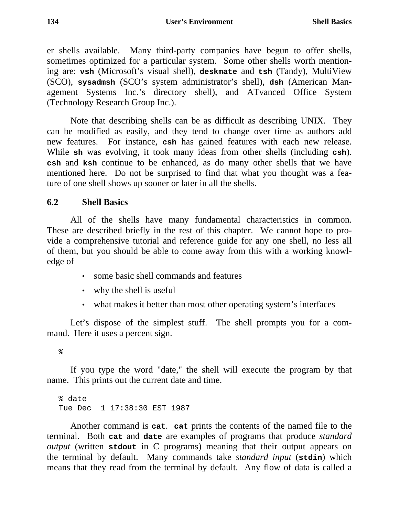er shells available. Many third-party companies have begun to offer shells, sometimes optimized for a particular system. Some other shells worth mentioning are: **vsh** (Microsoft's visual shell), **deskmate** and **tsh** (Tandy), MultiView (SCO), **sysadmsh** (SCO's system administrator's shell), **dsh** (American Management Systems Inc.'s directory shell), and ATvanced Office System (Technology Research Group Inc.).

Note that describing shells can be as difficult as describing UNIX. They can be modified as easily, and they tend to change over time as authors add new features. For instance, **csh** has gained features with each new release. While **sh** was evolving, it took many ideas from other shells (including **csh**). **csh** and **ksh** continue to be enhanced, as do many other shells that we have mentioned here. Do not be surprised to find that what you thought was a feature of one shell shows up sooner or later in all the shells.

### **6.2 Shell Basics**

All of the shells have many fundamental characteristics in common. These are described briefly in the rest of this chapter. We cannot hope to provide a comprehensive tutorial and reference guide for any one shell, no less all of them, but you should be able to come away from this with a working knowledge of

- some basic shell commands and features
- why the shell is useful
- what makes it better than most other operating system's interfaces

Let's dispose of the simplest stuff. The shell prompts you for a command. Here it uses a percent sign.

%

If you type the word "date," the shell will execute the program by that name. This prints out the current date and time.

% date Tue Dec 1 17:38:30 EST 1987

Another command is **cat**. **cat** prints the contents of the named file to the terminal. Both **cat** and **date** are examples of programs that produce *standard output* (written **stdout** in C programs) meaning that their output appears on the terminal by default. Many commands take *standard input* (**stdin**) which means that they read from the terminal by default. Any flow of data is called a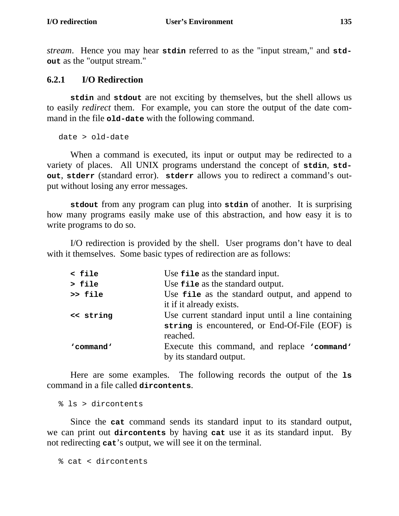*stream*. Hence you may hear **stdin** referred to as the "input stream," and **stdout** as the "output stream."

# **6.2.1 I/O Redirection**

**stdin** and **stdout** are not exciting by themselves, but the shell allows us to easily *redirect* them. For example, you can store the output of the date command in the file **old-date** with the following command.

```
date > old-date
```
When a command is executed, its input or output may be redirected to a variety of places. All UNIX programs understand the concept of **stdin**, **stdout**, **stderr** (standard error). **stderr** allows you to redirect a command's output without losing any error messages.

**stdout** from any program can plug into **stdin** of another. It is surprising how many programs easily make use of this abstraction, and how easy it is to write programs to do so.

I/O redirection is provided by the shell. User programs don't have to deal with it themselves. Some basic types of redirection are as follows:

| < file    | Use file as the standard input.                    |
|-----------|----------------------------------------------------|
| > file    | Use file as the standard output.                   |
| >> file   | Use file as the standard output, and append to     |
|           | it if it already exists.                           |
| << string | Use current standard input until a line containing |
|           | string is encountered, or End-Of-File (EOF) is     |
|           | reached.                                           |
| 'command' | Execute this command, and replace <b>'command'</b> |
|           | by its standard output.                            |

Here are some examples. The following records the output of the **ls** command in a file called **dircontents**.

% ls > dircontents

Since the **cat** command sends its standard input to its standard output, we can print out **dircontents** by having **cat** use it as its standard input. By not redirecting **cat**'s output, we will see it on the terminal.

% cat < dircontents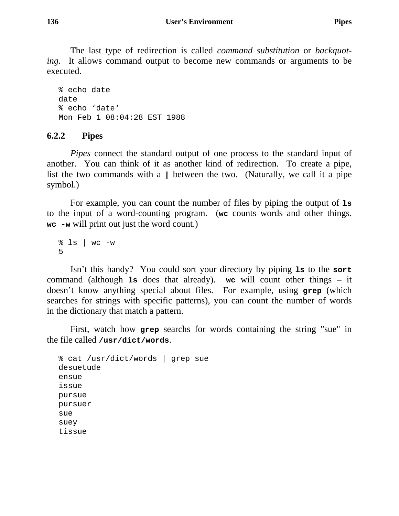The last type of redirection is called *command substitution* or *backquoting*. It allows command output to become new commands or arguments to be executed.

```
% echo date
date
% echo 'date'
Mon Feb 1 08:04:28 EST 1988
```
# **6.2.2 Pipes**

*Pipes* connect the standard output of one process to the standard input of another. You can think of it as another kind of redirection. To create a pipe, list the two commands with a **|** between the two. (Naturally, we call it a pipe symbol.)

For example, you can count the number of files by piping the output of **ls** to the input of a word-counting program. (**wc** counts words and other things. **wc -w** will print out just the word count.)

% ls | wc -w 5

Isn't this handy? You could sort your directory by piping **ls** to the **sort** command (although **ls** does that already). **wc** will count other things – it doesn't know anything special about files. For example, using **grep** (which searches for strings with specific patterns), you can count the number of words in the dictionary that match a pattern.

First, watch how **grep** searchs for words containing the string "sue" in the file called **/usr/dict/words**.

```
% cat /usr/dict/words | grep sue
desuetude
ensue
issue
pursue
pursuer
sue
suey
tissue
```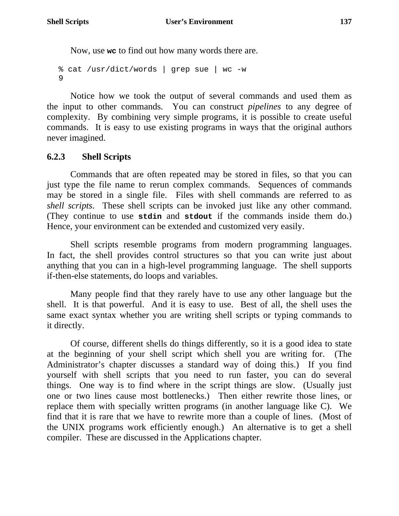Now, use **wc** to find out how many words there are.

```
% cat /usr/dict/words | grep sue | wc -w
9
```
Notice how we took the output of several commands and used them as the input to other commands. You can construct *pipelines* to any degree of complexity. By combining very simple programs, it is possible to create useful commands. It is easy to use existing programs in ways that the original authors never imagined.

# **6.2.3 Shell Scripts**

Commands that are often repeated may be stored in files, so that you can just type the file name to rerun complex commands. Sequences of commands may be stored in a single file. Files with shell commands are referred to as *shell scripts*. These shell scripts can be invoked just like any other command. (They continue to use **stdin** and **stdout** if the commands inside them do.) Hence, your environment can be extended and customized very easily.

Shell scripts resemble programs from modern programming languages. In fact, the shell provides control structures so that you can write just about anything that you can in a high-level programming language. The shell supports if-then-else statements, do loops and variables.

Many people find that they rarely have to use any other language but the shell. It is that powerful. And it is easy to use. Best of all, the shell uses the same exact syntax whether you are writing shell scripts or typing commands to it directly.

Of course, different shells do things differently, so it is a good idea to state at the beginning of your shell script which shell you are writing for. (The Administrator's chapter discusses a standard way of doing this.) If you find yourself with shell scripts that you need to run faster, you can do several things. One way is to find where in the script things are slow. (Usually just one or two lines cause most bottlenecks.) Then either rewrite those lines, or replace them with specially written programs (in another language like C). We find that it is rare that we have to rewrite more than a couple of lines. (Most of the UNIX programs work efficiently enough.) An alternative is to get a shell compiler. These are discussed in the Applications chapter.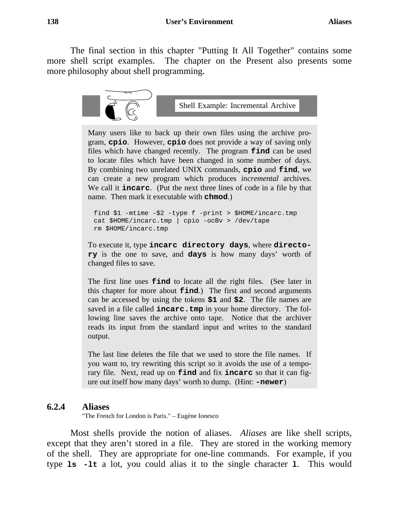The final section in this chapter "Putting It All Together" contains some more shell script examples. The chapter on the Present also presents some more philosophy about shell programming.



Shell Example: Incremental Archive

Many users like to back up their own files using the archive program, **cpio**. However, **cpio** does not provide a way of saving only files which have changed recently. The program **find** can be used to locate files which have been changed in some number of days. By combining two unrelated UNIX commands, **cpio** and **find**, we can create a new program which produces *incremental* archives. We call it **incarc**. (Put the next three lines of code in a file by that name. Then mark it executable with **chmod**.)

find \$1 -mtime -\$2 -type f -print > \$HOME/incarc.tmp cat \$HOME/incarc.tmp | cpio -ocBv > /dev/tape rm \$HOME/incarc.tmp

To execute it, type **incarc directory days**, where **directory** is the one to save, and **days** is how many days' worth of changed files to save.

The first line uses **find** to locate all the right files. (See later in this chapter for more about **find**.) The first and second arguments can be accessed by using the tokens **\$1** and **\$2**. The file names are saved in a file called **incarc.tmp** in your home directory. The following line saves the archive onto tape. Notice that the archiver reads its input from the standard input and writes to the standard output.

The last line deletes the file that we used to store the file names. If you want to, try rewriting this script so it avoids the use of a temporary file. Next, read up on **find** and fix **incarc** so that it can figure out itself how many days' worth to dump. (Hint: **-newer**)

### **6.2.4 Aliases**

"The French for London is Paris." – Eugène Ionesco

Most shells provide the notion of aliases. *Aliases* are like shell scripts, except that they aren't stored in a file. They are stored in the working memory of the shell. They are appropriate for one-line commands. For example, if you type **ls -lt** a lot, you could alias it to the single character **l**. This would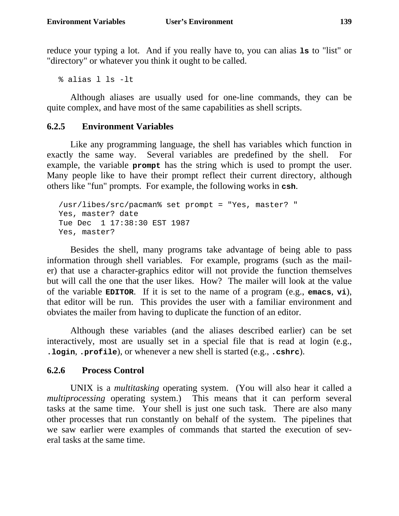reduce your typing a lot. And if you really have to, you can alias **ls** to "list" or "directory" or whatever you think it ought to be called.

% alias l ls -lt

Although aliases are usually used for one-line commands, they can be quite complex, and have most of the same capabilities as shell scripts.

## **6.2.5 Environment Variables**

Like any programming language, the shell has variables which function in exactly the same way. Several variables are predefined by the shell. For example, the variable **prompt** has the string which is used to prompt the user. Many people like to have their prompt reflect their current directory, although others like "fun" prompts. For example, the following works in **csh**.

```
/usr/libes/src/pacman% set prompt = "Yes, master? "
Yes, master? date
Tue Dec 1 17:38:30 EST 1987
Yes, master?
```
Besides the shell, many programs take advantage of being able to pass information through shell variables. For example, programs (such as the mailer) that use a character-graphics editor will not provide the function themselves but will call the one that the user likes. How? The mailer will look at the value of the variable **EDITOR**. If it is set to the name of a program (e.g., **emacs**, **vi**), that editor will be run. This provides the user with a familiar environment and obviates the mailer from having to duplicate the function of an editor.

Although these variables (and the aliases described earlier) can be set interactively, most are usually set in a special file that is read at login (e.g., **.login**, **.profile**), or whenever a new shell is started (e.g., **.cshrc**).

## **6.2.6 Process Control**

UNIX is a *multitasking* operating system. (You will also hear it called a *multiprocessing* operating system.) This means that it can perform several tasks at the same time. Your shell is just one such task. There are also many other processes that run constantly on behalf of the system. The pipelines that we saw earlier were examples of commands that started the execution of several tasks at the same time.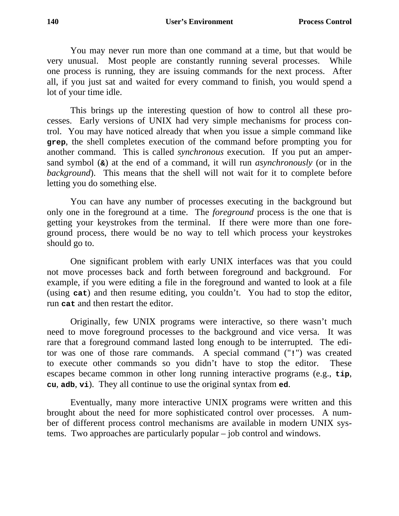You may never run more than one command at a time, but that would be very unusual. Most people are constantly running several processes. While one process is running, they are issuing commands for the next process. After all, if you just sat and waited for every command to finish, you would spend a lot of your time idle.

This brings up the interesting question of how to control all these processes. Early versions of UNIX had very simple mechanisms for process control. You may have noticed already that when you issue a simple command like **grep**, the shell completes execution of the command before prompting you for another command. This is called *synchronous* execution. If you put an ampersand symbol (**&**) at the end of a command, it will run *asynchronously* (or in the *background*). This means that the shell will not wait for it to complete before letting you do something else.

You can have any number of processes executing in the background but only one in the foreground at a time. The *foreground* process is the one that is getting your keystrokes from the terminal. If there were more than one foreground process, there would be no way to tell which process your keystrokes should go to.

One significant problem with early UNIX interfaces was that you could not move processes back and forth between foreground and background. For example, if you were editing a file in the foreground and wanted to look at a file (using **cat**) and then resume editing, you couldn't. You had to stop the editor, run **cat** and then restart the editor.

Originally, few UNIX programs were interactive, so there wasn't much need to move foreground processes to the background and vice versa. It was rare that a foreground command lasted long enough to be interrupted. The editor was one of those rare commands. A special command ("**!**") was created to execute other commands so you didn't have to stop the editor. These escapes became common in other long running interactive programs (e.g., **tip**, **cu**, **adb**, **vi**). They all continue to use the original syntax from **ed**.

Eventually, many more interactive UNIX programs were written and this brought about the need for more sophisticated control over processes. A number of different process control mechanisms are available in modern UNIX systems. Two approaches are particularly popular – job control and windows.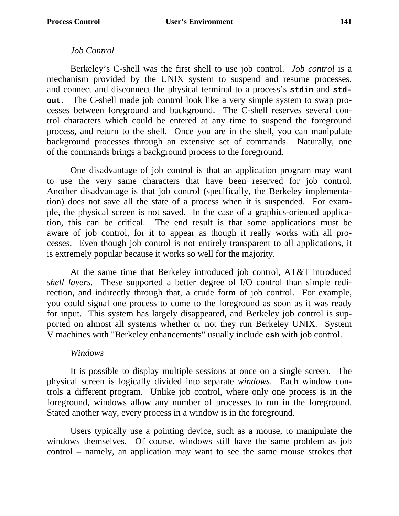# *Job Control*

Berkeley's C-shell was the first shell to use job control. *Job control* is a mechanism provided by the UNIX system to suspend and resume processes, and connect and disconnect the physical terminal to a process's **stdin** and **stdout**. The C-shell made job control look like a very simple system to swap processes between foreground and background. The C-shell reserves several control characters which could be entered at any time to suspend the foreground process, and return to the shell. Once you are in the shell, you can manipulate background processes through an extensive set of commands. Naturally, one of the commands brings a background process to the foreground.

One disadvantage of job control is that an application program may want to use the very same characters that have been reserved for job control. Another disadvantage is that job control (specifically, the Berkeley implementation) does not save all the state of a process when it is suspended. For example, the physical screen is not saved. In the case of a graphics-oriented application, this can be critical. The end result is that some applications must be aware of job control, for it to appear as though it really works with all processes. Even though job control is not entirely transparent to all applications, it is extremely popular because it works so well for the majority.

At the same time that Berkeley introduced job control, AT&T introduced *shell layers*. These supported a better degree of I/O control than simple redirection, and indirectly through that, a crude form of job control. For example, you could signal one process to come to the foreground as soon as it was ready for input. This system has largely disappeared, and Berkeley job control is supported on almost all systems whether or not they run Berkeley UNIX. System V machines with "Berkeley enhancements" usually include **csh** with job control.

### *Windows*

It is possible to display multiple sessions at once on a single screen. The physical screen is logically divided into separate *windows*. Each window controls a different program. Unlike job control, where only one process is in the foreground, windows allow any number of processes to run in the foreground. Stated another way, every process in a window is in the foreground.

Users typically use a pointing device, such as a mouse, to manipulate the windows themselves. Of course, windows still have the same problem as job control – namely, an application may want to see the same mouse strokes that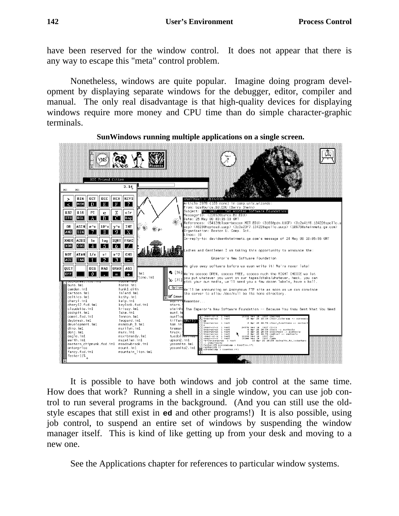have been reserved for the window control. It does not appear that there is any way to escape this "meta" control problem.

Nonetheless, windows are quite popular. Imagine doing program development by displaying separate windows for the debugger, editor, compiler and manual. The only real disadvantage is that high-quality devices for displaying windows require more money and CPU time than do simple character-graphic terminals.



**SunWindows running multiple applications on a single screen.**

It is possible to have both windows and job control at the same time. How does that work? Running a shell in a single window, you can use job control to run several programs in the background. (And you can still use the oldstyle escapes that still exist in **ed** and other programs!) It is also possible, using job control, to suspend an entire set of windows by suspending the window manager itself. This is kind of like getting up from your desk and moving to a new one.

See the Applications chapter for references to particular window systems.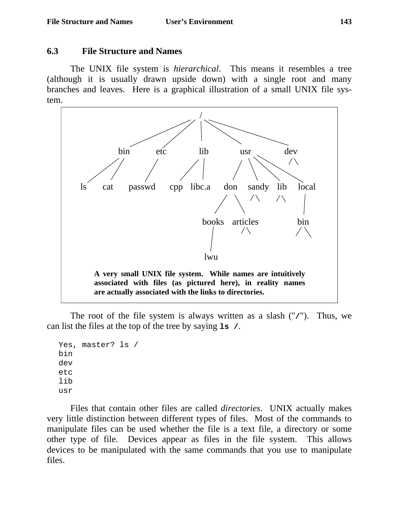## **6.3 File Structure and Names**

The UNIX file system is *hierarchical*. This means it resembles a tree (although it is usually drawn upside down) with a single root and many branches and leaves. Here is a graphical illustration of a small UNIX file system.



The root of the file system is always written as a slash ("**/**"). Thus, we can list the files at the top of the tree by saying **ls /**.

```
Yes, master? ls /
bin
dev
etc
lib
usr
```
Files that contain other files are called *directories*. UNIX actually makes very little distinction between different types of files. Most of the commands to manipulate files can be used whether the file is a text file, a directory or some other type of file. Devices appear as files in the file system. This allows devices to be manipulated with the same commands that you use to manipulate files.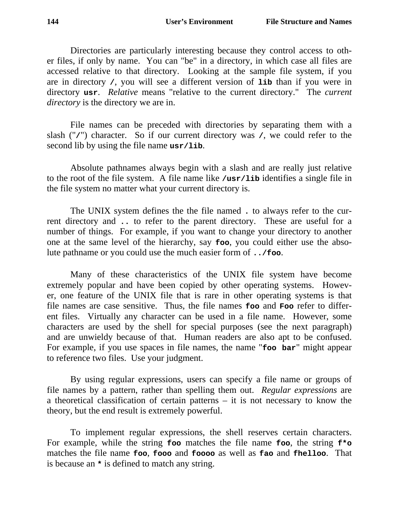Directories are particularly interesting because they control access to other files, if only by name. You can "be" in a directory, in which case all files are accessed relative to that directory. Looking at the sample file system, if you are in directory **/**, you will see a different version of **lib** than if you were in directory **usr**. *Relative* means "relative to the current directory." The *current directory* is the directory we are in.

File names can be preceded with directories by separating them with a slash ("**/**") character. So if our current directory was **/**, we could refer to the second lib by using the file name **usr/lib**.

Absolute pathnames always begin with a slash and are really just relative to the root of the file system. A file name like **/usr/lib** identifies a single file in the file system no matter what your current directory is.

The UNIX system defines the the file named **.** to always refer to the current directory and **..** to refer to the parent directory. These are useful for a number of things. For example, if you want to change your directory to another one at the same level of the hierarchy, say **foo**, you could either use the absolute pathname or you could use the much easier form of **../foo**.

Many of these characteristics of the UNIX file system have become extremely popular and have been copied by other operating systems. However, one feature of the UNIX file that is rare in other operating systems is that file names are case sensitive. Thus, the file names **foo** and **Foo** refer to different files. Virtually any character can be used in a file name. However, some characters are used by the shell for special purposes (see the next paragraph) and are unwieldy because of that. Human readers are also apt to be confused. For example, if you use spaces in file names, the name "**foo bar**" might appear to reference two files. Use your judgment.

By using regular expressions, users can specify a file name or groups of file names by a pattern, rather than spelling them out. *Regular expressions* are a theoretical classification of certain patterns – it is not necessary to know the theory, but the end result is extremely powerful.

To implement regular expressions, the shell reserves certain characters. For example, while the string **foo** matches the file name **foo**, the string **f\*o** matches the file name **foo**, **fooo** and **foooo** as well as **fao** and **fhelloo**. That is because an **\*** is defined to match any string.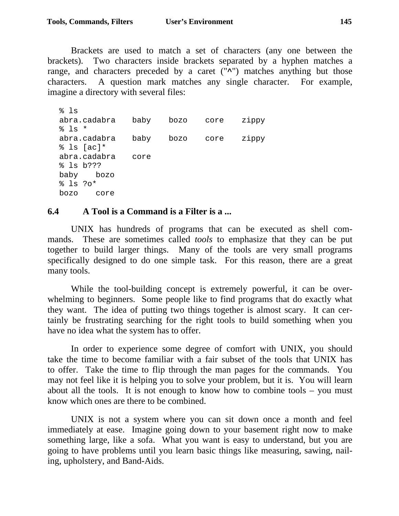Brackets are used to match a set of characters (any one between the brackets). Two characters inside brackets separated by a hyphen matches a range, and characters preceded by a caret ("**^**") matches anything but those characters. A question mark matches any single character. For example, imagine a directory with several files:

% ls abra.cadabra baby bozo core zippy  $%$  ls  $*$ abra.cadabra baby bozo core zippy % ls [ac]\* abra.cadabra core % ls b??? baby bozo % ls ?o\* bozo core

### **6.4 A Tool is a Command is a Filter is a ...**

UNIX has hundreds of programs that can be executed as shell commands. These are sometimes called *tools* to emphasize that they can be put together to build larger things. Many of the tools are very small programs specifically designed to do one simple task. For this reason, there are a great many tools.

While the tool-building concept is extremely powerful, it can be overwhelming to beginners. Some people like to find programs that do exactly what they want. The idea of putting two things together is almost scary. It can certainly be frustrating searching for the right tools to build something when you have no idea what the system has to offer.

In order to experience some degree of comfort with UNIX, you should take the time to become familiar with a fair subset of the tools that UNIX has to offer. Take the time to flip through the man pages for the commands. You may not feel like it is helping you to solve your problem, but it is. You will learn about all the tools. It is not enough to know how to combine tools – you must know which ones are there to be combined.

UNIX is not a system where you can sit down once a month and feel immediately at ease. Imagine going down to your basement right now to make something large, like a sofa. What you want is easy to understand, but you are going to have problems until you learn basic things like measuring, sawing, nailing, upholstery, and Band-Aids.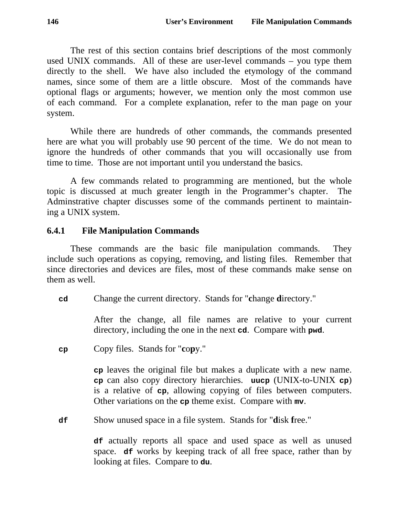The rest of this section contains brief descriptions of the most commonly used UNIX commands. All of these are user-level commands – you type them directly to the shell. We have also included the etymology of the command names, since some of them are a little obscure. Most of the commands have optional flags or arguments; however, we mention only the most common use of each command. For a complete explanation, refer to the man page on your system.

While there are hundreds of other commands, the commands presented here are what you will probably use 90 percent of the time. We do not mean to ignore the hundreds of other commands that you will occasionally use from time to time. Those are not important until you understand the basics.

A few commands related to programming are mentioned, but the whole topic is discussed at much greater length in the Programmer's chapter. The Adminstrative chapter discusses some of the commands pertinent to maintaining a UNIX system.

### **6.4.1 File Manipulation Commands**

These commands are the basic file manipulation commands. They include such operations as copying, removing, and listing files. Remember that since directories and devices are files, most of these commands make sense on them as well.

**cd** Change the current directory. Stands for "**c**hange **d**irectory."

After the change, all file names are relative to your current directory, including the one in the next **cd**. Compare with **pwd**.

**cp** Copy files. Stands for "**c**o**p**y."

**cp** leaves the original file but makes a duplicate with a new name. **cp** can also copy directory hierarchies. **uucp** (UNIX-to-UNIX **cp**) is a relative of **cp**, allowing copying of files between computers. Other variations on the **cp** theme exist. Compare with **mv**.

**df** Show unused space in a file system. Stands for "**d**isk **f**ree."

**df** actually reports all space and used space as well as unused space. **df** works by keeping track of all free space, rather than by looking at files. Compare to **du**.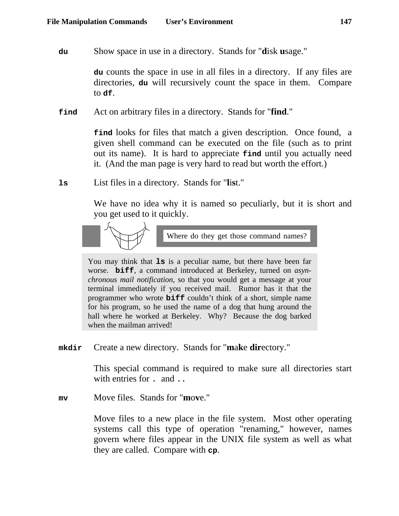**du** Show space in use in a directory. Stands for "**d**isk **u**sage."

**du** counts the space in use in all files in a directory. If any files are directories, **du** will recursively count the space in them. Compare to **df**.

**find** Act on arbitrary files in a directory. Stands for "**find**."

**find** looks for files that match a given description. Once found, a given shell command can be executed on the file (such as to print out its name). It is hard to appreciate **find** until you actually need it. (And the man page is very hard to read but worth the effort.)

**ls** List files in a directory. Stands for "**l**i**s**t."

We have no idea why it is named so peculiarly, but it is short and you get used to it quickly.



Where do they get those command names?

You may think that **ls** is a peculiar name, but there have been far worse. **biff**, a command introduced at Berkeley, turned on *asynchronous mail notification*, so that you would get a message at your terminal immediately if you received mail. Rumor has it that the programmer who wrote **biff** couldn't think of a short, simple name for his program, so he used the name of a dog that hung around the hall where he worked at Berkeley. Why? Because the dog barked when the mailman arrived!

**mkdir** Create a new directory. Stands for "**m**a**k**e **dir**ectory."

This special command is required to make sure all directories start with entries for **.** and **..**

**mv** Move files. Stands for "**m**o**v**e."

Move files to a new place in the file system. Most other operating systems call this type of operation "renaming," however, names govern where files appear in the UNIX file system as well as what they are called. Compare with **cp**.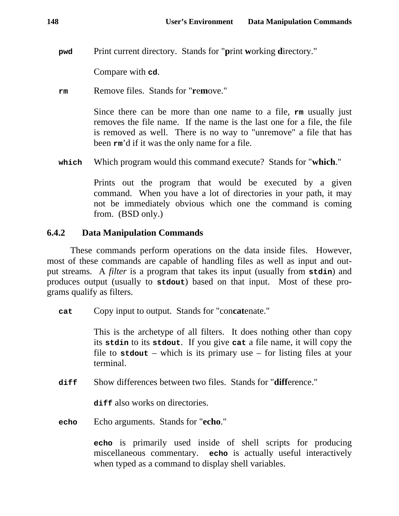**pwd** Print current directory. Stands for "**p**rint **w**orking **d**irectory."

Compare with **cd**.

**rm** Remove files. Stands for "**r**e**m**ove."

Since there can be more than one name to a file, **rm** usually just removes the file name. If the name is the last one for a file, the file is removed as well. There is no way to "unremove" a file that has been **rm**'d if it was the only name for a file.

**which** Which program would this command execute? Stands for "**which**."

Prints out the program that would be executed by a given command. When you have a lot of directories in your path, it may not be immediately obvious which one the command is coming from. (BSD only.)

### **6.4.2 Data Manipulation Commands**

These commands perform operations on the data inside files. However, most of these commands are capable of handling files as well as input and output streams. A *filter* is a program that takes its input (usually from **stdin**) and produces output (usually to **stdout**) based on that input. Most of these programs qualify as filters.

**cat** Copy input to output. Stands for "con**cat**enate."

This is the archetype of all filters. It does nothing other than copy its **stdin** to its **stdout**. If you give **cat** a file name, it will copy the file to **stdout** – which is its primary use – for listing files at your terminal.

**diff** Show differences between two files. Stands for "**diff**erence."

**diff** also works on directories.

**echo** Echo arguments. Stands for "**echo**."

**echo** is primarily used inside of shell scripts for producing miscellaneous commentary. **echo** is actually useful interactively when typed as a command to display shell variables.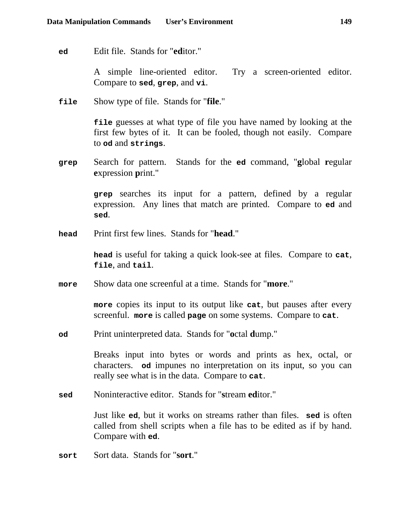**ed** Edit file. Stands for "**ed**itor."

A simple line-oriented editor. Try a screen-oriented editor. Compare to **sed**, **grep**, and **vi**.

**file** Show type of file. Stands for "**file**."

**file** guesses at what type of file you have named by looking at the first few bytes of it. It can be fooled, though not easily. Compare to **od** and **strings**.

**grep** Search for pattern. Stands for the **ed** command, "**g**lobal **r**egular **e**xpression **p**rint."

> **grep** searches its input for a pattern, defined by a regular expression. Any lines that match are printed. Compare to **ed** and **sed**.

**head** Print first few lines. Stands for "**head**."

**head** is useful for taking a quick look-see at files. Compare to **cat**, **file**, and **tail**.

**more** Show data one screenful at a time. Stands for "**more**."

**more** copies its input to its output like **cat**, but pauses after every screenful. **more** is called **page** on some systems. Compare to **cat**.

**od** Print uninterpreted data. Stands for "**o**ctal **d**ump."

Breaks input into bytes or words and prints as hex, octal, or characters. **od** impunes no interpretation on its input, so you can really see what is in the data. Compare to **cat**.

**sed** Noninteractive editor. Stands for "**s**tream **ed**itor."

Just like **ed**, but it works on streams rather than files. **sed** is often called from shell scripts when a file has to be edited as if by hand. Compare with **ed**.

**sort** Sort data. Stands for "**sort**."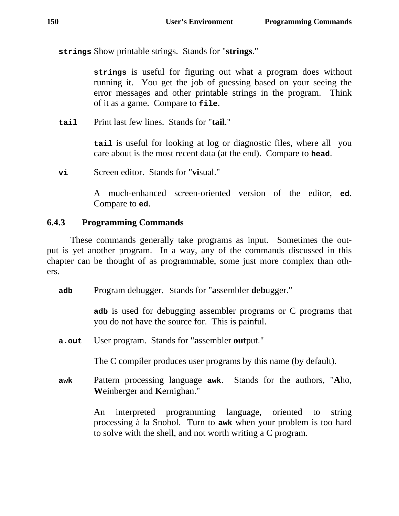**strings** Show printable strings. Stands for "**strings**."

**strings** is useful for figuring out what a program does without running it. You get the job of guessing based on your seeing the error messages and other printable strings in the program. Think of it as a game. Compare to **file**.

**tail** Print last few lines. Stands for "**tail**."

**tail** is useful for looking at log or diagnostic files, where all you care about is the most recent data (at the end). Compare to **head**.

**vi** Screen editor. Stands for "**vi**sual."

A much-enhanced screen-oriented version of the editor, **ed**. Compare to **ed**.

### **6.4.3 Programming Commands**

These commands generally take programs as input. Sometimes the output is yet another program. In a way, any of the commands discussed in this chapter can be thought of as programmable, some just more complex than others.

**adb** Program debugger. Stands for "**a**ssembler **d**e**b**ugger."

**adb** is used for debugging assembler programs or C programs that you do not have the source for. This is painful.

**a.out** User program. Stands for "**a**ssembler **out**put."

The C compiler produces user programs by this name (by default).

**awk** Pattern processing language **awk**. Stands for the authors, "**A**ho, **W**einberger and **K**ernighan."

> An interpreted programming language, oriented to string processing à la Snobol. Turn to **awk** when your problem is too hard to solve with the shell, and not worth writing a C program.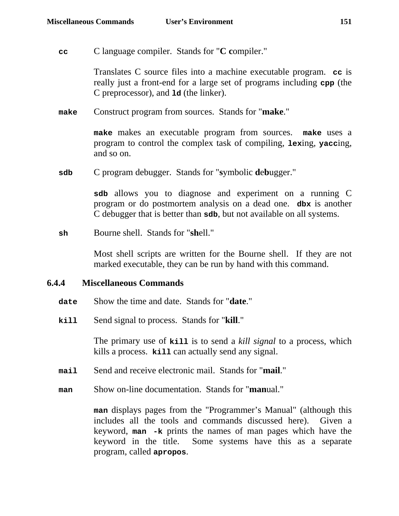**cc** C language compiler. Stands for "**C c**ompiler."

Translates C source files into a machine executable program. **cc** is really just a front-end for a large set of programs including **cpp** (the C preprocessor), and **ld** (the linker).

**make** Construct program from sources. Stands for "**make**."

**make** makes an executable program from sources. **make** uses a program to control the complex task of compiling, **lex**ing, **yacc**ing, and so on.

**sdb** C program debugger. Stands for "**s**ymbolic **d**e**b**ugger."

**sdb** allows you to diagnose and experiment on a running C program or do postmortem analysis on a dead one. **dbx** is another C debugger that is better than **sdb**, but not available on all systems.

**sh** Bourne shell. Stands for "**sh**ell."

Most shell scripts are written for the Bourne shell. If they are not marked executable, they can be run by hand with this command.

### **6.4.4 Miscellaneous Commands**

- **date** Show the time and date. Stands for "**date**."
- **kill** Send signal to process. Stands for "**kill**."

The primary use of **kill** is to send a *kill signal* to a process, which kills a process. **kill** can actually send any signal.

- **mail** Send and receive electronic mail. Stands for "**mail**."
- **man** Show on-line documentation. Stands for "**man**ual."

**man** displays pages from the "Programmer's Manual" (although this includes all the tools and commands discussed here). Given a keyword, **man -k** prints the names of man pages which have the keyword in the title. Some systems have this as a separate program, called **apropos**.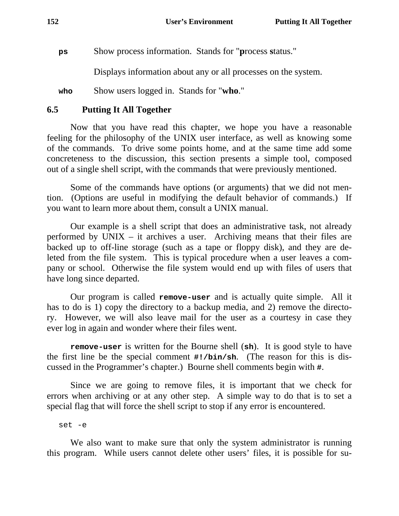**ps** Show process information. Stands for "**p**rocess **s**tatus."

Displays information about any or all processes on the system.

**who** Show users logged in. Stands for "**who**."

# **6.5 Putting It All Together**

Now that you have read this chapter, we hope you have a reasonable feeling for the philosophy of the UNIX user interface, as well as knowing some of the commands. To drive some points home, and at the same time add some concreteness to the discussion, this section presents a simple tool, composed out of a single shell script, with the commands that were previously mentioned.

Some of the commands have options (or arguments) that we did not mention. (Options are useful in modifying the default behavior of commands.) If you want to learn more about them, consult a UNIX manual.

Our example is a shell script that does an administrative task, not already performed by UNIX – it archives a user. Archiving means that their files are backed up to off-line storage (such as a tape or floppy disk), and they are deleted from the file system. This is typical procedure when a user leaves a company or school. Otherwise the file system would end up with files of users that have long since departed.

Our program is called **remove-user** and is actually quite simple. All it has to do is 1) copy the directory to a backup media, and 2) remove the directory. However, we will also leave mail for the user as a courtesy in case they ever log in again and wonder where their files went.

**remove-user** is written for the Bourne shell (**sh**). It is good style to have the first line be the special comment **#!/bin/sh**. (The reason for this is discussed in the Programmer's chapter.) Bourne shell comments begin with **#**.

Since we are going to remove files, it is important that we check for errors when archiving or at any other step. A simple way to do that is to set a special flag that will force the shell script to stop if any error is encountered.

set -e

We also want to make sure that only the system administrator is running this program. While users cannot delete other users' files, it is possible for su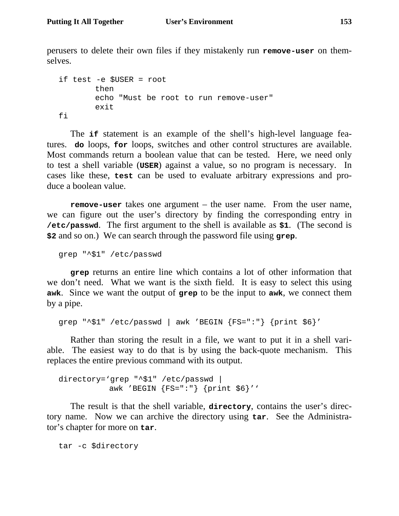perusers to delete their own files if they mistakenly run **remove-user** on themselves.

```
if test -e $USER = root
       then
        echo "Must be root to run remove-user"
        exit
fi
```
The **if** statement is an example of the shell's high-level language features. **do** loops, **for** loops, switches and other control structures are available. Most commands return a boolean value that can be tested. Here, we need only to test a shell variable (**USER**) against a value, so no program is necessary. In cases like these, **test** can be used to evaluate arbitrary expressions and produce a boolean value.

**remove-user** takes one argument – the user name. From the user name, we can figure out the user's directory by finding the corresponding entry in **/etc/passwd**. The first argument to the shell is available as **\$1**. (The second is **\$2** and so on.) We can search through the password file using **grep**.

grep "^\$1" /etc/passwd

**grep** returns an entire line which contains a lot of other information that we don't need. What we want is the sixth field. It is easy to select this using **awk**. Since we want the output of **grep** to be the input to **awk**, we connect them by a pipe.

grep "^\$1" /etc/passwd | awk 'BEGIN {FS=":"} {print \$6}'

Rather than storing the result in a file, we want to put it in a shell variable. The easiest way to do that is by using the back-quote mechanism. This replaces the entire previous command with its output.

```
directory='grep "^$1" /etc/passwd |
            awk 'BEGIN {FS=":"} {print $6}''
```
The result is that the shell variable, **directory**, contains the user's directory name. Now we can archive the directory using **tar**. See the Administrator's chapter for more on **tar**.

tar -c \$directory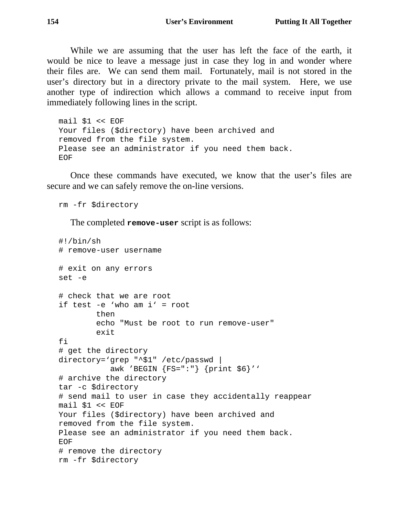While we are assuming that the user has left the face of the earth, it would be nice to leave a message just in case they log in and wonder where their files are. We can send them mail. Fortunately, mail is not stored in the user's directory but in a directory private to the mail system. Here, we use another type of indirection which allows a command to receive input from immediately following lines in the script.

```
mail $1 << EOF
Your files ($directory) have been archived and
removed from the file system.
Please see an administrator if you need them back.
EOF
```
Once these commands have executed, we know that the user's files are secure and we can safely remove the on-line versions.

```
rm -fr $directory
```
The completed **remove-user** script is as follows:

```
#!/bin/sh
# remove-user username
# exit on any errors
set -e
# check that we are root
if test -e 'who am i' = root
         then
         echo "Must be root to run remove-user"
         exit
fi
# get the directory
directory='grep "^$1" /etc/passwd |
            awk 'BEGIN {FS=":"} {print $6}''
# archive the directory
tar -c $directory
# send mail to user in case they accidentally reappear
mail $1 << EOF
Your files ($directory) have been archived and
removed from the file system.
Please see an administrator if you need them back.
EOF
# remove the directory
rm -fr $directory
```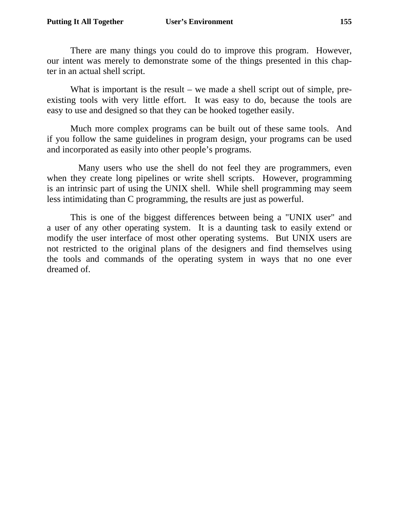There are many things you could do to improve this program. However, our intent was merely to demonstrate some of the things presented in this chapter in an actual shell script.

What is important is the result – we made a shell script out of simple, preexisting tools with very little effort. It was easy to do, because the tools are easy to use and designed so that they can be hooked together easily.

Much more complex programs can be built out of these same tools. And if you follow the same guidelines in program design, your programs can be used and incorporated as easily into other people's programs.

 Many users who use the shell do not feel they are programmers, even when they create long pipelines or write shell scripts. However, programming is an intrinsic part of using the UNIX shell. While shell programming may seem less intimidating than C programming, the results are just as powerful.

This is one of the biggest differences between being a "UNIX user" and a user of any other operating system. It is a daunting task to easily extend or modify the user interface of most other operating systems. But UNIX users are not restricted to the original plans of the designers and find themselves using the tools and commands of the operating system in ways that no one ever dreamed of.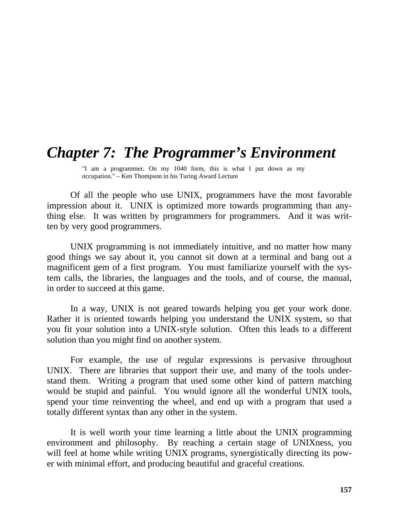# *Chapter 7: The Programmer's Environment*

"I am a programmer. On my 1040 form, this is what I put down as my occupation." – Ken Thompson in his Turing Award Lecture

Of all the people who use UNIX, programmers have the most favorable impression about it. UNIX is optimized more towards programming than anything else. It was written by programmers for programmers. And it was written by very good programmers.

UNIX programming is not immediately intuitive, and no matter how many good things we say about it, you cannot sit down at a terminal and bang out a magnificent gem of a first program. You must familiarize yourself with the system calls, the libraries, the languages and the tools, and of course, the manual, in order to succeed at this game.

In a way, UNIX is not geared towards helping you get your work done. Rather it is oriented towards helping you understand the UNIX system, so that you fit your solution into a UNIX-style solution. Often this leads to a different solution than you might find on another system.

For example, the use of regular expressions is pervasive throughout UNIX. There are libraries that support their use, and many of the tools understand them. Writing a program that used some other kind of pattern matching would be stupid and painful. You would ignore all the wonderful UNIX tools, spend your time reinventing the wheel, and end up with a program that used a totally different syntax than any other in the system.

It is well worth your time learning a little about the UNIX programming environment and philosophy. By reaching a certain stage of UNIXness, you will feel at home while writing UNIX programs, synergistically directing its power with minimal effort, and producing beautiful and graceful creations.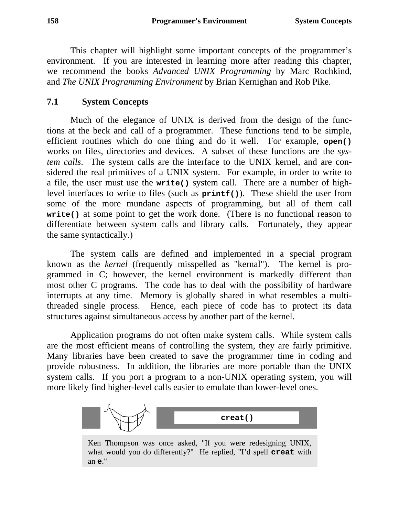This chapter will highlight some important concepts of the programmer's environment. If you are interested in learning more after reading this chapter, we recommend the books *Advanced UNIX Programming* by Marc Rochkind, and *The UNIX Programming Environment* by Brian Kernighan and Rob Pike.

### **7.1 System Concepts**

Much of the elegance of UNIX is derived from the design of the functions at the beck and call of a programmer. These functions tend to be simple, efficient routines which do one thing and do it well. For example, **open()** works on files, directories and devices. A subset of these functions are the *system calls*. The system calls are the interface to the UNIX kernel, and are considered the real primitives of a UNIX system. For example, in order to write to a file, the user must use the **write()** system call. There are a number of highlevel interfaces to write to files (such as **printf()**). These shield the user from some of the more mundane aspects of programming, but all of them call write() at some point to get the work done. (There is no functional reason to differentiate between system calls and library calls. Fortunately, they appear the same syntactically.)

The system calls are defined and implemented in a special program known as the *kernel* (frequently misspelled as "kernal"). The kernel is programmed in C; however, the kernel environment is markedly different than most other C programs. The code has to deal with the possibility of hardware interrupts at any time. Memory is globally shared in what resembles a multithreaded single process. Hence, each piece of code has to protect its data structures against simultaneous access by another part of the kernel.

Application programs do not often make system calls. While system calls are the most efficient means of controlling the system, they are fairly primitive. Many libraries have been created to save the programmer time in coding and provide robustness. In addition, the libraries are more portable than the UNIX system calls. If you port a program to a non-UNIX operating system, you will more likely find higher-level calls easier to emulate than lower-level ones.



Ken Thompson was once asked, "If you were redesigning UNIX, what would you do differently?" He replied, "I'd spell **creat** with an **e**."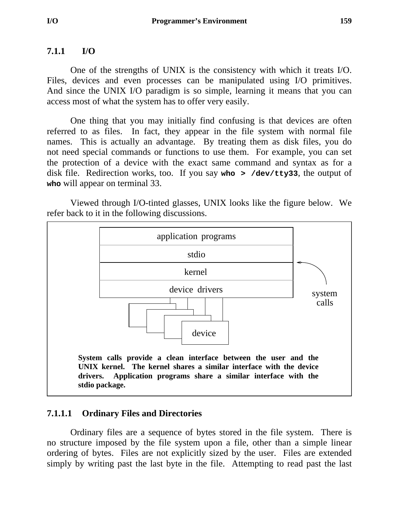### **7.1.1 I/O**

One of the strengths of UNIX is the consistency with which it treats I/O. Files, devices and even processes can be manipulated using I/O primitives. And since the UNIX I/O paradigm is so simple, learning it means that you can access most of what the system has to offer very easily.

One thing that you may initially find confusing is that devices are often referred to as files. In fact, they appear in the file system with normal file names. This is actually an advantage. By treating them as disk files, you do not need special commands or functions to use them. For example, you can set the protection of a device with the exact same command and syntax as for a disk file. Redirection works, too. If you say **who > /dev/tty33**, the output of **who** will appear on terminal 33.

Viewed through I/O-tinted glasses, UNIX looks like the figure below. We refer back to it in the following discussions.



### **7.1.1.1 Ordinary Files and Directories**

Ordinary files are a sequence of bytes stored in the file system. There is no structure imposed by the file system upon a file, other than a simple linear ordering of bytes. Files are not explicitly sized by the user. Files are extended simply by writing past the last byte in the file. Attempting to read past the last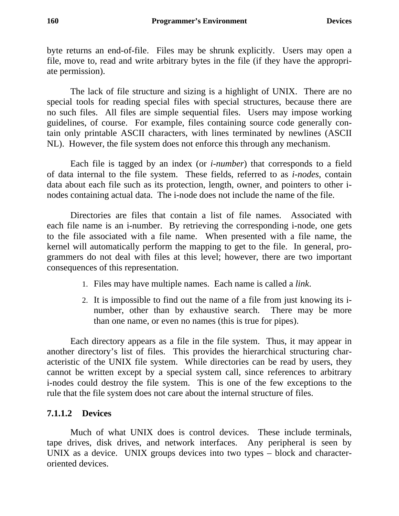byte returns an end-of-file. Files may be shrunk explicitly. Users may open a file, move to, read and write arbitrary bytes in the file (if they have the appropriate permission).

The lack of file structure and sizing is a highlight of UNIX. There are no special tools for reading special files with special structures, because there are no such files. All files are simple sequential files. Users may impose working guidelines, of course. For example, files containing source code generally contain only printable ASCII characters, with lines terminated by newlines (ASCII NL). However, the file system does not enforce this through any mechanism.

Each file is tagged by an index (or *i-number*) that corresponds to a field of data internal to the file system. These fields, referred to as *i-nodes*, contain data about each file such as its protection, length, owner, and pointers to other inodes containing actual data. The i-node does not include the name of the file.

Directories are files that contain a list of file names. Associated with each file name is an i-number. By retrieving the corresponding i-node, one gets to the file associated with a file name. When presented with a file name, the kernel will automatically perform the mapping to get to the file. In general, programmers do not deal with files at this level; however, there are two important consequences of this representation.

- 1. Files may have multiple names. Each name is called a *link*.
- 2. It is impossible to find out the name of a file from just knowing its inumber, other than by exhaustive search. There may be more than one name, or even no names (this is true for pipes).

Each directory appears as a file in the file system. Thus, it may appear in another directory's list of files. This provides the hierarchical structuring characteristic of the UNIX file system. While directories can be read by users, they cannot be written except by a special system call, since references to arbitrary i-nodes could destroy the file system. This is one of the few exceptions to the rule that the file system does not care about the internal structure of files.

### **7.1.1.2 Devices**

Much of what UNIX does is control devices. These include terminals, tape drives, disk drives, and network interfaces. Any peripheral is seen by UNIX as a device. UNIX groups devices into two types – block and characteroriented devices.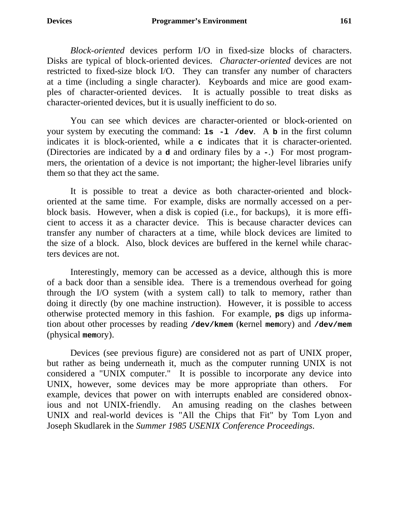*Block-oriented* devices perform I/O in fixed-size blocks of characters. Disks are typical of block-oriented devices. *Character-oriented* devices are not restricted to fixed-size block I/O. They can transfer any number of characters at a time (including a single character). Keyboards and mice are good examples of character-oriented devices. It is actually possible to treat disks as character-oriented devices, but it is usually inefficient to do so.

You can see which devices are character-oriented or block-oriented on your system by executing the command: **ls -l /dev**. A **b** in the first column indicates it is block-oriented, while a **c** indicates that it is character-oriented. (Directories are indicated by a **d** and ordinary files by a **-**.) For most programmers, the orientation of a device is not important; the higher-level libraries unify them so that they act the same.

It is possible to treat a device as both character-oriented and blockoriented at the same time. For example, disks are normally accessed on a perblock basis. However, when a disk is copied (i.e., for backups), it is more efficient to access it as a character device. This is because character devices can transfer any number of characters at a time, while block devices are limited to the size of a block. Also, block devices are buffered in the kernel while characters devices are not.

Interestingly, memory can be accessed as a device, although this is more of a back door than a sensible idea. There is a tremendous overhead for going through the I/O system (with a system call) to talk to memory, rather than doing it directly (by one machine instruction). However, it is possible to access otherwise protected memory in this fashion. For example, **ps** digs up information about other processes by reading **/dev/kmem** (**k**ernel **mem**ory) and **/dev/mem** (physical **mem**ory).

Devices (see previous figure) are considered not as part of UNIX proper, but rather as being underneath it, much as the computer running UNIX is not considered a "UNIX computer." It is possible to incorporate any device into UNIX, however, some devices may be more appropriate than others. For example, devices that power on with interrupts enabled are considered obnoxious and not UNIX-friendly. An amusing reading on the clashes between UNIX and real-world devices is "All the Chips that Fit" by Tom Lyon and Joseph Skudlarek in the *Summer 1985 USENIX Conference Proceedings*.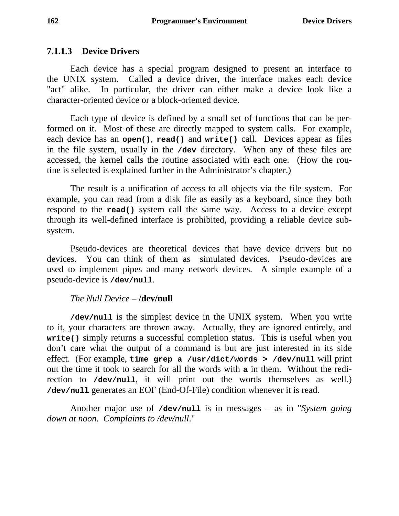# **7.1.1.3 Device Drivers**

Each device has a special program designed to present an interface to the UNIX system. Called a device driver, the interface makes each device "act" alike. In particular, the driver can either make a device look like a character-oriented device or a block-oriented device.

Each type of device is defined by a small set of functions that can be performed on it. Most of these are directly mapped to system calls. For example, each device has an **open()**, **read()** and **write()** call. Devices appear as files in the file system, usually in the **/dev** directory. When any of these files are accessed, the kernel calls the routine associated with each one. (How the routine is selected is explained further in the Administrator's chapter.)

The result is a unification of access to all objects via the file system. For example, you can read from a disk file as easily as a keyboard, since they both respond to the **read()** system call the same way. Access to a device except through its well-defined interface is prohibited, providing a reliable device subsystem.

Pseudo-devices are theoretical devices that have device drivers but no devices. You can think of them as simulated devices. Pseudo-devices are used to implement pipes and many network devices. A simple example of a pseudo-device is **/dev/null**.

# *The Null Device –* **/dev/null**

**/dev/null** is the simplest device in the UNIX system. When you write to it, your characters are thrown away. Actually, they are ignored entirely, and **write()** simply returns a successful completion status. This is useful when you don't care what the output of a command is but are just interested in its side effect. (For example, **time grep a /usr/dict/words > /dev/null** will print out the time it took to search for all the words with **a** in them. Without the redirection to **/dev/null**, it will print out the words themselves as well.) **/dev/null** generates an EOF (End-Of-File) condition whenever it is read.

Another major use of **/dev/null** is in messages – as in "*System going down at noon. Complaints to /dev/null*."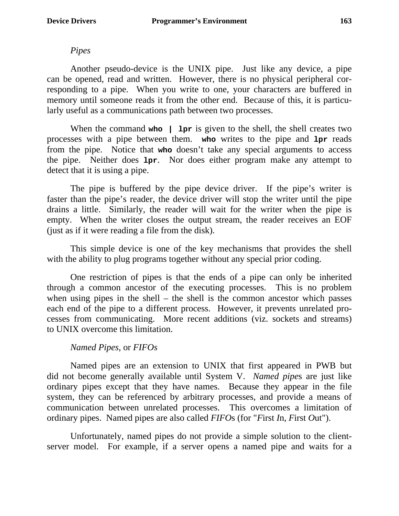## *Pipes*

Another pseudo-device is the UNIX pipe. Just like any device, a pipe can be opened, read and written. However, there is no physical peripheral corresponding to a pipe. When you write to one, your characters are buffered in memory until someone reads it from the other end. Because of this, it is particularly useful as a communications path between two processes.

When the command who  $\vert$  **lpr** is given to the shell, the shell creates two processes with a pipe between them. **who** writes to the pipe and **lpr** reads from the pipe. Notice that **who** doesn't take any special arguments to access the pipe. Neither does **lpr**. Nor does either program make any attempt to detect that it is using a pipe.

The pipe is buffered by the pipe device driver. If the pipe's writer is faster than the pipe's reader, the device driver will stop the writer until the pipe drains a little. Similarly, the reader will wait for the writer when the pipe is empty. When the writer closes the output stream, the reader receives an EOF (just as if it were reading a file from the disk).

This simple device is one of the key mechanisms that provides the shell with the ability to plug programs together without any special prior coding.

One restriction of pipes is that the ends of a pipe can only be inherited through a common ancestor of the executing processes. This is no problem when using pipes in the shell – the shell is the common ancestor which passes each end of the pipe to a different process. However, it prevents unrelated processes from communicating. More recent additions (viz. sockets and streams) to UNIX overcome this limitation.

## *Named Pipes*, or *FIFOs*

Named pipes are an extension to UNIX that first appeared in PWB but did not become generally available until System V. *Named pipe*s are just like ordinary pipes except that they have names. Because they appear in the file system, they can be referenced by arbitrary processes, and provide a means of communication between unrelated processes. This overcomes a limitation of ordinary pipes. Named pipes are also called *FIFO*s (for "*F*irst *I*n, *F*irst *O*ut").

Unfortunately, named pipes do not provide a simple solution to the clientserver model. For example, if a server opens a named pipe and waits for a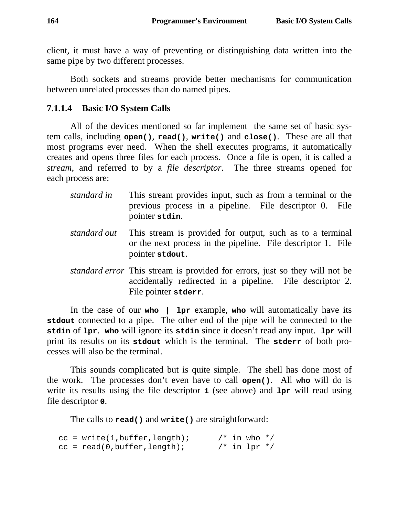client, it must have a way of preventing or distinguishing data written into the same pipe by two different processes.

Both sockets and streams provide better mechanisms for communication between unrelated processes than do named pipes.

# **7.1.1.4 Basic I/O System Calls**

All of the devices mentioned so far implement the same set of basic system calls, including **open()**, **read()**, **write()** and **close()**. These are all that most programs ever need. When the shell executes programs, it automatically creates and opens three files for each process. Once a file is open, it is called a *stream*, and referred to by a *file descriptor*. The three streams opened for each process are:

- *standard in* This stream provides input, such as from a terminal or the previous process in a pipeline. File descriptor 0. File pointer **stdin**.
- *standard out* This stream is provided for output, such as to a terminal or the next process in the pipeline. File descriptor 1. File pointer **stdout**.
- *standard error* This stream is provided for errors, just so they will not be accidentally redirected in a pipeline. File descriptor 2. File pointer **stderr**.

In the case of our **who | lpr** example, **who** will automatically have its **stdout** connected to a pipe. The other end of the pipe will be connected to the **stdin** of **lpr**. **who** will ignore its **stdin** since it doesn't read any input. **lpr** will print its results on its **stdout** which is the terminal. The **stderr** of both processes will also be the terminal.

This sounds complicated but is quite simple. The shell has done most of the work. The processes don't even have to call **open()**. All **who** will do is write its results using the file descriptor **1** (see above) and **lpr** will read using file descriptor **0**.

The calls to **read()** and **write()** are straightforward:

```
cc = \text{write}(1, \text{buffer}, \text{length}); /* in who */
cc = read(0, buffer, length); /* in lpr */
```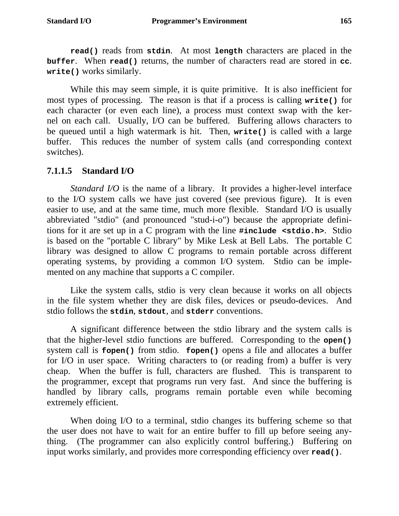**read()** reads from **stdin**. At most **length** characters are placed in the **buffer**. When **read()** returns, the number of characters read are stored in **cc**. **write()** works similarly.

While this may seem simple, it is quite primitive. It is also inefficient for most types of processing. The reason is that if a process is calling **write()** for each character (or even each line), a process must context swap with the kernel on each call. Usually, I/O can be buffered. Buffering allows characters to be queued until a high watermark is hit. Then, **write()** is called with a large buffer. This reduces the number of system calls (and corresponding context switches).

## **7.1.1.5 Standard I/O**

*Standard I/O* is the name of a library. It provides a higher-level interface to the I/O system calls we have just covered (see previous figure). It is even easier to use, and at the same time, much more flexible. Standard I/O is usually abbreviated "stdio" (and pronounced "stud-i-o") because the appropriate definitions for it are set up in a C program with the line **#include <stdio.h>**. Stdio is based on the "portable C library" by Mike Lesk at Bell Labs. The portable C library was designed to allow C programs to remain portable across different operating systems, by providing a common I/O system. Stdio can be implemented on any machine that supports a C compiler.

Like the system calls, stdio is very clean because it works on all objects in the file system whether they are disk files, devices or pseudo-devices. And stdio follows the **stdin**, **stdout**, and **stderr** conventions.

A significant difference between the stdio library and the system calls is that the higher-level stdio functions are buffered. Corresponding to the **open()** system call is **fopen()** from stdio. **fopen()** opens a file and allocates a buffer for I/O in user space. Writing characters to (or reading from) a buffer is very cheap. When the buffer is full, characters are flushed. This is transparent to the programmer, except that programs run very fast. And since the buffering is handled by library calls, programs remain portable even while becoming extremely efficient.

When doing I/O to a terminal, stdio changes its buffering scheme so that the user does not have to wait for an entire buffer to fill up before seeing anything. (The programmer can also explicitly control buffering.) Buffering on input works similarly, and provides more corresponding efficiency over **read()**.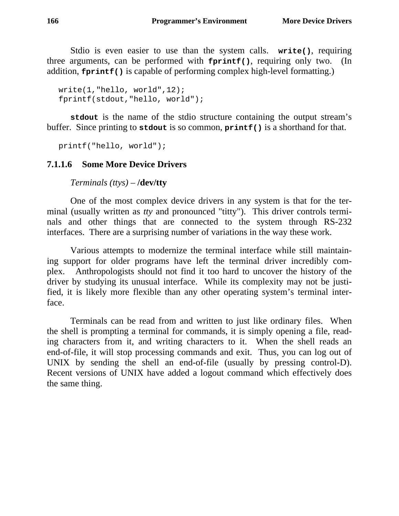Stdio is even easier to use than the system calls. **write()**, requiring three arguments, can be performed with **fprintf()**, requiring only two. (In addition, **fprintf()** is capable of performing complex high-level formatting.)

write(1,"hello, world",12); fprintf(stdout,"hello, world");

**stdout** is the name of the stdio structure containing the output stream's buffer. Since printing to **stdout** is so common, **printf()** is a shorthand for that.

printf("hello, world");

## **7.1.1.6 Some More Device Drivers**

*Terminals (ttys) –* **/dev/tty**

One of the most complex device drivers in any system is that for the terminal (usually written as *tty* and pronounced "titty"). This driver controls terminals and other things that are connected to the system through RS-232 interfaces. There are a surprising number of variations in the way these work.

Various attempts to modernize the terminal interface while still maintaining support for older programs have left the terminal driver incredibly complex. Anthropologists should not find it too hard to uncover the history of the driver by studying its unusual interface. While its complexity may not be justified, it is likely more flexible than any other operating system's terminal interface.

Terminals can be read from and written to just like ordinary files. When the shell is prompting a terminal for commands, it is simply opening a file, reading characters from it, and writing characters to it. When the shell reads an end-of-file, it will stop processing commands and exit. Thus, you can log out of UNIX by sending the shell an end-of-file (usually by pressing control-D). Recent versions of UNIX have added a logout command which effectively does the same thing.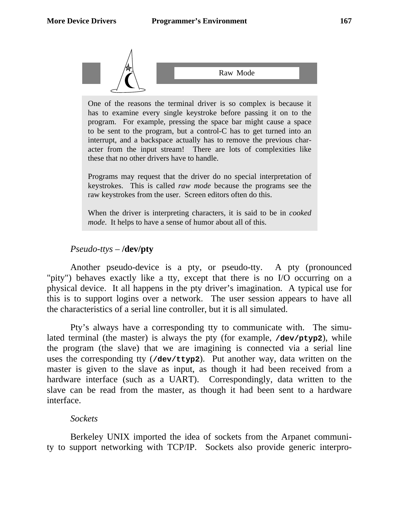

One of the reasons the terminal driver is so complex is because it has to examine every single keystroke before passing it on to the program. For example, pressing the space bar might cause a space to be sent to the program, but a control-C has to get turned into an interrupt, and a backspace actually has to remove the previous character from the input stream! There are lots of complexities like these that no other drivers have to handle.

Programs may request that the driver do no special interpretation of keystrokes. This is called *raw mode* because the programs see the raw keystrokes from the user. Screen editors often do this.

When the driver is interpreting characters, it is said to be in *cooked mode*. It helps to have a sense of humor about all of this.

## *Pseudo-ttys –* **/dev/pty**

Another pseudo-device is a pty, or pseudo-tty. A pty (pronounced "pity") behaves exactly like a tty, except that there is no I/O occurring on a physical device. It all happens in the pty driver's imagination. A typical use for this is to support logins over a network. The user session appears to have all the characteristics of a serial line controller, but it is all simulated.

Pty's always have a corresponding tty to communicate with. The simulated terminal (the master) is always the pty (for example, **/dev/ptyp2**), while the program (the slave) that we are imagining is connected via a serial line uses the corresponding tty (**/dev/ttyp2**). Put another way, data written on the master is given to the slave as input, as though it had been received from a hardware interface (such as a UART). Correspondingly, data written to the slave can be read from the master, as though it had been sent to a hardware interface.

#### *Sockets*

Berkeley UNIX imported the idea of sockets from the Arpanet community to support networking with TCP/IP. Sockets also provide generic interpro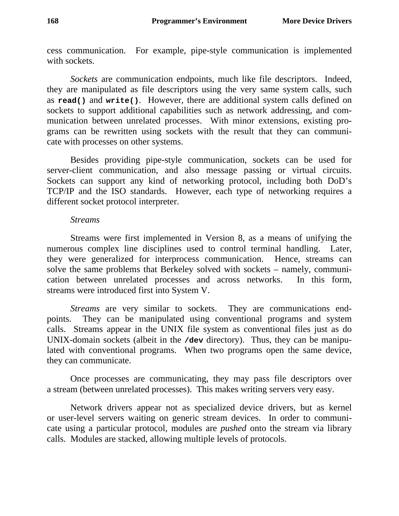cess communication. For example, pipe-style communication is implemented with sockets.

*Sockets* are communication endpoints, much like file descriptors. Indeed, they are manipulated as file descriptors using the very same system calls, such as **read()** and **write()**. However, there are additional system calls defined on sockets to support additional capabilities such as network addressing, and communication between unrelated processes. With minor extensions, existing programs can be rewritten using sockets with the result that they can communicate with processes on other systems.

Besides providing pipe-style communication, sockets can be used for server-client communication, and also message passing or virtual circuits. Sockets can support any kind of networking protocol, including both DoD's TCP/IP and the ISO standards. However, each type of networking requires a different socket protocol interpreter.

#### *Streams*

Streams were first implemented in Version 8, as a means of unifying the numerous complex line disciplines used to control terminal handling. Later, they were generalized for interprocess communication. Hence, streams can solve the same problems that Berkeley solved with sockets – namely, communication between unrelated processes and across networks. In this form, streams were introduced first into System V.

*Streams* are very similar to sockets. They are communications endpoints. They can be manipulated using conventional programs and system calls. Streams appear in the UNIX file system as conventional files just as do UNIX-domain sockets (albeit in the **/dev** directory). Thus, they can be manipulated with conventional programs. When two programs open the same device, they can communicate.

Once processes are communicating, they may pass file descriptors over a stream (between unrelated processes). This makes writing servers very easy.

Network drivers appear not as specialized device drivers, but as kernel or user-level servers waiting on generic stream devices. In order to communicate using a particular protocol, modules are *pushed* onto the stream via library calls. Modules are stacked, allowing multiple levels of protocols.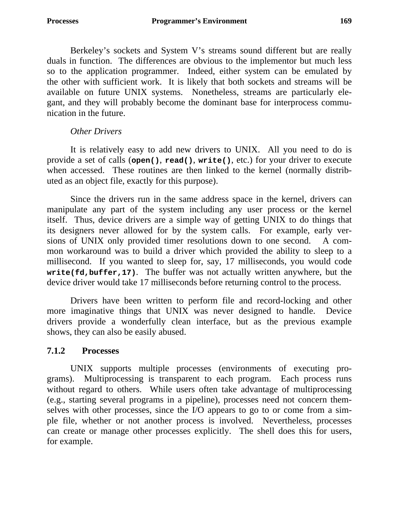Berkeley's sockets and System V's streams sound different but are really duals in function. The differences are obvious to the implementor but much less so to the application programmer. Indeed, either system can be emulated by the other with sufficient work. It is likely that both sockets and streams will be available on future UNIX systems. Nonetheless, streams are particularly elegant, and they will probably become the dominant base for interprocess communication in the future.

# *Other Drivers*

It is relatively easy to add new drivers to UNIX. All you need to do is provide a set of calls (**open()**, **read()**, **write()**, etc.) for your driver to execute when accessed. These routines are then linked to the kernel (normally distributed as an object file, exactly for this purpose).

Since the drivers run in the same address space in the kernel, drivers can manipulate any part of the system including any user process or the kernel itself. Thus, device drivers are a simple way of getting UNIX to do things that its designers never allowed for by the system calls. For example, early versions of UNIX only provided timer resolutions down to one second. A common workaround was to build a driver which provided the ability to sleep to a millisecond. If you wanted to sleep for, say, 17 milliseconds, you would code **write(fd,buffer,17)**. The buffer was not actually written anywhere, but the device driver would take 17 milliseconds before returning control to the process.

Drivers have been written to perform file and record-locking and other more imaginative things that UNIX was never designed to handle. Device drivers provide a wonderfully clean interface, but as the previous example shows, they can also be easily abused.

# **7.1.2 Processes**

UNIX supports multiple processes (environments of executing programs). Multiprocessing is transparent to each program. Each process runs without regard to others. While users often take advantage of multiprocessing (e.g., starting several programs in a pipeline), processes need not concern themselves with other processes, since the I/O appears to go to or come from a simple file, whether or not another process is involved. Nevertheless, processes can create or manage other processes explicitly. The shell does this for users, for example.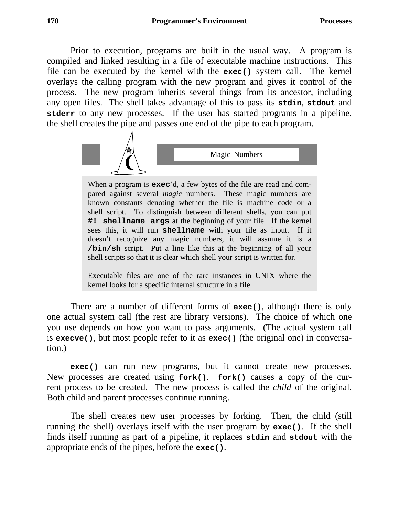Prior to execution, programs are built in the usual way. A program is compiled and linked resulting in a file of executable machine instructions. This file can be executed by the kernel with the **exec()** system call. The kernel overlays the calling program with the new program and gives it control of the process. The new program inherits several things from its ancestor, including any open files. The shell takes advantage of this to pass its **stdin**, **stdout** and **stderr** to any new processes. If the user has started programs in a pipeline, the shell creates the pipe and passes one end of the pipe to each program.



When a program is **exec**'d, a few bytes of the file are read and compared against several *magic* numbers. These magic numbers are known constants denoting whether the file is machine code or a shell script. To distinguish between different shells, you can put **#! shellname args** at the beginning of your file. If the kernel sees this, it will run **shellname** with your file as input. If it doesn't recognize any magic numbers, it will assume it is a **/bin/sh** script. Put a line like this at the beginning of all your shell scripts so that it is clear which shell your script is written for.

Executable files are one of the rare instances in UNIX where the kernel looks for a specific internal structure in a file.

There are a number of different forms of **exec()**, although there is only one actual system call (the rest are library versions). The choice of which one you use depends on how you want to pass arguments. (The actual system call is **execve()**, but most people refer to it as **exec()** (the original one) in conversation.)

**exec()** can run new programs, but it cannot create new processes. New processes are created using **fork()**. **fork()** causes a copy of the current process to be created. The new process is called the *child* of the original. Both child and parent processes continue running.

The shell creates new user processes by forking. Then, the child (still running the shell) overlays itself with the user program by **exec()**. If the shell finds itself running as part of a pipeline, it replaces **stdin** and **stdout** with the appropriate ends of the pipes, before the **exec()**.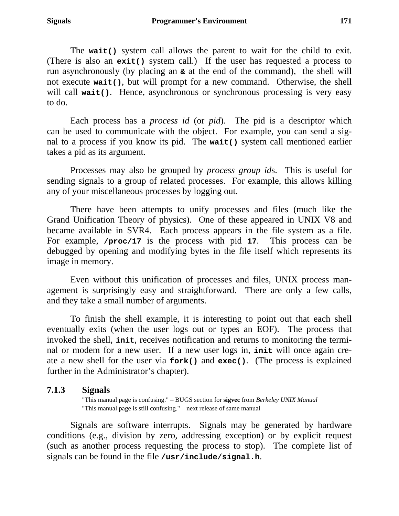The **wait()** system call allows the parent to wait for the child to exit. (There is also an **exit()** system call.) If the user has requested a process to run asynchronously (by placing an **&** at the end of the command), the shell will not execute **wait()**, but will prompt for a new command. Otherwise, the shell will call wait(). Hence, asynchronous or synchronous processing is very easy to do.

Each process has a *process id* (or *pid*). The pid is a descriptor which can be used to communicate with the object. For example, you can send a signal to a process if you know its pid. The **wait()** system call mentioned earlier takes a pid as its argument.

Processes may also be grouped by *process group id*s. This is useful for sending signals to a group of related processes. For example, this allows killing any of your miscellaneous processes by logging out.

There have been attempts to unify processes and files (much like the Grand Unification Theory of physics). One of these appeared in UNIX V8 and became available in SVR4. Each process appears in the file system as a file. For example, **/proc/17** is the process with pid **17**. This process can be debugged by opening and modifying bytes in the file itself which represents its image in memory.

Even without this unification of processes and files, UNIX process management is surprisingly easy and straightforward. There are only a few calls, and they take a small number of arguments.

To finish the shell example, it is interesting to point out that each shell eventually exits (when the user logs out or types an EOF). The process that invoked the shell, **init**, receives notification and returns to monitoring the terminal or modem for a new user. If a new user logs in, **init** will once again create a new shell for the user via **fork()** and **exec()**. (The process is explained further in the Administrator's chapter).

# **7.1.3 Signals**

"This manual page is confusing." – BUGS section for **sigvec** from *Berkeley UNIX Manual* "This manual page is still confusing." – next release of same manual

Signals are software interrupts. Signals may be generated by hardware conditions (e.g., division by zero, addressing exception) or by explicit request (such as another process requesting the process to stop). The complete list of signals can be found in the file **/usr/include/signal.h**.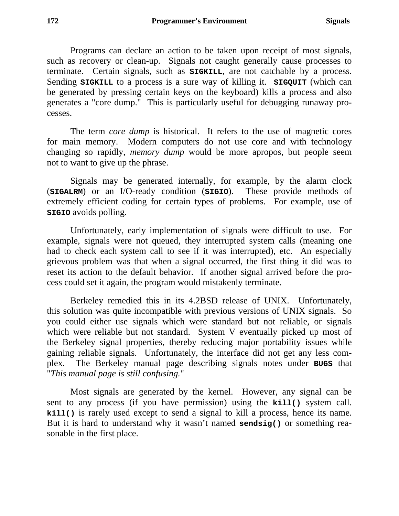Programs can declare an action to be taken upon receipt of most signals, such as recovery or clean-up. Signals not caught generally cause processes to terminate. Certain signals, such as **SIGKILL**, are not catchable by a process. Sending **SIGKILL** to a process is a sure way of killing it. **SIGQUIT** (which can be generated by pressing certain keys on the keyboard) kills a process and also generates a "core dump." This is particularly useful for debugging runaway processes.

The term *core dump* is historical. It refers to the use of magnetic cores for main memory. Modern computers do not use core and with technology changing so rapidly, *memory dump* would be more apropos, but people seem not to want to give up the phrase.

Signals may be generated internally, for example, by the alarm clock (**SIGALRM**) or an I/O-ready condition (**SIGIO**). These provide methods of extremely efficient coding for certain types of problems. For example, use of **SIGIO** avoids polling.

Unfortunately, early implementation of signals were difficult to use. For example, signals were not queued, they interrupted system calls (meaning one had to check each system call to see if it was interrupted), etc. An especially grievous problem was that when a signal occurred, the first thing it did was to reset its action to the default behavior. If another signal arrived before the process could set it again, the program would mistakenly terminate.

Berkeley remedied this in its 4.2BSD release of UNIX. Unfortunately, this solution was quite incompatible with previous versions of UNIX signals. So you could either use signals which were standard but not reliable, or signals which were reliable but not standard. System V eventually picked up most of the Berkeley signal properties, thereby reducing major portability issues while gaining reliable signals. Unfortunately, the interface did not get any less complex. The Berkeley manual page describing signals notes under **BUGS** that "*This manual page is still confusing.*"

Most signals are generated by the kernel. However, any signal can be sent to any process (if you have permission) using the **kill()** system call. **kill()** is rarely used except to send a signal to kill a process, hence its name. But it is hard to understand why it wasn't named **sendsig()** or something reasonable in the first place.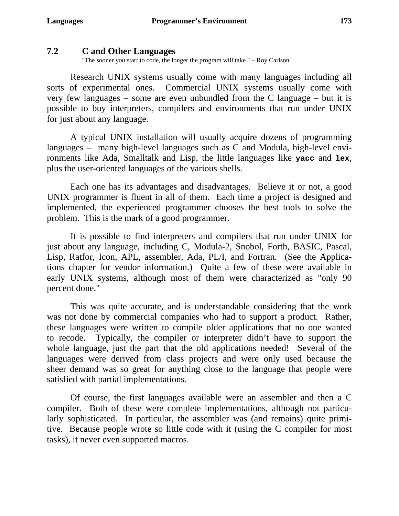#### **7.2 C and Other Languages**

"The sooner you start to code, the longer the program will take." – Roy Carlson

Research UNIX systems usually come with many languages including all sorts of experimental ones. Commercial UNIX systems usually come with very few languages – some are even unbundled from the C language – but it is possible to buy interpreters, compilers and environments that run under UNIX for just about any language.

A typical UNIX installation will usually acquire dozens of programming languages – many high-level languages such as C and Modula, high-level environments like Ada, Smalltalk and Lisp, the little languages like **yacc** and **lex**, plus the user-oriented languages of the various shells.

Each one has its advantages and disadvantages. Believe it or not, a good UNIX programmer is fluent in all of them. Each time a project is designed and implemented, the experienced programmer chooses the best tools to solve the problem. This is the mark of a good programmer.

It is possible to find interpreters and compilers that run under UNIX for just about any language, including C, Modula-2, Snobol, Forth, BASIC, Pascal, Lisp, Ratfor, Icon, APL, assembler, Ada, PL/I, and Fortran. (See the Applications chapter for vendor information.) Quite a few of these were available in early UNIX systems, although most of them were characterized as "only 90 percent done."

This was quite accurate, and is understandable considering that the work was not done by commercial companies who had to support a product. Rather, these languages were written to compile older applications that no one wanted to recode. Typically, the compiler or interpreter didn't have to support the whole language, just the part that the old applications needed! Several of the languages were derived from class projects and were only used because the sheer demand was so great for anything close to the language that people were satisfied with partial implementations.

Of course, the first languages available were an assembler and then a C compiler. Both of these were complete implementations, although not particularly sophisticated. In particular, the assembler was (and remains) quite primitive. Because people wrote so little code with it (using the C compiler for most tasks), it never even supported macros.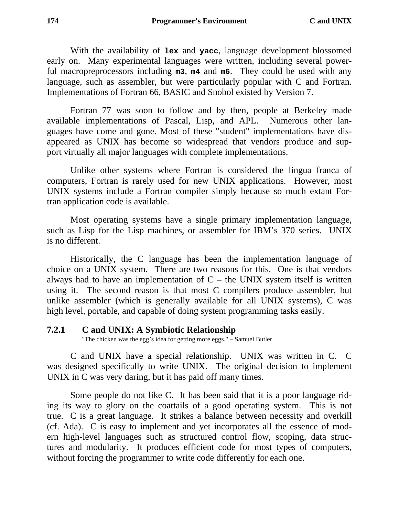With the availability of **lex** and **yacc**, language development blossomed early on. Many experimental languages were written, including several powerful macropreprocessors including **m3**, **m4** and **m6**. They could be used with any language, such as assembler, but were particularly popular with C and Fortran. Implementations of Fortran 66, BASIC and Snobol existed by Version 7.

Fortran 77 was soon to follow and by then, people at Berkeley made available implementations of Pascal, Lisp, and APL. Numerous other languages have come and gone. Most of these "student" implementations have disappeared as UNIX has become so widespread that vendors produce and support virtually all major languages with complete implementations.

Unlike other systems where Fortran is considered the lingua franca of computers, Fortran is rarely used for new UNIX applications. However, most UNIX systems include a Fortran compiler simply because so much extant Fortran application code is available.

Most operating systems have a single primary implementation language, such as Lisp for the Lisp machines, or assembler for IBM's 370 series. UNIX is no different.

Historically, the C language has been the implementation language of choice on a UNIX system. There are two reasons for this. One is that vendors always had to have an implementation of  $C$  – the UNIX system itself is written using it. The second reason is that most C compilers produce assembler, but unlike assembler (which is generally available for all UNIX systems), C was high level, portable, and capable of doing system programming tasks easily.

#### **7.2.1 C and UNIX: A Symbiotic Relationship**

"The chicken was the egg's idea for getting more eggs." – Samuel Butler

C and UNIX have a special relationship. UNIX was written in C. C was designed specifically to write UNIX. The original decision to implement UNIX in C was very daring, but it has paid off many times.

Some people do not like C. It has been said that it is a poor language riding its way to glory on the coattails of a good operating system. This is not true. C is a great language. It strikes a balance between necessity and overkill (cf. Ada). C is easy to implement and yet incorporates all the essence of modern high-level languages such as structured control flow, scoping, data structures and modularity. It produces efficient code for most types of computers, without forcing the programmer to write code differently for each one.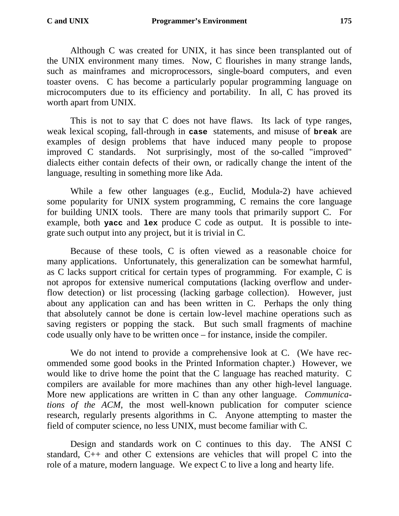Although C was created for UNIX, it has since been transplanted out of the UNIX environment many times. Now, C flourishes in many strange lands, such as mainframes and microprocessors, single-board computers, and even toaster ovens. C has become a particularly popular programming language on microcomputers due to its efficiency and portability. In all, C has proved its worth apart from UNIX.

This is not to say that C does not have flaws. Its lack of type ranges, weak lexical scoping, fall-through in **case** statements, and misuse of **break** are examples of design problems that have induced many people to propose improved C standards. Not surprisingly, most of the so-called "improved" dialects either contain defects of their own, or radically change the intent of the language, resulting in something more like Ada.

While a few other languages (e.g., Euclid, Modula-2) have achieved some popularity for UNIX system programming, C remains the core language for building UNIX tools. There are many tools that primarily support C. For example, both **yacc** and **lex** produce C code as output. It is possible to integrate such output into any project, but it is trivial in C.

Because of these tools, C is often viewed as a reasonable choice for many applications. Unfortunately, this generalization can be somewhat harmful, as C lacks support critical for certain types of programming. For example, C is not apropos for extensive numerical computations (lacking overflow and underflow detection) or list processing (lacking garbage collection). However, just about any application can and has been written in C. Perhaps the only thing that absolutely cannot be done is certain low-level machine operations such as saving registers or popping the stack. But such small fragments of machine code usually only have to be written once – for instance, inside the compiler.

We do not intend to provide a comprehensive look at C. (We have recommended some good books in the Printed Information chapter.) However, we would like to drive home the point that the C language has reached maturity. C compilers are available for more machines than any other high-level language. More new applications are written in C than any other language. *Communications of the ACM*, the most well-known publication for computer science research, regularly presents algorithms in C. Anyone attempting to master the field of computer science, no less UNIX, must become familiar with C.

Design and standards work on C continues to this day. The ANSI C standard, C++ and other C extensions are vehicles that will propel C into the role of a mature, modern language. We expect C to live a long and hearty life.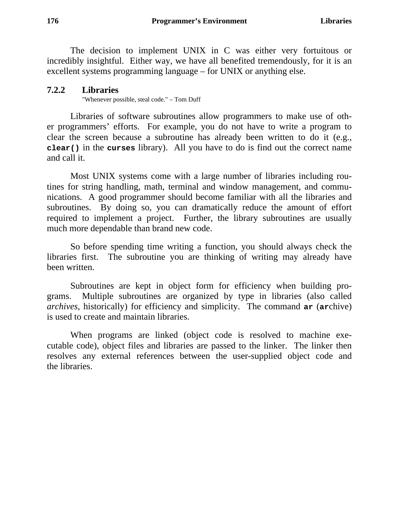The decision to implement UNIX in C was either very fortuitous or incredibly insightful. Either way, we have all benefited tremendously, for it is an excellent systems programming language – for UNIX or anything else.

### **7.2.2 Libraries**

"Whenever possible, steal code." – Tom Duff

Libraries of software subroutines allow programmers to make use of other programmers' efforts. For example, you do not have to write a program to clear the screen because a subroutine has already been written to do it (e.g., **clear()** in the **curses** library). All you have to do is find out the correct name and call it.

Most UNIX systems come with a large number of libraries including routines for string handling, math, terminal and window management, and communications. A good programmer should become familiar with all the libraries and subroutines. By doing so, you can dramatically reduce the amount of effort required to implement a project. Further, the library subroutines are usually much more dependable than brand new code.

So before spending time writing a function, you should always check the libraries first. The subroutine you are thinking of writing may already have been written.

Subroutines are kept in object form for efficiency when building programs. Multiple subroutines are organized by type in libraries (also called *archives*, historically) for efficiency and simplicity. The command **ar** (**ar**chive) is used to create and maintain libraries.

When programs are linked (object code is resolved to machine executable code), object files and libraries are passed to the linker. The linker then resolves any external references between the user-supplied object code and the libraries.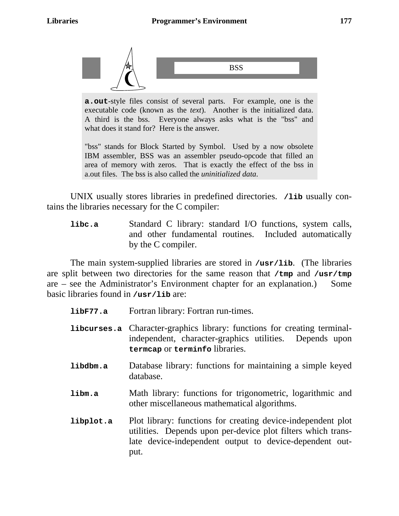

**a.out**-style files consist of several parts. For example, one is the executable code (known as the *text*). Another is the initialized data. A third is the bss. Everyone always asks what is the "bss" and what does it stand for? Here is the answer.

"bss" stands for Block Started by Symbol. Used by a now obsolete IBM assembler, BSS was an assembler pseudo-opcode that filled an area of memory with zeros. That is exactly the effect of the bss in a.out files. The bss is also called the *uninitialized data*.

UNIX usually stores libraries in predefined directories. **/lib** usually contains the libraries necessary for the C compiler:

**libc.a** Standard C library: standard I/O functions, system calls, and other fundamental routines. Included automatically by the C compiler.

The main system-supplied libraries are stored in **/usr/lib**. (The libraries are split between two directories for the same reason that **/tmp** and **/usr/tmp** are – see the Administrator's Environment chapter for an explanation.) Some basic libraries found in **/usr/lib** are:

| libF77.a    | Fortran library: Fortran run-times.                                                                                                                                                             |
|-------------|-------------------------------------------------------------------------------------------------------------------------------------------------------------------------------------------------|
| libcurses.a | Character-graphics library: functions for creating terminal-<br>independent, character-graphics utilities. Depends upon<br>termcap or terminfo libraries.                                       |
| libdbm.a    | Database library: functions for maintaining a simple keyed<br>database.                                                                                                                         |
| libm.a      | Math library: functions for trigonometric, logarithmic and<br>other miscellaneous mathematical algorithms.                                                                                      |
| libplot.a   | Plot library: functions for creating device-independent plot<br>utilities. Depends upon per-device plot filters which trans-<br>late device-independent output to device-dependent out-<br>put. |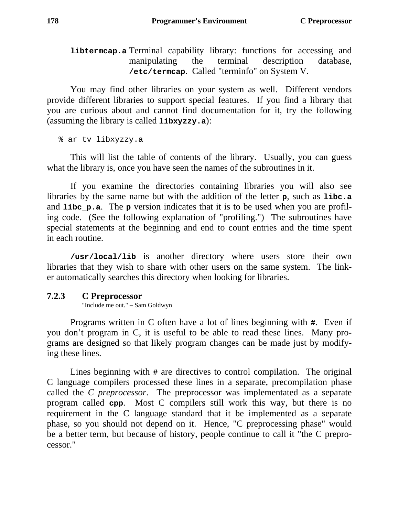**libtermcap.a** Terminal capability library: functions for accessing and manipulating the terminal description database, **/etc/termcap**. Called "terminfo" on System V.

You may find other libraries on your system as well. Different vendors provide different libraries to support special features. If you find a library that you are curious about and cannot find documentation for it, try the following (assuming the library is called **libxyzzy.a**):

% ar tv libxyzzy.a

This will list the table of contents of the library. Usually, you can guess what the library is, once you have seen the names of the subroutines in it.

If you examine the directories containing libraries you will also see libraries by the same name but with the addition of the letter **p**, such as **libc.a** and **libc\_p.a**. The **p** version indicates that it is to be used when you are profiling code. (See the following explanation of "profiling.") The subroutines have special statements at the beginning and end to count entries and the time spent in each routine.

**/usr/local/lib** is another directory where users store their own libraries that they wish to share with other users on the same system. The linker automatically searches this directory when looking for libraries.

#### **7.2.3 C Preprocessor**

"Include me out." – Sam Goldwyn

Programs written in C often have a lot of lines beginning with **#**. Even if you don't program in C, it is useful to be able to read these lines. Many programs are designed so that likely program changes can be made just by modifying these lines.

Lines beginning with **#** are directives to control compilation. The original C language compilers processed these lines in a separate, precompilation phase called the *C preprocessor*. The preprocessor was implementated as a separate program called **cpp**. Most C compilers still work this way, but there is no requirement in the C language standard that it be implemented as a separate phase, so you should not depend on it. Hence, "C preprocessing phase" would be a better term, but because of history, people continue to call it "the C preprocessor."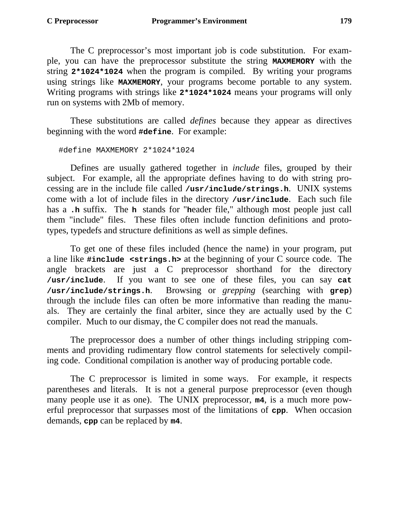The C preprocessor's most important job is code substitution. For example, you can have the preprocessor substitute the string **MAXMEMORY** with the string **2\*1024\*1024** when the program is compiled. By writing your programs using strings like **MAXMEMORY**, your programs become portable to any system. Writing programs with strings like **2\*1024\*1024** means your programs will only run on systems with 2Mb of memory.

These substitutions are called *defines* because they appear as directives beginning with the word **#define**. For example:

```
#define MAXMEMORY 2*1024*1024
```
Defines are usually gathered together in *include* files, grouped by their subject. For example, all the appropriate defines having to do with string processing are in the include file called **/usr/include/strings.h**. UNIX systems come with a lot of include files in the directory **/usr/include**. Each such file has a **.h** suffix. The **h** stands for "**h**eader file," although most people just call them "include" files. These files often include function definitions and prototypes, typedefs and structure definitions as well as simple defines.

To get one of these files included (hence the name) in your program, put a line like **#include <strings.h>** at the beginning of your C source code. The angle brackets are just a C preprocessor shorthand for the directory **/usr/include**. If you want to see one of these files, you can say **cat /usr/include/strings.h**. Browsing or *grepping* (searching with **grep**) through the include files can often be more informative than reading the manuals. They are certainly the final arbiter, since they are actually used by the C compiler. Much to our dismay, the C compiler does not read the manuals.

The preprocessor does a number of other things including stripping comments and providing rudimentary flow control statements for selectively compiling code. Conditional compilation is another way of producing portable code.

The C preprocessor is limited in some ways. For example, it respects parentheses and literals. It is not a general purpose preprocessor (even though many people use it as one). The UNIX preprocessor, **m4**, is a much more powerful preprocessor that surpasses most of the limitations of **cpp**. When occasion demands, **cpp** can be replaced by **m4**.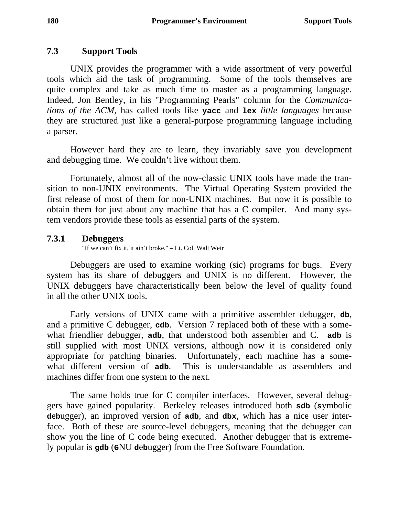# **7.3 Support Tools**

UNIX provides the programmer with a wide assortment of very powerful tools which aid the task of programming. Some of the tools themselves are quite complex and take as much time to master as a programming language. Indeed, Jon Bentley, in his "Programming Pearls" column for the *Communications of the ACM*, has called tools like **yacc** and **lex** *little languages* because they are structured just like a general-purpose programming language including a parser.

However hard they are to learn, they invariably save you development and debugging time. We couldn't live without them.

Fortunately, almost all of the now-classic UNIX tools have made the transition to non-UNIX environments. The Virtual Operating System provided the first release of most of them for non-UNIX machines. But now it is possible to obtain them for just about any machine that has a C compiler. And many system vendors provide these tools as essential parts of the system.

## **7.3.1 Debuggers**

"If we can't fix it, it ain't broke." – Lt. Col. Walt Weir

Debuggers are used to examine working (sic) programs for bugs. Every system has its share of debuggers and UNIX is no different. However, the UNIX debuggers have characteristically been below the level of quality found in all the other UNIX tools.

Early versions of UNIX came with a primitive assembler debugger, **db**, and a primitive C debugger, **cdb**. Version 7 replaced both of these with a somewhat friendlier debugger, **adb**, that understood both assembler and C. **adb** is still supplied with most UNIX versions, although now it is considered only appropriate for patching binaries. Unfortunately, each machine has a somewhat different version of **adb**. This is understandable as assemblers and machines differ from one system to the next.

The same holds true for C compiler interfaces. However, several debuggers have gained popularity. Berkeley releases introduced both **sdb** (**s**ymbolic debugger), an improved version of adb, and dbx, which has a nice user interface. Both of these are source-level debuggers, meaning that the debugger can show you the line of C code being executed. Another debugger that is extremely popular is **gdb** (**G**NU **d**e**b**ugger) from the Free Software Foundation.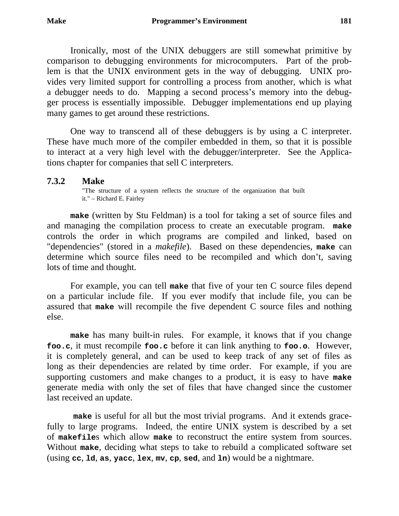Ironically, most of the UNIX debuggers are still somewhat primitive by comparison to debugging environments for microcomputers. Part of the problem is that the UNIX environment gets in the way of debugging. UNIX provides very limited support for controlling a process from another, which is what a debugger needs to do. Mapping a second process's memory into the debugger process is essentially impossible. Debugger implementations end up playing many games to get around these restrictions.

One way to transcend all of these debuggers is by using a C interpreter. These have much more of the compiler embedded in them, so that it is possible to interact at a very high level with the debugger/interpreter. See the Applications chapter for companies that sell C interpreters.

#### **7.3.2 Make**

"The structure of a system reflects the structure of the organization that built it." – Richard E. Fairley

**make** (written by Stu Feldman) is a tool for taking a set of source files and and managing the compilation process to create an executable program. **make** controls the order in which programs are compiled and linked, based on "dependencies" (stored in a *makefile*). Based on these dependencies, **make** can determine which source files need to be recompiled and which don't, saving lots of time and thought.

For example, you can tell **make** that five of your ten C source files depend on a particular include file. If you ever modify that include file, you can be assured that **make** will recompile the five dependent C source files and nothing else.

**make** has many built-in rules. For example, it knows that if you change **foo.c**, it must recompile **foo.c** before it can link anything to **foo.o**. However, it is completely general, and can be used to keep track of any set of files as long as their dependencies are related by time order. For example, if you are supporting customers and make changes to a product, it is easy to have **make** generate media with only the set of files that have changed since the customer last received an update.

**make** is useful for all but the most trivial programs. And it extends gracefully to large programs. Indeed, the entire UNIX system is described by a set of **makefile**s which allow **make** to reconstruct the entire system from sources. Without **make**, deciding what steps to take to rebuild a complicated software set (using **cc**, **ld**, **as**, **yacc**, **lex**, **mv**, **cp**, **sed**, and **ln**) would be a nightmare.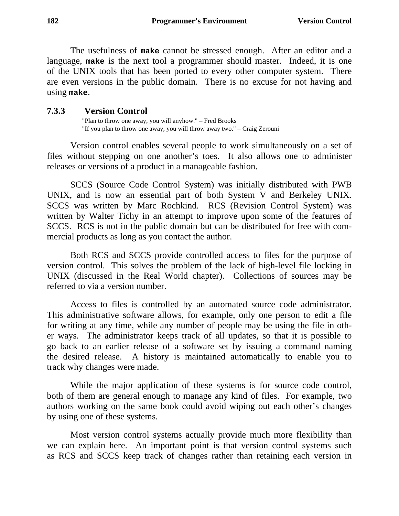The usefulness of **make** cannot be stressed enough. After an editor and a language, **make** is the next tool a programmer should master. Indeed, it is one of the UNIX tools that has been ported to every other computer system. There are even versions in the public domain. There is no excuse for not having and using **make**.

#### **7.3.3 Version Control**

"Plan to throw one away, you will anyhow." – Fred Brooks "If you plan to throw one away, you will throw away two." – Craig Zerouni

Version control enables several people to work simultaneously on a set of files without stepping on one another's toes. It also allows one to administer releases or versions of a product in a manageable fashion.

SCCS (Source Code Control System) was initially distributed with PWB UNIX, and is now an essential part of both System V and Berkeley UNIX. SCCS was written by Marc Rochkind. RCS (Revision Control System) was written by Walter Tichy in an attempt to improve upon some of the features of SCCS. RCS is not in the public domain but can be distributed for free with commercial products as long as you contact the author.

Both RCS and SCCS provide controlled access to files for the purpose of version control. This solves the problem of the lack of high-level file locking in UNIX (discussed in the Real World chapter). Collections of sources may be referred to via a version number.

Access to files is controlled by an automated source code administrator. This administrative software allows, for example, only one person to edit a file for writing at any time, while any number of people may be using the file in other ways. The administrator keeps track of all updates, so that it is possible to go back to an earlier release of a software set by issuing a command naming the desired release. A history is maintained automatically to enable you to track why changes were made.

While the major application of these systems is for source code control, both of them are general enough to manage any kind of files. For example, two authors working on the same book could avoid wiping out each other's changes by using one of these systems.

Most version control systems actually provide much more flexibility than we can explain here. An important point is that version control systems such as RCS and SCCS keep track of changes rather than retaining each version in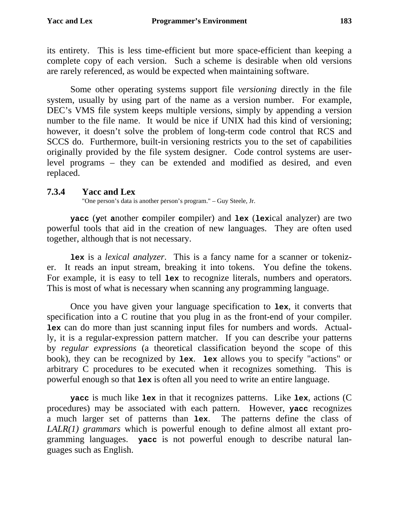its entirety. This is less time-efficient but more space-efficient than keeping a complete copy of each version. Such a scheme is desirable when old versions are rarely referenced, as would be expected when maintaining software.

Some other operating systems support file *versioning* directly in the file system, usually by using part of the name as a version number. For example, DEC's VMS file system keeps multiple versions, simply by appending a version number to the file name. It would be nice if UNIX had this kind of versioning; however, it doesn't solve the problem of long-term code control that RCS and SCCS do. Furthermore, built-in versioning restricts you to the set of capabilities originally provided by the file system designer. Code control systems are userlevel programs – they can be extended and modified as desired, and even replaced.

## **7.3.4 Yacc and Lex**

"One person's data is another person's program." – Guy Steele, Jr.

**yacc** (**y**et **a**nother **c**ompiler **c**ompiler) and **lex** (**lex**ical analyzer) are two powerful tools that aid in the creation of new languages. They are often used together, although that is not necessary.

**lex** is a *lexical analyzer*. This is a fancy name for a scanner or tokenizer. It reads an input stream, breaking it into tokens. You define the tokens. For example, it is easy to tell **lex** to recognize literals, numbers and operators. This is most of what is necessary when scanning any programming language.

Once you have given your language specification to **lex**, it converts that specification into a C routine that you plug in as the front-end of your compiler. **lex** can do more than just scanning input files for numbers and words. Actually, it is a regular-expression pattern matcher. If you can describe your patterns by *regular expressions* (a theoretical classification beyond the scope of this book), they can be recognized by **lex**. **lex** allows you to specify "actions" or arbitrary C procedures to be executed when it recognizes something. This is powerful enough so that **lex** is often all you need to write an entire language.

**yacc** is much like **lex** in that it recognizes patterns. Like **lex**, actions (C procedures) may be associated with each pattern. However, **yacc** recognizes a much larger set of patterns than **lex**. The patterns define the class of *LALR(1) grammars* which is powerful enough to define almost all extant programming languages. **yacc** is not powerful enough to describe natural languages such as English.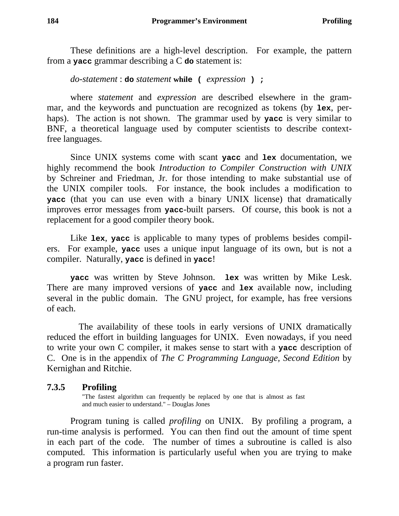These definitions are a high-level description. For example, the pattern from a **yacc** grammar describing a C **do** statement is:

*do-statement* : **do** *statement* **while (** *expression* **) ;**

where *statement* and *expression* are described elsewhere in the grammar, and the keywords and punctuation are recognized as tokens (by **lex**, perhaps). The action is not shown. The grammar used by **yacc** is very similar to BNF, a theoretical language used by computer scientists to describe contextfree languages.

Since UNIX systems come with scant **yacc** and **lex** documentation, we highly recommend the book *Introduction to Compiler Construction with UNIX* by Schreiner and Friedman, Jr. for those intending to make substantial use of the UNIX compiler tools. For instance, the book includes a modification to **yacc** (that you can use even with a binary UNIX license) that dramatically improves error messages from **yacc**-built parsers. Of course, this book is not a replacement for a good compiler theory book.

Like **lex**, **yacc** is applicable to many types of problems besides compilers. For example, **yacc** uses a unique input language of its own, but is not a compiler. Naturally, **yacc** is defined in **yacc**!

**yacc** was written by Steve Johnson. **lex** was written by Mike Lesk. There are many improved versions of **yacc** and **lex** available now, including several in the public domain. The GNU project, for example, has free versions of each.

 The availability of these tools in early versions of UNIX dramatically reduced the effort in building languages for UNIX. Even nowadays, if you need to write your own C compiler, it makes sense to start with a **yacc** description of C. One is in the appendix of *The C Programming Language, Second Edition* by Kernighan and Ritchie.

## **7.3.5 Profiling**

"The fastest algorithm can frequently be replaced by one that is almost as fast and much easier to understand." – Douglas Jones

Program tuning is called *profiling* on UNIX. By profiling a program, a run-time analysis is performed. You can then find out the amount of time spent in each part of the code. The number of times a subroutine is called is also computed. This information is particularly useful when you are trying to make a program run faster.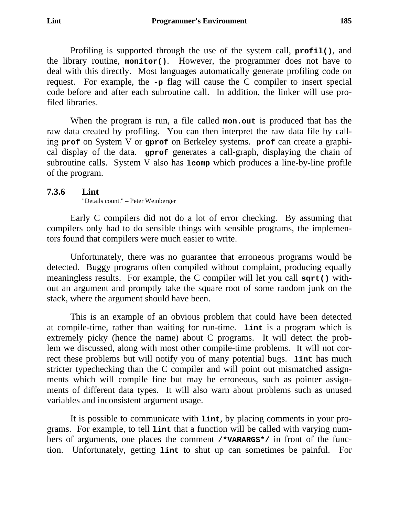Profiling is supported through the use of the system call, **profil()**, and the library routine, **monitor()**. However, the programmer does not have to deal with this directly. Most languages automatically generate profiling code on request. For example, the **-p** flag will cause the C compiler to insert special code before and after each subroutine call. In addition, the linker will use profiled libraries.

When the program is run, a file called **mon.out** is produced that has the raw data created by profiling. You can then interpret the raw data file by calling **prof** on System V or **gprof** on Berkeley systems. **prof** can create a graphical display of the data. **gprof** generates a call-graph, displaying the chain of subroutine calls. System V also has **lcomp** which produces a line-by-line profile of the program.

#### **7.3.6 Lint**

"Details count." – Peter Weinberger

Early C compilers did not do a lot of error checking. By assuming that compilers only had to do sensible things with sensible programs, the implementors found that compilers were much easier to write.

Unfortunately, there was no guarantee that erroneous programs would be detected. Buggy programs often compiled without complaint, producing equally meaningless results. For example, the C compiler will let you call **sqrt()** without an argument and promptly take the square root of some random junk on the stack, where the argument should have been.

This is an example of an obvious problem that could have been detected at compile-time, rather than waiting for run-time. **lint** is a program which is extremely picky (hence the name) about C programs. It will detect the problem we discussed, along with most other compile-time problems. It will not correct these problems but will notify you of many potential bugs. **lint** has much stricter typechecking than the C compiler and will point out mismatched assignments which will compile fine but may be erroneous, such as pointer assignments of different data types. It will also warn about problems such as unused variables and inconsistent argument usage.

It is possible to communicate with **lint**, by placing comments in your programs. For example, to tell **lint** that a function will be called with varying numbers of arguments, one places the comment **/\*VARARGS\*/** in front of the function. Unfortunately, getting **lint** to shut up can sometimes be painful. For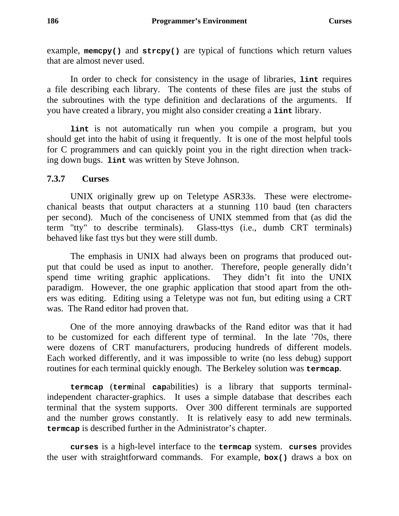example, **memcpy()** and **strcpy()** are typical of functions which return values that are almost never used.

In order to check for consistency in the usage of libraries, **lint** requires a file describing each library. The contents of these files are just the stubs of the subroutines with the type definition and declarations of the arguments. If you have created a library, you might also consider creating a **lint** library.

**lint** is not automatically run when you compile a program, but you should get into the habit of using it frequently. It is one of the most helpful tools for C programmers and can quickly point you in the right direction when tracking down bugs. **lint** was written by Steve Johnson.

#### **7.3.7 Curses**

UNIX originally grew up on Teletype ASR33s. These were electromechanical beasts that output characters at a stunning 110 baud (ten characters per second). Much of the conciseness of UNIX stemmed from that (as did the term "tty" to describe terminals). Glass-ttys (i.e., dumb CRT terminals) behaved like fast ttys but they were still dumb.

The emphasis in UNIX had always been on programs that produced output that could be used as input to another. Therefore, people generally didn't spend time writing graphic applications. They didn't fit into the UNIX spend time writing graphic applications. paradigm. However, the one graphic application that stood apart from the others was editing. Editing using a Teletype was not fun, but editing using a CRT was. The Rand editor had proven that.

One of the more annoying drawbacks of the Rand editor was that it had to be customized for each different type of terminal. In the late '70s, there were dozens of CRT manufacturers, producing hundreds of different models. Each worked differently, and it was impossible to write (no less debug) support routines for each terminal quickly enough. The Berkeley solution was **termcap**.

**termcap** (**term**inal **cap**abilities) is a library that supports terminalindependent character-graphics. It uses a simple database that describes each terminal that the system supports. Over 300 different terminals are supported and the number grows constantly. It is relatively easy to add new terminals. **termcap** is described further in the Administrator's chapter.

**curses** is a high-level interface to the **termcap** system. **curses** provides the user with straightforward commands. For example, **box()** draws a box on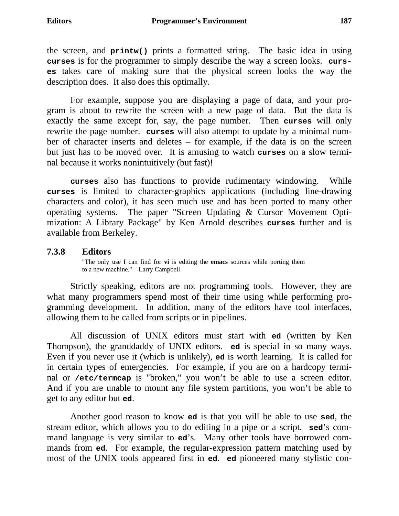the screen, and **printw()** prints a formatted string. The basic idea in using **curses** is for the programmer to simply describe the way a screen looks. **curses** takes care of making sure that the physical screen looks the way the description does. It also does this optimally.

For example, suppose you are displaying a page of data, and your program is about to rewrite the screen with a new page of data. But the data is exactly the same except for, say, the page number. Then **curses** will only rewrite the page number. **curses** will also attempt to update by a minimal number of character inserts and deletes – for example, if the data is on the screen but just has to be moved over. It is amusing to watch **curses** on a slow terminal because it works nonintuitively (but fast)!

**curses** also has functions to provide rudimentary windowing. While **curses** is limited to character-graphics applications (including line-drawing characters and color), it has seen much use and has been ported to many other operating systems. The paper "Screen Updating & Cursor Movement Optimization: A Library Package" by Ken Arnold describes **curses** further and is available from Berkeley.

## **7.3.8 Editors**

"The only use I can find for **vi** is editing the **emacs** sources while porting them to a new machine." – Larry Campbell

Strictly speaking, editors are not programming tools. However, they are what many programmers spend most of their time using while performing programming development. In addition, many of the editors have tool interfaces, allowing them to be called from scripts or in pipelines.

All discussion of UNIX editors must start with **ed** (written by Ken Thompson), the granddaddy of UNIX editors. **ed** is special in so many ways. Even if you never use it (which is unlikely), **ed** is worth learning. It is called for in certain types of emergencies. For example, if you are on a hardcopy terminal or **/etc/termcap** is "broken," you won't be able to use a screen editor. And if you are unable to mount any file system partitions, you won't be able to get to any editor but **ed**.

Another good reason to know **ed** is that you will be able to use **sed**, the stream editor, which allows you to do editing in a pipe or a script. **sed**'s command language is very similar to **ed**'s. Many other tools have borrowed commands from **ed**. For example, the regular-expression pattern matching used by most of the UNIX tools appeared first in **ed**. **ed** pioneered many stylistic con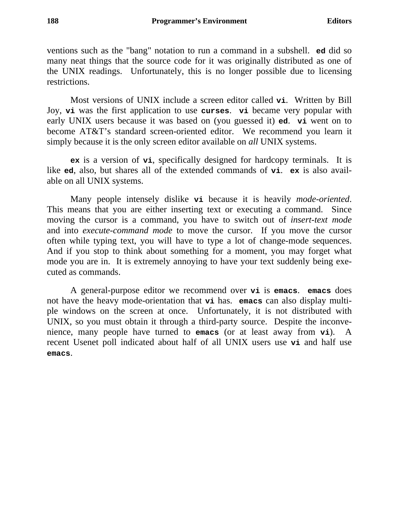ventions such as the "bang" notation to run a command in a subshell. **ed** did so many neat things that the source code for it was originally distributed as one of the UNIX readings. Unfortunately, this is no longer possible due to licensing restrictions.

Most versions of UNIX include a screen editor called **vi**. Written by Bill Joy, **vi** was the first application to use **curses**. **vi** became very popular with early UNIX users because it was based on (you guessed it) **ed**. **vi** went on to become AT&T's standard screen-oriented editor. We recommend you learn it simply because it is the only screen editor available on *all* UNIX systems.

**ex** is a version of **vi**, specifically designed for hardcopy terminals. It is like **ed**, also, but shares all of the extended commands of **vi**. **ex** is also available on all UNIX systems.

Many people intensely dislike **vi** because it is heavily *mode-oriented*. This means that you are either inserting text or executing a command. Since moving the cursor is a command, you have to switch out of *insert-text mode* and into *execute-command mode* to move the cursor. If you move the cursor often while typing text, you will have to type a lot of change-mode sequences. And if you stop to think about something for a moment, you may forget what mode you are in. It is extremely annoying to have your text suddenly being executed as commands.

A general-purpose editor we recommend over **vi** is **emacs**. **emacs** does not have the heavy mode-orientation that **vi** has. **emacs** can also display multiple windows on the screen at once. Unfortunately, it is not distributed with UNIX, so you must obtain it through a third-party source. Despite the inconvenience, many people have turned to **emacs** (or at least away from **vi**). A recent Usenet poll indicated about half of all UNIX users use **vi** and half use **emacs**.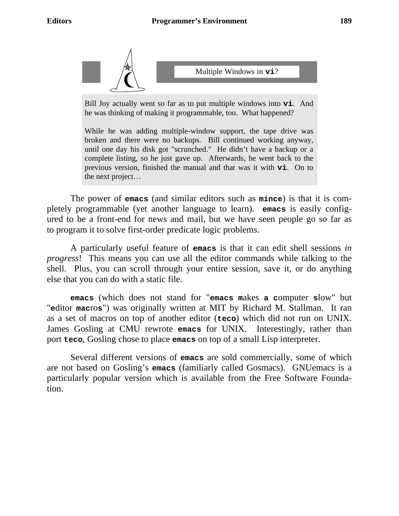



Multiple Windows in **vi**?

Bill Joy actually went so far as to put multiple windows into **vi**. And he was thinking of making it programmable, too. What happened?

While he was adding multiple-window support, the tape drive was broken and there were no backups. Bill continued working anyway, until one day his disk got "scrunched." He didn't have a backup or a complete listing, so he just gave up. Afterwards, he went back to the previous version, finished the manual and that was it with **vi**. On to the next project…

The power of **emacs** (and similar editors such as **mince**) is that it is completely programmable (yet another language to learn). **emacs** is easily configured to be a front-end for news and mail, but we have seen people go so far as to program it to solve first-order predicate logic problems.

A particularly useful feature of **emacs** is that it can edit shell sessions *in progress*! This means you can use all the editor commands while talking to the shell. Plus, you can scroll through your entire session, save it, or do anything else that you can do with a static file.

**emacs** (which does not stand for "**emacs m**akes **a c**omputer **s**low" but "**e**ditor **mac**ro**s**") was originally written at MIT by Richard M. Stallman. It ran as a set of macros on top of another editor (**teco**) which did not run on UNIX. James Gosling at CMU rewrote **emacs** for UNIX. Interestingly, rather than port **teco**, Gosling chose to place **emacs** on top of a small Lisp interpreter.

Several different versions of **emacs** are sold commercially, some of which are not based on Gosling's **emacs** (familiarly called Gosmacs). GNUemacs is a particularly popular version which is available from the Free Software Foundation.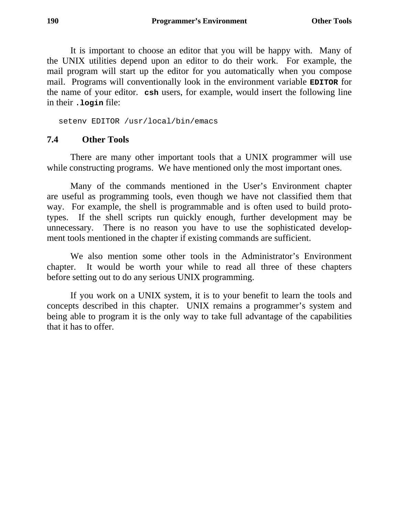It is important to choose an editor that you will be happy with. Many of the UNIX utilities depend upon an editor to do their work. For example, the mail program will start up the editor for you automatically when you compose mail. Programs will conventionally look in the environment variable **EDITOR** for the name of your editor. **csh** users, for example, would insert the following line in their **.login** file:

setenv EDITOR /usr/local/bin/emacs

#### **7.4 Other Tools**

There are many other important tools that a UNIX programmer will use while constructing programs. We have mentioned only the most important ones.

Many of the commands mentioned in the User's Environment chapter are useful as programming tools, even though we have not classified them that way. For example, the shell is programmable and is often used to build prototypes. If the shell scripts run quickly enough, further development may be unnecessary. There is no reason you have to use the sophisticated development tools mentioned in the chapter if existing commands are sufficient.

We also mention some other tools in the Administrator's Environment chapter. It would be worth your while to read all three of these chapters before setting out to do any serious UNIX programming.

If you work on a UNIX system, it is to your benefit to learn the tools and concepts described in this chapter. UNIX remains a programmer's system and being able to program it is the only way to take full advantage of the capabilities that it has to offer.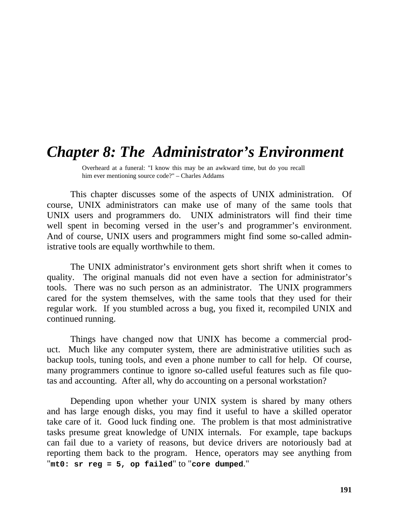# *Chapter 8: The Administrator's Environment*

Overheard at a funeral: "I know this may be an awkward time, but do you recall him ever mentioning source code?" – Charles Addams

This chapter discusses some of the aspects of UNIX administration. Of course, UNIX administrators can make use of many of the same tools that UNIX users and programmers do. UNIX administrators will find their time well spent in becoming versed in the user's and programmer's environment. And of course, UNIX users and programmers might find some so-called administrative tools are equally worthwhile to them.

The UNIX administrator's environment gets short shrift when it comes to quality. The original manuals did not even have a section for administrator's tools. There was no such person as an administrator. The UNIX programmers cared for the system themselves, with the same tools that they used for their regular work. If you stumbled across a bug, you fixed it, recompiled UNIX and continued running.

Things have changed now that UNIX has become a commercial product. Much like any computer system, there are administrative utilities such as backup tools, tuning tools, and even a phone number to call for help. Of course, many programmers continue to ignore so-called useful features such as file quotas and accounting. After all, why do accounting on a personal workstation?

Depending upon whether your UNIX system is shared by many others and has large enough disks, you may find it useful to have a skilled operator take care of it. Good luck finding one. The problem is that most administrative tasks presume great knowledge of UNIX internals. For example, tape backups can fail due to a variety of reasons, but device drivers are notoriously bad at reporting them back to the program. Hence, operators may see anything from "**mt0: sr reg = 5, op failed**" to "**core dumped**."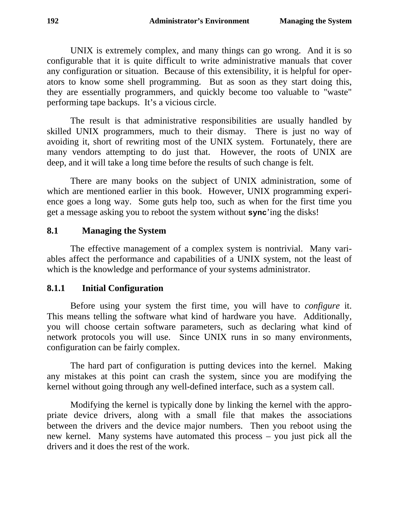UNIX is extremely complex, and many things can go wrong. And it is so configurable that it is quite difficult to write administrative manuals that cover any configuration or situation. Because of this extensibility, it is helpful for operators to know some shell programming. But as soon as they start doing this, they are essentially programmers, and quickly become too valuable to "waste" performing tape backups. It's a vicious circle.

The result is that administrative responsibilities are usually handled by skilled UNIX programmers, much to their dismay. There is just no way of avoiding it, short of rewriting most of the UNIX system. Fortunately, there are many vendors attempting to do just that. However, the roots of UNIX are deep, and it will take a long time before the results of such change is felt.

There are many books on the subject of UNIX administration, some of which are mentioned earlier in this book. However, UNIX programming experience goes a long way. Some guts help too, such as when for the first time you get a message asking you to reboot the system without **sync**'ing the disks!

## **8.1 Managing the System**

The effective management of a complex system is nontrivial. Many variables affect the performance and capabilities of a UNIX system, not the least of which is the knowledge and performance of your systems administrator.

#### **8.1.1 Initial Configuration**

Before using your system the first time, you will have to *configure* it. This means telling the software what kind of hardware you have. Additionally, you will choose certain software parameters, such as declaring what kind of network protocols you will use. Since UNIX runs in so many environments, configuration can be fairly complex.

The hard part of configuration is putting devices into the kernel. Making any mistakes at this point can crash the system, since you are modifying the kernel without going through any well-defined interface, such as a system call.

Modifying the kernel is typically done by linking the kernel with the appropriate device drivers, along with a small file that makes the associations between the drivers and the device major numbers. Then you reboot using the new kernel. Many systems have automated this process – you just pick all the drivers and it does the rest of the work.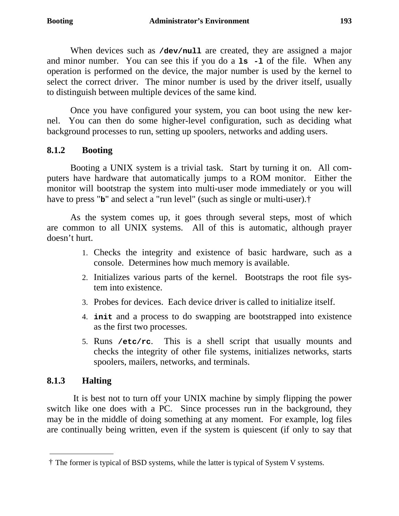When devices such as **/dev/null** are created, they are assigned a major and minor number. You can see this if you do a **ls -l** of the file. When any operation is performed on the device, the major number is used by the kernel to select the correct driver. The minor number is used by the driver itself, usually to distinguish between multiple devices of the same kind.

Once you have configured your system, you can boot using the new kernel. You can then do some higher-level configuration, such as deciding what background processes to run, setting up spoolers, networks and adding users.

# **8.1.2 Booting**

Booting a UNIX system is a trivial task. Start by turning it on. All computers have hardware that automatically jumps to a ROM monitor. Either the monitor will bootstrap the system into multi-user mode immediately or you will have to press "**b**" and select a "run level" (such as single or multi-user).<sup>†</sup>

As the system comes up, it goes through several steps, most of which are common to all UNIX systems. All of this is automatic, although prayer doesn't hurt.

- 1. Checks the integrity and existence of basic hardware, such as a console. Determines how much memory is available.
- 2. Initializes various parts of the kernel. Bootstraps the root file system into existence.
- 3. Probes for devices. Each device driver is called to initialize itself.
- 4. **init** and a process to do swapping are bootstrapped into existence as the first two processes.
- 5. Runs **/etc/rc**. This is a shell script that usually mounts and checks the integrity of other file systems, initializes networks, starts spoolers, mailers, networks, and terminals.

# **8.1.3 Halting**

 It is best not to turn off your UNIX machine by simply flipping the power switch like one does with a PC. Since processes run in the background, they may be in the middle of doing something at any moment. For example, log files are continually being written, even if the system is quiescent (if only to say that

<sup>†</sup> The former is typical of BSD systems, while the latter is typical of System V systems.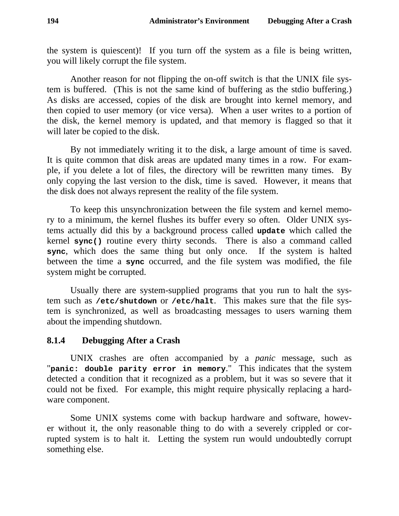the system is quiescent)! If you turn off the system as a file is being written, you will likely corrupt the file system.

Another reason for not flipping the on-off switch is that the UNIX file system is buffered. (This is not the same kind of buffering as the stdio buffering.) As disks are accessed, copies of the disk are brought into kernel memory, and then copied to user memory (or vice versa). When a user writes to a portion of the disk, the kernel memory is updated, and that memory is flagged so that it will later be copied to the disk.

By not immediately writing it to the disk, a large amount of time is saved. It is quite common that disk areas are updated many times in a row. For example, if you delete a lot of files, the directory will be rewritten many times. By only copying the last version to the disk, time is saved. However, it means that the disk does not always represent the reality of the file system.

To keep this unsynchronization between the file system and kernel memory to a minimum, the kernel flushes its buffer every so often. Older UNIX systems actually did this by a background process called **update** which called the kernel **sync()** routine every thirty seconds. There is also a command called **sync**, which does the same thing but only once. If the system is halted between the time a **sync** occurred, and the file system was modified, the file system might be corrupted.

Usually there are system-supplied programs that you run to halt the system such as **/etc/shutdown** or **/etc/halt**. This makes sure that the file system is synchronized, as well as broadcasting messages to users warning them about the impending shutdown.

## **8.1.4 Debugging After a Crash**

UNIX crashes are often accompanied by a *panic* message, such as "**panic: double parity error in memory**." This indicates that the system detected a condition that it recognized as a problem, but it was so severe that it could not be fixed. For example, this might require physically replacing a hardware component.

Some UNIX systems come with backup hardware and software, however without it, the only reasonable thing to do with a severely crippled or corrupted system is to halt it. Letting the system run would undoubtedly corrupt something else.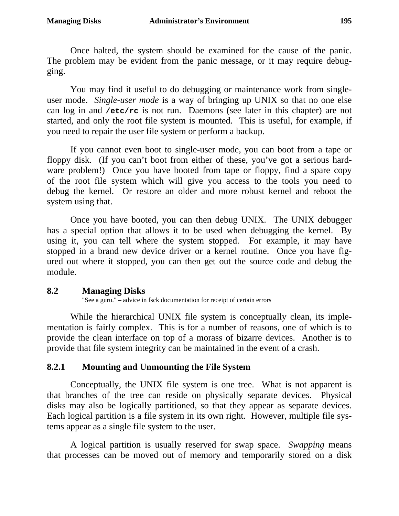Once halted, the system should be examined for the cause of the panic. The problem may be evident from the panic message, or it may require debugging.

You may find it useful to do debugging or maintenance work from singleuser mode. *Single-user mode* is a way of bringing up UNIX so that no one else can log in and **/etc/rc** is not run. Daemons (see later in this chapter) are not started, and only the root file system is mounted. This is useful, for example, if you need to repair the user file system or perform a backup.

If you cannot even boot to single-user mode, you can boot from a tape or floppy disk. (If you can't boot from either of these, you've got a serious hardware problem!) Once you have booted from tape or floppy, find a spare copy of the root file system which will give you access to the tools you need to debug the kernel. Or restore an older and more robust kernel and reboot the system using that.

Once you have booted, you can then debug UNIX. The UNIX debugger has a special option that allows it to be used when debugging the kernel. By using it, you can tell where the system stopped. For example, it may have stopped in a brand new device driver or a kernel routine. Once you have figured out where it stopped, you can then get out the source code and debug the module.

## **8.2 Managing Disks**

"See a guru." – advice in fsck documentation for receipt of certain errors

While the hierarchical UNIX file system is conceptually clean, its implementation is fairly complex. This is for a number of reasons, one of which is to provide the clean interface on top of a morass of bizarre devices. Another is to provide that file system integrity can be maintained in the event of a crash.

## **8.2.1 Mounting and Unmounting the File System**

Conceptually, the UNIX file system is one tree. What is not apparent is that branches of the tree can reside on physically separate devices. Physical disks may also be logically partitioned, so that they appear as separate devices. Each logical partition is a file system in its own right. However, multiple file systems appear as a single file system to the user.

A logical partition is usually reserved for swap space. *Swapping* means that processes can be moved out of memory and temporarily stored on a disk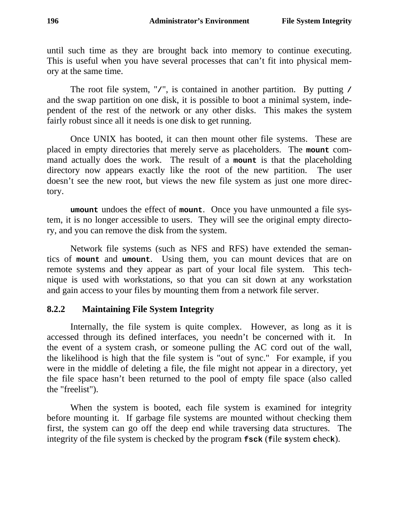until such time as they are brought back into memory to continue executing. This is useful when you have several processes that can't fit into physical memory at the same time.

The root file system, "**/**", is contained in another partition. By putting **/** and the swap partition on one disk, it is possible to boot a minimal system, independent of the rest of the network or any other disks. This makes the system fairly robust since all it needs is one disk to get running.

Once UNIX has booted, it can then mount other file systems. These are placed in empty directories that merely serve as placeholders. The **mount** command actually does the work. The result of a **mount** is that the placeholding directory now appears exactly like the root of the new partition. The user doesn't see the new root, but views the new file system as just one more directory.

**umount** undoes the effect of **mount**. Once you have unmounted a file system, it is no longer accessible to users. They will see the original empty directory, and you can remove the disk from the system.

Network file systems (such as NFS and RFS) have extended the semantics of **mount** and **umount**. Using them, you can mount devices that are on remote systems and they appear as part of your local file system. This technique is used with workstations, so that you can sit down at any workstation and gain access to your files by mounting them from a network file server.

## **8.2.2 Maintaining File System Integrity**

Internally, the file system is quite complex. However, as long as it is accessed through its defined interfaces, you needn't be concerned with it. In the event of a system crash, or someone pulling the AC cord out of the wall, the likelihood is high that the file system is "out of sync." For example, if you were in the middle of deleting a file, the file might not appear in a directory, yet the file space hasn't been returned to the pool of empty file space (also called the "freelist").

When the system is booted, each file system is examined for integrity before mounting it. If garbage file systems are mounted without checking them first, the system can go off the deep end while traversing data structures. The integrity of the file system is checked by the program **fsck** (**f**ile **s**ystem **c**hec**k**).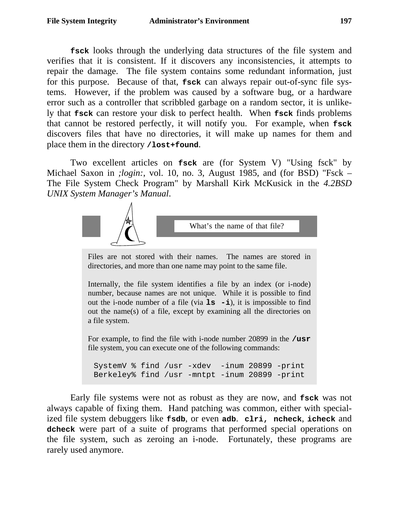**fsck** looks through the underlying data structures of the file system and verifies that it is consistent. If it discovers any inconsistencies, it attempts to repair the damage. The file system contains some redundant information, just for this purpose. Because of that, **fsck** can always repair out-of-sync file systems. However, if the problem was caused by a software bug, or a hardware error such as a controller that scribbled garbage on a random sector, it is unlikely that **fsck** can restore your disk to perfect health. When **fsck** finds problems that cannot be restored perfectly, it will notify you. For example, when **fsck** discovers files that have no directories, it will make up names for them and place them in the directory **/lost+found**.

Two excellent articles on **fsck** are (for System V) "Using fsck" by Michael Saxon in *;login:*, vol. 10, no. 3, August 1985, and (for BSD) "Fsck – The File System Check Program" by Marshall Kirk McKusick in the *4.2BSD UNIX System Manager's Manual*.



Files are not stored with their names. The names are stored in directories, and more than one name may point to the same file.

Internally, the file system identifies a file by an index (or i-node) number, because names are not unique. While it is possible to find out the i-node number of a file (via  $ls -i$ ), it is impossible to find out the name(s) of a file, except by examining all the directories on a file system.

For example, to find the file with i-node number 20899 in the **/usr** file system, you can execute one of the following commands:

SystemV % find /usr -xdev -inum 20899 -print Berkeley% find /usr -mntpt -inum 20899 -print

Early file systems were not as robust as they are now, and **fsck** was not always capable of fixing them. Hand patching was common, either with specialized file system debuggers like **fsdb**, or even **adb**. **clri, ncheck**, **icheck** and **dcheck** were part of a suite of programs that performed special operations on the file system, such as zeroing an i-node. Fortunately, these programs are rarely used anymore.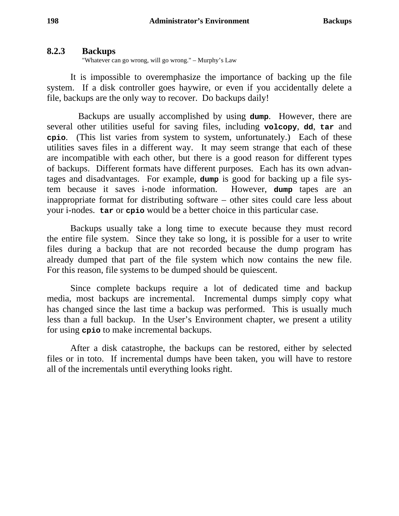## **8.2.3 Backups**

"Whatever can go wrong, will go wrong." – Murphy's Law

It is impossible to overemphasize the importance of backing up the file system. If a disk controller goes haywire, or even if you accidentally delete a file, backups are the only way to recover. Do backups daily!

 Backups are usually accomplished by using **dump**. However, there are several other utilities useful for saving files, including **volcopy**, **dd**, **tar** and **cpio**. (This list varies from system to system, unfortunately.) Each of these utilities saves files in a different way. It may seem strange that each of these are incompatible with each other, but there is a good reason for different types of backups. Different formats have different purposes. Each has its own advantages and disadvantages. For example, **dump** is good for backing up a file system because it saves i-node information. However, **dump** tapes are an inappropriate format for distributing software – other sites could care less about your i-nodes. **tar** or **cpio** would be a better choice in this particular case.

Backups usually take a long time to execute because they must record the entire file system. Since they take so long, it is possible for a user to write files during a backup that are not recorded because the dump program has already dumped that part of the file system which now contains the new file. For this reason, file systems to be dumped should be quiescent.

Since complete backups require a lot of dedicated time and backup media, most backups are incremental. Incremental dumps simply copy what has changed since the last time a backup was performed. This is usually much less than a full backup. In the User's Environment chapter, we present a utility for using **cpio** to make incremental backups.

After a disk catastrophe, the backups can be restored, either by selected files or in toto. If incremental dumps have been taken, you will have to restore all of the incrementals until everything looks right.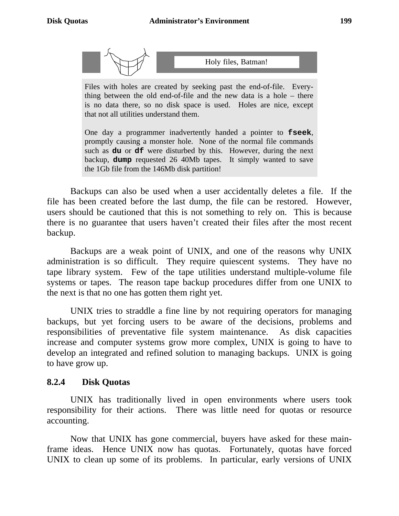

Files with holes are created by seeking past the end-of-file. Everything between the old end-of-file and the new data is a hole – there is no data there, so no disk space is used. Holes are nice, except that not all utilities understand them.

One day a programmer inadvertently handed a pointer to **fseek**, promptly causing a monster hole. None of the normal file commands such as **du** or **df** were disturbed by this. However, during the next backup, **dump** requested 26 40Mb tapes. It simply wanted to save the 1Gb file from the 146Mb disk partition!

Backups can also be used when a user accidentally deletes a file. If the file has been created before the last dump, the file can be restored. However, users should be cautioned that this is not something to rely on. This is because there is no guarantee that users haven't created their files after the most recent backup.

Backups are a weak point of UNIX, and one of the reasons why UNIX administration is so difficult. They require quiescent systems. They have no tape library system. Few of the tape utilities understand multiple-volume file systems or tapes. The reason tape backup procedures differ from one UNIX to the next is that no one has gotten them right yet.

UNIX tries to straddle a fine line by not requiring operators for managing backups, but yet forcing users to be aware of the decisions, problems and responsibilities of preventative file system maintenance. As disk capacities increase and computer systems grow more complex, UNIX is going to have to develop an integrated and refined solution to managing backups. UNIX is going to have grow up.

#### **8.2.4 Disk Quotas**

UNIX has traditionally lived in open environments where users took responsibility for their actions. There was little need for quotas or resource accounting.

Now that UNIX has gone commercial, buyers have asked for these mainframe ideas. Hence UNIX now has quotas. Fortunately, quotas have forced UNIX to clean up some of its problems. In particular, early versions of UNIX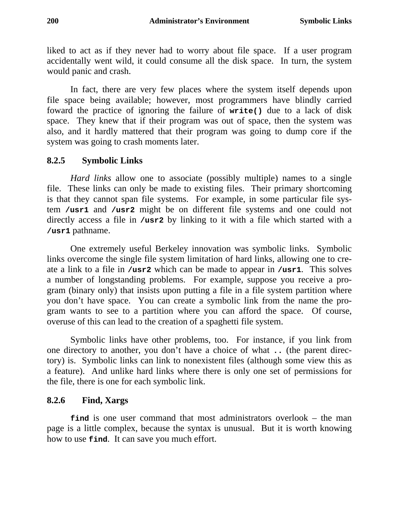liked to act as if they never had to worry about file space. If a user program accidentally went wild, it could consume all the disk space. In turn, the system would panic and crash.

In fact, there are very few places where the system itself depends upon file space being available; however, most programmers have blindly carried foward the practice of ignoring the failure of **write()** due to a lack of disk space. They knew that if their program was out of space, then the system was also, and it hardly mattered that their program was going to dump core if the system was going to crash moments later.

## **8.2.5 Symbolic Links**

*Hard links* allow one to associate (possibly multiple) names to a single file. These links can only be made to existing files. Their primary shortcoming is that they cannot span file systems. For example, in some particular file system **/usr1** and **/usr2** might be on different file systems and one could not directly access a file in **/usr2** by linking to it with a file which started with a **/usr1** pathname.

One extremely useful Berkeley innovation was symbolic links. Symbolic links overcome the single file system limitation of hard links, allowing one to create a link to a file in **/usr2** which can be made to appear in **/usr1**. This solves a number of longstanding problems. For example, suppose you receive a program (binary only) that insists upon putting a file in a file system partition where you don't have space. You can create a symbolic link from the name the program wants to see to a partition where you can afford the space. Of course, overuse of this can lead to the creation of a spaghetti file system.

Symbolic links have other problems, too. For instance, if you link from one directory to another, you don't have a choice of what **..** (the parent directory) is. Symbolic links can link to nonexistent files (although some view this as a feature). And unlike hard links where there is only one set of permissions for the file, there is one for each symbolic link.

## **8.2.6 Find, Xargs**

**find** is one user command that most administrators overlook – the man page is a little complex, because the syntax is unusual. But it is worth knowing how to use **find**. It can save you much effort.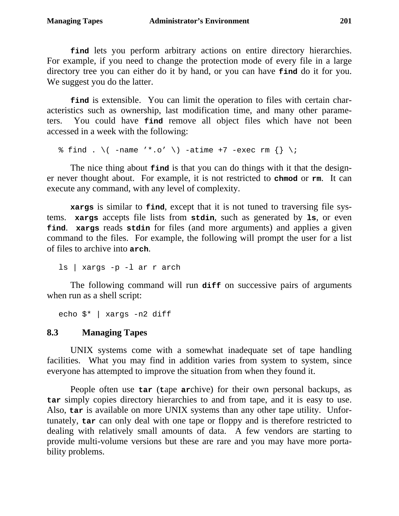**find** lets you perform arbitrary actions on entire directory hierarchies. For example, if you need to change the protection mode of every file in a large directory tree you can either do it by hand, or you can have **find** do it for you. We suggest you do the latter.

**find** is extensible. You can limit the operation to files with certain characteristics such as ownership, last modification time, and many other parameters. You could have **find** remove all object files which have not been accessed in a week with the following:

```
\frac{1}{2} find . \( -name '*.o' \) -atime +7 -exec rm {} \;
```
The nice thing about **find** is that you can do things with it that the designer never thought about. For example, it is not restricted to **chmod** or **rm**. It can execute any command, with any level of complexity.

**xargs** is similar to **find**, except that it is not tuned to traversing file systems. **xargs** accepts file lists from **stdin**, such as generated by **ls**, or even **find**. **xargs** reads **stdin** for files (and more arguments) and applies a given command to the files. For example, the following will prompt the user for a list of files to archive into **arch**.

```
ls | xargs -p -l ar r arch
```
The following command will run **diff** on successive pairs of arguments when run as a shell script:

echo \$\* | xargs -n2 diff

# **8.3 Managing Tapes**

UNIX systems come with a somewhat inadequate set of tape handling facilities. What you may find in addition varies from system to system, since everyone has attempted to improve the situation from when they found it.

People often use **tar** (**t**ape **ar**chive) for their own personal backups, as **tar** simply copies directory hierarchies to and from tape, and it is easy to use. Also, **tar** is available on more UNIX systems than any other tape utility. Unfortunately, **tar** can only deal with one tape or floppy and is therefore restricted to dealing with relatively small amounts of data. A few vendors are starting to provide multi-volume versions but these are rare and you may have more portability problems.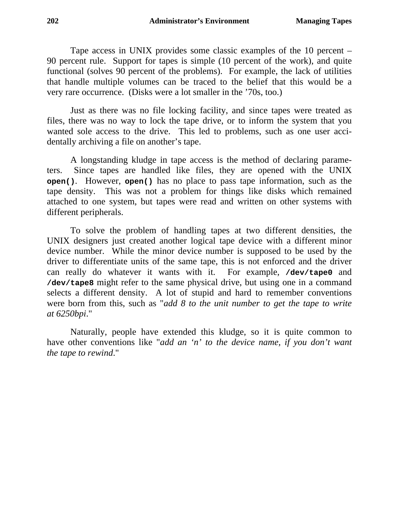Tape access in UNIX provides some classic examples of the 10 percent – 90 percent rule. Support for tapes is simple (10 percent of the work), and quite functional (solves 90 percent of the problems). For example, the lack of utilities that handle multiple volumes can be traced to the belief that this would be a very rare occurrence. (Disks were a lot smaller in the '70s, too.)

Just as there was no file locking facility, and since tapes were treated as files, there was no way to lock the tape drive, or to inform the system that you wanted sole access to the drive. This led to problems, such as one user accidentally archiving a file on another's tape.

A longstanding kludge in tape access is the method of declaring parameters. Since tapes are handled like files, they are opened with the UNIX **open()**. However, **open()** has no place to pass tape information, such as the tape density. This was not a problem for things like disks which remained attached to one system, but tapes were read and written on other systems with different peripherals.

To solve the problem of handling tapes at two different densities, the UNIX designers just created another logical tape device with a different minor device number. While the minor device number is supposed to be used by the driver to differentiate units of the same tape, this is not enforced and the driver can really do whatever it wants with it. For example, **/dev/tape0** and **/dev/tape8** might refer to the same physical drive, but using one in a command selects a different density. A lot of stupid and hard to remember conventions were born from this, such as "*add 8 to the unit number to get the tape to write at 6250bpi*."

Naturally, people have extended this kludge, so it is quite common to have other conventions like "*add an 'n' to the device name, if you don't want the tape to rewind*."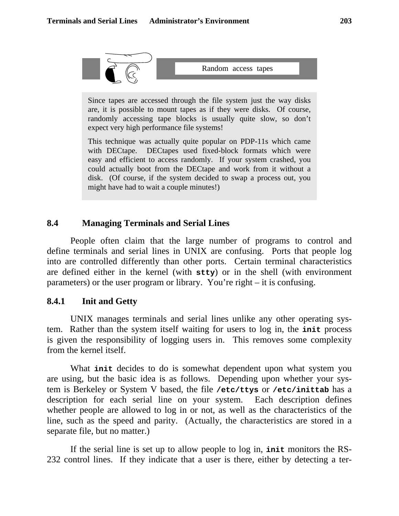

Since tapes are accessed through the file system just the way disks are, it is possible to mount tapes as if they were disks. Of course, randomly accessing tape blocks is usually quite slow, so don't expect very high performance file systems!

This technique was actually quite popular on PDP-11s which came with DECtape. DECtapes used fixed-block formats which were easy and efficient to access randomly. If your system crashed, you could actually boot from the DECtape and work from it without a disk. (Of course, if the system decided to swap a process out, you might have had to wait a couple minutes!)

#### **8.4 Managing Terminals and Serial Lines**

People often claim that the large number of programs to control and define terminals and serial lines in UNIX are confusing. Ports that people log into are controlled differently than other ports. Certain terminal characteristics are defined either in the kernel (with **stty**) or in the shell (with environment parameters) or the user program or library. You're right – it is confusing.

#### **8.4.1 Init and Getty**

UNIX manages terminals and serial lines unlike any other operating system. Rather than the system itself waiting for users to log in, the **init** process is given the responsibility of logging users in. This removes some complexity from the kernel itself.

What **init** decides to do is somewhat dependent upon what system you are using, but the basic idea is as follows. Depending upon whether your system is Berkeley or System V based, the file **/etc/ttys** or **/etc/inittab** has a description for each serial line on your system. Each description defines whether people are allowed to log in or not, as well as the characteristics of the line, such as the speed and parity. (Actually, the characteristics are stored in a separate file, but no matter.)

If the serial line is set up to allow people to log in, **init** monitors the RS-232 control lines. If they indicate that a user is there, either by detecting a ter-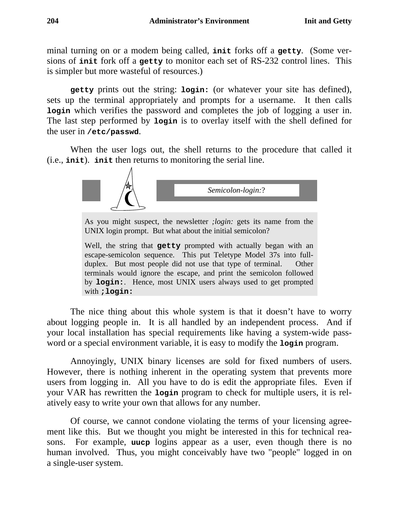minal turning on or a modem being called, **init** forks off a **getty**. (Some versions of **init** fork off a **getty** to monitor each set of RS-232 control lines. This is simpler but more wasteful of resources.)

**getty** prints out the string: **login:** (or whatever your site has defined), sets up the terminal appropriately and prompts for a username. It then calls **login** which verifies the password and completes the job of logging a user in. The last step performed by **login** is to overlay itself with the shell defined for the user in **/etc/passwd**.

When the user logs out, the shell returns to the procedure that called it (i.e., **init**). **init** then returns to monitoring the serial line.



As you might suspect, the newsletter *;login:* gets its name from the UNIX login prompt. But what about the initial semicolon?

Well, the string that **getty** prompted with actually began with an escape-semicolon sequence. This put Teletype Model 37s into fullduplex. But most people did not use that type of terminal. Other terminals would ignore the escape, and print the semicolon followed by **login:**. Hence, most UNIX users always used to get prompted with **;login:**

The nice thing about this whole system is that it doesn't have to worry about logging people in. It is all handled by an independent process. And if your local installation has special requirements like having a system-wide password or a special environment variable, it is easy to modify the **login** program.

Annoyingly, UNIX binary licenses are sold for fixed numbers of users. However, there is nothing inherent in the operating system that prevents more users from logging in. All you have to do is edit the appropriate files. Even if your VAR has rewritten the **login** program to check for multiple users, it is relatively easy to write your own that allows for any number.

Of course, we cannot condone violating the terms of your licensing agreement like this. But we thought you might be interested in this for technical reasons. For example, **uucp** logins appear as a user, even though there is no human involved. Thus, you might conceivably have two "people" logged in on a single-user system.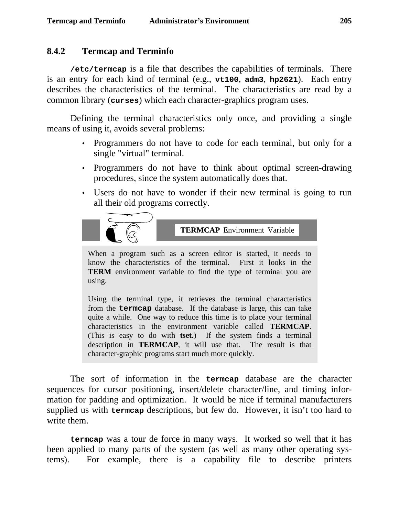## **8.4.2 Termcap and Terminfo**

**/etc/termcap** is a file that describes the capabilities of terminals. There is an entry for each kind of terminal (e.g., **vt100**, **adm3**, **hp2621**). Each entry describes the characteristics of the terminal. The characteristics are read by a common library (**curses**) which each character-graphics program uses.

Defining the terminal characteristics only once, and providing a single means of using it, avoids several problems:

- Programmers do not have to code for each terminal, but only for a single "virtual" terminal.
- Programmers do not have to think about optimal screen-drawing procedures, since the system automatically does that.
- Users do not have to wonder if their new terminal is going to run all their old programs correctly.



**TERMCAP** Environment Variable

When a program such as a screen editor is started, it needs to know the characteristics of the terminal. First it looks in the **TERM** environment variable to find the type of terminal you are using.

Using the terminal type, it retrieves the terminal characteristics from the **termcap** database. If the database is large, this can take quite a while. One way to reduce this time is to place your terminal characteristics in the environment variable called **TERMCAP**. (This is easy to do with **tset**.) If the system finds a terminal description in **TERMCAP**, it will use that. The result is that character-graphic programs start much more quickly.

The sort of information in the **termcap** database are the character sequences for cursor positioning, insert/delete character/line, and timing information for padding and optimization. It would be nice if terminal manufacturers supplied us with **termcap** descriptions, but few do. However, it isn't too hard to write them.

**termcap** was a tour de force in many ways. It worked so well that it has been applied to many parts of the system (as well as many other operating systems). For example, there is a capability file to describe printers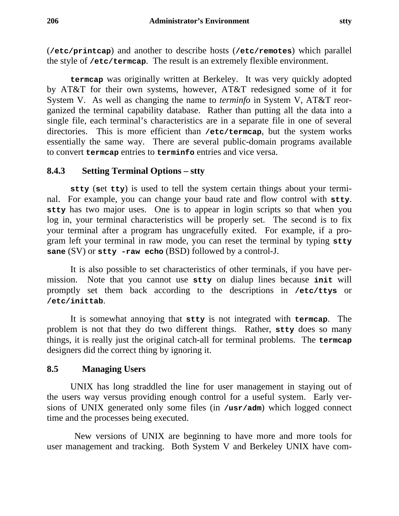(**/etc/printcap**) and another to describe hosts (**/etc/remotes**) which parallel the style of **/etc/termcap**. The result is an extremely flexible environment.

**termcap** was originally written at Berkeley. It was very quickly adopted by AT&T for their own systems, however, AT&T redesigned some of it for System V. As well as changing the name to *terminfo* in System V, AT&T reorganized the terminal capability database. Rather than putting all the data into a single file, each terminal's characteristics are in a separate file in one of several directories. This is more efficient than **/etc/termcap**, but the system works essentially the same way. There are several public-domain programs available to convert **termcap** entries to **terminfo** entries and vice versa.

# **8.4.3 Setting Terminal Options – stty**

**stty** (**s**et **tty**) is used to tell the system certain things about your terminal. For example, you can change your baud rate and flow control with **stty**. **stty** has two major uses. One is to appear in login scripts so that when you log in, your terminal characteristics will be properly set. The second is to fix your terminal after a program has ungracefully exited. For example, if a program left your terminal in raw mode, you can reset the terminal by typing **stty sane** (SV) or **stty -raw echo** (BSD) followed by a control-J.

It is also possible to set characteristics of other terminals, if you have permission. Note that you cannot use **stty** on dialup lines because **init** will promptly set them back according to the descriptions in **/etc/ttys** or **/etc/inittab**.

It is somewhat annoying that **stty** is not integrated with **termcap**. The problem is not that they do two different things. Rather, **stty** does so many things, it is really just the original catch-all for terminal problems. The **termcap** designers did the correct thing by ignoring it.

# **8.5 Managing Users**

UNIX has long straddled the line for user management in staying out of the users way versus providing enough control for a useful system. Early versions of UNIX generated only some files (in **/usr/adm**) which logged connect time and the processes being executed.

 New versions of UNIX are beginning to have more and more tools for user management and tracking. Both System V and Berkeley UNIX have com-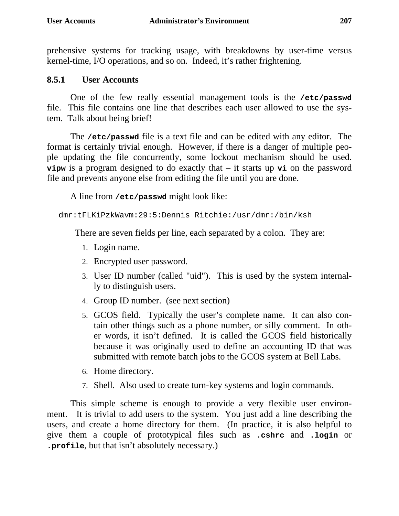prehensive systems for tracking usage, with breakdowns by user-time versus kernel-time, I/O operations, and so on. Indeed, it's rather frightening.

#### **8.5.1 User Accounts**

One of the few really essential management tools is the **/etc/passwd** file. This file contains one line that describes each user allowed to use the system. Talk about being brief!

The **/etc/passwd** file is a text file and can be edited with any editor. The format is certainly trivial enough. However, if there is a danger of multiple people updating the file concurrently, some lockout mechanism should be used. **vipw** is a program designed to do exactly that – it starts up **vi** on the password file and prevents anyone else from editing the file until you are done.

A line from **/etc/passwd** might look like:

```
dmr:tFLKiPzkWavm:29:5:Dennis Ritchie:/usr/dmr:/bin/ksh
```
There are seven fields per line, each separated by a colon. They are:

- 1. Login name.
- 2. Encrypted user password.
- 3. User ID number (called "uid"). This is used by the system internally to distinguish users.
- 4. Group ID number. (see next section)
- 5. GCOS field. Typically the user's complete name. It can also contain other things such as a phone number, or silly comment. In other words, it isn't defined. It is called the GCOS field historically because it was originally used to define an accounting ID that was submitted with remote batch jobs to the GCOS system at Bell Labs.
- 6. Home directory.
- 7. Shell. Also used to create turn-key systems and login commands.

This simple scheme is enough to provide a very flexible user environment. It is trivial to add users to the system. You just add a line describing the users, and create a home directory for them. (In practice, it is also helpful to give them a couple of prototypical files such as **.cshrc** and **.login** or **.profile**, but that isn't absolutely necessary.)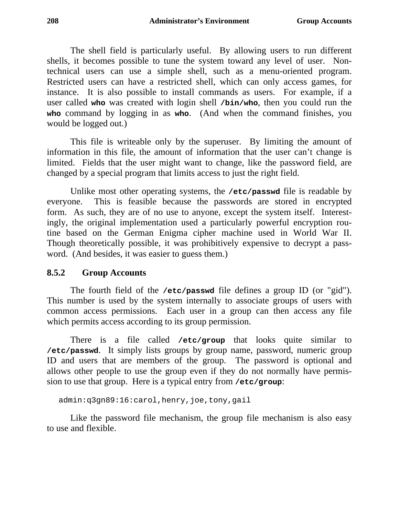The shell field is particularly useful. By allowing users to run different shells, it becomes possible to tune the system toward any level of user. Nontechnical users can use a simple shell, such as a menu-oriented program. Restricted users can have a restricted shell, which can only access games, for instance. It is also possible to install commands as users. For example, if a user called **who** was created with login shell **/bin/who**, then you could run the **who** command by logging in as **who**. (And when the command finishes, you would be logged out.)

This file is writeable only by the superuser. By limiting the amount of information in this file, the amount of information that the user can't change is limited. Fields that the user might want to change, like the password field, are changed by a special program that limits access to just the right field.

Unlike most other operating systems, the **/etc/passwd** file is readable by everyone. This is feasible because the passwords are stored in encrypted form. As such, they are of no use to anyone, except the system itself. Interestingly, the original implementation used a particularly powerful encryption routine based on the German Enigma cipher machine used in World War II. Though theoretically possible, it was prohibitively expensive to decrypt a password. (And besides, it was easier to guess them.)

## **8.5.2 Group Accounts**

The fourth field of the **/etc/passwd** file defines a group ID (or "gid"). This number is used by the system internally to associate groups of users with common access permissions. Each user in a group can then access any file which permits access according to its group permission.

There is a file called **/etc/group** that looks quite similar to **/etc/passwd**. It simply lists groups by group name, password, numeric group ID and users that are members of the group. The password is optional and allows other people to use the group even if they do not normally have permission to use that group. Here is a typical entry from **/etc/group**:

admin:q3gn89:16:carol,henry,joe,tony,gail

Like the password file mechanism, the group file mechanism is also easy to use and flexible.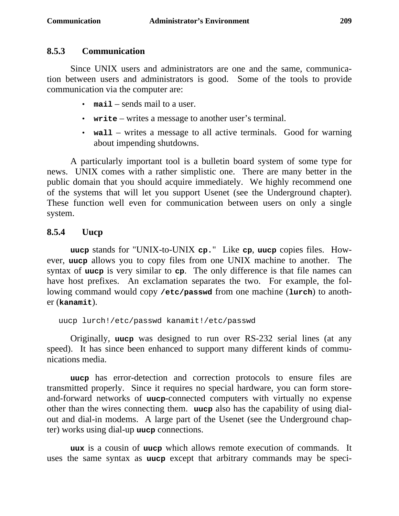# **8.5.3 Communication**

Since UNIX users and administrators are one and the same, communication between users and administrators is good. Some of the tools to provide communication via the computer are:

- **mail** sends mail to a user.
- **write** writes a message to another user's terminal.
- **wall** writes a message to all active terminals. Good for warning about impending shutdowns.

A particularly important tool is a bulletin board system of some type for news. UNIX comes with a rather simplistic one. There are many better in the public domain that you should acquire immediately. We highly recommend one of the systems that will let you support Usenet (see the Underground chapter). These function well even for communication between users on only a single system.

# **8.5.4 Uucp**

**uucp** stands for "UNIX-to-UNIX **cp.**" Like **cp**, **uucp** copies files. However, **uucp** allows you to copy files from one UNIX machine to another. The syntax of **uucp** is very similar to **cp**. The only difference is that file names can have host prefixes. An exclamation separates the two. For example, the following command would copy **/etc/passwd** from one machine (**lurch**) to another (**kanamit**).

```
uucp lurch!/etc/passwd kanamit!/etc/passwd
```
Originally, **uucp** was designed to run over RS-232 serial lines (at any speed). It has since been enhanced to support many different kinds of communications media.

**uucp** has error-detection and correction protocols to ensure files are transmitted properly. Since it requires no special hardware, you can form storeand-forward networks of **uucp**-connected computers with virtually no expense other than the wires connecting them. **uucp** also has the capability of using dialout and dial-in modems. A large part of the Usenet (see the Underground chapter) works using dial-up **uucp** connections.

**uux** is a cousin of **uucp** which allows remote execution of commands. It uses the same syntax as **uucp** except that arbitrary commands may be speci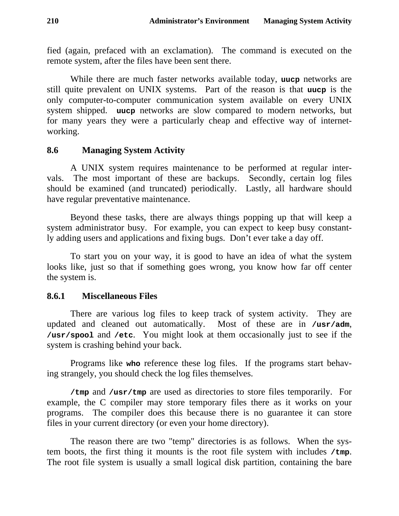fied (again, prefaced with an exclamation). The command is executed on the remote system, after the files have been sent there.

While there are much faster networks available today, **uucp** networks are still quite prevalent on UNIX systems. Part of the reason is that **uucp** is the only computer-to-computer communication system available on every UNIX system shipped. **uucp** networks are slow compared to modern networks, but for many years they were a particularly cheap and effective way of internetworking.

#### **8.6 Managing System Activity**

A UNIX system requires maintenance to be performed at regular intervals. The most important of these are backups. Secondly, certain log files should be examined (and truncated) periodically. Lastly, all hardware should have regular preventative maintenance.

Beyond these tasks, there are always things popping up that will keep a system administrator busy. For example, you can expect to keep busy constantly adding users and applications and fixing bugs. Don't ever take a day off.

To start you on your way, it is good to have an idea of what the system looks like, just so that if something goes wrong, you know how far off center the system is.

#### **8.6.1 Miscellaneous Files**

There are various log files to keep track of system activity. They are updated and cleaned out automatically. Most of these are in **/usr/adm**, **/usr/spool** and **/etc**. You might look at them occasionally just to see if the system is crashing behind your back.

Programs like **who** reference these log files. If the programs start behaving strangely, you should check the log files themselves.

**/tmp** and **/usr/tmp** are used as directories to store files temporarily. For example, the C compiler may store temporary files there as it works on your programs. The compiler does this because there is no guarantee it can store files in your current directory (or even your home directory).

The reason there are two "temp" directories is as follows. When the system boots, the first thing it mounts is the root file system with includes **/tmp**. The root file system is usually a small logical disk partition, containing the bare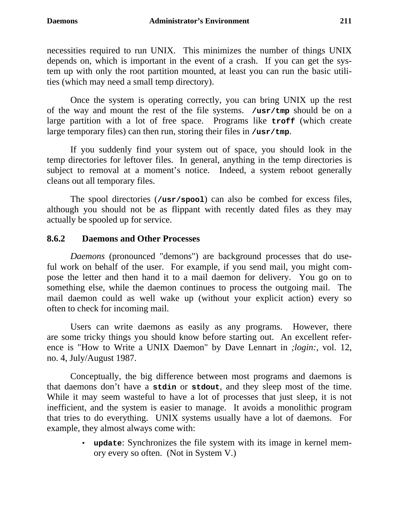necessities required to run UNIX. This minimizes the number of things UNIX depends on, which is important in the event of a crash. If you can get the system up with only the root partition mounted, at least you can run the basic utilities (which may need a small temp directory).

Once the system is operating correctly, you can bring UNIX up the rest of the way and mount the rest of the file systems. **/usr/tmp** should be on a large partition with a lot of free space. Programs like **troff** (which create large temporary files) can then run, storing their files in **/usr/tmp**.

If you suddenly find your system out of space, you should look in the temp directories for leftover files. In general, anything in the temp directories is subject to removal at a moment's notice. Indeed, a system reboot generally cleans out all temporary files.

The spool directories (**/usr/spool**) can also be combed for excess files, although you should not be as flippant with recently dated files as they may actually be spooled up for service.

## **8.6.2 Daemons and Other Processes**

*Daemons* (pronounced "demons") are background processes that do useful work on behalf of the user. For example, if you send mail, you might compose the letter and then hand it to a mail daemon for delivery. You go on to something else, while the daemon continues to process the outgoing mail. The mail daemon could as well wake up (without your explicit action) every so often to check for incoming mail.

Users can write daemons as easily as any programs. However, there are some tricky things you should know before starting out. An excellent reference is "How to Write a UNIX Daemon" by Dave Lennart in *;login:*, vol. 12, no. 4, July/August 1987.

Conceptually, the big difference between most programs and daemons is that daemons don't have a **stdin** or **stdout**, and they sleep most of the time. While it may seem wasteful to have a lot of processes that just sleep, it is not inefficient, and the system is easier to manage. It avoids a monolithic program that tries to do everything. UNIX systems usually have a lot of daemons. For example, they almost always come with:

> • **update**: Synchronizes the file system with its image in kernel memory every so often. (Not in System V.)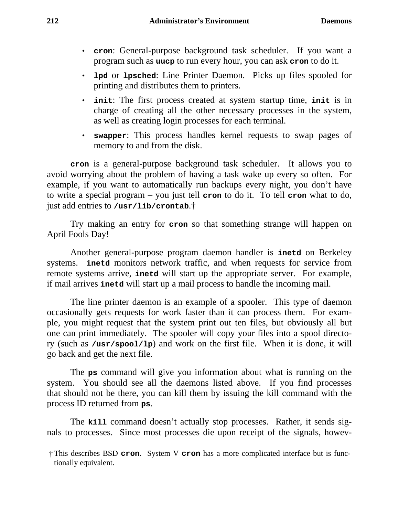- **cron**: General-purpose background task scheduler. If you want a program such as **uucp** to run every hour, you can ask **cron** to do it.
- **lpd** or **lpsched**: Line Printer Daemon. Picks up files spooled for printing and distributes them to printers.
- **init**: The first process created at system startup time, **init** is in charge of creating all the other necessary processes in the system, as well as creating login processes for each terminal.
- **swapper**: This process handles kernel requests to swap pages of memory to and from the disk.

**cron** is a general-purpose background task scheduler. It allows you to avoid worrying about the problem of having a task wake up every so often. For example, if you want to automatically run backups every night, you don't have to write a special program – you just tell **cron** to do it. To tell **cron** what to do, just add entries to **/usr/lib/crontab**.†

Try making an entry for **cron** so that something strange will happen on April Fools Day!

Another general-purpose program daemon handler is **inetd** on Berkeley systems. **inetd** monitors network traffic, and when requests for service from remote systems arrive, **inetd** will start up the appropriate server. For example, if mail arrives **inetd** will start up a mail process to handle the incoming mail.

The line printer daemon is an example of a spooler. This type of daemon occasionally gets requests for work faster than it can process them. For example, you might request that the system print out ten files, but obviously all but one can print immediately. The spooler will copy your files into a spool directory (such as **/usr/spool/lp**) and work on the first file. When it is done, it will go back and get the next file.

The **ps** command will give you information about what is running on the system. You should see all the daemons listed above. If you find processes that should not be there, you can kill them by issuing the kill command with the process ID returned from **ps**.

The **kill** command doesn't actually stop processes. Rather, it sends signals to processes. Since most processes die upon receipt of the signals, howev-

This describes BSD **cron**. System V **cron** has a more complicated interface but is func-†tionally equivalent.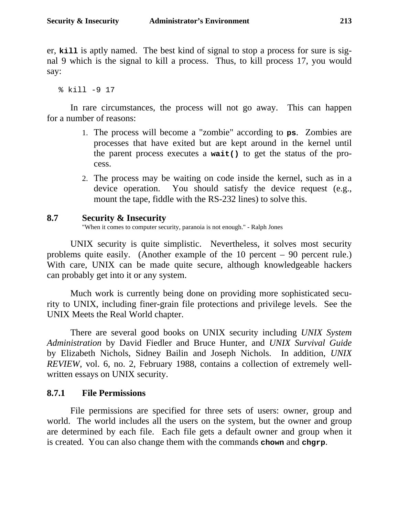er, **kill** is aptly named. The best kind of signal to stop a process for sure is signal 9 which is the signal to kill a process. Thus, to kill process 17, you would say:

% kill -9 17

In rare circumstances, the process will not go away. This can happen for a number of reasons:

- 1. The process will become a "zombie" according to **ps**. Zombies are processes that have exited but are kept around in the kernel until the parent process executes a **wait()** to get the status of the process.
- 2. The process may be waiting on code inside the kernel, such as in a device operation. You should satisfy the device request (e.g., mount the tape, fiddle with the RS-232 lines) to solve this.

# **8.7 Security & Insecurity**

"When it comes to computer security, paranoia is not enough." - Ralph Jones

UNIX security is quite simplistic. Nevertheless, it solves most security problems quite easily. (Another example of the 10 percent – 90 percent rule.) With care, UNIX can be made quite secure, although knowledgeable hackers can probably get into it or any system.

Much work is currently being done on providing more sophisticated security to UNIX, including finer-grain file protections and privilege levels. See the UNIX Meets the Real World chapter.

There are several good books on UNIX security including *UNIX System Administration* by David Fiedler and Bruce Hunter, and *UNIX Survival Guide* by Elizabeth Nichols, Sidney Bailin and Joseph Nichols. In addition, *UNIX REVIEW*, vol. 6, no. 2, February 1988, contains a collection of extremely wellwritten essays on UNIX security.

## **8.7.1 File Permissions**

File permissions are specified for three sets of users: owner, group and world. The world includes all the users on the system, but the owner and group are determined by each file. Each file gets a default owner and group when it is created. You can also change them with the commands **chown** and **chgrp**.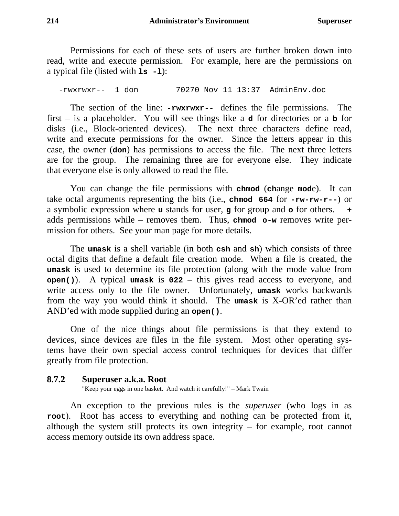Permissions for each of these sets of users are further broken down into read, write and execute permission. For example, here are the permissions on a typical file (listed with **ls -l**):

-rwxrwxr-- 1 don 70270 Nov 11 13:37 AdminEnv.doc

The section of the line: **-rwxrwxr--** defines the file permissions. The first – is a placeholder. You will see things like a **d** for directories or a **b** for disks (i.e., Block-oriented devices). The next three characters define read, write and execute permissions for the owner. Since the letters appear in this case, the owner (**don**) has permissions to access the file. The next three letters are for the group. The remaining three are for everyone else. They indicate that everyone else is only allowed to read the file.

You can change the file permissions with **chmod** (**ch**ange **mod**e). It can take octal arguments representing the bits (i.e., **chmod 664** for **-rw-rw-r--**) or a symbolic expression where **u** stands for user, **g** for group and **o** for others. **+** adds permissions while – removes them. Thus, **chmod o-w** removes write permission for others. See your man page for more details.

The **umask** is a shell variable (in both **csh** and **sh**) which consists of three octal digits that define a default file creation mode. When a file is created, the **umask** is used to determine its file protection (along with the mode value from **open()**). A typical **umask** is **022** – this gives read access to everyone, and write access only to the file owner. Unfortunately, **umask** works backwards from the way you would think it should. The **umask** is X-OR'ed rather than AND'ed with mode supplied during an **open()**.

One of the nice things about file permissions is that they extend to devices, since devices are files in the file system. Most other operating systems have their own special access control techniques for devices that differ greatly from file protection.

#### **8.7.2 Superuser a.k.a. Root**

"Keep your eggs in one basket. And watch it carefully!" – Mark Twain

An exception to the previous rules is the *superuser* (who logs in as **root**). Root has access to everything and nothing can be protected from it, although the system still protects its own integrity – for example, root cannot access memory outside its own address space.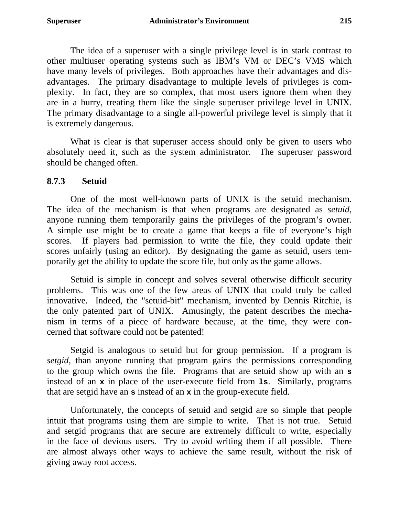The idea of a superuser with a single privilege level is in stark contrast to other multiuser operating systems such as IBM's VM or DEC's VMS which have many levels of privileges. Both approaches have their advantages and disadvantages. The primary disadvantage to multiple levels of privileges is complexity. In fact, they are so complex, that most users ignore them when they are in a hurry, treating them like the single superuser privilege level in UNIX. The primary disadvantage to a single all-powerful privilege level is simply that it is extremely dangerous.

What is clear is that superuser access should only be given to users who absolutely need it, such as the system administrator. The superuser password should be changed often.

# **8.7.3 Setuid**

One of the most well-known parts of UNIX is the setuid mechanism. The idea of the mechanism is that when programs are designated as *setuid*, anyone running them temporarily gains the privileges of the program's owner. A simple use might be to create a game that keeps a file of everyone's high scores. If players had permission to write the file, they could update their scores unfairly (using an editor). By designating the game as setuid, users temporarily get the ability to update the score file, but only as the game allows.

Setuid is simple in concept and solves several otherwise difficult security problems. This was one of the few areas of UNIX that could truly be called innovative. Indeed, the "setuid-bit" mechanism, invented by Dennis Ritchie, is the only patented part of UNIX. Amusingly, the patent describes the mechanism in terms of a piece of hardware because, at the time, they were concerned that software could not be patented!

Setgid is analogous to setuid but for group permission. If a program is *setgid*, than anyone running that program gains the permissions corresponding to the group which owns the file. Programs that are setuid show up with an **s** instead of an **x** in place of the user-execute field from **ls**. Similarly, programs that are setgid have an **s** instead of an **x** in the group-execute field.

Unfortunately, the concepts of setuid and setgid are so simple that people intuit that programs using them are simple to write. That is not true. Setuid and setgid programs that are secure are extremely difficult to write, especially in the face of devious users. Try to avoid writing them if all possible. There are almost always other ways to achieve the same result, without the risk of giving away root access.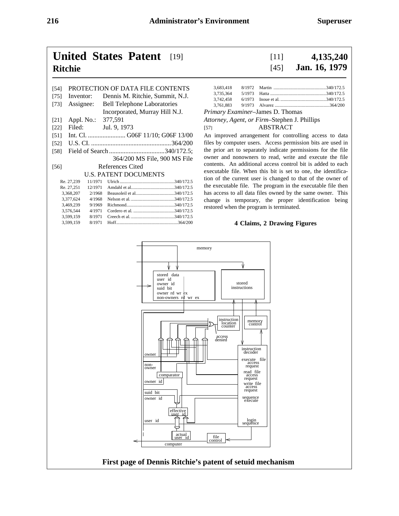# **United States Patent** [19] [11] **Ritchie**

#### [54] PROTECTION OF DATA FILE CONTENTS

- [75] Inventor: Dennis M. Ritchie, Summit, N.J. [73] Assignee: Bell Telephone Laboratories Incorporated, Murray Hill N.J. [21] Appl. No.: 377,591 [22] Filed: Jul. 9, 1973 [51] Int. Cl. ....................... G06F 11/10; G06F 13/00
- [52] U.S. CI. .................................................364/200 [58] Field of Search ..................................340/172.5;
- 364/200 MS File, 900 MS File [56] References Cited

#### U.S. PATENT DOCUMENTS

| Re. 27.239 | 11/1971 |  |
|------------|---------|--|
| Re. 27.251 | 12/1971 |  |
| 3.368.207  | 2/1968  |  |
| 3.377.624  | 4/1968  |  |
| 3.469.239  | 9/1969  |  |
| 3.576.544  | 4/1971  |  |
| 3.599.159  | 8/1971  |  |
| 3.599.159  | 8/1971  |  |
|            |         |  |

#### **4,135,240 Jan. 16, 1979** [45]

| 3.683.418<br>3.735.364<br>3.742.458 |  |  |
|-------------------------------------|--|--|
| 3.761.883                           |  |  |

*Primary Examiner*–James D. Thomas

*Attorney, Agent, or Firm*–Stephen J. Phillips [57] ABSTRACT

An improved arrangement for controlling access to data files by computer users. Access permission bits are used in the prior art to separately indicate permissions for the file owner and nonowners to read, write and execute the file contents. An additional access control bit is added to each executable file. When this bit is set to one, the identification of the current user is changed to that of the owner of the executable file. The program in the executable file then has access to all data files owned by the same owner. This change is temporary, the proper identification being restored when the program is terminated.

#### **4 Claims, 2 Drawing Figures**



**First page of Dennis Ritchie's patent of setuid mechanism**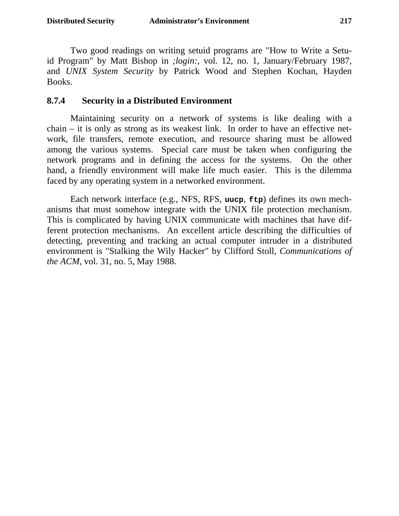Two good readings on writing setuid programs are "How to Write a Setuid Program" by Matt Bishop in *;login:*, vol. 12, no. 1, January/February 1987, and *UNIX System Security* by Patrick Wood and Stephen Kochan, Hayden Books.

## **8.7.4 Security in a Distributed Environment**

Maintaining security on a network of systems is like dealing with a chain – it is only as strong as its weakest link. In order to have an effective network, file transfers, remote execution, and resource sharing must be allowed among the various systems. Special care must be taken when configuring the network programs and in defining the access for the systems. On the other hand, a friendly environment will make life much easier. This is the dilemma faced by any operating system in a networked environment.

Each network interface (e.g., NFS, RFS, **uucp**, **ftp**) defines its own mechanisms that must somehow integrate with the UNIX file protection mechanism. This is complicated by having UNIX communicate with machines that have different protection mechanisms. An excellent article describing the difficulties of detecting, preventing and tracking an actual computer intruder in a distributed environment is "Stalking the Wily Hacker" by Clifford Stoll, *Communications of the ACM*, vol. 31, no. 5, May 1988.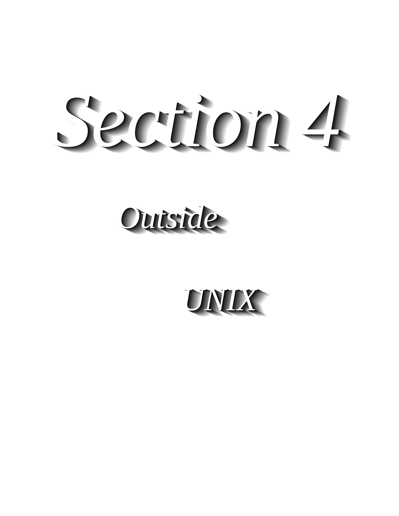Section 4



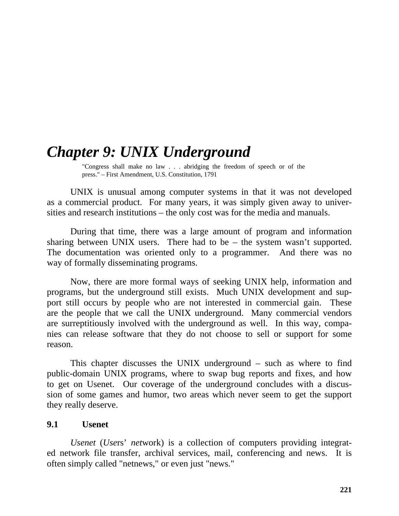# *Chapter 9: UNIX Underground*

"Congress shall make no law . . . abridging the freedom of speech or of the press." – First Amendment, U.S. Constitution, 1791

UNIX is unusual among computer systems in that it was not developed as a commercial product. For many years, it was simply given away to universities and research institutions – the only cost was for the media and manuals.

During that time, there was a large amount of program and information sharing between UNIX users. There had to be – the system wasn't supported. The documentation was oriented only to a programmer. And there was no way of formally disseminating programs.

Now, there are more formal ways of seeking UNIX help, information and programs, but the underground still exists. Much UNIX development and support still occurs by people who are not interested in commercial gain. These are the people that we call the UNIX underground. Many commercial vendors are surreptitiously involved with the underground as well. In this way, companies can release software that they do not choose to sell or support for some reason.

This chapter discusses the UNIX underground – such as where to find public-domain UNIX programs, where to swap bug reports and fixes, and how to get on Usenet. Our coverage of the underground concludes with a discussion of some games and humor, two areas which never seem to get the support they really deserve.

#### **9.1 Usenet**

*Usenet* (*Use*rs' *net*work) is a collection of computers providing integrated network file transfer, archival services, mail, conferencing and news. It is often simply called "netnews," or even just "news."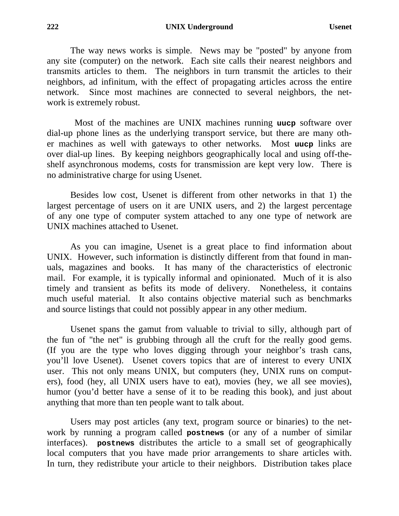The way news works is simple. News may be "posted" by anyone from any site (computer) on the network. Each site calls their nearest neighbors and transmits articles to them. The neighbors in turn transmit the articles to their neighbors, ad infinitum, with the effect of propagating articles across the entire network. Since most machines are connected to several neighbors, the network is extremely robust.

 Most of the machines are UNIX machines running **uucp** software over dial-up phone lines as the underlying transport service, but there are many other machines as well with gateways to other networks. Most **uucp** links are over dial-up lines. By keeping neighbors geographically local and using off-theshelf asynchronous modems, costs for transmission are kept very low. There is no administrative charge for using Usenet.

Besides low cost, Usenet is different from other networks in that 1) the largest percentage of users on it are UNIX users, and 2) the largest percentage of any one type of computer system attached to any one type of network are UNIX machines attached to Usenet.

As you can imagine, Usenet is a great place to find information about UNIX. However, such information is distinctly different from that found in manuals, magazines and books. It has many of the characteristics of electronic mail. For example, it is typically informal and opinionated. Much of it is also timely and transient as befits its mode of delivery. Nonetheless, it contains much useful material. It also contains objective material such as benchmarks and source listings that could not possibly appear in any other medium.

Usenet spans the gamut from valuable to trivial to silly, although part of the fun of "the net" is grubbing through all the cruft for the really good gems. (If you are the type who loves digging through your neighbor's trash cans, you'll love Usenet). Usenet covers topics that are of interest to every UNIX user. This not only means UNIX, but computers (hey, UNIX runs on computers), food (hey, all UNIX users have to eat), movies (hey, we all see movies), humor (you'd better have a sense of it to be reading this book), and just about anything that more than ten people want to talk about.

Users may post articles (any text, program source or binaries) to the network by running a program called **postnews** (or any of a number of similar interfaces). **postnews** distributes the article to a small set of geographically local computers that you have made prior arrangements to share articles with. In turn, they redistribute your article to their neighbors. Distribution takes place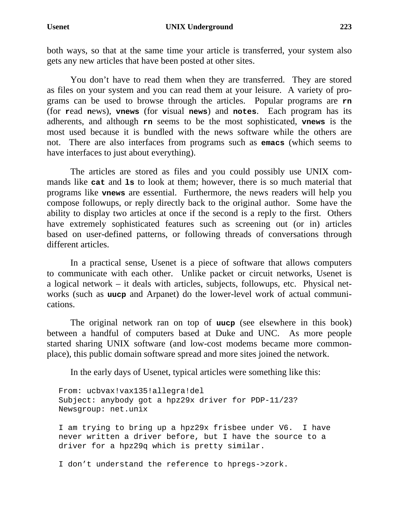both ways, so that at the same time your article is transferred, your system also gets any new articles that have been posted at other sites.

You don't have to read them when they are transferred. They are stored as files on your system and you can read them at your leisure. A variety of programs can be used to browse through the articles. Popular programs are **rn** (for **r**ead **n**ews), **vnews** (for **v**isual **news**) and **notes**. Each program has its adherents, and although **rn** seems to be the most sophisticated, **vnews** is the most used because it is bundled with the news software while the others are not. There are also interfaces from programs such as **emacs** (which seems to have interfaces to just about everything).

The articles are stored as files and you could possibly use UNIX commands like **cat** and **ls** to look at them; however, there is so much material that programs like **vnews** are essential. Furthermore, the news readers will help you compose followups, or reply directly back to the original author. Some have the ability to display two articles at once if the second is a reply to the first. Others have extremely sophisticated features such as screening out (or in) articles based on user-defined patterns, or following threads of conversations through different articles.

In a practical sense, Usenet is a piece of software that allows computers to communicate with each other. Unlike packet or circuit networks, Usenet is a logical network – it deals with articles, subjects, followups, etc. Physical networks (such as **uucp** and Arpanet) do the lower-level work of actual communications.

The original network ran on top of **uucp** (see elsewhere in this book) between a handful of computers based at Duke and UNC. As more people started sharing UNIX software (and low-cost modems became more commonplace), this public domain software spread and more sites joined the network.

In the early days of Usenet, typical articles were something like this:

From: ucbvax!vax135!allegra!del Subject: anybody got a hpz29x driver for PDP-11/23? Newsgroup: net.unix I am trying to bring up a hpz29x frisbee under V6. I have never written a driver before, but I have the source to a driver for a hpz29q which is pretty similar.

I don't understand the reference to hpregs->zork.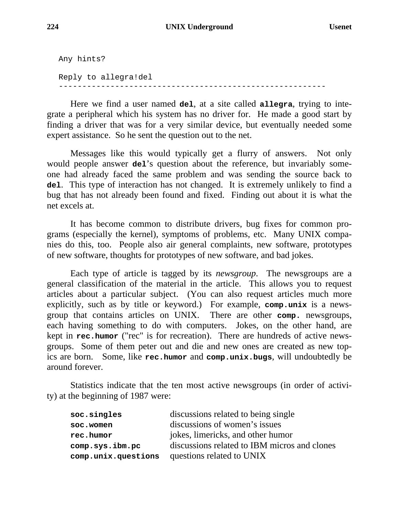Any hints? Reply to allegra!del ---------------------------------------------------------

Here we find a user named **del**, at a site called **allegra**, trying to integrate a peripheral which his system has no driver for. He made a good start by finding a driver that was for a very similar device, but eventually needed some expert assistance. So he sent the question out to the net.

Messages like this would typically get a flurry of answers. Not only would people answer **del**'s question about the reference, but invariably someone had already faced the same problem and was sending the source back to **del**. This type of interaction has not changed. It is extremely unlikely to find a bug that has not already been found and fixed. Finding out about it is what the net excels at.

It has become common to distribute drivers, bug fixes for common programs (especially the kernel), symptoms of problems, etc. Many UNIX companies do this, too. People also air general complaints, new software, prototypes of new software, thoughts for prototypes of new software, and bad jokes.

Each type of article is tagged by its *newsgroup*. The newsgroups are a general classification of the material in the article. This allows you to request articles about a particular subject. (You can also request articles much more explicitly, such as by title or keyword.) For example, **comp.unix** is a newsgroup that contains articles on UNIX. There are other **comp.** newsgroups, each having something to do with computers. Jokes, on the other hand, are kept in **rec.humor** ("rec" is for recreation). There are hundreds of active newsgroups. Some of them peter out and die and new ones are created as new topics are born. Some, like **rec.humor** and **comp.unix.bugs**, will undoubtedly be around forever.

Statistics indicate that the ten most active newsgroups (in order of activity) at the beginning of 1987 were:

| soc.singles          | discussions related to being single          |
|----------------------|----------------------------------------------|
| soc.women            | discussions of women's issues                |
| rec.humor            | jokes, limericks, and other humor            |
| $comp. sys. ibm. pc$ | discussions related to IBM micros and clones |
| comp.unix.questions  | questions related to UNIX                    |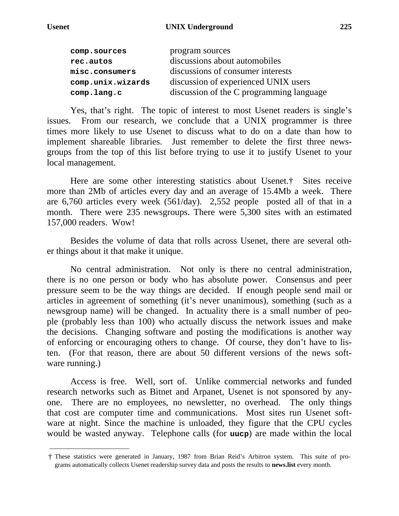| comp.sources      | program sources                          |
|-------------------|------------------------------------------|
| rec.autos         | discussions about automobiles            |
| misc.consumers    | discussions of consumer interests        |
| comp.unix.wizards | discussion of experienced UNIX users     |
| $comp.$ lang.c    | discussion of the C programming language |

Yes, that's right. The topic of interest to most Usenet readers is single's issues. From our research, we conclude that a UNIX programmer is three times more likely to use Usenet to discuss what to do on a date than how to implement shareable libraries. Just remember to delete the first three newsgroups from the top of this list before trying to use it to justify Usenet to your local management.

Here are some other interesting statistics about Usenet.† Sites receive more than 2Mb of articles every day and an average of 15.4Mb a week. There are 6,760 articles every week (561/day). 2,552 people posted all of that in a month. There were 235 newsgroups. There were 5,300 sites with an estimated 157,000 readers. Wow!

Besides the volume of data that rolls across Usenet, there are several other things about it that make it unique.

No central administration. Not only is there no central administration, there is no one person or body who has absolute power. Consensus and peer pressure seem to be the way things are decided. If enough people send mail or articles in agreement of something (it's never unanimous), something (such as a newsgroup name) will be changed. In actuality there is a small number of people (probably less than 100) who actually discuss the network issues and make the decisions. Changing software and posting the modifications is another way of enforcing or encouraging others to change. Of course, they don't have to listen. (For that reason, there are about 50 different versions of the news software running.)

Access is free. Well, sort of. Unlike commercial networks and funded research networks such as Bitnet and Arpanet, Usenet is not sponsored by anyone. There are no employees, no newsletter, no overhead. The only things that cost are computer time and communications. Most sites run Usenet software at night. Since the machine is unloaded, they figure that the CPU cycles would be wasted anyway. Telephone calls (for **uucp**) are made within the local

These statistics were generated in January, 1987 from Brian Reid's Arbitron system. This suite of pro-†grams automatically collects Usenet readership survey data and posts the results to **news.list** every month.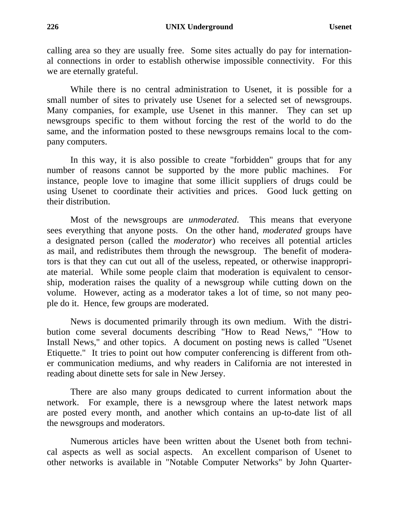calling area so they are usually free. Some sites actually do pay for international connections in order to establish otherwise impossible connectivity. For this we are eternally grateful.

While there is no central administration to Usenet, it is possible for a small number of sites to privately use Usenet for a selected set of newsgroups. Many companies, for example, use Usenet in this manner. They can set up newsgroups specific to them without forcing the rest of the world to do the same, and the information posted to these newsgroups remains local to the company computers.

In this way, it is also possible to create "forbidden" groups that for any number of reasons cannot be supported by the more public machines. For instance, people love to imagine that some illicit suppliers of drugs could be using Usenet to coordinate their activities and prices. Good luck getting on their distribution.

Most of the newsgroups are *unmoderated*. This means that everyone sees everything that anyone posts. On the other hand, *moderated* groups have a designated person (called the *moderator*) who receives all potential articles as mail, and redistributes them through the newsgroup. The benefit of moderators is that they can cut out all of the useless, repeated, or otherwise inappropriate material. While some people claim that moderation is equivalent to censorship, moderation raises the quality of a newsgroup while cutting down on the volume. However, acting as a moderator takes a lot of time, so not many people do it. Hence, few groups are moderated.

News is documented primarily through its own medium. With the distribution come several documents describing "How to Read News," "How to Install News," and other topics. A document on posting news is called "Usenet Etiquette." It tries to point out how computer conferencing is different from other communication mediums, and why readers in California are not interested in reading about dinette sets for sale in New Jersey.

There are also many groups dedicated to current information about the network. For example, there is a newsgroup where the latest network maps are posted every month, and another which contains an up-to-date list of all the newsgroups and moderators.

Numerous articles have been written about the Usenet both from technical aspects as well as social aspects. An excellent comparison of Usenet to other networks is available in "Notable Computer Networks" by John Quarter-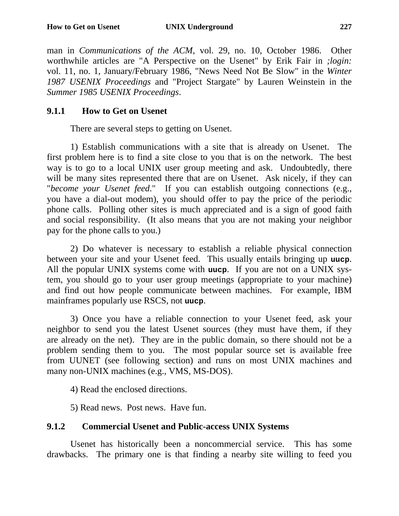man in *Communications of the ACM*, vol. 29, no. 10, October 1986. Other worthwhile articles are "A Perspective on the Usenet" by Erik Fair in *;login:* vol. 11, no. 1, January/February 1986, "News Need Not Be Slow" in the *Winter 1987 USENIX Proceedings* and "Project Stargate" by Lauren Weinstein in the *Summer 1985 USENIX Proceedings*.

# **9.1.1 How to Get on Usenet**

There are several steps to getting on Usenet.

1) Establish communications with a site that is already on Usenet. The first problem here is to find a site close to you that is on the network. The best way is to go to a local UNIX user group meeting and ask. Undoubtedly, there will be many sites represented there that are on Usenet. Ask nicely, if they can "*become your Usenet feed*." If you can establish outgoing connections (e.g., you have a dial-out modem), you should offer to pay the price of the periodic phone calls. Polling other sites is much appreciated and is a sign of good faith and social responsibility. (It also means that you are not making your neighbor pay for the phone calls to you.)

2) Do whatever is necessary to establish a reliable physical connection between your site and your Usenet feed. This usually entails bringing up **uucp**. All the popular UNIX systems come with **uucp**. If you are not on a UNIX system, you should go to your user group meetings (appropriate to your machine) and find out how people communicate between machines. For example, IBM mainframes popularly use RSCS, not **uucp**.

3) Once you have a reliable connection to your Usenet feed, ask your neighbor to send you the latest Usenet sources (they must have them, if they are already on the net). They are in the public domain, so there should not be a problem sending them to you. The most popular source set is available free from UUNET (see following section) and runs on most UNIX machines and many non-UNIX machines (e.g., VMS, MS-DOS).

4) Read the enclosed directions.

5) Read news. Post news. Have fun.

# **9.1.2 Commercial Usenet and Public-access UNIX Systems**

Usenet has historically been a noncommercial service. This has some drawbacks. The primary one is that finding a nearby site willing to feed you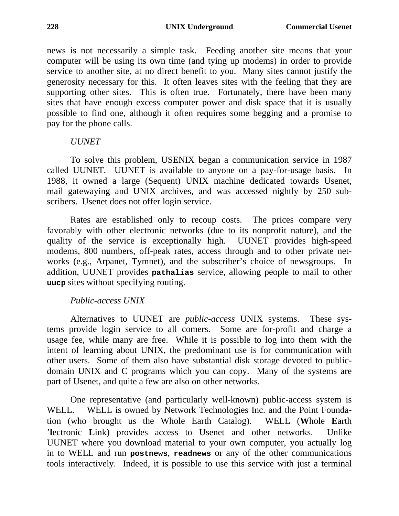**228 UNIX Underground Commercial Usenet**

news is not necessarily a simple task. Feeding another site means that your computer will be using its own time (and tying up modems) in order to provide service to another site, at no direct benefit to you. Many sites cannot justify the generosity necessary for this. It often leaves sites with the feeling that they are supporting other sites. This is often true. Fortunately, there have been many sites that have enough excess computer power and disk space that it is usually possible to find one, although it often requires some begging and a promise to pay for the phone calls.

#### *UUNET*

To solve this problem, USENIX began a communication service in 1987 called UUNET. UUNET is available to anyone on a pay-for-usage basis. In 1988, it owned a large (Sequent) UNIX machine dedicated towards Usenet, mail gatewaying and UNIX archives, and was accessed nightly by 250 subscribers. Usenet does not offer login service.

Rates are established only to recoup costs. The prices compare very favorably with other electronic networks (due to its nonprofit nature), and the quality of the service is exceptionally high. UUNET provides high-speed modems, 800 numbers, off-peak rates, access through and to other private networks (e.g., Arpanet, Tymnet), and the subscriber's choice of newsgroups. In addition, UUNET provides **pathalias** service, allowing people to mail to other **uucp** sites without specifying routing.

## *Public-access UNIX*

Alternatives to UUNET are *public-access* UNIX systems. These systems provide login service to all comers. Some are for-profit and charge a usage fee, while many are free. While it is possible to log into them with the intent of learning about UNIX, the predominant use is for communication with other users. Some of them also have substantial disk storage devoted to publicdomain UNIX and C programs which you can copy. Many of the systems are part of Usenet, and quite a few are also on other networks.

One representative (and particularly well-known) public-access system is WELL. WELL is owned by Network Technologies Inc. and the Point Foundation (who brought us the Whole Earth Catalog). WELL (**W**hole **E**arth '**l**ectronic **L**ink) provides access to Usenet and other networks. Unlike UUNET where you download material to your own computer, you actually log in to WELL and run **postnews**, **readnews** or any of the other communications tools interactively. Indeed, it is possible to use this service with just a terminal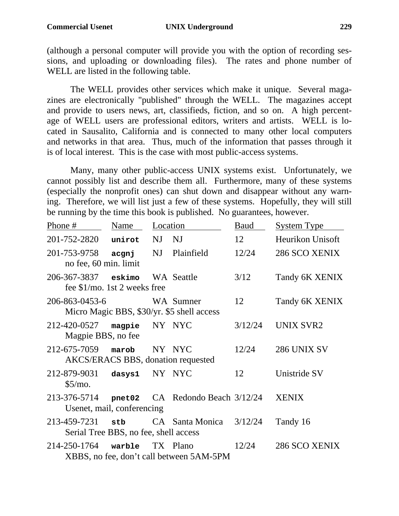(although a personal computer will provide you with the option of recording sessions, and uploading or downloading files). The rates and phone number of WELL are listed in the following table.

The WELL provides other services which make it unique. Several magazines are electronically "published" through the WELL. The magazines accept and provide to users news, art, classifieds, fiction, and so on. A high percentage of WELL users are professional editors, writers and artists. WELL is located in Sausalito, California and is connected to many other local computers and networks in that area. Thus, much of the information that passes through it is of local interest. This is the case with most public-access systems.

Many, many other public-access UNIX systems exist. Unfortunately, we cannot possibly list and describe them all. Furthermore, many of these systems (especially the nonprofit ones) can shut down and disappear without any warning. Therefore, we will list just a few of these systems. Hopefully, they will still be running by the time this book is published. No guarantees, however.

| Phone #                                               | Name          | Location  |                                                         | Baud    | System Type      |
|-------------------------------------------------------|---------------|-----------|---------------------------------------------------------|---------|------------------|
| 201-752-2820                                          | unirot        | <b>NJ</b> | NJ                                                      | 12      | Heurikon Unisoft |
| 201-753-9758<br>no fee, 60 min. limit                 | acgnj         | NJ        | Plainfield                                              | 12/24   | 286 SCO XENIX    |
| 206-367-3837 eskimo<br>fee $$1/mo.$ 1st 2 weeks free  |               |           | WA Seattle                                              | 3/12    | Tandy 6K XENIX   |
| 206-863-0453-6                                        |               |           | WA Sumner<br>Micro Magic BBS, \$30/yr. \$5 shell access | 12      | Tandy 6K XENIX   |
| 212-420-0527<br>Magpie BBS, no fee                    | magpie NY NYC |           |                                                         | 3/12/24 | <b>UNIX SVR2</b> |
| 212-675-7059                                          | marob         |           | NY NYC<br>AKCS/ERACS BBS, donation requested            | 12/24   | 286 UNIX SV      |
| 212-879-9031<br>$$5/mo$ .                             | dasys1        |           | NY NYC                                                  | 12      | Unistride SV     |
| 213-376-5714<br>Usenet, mail, conferencing            |               |           | <b>pnet02</b> CA Redondo Beach 3/12/24                  |         | <b>XENIX</b>     |
| 213-459-7231<br>Serial Tree BBS, no fee, shell access | stb           |           | CA Santa Monica                                         | 3/12/24 | Tandy 16         |
| 214-250-1764 warble                                   |               |           | TX Plano<br>XBBS, no fee, don't call between 5AM-5PM    | 12/24   | 286 SCO XENIX    |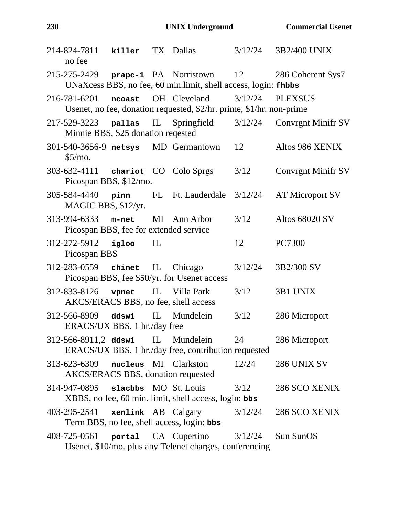| no fee       | killer |                                                                                                                                              |                        | 3/12/24                                                                                                                                                                                                                                                                                                                                                                                                                                                                                                                                                                                                                               | 3B2/400 UNIX                                                                                                                                                                                                                                                                                                                                                                                                                                                                          |
|--------------|--------|----------------------------------------------------------------------------------------------------------------------------------------------|------------------------|---------------------------------------------------------------------------------------------------------------------------------------------------------------------------------------------------------------------------------------------------------------------------------------------------------------------------------------------------------------------------------------------------------------------------------------------------------------------------------------------------------------------------------------------------------------------------------------------------------------------------------------|---------------------------------------------------------------------------------------------------------------------------------------------------------------------------------------------------------------------------------------------------------------------------------------------------------------------------------------------------------------------------------------------------------------------------------------------------------------------------------------|
|              |        |                                                                                                                                              |                        |                                                                                                                                                                                                                                                                                                                                                                                                                                                                                                                                                                                                                                       |                                                                                                                                                                                                                                                                                                                                                                                                                                                                                       |
| 216-781-6201 |        |                                                                                                                                              |                        |                                                                                                                                                                                                                                                                                                                                                                                                                                                                                                                                                                                                                                       | <b>PLEXSUS</b>                                                                                                                                                                                                                                                                                                                                                                                                                                                                        |
|              |        |                                                                                                                                              |                        |                                                                                                                                                                                                                                                                                                                                                                                                                                                                                                                                                                                                                                       | <b>Convrgnt Minifr SV</b>                                                                                                                                                                                                                                                                                                                                                                                                                                                             |
| $$5/mo$ .    |        |                                                                                                                                              |                        | 12                                                                                                                                                                                                                                                                                                                                                                                                                                                                                                                                                                                                                                    | Altos 986 XENIX                                                                                                                                                                                                                                                                                                                                                                                                                                                                       |
|              |        |                                                                                                                                              |                        | 3/12                                                                                                                                                                                                                                                                                                                                                                                                                                                                                                                                                                                                                                  | <b>Convrgnt Minifr SV</b>                                                                                                                                                                                                                                                                                                                                                                                                                                                             |
|              |        |                                                                                                                                              |                        |                                                                                                                                                                                                                                                                                                                                                                                                                                                                                                                                                                                                                                       | <b>AT Microport SV</b>                                                                                                                                                                                                                                                                                                                                                                                                                                                                |
|              |        |                                                                                                                                              |                        | 3/12                                                                                                                                                                                                                                                                                                                                                                                                                                                                                                                                                                                                                                  | Altos 68020 SV                                                                                                                                                                                                                                                                                                                                                                                                                                                                        |
|              |        | IL                                                                                                                                           |                        | 12                                                                                                                                                                                                                                                                                                                                                                                                                                                                                                                                                                                                                                    | PC7300                                                                                                                                                                                                                                                                                                                                                                                                                                                                                |
|              |        |                                                                                                                                              |                        | 3/12/24                                                                                                                                                                                                                                                                                                                                                                                                                                                                                                                                                                                                                               | 3B2/300 SV                                                                                                                                                                                                                                                                                                                                                                                                                                                                            |
|              |        |                                                                                                                                              |                        | 3/12                                                                                                                                                                                                                                                                                                                                                                                                                                                                                                                                                                                                                                  | 3B1 UNIX                                                                                                                                                                                                                                                                                                                                                                                                                                                                              |
|              | ddsw1  |                                                                                                                                              |                        | 3/12                                                                                                                                                                                                                                                                                                                                                                                                                                                                                                                                                                                                                                  | 286 Microport                                                                                                                                                                                                                                                                                                                                                                                                                                                                         |
|              |        |                                                                                                                                              |                        | 24                                                                                                                                                                                                                                                                                                                                                                                                                                                                                                                                                                                                                                    | 286 Microport                                                                                                                                                                                                                                                                                                                                                                                                                                                                         |
| 313-623-6309 |        |                                                                                                                                              |                        | 12/24                                                                                                                                                                                                                                                                                                                                                                                                                                                                                                                                                                                                                                 | 286 UNIX SV                                                                                                                                                                                                                                                                                                                                                                                                                                                                           |
| 314-947-0895 |        |                                                                                                                                              |                        | 3/12                                                                                                                                                                                                                                                                                                                                                                                                                                                                                                                                                                                                                                  | 286 SCO XENIX                                                                                                                                                                                                                                                                                                                                                                                                                                                                         |
| 403-295-2541 |        |                                                                                                                                              |                        | 3/12/24                                                                                                                                                                                                                                                                                                                                                                                                                                                                                                                                                                                                                               | 286 SCO XENIX                                                                                                                                                                                                                                                                                                                                                                                                                                                                         |
| 408-725-0561 |        |                                                                                                                                              |                        | 3/12/24                                                                                                                                                                                                                                                                                                                                                                                                                                                                                                                                                                                                                               | Sun SunOS                                                                                                                                                                                                                                                                                                                                                                                                                                                                             |
|              |        | 214-824-7811<br>MAGIC BBS, \$12/yr.<br>313-994-6333 m-net<br>312-272-5912 <b>igloo</b><br>Picospan BBS<br>312-833-8126 vpnet<br>312-566-8909 | Picospan BBS, \$12/mo. | TX Dallas<br>ncoast OH Cleveland<br>Minnie BBS, \$25 donation reqested<br>301-540-3656-9 netsys MD Germantown<br>303-632-4111 chariot CO Colo Sprgs<br>MI Ann Arbor<br>Picospan BBS, fee for extended service<br>312-283-0559 chinet IL Chicago<br>Picospan BBS, fee \$50/yr. for Usenet access<br>IL Villa Park<br>AKCS/ERACS BBS, no fee, shell access<br>IL Mundelein<br>ERACS/UX BBS, 1 hr./day free<br>312-566-8911,2 ddsw1 IL Mundelein<br>nucleus MI Clarkston<br><b>AKCS/ERACS BBS, donation requested</b><br>slacbbs MO St. Louis<br>xenlink AB Calgary<br>Term BBS, no fee, shell access, login: bbs<br>portal CA Cupertino | 215-275-2429 prapc-1 PA Norristown 12 286 Coherent Sys7<br>UNaXcess BBS, no fee, 60 min.limit, shell access, login: fhbbs<br>3/12/24<br>Usenet, no fee, donation requested, \$2/hr. prime, \$1/hr. non-prime<br>217-529-3223 pallas IL Springfield 3/12/24<br>305-584-4440 pinn FL Ft. Lauderdale 3/12/24<br>ERACS/UX BBS, 1 hr./day free, contribution requested<br>XBBS, no fee, 60 min. limit, shell access, login: bbs<br>Usenet, \$10/mo. plus any Telenet charges, conferencing |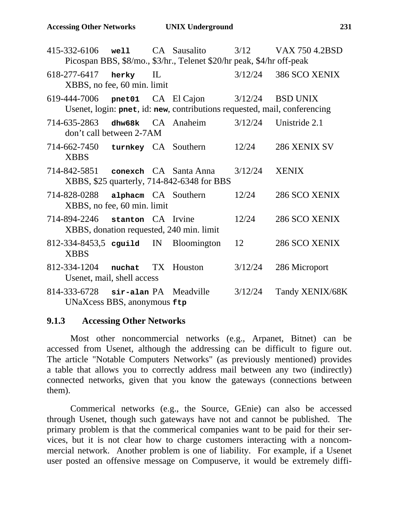| 415-332-6106 well |                                                                   | CA Sausalito<br>Picospan BBS, \$8/mo., \$3/hr., Telenet \$20/hr peak, \$4/hr off-peak                                |         | 3/12 VAX 750 4.2BSD |
|-------------------|-------------------------------------------------------------------|----------------------------------------------------------------------------------------------------------------------|---------|---------------------|
| 618-277-6417      | herky IL<br>XBBS, no fee, 60 min. limit                           |                                                                                                                      | 3/12/24 | 386 SCO XENIX       |
|                   |                                                                   | 619-444-7006 pnet01 CA El Cajon 3/12/24<br>Usenet, login: pnet, id: new, contributions requested, mail, conferencing |         | <b>BSD UNIX</b>     |
|                   | don't call between 2-7AM                                          | 714-635-2863 dhw68k CA Anaheim 3/12/24                                                                               |         | Unistride 2.1       |
| <b>XBBS</b>       | 714-662-7450 turnkey CA Southern                                  |                                                                                                                      | 12/24   | 286 XENIX SV        |
|                   |                                                                   | 714-842-5851 conexch CA Santa Anna<br>XBBS, \$25 quarterly, 714-842-6348 for BBS                                     | 3/12/24 | <b>XENIX</b>        |
| 714-828-0288      | alphacm CA Southern<br>XBBS, no fee, 60 min. limit                |                                                                                                                      | 12/24   | 286 SCO XENIX       |
|                   | 714-894-2246 stanton CA Irvine                                    | XBBS, donation requested, 240 min. limit                                                                             | 12/24   | 286 SCO XENIX       |
| <b>XBBS</b>       |                                                                   | 812-334-8453,5 eguild IN Bloomington                                                                                 | 12      | 286 SCO XENIX       |
|                   | $812-334-1204$ nuchat TX Houston<br>Usenet, mail, shell access    |                                                                                                                      | 3/12/24 | 286 Microport       |
|                   | 814-333-6728 sir-alan PA Meadville<br>UNaXcess BBS, anonymous ftp |                                                                                                                      | 3/12/24 | Tandy XENIX/68K     |

#### **9.1.3 Accessing Other Networks**

Most other noncommercial networks (e.g., Arpanet, Bitnet) can be accessed from Usenet, although the addressing can be difficult to figure out. The article "Notable Computers Networks" (as previously mentioned) provides a table that allows you to correctly address mail between any two (indirectly) connected networks, given that you know the gateways (connections between them).

Commerical networks (e.g., the Source, GEnie) can also be accessed through Usenet, though such gateways have not and cannot be published. The primary problem is that the commerical companies want to be paid for their services, but it is not clear how to charge customers interacting with a noncommercial network. Another problem is one of liability. For example, if a Usenet user posted an offensive message on Compuserve, it would be extremely diffi-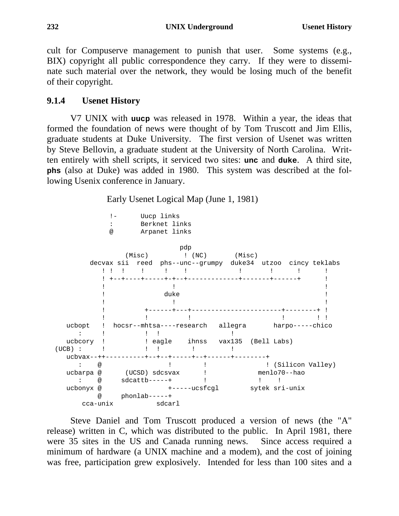cult for Compuserve management to punish that user. Some systems (e.g., BIX) copyright all public correspondence they carry. If they were to disseminate such material over the network, they would be losing much of the benefit of their copyright.

## **9.1.4 Usenet History**

V7 UNIX with **uucp** was released in 1978. Within a year, the ideas that formed the foundation of news were thought of by Tom Truscott and Jim Ellis, graduate students at Duke University. The first version of Usenet was written by Steve Bellovin, a graduate student at the University of North Carolina. Written entirely with shell scripts, it serviced two sites: **unc** and **duke**. A third site, **phs** (also at Duke) was added in 1980. This system was described at the following Usenix conference in January.

Early Usenet Logical Map (June 1, 1981)

| $\omega$                                         | Uucp links<br>Berknet links<br>Arpanet links                                              |                              |                                                             |
|--------------------------------------------------|-------------------------------------------------------------------------------------------|------------------------------|-------------------------------------------------------------|
|                                                  | $(Misc)$ $!(NC)$ $(Misc)$<br>duke                                                         | pdp                          | decvax sii reed phs--unc--grumpy duke34 utzoo cincy teklabs |
|                                                  |                                                                                           |                              |                                                             |
| $\mathbf{1}$                                     | ucbcory ! ! eagle ihnss vax135 (Bell Labs)                                                |                              | ucbopt ! hocsr--mhtsa----research allegra harpo-----chico   |
| $(UCB)$ :                                        | the control of the control of the control of the control of the control of the control of |                              |                                                             |
| $\omega$                                         |                                                                                           |                              | ! (Silicon Valley)                                          |
| $\omega$<br>ucbonyx @<br>$\omega$<br>$cca$ -unix | sdcattb-----+<br>phonlab-----+<br>sdcarl (1993)                                           | +-----ucsfcgl sytek sri-unix |                                                             |

Steve Daniel and Tom Truscott produced a version of news (the "A" release) written in C, which was distributed to the public. In April 1981, there were 35 sites in the US and Canada running news. Since access required a minimum of hardware (a UNIX machine and a modem), and the cost of joining was free, participation grew explosively. Intended for less than 100 sites and a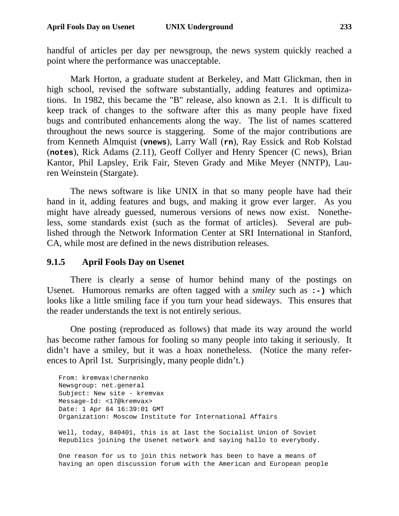handful of articles per day per newsgroup, the news system quickly reached a point where the performance was unacceptable.

Mark Horton, a graduate student at Berkeley, and Matt Glickman, then in high school, revised the software substantially, adding features and optimizations. In 1982, this became the "B" release, also known as 2.1. It is difficult to keep track of changes to the software after this as many people have fixed bugs and contributed enhancements along the way. The list of names scattered throughout the news source is staggering. Some of the major contributions are from Kenneth Almquist (**vnews**), Larry Wall (**rn**), Ray Essick and Rob Kolstad (**notes**), Rick Adams (2.11), Geoff Collyer and Henry Spencer (C news), Brian Kantor, Phil Lapsley, Erik Fair, Steven Grady and Mike Meyer (NNTP), Lauren Weinstein (Stargate).

The news software is like UNIX in that so many people have had their hand in it, adding features and bugs, and making it grow ever larger. As you might have already guessed, numerous versions of news now exist. Nonetheless, some standards exist (such as the format of articles). Several are published through the Network Information Center at SRI International in Stanford, CA, while most are defined in the news distribution releases.

#### **9.1.5 April Fools Day on Usenet**

There is clearly a sense of humor behind many of the postings on Usenet. Humorous remarks are often tagged with a *smiley* such as **:-)** which looks like a little smiling face if you turn your head sideways. This ensures that the reader understands the text is not entirely serious.

One posting (reproduced as follows) that made its way around the world has become rather famous for fooling so many people into taking it seriously. It didn't have a smiley, but it was a hoax nonetheless. (Notice the many references to April 1st. Surprisingly, many people didn't.)

From: kremvax!chernenko Newsgroup: net.general Subject: New site - kremvax Message-Id: <17@kremvax> Date: 1 Apr 84 16:39:01 GMT Organization: Moscow Institute for International Affairs Well, today, 840401, this is at last the Socialist Union of Soviet

Republics joining the Usenet network and saying hallo to everybody.

One reason for us to join this network has been to have a means of having an open discussion forum with the American and European people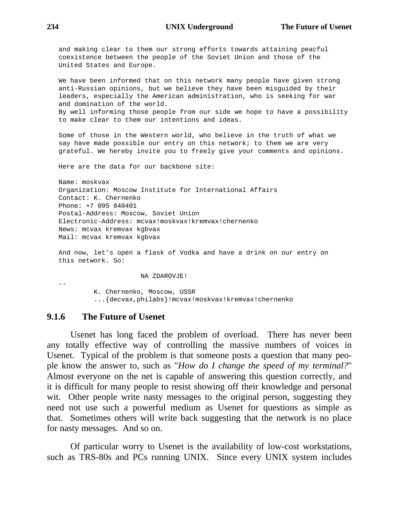and making clear to them our strong efforts towards attaining peacful coexistence between the people of the Soviet Union and those of the United States and Europe.

We have been informed that on this network many people have given strong anti-Russian opinions, but we believe they have been misguided by their leaders, especially the American administration, who is seeking for war and domination of the world. By well informing those people from our side we hope to have a possibility to make clear to them our intentions and ideas.

Some of those in the Western world, who believe in the truth of what we say have made possible our entry on this network; to them we are very grateful. We hereby invite you to freely give your comments and opinions.

Here are the data for our backbone site:

Name: moskvax Organization: Moscow Institute for International Affairs Contact: K. Chernenko Phone: +7 095 840401 Postal-Address: Moscow, Soviet Union Electronic-Address: mcvax!moskvax!kremvax!chernenko News: mcvax kremvax kgbvax Mail: mcvax kremvax kgbvax

And now, let's open a flask of Vodka and have a drink on our entry on this network. So:

#### NA ZDAROVJE!

--

K. Chernenko, Moscow, USSR ...{decvax,philabs}!mcvax!moskvax!kremvax!chernenko

#### **9.1.6 The Future of Usenet**

Usenet has long faced the problem of overload. There has never been any totally effective way of controlling the massive numbers of voices in Usenet. Typical of the problem is that someone posts a question that many people know the answer to, such as "*How do I change the speed of my terminal?*" Almost everyone on the net is capable of answering this question correctly, and it is difficult for many people to resist showing off their knowledge and personal wit. Other people write nasty messages to the original person, suggesting they need not use such a powerful medium as Usenet for questions as simple as that. Sometimes others will write back suggesting that the network is no place for nasty messages. And so on.

Of particular worry to Usenet is the availability of low-cost workstations, such as TRS-80s and PCs running UNIX. Since every UNIX system includes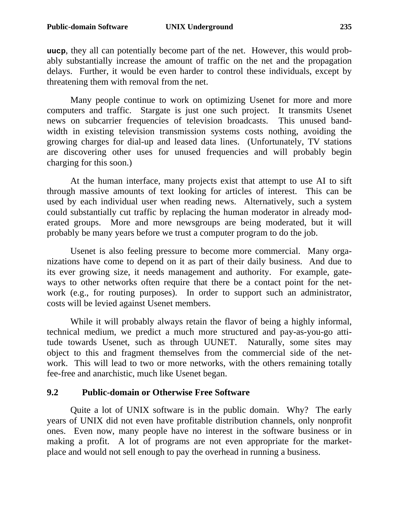**uucp**, they all can potentially become part of the net. However, this would probably substantially increase the amount of traffic on the net and the propagation delays. Further, it would be even harder to control these individuals, except by threatening them with removal from the net.

Many people continue to work on optimizing Usenet for more and more computers and traffic. Stargate is just one such project. It transmits Usenet news on subcarrier frequencies of television broadcasts. This unused bandwidth in existing television transmission systems costs nothing, avoiding the growing charges for dial-up and leased data lines. (Unfortunately, TV stations are discovering other uses for unused frequencies and will probably begin charging for this soon.)

At the human interface, many projects exist that attempt to use AI to sift through massive amounts of text looking for articles of interest. This can be used by each individual user when reading news. Alternatively, such a system could substantially cut traffic by replacing the human moderator in already moderated groups. More and more newsgroups are being moderated, but it will probably be many years before we trust a computer program to do the job.

Usenet is also feeling pressure to become more commercial. Many organizations have come to depend on it as part of their daily business. And due to its ever growing size, it needs management and authority. For example, gateways to other networks often require that there be a contact point for the network (e.g., for routing purposes). In order to support such an administrator, costs will be levied against Usenet members.

While it will probably always retain the flavor of being a highly informal, technical medium, we predict a much more structured and pay-as-you-go attitude towards Usenet, such as through UUNET. Naturally, some sites may object to this and fragment themselves from the commercial side of the network. This will lead to two or more networks, with the others remaining totally fee-free and anarchistic, much like Usenet began.

# **9.2 Public-domain or Otherwise Free Software**

Quite a lot of UNIX software is in the public domain. Why? The early years of UNIX did not even have profitable distribution channels, only nonprofit ones. Even now, many people have no interest in the software business or in making a profit. A lot of programs are not even appropriate for the marketplace and would not sell enough to pay the overhead in running a business.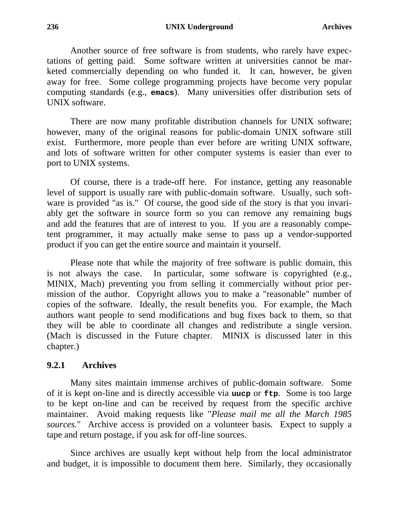Another source of free software is from students, who rarely have expectations of getting paid. Some software written at universities cannot be marketed commercially depending on who funded it. It can, however, be given away for free. Some college programming projects have become very popular computing standards (e.g., **emacs**). Many universities offer distribution sets of UNIX software.

There are now many profitable distribution channels for UNIX software; however, many of the original reasons for public-domain UNIX software still exist. Furthermore, more people than ever before are writing UNIX software, and lots of software written for other computer systems is easier than ever to port to UNIX systems.

Of course, there is a trade-off here. For instance, getting any reasonable level of support is usually rare with public-domain software. Usually, such software is provided "as is." Of course, the good side of the story is that you invariably get the software in source form so you can remove any remaining bugs and add the features that are of interest to you. If you are a reasonably competent programmer, it may actually make sense to pass up a vendor-supported product if you can get the entire source and maintain it yourself.

Please note that while the majority of free software is public domain, this is not always the case. In particular, some software is copyrighted (e.g., MINIX, Mach) preventing you from selling it commercially without prior permission of the author. Copyright allows you to make a "reasonable" number of copies of the software. Ideally, the result benefits you. For example, the Mach authors want people to send modifications and bug fixes back to them, so that they will be able to coordinate all changes and redistribute a single version. (Mach is discussed in the Future chapter. MINIX is discussed later in this chapter.)

## **9.2.1 Archives**

Many sites maintain immense archives of public-domain software. Some of it is kept on-line and is directly accessible via **uucp** or **ftp**. Some is too large to be kept on-line and can be received by request from the specific archive maintainer. Avoid making requests like "*Please mail me all the March 1985 sources.*" Archive access is provided on a volunteer basis. Expect to supply a tape and return postage, if you ask for off-line sources.

Since archives are usually kept without help from the local administrator and budget, it is impossible to document them here. Similarly, they occasionally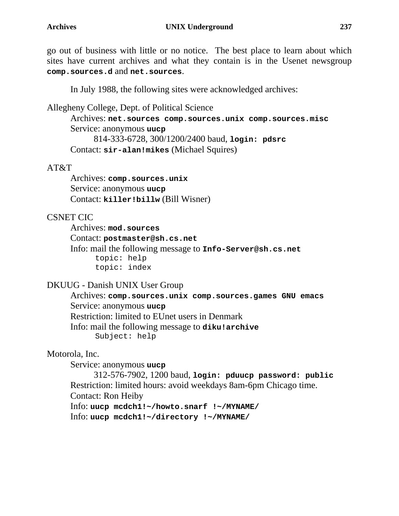go out of business with little or no notice. The best place to learn about which sites have current archives and what they contain is in the Usenet newsgroup **comp.sources.d** and **net.sources**.

In July 1988, the following sites were acknowledged archives:

Allegheny College, Dept. of Political Science

Archives: **net.sources comp.sources.unix comp.sources.misc** Service: anonymous **uucp**

814-333-6728, 300/1200/2400 baud, **login: pdsrc** Contact: **sir-alan!mikes** (Michael Squires)

#### AT&T

Archives: **comp.sources.unix** Service: anonymous **uucp** Contact: **killer!billw** (Bill Wisner)

## CSNET CIC

Archives: **mod.sources**

Contact: **postmaster@sh.cs.net**

Info: mail the following message to **Info-Server@sh.cs.net** topic: help

topic: index

## DKUUG - Danish UNIX User Group

Archives: **comp.sources.unix comp.sources.games GNU emacs** Service: anonymous **uucp** Restriction: limited to EUnet users in Denmark Info: mail the following message to **diku!archive** Subject: help

## Motorola, Inc.

Service: anonymous **uucp**

312-576-7902, 1200 baud, **login: pduucp password: public** Restriction: limited hours: avoid weekdays 8am-6pm Chicago time. Contact: Ron Heiby

Info: **uucp mcdch1!~/howto.snarf !~/MYNAME/**

Info: **uucp mcdch1!~/directory !~/MYNAME/**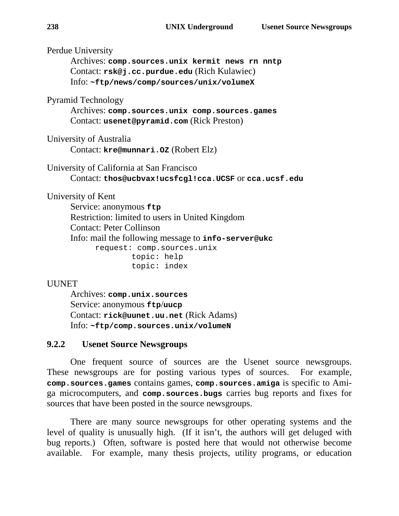Perdue University

Archives: **comp.sources.unix kermit news rn nntp** Contact: **rsk@j.cc.purdue.edu** (Rich Kulawiec) Info: **~ftp/news/comp/sources/unix/volumeX**

Pyramid Technology

Archives: **comp.sources.unix comp.sources.games** Contact: **usenet@pyramid.com** (Rick Preston)

University of Australia

Contact: **kre@munnari.OZ** (Robert Elz)

University of California at San Francisco Contact: **thos@ucbvax!ucsfcgl!cca.UCSF** or **cca.ucsf.edu**

University of Kent

Service: anonymous **ftp** Restriction: limited to users in United Kingdom Contact: Peter Collinson Info: mail the following message to **info-server@ukc** request: comp.sources.unix topic: help topic: index

## UUNET

Archives: **comp.unix.sources** Service: anonymous **ftp**/**uucp** Contact: **rick@uunet.uu.net** (Rick Adams) Info: **~ftp/comp.sources.unix/volumeN**

# **9.2.2 Usenet Source Newsgroups**

One frequent source of sources are the Usenet source newsgroups. These newsgroups are for posting various types of sources. For example, **comp.sources.games** contains games, **comp.sources.amiga** is specific to Amiga microcomputers, and **comp.sources.bugs** carries bug reports and fixes for sources that have been posted in the source newsgroups.

There are many source newsgroups for other operating systems and the level of quality is unusually high. (If it isn't, the authors will get deluged with bug reports.) Often, software is posted here that would not otherwise become available. For example, many thesis projects, utility programs, or education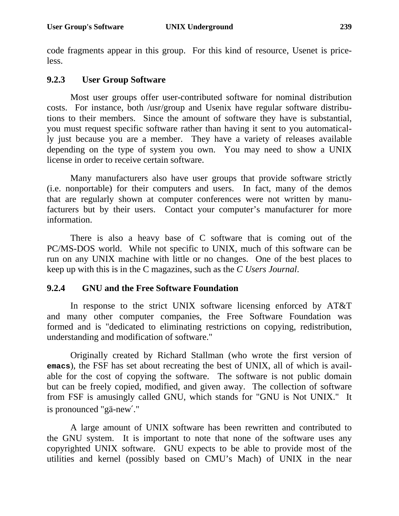code fragments appear in this group. For this kind of resource, Usenet is priceless.

# **9.2.3 User Group Software**

Most user groups offer user-contributed software for nominal distribution costs. For instance, both /usr/group and Usenix have regular software distributions to their members. Since the amount of software they have is substantial, you must request specific software rather than having it sent to you automatically just because you are a member. They have a variety of releases available depending on the type of system you own. You may need to show a UNIX license in order to receive certain software.

Many manufacturers also have user groups that provide software strictly (i.e. nonportable) for their computers and users. In fact, many of the demos that are regularly shown at computer conferences were not written by manufacturers but by their users. Contact your computer's manufacturer for more information.

There is also a heavy base of C software that is coming out of the PC/MS-DOS world. While not specific to UNIX, much of this software can be run on any UNIX machine with little or no changes. One of the best places to keep up with this is in the C magazines, such as the *C Users Journal*.

## **9.2.4 GNU and the Free Software Foundation**

In response to the strict UNIX software licensing enforced by AT&T and many other computer companies, the Free Software Foundation was formed and is "dedicated to eliminating restrictions on copying, redistribution, understanding and modification of software."

Originally created by Richard Stallman (who wrote the first version of **emacs**), the FSF has set about recreating the best of UNIX, all of which is available for the cost of copying the software. The software is not public domain but can be freely copied, modified, and given away. The collection of software from FSF is amusingly called GNU, which stands for "GNU is Not UNIX." It is pronounced "gä-new′."

A large amount of UNIX software has been rewritten and contributed to the GNU system. It is important to note that none of the software uses any copyrighted UNIX software. GNU expects to be able to provide most of the utilities and kernel (possibly based on CMU's Mach) of UNIX in the near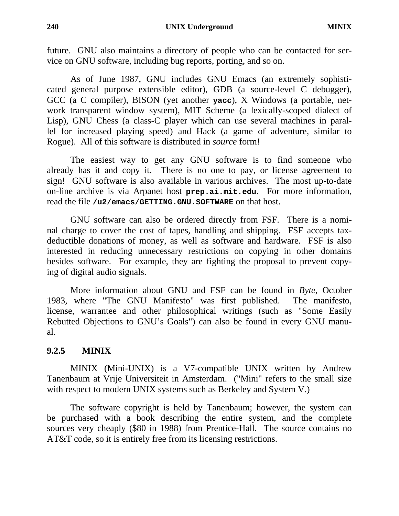future. GNU also maintains a directory of people who can be contacted for service on GNU software, including bug reports, porting, and so on.

As of June 1987, GNU includes GNU Emacs (an extremely sophisticated general purpose extensible editor), GDB (a source-level C debugger), GCC (a C compiler), BISON (yet another **yacc**), X Windows (a portable, network transparent window system), MIT Scheme (a lexically-scoped dialect of Lisp), GNU Chess (a class-C player which can use several machines in parallel for increased playing speed) and Hack (a game of adventure, similar to Rogue). All of this software is distributed in *source* form!

The easiest way to get any GNU software is to find someone who already has it and copy it. There is no one to pay, or license agreement to sign! GNU software is also available in various archives. The most up-to-date on-line archive is via Arpanet host **prep.ai.mit.edu**. For more information, read the file **/u2/emacs/GETTING.GNU.SOFTWARE** on that host.

GNU software can also be ordered directly from FSF. There is a nominal charge to cover the cost of tapes, handling and shipping. FSF accepts taxdeductible donations of money, as well as software and hardware. FSF is also interested in reducing unnecessary restrictions on copying in other domains besides software. For example, they are fighting the proposal to prevent copying of digital audio signals.

More information about GNU and FSF can be found in *Byte*, October 1983, where "The GNU Manifesto" was first published. The manifesto, license, warrantee and other philosophical writings (such as "Some Easily Rebutted Objections to GNU's Goals") can also be found in every GNU manual.

## **9.2.5 MINIX**

MINIX (Mini-UNIX) is a V7-compatible UNIX written by Andrew Tanenbaum at Vrije Universiteit in Amsterdam. ("Mini" refers to the small size with respect to modern UNIX systems such as Berkeley and System V.)

The software copyright is held by Tanenbaum; however, the system can be purchased with a book describing the entire system, and the complete sources very cheaply (\$80 in 1988) from Prentice-Hall. The source contains no AT&T code, so it is entirely free from its licensing restrictions.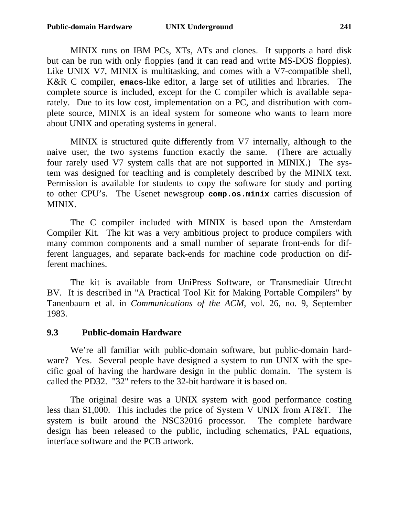MINIX runs on IBM PCs, XTs, ATs and clones. It supports a hard disk but can be run with only floppies (and it can read and write MS-DOS floppies). Like UNIX V7, MINIX is multitasking, and comes with a V7-compatible shell, K&R C compiler, **emacs**-like editor, a large set of utilities and libraries. The complete source is included, except for the C compiler which is available separately. Due to its low cost, implementation on a PC, and distribution with complete source, MINIX is an ideal system for someone who wants to learn more about UNIX and operating systems in general.

MINIX is structured quite differently from V7 internally, although to the naive user, the two systems function exactly the same. (There are actually four rarely used V7 system calls that are not supported in MINIX.) The system was designed for teaching and is completely described by the MINIX text. Permission is available for students to copy the software for study and porting to other CPU's. The Usenet newsgroup **comp.os.minix** carries discussion of MINIX.

The C compiler included with MINIX is based upon the Amsterdam Compiler Kit. The kit was a very ambitious project to produce compilers with many common components and a small number of separate front-ends for different languages, and separate back-ends for machine code production on different machines.

The kit is available from UniPress Software, or Transmediair Utrecht BV. It is described in "A Practical Tool Kit for Making Portable Compilers" by Tanenbaum et al. in *Communications of the ACM*, vol. 26, no. 9, September 1983.

## **9.3 Public-domain Hardware**

We're all familiar with public-domain software, but public-domain hardware? Yes. Several people have designed a system to run UNIX with the specific goal of having the hardware design in the public domain. The system is called the PD32. "32" refers to the 32-bit hardware it is based on.

The original desire was a UNIX system with good performance costing less than \$1,000. This includes the price of System V UNIX from AT&T. The system is built around the NSC32016 processor. The complete hardware design has been released to the public, including schematics, PAL equations, interface software and the PCB artwork.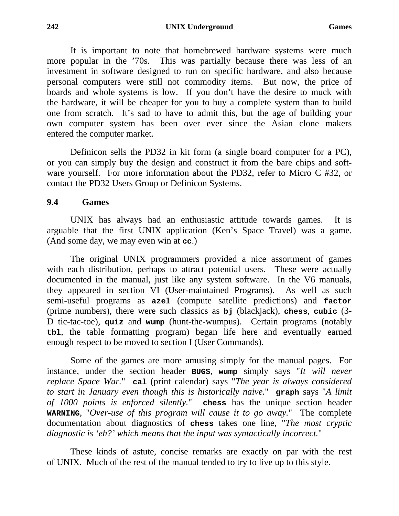**242 UNIX Underground Games**

It is important to note that homebrewed hardware systems were much more popular in the '70s. This was partially because there was less of an investment in software designed to run on specific hardware, and also because personal computers were still not commodity items. But now, the price of boards and whole systems is low. If you don't have the desire to muck with the hardware, it will be cheaper for you to buy a complete system than to build one from scratch. It's sad to have to admit this, but the age of building your own computer system has been over ever since the Asian clone makers entered the computer market.

Definicon sells the PD32 in kit form (a single board computer for a PC), or you can simply buy the design and construct it from the bare chips and software yourself. For more information about the PD32, refer to Micro C #32, or contact the PD32 Users Group or Definicon Systems.

#### **9.4 Games**

UNIX has always had an enthusiastic attitude towards games. It is arguable that the first UNIX application (Ken's Space Travel) was a game. (And some day, we may even win at **cc**.)

The original UNIX programmers provided a nice assortment of games with each distribution, perhaps to attract potential users. These were actually documented in the manual, just like any system software. In the V6 manuals, they appeared in section VI (User-maintained Programs). As well as such semi-useful programs as **azel** (compute satellite predictions) and **factor** (prime numbers), there were such classics as **bj** (blackjack), **chess**, **cubic** (3- D tic-tac-toe), **quiz** and **wump** (hunt-the-wumpus). Certain programs (notably **tbl**, the table formatting program) began life here and eventually earned enough respect to be moved to section I (User Commands).

Some of the games are more amusing simply for the manual pages. For instance, under the section header **BUGS**, **wump** simply says "*It will never replace Space War.*" **cal** (print calendar) says "*The year is always considered to start in January even though this is historically naive.*" **graph** says "*A limit of 1000 points is enforced silently.*" **chess** has the unique section header **WARNING**, "*Over-use of this program will cause it to go away.*" The complete documentation about diagnostics of **chess** takes one line, "*The most cryptic diagnostic is 'eh?' which means that the input was syntactically incorrect.*"

These kinds of astute, concise remarks are exactly on par with the rest of UNIX. Much of the rest of the manual tended to try to live up to this style.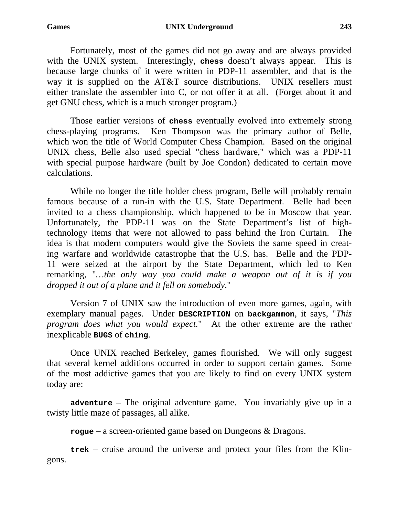Fortunately, most of the games did not go away and are always provided with the UNIX system. Interestingly, **chess** doesn't always appear. This is because large chunks of it were written in PDP-11 assembler, and that is the way it is supplied on the AT&T source distributions. UNIX resellers must either translate the assembler into C, or not offer it at all. (Forget about it and get GNU chess, which is a much stronger program.)

Those earlier versions of **chess** eventually evolved into extremely strong chess-playing programs. Ken Thompson was the primary author of Belle, which won the title of World Computer Chess Champion. Based on the original UNIX chess, Belle also used special "chess hardware," which was a PDP-11 with special purpose hardware (built by Joe Condon) dedicated to certain move calculations.

While no longer the title holder chess program, Belle will probably remain famous because of a run-in with the U.S. State Department. Belle had been invited to a chess championship, which happened to be in Moscow that year. Unfortunately, the PDP-11 was on the State Department's list of hightechnology items that were not allowed to pass behind the Iron Curtain. The idea is that modern computers would give the Soviets the same speed in creating warfare and worldwide catastrophe that the U.S. has. Belle and the PDP-11 were seized at the airport by the State Department, which led to Ken remarking, "*…the only way you could make a weapon out of it is if you dropped it out of a plane and it fell on somebody*."

Version 7 of UNIX saw the introduction of even more games, again, with exemplary manual pages. Under **DESCRIPTION** on **backgammon**, it says, "*This program does what you would expect.*" At the other extreme are the rather inexplicable **BUGS** of **ching**.

Once UNIX reached Berkeley, games flourished. We will only suggest that several kernel additions occurred in order to support certain games. Some of the most addictive games that you are likely to find on every UNIX system today are:

**adventure** – The original adventure game. You invariably give up in a twisty little maze of passages, all alike.

**rogue** – a screen-oriented game based on Dungeons & Dragons.

**trek** – cruise around the universe and protect your files from the Klingons.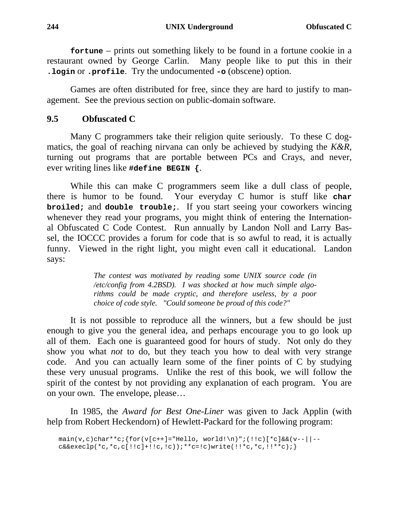**244 UNIX Underground Obfuscated C**

**fortune** – prints out something likely to be found in a fortune cookie in a restaurant owned by George Carlin. Many people like to put this in their **.login** or **.profile**. Try the undocumented **-o** (obscene) option.

Games are often distributed for free, since they are hard to justify to management. See the previous section on public-domain software.

#### **9.5 Obfuscated C**

Many C programmers take their religion quite seriously. To these C dogmatics, the goal of reaching nirvana can only be achieved by studying the *K&R*, turning out programs that are portable between PCs and Crays, and never, ever writing lines like **#define BEGIN {**.

While this can make C programmers seem like a dull class of people, there is humor to be found. Your everyday C humor is stuff like **char broiled;** and **double trouble;**. If you start seeing your coworkers wincing whenever they read your programs, you might think of entering the International Obfuscated C Code Contest. Run annually by Landon Noll and Larry Bassel, the IOCCC provides a forum for code that is so awful to read, it is actually funny. Viewed in the right light, you might even call it educational. Landon says:

> *The contest was motivated by reading some UNIX source code (in /etc/config from 4.2BSD). I was shocked at how much simple algorithms could be made cryptic, and therefore useless, by a poor choice of code style. "Could someone be proud of this code?"*

It is not possible to reproduce all the winners, but a few should be just enough to give you the general idea, and perhaps encourage you to go look up all of them. Each one is guaranteed good for hours of study. Not only do they show you what *not* to do, but they teach you how to deal with very strange code. And you can actually learn some of the finer points of C by studying these very unusual programs. Unlike the rest of this book, we will follow the spirit of the contest by not providing any explanation of each program. You are on your own. The envelope, please…

In 1985, the *Award for Best One-Liner* was given to Jack Applin (with help from Robert Heckendorn) of Hewlett-Packard for the following program:

```
main(v,c)char * c; {for(v[c++]="Hello, world! \n')";(!!c)[*c]&&(v--||--
c&&execlp(*c,*c,c[!!c]+!!c,!c));**c=!c)write(!!*c,*c,!!**c);}
```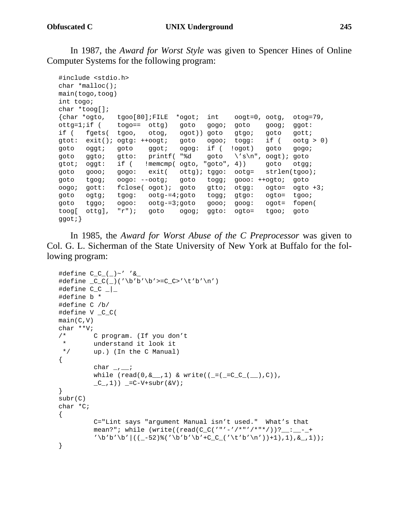In 1987, the *Award for Worst Style* was given to Spencer Hines of Online Computer Systems for the following program:

```
#include <stdio.h>
char *malloc();
main(togo,toog)
int togo;
char *toog[];
{char *ogto, tgoo[80];FILE *ogot; int oogt=0, ootg, otog=79,
ottg=1;if ( togo== ottg) goto gogo; goto goog; ggot:
if ( fgets( tgoo, otog, ogot)) goto gtgo; goto gott;
gtot: exit(); ogtg: ++oogt; goto ogoo; togg: if ( ootg > 0)
goto oggt; goto ggot; ogog: if ( !ogot) goto gogo;
goto ggto; gtto: printf( "%d goto \'s\n", oogt); goto
gtot; oggt: if ( !memcmp( ogto, "goto", 4)) goto otgg;
goto gooo; gogo: exit( ottg); tggo: ootg= strlen(tgoo);
goto tgog; oogo: --ootg; goto togg; gooo: ++ogto; goto
oogo; gott: fclose( ogot); goto gtto; otgg: ogto= ogto +3;
goto ogtg; tgog: ootg-=4;goto togg; gtgo: ogto= tgoo;
goto tggo; ogoo: ootg-=3;goto gooo; goog: ogot= fopen(
toog[ ottg], "r"); goto ogog; ggto: ogto= tgoo; goto
ggot;}
```
In 1985, the *Award for Worst Abuse of the C Preprocessor* was given to Col. G. L. Sicherman of the State University of New York at Buffalo for the following program:

```
#define C C ( )~' '&
#define _C_C()('b'b'b')=C_c''/t'b'\n#define C_C \|#define b *
#define C /b/
#define V _C_C(
main(C,V)
char **V;
/* C program. (If you don't
         understand it look it
 */ up.) (In the C Manual)
{
         char _{-1};
         while (\text{read}(0, \& \_ ,1) \& \text{write}((\_=(-C\_C\_( \_ ), C)),
         (C_1, 1)) = C - V + \text{subr}(\&V);}
subr(C)
char *C;
{
         C="Lint says "argument Manual isn't used." What's that
         mean?"; while (write((read(C_C('"'-'/*"'/*"*/))?__:__-_+
         '\b'b'\b'|((_-52)%('\b'b'\b'+C_C_('\t'b'\n'))+1),1),&_,1));
}
```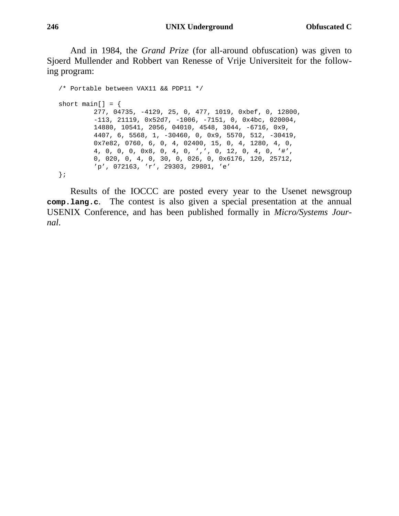And in 1984, the *Grand Prize* (for all-around obfuscation) was given to Sjoerd Mullender and Robbert van Renesse of Vrije Universiteit for the following program:

```
/* Portable between VAX11 && PDP11 */
short main[] = \{277, 04735, -4129, 25, 0, 477, 1019, 0xbef, 0, 12800,
        -113, 21119, 0x52d7, -1006, -7151, 0, 0x4bc, 020004,
        14880, 10541, 2056, 04010, 4548, 3044, -6716, 0x9,
         4407, 6, 5568, 1, -30460, 0, 0x9, 5570, 512, -30419,
        0x7e82, 0760, 6, 0, 4, 02400, 15, 0, 4, 1280, 4, 0,
         4, 0, 0, 0, 0x8, 0, 4, 0, ',', 0, 12, 0, 4, 0, '#',
         0, 020, 0, 4, 0, 30, 0, 026, 0, 0x6176, 120, 25712,
         'p', 072163, 'r', 29303, 29801, 'e'
};
```
Results of the IOCCC are posted every year to the Usenet newsgroup **comp.lang.c**. The contest is also given a special presentation at the annual USENIX Conference, and has been published formally in *Micro/Systems Journal*.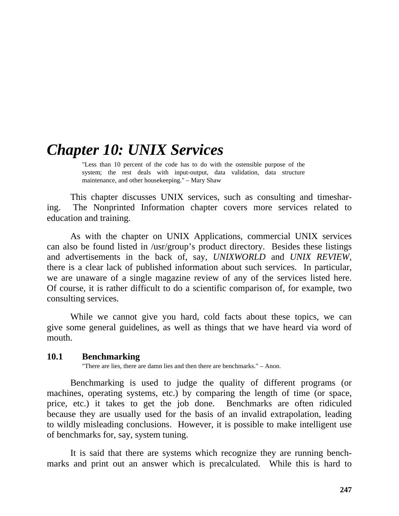# *Chapter 10: UNIX Services*

"Less than 10 percent of the code has to do with the ostensible purpose of the system; the rest deals with input-output, data validation, data structure maintenance, and other housekeeping." – Mary Shaw

This chapter discusses UNIX services, such as consulting and timesharing. The Nonprinted Information chapter covers more services related to education and training.

As with the chapter on UNIX Applications, commercial UNIX services can also be found listed in /usr/group's product directory. Besides these listings and advertisements in the back of, say, *UNIXWORLD* and *UNIX REVIEW*, there is a clear lack of published information about such services. In particular, we are unaware of a single magazine review of any of the services listed here. Of course, it is rather difficult to do a scientific comparison of, for example, two consulting services.

While we cannot give you hard, cold facts about these topics, we can give some general guidelines, as well as things that we have heard via word of mouth.

#### **10.1 Benchmarking**

"There are lies, there are damn lies and then there are benchmarks." – Anon.

Benchmarking is used to judge the quality of different programs (or machines, operating systems, etc.) by comparing the length of time (or space, price, etc.) it takes to get the job done. Benchmarks are often ridiculed because they are usually used for the basis of an invalid extrapolation, leading to wildly misleading conclusions. However, it is possible to make intelligent use of benchmarks for, say, system tuning.

It is said that there are systems which recognize they are running benchmarks and print out an answer which is precalculated. While this is hard to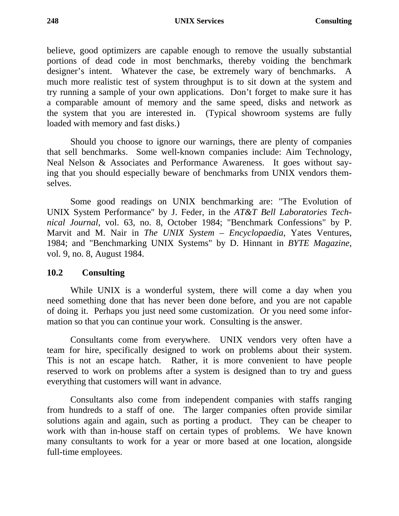**248 UNIX Services Consulting**

believe, good optimizers are capable enough to remove the usually substantial portions of dead code in most benchmarks, thereby voiding the benchmark designer's intent. Whatever the case, be extremely wary of benchmarks. A much more realistic test of system throughput is to sit down at the system and try running a sample of your own applications. Don't forget to make sure it has a comparable amount of memory and the same speed, disks and network as the system that you are interested in. (Typical showroom systems are fully loaded with memory and fast disks.)

Should you choose to ignore our warnings, there are plenty of companies that sell benchmarks. Some well-known companies include: Aim Technology, Neal Nelson & Associates and Performance Awareness. It goes without saying that you should especially beware of benchmarks from UNIX vendors themselves.

Some good readings on UNIX benchmarking are: "The Evolution of UNIX System Performance" by J. Feder, in the *AT&T Bell Laboratories Technical Journal*, vol. 63, no. 8, October 1984; "Benchmark Confessions" by P. Marvit and M. Nair in *The UNIX System – Encyclopaedia*, Yates Ventures, 1984; and "Benchmarking UNIX Systems" by D. Hinnant in *BYTE Magazine*, vol. 9, no. 8, August 1984.

#### **10.2 Consulting**

While UNIX is a wonderful system, there will come a day when you need something done that has never been done before, and you are not capable of doing it. Perhaps you just need some customization. Or you need some information so that you can continue your work. Consulting is the answer.

Consultants come from everywhere. UNIX vendors very often have a team for hire, specifically designed to work on problems about their system. This is not an escape hatch. Rather, it is more convenient to have people reserved to work on problems after a system is designed than to try and guess everything that customers will want in advance.

Consultants also come from independent companies with staffs ranging from hundreds to a staff of one. The larger companies often provide similar solutions again and again, such as porting a product. They can be cheaper to work with than in-house staff on certain types of problems. We have known many consultants to work for a year or more based at one location, alongside full-time employees.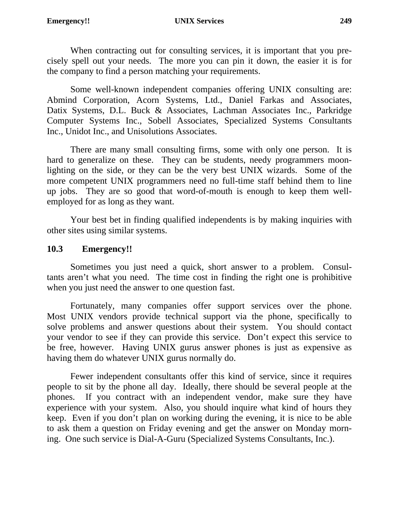#### **Emergency!!** UNIX Services 249

When contracting out for consulting services, it is important that you precisely spell out your needs. The more you can pin it down, the easier it is for the company to find a person matching your requirements.

Some well-known independent companies offering UNIX consulting are: Abmind Corporation, Acorn Systems, Ltd., Daniel Farkas and Associates, Datix Systems, D.L. Buck & Associates, Lachman Associates Inc., Parkridge Computer Systems Inc., Sobell Associates, Specialized Systems Consultants Inc., Unidot Inc., and Unisolutions Associates.

There are many small consulting firms, some with only one person. It is hard to generalize on these. They can be students, needy programmers moonlighting on the side, or they can be the very best UNIX wizards. Some of the more competent UNIX programmers need no full-time staff behind them to line up jobs. They are so good that word-of-mouth is enough to keep them wellemployed for as long as they want.

Your best bet in finding qualified independents is by making inquiries with other sites using similar systems.

#### **10.3 Emergency!!**

Sometimes you just need a quick, short answer to a problem. Consultants aren't what you need. The time cost in finding the right one is prohibitive when you just need the answer to one question fast.

Fortunately, many companies offer support services over the phone. Most UNIX vendors provide technical support via the phone, specifically to solve problems and answer questions about their system. You should contact your vendor to see if they can provide this service. Don't expect this service to be free, however. Having UNIX gurus answer phones is just as expensive as having them do whatever UNIX gurus normally do.

Fewer independent consultants offer this kind of service, since it requires people to sit by the phone all day. Ideally, there should be several people at the phones. If you contract with an independent vendor, make sure they have experience with your system. Also, you should inquire what kind of hours they keep. Even if you don't plan on working during the evening, it is nice to be able to ask them a question on Friday evening and get the answer on Monday morning. One such service is Dial-A-Guru (Specialized Systems Consultants, Inc.).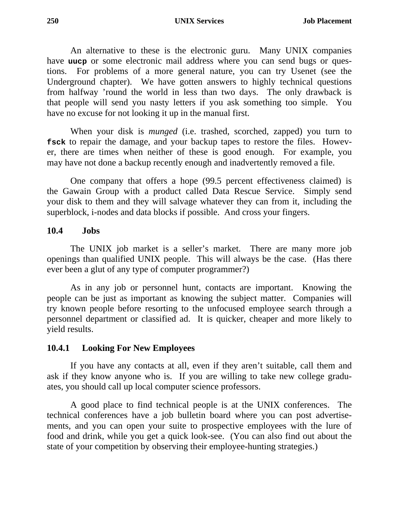**250 UNIX Services Job Placement**

An alternative to these is the electronic guru. Many UNIX companies have **uucp** or some electronic mail address where you can send bugs or questions. For problems of a more general nature, you can try Usenet (see the Underground chapter). We have gotten answers to highly technical questions from halfway 'round the world in less than two days. The only drawback is that people will send you nasty letters if you ask something too simple. You have no excuse for not looking it up in the manual first.

When your disk is *munged* (i.e. trashed, scorched, zapped) you turn to **fsck** to repair the damage, and your backup tapes to restore the files. However, there are times when neither of these is good enough. For example, you may have not done a backup recently enough and inadvertently removed a file.

One company that offers a hope (99.5 percent effectiveness claimed) is the Gawain Group with a product called Data Rescue Service. Simply send your disk to them and they will salvage whatever they can from it, including the superblock, i-nodes and data blocks if possible. And cross your fingers.

#### **10.4 Jobs**

The UNIX job market is a seller's market. There are many more job openings than qualified UNIX people. This will always be the case. (Has there ever been a glut of any type of computer programmer?)

As in any job or personnel hunt, contacts are important. Knowing the people can be just as important as knowing the subject matter. Companies will try known people before resorting to the unfocused employee search through a personnel department or classified ad. It is quicker, cheaper and more likely to yield results.

#### **10.4.1 Looking For New Employees**

If you have any contacts at all, even if they aren't suitable, call them and ask if they know anyone who is. If you are willing to take new college graduates, you should call up local computer science professors.

A good place to find technical people is at the UNIX conferences. The technical conferences have a job bulletin board where you can post advertisements, and you can open your suite to prospective employees with the lure of food and drink, while you get a quick look-see. (You can also find out about the state of your competition by observing their employee-hunting strategies.)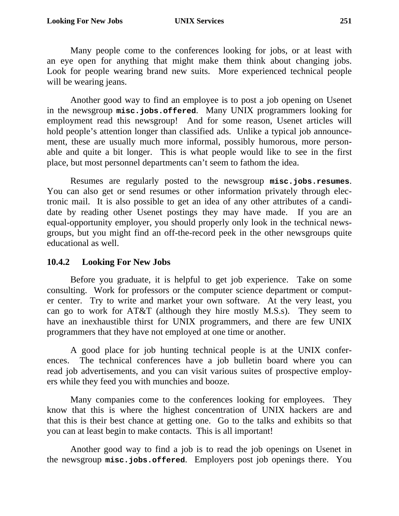Many people come to the conferences looking for jobs, or at least with an eye open for anything that might make them think about changing jobs. Look for people wearing brand new suits. More experienced technical people will be wearing jeans.

Another good way to find an employee is to post a job opening on Usenet in the newsgroup **misc.jobs.offered**. Many UNIX programmers looking for employment read this newsgroup! And for some reason, Usenet articles will hold people's attention longer than classified ads. Unlike a typical job announcement, these are usually much more informal, possibly humorous, more personable and quite a bit longer. This is what people would like to see in the first place, but most personnel departments can't seem to fathom the idea.

Resumes are regularly posted to the newsgroup **misc.jobs.resumes**. You can also get or send resumes or other information privately through electronic mail. It is also possible to get an idea of any other attributes of a candidate by reading other Usenet postings they may have made. If you are an equal-opportunity employer, you should properly only look in the technical newsgroups, but you might find an off-the-record peek in the other newsgroups quite educational as well.

## **10.4.2 Looking For New Jobs**

Before you graduate, it is helpful to get job experience. Take on some consulting. Work for professors or the computer science department or computer center. Try to write and market your own software. At the very least, you can go to work for AT&T (although they hire mostly M.S.s). They seem to have an inexhaustible thirst for UNIX programmers, and there are few UNIX programmers that they have not employed at one time or another.

A good place for job hunting technical people is at the UNIX conferences. The technical conferences have a job bulletin board where you can read job advertisements, and you can visit various suites of prospective employers while they feed you with munchies and booze.

Many companies come to the conferences looking for employees. They know that this is where the highest concentration of UNIX hackers are and that this is their best chance at getting one. Go to the talks and exhibits so that you can at least begin to make contacts. This is all important!

Another good way to find a job is to read the job openings on Usenet in the newsgroup **misc.jobs.offered**. Employers post job openings there. You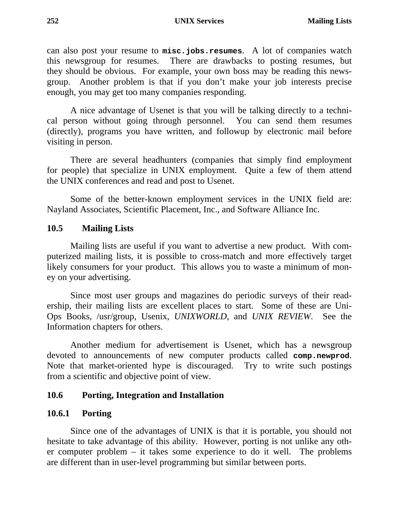**252 UNIX Services Mailing Lists**

can also post your resume to **misc.jobs.resumes**. A lot of companies watch this newsgroup for resumes. There are drawbacks to posting resumes, but they should be obvious. For example, your own boss may be reading this newsgroup. Another problem is that if you don't make your job interests precise enough, you may get too many companies responding.

A nice advantage of Usenet is that you will be talking directly to a technical person without going through personnel. You can send them resumes (directly), programs you have written, and followup by electronic mail before visiting in person.

There are several headhunters (companies that simply find employment for people) that specialize in UNIX employment. Quite a few of them attend the UNIX conferences and read and post to Usenet.

Some of the better-known employment services in the UNIX field are: Nayland Associates, Scientific Placement, Inc., and Software Alliance Inc.

#### **10.5 Mailing Lists**

Mailing lists are useful if you want to advertise a new product. With computerized mailing lists, it is possible to cross-match and more effectively target likely consumers for your product. This allows you to waste a minimum of money on your advertising.

Since most user groups and magazines do periodic surveys of their readership, their mailing lists are excellent places to start. Some of these are Uni-Ops Books, /usr/group, Usenix, *UNIXWORLD*, and *UNIX REVIEW*. See the Information chapters for others.

Another medium for advertisement is Usenet, which has a newsgroup devoted to announcements of new computer products called **comp.newprod**. Note that market-oriented hype is discouraged. Try to write such postings from a scientific and objective point of view.

#### **10.6 Porting, Integration and Installation**

#### **10.6.1 Porting**

Since one of the advantages of UNIX is that it is portable, you should not hesitate to take advantage of this ability. However, porting is not unlike any other computer problem – it takes some experience to do it well. The problems are different than in user-level programming but similar between ports.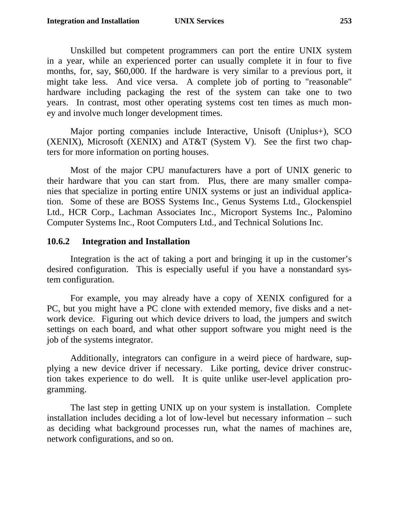Unskilled but competent programmers can port the entire UNIX system in a year, while an experienced porter can usually complete it in four to five months, for, say, \$60,000. If the hardware is very similar to a previous port, it might take less. And vice versa. A complete job of porting to "reasonable" hardware including packaging the rest of the system can take one to two years. In contrast, most other operating systems cost ten times as much money and involve much longer development times.

Major porting companies include Interactive, Unisoft (Uniplus+), SCO (XENIX), Microsoft (XENIX) and AT&T (System V). See the first two chapters for more information on porting houses.

Most of the major CPU manufacturers have a port of UNIX generic to their hardware that you can start from. Plus, there are many smaller companies that specialize in porting entire UNIX systems or just an individual application. Some of these are BOSS Systems Inc., Genus Systems Ltd., Glockenspiel Ltd., HCR Corp., Lachman Associates Inc., Microport Systems Inc., Palomino Computer Systems Inc., Root Computers Ltd., and Technical Solutions Inc.

#### **10.6.2 Integration and Installation**

Integration is the act of taking a port and bringing it up in the customer's desired configuration. This is especially useful if you have a nonstandard system configuration.

For example, you may already have a copy of XENIX configured for a PC, but you might have a PC clone with extended memory, five disks and a network device. Figuring out which device drivers to load, the jumpers and switch settings on each board, and what other support software you might need is the job of the systems integrator.

Additionally, integrators can configure in a weird piece of hardware, supplying a new device driver if necessary. Like porting, device driver construction takes experience to do well. It is quite unlike user-level application programming.

The last step in getting UNIX up on your system is installation. Complete installation includes deciding a lot of low-level but necessary information – such as deciding what background processes run, what the names of machines are, network configurations, and so on.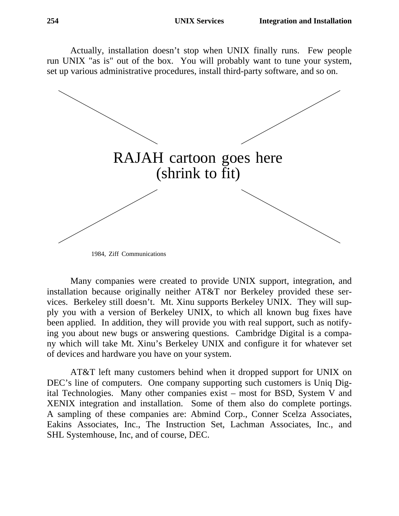Actually, installation doesn't stop when UNIX finally runs. Few people run UNIX "as is" out of the box. You will probably want to tune your system, set up various administrative procedures, install third-party software, and so on.



Many companies were created to provide UNIX support, integration, and installation because originally neither AT&T nor Berkeley provided these services. Berkeley still doesn't. Mt. Xinu supports Berkeley UNIX. They will supply you with a version of Berkeley UNIX, to which all known bug fixes have been applied. In addition, they will provide you with real support, such as notifying you about new bugs or answering questions. Cambridge Digital is a company which will take Mt. Xinu's Berkeley UNIX and configure it for whatever set of devices and hardware you have on your system.

AT&T left many customers behind when it dropped support for UNIX on DEC's line of computers. One company supporting such customers is Uniq Digital Technologies. Many other companies exist – most for BSD, System V and XENIX integration and installation. Some of them also do complete portings. A sampling of these companies are: Abmind Corp., Conner Scelza Associates, Eakins Associates, Inc., The Instruction Set, Lachman Associates, Inc., and SHL Systemhouse, Inc, and of course, DEC.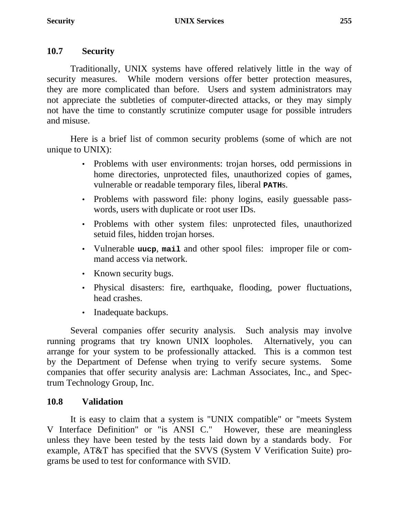# **10.7 Security**

Traditionally, UNIX systems have offered relatively little in the way of security measures. While modern versions offer better protection measures, they are more complicated than before. Users and system administrators may not appreciate the subtleties of computer-directed attacks, or they may simply not have the time to constantly scrutinize computer usage for possible intruders and misuse.

Here is a brief list of common security problems (some of which are not unique to UNIX):

- Problems with user environments: trojan horses, odd permissions in home directories, unprotected files, unauthorized copies of games, vulnerable or readable temporary files, liberal **PATH**s.
- Problems with password file: phony logins, easily guessable passwords, users with duplicate or root user IDs.
- Problems with other system files: unprotected files, unauthorized setuid files, hidden trojan horses.
- Vulnerable **uucp**, **mail** and other spool files: improper file or command access via network.
- Known security bugs.
- Physical disasters: fire, earthquake, flooding, power fluctuations, head crashes.
- Inadequate backups.

Several companies offer security analysis. Such analysis may involve running programs that try known UNIX loopholes. Alternatively, you can arrange for your system to be professionally attacked. This is a common test by the Department of Defense when trying to verify secure systems. Some companies that offer security analysis are: Lachman Associates, Inc., and Spectrum Technology Group, Inc.

## **10.8 Validation**

It is easy to claim that a system is "UNIX compatible" or "meets System V Interface Definition" or "is ANSI C." However, these are meaningless unless they have been tested by the tests laid down by a standards body. For example, AT&T has specified that the SVVS (System V Verification Suite) programs be used to test for conformance with SVID.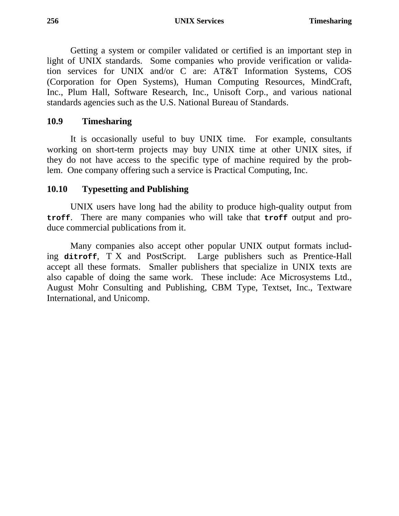#### **256 UNIX Services Timesharing**

Getting a system or compiler validated or certified is an important step in light of UNIX standards. Some companies who provide verification or validation services for UNIX and/or C are: AT&T Information Systems, COS (Corporation for Open Systems), Human Computing Resources, MindCraft, Inc., Plum Hall, Software Research, Inc., Unisoft Corp., and various national standards agencies such as the U.S. National Bureau of Standards.

#### **10.9 Timesharing**

It is occasionally useful to buy UNIX time. For example, consultants working on short-term projects may buy UNIX time at other UNIX sites, if they do not have access to the specific type of machine required by the problem. One company offering such a service is Practical Computing, Inc.

#### **10.10 Typesetting and Publishing**

UNIX users have long had the ability to produce high-quality output from **troff**. There are many companies who will take that **troff** output and produce commercial publications from it.

Many companies also accept other popular UNIX output formats including **ditroff**, T X and PostScript. Large publishers such as Prentice-Hall accept all these formats. Smaller publishers that specialize in UNIX texts are also capable of doing the same work. These include: Ace Microsystems Ltd., August Mohr Consulting and Publishing, CBM Type, Textset, Inc., Textware International, and Unicomp.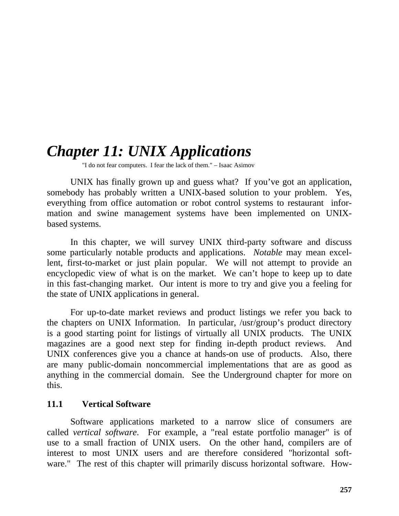# *Chapter 11: UNIX Applications*

"I do not fear computers. I fear the lack of them." – Isaac Asimov

UNIX has finally grown up and guess what? If you've got an application, somebody has probably written a UNIX-based solution to your problem. Yes, everything from office automation or robot control systems to restaurant information and swine management systems have been implemented on UNIXbased systems.

In this chapter, we will survey UNIX third-party software and discuss some particularly notable products and applications. *Notable* may mean excellent, first-to-market or just plain popular. We will not attempt to provide an encyclopedic view of what is on the market. We can't hope to keep up to date in this fast-changing market. Our intent is more to try and give you a feeling for the state of UNIX applications in general.

For up-to-date market reviews and product listings we refer you back to the chapters on UNIX Information. In particular, /usr/group's product directory is a good starting point for listings of virtually all UNIX products. The UNIX magazines are a good next step for finding in-depth product reviews. And UNIX conferences give you a chance at hands-on use of products. Also, there are many public-domain noncommercial implementations that are as good as anything in the commercial domain. See the Underground chapter for more on this.

#### **11.1 Vertical Software**

Software applications marketed to a narrow slice of consumers are called *vertical software*. For example, a "real estate portfolio manager" is of use to a small fraction of UNIX users. On the other hand, compilers are of interest to most UNIX users and are therefore considered "horizontal software." The rest of this chapter will primarily discuss horizontal software. How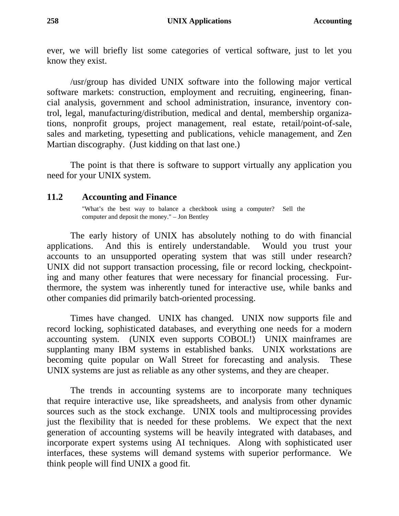ever, we will briefly list some categories of vertical software, just to let you know they exist.

/usr/group has divided UNIX software into the following major vertical software markets: construction, employment and recruiting, engineering, financial analysis, government and school administration, insurance, inventory control, legal, manufacturing/distribution, medical and dental, membership organizations, nonprofit groups, project management, real estate, retail/point-of-sale, sales and marketing, typesetting and publications, vehicle management, and Zen Martian discography. (Just kidding on that last one.)

The point is that there is software to support virtually any application you need for your UNIX system.

#### **11.2 Accounting and Finance**

"What's the best way to balance a checkbook using a computer? Sell the computer and deposit the money." – Jon Bentley

The early history of UNIX has absolutely nothing to do with financial applications. And this is entirely understandable. Would you trust your accounts to an unsupported operating system that was still under research? UNIX did not support transaction processing, file or record locking, checkpointing and many other features that were necessary for financial processing. Furthermore, the system was inherently tuned for interactive use, while banks and other companies did primarily batch-oriented processing.

Times have changed. UNIX has changed. UNIX now supports file and record locking, sophisticated databases, and everything one needs for a modern accounting system. (UNIX even supports COBOL!) UNIX mainframes are supplanting many IBM systems in established banks. UNIX workstations are becoming quite popular on Wall Street for forecasting and analysis. These UNIX systems are just as reliable as any other systems, and they are cheaper.

The trends in accounting systems are to incorporate many techniques that require interactive use, like spreadsheets, and analysis from other dynamic sources such as the stock exchange. UNIX tools and multiprocessing provides just the flexibility that is needed for these problems. We expect that the next generation of accounting systems will be heavily integrated with databases, and incorporate expert systems using AI techniques. Along with sophisticated user interfaces, these systems will demand systems with superior performance. We think people will find UNIX a good fit.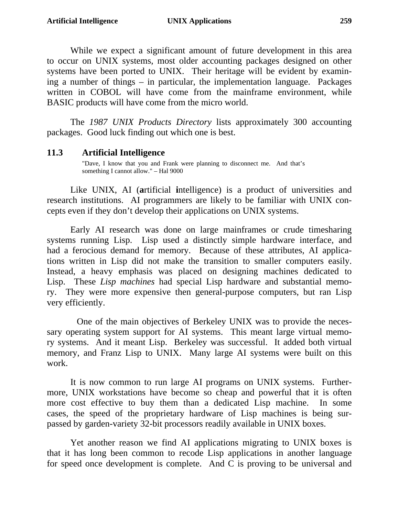While we expect a significant amount of future development in this area to occur on UNIX systems, most older accounting packages designed on other systems have been ported to UNIX. Their heritage will be evident by examining a number of things – in particular, the implementation language. Packages written in COBOL will have come from the mainframe environment, while BASIC products will have come from the micro world.

The *1987 UNIX Products Directory* lists approximately 300 accounting packages. Good luck finding out which one is best.

#### **11.3 Artificial Intelligence**

"Dave, I know that you and Frank were planning to disconnect me. And that's something I cannot allow." – Hal 9000

Like UNIX, AI (**a**rtificial **i**ntelligence) is a product of universities and research institutions. AI programmers are likely to be familiar with UNIX concepts even if they don't develop their applications on UNIX systems.

Early AI research was done on large mainframes or crude timesharing systems running Lisp. Lisp used a distinctly simple hardware interface, and had a ferocious demand for memory. Because of these attributes, AI applications written in Lisp did not make the transition to smaller computers easily. Instead, a heavy emphasis was placed on designing machines dedicated to Lisp. These *Lisp machines* had special Lisp hardware and substantial memory. They were more expensive then general-purpose computers, but ran Lisp very efficiently.

 One of the main objectives of Berkeley UNIX was to provide the necessary operating system support for AI systems. This meant large virtual memory systems. And it meant Lisp. Berkeley was successful. It added both virtual memory, and Franz Lisp to UNIX. Many large AI systems were built on this work.

It is now common to run large AI programs on UNIX systems. Furthermore, UNIX workstations have become so cheap and powerful that it is often more cost effective to buy them than a dedicated Lisp machine. In some cases, the speed of the proprietary hardware of Lisp machines is being surpassed by garden-variety 32-bit processors readily available in UNIX boxes.

Yet another reason we find AI applications migrating to UNIX boxes is that it has long been common to recode Lisp applications in another language for speed once development is complete. And C is proving to be universal and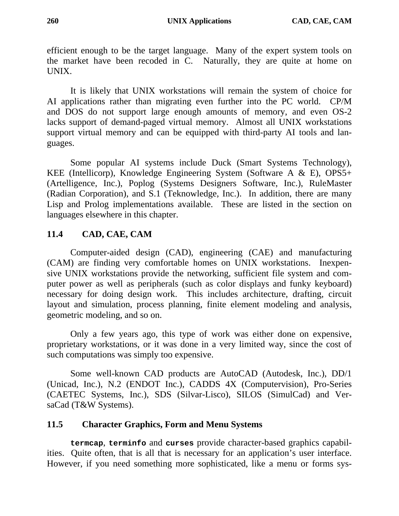efficient enough to be the target language. Many of the expert system tools on the market have been recoded in C. Naturally, they are quite at home on UNIX.

It is likely that UNIX workstations will remain the system of choice for AI applications rather than migrating even further into the PC world. CP/M and DOS do not support large enough amounts of memory, and even OS-2 lacks support of demand-paged virtual memory. Almost all UNIX workstations support virtual memory and can be equipped with third-party AI tools and languages.

Some popular AI systems include Duck (Smart Systems Technology), KEE (Intellicorp), Knowledge Engineering System (Software A & E), OPS5+ (Artelligence, Inc.), Poplog (Systems Designers Software, Inc.), RuleMaster (Radian Corporation), and S.1 (Teknowledge, Inc.). In addition, there are many Lisp and Prolog implementations available. These are listed in the section on languages elsewhere in this chapter.

# **11.4 CAD, CAE, CAM**

Computer-aided design (CAD), engineering (CAE) and manufacturing (CAM) are finding very comfortable homes on UNIX workstations. Inexpensive UNIX workstations provide the networking, sufficient file system and computer power as well as peripherals (such as color displays and funky keyboard) necessary for doing design work. This includes architecture, drafting, circuit layout and simulation, process planning, finite element modeling and analysis, geometric modeling, and so on.

Only a few years ago, this type of work was either done on expensive, proprietary workstations, or it was done in a very limited way, since the cost of such computations was simply too expensive.

Some well-known CAD products are AutoCAD (Autodesk, Inc.), DD/1 (Unicad, Inc.), N.2 (ENDOT Inc.), CADDS 4X (Computervision), Pro-Series (CAETEC Systems, Inc.), SDS (Silvar-Lisco), SILOS (SimulCad) and VersaCad (T&W Systems).

#### **11.5 Character Graphics, Form and Menu Systems**

**termcap**, **terminfo** and **curses** provide character-based graphics capabilities. Quite often, that is all that is necessary for an application's user interface. However, if you need something more sophisticated, like a menu or forms sys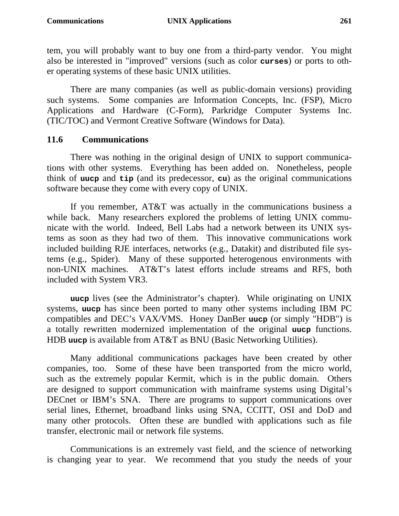tem, you will probably want to buy one from a third-party vendor. You might also be interested in "improved" versions (such as color **curses**) or ports to other operating systems of these basic UNIX utilities.

There are many companies (as well as public-domain versions) providing such systems. Some companies are Information Concepts, Inc. (FSP), Micro Applications and Hardware (C-Form), Parkridge Computer Systems Inc. (TIC/TOC) and Vermont Creative Software (Windows for Data).

#### **11.6 Communications**

There was nothing in the original design of UNIX to support communications with other systems. Everything has been added on. Nonetheless, people think of **uucp** and **tip** (and its predecessor, **cu**) as the original communications software because they come with every copy of UNIX.

If you remember, AT&T was actually in the communications business a while back. Many researchers explored the problems of letting UNIX communicate with the world. Indeed, Bell Labs had a network between its UNIX systems as soon as they had two of them. This innovative communications work included building RJE interfaces, networks (e.g., Datakit) and distributed file systems (e.g., Spider). Many of these supported heterogenous environments with non-UNIX machines. AT&T's latest efforts include streams and RFS, both included with System VR3.

**uucp** lives (see the Administrator's chapter). While originating on UNIX systems, **uucp** has since been ported to many other systems including IBM PC compatibles and DEC's VAX/VMS. Honey DanBer **uucp** (or simply "HDB") is a totally rewritten modernized implementation of the original **uucp** functions. HDB **uucp** is available from AT&T as BNU (Basic Networking Utilities).

Many additional communications packages have been created by other companies, too. Some of these have been transported from the micro world, such as the extremely popular Kermit, which is in the public domain. Others are designed to support communication with mainframe systems using Digital's DECnet or IBM's SNA. There are programs to support communications over serial lines, Ethernet, broadband links using SNA, CCITT, OSI and DoD and many other protocols. Often these are bundled with applications such as file transfer, electronic mail or network file systems.

Communications is an extremely vast field, and the science of networking is changing year to year. We recommend that you study the needs of your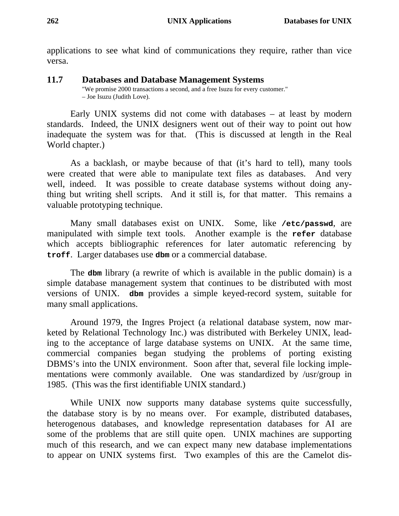applications to see what kind of communications they require, rather than vice versa.

#### **11.7 Databases and Database Management Systems**

"We promise 2000 transactions a second, and a free Isuzu for every customer." – Joe Isuzu (Judith Love).

Early UNIX systems did not come with databases – at least by modern standards. Indeed, the UNIX designers went out of their way to point out how inadequate the system was for that. (This is discussed at length in the Real World chapter.)

As a backlash, or maybe because of that (it's hard to tell), many tools were created that were able to manipulate text files as databases. And very well, indeed. It was possible to create database systems without doing anything but writing shell scripts. And it still is, for that matter. This remains a valuable prototyping technique.

Many small databases exist on UNIX. Some, like **/etc/passwd**, are manipulated with simple text tools. Another example is the **refer** database which accepts bibliographic references for later automatic referencing by **troff**. Larger databases use **dbm** or a commercial database.

The **dbm** library (a rewrite of which is available in the public domain) is a simple database management system that continues to be distributed with most versions of UNIX. **dbm** provides a simple keyed-record system, suitable for many small applications.

Around 1979, the Ingres Project (a relational database system, now marketed by Relational Technology Inc.) was distributed with Berkeley UNIX, leading to the acceptance of large database systems on UNIX. At the same time, commercial companies began studying the problems of porting existing DBMS's into the UNIX environment. Soon after that, several file locking implementations were commonly available. One was standardized by /usr/group in 1985. (This was the first identifiable UNIX standard.)

While UNIX now supports many database systems quite successfully, the database story is by no means over. For example, distributed databases, heterogenous databases, and knowledge representation databases for AI are some of the problems that are still quite open. UNIX machines are supporting much of this research, and we can expect many new database implementations to appear on UNIX systems first. Two examples of this are the Camelot dis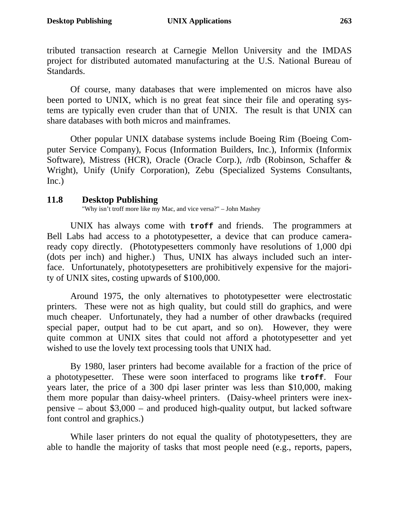tributed transaction research at Carnegie Mellon University and the IMDAS project for distributed automated manufacturing at the U.S. National Bureau of Standards.

Of course, many databases that were implemented on micros have also been ported to UNIX, which is no great feat since their file and operating systems are typically even cruder than that of UNIX. The result is that UNIX can share databases with both micros and mainframes.

Other popular UNIX database systems include Boeing Rim (Boeing Computer Service Company), Focus (Information Builders, Inc.), Informix (Informix Software), Mistress (HCR), Oracle (Oracle Corp.), /rdb (Robinson, Schaffer & Wright), Unify (Unify Corporation), Zebu (Specialized Systems Consultants, Inc.)

#### **11.8 Desktop Publishing**

"Why isn't troff more like my Mac, and vice versa?" – John Mashey

UNIX has always come with **troff** and friends. The programmers at Bell Labs had access to a phototypesetter, a device that can produce cameraready copy directly. (Phototypesetters commonly have resolutions of 1,000 dpi (dots per inch) and higher.) Thus, UNIX has always included such an interface. Unfortunately, phototypesetters are prohibitively expensive for the majority of UNIX sites, costing upwards of \$100,000.

Around 1975, the only alternatives to phototypesetter were electrostatic printers. These were not as high quality, but could still do graphics, and were much cheaper. Unfortunately, they had a number of other drawbacks (required special paper, output had to be cut apart, and so on). However, they were quite common at UNIX sites that could not afford a phototypesetter and yet wished to use the lovely text processing tools that UNIX had.

By 1980, laser printers had become available for a fraction of the price of a phototypesetter. These were soon interfaced to programs like **troff**. Four years later, the price of a 300 dpi laser printer was less than \$10,000, making them more popular than daisy-wheel printers. (Daisy-wheel printers were inexpensive – about \$3,000 – and produced high-quality output, but lacked software font control and graphics.)

While laser printers do not equal the quality of phototypesetters, they are able to handle the majority of tasks that most people need (e.g., reports, papers,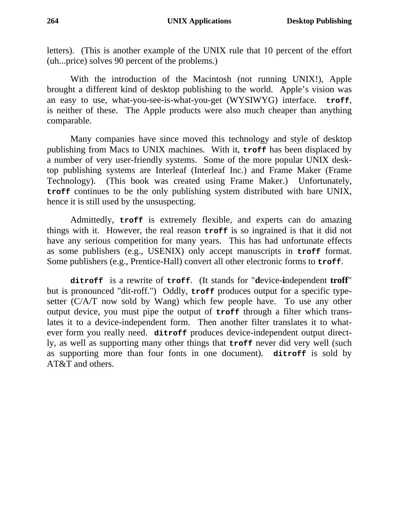letters). (This is another example of the UNIX rule that 10 percent of the effort (uh...price) solves 90 percent of the problems.)

With the introduction of the Macintosh (not running UNIX!), Apple brought a different kind of desktop publishing to the world. Apple's vision was an easy to use, what-you-see-is-what-you-get (WYSIWYG) interface. **troff**, is neither of these. The Apple products were also much cheaper than anything comparable.

Many companies have since moved this technology and style of desktop publishing from Macs to UNIX machines. With it, **troff** has been displaced by a number of very user-friendly systems. Some of the more popular UNIX desktop publishing systems are Interleaf (Interleaf Inc.) and Frame Maker (Frame Technology). (This book was created using Frame Maker.) Unfortunately, **troff** continues to be the only publishing system distributed with bare UNIX, hence it is still used by the unsuspecting.

Admittedly, **troff** is extremely flexible, and experts can do amazing things with it. However, the real reason **troff** is so ingrained is that it did not have any serious competition for many years. This has had unfortunate effects as some publishers (e.g., USENIX) only accept manuscripts in **troff** format. Some publishers (e.g., Prentice-Hall) convert all other electronic forms to **troff**.

**ditroff** is a rewrite of **troff**. (It stands for "**d**evice-**i**ndependent **troff**" but is pronounced "dit-roff.") Oddly, **troff** produces output for a specific typesetter (C/A/T now sold by Wang) which few people have. To use any other output device, you must pipe the output of **troff** through a filter which translates it to a device-independent form. Then another filter translates it to whatever form you really need. **ditroff** produces device-independent output directly, as well as supporting many other things that **troff** never did very well (such as supporting more than four fonts in one document). **ditroff** is sold by AT&T and others.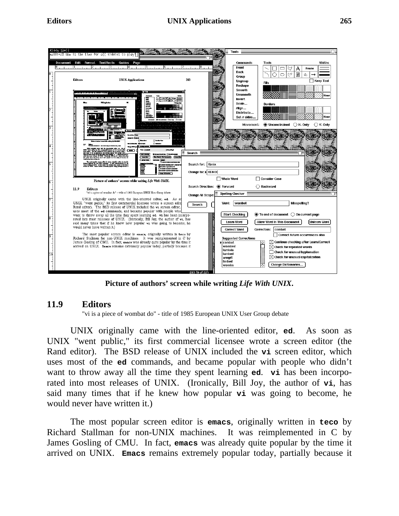

**Picture of authors' screen while writing** *Life With UNIX***.**

#### **11.9 Editors**

"vi is a piece of wombat do" - title of 1985 European UNIX User Group debate

UNIX originally came with the line-oriented editor, **ed**. As soon as UNIX "went public," its first commercial licensee wrote a screen editor (the Rand editor). The BSD release of UNIX included the **vi** screen editor, which uses most of the **ed** commands, and became popular with people who didn't want to throw away all the time they spent learning **ed**. **vi** has been incorporated into most releases of UNIX. (Ironically, Bill Joy, the author of **vi**, has said many times that if he knew how popular **vi** was going to become, he would never have written it.)

The most popular screen editor is **emacs**, originally written in **teco** by Richard Stallman for non-UNIX machines. It was reimplemented in C by James Gosling of CMU. In fact, **emacs** was already quite popular by the time it arrived on UNIX. **Emacs** remains extremely popular today, partially because it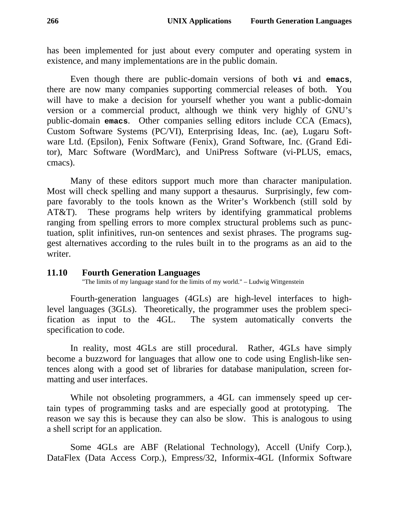has been implemented for just about every computer and operating system in existence, and many implementations are in the public domain.

Even though there are public-domain versions of both **vi** and **emacs**, there are now many companies supporting commercial releases of both. You will have to make a decision for yourself whether you want a public-domain version or a commercial product, although we think very highly of GNU's public-domain **emacs**. Other companies selling editors include CCA (Emacs), Custom Software Systems (PC/VI), Enterprising Ideas, Inc. (ae), Lugaru Software Ltd. (Epsilon), Fenix Software (Fenix), Grand Software, Inc. (Grand Editor), Marc Software (WordMarc), and UniPress Software (vi-PLUS, emacs, cmacs).

Many of these editors support much more than character manipulation. Most will check spelling and many support a thesaurus. Surprisingly, few compare favorably to the tools known as the Writer's Workbench (still sold by AT&T). These programs help writers by identifying grammatical problems ranging from spelling errors to more complex structural problems such as punctuation, split infinitives, run-on sentences and sexist phrases. The programs suggest alternatives according to the rules built in to the programs as an aid to the writer.

#### **11.10 Fourth Generation Languages**

"The limits of my language stand for the limits of my world." – Ludwig Wittgenstein

Fourth-generation languages (4GLs) are high-level interfaces to highlevel languages (3GLs). Theoretically, the programmer uses the problem specification as input to the 4GL. The system automatically converts the specification to code.

In reality, most 4GLs are still procedural. Rather, 4GLs have simply become a buzzword for languages that allow one to code using English-like sentences along with a good set of libraries for database manipulation, screen formatting and user interfaces.

While not obsoleting programmers, a 4GL can immensely speed up certain types of programming tasks and are especially good at prototyping. The reason we say this is because they can also be slow. This is analogous to using a shell script for an application.

Some 4GLs are ABF (Relational Technology), Accell (Unify Corp.), DataFlex (Data Access Corp.), Empress/32, Informix-4GL (Informix Software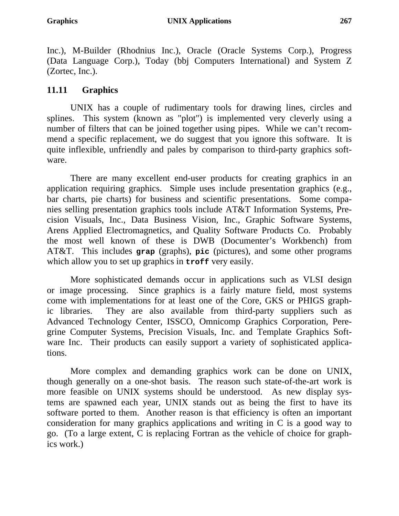Inc.), M-Builder (Rhodnius Inc.), Oracle (Oracle Systems Corp.), Progress (Data Language Corp.), Today (bbj Computers International) and System Z (Zortec, Inc.).

# **11.11 Graphics**

UNIX has a couple of rudimentary tools for drawing lines, circles and splines. This system (known as "plot") is implemented very cleverly using a number of filters that can be joined together using pipes. While we can't recommend a specific replacement, we do suggest that you ignore this software. It is quite inflexible, unfriendly and pales by comparison to third-party graphics software.

There are many excellent end-user products for creating graphics in an application requiring graphics. Simple uses include presentation graphics (e.g., bar charts, pie charts) for business and scientific presentations. Some companies selling presentation graphics tools include AT&T Information Systems, Precision Visuals, Inc., Data Business Vision, Inc., Graphic Software Systems, Arens Applied Electromagnetics, and Quality Software Products Co. Probably the most well known of these is DWB (Documenter's Workbench) from AT&T. This includes **grap** (graphs), **pic** (pictures), and some other programs which allow you to set up graphics in **troff** very easily.

More sophisticated demands occur in applications such as VLSI design or image processing. Since graphics is a fairly mature field, most systems come with implementations for at least one of the Core, GKS or PHIGS graphic libraries. They are also available from third-party suppliers such as Advanced Technology Center, ISSCO, Omnicomp Graphics Corporation, Peregrine Computer Systems, Precision Visuals, Inc. and Template Graphics Software Inc. Their products can easily support a variety of sophisticated applications.

More complex and demanding graphics work can be done on UNIX, though generally on a one-shot basis. The reason such state-of-the-art work is more feasible on UNIX systems should be understood. As new display systems are spawned each year, UNIX stands out as being the first to have its software ported to them. Another reason is that efficiency is often an important consideration for many graphics applications and writing in C is a good way to go. (To a large extent, C is replacing Fortran as the vehicle of choice for graphics work.)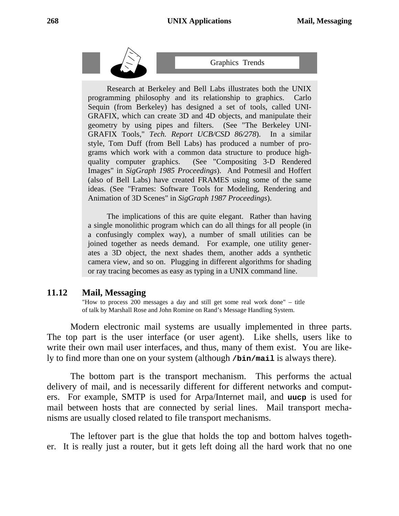

Graphics Trends

Research at Berkeley and Bell Labs illustrates both the UNIX programming philosophy and its relationship to graphics. Carlo Sequin (from Berkeley) has designed a set of tools, called UNI-GRAFIX, which can create 3D and 4D objects, and manipulate their geometry by using pipes and filters. (See "The Berkeley UNI-GRAFIX Tools," *Tech. Report UCB/CSD 86/278*). In a similar style, Tom Duff (from Bell Labs) has produced a number of programs which work with a common data structure to produce highquality computer graphics. (See "Compositing 3-D Rendered Images" in *SigGraph 1985 Proceedings*). And Potmesil and Hoffert (also of Bell Labs) have created FRAMES using some of the same ideas. (See "Frames: Software Tools for Modeling, Rendering and Animation of 3D Scenes" in *SigGraph 1987 Proceedings*).

The implications of this are quite elegant. Rather than having a single monolithic program which can do all things for all people (in a confusingly complex way), a number of small utilities can be joined together as needs demand. For example, one utility generates a 3D object, the next shades them, another adds a synthetic camera view, and so on. Plugging in different algorithms for shading or ray tracing becomes as easy as typing in a UNIX command line.

#### **11.12 Mail, Messaging**

"How to process 200 messages a day and still get some real work done" – title of talk by Marshall Rose and John Romine on Rand's Message Handling System.

Modern electronic mail systems are usually implemented in three parts. The top part is the user interface (or user agent). Like shells, users like to write their own mail user interfaces, and thus, many of them exist. You are likely to find more than one on your system (although **/bin/mail** is always there).

The bottom part is the transport mechanism. This performs the actual delivery of mail, and is necessarily different for different networks and computers. For example, SMTP is used for Arpa/Internet mail, and **uucp** is used for mail between hosts that are connected by serial lines. Mail transport mechanisms are usually closed related to file transport mechanisms.

The leftover part is the glue that holds the top and bottom halves together. It is really just a router, but it gets left doing all the hard work that no one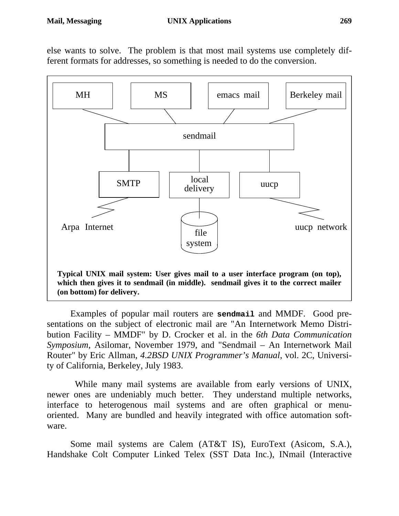else wants to solve. The problem is that most mail systems use completely different formats for addresses, so something is needed to do the conversion.



Examples of popular mail routers are **sendmail** and MMDF. Good presentations on the subject of electronic mail are "An Internetwork Memo Distribution Facility – MMDF" by D. Crocker et al. in the *6th Data Communication Symposium*, Asilomar, November 1979, and "Sendmail – An Internetwork Mail Router" by Eric Allman, *4.2BSD UNIX Programmer's Manual*, vol. 2C, University of California, Berkeley, July 1983.

 While many mail systems are available from early versions of UNIX, newer ones are undeniably much better. They understand multiple networks, interface to heterogenous mail systems and are often graphical or menuoriented. Many are bundled and heavily integrated with office automation software.

Some mail systems are Calem (AT&T IS), EuroText (Asicom, S.A.), Handshake Colt Computer Linked Telex (SST Data Inc.), INmail (Interactive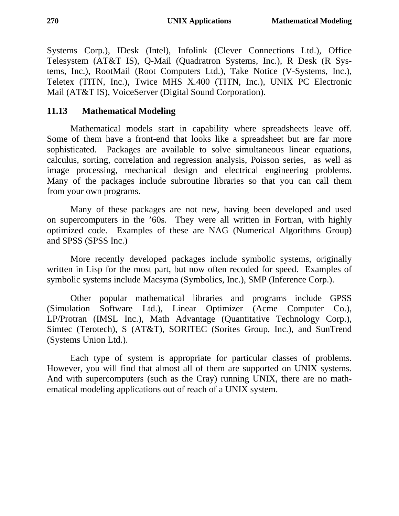Systems Corp.), IDesk (Intel), Infolink (Clever Connections Ltd.), Office Telesystem (AT&T IS), Q-Mail (Quadratron Systems, Inc.), R Desk (R Systems, Inc.), RootMail (Root Computers Ltd.), Take Notice (V-Systems, Inc.), Teletex (TITN, Inc.), Twice MHS X.400 (TITN, Inc.), UNIX PC Electronic Mail (AT&T IS), VoiceServer (Digital Sound Corporation).

#### **11.13 Mathematical Modeling**

Mathematical models start in capability where spreadsheets leave off. Some of them have a front-end that looks like a spreadsheet but are far more sophisticated. Packages are available to solve simultaneous linear equations, calculus, sorting, correlation and regression analysis, Poisson series, as well as image processing, mechanical design and electrical engineering problems. Many of the packages include subroutine libraries so that you can call them from your own programs.

Many of these packages are not new, having been developed and used on supercomputers in the '60s. They were all written in Fortran, with highly optimized code. Examples of these are NAG (Numerical Algorithms Group) and SPSS (SPSS Inc.)

More recently developed packages include symbolic systems, originally written in Lisp for the most part, but now often recoded for speed. Examples of symbolic systems include Macsyma (Symbolics, Inc.), SMP (Inference Corp.).

Other popular mathematical libraries and programs include GPSS (Simulation Software Ltd.), Linear Optimizer (Acme Computer Co.), LP/Protran (IMSL Inc.), Math Advantage (Quantitative Technology Corp.), Simtec (Terotech), S (AT&T), SORITEC (Sorites Group, Inc.), and SunTrend (Systems Union Ltd.).

Each type of system is appropriate for particular classes of problems. However, you will find that almost all of them are supported on UNIX systems. And with supercomputers (such as the Cray) running UNIX, there are no mathematical modeling applications out of reach of a UNIX system.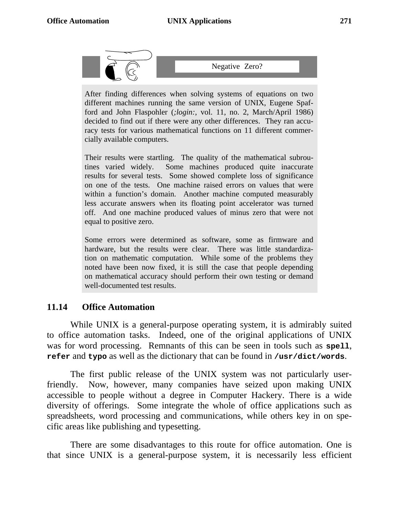

After finding differences when solving systems of equations on two different machines running the same version of UNIX, Eugene Spafford and John Flaspohler (*;login:*, vol. 11, no. 2, March/April 1986) decided to find out if there were any other differences. They ran accuracy tests for various mathematical functions on 11 different commercially available computers.

Their results were startling. The quality of the mathematical subroutines varied widely. Some machines produced quite inaccurate results for several tests. Some showed complete loss of significance on one of the tests. One machine raised errors on values that were within a function's domain. Another machine computed measurably less accurate answers when its floating point accelerator was turned off. And one machine produced values of minus zero that were not equal to positive zero.

Some errors were determined as software, some as firmware and hardware, but the results were clear. There was little standardization on mathematic computation. While some of the problems they noted have been now fixed, it is still the case that people depending on mathematical accuracy should perform their own testing or demand well-documented test results.

#### **11.14 Office Automation**

While UNIX is a general-purpose operating system, it is admirably suited to office automation tasks. Indeed, one of the original applications of UNIX was for word processing. Remnants of this can be seen in tools such as **spell**, **refer** and **typo** as well as the dictionary that can be found in **/usr/dict/words**.

The first public release of the UNIX system was not particularly userfriendly. Now, however, many companies have seized upon making UNIX accessible to people without a degree in Computer Hackery. There is a wide diversity of offerings. Some integrate the whole of office applications such as spreadsheets, word processing and communications, while others key in on specific areas like publishing and typesetting.

There are some disadvantages to this route for office automation. One is that since UNIX is a general-purpose system, it is necessarily less efficient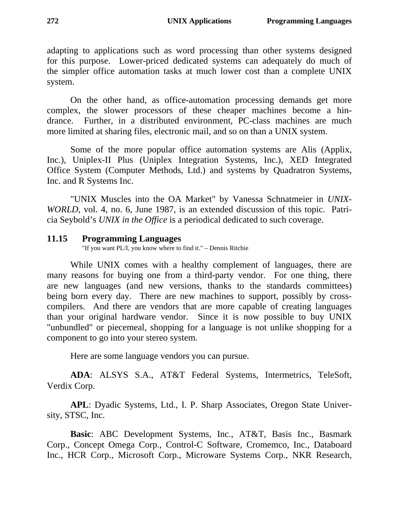adapting to applications such as word processing than other systems designed for this purpose. Lower-priced dedicated systems can adequately do much of the simpler office automation tasks at much lower cost than a complete UNIX system.

On the other hand, as office-automation processing demands get more complex, the slower processors of these cheaper machines become a hindrance. Further, in a distributed environment, PC-class machines are much more limited at sharing files, electronic mail, and so on than a UNIX system.

Some of the more popular office automation systems are Alis (Applix, Inc.), Uniplex-II Plus (Uniplex Integration Systems, Inc.), XED Integrated Office System (Computer Methods, Ltd.) and systems by Quadratron Systems, Inc. and R Systems Inc.

"UNIX Muscles into the OA Market" by Vanessa Schnatmeier in *UNIX-WORLD*, vol. 4, no. 6, June 1987, is an extended discussion of this topic. Patricia Seybold's *UNIX in the Office* is a periodical dedicated to such coverage.

#### **11.15 Programming Languages**

"If you want PL/I, you know where to find it." – Dennis Ritchie

While UNIX comes with a healthy complement of languages, there are many reasons for buying one from a third-party vendor. For one thing, there are new languages (and new versions, thanks to the standards committees) being born every day. There are new machines to support, possibly by crosscompilers. And there are vendors that are more capable of creating languages than your original hardware vendor. Since it is now possible to buy UNIX "unbundled" or piecemeal, shopping for a language is not unlike shopping for a component to go into your stereo system.

Here are some language vendors you can pursue.

**ADA**: ALSYS S.A., AT&T Federal Systems, Intermetrics, TeleSoft, Verdix Corp.

**APL**: Dyadic Systems, Ltd., I. P. Sharp Associates, Oregon State University, STSC, Inc.

**Basic**: ABC Development Systems, Inc., AT&T, Basis Inc., Basmark Corp., Concept Omega Corp., Control-C Software, Cromemco, Inc., Databoard Inc., HCR Corp., Microsoft Corp., Microware Systems Corp., NKR Research,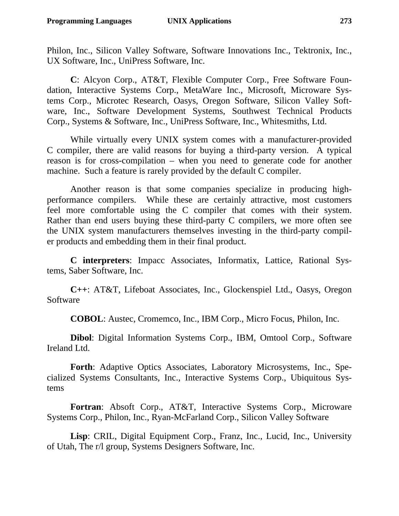Philon, Inc., Silicon Valley Software, Software Innovations Inc., Tektronix, Inc., UX Software, Inc., UniPress Software, Inc.

**C**: Alcyon Corp., AT&T, Flexible Computer Corp., Free Software Foundation, Interactive Systems Corp., MetaWare Inc., Microsoft, Microware Systems Corp., Microtec Research, Oasys, Oregon Software, Silicon Valley Software, Inc., Software Development Systems, Southwest Technical Products Corp., Systems & Software, Inc., UniPress Software, Inc., Whitesmiths, Ltd.

While virtually every UNIX system comes with a manufacturer-provided C compiler, there are valid reasons for buying a third-party version. A typical reason is for cross-compilation – when you need to generate code for another machine. Such a feature is rarely provided by the default C compiler.

Another reason is that some companies specialize in producing highperformance compilers. While these are certainly attractive, most customers feel more comfortable using the C compiler that comes with their system. Rather than end users buying these third-party C compilers, we more often see the UNIX system manufacturers themselves investing in the third-party compiler products and embedding them in their final product.

**C interpreters**: Impacc Associates, Informatix, Lattice, Rational Systems, Saber Software, Inc.

**C++**: AT&T, Lifeboat Associates, Inc., Glockenspiel Ltd., Oasys, Oregon Software

**COBOL**: Austec, Cromemco, Inc., IBM Corp., Micro Focus, Philon, Inc.

**Dibol**: Digital Information Systems Corp., IBM, Omtool Corp., Software Ireland Ltd.

**Forth**: Adaptive Optics Associates, Laboratory Microsystems, Inc., Specialized Systems Consultants, Inc., Interactive Systems Corp., Ubiquitous Systems

**Fortran**: Absoft Corp., AT&T, Interactive Systems Corp., Microware Systems Corp., Philon, Inc., Ryan-McFarland Corp., Silicon Valley Software

**Lisp**: CRIL, Digital Equipment Corp., Franz, Inc., Lucid, Inc., University of Utah, The r/l group, Systems Designers Software, Inc.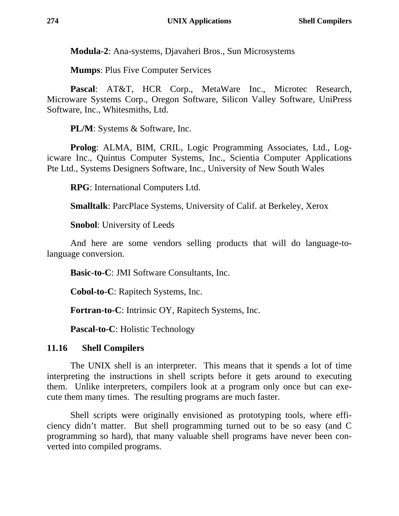**Modula-2**: Ana-systems, Djavaheri Bros., Sun Microsystems

**Mumps**: Plus Five Computer Services

**Pascal**: AT&T, HCR Corp., MetaWare Inc., Microtec Research, Microware Systems Corp., Oregon Software, Silicon Valley Software, UniPress Software, Inc., Whitesmiths, Ltd.

**PL/M**: Systems & Software, Inc.

**Prolog**: ALMA, BIM, CRIL, Logic Programming Associates, Ltd., Logicware Inc., Quintus Computer Systems, Inc., Scientia Computer Applications Pte Ltd., Systems Designers Software, Inc., University of New South Wales

**RPG**: International Computers Ltd.

**Smalltalk**: ParcPlace Systems, University of Calif. at Berkeley, Xerox

**Snobol**: University of Leeds

And here are some vendors selling products that will do language-tolanguage conversion.

**Basic-to-C**: JMI Software Consultants, Inc.

**Cobol-to-C**: Rapitech Systems, Inc.

**Fortran-to-C**: Intrinsic OY, Rapitech Systems, Inc.

**Pascal-to-C**: Holistic Technology

# **11.16 Shell Compilers**

The UNIX shell is an interpreter. This means that it spends a lot of time interpreting the instructions in shell scripts before it gets around to executing them. Unlike interpreters, compilers look at a program only once but can execute them many times. The resulting programs are much faster.

Shell scripts were originally envisioned as prototyping tools, where efficiency didn't matter. But shell programming turned out to be so easy (and C programming so hard), that many valuable shell programs have never been converted into compiled programs.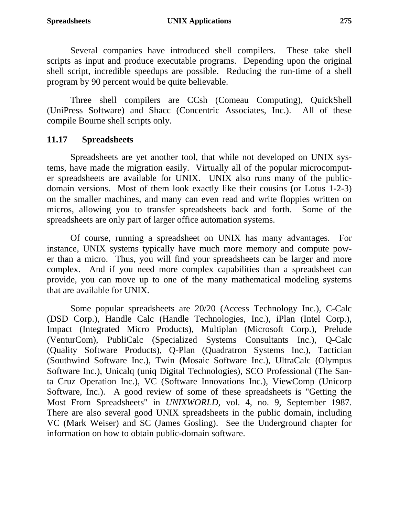#### **Spreadsheets** UNIX Applications 275

Several companies have introduced shell compilers. These take shell scripts as input and produce executable programs. Depending upon the original shell script, incredible speedups are possible. Reducing the run-time of a shell program by 90 percent would be quite believable.

Three shell compilers are CCsh (Comeau Computing), QuickShell (UniPress Software) and Shacc (Concentric Associates, Inc.). All of these compile Bourne shell scripts only.

# **11.17 Spreadsheets**

Spreadsheets are yet another tool, that while not developed on UNIX systems, have made the migration easily. Virtually all of the popular microcomputer spreadsheets are available for UNIX. UNIX also runs many of the publicdomain versions. Most of them look exactly like their cousins (or Lotus 1-2-3) on the smaller machines, and many can even read and write floppies written on micros, allowing you to transfer spreadsheets back and forth. Some of the spreadsheets are only part of larger office automation systems.

Of course, running a spreadsheet on UNIX has many advantages. For instance, UNIX systems typically have much more memory and compute power than a micro. Thus, you will find your spreadsheets can be larger and more complex. And if you need more complex capabilities than a spreadsheet can provide, you can move up to one of the many mathematical modeling systems that are available for UNIX.

Some popular spreadsheets are 20/20 (Access Technology Inc.), C-Calc (DSD Corp.), Handle Calc (Handle Technologies, Inc.), iPlan (Intel Corp.), Impact (Integrated Micro Products), Multiplan (Microsoft Corp.), Prelude (VenturCom), PubliCalc (Specialized Systems Consultants Inc.), Q-Calc (Quality Software Products), Q-Plan (Quadratron Systems Inc.), Tactician (Southwind Software Inc.), Twin (Mosaic Software Inc.), UltraCalc (Olympus Software Inc.), Unicalq (uniq Digital Technologies), SCO Professional (The Santa Cruz Operation Inc.), VC (Software Innovations Inc.), ViewComp (Unicorp Software, Inc.). A good review of some of these spreadsheets is "Getting the Most From Spreadsheets" in *UNIXWORLD*, vol. 4, no. 9, September 1987. There are also several good UNIX spreadsheets in the public domain, including VC (Mark Weiser) and SC (James Gosling). See the Underground chapter for information on how to obtain public-domain software.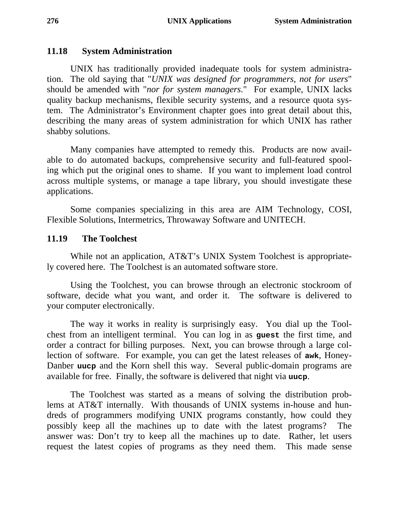#### **11.18 System Administration**

UNIX has traditionally provided inadequate tools for system administration. The old saying that "*UNIX was designed for programmers, not for users*" should be amended with "*nor for system managers*." For example, UNIX lacks quality backup mechanisms, flexible security systems, and a resource quota system. The Administrator's Environment chapter goes into great detail about this, describing the many areas of system administration for which UNIX has rather shabby solutions.

Many companies have attempted to remedy this. Products are now available to do automated backups, comprehensive security and full-featured spooling which put the original ones to shame. If you want to implement load control across multiple systems, or manage a tape library, you should investigate these applications.

Some companies specializing in this area are AIM Technology, COSI, Flexible Solutions, Intermetrics, Throwaway Software and UNITECH.

# **11.19 The Toolchest**

While not an application, AT&T's UNIX System Toolchest is appropriately covered here. The Toolchest is an automated software store.

Using the Toolchest, you can browse through an electronic stockroom of software, decide what you want, and order it. The software is delivered to your computer electronically.

The way it works in reality is surprisingly easy. You dial up the Toolchest from an intelligent terminal. You can log in as **guest** the first time, and order a contract for billing purposes. Next, you can browse through a large collection of software. For example, you can get the latest releases of **awk**, Honey-Danber **uucp** and the Korn shell this way. Several public-domain programs are available for free. Finally, the software is delivered that night via **uucp**.

The Toolchest was started as a means of solving the distribution problems at AT&T internally. With thousands of UNIX systems in-house and hundreds of programmers modifying UNIX programs constantly, how could they possibly keep all the machines up to date with the latest programs? The answer was: Don't try to keep all the machines up to date. Rather, let users request the latest copies of programs as they need them. This made sense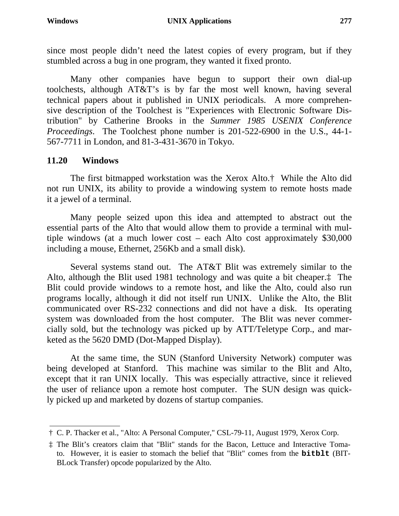since most people didn't need the latest copies of every program, but if they stumbled across a bug in one program, they wanted it fixed pronto.

Many other companies have begun to support their own dial-up toolchests, although AT&T's is by far the most well known, having several technical papers about it published in UNIX periodicals. A more comprehensive description of the Toolchest is "Experiences with Electronic Software Distribution" by Catherine Brooks in the *Summer 1985 USENIX Conference Proceedings*. The Toolchest phone number is 201-522-6900 in the U.S., 44-1- 567-7711 in London, and 81-3-431-3670 in Tokyo.

#### **11.20 Windows**

The first bitmapped workstation was the Xerox Alto.† While the Alto did not run UNIX, its ability to provide a windowing system to remote hosts made it a jewel of a terminal.

Many people seized upon this idea and attempted to abstract out the essential parts of the Alto that would allow them to provide a terminal with multiple windows (at a much lower cost – each Alto cost approximately \$30,000 including a mouse, Ethernet, 256Kb and a small disk).

Several systems stand out. The AT&T Blit was extremely similar to the Alto, although the Blit used 1981 technology and was quite a bit cheaper.‡ The Blit could provide windows to a remote host, and like the Alto, could also run programs locally, although it did not itself run UNIX. Unlike the Alto, the Blit communicated over RS-232 connections and did not have a disk. Its operating system was downloaded from the host computer. The Blit was never commercially sold, but the technology was picked up by ATT/Teletype Corp., and marketed as the 5620 DMD (Dot-Mapped Display).

At the same time, the SUN (Stanford University Network) computer was being developed at Stanford. This machine was similar to the Blit and Alto, except that it ran UNIX locally. This was especially attractive, since it relieved the user of reliance upon a remote host computer. The SUN design was quickly picked up and marketed by dozens of startup companies.

<sup>†</sup> C. P. Thacker et al., "Alto: A Personal Computer," CSL-79-11, August 1979, Xerox Corp.

The Blit's creators claim that "Blit" stands for the Bacon, Lettuce and Interactive Toma-‡to. However, it is easier to stomach the belief that "Blit" comes from the **bitblt** (BIT-BLock Transfer) opcode popularized by the Alto.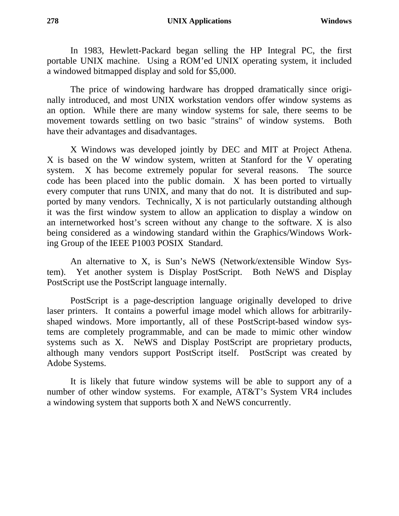#### **278 UNIX Applications Windows**

In 1983, Hewlett-Packard began selling the HP Integral PC, the first portable UNIX machine. Using a ROM'ed UNIX operating system, it included a windowed bitmapped display and sold for \$5,000.

The price of windowing hardware has dropped dramatically since originally introduced, and most UNIX workstation vendors offer window systems as an option. While there are many window systems for sale, there seems to be movement towards settling on two basic "strains" of window systems. Both have their advantages and disadvantages.

X Windows was developed jointly by DEC and MIT at Project Athena. X is based on the W window system, written at Stanford for the V operating system. X has become extremely popular for several reasons. The source code has been placed into the public domain. X has been ported to virtually every computer that runs UNIX, and many that do not. It is distributed and supported by many vendors. Technically, X is not particularly outstanding although it was the first window system to allow an application to display a window on an internetworked host's screen without any change to the software. X is also being considered as a windowing standard within the Graphics/Windows Working Group of the IEEE P1003 POSIX Standard.

An alternative to X, is Sun's NeWS (Network/extensible Window System). Yet another system is Display PostScript. Both NeWS and Display PostScript use the PostScript language internally.

PostScript is a page-description language originally developed to drive laser printers. It contains a powerful image model which allows for arbitrarilyshaped windows. More importantly, all of these PostScript-based window systems are completely programmable, and can be made to mimic other window systems such as X. NeWS and Display PostScript are proprietary products, although many vendors support PostScript itself. PostScript was created by Adobe Systems.

It is likely that future window systems will be able to support any of a number of other window systems. For example, AT&T's System VR4 includes a windowing system that supports both X and NeWS concurrently.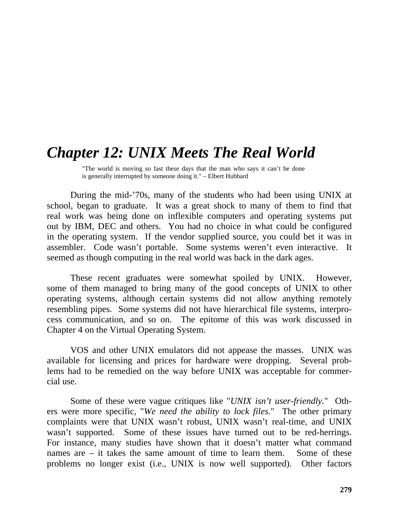# *Chapter 12: UNIX Meets The Real World*

"The world is moving so fast these days that the man who says it can't be done is generally interrupted by someone doing it." – Elbert Hubbard

During the mid-'70s, many of the students who had been using UNIX at school, began to graduate. It was a great shock to many of them to find that real work was being done on inflexible computers and operating systems put out by IBM, DEC and others. You had no choice in what could be configured in the operating system. If the vendor supplied source, you could bet it was in assembler. Code wasn't portable. Some systems weren't even interactive. It seemed as though computing in the real world was back in the dark ages.

These recent graduates were somewhat spoiled by UNIX. However, some of them managed to bring many of the good concepts of UNIX to other operating systems, although certain systems did not allow anything remotely resembling pipes. Some systems did not have hierarchical file systems, interprocess communication, and so on. The epitome of this was work discussed in Chapter 4 on the Virtual Operating System.

VOS and other UNIX emulators did not appease the masses. UNIX was available for licensing and prices for hardware were dropping. Several problems had to be remedied on the way before UNIX was acceptable for commercial use.

Some of these were vague critiques like "*UNIX isn't user-friendly.*" Others were more specific, "*We need the ability to lock files.*" The other primary complaints were that UNIX wasn't robust, UNIX wasn't real-time, and UNIX wasn't supported. Some of these issues have turned out to be red-herrings. For instance, many studies have shown that it doesn't matter what command names are – it takes the same amount of time to learn them. Some of these problems no longer exist (i.e., UNIX is now well supported). Other factors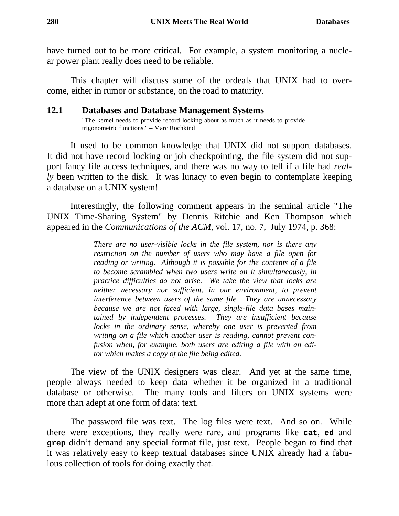have turned out to be more critical. For example, a system monitoring a nuclear power plant really does need to be reliable.

This chapter will discuss some of the ordeals that UNIX had to overcome, either in rumor or substance, on the road to maturity.

#### **12.1 Databases and Database Management Systems**

"The kernel needs to provide record locking about as much as it needs to provide trigonometric functions." – Marc Rochkind

It used to be common knowledge that UNIX did not support databases. It did not have record locking or job checkpointing, the file system did not support fancy file access techniques, and there was no way to tell if a file had *really* been written to the disk. It was lunacy to even begin to contemplate keeping a database on a UNIX system!

Interestingly, the following comment appears in the seminal article "The UNIX Time-Sharing System" by Dennis Ritchie and Ken Thompson which appeared in the *Communications of the ACM*, vol. 17, no. 7, July 1974, p. 368:

> *There are no user-visible locks in the file system, nor is there any restriction on the number of users who may have a file open for reading or writing. Although it is possible for the contents of a file to become scrambled when two users write on it simultaneously, in practice difficulties do not arise. We take the view that locks are neither necessary nor sufficient, in our environment, to prevent interference between users of the same file. They are unnecessary because we are not faced with large, single-file data bases maintained by independent processes. They are insufficient because locks in the ordinary sense, whereby one user is prevented from writing on a file which another user is reading, cannot prevent confusion when, for example, both users are editing a file with an editor which makes a copy of the file being edited.*

The view of the UNIX designers was clear. And yet at the same time, people always needed to keep data whether it be organized in a traditional database or otherwise. The many tools and filters on UNIX systems were more than adept at one form of data: text.

The password file was text. The log files were text. And so on. While there were exceptions, they really were rare, and programs like **cat**, **ed** and **grep** didn't demand any special format file, just text. People began to find that it was relatively easy to keep textual databases since UNIX already had a fabulous collection of tools for doing exactly that.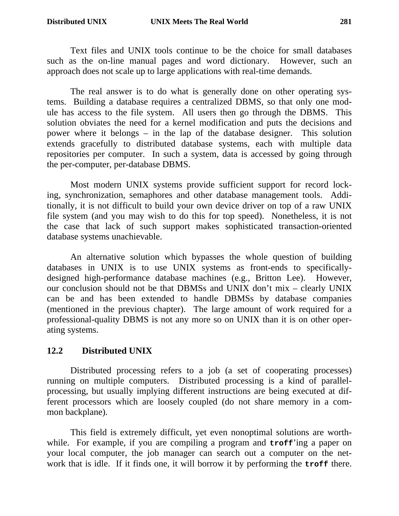Text files and UNIX tools continue to be the choice for small databases such as the on-line manual pages and word dictionary. However, such an approach does not scale up to large applications with real-time demands.

The real answer is to do what is generally done on other operating systems. Building a database requires a centralized DBMS, so that only one module has access to the file system. All users then go through the DBMS. This solution obviates the need for a kernel modification and puts the decisions and power where it belongs – in the lap of the database designer. This solution extends gracefully to distributed database systems, each with multiple data repositories per computer. In such a system, data is accessed by going through the per-computer, per-database DBMS.

Most modern UNIX systems provide sufficient support for record locking, synchronization, semaphores and other database management tools. Additionally, it is not difficult to build your own device driver on top of a raw UNIX file system (and you may wish to do this for top speed). Nonetheless, it is not the case that lack of such support makes sophisticated transaction-oriented database systems unachievable.

An alternative solution which bypasses the whole question of building databases in UNIX is to use UNIX systems as front-ends to specificallydesigned high-performance database machines (e.g., Britton Lee). However, our conclusion should not be that DBMSs and UNIX don't mix – clearly UNIX can be and has been extended to handle DBMSs by database companies (mentioned in the previous chapter). The large amount of work required for a professional-quality DBMS is not any more so on UNIX than it is on other operating systems.

# **12.2 Distributed UNIX**

Distributed processing refers to a job (a set of cooperating processes) running on multiple computers. Distributed processing is a kind of parallelprocessing, but usually implying different instructions are being executed at different processors which are loosely coupled (do not share memory in a common backplane).

This field is extremely difficult, yet even nonoptimal solutions are worthwhile. For example, if you are compiling a program and **troff**'ing a paper on your local computer, the job manager can search out a computer on the network that is idle. If it finds one, it will borrow it by performing the **troff** there.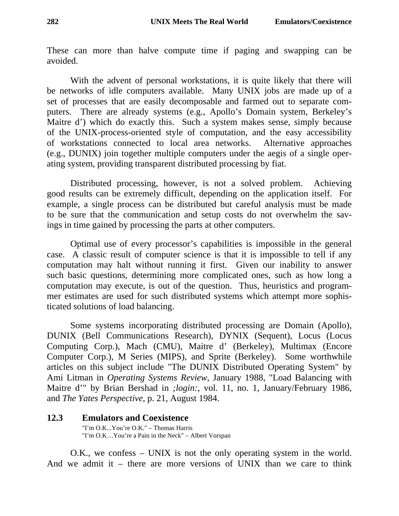These can more than halve compute time if paging and swapping can be avoided.

With the advent of personal workstations, it is quite likely that there will be networks of idle computers available. Many UNIX jobs are made up of a set of processes that are easily decomposable and farmed out to separate computers. There are already systems (e.g., Apollo's Domain system, Berkeley's Maitre d') which do exactly this. Such a system makes sense, simply because of the UNIX-process-oriented style of computation, and the easy accessibility of workstations connected to local area networks. Alternative approaches (e.g., DUNIX) join together multiple computers under the aegis of a single operating system, providing transparent distributed processing by fiat.

Distributed processing, however, is not a solved problem. Achieving good results can be extremely difficult, depending on the application itself. For example, a single process can be distributed but careful analysis must be made to be sure that the communication and setup costs do not overwhelm the savings in time gained by processing the parts at other computers.

Optimal use of every processor's capabilities is impossible in the general case. A classic result of computer science is that it is impossible to tell if any computation may halt without running it first. Given our inability to answer such basic questions, determining more complicated ones, such as how long a computation may execute, is out of the question. Thus, heuristics and programmer estimates are used for such distributed systems which attempt more sophisticated solutions of load balancing.

Some systems incorporating distributed processing are Domain (Apollo), DUNIX (Bell Communications Research), DYNIX (Sequent), Locus (Locus Computing Corp.), Mach (CMU), Maitre d' (Berkeley), Multimax (Encore Computer Corp.), M Series (MIPS), and Sprite (Berkeley). Some worthwhile articles on this subject include "The DUNIX Distributed Operating System" by Ami Litman in *Operating Systems Review*, January 1988, "Load Balancing with Maitre d'" by Brian Bershad in *;login:*, vol. 11, no. 1, January/February 1986, and *The Yates Perspective*, p. 21, August 1984.

#### **12.3 Emulators and Coexistence**

"I'm O.K...You're O.K." – Thomas Harris "I'm O.K…You're a Pain in the Neck" – Albert Vorspan

O.K., we confess – UNIX is not the only operating system in the world. And we admit it – there are more versions of UNIX than we care to think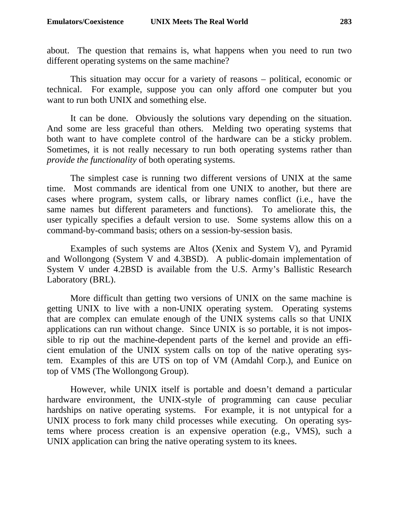about. The question that remains is, what happens when you need to run two different operating systems on the same machine?

This situation may occur for a variety of reasons – political, economic or technical. For example, suppose you can only afford one computer but you want to run both UNIX and something else.

It can be done. Obviously the solutions vary depending on the situation. And some are less graceful than others. Melding two operating systems that both want to have complete control of the hardware can be a sticky problem. Sometimes, it is not really necessary to run both operating systems rather than *provide the functionality* of both operating systems.

The simplest case is running two different versions of UNIX at the same time. Most commands are identical from one UNIX to another, but there are cases where program, system calls, or library names conflict (i.e., have the same names but different parameters and functions). To ameliorate this, the user typically specifies a default version to use. Some systems allow this on a command-by-command basis; others on a session-by-session basis.

Examples of such systems are Altos (Xenix and System V), and Pyramid and Wollongong (System V and 4.3BSD). A public-domain implementation of System V under 4.2BSD is available from the U.S. Army's Ballistic Research Laboratory (BRL).

More difficult than getting two versions of UNIX on the same machine is getting UNIX to live with a non-UNIX operating system. Operating systems that are complex can emulate enough of the UNIX systems calls so that UNIX applications can run without change. Since UNIX is so portable, it is not impossible to rip out the machine-dependent parts of the kernel and provide an efficient emulation of the UNIX system calls on top of the native operating system. Examples of this are UTS on top of VM (Amdahl Corp.), and Eunice on top of VMS (The Wollongong Group).

However, while UNIX itself is portable and doesn't demand a particular hardware environment, the UNIX-style of programming can cause peculiar hardships on native operating systems. For example, it is not untypical for a UNIX process to fork many child processes while executing. On operating systems where process creation is an expensive operation (e.g., VMS), such a UNIX application can bring the native operating system to its knees.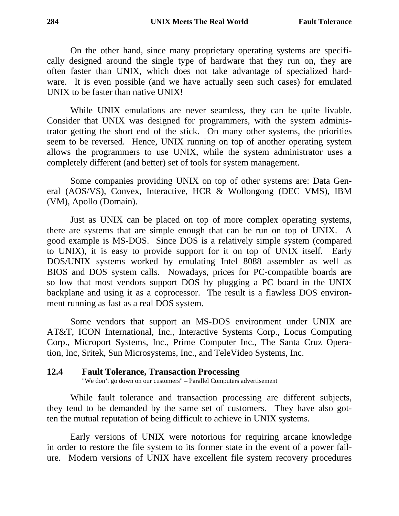On the other hand, since many proprietary operating systems are specifically designed around the single type of hardware that they run on, they are often faster than UNIX, which does not take advantage of specialized hardware. It is even possible (and we have actually seen such cases) for emulated UNIX to be faster than native UNIX!

While UNIX emulations are never seamless, they can be quite livable. Consider that UNIX was designed for programmers, with the system administrator getting the short end of the stick. On many other systems, the priorities seem to be reversed. Hence, UNIX running on top of another operating system allows the programmers to use UNIX, while the system administrator uses a completely different (and better) set of tools for system management.

Some companies providing UNIX on top of other systems are: Data General (AOS/VS), Convex, Interactive, HCR & Wollongong (DEC VMS), IBM (VM), Apollo (Domain).

Just as UNIX can be placed on top of more complex operating systems, there are systems that are simple enough that can be run on top of UNIX. A good example is MS-DOS. Since DOS is a relatively simple system (compared to UNIX), it is easy to provide support for it on top of UNIX itself. Early DOS/UNIX systems worked by emulating Intel 8088 assembler as well as BIOS and DOS system calls. Nowadays, prices for PC-compatible boards are so low that most vendors support DOS by plugging a PC board in the UNIX backplane and using it as a coprocessor. The result is a flawless DOS environment running as fast as a real DOS system.

Some vendors that support an MS-DOS environment under UNIX are AT&T, ICON International, Inc., Interactive Systems Corp., Locus Computing Corp., Microport Systems, Inc., Prime Computer Inc., The Santa Cruz Operation, Inc, Sritek, Sun Microsystems, Inc., and TeleVideo Systems, Inc.

#### **12.4 Fault Tolerance, Transaction Processing**

"We don't go down on our customers" – Parallel Computers advertisement

While fault tolerance and transaction processing are different subjects, they tend to be demanded by the same set of customers. They have also gotten the mutual reputation of being difficult to achieve in UNIX systems.

Early versions of UNIX were notorious for requiring arcane knowledge in order to restore the file system to its former state in the event of a power failure. Modern versions of UNIX have excellent file system recovery procedures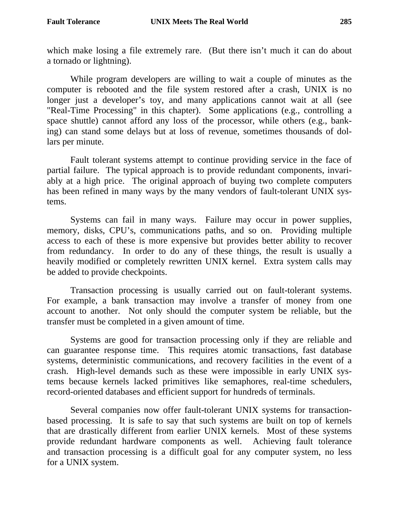which make losing a file extremely rare. (But there isn't much it can do about a tornado or lightning).

While program developers are willing to wait a couple of minutes as the computer is rebooted and the file system restored after a crash, UNIX is no longer just a developer's toy, and many applications cannot wait at all (see "Real-Time Processing" in this chapter). Some applications (e.g., controlling a space shuttle) cannot afford any loss of the processor, while others (e.g., banking) can stand some delays but at loss of revenue, sometimes thousands of dollars per minute.

Fault tolerant systems attempt to continue providing service in the face of partial failure. The typical approach is to provide redundant components, invariably at a high price. The original approach of buying two complete computers has been refined in many ways by the many vendors of fault-tolerant UNIX systems.

Systems can fail in many ways. Failure may occur in power supplies, memory, disks, CPU's, communications paths, and so on. Providing multiple access to each of these is more expensive but provides better ability to recover from redundancy. In order to do any of these things, the result is usually a heavily modified or completely rewritten UNIX kernel. Extra system calls may be added to provide checkpoints.

Transaction processing is usually carried out on fault-tolerant systems. For example, a bank transaction may involve a transfer of money from one account to another. Not only should the computer system be reliable, but the transfer must be completed in a given amount of time.

Systems are good for transaction processing only if they are reliable and can guarantee response time. This requires atomic transactions, fast database systems, deterministic communications, and recovery facilities in the event of a crash. High-level demands such as these were impossible in early UNIX systems because kernels lacked primitives like semaphores, real-time schedulers, record-oriented databases and efficient support for hundreds of terminals.

Several companies now offer fault-tolerant UNIX systems for transactionbased processing. It is safe to say that such systems are built on top of kernels that are drastically different from earlier UNIX kernels. Most of these systems provide redundant hardware components as well. Achieving fault tolerance and transaction processing is a difficult goal for any computer system, no less for a UNIX system.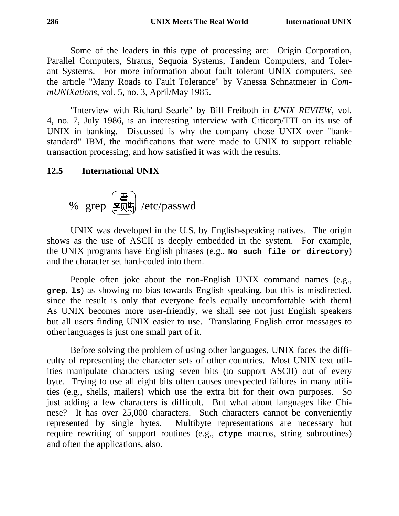Some of the leaders in this type of processing are: Origin Corporation, Parallel Computers, Stratus, Sequoia Systems, Tandem Computers, and Tolerant Systems. For more information about fault tolerant UNIX computers, see the article "Many Roads to Fault Tolerance" by Vanessa Schnatmeier in *CommUNIXations*, vol. 5, no. 3, April/May 1985.

"Interview with Richard Searle" by Bill Freiboth in *UNIX REVIEW*, vol. 4, no. 7, July 1986, is an interesting interview with Citicorp/TTI on its use of UNIX in banking. Discussed is why the company chose UNIX over "bankstandard" IBM, the modifications that were made to UNIX to support reliable transaction processing, and how satisfied it was with the results.

#### **12.5 International UNIX**



UNIX was developed in the U.S. by English-speaking natives. The origin shows as the use of ASCII is deeply embedded in the system. For example, the UNIX programs have English phrases (e.g., **No such file or directory**) and the character set hard-coded into them.

People often joke about the non-English UNIX command names (e.g., **grep**, **ls**) as showing no bias towards English speaking, but this is misdirected, since the result is only that everyone feels equally uncomfortable with them! As UNIX becomes more user-friendly, we shall see not just English speakers but all users finding UNIX easier to use. Translating English error messages to other languages is just one small part of it.

Before solving the problem of using other languages, UNIX faces the difficulty of representing the character sets of other countries. Most UNIX text utilities manipulate characters using seven bits (to support ASCII) out of every byte. Trying to use all eight bits often causes unexpected failures in many utilities (e.g., shells, mailers) which use the extra bit for their own purposes. So just adding a few characters is difficult. But what about languages like Chinese? It has over 25,000 characters. Such characters cannot be conveniently represented by single bytes. Multibyte representations are necessary but require rewriting of support routines (e.g., **ctype** macros, string subroutines) and often the applications, also.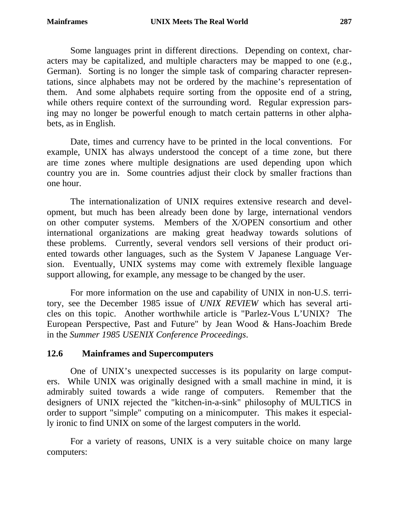Some languages print in different directions. Depending on context, characters may be capitalized, and multiple characters may be mapped to one (e.g., German). Sorting is no longer the simple task of comparing character representations, since alphabets may not be ordered by the machine's representation of them. And some alphabets require sorting from the opposite end of a string, while others require context of the surrounding word. Regular expression parsing may no longer be powerful enough to match certain patterns in other alphabets, as in English.

Date, times and currency have to be printed in the local conventions. For example, UNIX has always understood the concept of a time zone, but there are time zones where multiple designations are used depending upon which country you are in. Some countries adjust their clock by smaller fractions than one hour.

The internationalization of UNIX requires extensive research and development, but much has been already been done by large, international vendors on other computer systems. Members of the X/OPEN consortium and other international organizations are making great headway towards solutions of these problems. Currently, several vendors sell versions of their product oriented towards other languages, such as the System V Japanese Language Version. Eventually, UNIX systems may come with extremely flexible language support allowing, for example, any message to be changed by the user.

For more information on the use and capability of UNIX in non-U.S. territory, see the December 1985 issue of *UNIX REVIEW* which has several articles on this topic. Another worthwhile article is "Parlez-Vous L'UNIX? The European Perspective, Past and Future" by Jean Wood & Hans-Joachim Brede in the *Summer 1985 USENIX Conference Proceedings*.

#### **12.6 Mainframes and Supercomputers**

One of UNIX's unexpected successes is its popularity on large computers. While UNIX was originally designed with a small machine in mind, it is admirably suited towards a wide range of computers. Remember that the designers of UNIX rejected the "kitchen-in-a-sink" philosophy of MULTICS in order to support "simple" computing on a minicomputer. This makes it especially ironic to find UNIX on some of the largest computers in the world.

For a variety of reasons, UNIX is a very suitable choice on many large computers: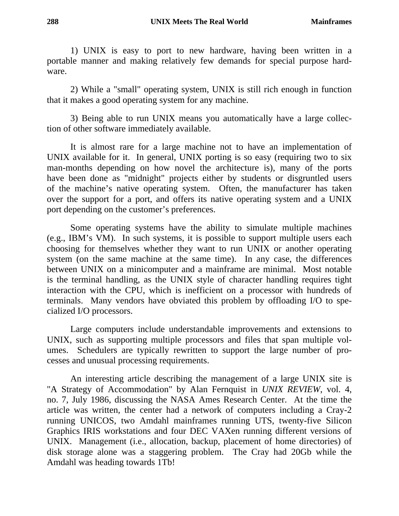1) UNIX is easy to port to new hardware, having been written in a portable manner and making relatively few demands for special purpose hardware.

2) While a "small" operating system, UNIX is still rich enough in function that it makes a good operating system for any machine.

3) Being able to run UNIX means you automatically have a large collection of other software immediately available.

It is almost rare for a large machine not to have an implementation of UNIX available for it. In general, UNIX porting is so easy (requiring two to six man-months depending on how novel the architecture is), many of the ports have been done as "midnight" projects either by students or disgruntled users of the machine's native operating system. Often, the manufacturer has taken over the support for a port, and offers its native operating system and a UNIX port depending on the customer's preferences.

Some operating systems have the ability to simulate multiple machines (e.g., IBM's VM). In such systems, it is possible to support multiple users each choosing for themselves whether they want to run UNIX or another operating system (on the same machine at the same time). In any case, the differences between UNIX on a minicomputer and a mainframe are minimal. Most notable is the terminal handling, as the UNIX style of character handling requires tight interaction with the CPU, which is inefficient on a processor with hundreds of terminals. Many vendors have obviated this problem by offloading I/O to specialized I/O processors.

Large computers include understandable improvements and extensions to UNIX, such as supporting multiple processors and files that span multiple volumes. Schedulers are typically rewritten to support the large number of processes and unusual processing requirements.

An interesting article describing the management of a large UNIX site is "A Strategy of Accommodation" by Alan Fernquist in *UNIX REVIEW*, vol. 4, no. 7, July 1986, discussing the NASA Ames Research Center. At the time the article was written, the center had a network of computers including a Cray-2 running UNICOS, two Amdahl mainframes running UTS, twenty-five Silicon Graphics IRIS workstations and four DEC VAXen running different versions of UNIX. Management (i.e., allocation, backup, placement of home directories) of disk storage alone was a staggering problem. The Cray had 20Gb while the Amdahl was heading towards 1Tb!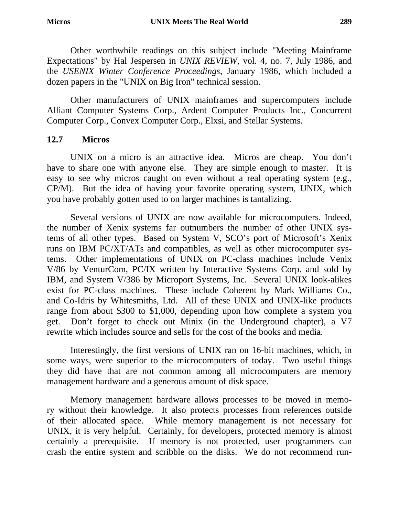Other worthwhile readings on this subject include "Meeting Mainframe Expectations" by Hal Jespersen in *UNIX REVIEW*, vol. 4, no. 7, July 1986, and the *USENIX Winter Conference Proceedings*, January 1986, which included a dozen papers in the "UNIX on Big Iron" technical session.

Other manufacturers of UNIX mainframes and supercomputers include Alliant Computer Systems Corp., Ardent Computer Products Inc., Concurrent Computer Corp., Convex Computer Corp., Elxsi, and Stellar Systems.

# **12.7 Micros**

UNIX on a micro is an attractive idea. Micros are cheap. You don't have to share one with anyone else. They are simple enough to master. It is easy to see why micros caught on even without a real operating system (e.g., CP/M). But the idea of having your favorite operating system, UNIX, which you have probably gotten used to on larger machines is tantalizing.

Several versions of UNIX are now available for microcomputers. Indeed, the number of Xenix systems far outnumbers the number of other UNIX systems of all other types. Based on System V, SCO's port of Microsoft's Xenix runs on IBM PC/XT/ATs and compatibles, as well as other microcomputer systems. Other implementations of UNIX on PC-class machines include Venix V/86 by VenturCom, PC/IX written by Interactive Systems Corp. and sold by IBM, and System V/386 by Microport Systems, Inc. Several UNIX look-alikes exist for PC-class machines. These include Coherent by Mark Williams Co., and Co-Idris by Whitesmiths, Ltd. All of these UNIX and UNIX-like products range from about \$300 to \$1,000, depending upon how complete a system you get. Don't forget to check out Minix (in the Underground chapter), a V7 rewrite which includes source and sells for the cost of the books and media.

Interestingly, the first versions of UNIX ran on 16-bit machines, which, in some ways, were superior to the microcomputers of today. Two useful things they did have that are not common among all microcomputers are memory management hardware and a generous amount of disk space.

Memory management hardware allows processes to be moved in memory without their knowledge. It also protects processes from references outside of their allocated space. While memory management is not necessary for UNIX, it is very helpful. Certainly, for developers, protected memory is almost certainly a prerequisite. If memory is not protected, user programmers can crash the entire system and scribble on the disks. We do not recommend run-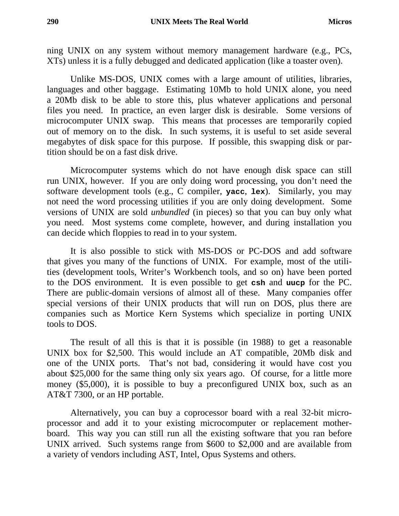ning UNIX on any system without memory management hardware (e.g., PCs, XTs) unless it is a fully debugged and dedicated application (like a toaster oven).

Unlike MS-DOS, UNIX comes with a large amount of utilities, libraries, languages and other baggage. Estimating 10Mb to hold UNIX alone, you need a 20Mb disk to be able to store this, plus whatever applications and personal files you need. In practice, an even larger disk is desirable. Some versions of microcomputer UNIX swap. This means that processes are temporarily copied out of memory on to the disk. In such systems, it is useful to set aside several megabytes of disk space for this purpose. If possible, this swapping disk or partition should be on a fast disk drive.

Microcomputer systems which do not have enough disk space can still run UNIX, however. If you are only doing word processing, you don't need the software development tools (e.g., C compiler, **yacc**, **lex**). Similarly, you may not need the word processing utilities if you are only doing development. Some versions of UNIX are sold *unbundled* (in pieces) so that you can buy only what you need. Most systems come complete, however, and during installation you can decide which floppies to read in to your system.

It is also possible to stick with MS-DOS or PC-DOS and add software that gives you many of the functions of UNIX. For example, most of the utilities (development tools, Writer's Workbench tools, and so on) have been ported to the DOS environment. It is even possible to get **csh** and **uucp** for the PC. There are public-domain versions of almost all of these. Many companies offer special versions of their UNIX products that will run on DOS, plus there are companies such as Mortice Kern Systems which specialize in porting UNIX tools to DOS.

The result of all this is that it is possible (in 1988) to get a reasonable UNIX box for \$2,500. This would include an AT compatible, 20Mb disk and one of the UNIX ports. That's not bad, considering it would have cost you about \$25,000 for the same thing only six years ago. Of course, for a little more money (\$5,000), it is possible to buy a preconfigured UNIX box, such as an AT&T 7300, or an HP portable.

Alternatively, you can buy a coprocessor board with a real 32-bit microprocessor and add it to your existing microcomputer or replacement motherboard. This way you can still run all the existing software that you ran before UNIX arrived. Such systems range from \$600 to \$2,000 and are available from a variety of vendors including AST, Intel, Opus Systems and others.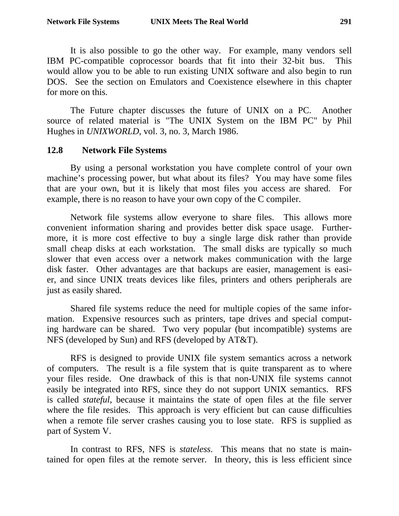The Future chapter discusses the future of UNIX on a PC. Another source of related material is "The UNIX System on the IBM PC" by Phil Hughes in *UNIXWORLD*, vol. 3, no. 3, March 1986.

# **12.8 Network File Systems**

By using a personal workstation you have complete control of your own machine's processing power, but what about its files? You may have some files that are your own, but it is likely that most files you access are shared. For example, there is no reason to have your own copy of the C compiler.

Network file systems allow everyone to share files. This allows more convenient information sharing and provides better disk space usage. Furthermore, it is more cost effective to buy a single large disk rather than provide small cheap disks at each workstation. The small disks are typically so much slower that even access over a network makes communication with the large disk faster. Other advantages are that backups are easier, management is easier, and since UNIX treats devices like files, printers and others peripherals are just as easily shared.

Shared file systems reduce the need for multiple copies of the same information. Expensive resources such as printers, tape drives and special computing hardware can be shared. Two very popular (but incompatible) systems are NFS (developed by Sun) and RFS (developed by AT&T).

RFS is designed to provide UNIX file system semantics across a network of computers. The result is a file system that is quite transparent as to where your files reside. One drawback of this is that non-UNIX file systems cannot easily be integrated into RFS, since they do not support UNIX semantics. RFS is called *stateful*, because it maintains the state of open files at the file server where the file resides. This approach is very efficient but can cause difficulties when a remote file server crashes causing you to lose state. RFS is supplied as part of System V.

In contrast to RFS, NFS is *stateless*. This means that no state is maintained for open files at the remote server. In theory, this is less efficient since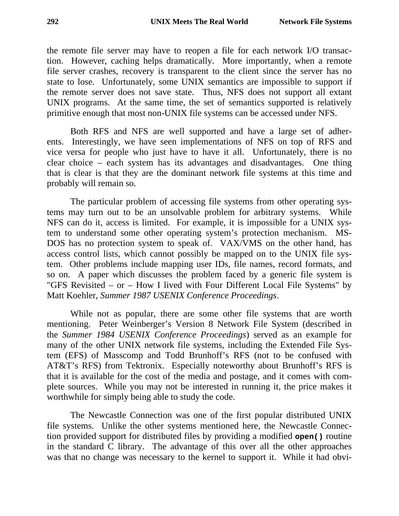the remote file server may have to reopen a file for each network I/O transaction. However, caching helps dramatically. More importantly, when a remote file server crashes, recovery is transparent to the client since the server has no state to lose. Unfortunately, some UNIX semantics are impossible to support if the remote server does not save state. Thus, NFS does not support all extant UNIX programs. At the same time, the set of semantics supported is relatively primitive enough that most non-UNIX file systems can be accessed under NFS.

Both RFS and NFS are well supported and have a large set of adherents. Interestingly, we have seen implementations of NFS on top of RFS and vice versa for people who just have to have it all. Unfortunately, there is no clear choice – each system has its advantages and disadvantages. One thing that is clear is that they are the dominant network file systems at this time and probably will remain so.

The particular problem of accessing file systems from other operating systems may turn out to be an unsolvable problem for arbitrary systems. While NFS can do it, access is limited. For example, it is impossible for a UNIX system to understand some other operating system's protection mechanism. MS-DOS has no protection system to speak of. VAX/VMS on the other hand, has access control lists, which cannot possibly be mapped on to the UNIX file system. Other problems include mapping user IDs, file names, record formats, and so on. A paper which discusses the problem faced by a generic file system is "GFS Revisited – or – How I lived with Four Different Local File Systems" by Matt Koehler, *Summer 1987 USENIX Conference Proceedings*.

While not as popular, there are some other file systems that are worth mentioning. Peter Weinberger's Version 8 Network File System (described in the *Summer 1984 USENIX Conference Proceedings*) served as an example for many of the other UNIX network file systems, including the Extended File System (EFS) of Masscomp and Todd Brunhoff's RFS (not to be confused with AT&T's RFS) from Tektronix. Especially noteworthy about Brunhoff's RFS is that it is available for the cost of the media and postage, and it comes with complete sources. While you may not be interested in running it, the price makes it worthwhile for simply being able to study the code.

The Newcastle Connection was one of the first popular distributed UNIX file systems. Unlike the other systems mentioned here, the Newcastle Connection provided support for distributed files by providing a modified **open()** routine in the standard C library. The advantage of this over all the other approaches was that no change was necessary to the kernel to support it. While it had obvi-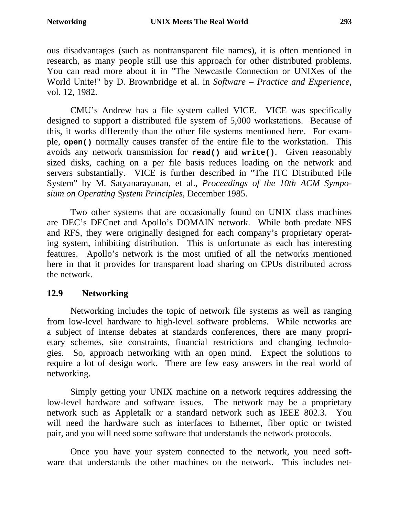ous disadvantages (such as nontransparent file names), it is often mentioned in research, as many people still use this approach for other distributed problems. You can read more about it in "The Newcastle Connection or UNIXes of the World Unite!" by D. Brownbridge et al. in *Software – Practice and Experience*, vol. 12, 1982.

CMU's Andrew has a file system called VICE. VICE was specifically designed to support a distributed file system of 5,000 workstations. Because of this, it works differently than the other file systems mentioned here. For example, **open()** normally causes transfer of the entire file to the workstation. This avoids any network transmission for **read()** and **write()**. Given reasonably sized disks, caching on a per file basis reduces loading on the network and servers substantially. VICE is further described in "The ITC Distributed File System" by M. Satyanarayanan, et al., *Proceedings of the 10th ACM Symposium on Operating System Principles*, December 1985.

Two other systems that are occasionally found on UNIX class machines are DEC's DECnet and Apollo's DOMAIN network. While both predate NFS and RFS, they were originally designed for each company's proprietary operating system, inhibiting distribution. This is unfortunate as each has interesting features. Apollo's network is the most unified of all the networks mentioned here in that it provides for transparent load sharing on CPUs distributed across the network.

#### **12.9 Networking**

Networking includes the topic of network file systems as well as ranging from low-level hardware to high-level software problems. While networks are a subject of intense debates at standards conferences, there are many proprietary schemes, site constraints, financial restrictions and changing technologies. So, approach networking with an open mind. Expect the solutions to require a lot of design work. There are few easy answers in the real world of networking.

Simply getting your UNIX machine on a network requires addressing the low-level hardware and software issues. The network may be a proprietary network such as Appletalk or a standard network such as IEEE 802.3. You will need the hardware such as interfaces to Ethernet, fiber optic or twisted pair, and you will need some software that understands the network protocols.

Once you have your system connected to the network, you need software that understands the other machines on the network. This includes net-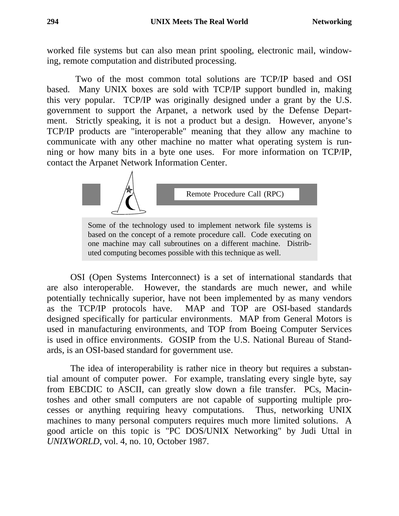worked file systems but can also mean print spooling, electronic mail, windowing, remote computation and distributed processing.

 Two of the most common total solutions are TCP/IP based and OSI based. Many UNIX boxes are sold with TCP/IP support bundled in, making this very popular. TCP/IP was originally designed under a grant by the U.S. government to support the Arpanet, a network used by the Defense Department. Strictly speaking, it is not a product but a design. However, anyone's TCP/IP products are "interoperable" meaning that they allow any machine to communicate with any other machine no matter what operating system is running or how many bits in a byte one uses. For more information on TCP/IP, contact the Arpanet Network Information Center.



Some of the technology used to implement network file systems is based on the concept of a remote procedure call. Code executing on one machine may call subroutines on a different machine. Distributed computing becomes possible with this technique as well.

OSI (Open Systems Interconnect) is a set of international standards that are also interoperable. However, the standards are much newer, and while potentially technically superior, have not been implemented by as many vendors as the TCP/IP protocols have. MAP and TOP are OSI-based standards designed specifically for particular environments. MAP from General Motors is used in manufacturing environments, and TOP from Boeing Computer Services is used in office environments. GOSIP from the U.S. National Bureau of Standards, is an OSI-based standard for government use.

The idea of interoperability is rather nice in theory but requires a substantial amount of computer power. For example, translating every single byte, say from EBCDIC to ASCII, can greatly slow down a file transfer. PCs, Macintoshes and other small computers are not capable of supporting multiple processes or anything requiring heavy computations. Thus, networking UNIX machines to many personal computers requires much more limited solutions. A good article on this topic is "PC DOS/UNIX Networking" by Judi Uttal in *UNIXWORLD*, vol. 4, no. 10, October 1987.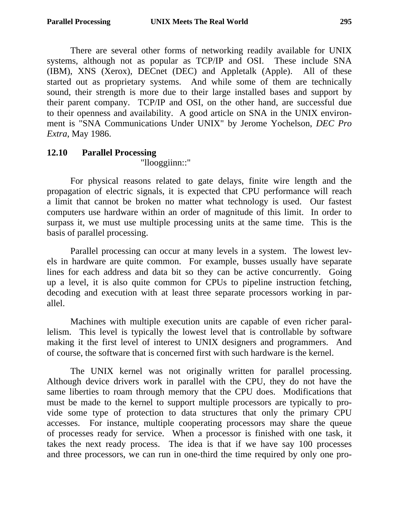There are several other forms of networking readily available for UNIX systems, although not as popular as TCP/IP and OSI. These include SNA (IBM), XNS (Xerox), DECnet (DEC) and Appletalk (Apple). All of these started out as proprietary systems. And while some of them are technically sound, their strength is more due to their large installed bases and support by their parent company. TCP/IP and OSI, on the other hand, are successful due to their openness and availability. A good article on SNA in the UNIX environment is "SNA Communications Under UNIX" by Jerome Yochelson, *DEC Pro Extra*, May 1986.

# **12.10 Parallel Processing**

"llooggiinn::"

For physical reasons related to gate delays, finite wire length and the propagation of electric signals, it is expected that CPU performance will reach a limit that cannot be broken no matter what technology is used. Our fastest computers use hardware within an order of magnitude of this limit. In order to surpass it, we must use multiple processing units at the same time. This is the basis of parallel processing.

Parallel processing can occur at many levels in a system. The lowest levels in hardware are quite common. For example, busses usually have separate lines for each address and data bit so they can be active concurrently. Going up a level, it is also quite common for CPUs to pipeline instruction fetching, decoding and execution with at least three separate processors working in parallel.

Machines with multiple execution units are capable of even richer parallelism. This level is typically the lowest level that is controllable by software making it the first level of interest to UNIX designers and programmers. And of course, the software that is concerned first with such hardware is the kernel.

The UNIX kernel was not originally written for parallel processing. Although device drivers work in parallel with the CPU, they do not have the same liberties to roam through memory that the CPU does. Modifications that must be made to the kernel to support multiple processors are typically to provide some type of protection to data structures that only the primary CPU accesses. For instance, multiple cooperating processors may share the queue of processes ready for service. When a processor is finished with one task, it takes the next ready process. The idea is that if we have say 100 processes and three processors, we can run in one-third the time required by only one pro-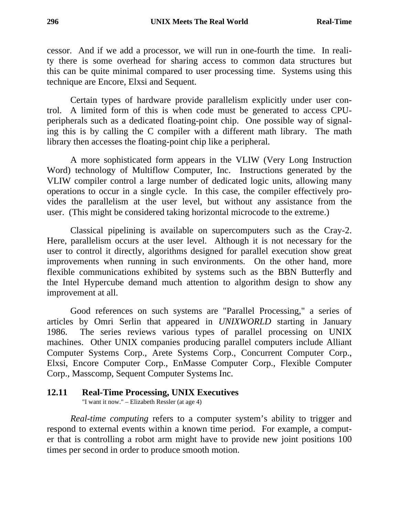cessor. And if we add a processor, we will run in one-fourth the time. In reality there is some overhead for sharing access to common data structures but this can be quite minimal compared to user processing time. Systems using this technique are Encore, Elxsi and Sequent.

Certain types of hardware provide parallelism explicitly under user control. A limited form of this is when code must be generated to access CPUperipherals such as a dedicated floating-point chip. One possible way of signaling this is by calling the C compiler with a different math library. The math library then accesses the floating-point chip like a peripheral.

A more sophisticated form appears in the VLIW (Very Long Instruction Word) technology of Multiflow Computer, Inc. Instructions generated by the VLIW compiler control a large number of dedicated logic units, allowing many operations to occur in a single cycle. In this case, the compiler effectively provides the parallelism at the user level, but without any assistance from the user. (This might be considered taking horizontal microcode to the extreme.)

Classical pipelining is available on supercomputers such as the Cray-2. Here, parallelism occurs at the user level. Although it is not necessary for the user to control it directly, algorithms designed for parallel execution show great improvements when running in such environments. On the other hand, more flexible communications exhibited by systems such as the BBN Butterfly and the Intel Hypercube demand much attention to algorithm design to show any improvement at all.

Good references on such systems are "Parallel Processing," a series of articles by Omri Serlin that appeared in *UNIXWORLD* starting in January 1986. The series reviews various types of parallel processing on UNIX machines. Other UNIX companies producing parallel computers include Alliant Computer Systems Corp., Arete Systems Corp., Concurrent Computer Corp., Elxsi, Encore Computer Corp., EnMasse Computer Corp., Flexible Computer Corp., Masscomp, Sequent Computer Systems Inc.

#### **12.11 Real-Time Processing, UNIX Executives**

"I want it now." – Elizabeth Ressler (at age 4)

*Real-time computing* refers to a computer system's ability to trigger and respond to external events within a known time period. For example, a computer that is controlling a robot arm might have to provide new joint positions 100 times per second in order to produce smooth motion.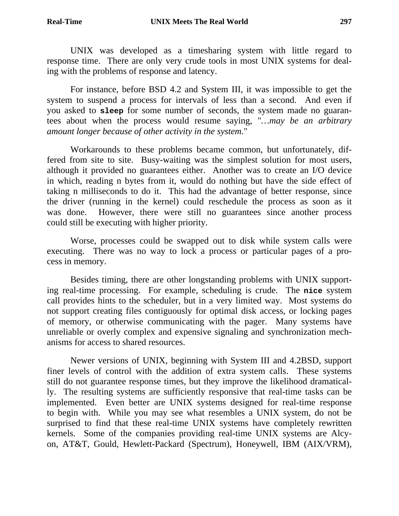UNIX was developed as a timesharing system with little regard to response time. There are only very crude tools in most UNIX systems for dealing with the problems of response and latency.

For instance, before BSD 4.2 and System III, it was impossible to get the system to suspend a process for intervals of less than a second. And even if you asked to **sleep** for some number of seconds, the system made no guarantees about when the process would resume saying, "*…may be an arbitrary amount longer because of other activity in the system*."

Workarounds to these problems became common, but unfortunately, differed from site to site. Busy-waiting was the simplest solution for most users, although it provided no guarantees either. Another was to create an I/O device in which, reading n bytes from it, would do nothing but have the side effect of taking n milliseconds to do it. This had the advantage of better response, since the driver (running in the kernel) could reschedule the process as soon as it was done. However, there were still no guarantees since another process could still be executing with higher priority.

Worse, processes could be swapped out to disk while system calls were executing. There was no way to lock a process or particular pages of a process in memory.

Besides timing, there are other longstanding problems with UNIX supporting real-time processing. For example, scheduling is crude. The **nice** system call provides hints to the scheduler, but in a very limited way. Most systems do not support creating files contiguously for optimal disk access, or locking pages of memory, or otherwise communicating with the pager. Many systems have unreliable or overly complex and expensive signaling and synchronization mechanisms for access to shared resources.

Newer versions of UNIX, beginning with System III and 4.2BSD, support finer levels of control with the addition of extra system calls. These systems still do not guarantee response times, but they improve the likelihood dramatically. The resulting systems are sufficiently responsive that real-time tasks can be implemented. Even better are UNIX systems designed for real-time response to begin with. While you may see what resembles a UNIX system, do not be surprised to find that these real-time UNIX systems have completely rewritten kernels. Some of the companies providing real-time UNIX systems are Alcyon, AT&T, Gould, Hewlett-Packard (Spectrum), Honeywell, IBM (AIX/VRM),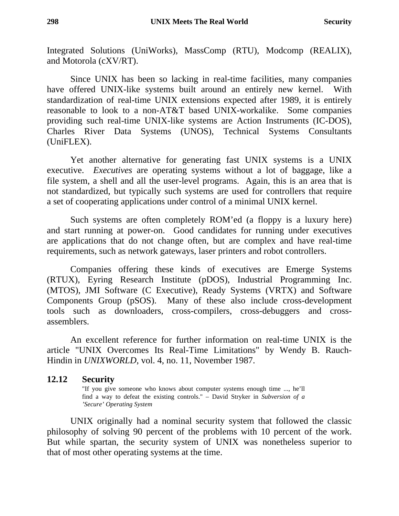Integrated Solutions (UniWorks), MassComp (RTU), Modcomp (REALIX), and Motorola (cXV/RT).

Since UNIX has been so lacking in real-time facilities, many companies have offered UNIX-like systems built around an entirely new kernel. With standardization of real-time UNIX extensions expected after 1989, it is entirely reasonable to look to a non-AT&T based UNIX-workalike. Some companies providing such real-time UNIX-like systems are Action Instruments (IC-DOS), Charles River Data Systems (UNOS), Technical Systems Consultants (UniFLEX).

Yet another alternative for generating fast UNIX systems is a UNIX executive. *Executives* are operating systems without a lot of baggage, like a file system, a shell and all the user-level programs. Again, this is an area that is not standardized, but typically such systems are used for controllers that require a set of cooperating applications under control of a minimal UNIX kernel.

Such systems are often completely ROM'ed (a floppy is a luxury here) and start running at power-on. Good candidates for running under executives are applications that do not change often, but are complex and have real-time requirements, such as network gateways, laser printers and robot controllers.

Companies offering these kinds of executives are Emerge Systems (RTUX), Eyring Research Institute (pDOS), Industrial Programming Inc. (MTOS), JMI Software (C Executive), Ready Systems (VRTX) and Software Components Group (pSOS). Many of these also include cross-development tools such as downloaders, cross-compilers, cross-debuggers and crossassemblers.

An excellent reference for further information on real-time UNIX is the article "UNIX Overcomes Its Real-Time Limitations" by Wendy B. Rauch-Hindin in *UNIXWORLD*, vol. 4, no. 11, November 1987.

#### **12.12 Security**

"If you give someone who knows about computer systems enough time ..., he'll find a way to defeat the existing controls." – David Stryker in *Subversion of a 'Secure' Operating System*

UNIX originally had a nominal security system that followed the classic philosophy of solving 90 percent of the problems with 10 percent of the work. But while spartan, the security system of UNIX was nonetheless superior to that of most other operating systems at the time.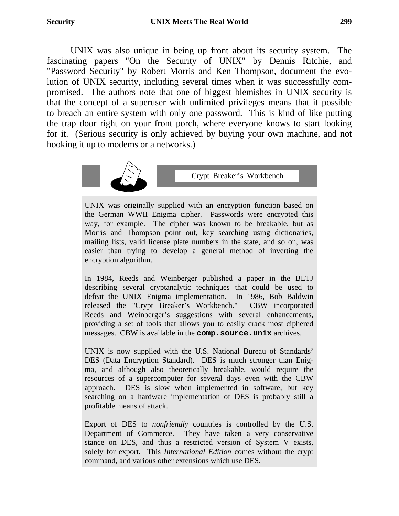UNIX was also unique in being up front about its security system. The fascinating papers "On the Security of UNIX" by Dennis Ritchie, and "Password Security" by Robert Morris and Ken Thompson, document the evolution of UNIX security, including several times when it was successfully compromised. The authors note that one of biggest blemishes in UNIX security is that the concept of a superuser with unlimited privileges means that it possible to breach an entire system with only one password. This is kind of like putting the trap door right on your front porch, where everyone knows to start looking for it. (Serious security is only achieved by buying your own machine, and not hooking it up to modems or a networks.)



Crypt Breaker's Workbench

UNIX was originally supplied with an encryption function based on the German WWII Enigma cipher. Passwords were encrypted this way, for example. The cipher was known to be breakable, but as Morris and Thompson point out, key searching using dictionaries, mailing lists, valid license plate numbers in the state, and so on, was easier than trying to develop a general method of inverting the encryption algorithm.

In 1984, Reeds and Weinberger published a paper in the BLTJ describing several cryptanalytic techniques that could be used to defeat the UNIX Enigma implementation. In 1986, Bob Baldwin released the "Crypt Breaker's Workbench." CBW incorporated Reeds and Weinberger's suggestions with several enhancements, providing a set of tools that allows you to easily crack most ciphered messages. CBW is available in the **comp.source.unix** archives.

UNIX is now supplied with the U.S. National Bureau of Standards' DES (Data Encryption Standard). DES is much stronger than Enigma, and although also theoretically breakable, would require the resources of a supercomputer for several days even with the CBW approach. DES is slow when implemented in software, but key searching on a hardware implementation of DES is probably still a profitable means of attack.

Export of DES to *nonfriendly* countries is controlled by the U.S. Department of Commerce. They have taken a very conservative stance on DES, and thus a restricted version of System V exists, solely for export. This *International Edition* comes without the crypt command, and various other extensions which use DES.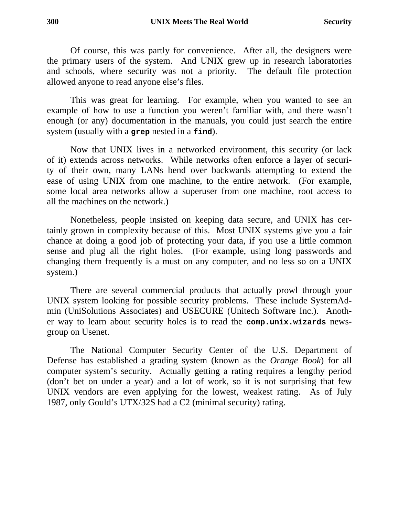Of course, this was partly for convenience. After all, the designers were the primary users of the system. And UNIX grew up in research laboratories and schools, where security was not a priority. The default file protection allowed anyone to read anyone else's files.

This was great for learning. For example, when you wanted to see an example of how to use a function you weren't familiar with, and there wasn't enough (or any) documentation in the manuals, you could just search the entire system (usually with a **grep** nested in a **find**).

Now that UNIX lives in a networked environment, this security (or lack of it) extends across networks. While networks often enforce a layer of security of their own, many LANs bend over backwards attempting to extend the ease of using UNIX from one machine, to the entire network. (For example, some local area networks allow a superuser from one machine, root access to all the machines on the network.)

Nonetheless, people insisted on keeping data secure, and UNIX has certainly grown in complexity because of this. Most UNIX systems give you a fair chance at doing a good job of protecting your data, if you use a little common sense and plug all the right holes. (For example, using long passwords and changing them frequently is a must on any computer, and no less so on a UNIX system.)

There are several commercial products that actually prowl through your UNIX system looking for possible security problems. These include SystemAdmin (UniSolutions Associates) and USECURE (Unitech Software Inc.). Another way to learn about security holes is to read the **comp.unix.wizards** newsgroup on Usenet.

The National Computer Security Center of the U.S. Department of Defense has established a grading system (known as the *Orange Book*) for all computer system's security. Actually getting a rating requires a lengthy period (don't bet on under a year) and a lot of work, so it is not surprising that few UNIX vendors are even applying for the lowest, weakest rating. As of July 1987, only Gould's UTX/32S had a C2 (minimal security) rating.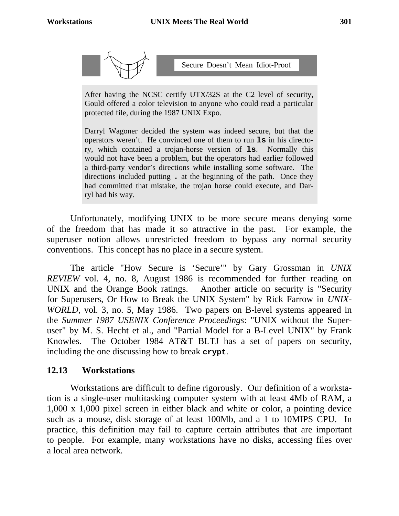

Secure Doesn't Mean Idiot-Proof

After having the NCSC certify UTX/32S at the C2 level of security, Gould offered a color television to anyone who could read a particular protected file, during the 1987 UNIX Expo.

Darryl Wagoner decided the system was indeed secure, but that the operators weren't. He convinced one of them to run **ls** in his directory, which contained a trojan-horse version of **ls**. Normally this would not have been a problem, but the operators had earlier followed a third-party vendor's directions while installing some software. The directions included putting **.** at the beginning of the path. Once they had committed that mistake, the trojan horse could execute, and Darryl had his way.

Unfortunately, modifying UNIX to be more secure means denying some of the freedom that has made it so attractive in the past. For example, the superuser notion allows unrestricted freedom to bypass any normal security conventions. This concept has no place in a secure system.

The article "How Secure is 'Secure'" by Gary Grossman in *UNIX REVIEW* vol. 4, no. 8, August 1986 is recommended for further reading on UNIX and the Orange Book ratings. Another article on security is "Security for Superusers, Or How to Break the UNIX System" by Rick Farrow in *UNIX-WORLD*, vol. 3, no. 5, May 1986. Two papers on B-level systems appeared in the *Summer 1987 USENIX Conference Proceedings*: "UNIX without the Superuser" by M. S. Hecht et al., and "Partial Model for a B-Level UNIX" by Frank Knowles. The October 1984 AT&T BLTJ has a set of papers on security, including the one discussing how to break **crypt**.

#### **12.13 Workstations**

Workstations are difficult to define rigorously. Our definition of a workstation is a single-user multitasking computer system with at least 4Mb of RAM, a 1,000 x 1,000 pixel screen in either black and white or color, a pointing device such as a mouse, disk storage of at least 100Mb, and a 1 to 10MIPS CPU. In practice, this definition may fail to capture certain attributes that are important to people. For example, many workstations have no disks, accessing files over a local area network.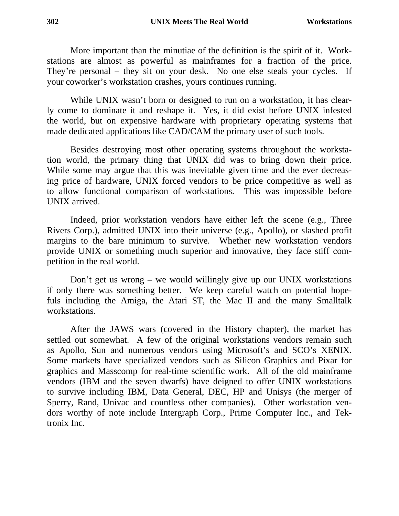More important than the minutiae of the definition is the spirit of it. Workstations are almost as powerful as mainframes for a fraction of the price. They're personal – they sit on your desk. No one else steals your cycles. If your coworker's workstation crashes, yours continues running.

While UNIX wasn't born or designed to run on a workstation, it has clearly come to dominate it and reshape it. Yes, it did exist before UNIX infested the world, but on expensive hardware with proprietary operating systems that made dedicated applications like CAD/CAM the primary user of such tools.

Besides destroying most other operating systems throughout the workstation world, the primary thing that UNIX did was to bring down their price. While some may argue that this was inevitable given time and the ever decreasing price of hardware, UNIX forced vendors to be price competitive as well as to allow functional comparison of workstations. This was impossible before UNIX arrived.

Indeed, prior workstation vendors have either left the scene (e.g., Three Rivers Corp.), admitted UNIX into their universe (e.g., Apollo), or slashed profit margins to the bare minimum to survive. Whether new workstation vendors provide UNIX or something much superior and innovative, they face stiff competition in the real world.

Don't get us wrong – we would willingly give up our UNIX workstations if only there was something better. We keep careful watch on potential hopefuls including the Amiga, the Atari ST, the Mac II and the many Smalltalk workstations.

After the JAWS wars (covered in the History chapter), the market has settled out somewhat. A few of the original workstations vendors remain such as Apollo, Sun and numerous vendors using Microsoft's and SCO's XENIX. Some markets have specialized vendors such as Silicon Graphics and Pixar for graphics and Masscomp for real-time scientific work. All of the old mainframe vendors (IBM and the seven dwarfs) have deigned to offer UNIX workstations to survive including IBM, Data General, DEC, HP and Unisys (the merger of Sperry, Rand, Univac and countless other companies). Other workstation vendors worthy of note include Intergraph Corp., Prime Computer Inc., and Tektronix Inc.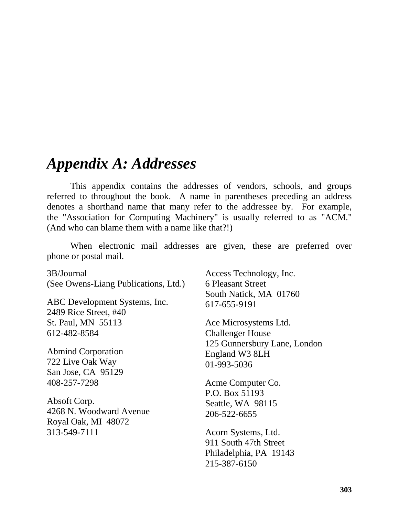# *Appendix A: Addresses*

This appendix contains the addresses of vendors, schools, and groups referred to throughout the book. A name in parentheses preceding an address denotes a shorthand name that many refer to the addressee by. For example, the "Association for Computing Machinery" is usually referred to as "ACM." (And who can blame them with a name like that?!)

When electronic mail addresses are given, these are preferred over phone or postal mail.

3B/Journal (See Owens-Liang Publications, Ltd.) ABC Development Systems, Inc. 2489 Rice Street, #40 St. Paul, MN 55113 612-482-8584 Abmind Corporation 722 Live Oak Way San Jose, CA 95129 408-257-7298 Absoft Corp. 4268 N. Woodward Avenue Royal Oak, MI 48072 313-549-7111 Access Technology, Inc. 6 Pleasant Street South Natick, MA 01760 617-655-9191 Ace Microsystems Ltd. Challenger House England W3 8LH 01-993-5036 Acme Computer Co. P.O. Box 51193 Seattle, WA 98115 206-522-6655 Acorn Systems, Ltd. 911 South 47th Street Philadelphia, PA 19143

125 Gunnersbury Lane, London

215-387-6150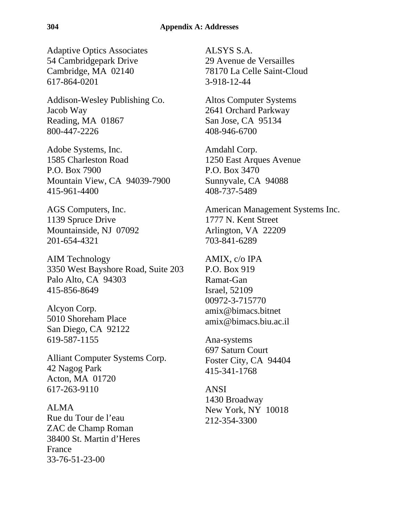Adaptive Optics Associates 54 Cambridgepark Drive Cambridge, MA 02140 617-864-0201

Addison-Wesley Publishing Co. Jacob Way Reading, MA 01867 800-447-2226

Adobe Systems, Inc. 1585 Charleston Road P.O. Box 7900 Mountain View, CA 94039-7900 415-961-4400

AGS Computers, Inc. 1139 Spruce Drive Mountainside, NJ 07092 201-654-4321

AIM Technology 3350 West Bayshore Road, Suite 203 Palo Alto, CA 94303 415-856-8649

Alcyon Corp. 5010 Shoreham Place San Diego, CA 92122 619-587-1155

Alliant Computer Systems Corp. 42 Nagog Park Acton, MA 01720 617-263-9110

ALMA Rue du Tour de l'eau ZAC de Champ Roman 38400 St. Martin d'Heres France 33-76-51-23-00

ALSYS S.A. 29 Avenue de Versailles 78170 La Celle Saint-Cloud 3-918-12-44

Altos Computer Systems 2641 Orchard Parkway San Jose, CA 95134 408-946-6700

Amdahl Corp. 1250 East Arques Avenue P.O. Box 3470 Sunnyvale, CA 94088 408-737-5489

American Management Systems Inc. 1777 N. Kent Street Arlington, VA 22209 703-841-6289

AMIX, c/o IPA P.O. Box 919 Ramat-Gan Israel, 52109 00972-3-715770 amix@bimacs.bitnet amix@bimacs.biu.ac.il

Ana-systems 697 Saturn Court Foster City, CA 94404 415-341-1768

ANSI 1430 Broadway New York, NY 10018 212-354-3300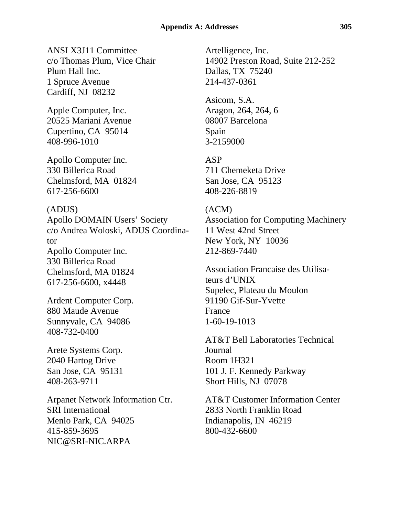ANSI X3J11 Committee c/o Thomas Plum, Vice Chair Plum Hall Inc. 1 Spruce Avenue Cardiff, NJ 08232

Apple Computer, Inc. 20525 Mariani Avenue Cupertino, CA 95014 408-996-1010

Apollo Computer Inc. 330 Billerica Road Chelmsford, MA 01824 617-256-6600

(ADUS) Apollo DOMAIN Users' Society c/o Andrea Woloski, ADUS Coordinator Apollo Computer Inc. 330 Billerica Road Chelmsford, MA 01824 617-256-6600, x4448

Ardent Computer Corp. 880 Maude Avenue Sunnyvale, CA 94086 408-732-0400

Arete Systems Corp. 2040 Hartog Drive San Jose, CA 95131 408-263-9711

Arpanet Network Information Ctr. SRI International Menlo Park, CA 94025 415-859-3695 NIC@SRI-NIC.ARPA

Artelligence, Inc. 14902 Preston Road, Suite 212-252 Dallas, TX 75240 214-437-0361

Asicom, S.A. Aragon, 264, 264, 6 08007 Barcelona Spain 3-2159000

ASP 711 Chemeketa Drive San Jose, CA 95123 408-226-8819

(ACM) Association for Computing Machinery 11 West 42nd Street New York, NY 10036 212-869-7440

Association Francaise des Utilisateurs d'UNIX Supelec, Plateau du Moulon 91190 Gif-Sur-Yvette France 1-60-19-1013

AT&T Bell Laboratories Technical Journal Room 1H321 101 J. F. Kennedy Parkway Short Hills, NJ 07078

AT&T Customer Information Center 2833 North Franklin Road Indianapolis, IN 46219 800-432-6600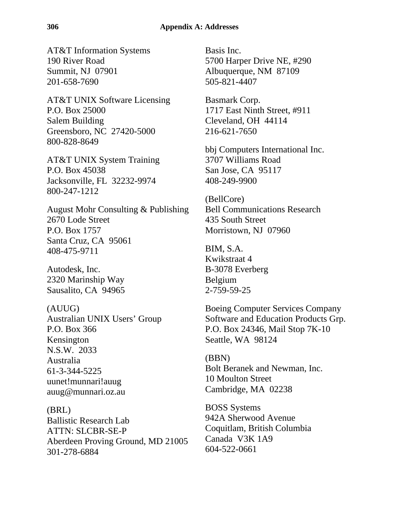AT&T Information Systems 190 River Road Summit, NJ 07901 201-658-7690

AT&T UNIX Software Licensing P.O. Box 25000 Salem Building Greensboro, NC 27420-5000 800-828-8649

AT&T UNIX System Training P.O. Box 45038 Jacksonville, FL 32232-9974 800-247-1212

August Mohr Consulting & Publishing 2670 Lode Street P.O. Box 1757 Santa Cruz, CA 95061 408-475-9711

Autodesk, Inc. 2320 Marinship Way Sausalito, CA 94965

(AUUG) Australian UNIX Users' Group P.O. Box 366 Kensington N.S.W. 2033 Australia 61-3-344-5225 uunet!munnari!auug auug@munnari.oz.au

(BRL) Ballistic Research Lab ATTN: SLCBR-SE-P Aberdeen Proving Ground, MD 21005 301-278-6884

Basis Inc. 5700 Harper Drive NE, #290 Albuquerque, NM 87109 505-821-4407

Basmark Corp. 1717 East Ninth Street, #911 Cleveland, OH 44114 216-621-7650

bbj Computers International Inc. 3707 Williams Road San Jose, CA 95117 408-249-9900

(BellCore) Bell Communications Research 435 South Street Morristown, NJ 07960

BIM, S.A. Kwikstraat 4 B-3078 Everberg Belgium 2-759-59-25

Boeing Computer Services Company Software and Education Products Grp. P.O. Box 24346, Mail Stop 7K-10 Seattle, WA 98124

(BBN) Bolt Beranek and Newman, Inc. 10 Moulton Street Cambridge, MA 02238

BOSS Systems 942A Sherwood Avenue Coquitlam, British Columbia Canada V3K 1A9 604-522-0661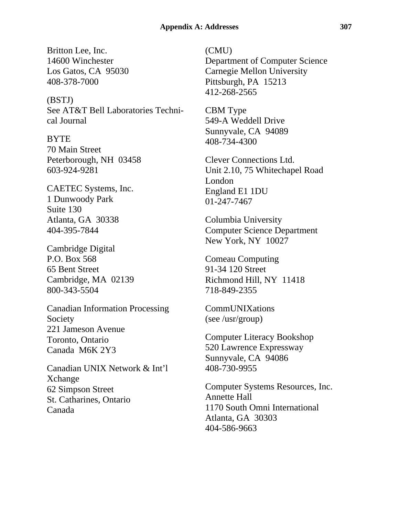Britton Lee, Inc. 14600 Winchester Los Gatos, CA 95030 408-378-7000

(BSTJ) See AT&T Bell Laboratories Technical Journal

**BYTE** 70 Main Street Peterborough, NH 03458 603-924-9281

CAETEC Systems, Inc. 1 Dunwoody Park Suite 130 Atlanta, GA 30338 404-395-7844

Cambridge Digital P.O. Box 568 65 Bent Street Cambridge, MA 02139 800-343-5504

Canadian Information Processing Society 221 Jameson Avenue Toronto, Ontario Canada M6K 2Y3

Canadian UNIX Network & Int'l Xchange 62 Simpson Street St. Catharines, Ontario Canada

(CMU) Department of Computer Science Carnegie Mellon University Pittsburgh, PA 15213 412-268-2565

CBM Type 549-A Weddell Drive Sunnyvale, CA 94089 408-734-4300

Clever Connections Ltd. Unit 2.10, 75 Whitechapel Road London England E1 1DU 01-247-7467

Columbia University Computer Science Department New York, NY 10027

Comeau Computing 91-34 120 Street Richmond Hill, NY 11418 718-849-2355

CommUNIXations (see /usr/group)

Computer Literacy Bookshop 520 Lawrence Expressway Sunnyvale, CA 94086 408-730-9955

Computer Systems Resources, Inc. Annette Hall 1170 South Omni International Atlanta, GA 30303 404-586-9663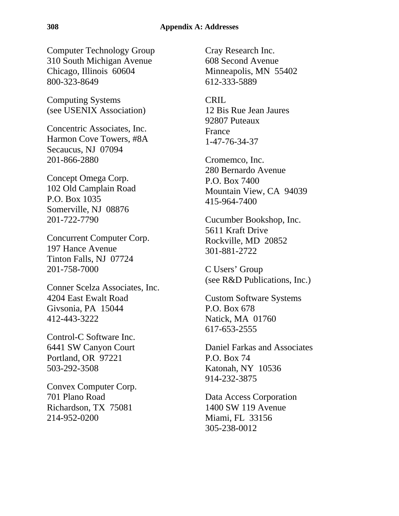Computer Technology Group 310 South Michigan Avenue Chicago, Illinois 60604 800-323-8649

Computing Systems (see USENIX Association)

Concentric Associates, Inc. Harmon Cove Towers, #8A Secaucus, NJ 07094 201-866-2880

Concept Omega Corp. 102 Old Camplain Road P.O. Box 1035 Somerville, NJ 08876 201-722-7790

Concurrent Computer Corp. 197 Hance Avenue Tinton Falls, NJ 07724 201-758-7000

Conner Scelza Associates, Inc. 4204 East Ewalt Road Givsonia, PA 15044 412-443-3222

Control-C Software Inc. 6441 SW Canyon Court Portland, OR 97221 503-292-3508

Convex Computer Corp. 701 Plano Road Richardson, TX 75081 214-952-0200

Cray Research Inc. 608 Second Avenue Minneapolis, MN 55402 612-333-5889

CRIL 12 Bis Rue Jean Jaures 92807 Puteaux France 1-47-76-34-37

Cromemco, Inc. 280 Bernardo Avenue P.O. Box 7400 Mountain View, CA 94039 415-964-7400

Cucumber Bookshop, Inc. 5611 Kraft Drive Rockville, MD 20852 301-881-2722

C Users' Group (see R&D Publications, Inc.)

Custom Software Systems P.O. Box 678 Natick, MA 01760 617-653-2555

Daniel Farkas and Associates P.O. Box 74 Katonah, NY 10536 914-232-3875

Data Access Corporation 1400 SW 119 Avenue Miami, FL 33156 305-238-0012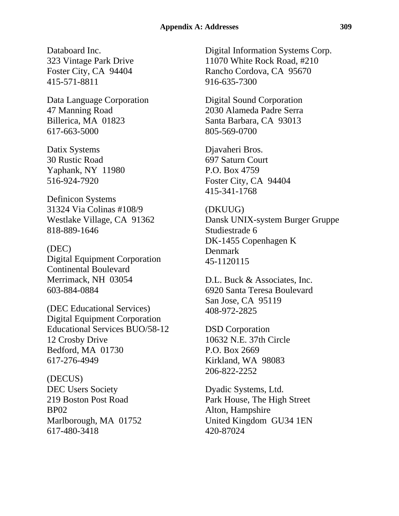Databoard Inc. 323 Vintage Park Drive Foster City, CA 94404 415-571-8811

Data Language Corporation 47 Manning Road Billerica, MA 01823 617-663-5000

Datix Systems 30 Rustic Road Yaphank, NY 11980 516-924-7920

Definicon Systems 31324 Via Colinas #108/9 Westlake Village, CA 91362 818-889-1646

(DEC) Digital Equipment Corporation Continental Boulevard Merrimack, NH 03054 603-884-0884

(DEC Educational Services) Digital Equipment Corporation Educational Services BUO/58-12 12 Crosby Drive Bedford, MA 01730 617-276-4949

(DECUS) DEC Users Society 219 Boston Post Road BP02 Marlborough, MA 01752 617-480-3418

Digital Information Systems Corp. 11070 White Rock Road, #210 Rancho Cordova, CA 95670 916-635-7300

Digital Sound Corporation 2030 Alameda Padre Serra Santa Barbara, CA 93013 805-569-0700

Djavaheri Bros. 697 Saturn Court P.O. Box 4759 Foster City, CA 94404 415-341-1768

(DKUUG) Dansk UNIX-system Burger Gruppe Studiestrade 6 DK-1455 Copenhagen K Denmark 45-1120115

D.L. Buck & Associates, Inc. 6920 Santa Teresa Boulevard San Jose, CA 95119 408-972-2825

DSD Corporation 10632 N.E. 37th Circle P.O. Box 2669 Kirkland, WA 98083 206-822-2252

Dyadic Systems, Ltd. Park House, The High Street Alton, Hampshire United Kingdom GU34 1EN 420-87024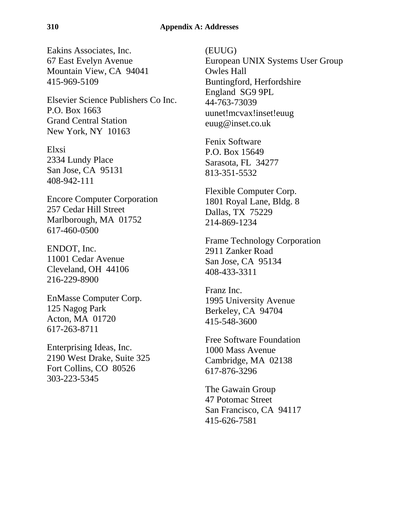Eakins Associates, Inc. 67 East Evelyn Avenue Mountain View, CA 94041 415-969-5109

Elsevier Science Publishers Co Inc. P.O. Box 1663 Grand Central Station New York, NY 10163

Elxsi 2334 Lundy Place San Jose, CA 95131 408-942-111

Encore Computer Corporation 257 Cedar Hill Street Marlborough, MA 01752 617-460-0500

ENDOT, Inc. 11001 Cedar Avenue Cleveland, OH 44106 216-229-8900

EnMasse Computer Corp. 125 Nagog Park Acton, MA 01720 617-263-8711

Enterprising Ideas, Inc. 2190 West Drake, Suite 325 Fort Collins, CO 80526 303-223-5345

(EUUG)

European UNIX Systems User Group Owles Hall Buntingford, Herfordshire England SG9 9PL 44-763-73039 uunet!mcvax!inset!euug euug@inset.co.uk

Fenix Software P.O. Box 15649 Sarasota, FL 34277 813-351-5532

Flexible Computer Corp. 1801 Royal Lane, Bldg. 8 Dallas, TX 75229 214-869-1234

Frame Technology Corporation 2911 Zanker Road San Jose, CA 95134 408-433-3311

Franz Inc. 1995 University Avenue Berkeley, CA 94704 415-548-3600

Free Software Foundation 1000 Mass Avenue Cambridge, MA 02138 617-876-3296

The Gawain Group 47 Potomac Street San Francisco, CA 94117 415-626-7581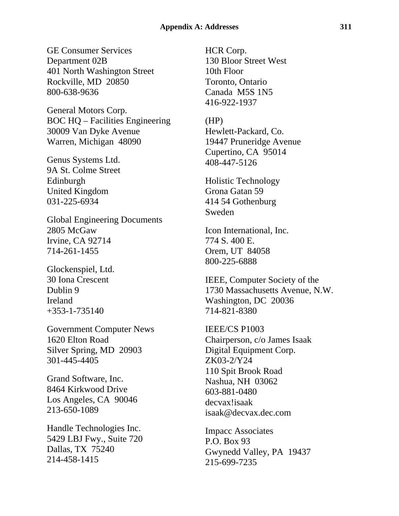GE Consumer Services Department 02B 401 North Washington Street Rockville, MD 20850 800-638-9636

General Motors Corp. BOC HQ – Facilities Engineering 30009 Van Dyke Avenue Warren, Michigan 48090

Genus Systems Ltd. 9A St. Colme Street Edinburgh United Kingdom 031-225-6934

Global Engineering Documents 2805 McGaw Irvine, CA 92714 714-261-1455

Glockenspiel, Ltd. 30 Iona Crescent Dublin 9 Ireland +353-1-735140

Government Computer News 1620 Elton Road Silver Spring, MD 20903 301-445-4405

Grand Software, Inc. 8464 Kirkwood Drive Los Angeles, CA 90046 213-650-1089

Handle Technologies Inc. 5429 LBJ Fwy., Suite 720 Dallas, TX 75240 214-458-1415

HCR Corp. 130 Bloor Street West 10th Floor Toronto, Ontario Canada M5S 1N5 416-922-1937

(HP) Hewlett-Packard, Co. 19447 Pruneridge Avenue Cupertino, CA 95014 408-447-5126

Holistic Technology Grona Gatan 59 414 54 Gothenburg Sweden

Icon International, Inc. 774 S. 400 E. Orem, UT 84058 800-225-6888

IEEE, Computer Society of the 1730 Massachusetts Avenue, N.W. Washington, DC 20036 714-821-8380

IEEE/CS P1003 Chairperson, c/o James Isaak Digital Equipment Corp. ZK03-2/Y24 110 Spit Brook Road Nashua, NH 03062 603-881-0480 decvax!isaak isaak@decvax.dec.com

Impacc Associates P.O. Box 93 Gwynedd Valley, PA 19437 215-699-7235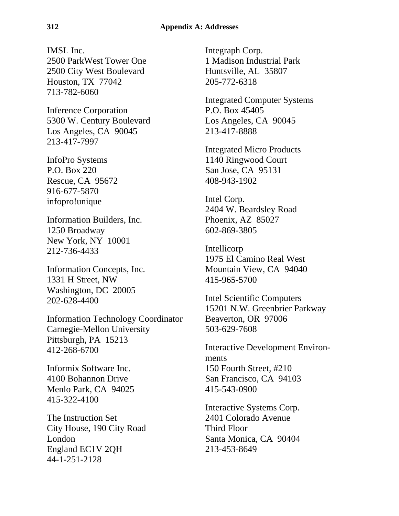IMSL Inc. 2500 ParkWest Tower One 2500 City West Boulevard Houston, TX 77042 713-782-6060

Inference Corporation 5300 W. Century Boulevard Los Angeles, CA 90045 213-417-7997

InfoPro Systems P.O. Box 220 Rescue, CA 95672 916-677-5870 infopro!unique

Information Builders, Inc. 1250 Broadway New York, NY 10001 212-736-4433

Information Concepts, Inc. 1331 H Street, NW Washington, DC 20005 202-628-4400

Information Technology Coordinator Carnegie-Mellon University Pittsburgh, PA 15213 412-268-6700

Informix Software Inc. 4100 Bohannon Drive Menlo Park, CA 94025 415-322-4100

The Instruction Set City House, 190 City Road London England EC1V 2QH 44-1-251-2128

Integraph Corp. 1 Madison Industrial Park Huntsville, AL 35807 205-772-6318

Integrated Computer Systems P.O. Box 45405 Los Angeles, CA 90045 213-417-8888

Integrated Micro Products 1140 Ringwood Court San Jose, CA 95131 408-943-1902

Intel Corp. 2404 W. Beardsley Road Phoenix, AZ 85027 602-869-3805

Intellicorp 1975 El Camino Real West Mountain View, CA 94040 415-965-5700

Intel Scientific Computers 15201 N.W. Greenbrier Parkway Beaverton, OR 97006 503-629-7608

Interactive Development Environments 150 Fourth Street, #210 San Francisco, CA 94103 415-543-0900

Interactive Systems Corp. 2401 Colorado Avenue Third Floor Santa Monica, CA 90404 213-453-8649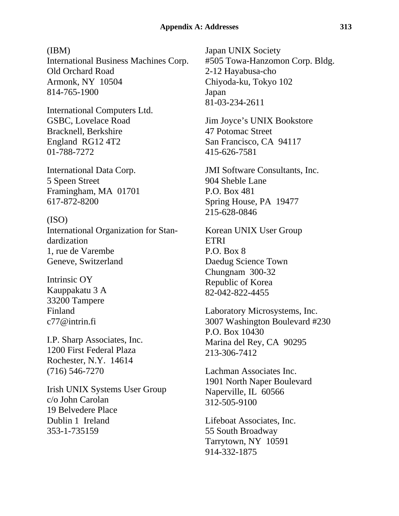#### (IBM)

International Business Machines Corp. Old Orchard Road Armonk, NY 10504 814-765-1900

International Computers Ltd. GSBC, Lovelace Road Bracknell, Berkshire England RG12 4T2 01-788-7272

International Data Corp. 5 Speen Street Framingham, MA 01701 617-872-8200

#### (ISO)

International Organization for Standardization 1, rue de Varembe Geneve, Switzerland

Intrinsic OY Kauppakatu 3 A 33200 Tampere Finland c77@intrin.fi

I.P. Sharp Associates, Inc. 1200 First Federal Plaza Rochester, N.Y. 14614 (716) 546-7270

Irish UNIX Systems User Group c/o John Carolan 19 Belvedere Place Dublin 1 Ireland 353-1-735159

Japan UNIX Society #505 Towa-Hanzomon Corp. Bldg. 2-12 Hayabusa-cho Chiyoda-ku, Tokyo 102 Japan 81-03-234-2611

Jim Joyce's UNIX Bookstore 47 Potomac Street San Francisco, CA 94117 415-626-7581

JMI Software Consultants, Inc. 904 Sheble Lane P.O. Box 481 Spring House, PA 19477 215-628-0846

Korean UNIX User Group ETRI P.O. Box 8 Daedug Science Town Chungnam 300-32 Republic of Korea 82-042-822-4455

Laboratory Microsystems, Inc. 3007 Washington Boulevard #230 P.O. Box 10430 Marina del Rey, CA 90295 213-306-7412

Lachman Associates Inc. 1901 North Naper Boulevard Naperville, IL 60566 312-505-9100

Lifeboat Associates, Inc. 55 South Broadway Tarrytown, NY 10591 914-332-1875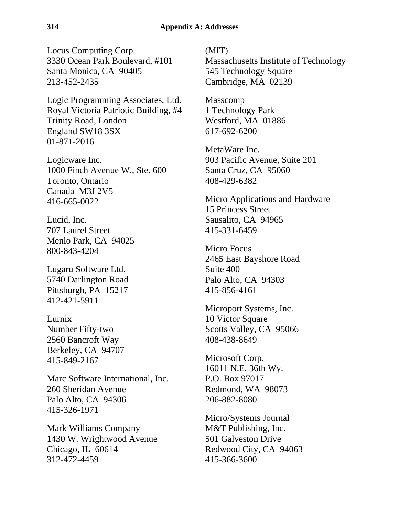Locus Computing Corp. 3330 Ocean Park Boulevard, #101 Santa Monica, CA 90405 213-452-2435

Logic Programming Associates, Ltd. Royal Victoria Patriotic Building, #4 Trinity Road, London England SW18 3SX 01-871-2016

Logicware Inc. 1000 Finch Avenue W., Ste. 600 Toronto, Ontario Canada M3J 2V5 416-665-0022

Lucid, Inc. 707 Laurel Street Menlo Park, CA 94025 800-843-4204

Lugaru Software Ltd. 5740 Darlington Road Pittsburgh, PA 15217 412-421-5911

Lurnix Number Fifty-two 2560 Bancroft Way Berkeley, CA 94707 415-849-2167

Marc Software International, Inc. 260 Sheridan Avenue Palo Alto, CA 94306 415-326-1971

Mark Williams Company 1430 W. Wrightwood Avenue Chicago, IL 60614 312-472-4459

(MIT) Massachusetts Institute of Technology 545 Technology Square Cambridge, MA 02139

Masscomp 1 Technology Park Westford, MA 01886 617-692-6200

MetaWare Inc. 903 Pacific Avenue, Suite 201 Santa Cruz, CA 95060 408-429-6382

Micro Applications and Hardware 15 Princess Street Sausalito, CA 94965 415-331-6459

Micro Focus 2465 East Bayshore Road Suite 400 Palo Alto, CA 94303 415-856-4161

Microport Systems, Inc. 10 Victor Square Scotts Valley, CA 95066 408-438-8649

Microsoft Corp. 16011 N.E. 36th Wy. P.O. Box 97017 Redmond, WA 98073 206-882-8080

Micro/Systems Journal M&T Publishing, Inc. 501 Galveston Drive Redwood City, CA 94063 415-366-3600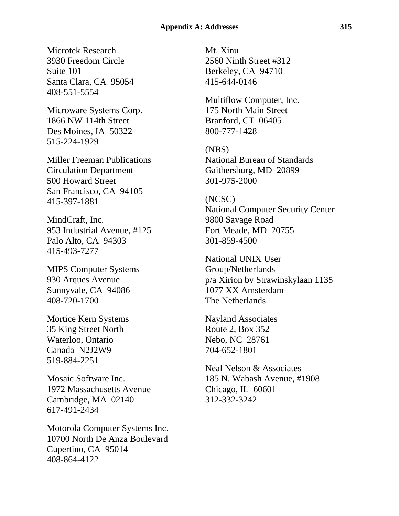Microtek Research 3930 Freedom Circle Suite 101 Santa Clara, CA 95054 408-551-5554

Microware Systems Corp. 1866 NW 114th Street Des Moines, IA 50322 515-224-1929

Miller Freeman Publications Circulation Department 500 Howard Street San Francisco, CA 94105 415-397-1881

MindCraft, Inc. 953 Industrial Avenue, #125 Palo Alto, CA 94303 415-493-7277

MIPS Computer Systems 930 Arques Avenue Sunnyvale, CA 94086 408-720-1700

Mortice Kern Systems 35 King Street North Waterloo, Ontario Canada N2J2W9 519-884-2251

Mosaic Software Inc. 1972 Massachusetts Avenue Cambridge, MA 02140 617-491-2434

Motorola Computer Systems Inc. 10700 North De Anza Boulevard Cupertino, CA 95014 408-864-4122

Mt. Xinu 2560 Ninth Street #312 Berkeley, CA 94710 415-644-0146

Multiflow Computer, Inc. 175 North Main Street Branford, CT 06405 800-777-1428

(NBS) National Bureau of Standards Gaithersburg, MD 20899 301-975-2000

(NCSC) National Computer Security Center 9800 Savage Road Fort Meade, MD 20755 301-859-4500

National UNIX User Group/Netherlands p/a Xirion bv Strawinskylaan 1135 1077 XX Amsterdam The Netherlands

Nayland Associates Route 2, Box 352 Nebo, NC 28761 704-652-1801

Neal Nelson & Associates 185 N. Wabash Avenue, #1908 Chicago, IL 60601 312-332-3242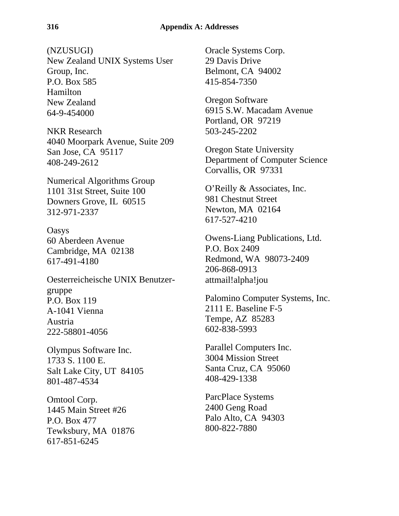(NZUSUGI) New Zealand UNIX Systems User Group, Inc.

P.O. Box 585 Hamilton New Zealand 64-9-454000

NKR Research 4040 Moorpark Avenue, Suite 209 San Jose, CA 95117 408-249-2612

Numerical Algorithms Group 1101 31st Street, Suite 100 Downers Grove, IL 60515 312-971-2337

**Oasys** 60 Aberdeen Avenue Cambridge, MA 02138 617-491-4180

Oesterreicheische UNIX Benutzergruppe P.O. Box 119 A-1041 Vienna Austria 222-58801-4056

Olympus Software Inc. 1733 S. 1100 E. Salt Lake City, UT 84105 801-487-4534

Omtool Corp. 1445 Main Street #26 P.O. Box 477 Tewksbury, MA 01876 617-851-6245

Oracle Systems Corp. 29 Davis Drive Belmont, CA 94002 415-854-7350

Oregon Software 6915 S.W. Macadam Avenue Portland, OR 97219 503-245-2202

Oregon State University Department of Computer Science Corvallis, OR 97331

O'Reilly & Associates, Inc. 981 Chestnut Street Newton, MA 02164 617-527-4210

Owens-Liang Publications, Ltd. P.O. Box 2409 Redmond, WA 98073-2409 206-868-0913 attmail!alpha!jou

Palomino Computer Systems, Inc. 2111 E. Baseline F-5 Tempe, AZ 85283 602-838-5993

Parallel Computers Inc. 3004 Mission Street Santa Cruz, CA 95060 408-429-1338

ParcPlace Systems 2400 Geng Road Palo Alto, CA 94303 800-822-7880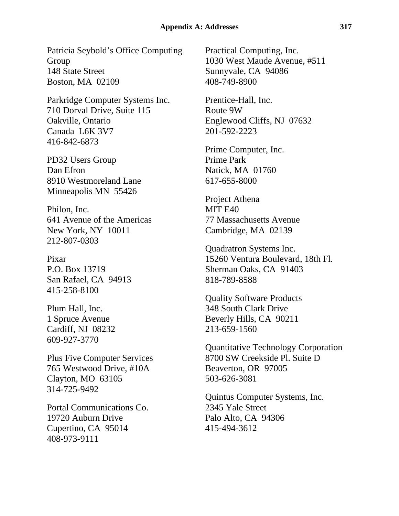Patricia Seybold's Office Computing Group 148 State Street Boston, MA 02109

Parkridge Computer Systems Inc. 710 Dorval Drive, Suite 115 Oakville, Ontario Canada L6K 3V7 416-842-6873

PD32 Users Group Dan Efron 8910 Westmoreland Lane Minneapolis MN 55426

Philon, Inc. 641 Avenue of the Americas New York, NY 10011 212-807-0303

Pixar P.O. Box 13719 San Rafael, CA 94913 415-258-8100

Plum Hall, Inc. 1 Spruce Avenue Cardiff, NJ 08232 609-927-3770

Plus Five Computer Services 765 Westwood Drive, #10A Clayton, MO 63105 314-725-9492

Portal Communications Co. 19720 Auburn Drive Cupertino, CA 95014 408-973-9111

Practical Computing, Inc. 1030 West Maude Avenue, #511 Sunnyvale, CA 94086 408-749-8900

Prentice-Hall, Inc. Route 9W Englewood Cliffs, NJ 07632 201-592-2223

Prime Computer, Inc. Prime Park Natick, MA 01760 617-655-8000

Project Athena MIT E40 77 Massachusetts Avenue Cambridge, MA 02139

Quadratron Systems Inc. 15260 Ventura Boulevard, 18th Fl. Sherman Oaks, CA 91403 818-789-8588

Quality Software Products 348 South Clark Drive Beverly Hills, CA 90211 213-659-1560

Quantitative Technology Corporation 8700 SW Creekside Pl. Suite D Beaverton, OR 97005 503-626-3081

Quintus Computer Systems, Inc. 2345 Yale Street Palo Alto, CA 94306 415-494-3612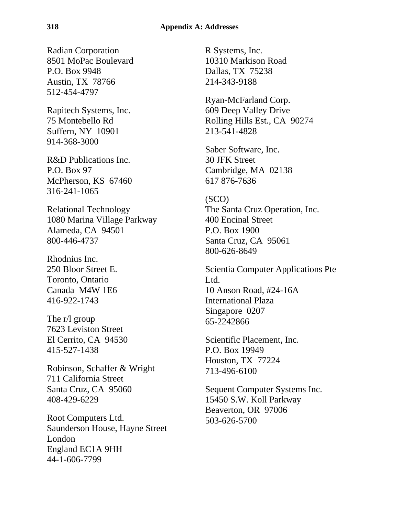Radian Corporation 8501 MoPac Boulevard P.O. Box 9948 Austin, TX 78766 512-454-4797

Rapitech Systems, Inc. 75 Montebello Rd Suffern, NY 10901 914-368-3000

R&D Publications Inc. P.O. Box 97 McPherson, KS 67460 316-241-1065

Relational Technology 1080 Marina Village Parkway Alameda, CA 94501 800-446-4737

Rhodnius Inc. 250 Bloor Street E. Toronto, Ontario Canada M4W 1E6 416-922-1743

The r/l group 7623 Leviston Street El Cerrito, CA 94530 415-527-1438

Robinson, Schaffer & Wright 711 California Street Santa Cruz, CA 95060 408-429-6229

Root Computers Ltd. Saunderson House, Hayne Street London England EC1A 9HH 44-1-606-7799

R Systems, Inc. 10310 Markison Road Dallas, TX 75238 214-343-9188

Ryan-McFarland Corp. 609 Deep Valley Drive Rolling Hills Est., CA 90274 213-541-4828

Saber Software, Inc. 30 JFK Street Cambridge, MA 02138 617 876-7636

(SCO) The Santa Cruz Operation, Inc. 400 Encinal Street P.O. Box 1900 Santa Cruz, CA 95061 800-626-8649

Scientia Computer Applications Pte Ltd. 10 Anson Road, #24-16A International Plaza Singapore 0207 65-2242866

Scientific Placement, Inc. P.O. Box 19949 Houston, TX 77224 713-496-6100

Sequent Computer Systems Inc. 15450 S.W. Koll Parkway Beaverton, OR 97006 503-626-5700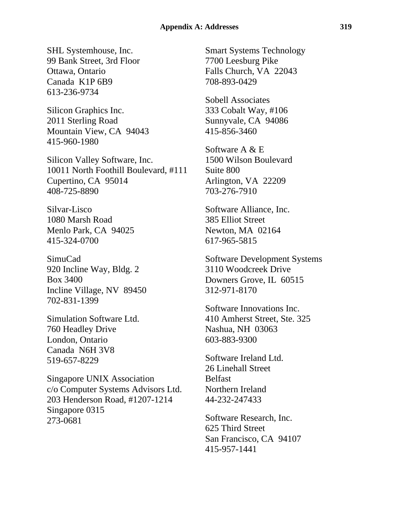SHL Systemhouse, Inc. 99 Bank Street, 3rd Floor Ottawa, Ontario Canada K1P 6B9 613-236-9734

Silicon Graphics Inc. 2011 Sterling Road Mountain View, CA 94043 415-960-1980

Silicon Valley Software, Inc. 10011 North Foothill Boulevard, #111 Cupertino, CA 95014 408-725-8890

Silvar-Lisco 1080 Marsh Road Menlo Park, CA 94025 415-324-0700

SimuCad 920 Incline Way, Bldg. 2 Box 3400 Incline Village, NV 89450 702-831-1399

Simulation Software Ltd. 760 Headley Drive London, Ontario Canada N6H 3V8 519-657-8229

Singapore UNIX Association c/o Computer Systems Advisors Ltd. 203 Henderson Road, #1207-1214 Singapore 0315 273-0681

Smart Systems Technology 7700 Leesburg Pike Falls Church, VA 22043 708-893-0429

Sobell Associates 333 Cobalt Way, #106 Sunnyvale, CA 94086 415-856-3460

Software A & E 1500 Wilson Boulevard Suite 800 Arlington, VA 22209 703-276-7910

Software Alliance, Inc. 385 Elliot Street Newton, MA 02164 617-965-5815

Software Development Systems 3110 Woodcreek Drive Downers Grove, IL 60515 312-971-8170

Software Innovations Inc. 410 Amherst Street, Ste. 325 Nashua, NH 03063 603-883-9300

Software Ireland Ltd. 26 Linehall Street Belfast Northern Ireland 44-232-247433

Software Research, Inc. 625 Third Street San Francisco, CA 94107 415-957-1441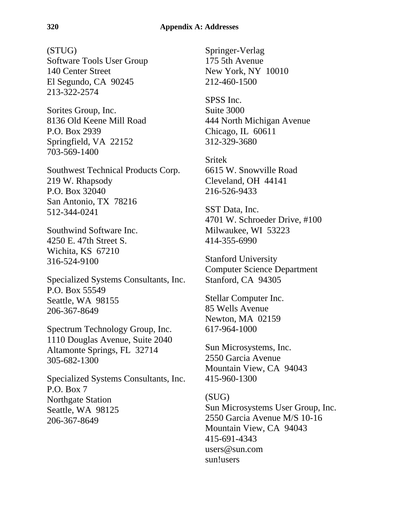(STUG) Software Tools User Group 140 Center Street El Segundo, CA 90245 213-322-2574

Sorites Group, Inc. 8136 Old Keene Mill Road P.O. Box 2939 Springfield, VA 22152 703-569-1400

Southwest Technical Products Corp. 219 W. Rhapsody P.O. Box 32040 San Antonio, TX 78216 512-344-0241

Southwind Software Inc. 4250 E. 47th Street S. Wichita, KS 67210 316-524-9100

Specialized Systems Consultants, Inc. P.O. Box 55549 Seattle, WA 98155 206-367-8649

Spectrum Technology Group, Inc. 1110 Douglas Avenue, Suite 2040 Altamonte Springs, FL 32714 305-682-1300

Specialized Systems Consultants, Inc. P.O. Box 7 Northgate Station Seattle, WA 98125 206-367-8649

Springer-Verlag 175 5th Avenue New York, NY 10010 212-460-1500

SPSS Inc. Suite 3000 444 North Michigan Avenue Chicago, IL 60611 312-329-3680

Sritek 6615 W. Snowville Road Cleveland, OH 44141 216-526-9433

SST Data, Inc. 4701 W. Schroeder Drive, #100 Milwaukee, WI 53223 414-355-6990

Stanford University Computer Science Department Stanford, CA 94305

Stellar Computer Inc. 85 Wells Avenue Newton, MA 02159 617-964-1000

Sun Microsystems, Inc. 2550 Garcia Avenue Mountain View, CA 94043 415-960-1300

(SUG) Sun Microsystems User Group, Inc. 2550 Garcia Avenue M/S 10-16 Mountain View, CA 94043 415-691-4343 users@sun.com sun!users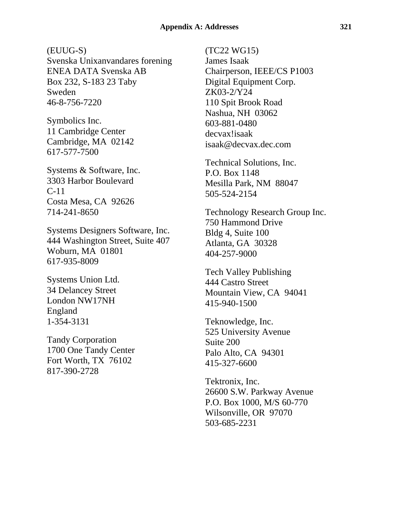(EUUG-S)

Svenska Unixanvandares forening ENEA DATA Svenska AB Box 232, S-183 23 Taby Sweden 46-8-756-7220

Symbolics Inc. 11 Cambridge Center Cambridge, MA 02142 617-577-7500

Systems & Software, Inc. 3303 Harbor Boulevard C-11 Costa Mesa, CA 92626 714-241-8650

Systems Designers Software, Inc. 444 Washington Street, Suite 407 Woburn, MA 01801 617-935-8009

Systems Union Ltd. 34 Delancey Street London NW17NH England 1-354-3131

Tandy Corporation 1700 One Tandy Center Fort Worth, TX 76102 817-390-2728

(TC22 WG15) James Isaak Chairperson, IEEE/CS P1003 Digital Equipment Corp. ZK03-2/Y24 110 Spit Brook Road

Nashua, NH 03062 603-881-0480 decvax!isaak isaak@decvax.dec.com

Technical Solutions, Inc. P.O. Box 1148 Mesilla Park, NM 88047 505-524-2154

Technology Research Group Inc. 750 Hammond Drive Bldg 4, Suite 100 Atlanta, GA 30328 404-257-9000

Tech Valley Publishing 444 Castro Street Mountain View, CA 94041 415-940-1500

Teknowledge, Inc. 525 University Avenue Suite 200 Palo Alto, CA 94301 415-327-6600

Tektronix, Inc. 26600 S.W. Parkway Avenue P.O. Box 1000, M/S 60-770 Wilsonville, OR 97070 503-685-2231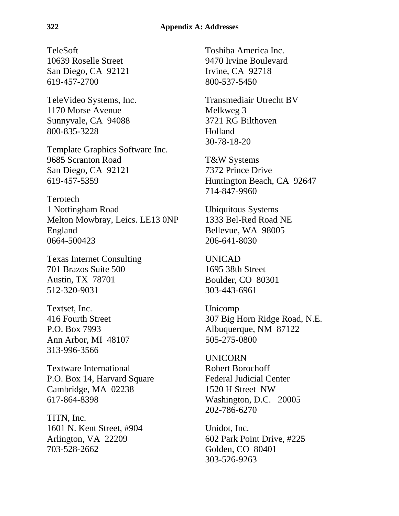TeleSoft 10639 Roselle Street San Diego, CA 92121 619-457-2700

TeleVideo Systems, Inc. 1170 Morse Avenue Sunnyvale, CA 94088 800-835-3228

Template Graphics Software Inc. 9685 Scranton Road San Diego, CA 92121 619-457-5359

**Terotech** 1 Nottingham Road Melton Mowbray, Leics. LE13 0NP England 0664-500423

Texas Internet Consulting 701 Brazos Suite 500 Austin, TX 78701 512-320-9031

Textset, Inc. 416 Fourth Street P.O. Box 7993 Ann Arbor, MI 48107 313-996-3566

Textware International P.O. Box 14, Harvard Square Cambridge, MA 02238 617-864-8398

TITN, Inc. 1601 N. Kent Street, #904 Arlington, VA 22209 703-528-2662

Toshiba America Inc. 9470 Irvine Boulevard Irvine, CA 92718 800-537-5450

Transmediair Utrecht BV Melkweg 3 3721 RG Bilthoven Holland 30-78-18-20

T&W Systems 7372 Prince Drive Huntington Beach, CA 92647 714-847-9960

Ubiquitous Systems 1333 Bel-Red Road NE Bellevue, WA 98005 206-641-8030

UNICAD 1695 38th Street Boulder, CO 80301 303-443-6961

Unicomp 307 Big Horn Ridge Road, N.E. Albuquerque, NM 87122 505-275-0800

UNICORN Robert Borochoff Federal Judicial Center 1520 H Street NW Washington, D.C. 20005 202-786-6270

Unidot, Inc. 602 Park Point Drive, #225 Golden, CO 80401 303-526-9263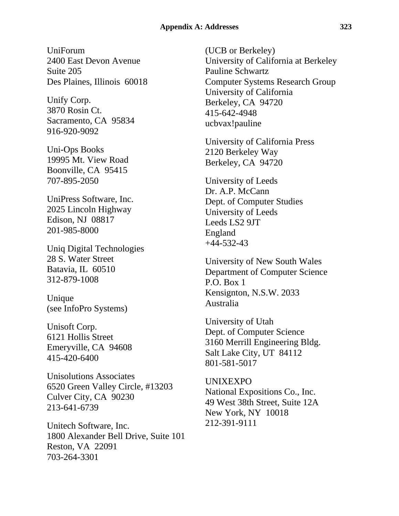UniForum 2400 East Devon Avenue Suite 205 Des Plaines, Illinois 60018

Unify Corp. 3870 Rosin Ct. Sacramento, CA 95834 916-920-9092

Uni-Ops Books 19995 Mt. View Road Boonville, CA 95415 707-895-2050

UniPress Software, Inc. 2025 Lincoln Highway Edison, NJ 08817 201-985-8000

Uniq Digital Technologies 28 S. Water Street Batavia, IL 60510 312-879-1008

Unique (see InfoPro Systems)

Unisoft Corp. 6121 Hollis Street Emeryville, CA 94608 415-420-6400

Unisolutions Associates 6520 Green Valley Circle, #13203 Culver City, CA 90230 213-641-6739

Unitech Software, Inc. 1800 Alexander Bell Drive, Suite 101 Reston, VA 22091 703-264-3301

(UCB or Berkeley) University of California at Berkeley Pauline Schwartz Computer Systems Research Group University of California Berkeley, CA 94720 415-642-4948 ucbvax!pauline

University of California Press 2120 Berkeley Way Berkeley, CA 94720

University of Leeds Dr. A.P. McCann Dept. of Computer Studies University of Leeds Leeds LS2 9JT England  $+44-532-43$ 

University of New South Wales Department of Computer Science P.O. Box 1 Kensignton, N.S.W. 2033 Australia

University of Utah Dept. of Computer Science 3160 Merrill Engineering Bldg. Salt Lake City, UT 84112 801-581-5017

UNIXEXPO National Expositions Co., Inc. 49 West 38th Street, Suite 12A New York, NY 10018 212-391-9111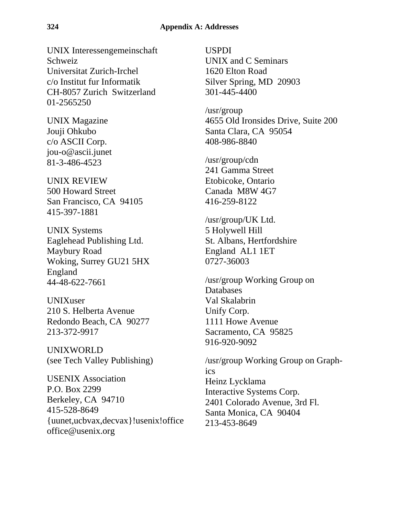UNIX Interessengemeinschaft Schweiz Universitat Zurich-Irchel c/o Institut fur Informatik CH-8057 Zurich Switzerland 01-2565250

UNIX Magazine Jouji Ohkubo c/o ASCII Corp. jou-o@ascii.junet 81-3-486-4523

UNIX REVIEW 500 Howard Street San Francisco, CA 94105 415-397-1881

UNIX Systems Eaglehead Publishing Ltd. Maybury Road Woking, Surrey GU21 5HX England 44-48-622-7661

UNIXuser 210 S. Helberta Avenue Redondo Beach, CA 90277 213-372-9917

UNIXWORLD (see Tech Valley Publishing)

USENIX Association P.O. Box 2299 Berkeley, CA 94710 415-528-8649 {uunet,ucbvax,decvax}!usenix!office office@usenix.org

USPDI UNIX and C Seminars 1620 Elton Road Silver Spring, MD 20903 301-445-4400

/usr/group 4655 Old Ironsides Drive, Suite 200 Santa Clara, CA 95054 408-986-8840

/usr/group/cdn 241 Gamma Street Etobicoke, Ontario Canada M8W 4G7 416-259-8122

/usr/group/UK Ltd. 5 Holywell Hill St. Albans, Hertfordshire England AL1 1ET 0727-36003

/usr/group Working Group on Databases Val Skalabrin Unify Corp. 1111 Howe Avenue Sacramento, CA 95825 916-920-9092

/usr/group Working Group on Graphics Heinz Lycklama Interactive Systems Corp. 2401 Colorado Avenue, 3rd Fl. Santa Monica, CA 90404 213-453-8649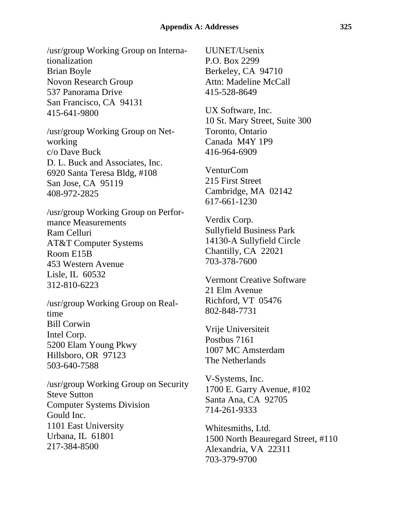/usr/group Working Group on Internationalization Brian Boyle Novon Research Group 537 Panorama Drive San Francisco, CA 94131 415-641-9800

/usr/group Working Group on Networking c/o Dave Buck D. L. Buck and Associates, Inc. 6920 Santa Teresa Bldg, #108 San Jose, CA 95119 408-972-2825

/usr/group Working Group on Performance Measurements Ram Celluri AT&T Computer Systems Room E15B 453 Western Avenue Lisle, IL 60532 312-810-6223

/usr/group Working Group on Realtime Bill Corwin Intel Corp. 5200 Elam Young Pkwy Hillsboro, OR 97123 503-640-7588

/usr/group Working Group on Security Steve Sutton Computer Systems Division Gould Inc. 1101 East University Urbana, IL 61801 217-384-8500

UUNET/Usenix P.O. Box 2299 Berkeley, CA 94710 Attn: Madeline McCall 415-528-8649

UX Software, Inc. 10 St. Mary Street, Suite 300 Toronto, Ontario Canada M4Y 1P9 416-964-6909

VenturCom 215 First Street Cambridge, MA 02142 617-661-1230

Verdix Corp. Sullyfield Business Park 14130-A Sullyfield Circle Chantilly, CA 22021 703-378-7600

Vermont Creative Software 21 Elm Avenue Richford, VT 05476 802-848-7731

Vrije Universiteit Postbus 7161 1007 MC Amsterdam The Netherlands

V-Systems, Inc. 1700 E. Garry Avenue, #102 Santa Ana, CA 92705 714-261-9333

Whitesmiths, Ltd. 1500 North Beauregard Street, #110 Alexandria, VA 22311 703-379-9700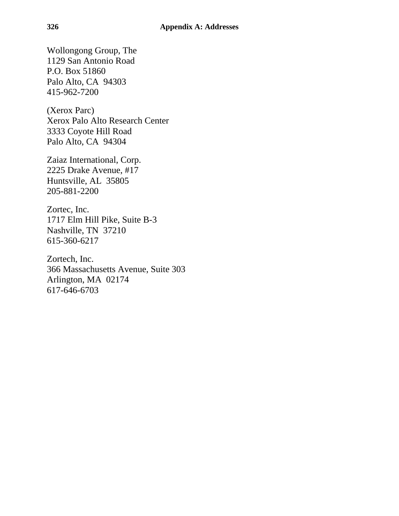Wollongong Group, The 1129 San Antonio Road P.O. Box 51860 Palo Alto, CA 94303 415-962-7200

(Xerox Parc) Xerox Palo Alto Research Center 3333 Coyote Hill Road Palo Alto, CA 94304

Zaiaz International, Corp. 2225 Drake Avenue, #17 Huntsville, AL 35805 205-881-2200

Zortec, Inc. 1717 Elm Hill Pike, Suite B-3 Nashville, TN 37210 615-360-6217

Zortech, Inc. 366 Massachusetts Avenue, Suite 303 Arlington, MA 02174 617-646-6703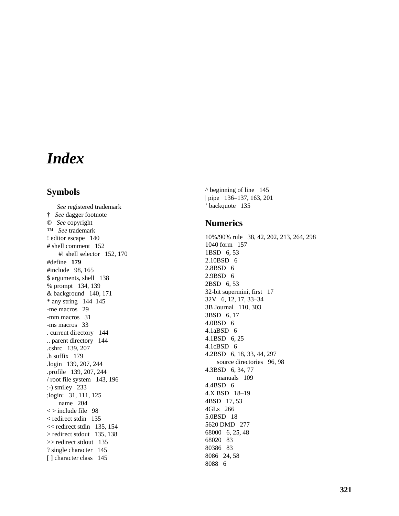# *Index*

# **Symbols**

 *See* registered trademark † *See* dagger footnote © *See* copyright ™ *See* trademark ! editor escape 140 # shell comment 152 #! shell selector 152, 170 #define **179** #include 98, 165 \$ arguments, shell 138 % prompt 134, 139 & background 140, 171  $*$  any string 144–145 -me macros 29 -mm macros 31 -ms macros 33 . current directory 144 .. parent directory 144 .cshrc 139, 207 .h suffix 179 .login 139, 207, 244 .profile 139, 207, 244 / root file system 143, 196 :-) smiley 233 ;login: 31, 111, 125 name 204  $\langle$  > include file 98 < redirect stdin 135  $<<$  redirect stdin 135, 154 > redirect stdout 135, 138 >> redirect stdout 135 ? single character 145 [] character class 145

 $^{\wedge}$  beginning of line 145 | pipe 136–137, 163, 201 ' backquote 135

# **Numerics**

10%/90% rule 38, 42, 202, 213, 264, 298 1040 form 157 1BSD 6, 53 2.10BSD 6 2.8BSD 6 2.9BSD 6 2BSD 6, 53 32-bit supermini, first 17 32V 6, 12, 17, 33–34 3B Journal 110, 303 3BSD 6, 17 4.0BSD 6 4.1aBSD 6 4.1BSD 6, 25 4.1cBSD 6 4.2BSD 6, 18, 33, 44, 297 source directories 96, 98 4.3BSD 6, 34, 77 manuals 109 4.4BSD 6 4.X BSD 18–19 4BSD 17, 53 4GLs 266 5.0BSD 18 5620 DMD 277 68000 6, 25, 48 68020 83 80386 83 8086 24, 58 8088 6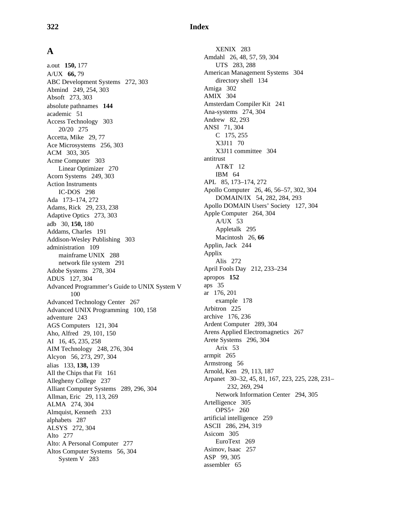# **A**

a.out **150,** 177 A/UX **66,** 79 ABC Development Systems 272, 303 Abmind 249, 254, 303 Absoft 273, 303 absolute pathnames **144** academic 51 Access Technology 303 20/20 275 Accetta, Mike 29, 77 Ace Microsystems 256, 303 ACM 303, 305 Acme Computer 303 Linear Optimizer 270 Acorn Systems 249, 303 Action Instruments IC-DOS 298 Ada 173–174, 272 Adams, Rick 29, 233, 238 Adaptive Optics 273, 303 adb 30, **150,** 180 Addams, Charles 191 Addison-Wesley Publishing 303 administration 109 mainframe UNIX 288 network file system 291 Adobe Systems 278, 304 ADUS 127, 304 Advanced Programmer's Guide to UNIX System V 100 Advanced Technology Center 267 Advanced UNIX Programming 100, 158 adventure 243 AGS Computers 121, 304 Aho, Alfred 29, 101, 150 AI 16, 45, 235, 258 AIM Technology 248, 276, 304 Alcyon 56, 273, 297, 304 alias 133, **138,** 139 All the Chips that Fit 161 Allegheny College 237 Alliant Computer Systems 289, 296, 304 Allman, Eric 29, 113, 269 ALMA 274, 304 Almquist, Kenneth 233 alphabets 287 ALSYS 272, 304 Alto 277 Alto: A Personal Computer 277 Altos Computer Systems 56, 304 System V 283

XENIX 283 Amdahl 26, 48, 57, 59, 304 UTS 283, 288 American Management Systems 304 directory shell 134 Amiga 302 AMIX 304 Amsterdam Compiler Kit 241 Ana-systems 274, 304 Andrew 82, 293 ANSI 71, 304 C 175, 255 X3J11 70 X3J11 committee 304 antitrust AT&T 12 IBM 64 APL 85, 173–174, 272 Apollo Computer 26, 46, 56–57, 302, 304 DOMAIN/IX 54, 282, 284, 293 Apollo DOMAIN Users' Society 127, 304 Apple Computer 264, 304 A/UX 53 Appletalk 295 Macintosh 26, **66** Applin, Jack 244 Applix Alis 272 April Fools Day 212, 233–234 apropos **152** aps 35 ar 176, 201 example 178 Arbitron 225 archive 176, 236 Ardent Computer 289, 304 Arens Applied Electromagnetics 267 Arete Systems 296, 304 Arix 53 armpit 265 Armstrong 56 Arnold, Ken 29, 113, 187 Arpanet 30–32, 45, 81, 167, 223, 225, 228, 231– 232, 269, 294 Network Information Center 294, 305 Artelligence 305 OPS5+ 260 artificial intelligence 259 ASCII 286, 294, 319 Asicom 305 EuroText 269 Asimov, Isaac 257 ASP 99, 305 assembler 65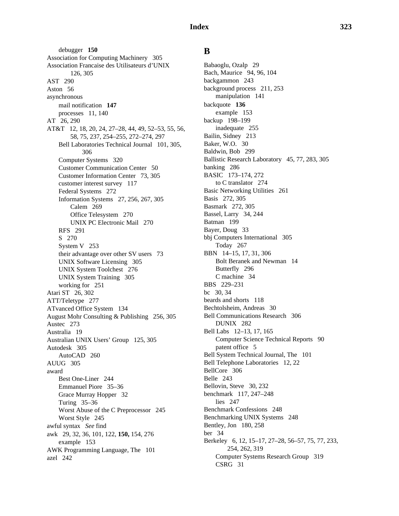debugger **150** Association for Computing Machinery 305 Association Francaise des Utilisateurs d'UNIX 126, 305 AST 290 Aston 56 asynchronous mail notification **147** processes 11, 140 AT 26, 290 AT&T 12, 18, 20, 24, 27–28, 44, 49, 52–53, 55, 56, 58, 75, 237, 254–255, 272–274, 297 Bell Laboratories Technical Journal 101, 305, 306 Computer Systems 320 Customer Communication Center 50 Customer Information Center 73, 305 customer interest survey 117 Federal Systems 272 Information Systems 27, 256, 267, 305 Calem 269 Office Telesystem 270 UNIX PC Electronic Mail 270 RFS 291 S 270 System V 253 their advantage over other SV users 73 UNIX Software Licensing 305 UNIX System Toolchest 276 UNIX System Training 305 working for 251 Atari ST 26, 302 ATT/Teletype 277 ATvanced Office System 134 August Mohr Consulting & Publishing 256, 305 Austec 273 Australia 19 Australian UNIX Users' Group 125, 305 Autodesk 305 AutoCAD 260 AUUG 305 award Best One-Liner 244 Emmanuel Piore 35–36 Grace Murray Hopper 32 Turing 35–36 Worst Abuse of the C Preprocessor 245 Worst Style 245 awful syntax *See* find awk 29, 32, 36, 101, 122, **150,** 154, 276 example 153 AWK Programming Language, The 101 azel 242

# **B**

Babaoglu, Ozalp 29 Bach, Maurice 94, 96, 104 backgammon 243 background process 211, 253 manipulation 141 backquote **136** example 153 backup 198–199 inadequate 255 Bailin, Sidney 213 Baker, W.O. 30 Baldwin, Bob 299 Ballistic Research Laboratory 45, 77, 283, 305 banking 286 BASIC 173–174, 272 to C translator 274 Basic Networking Utilities 261 Basis 272, 305 Basmark 272, 305 Bassel, Larry 34, 244 Batman 199 Bayer, Doug 33 bbj Computers International 305 Today 267 BBN 14–15, 17, 31, 306 Bolt Beranek and Newman 14 Butterfly 296 C machine 34 BBS 229–231 bc 30, 34 beards and shorts 118 Bechtolsheim, Andreas 30 Bell Communications Research 306 DUNIX 282 Bell Labs 12–13, 17, 165 Computer Science Technical Reports 90 patent office 5 Bell System Technical Journal, The 101 Bell Telephone Laboratories 12, 22 BellCore 306 Belle 243 Bellovin, Steve 30, 232 benchmark 117, 247–248 lies 247 Benchmark Confessions 248 Benchmarking UNIX Systems 248 Bentley, Jon 180, 258 ber 34 Berkeley 6, 12, 15–17, 27–28, 56–57, 75, 77, 233, 254, 262, 319 Computer Systems Research Group 319 CSRG 31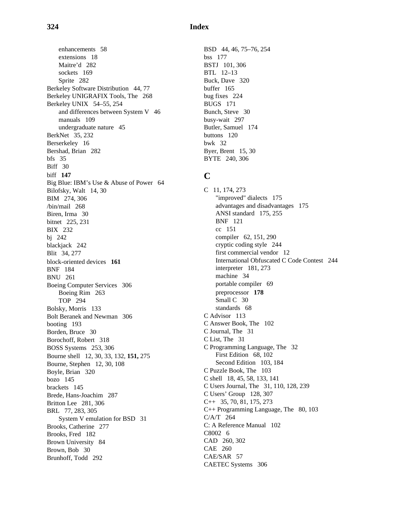enhancements 58 extensions 18 Maitre'd 282 sockets 169 Sprite 282 Berkeley Software Distribution 44, 77 Berkeley UNIGRAFIX Tools, The 268 Berkeley UNIX 54–55, 254 and differences between System V 46 manuals 109 undergraduate nature 45 BerkNet 35, 232 Berserkeley 16 Bershad, Brian 282 bfs 35 Biff 30 biff **147** Big Blue: IBM's Use & Abuse of Power 64 Bilofsky, Walt 14, 30 BIM 274, 306 /bin/mail 268 Biren, Irma 30 bitnet 225, 231 BIX 232 bj 242 blackjack 242 Blit 34, 277 block-oriented devices **161** BNF 184 BNU 261 Boeing Computer Services 306 Boeing Rim 263 TOP 294 Bolsky, Morris 133 Bolt Beranek and Newman 306 booting 193 Borden, Bruce 30 Borochoff, Robert 318 BOSS Systems 253, 306 Bourne shell 12, 30, 33, 132, **151,** 275 Bourne, Stephen 12, 30, 108 Boyle, Brian 320 bozo 145 brackets 145 Brede, Hans-Joachim 287 Britton Lee 281, 306 BRL 77, 283, 305 System V emulation for BSD 31 Brooks, Catherine 277 Brooks, Fred 182 Brown University 84 Brown, Bob 30 Brunhoff, Todd 292

BSD 44, 46, 75–76, 254 bss 177 BSTJ 101, 306 BTL 12–13 Buck, Dave 320 buffer 165 bug fixes 224 BUGS 171 Bunch, Steve 30 busy-wait 297 Butler, Samuel 174 buttons 120 bwk 32 Byer, Brent 15, 30 BYTE 240, 306

# **C**

C 11, 174, 273 "improved" dialects 175 advantages and disadvantages 175 ANSI standard 175, 255 BNF 121 cc 151 compiler 62, 151, 290 cryptic coding style 244 first commercial vendor 12 International Obfuscated C Code Contest 244 interpreter 181, 273 machine 34 portable compiler 69 preprocessor **178** Small C 30 standards 68 C Advisor 113 C Answer Book, The 102 C Journal, The 31 C List, The 31 C Programming Language, The 32 First Edition 68, 102 Second Edition 103, 184 C Puzzle Book, The 103 C shell 18, 45, 58, 133, 141 C Users Journal, The 31, 110, 128, 239 C Users' Group 128, 307 C++ 35, 70, 81, 175, 273 C++ Programming Language, The 80, 103 C/A/T 264 C: A Reference Manual 102 C8002 6 CAD 260, 302 CAE 260 CAE/SAR 57 CAETEC Systems 306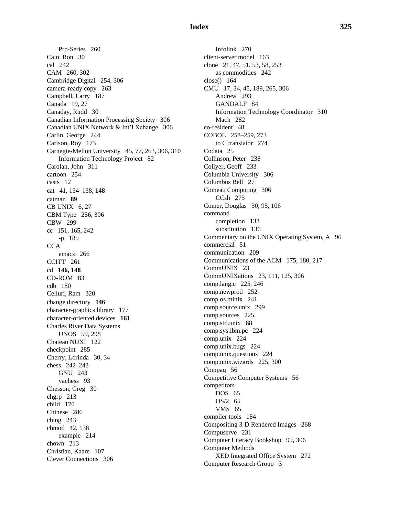Pro-Series 260 Cain, Ron 30 cal 242 CAM 260, 302 Cambridge Digital 254, 306 camera-ready copy 263 Campbell, Larry 187 Canada 19, 27 Canaday, Rudd 30 Canadian Information Processing Society 306 Canadian UNIX Network & Int'l Xchange 306 Carlin, George 244 Carlson, Roy 173 Carnegie-Mellon University 45, 77, 263, 306, 310 Information Technology Project 82 Carolan, John 311 cartoon 254 casts 12 cat 41, 134–138, **148** catman **89** CB UNIX 6, 27 CBM Type 256, 306 CBW 299 cc 151, 165, 242 -p 185 **CCA** emacs 266 CCITT 261 cd **146, 148** CD-ROM 83 cdb 180 Celluri, Ram 320 change directory **146** character-graphics library 177 character-oriented devices **161** Charles River Data Systems UNOS 59, 298 Chateau NUXI 122 checkpoint 285 Cherry, Lorinda 30, 34 chess 242–243 GNU 243 yachess 93 Chesson, Greg 30 chgrp 213 child 170 Chinese 286 ching 243 chmod 42, 138 example 214 chown 213 Christian, Kaare 107 Clever Connections 306

Infolink 270 client-server model 163 clone 21, 47, 51, 53, 58, 253 as commodities 242 close() 164 CMU 17, 34, 45, 189, 265, 306 Andrew 293 GANDALF 84 Information Technology Coordinator 310 Mach 282 co-resident 48 COBOL 258–259, 273 to C translator 274 Codata 25 Collinson, Peter 238 Collyer, Geoff 233 Columbia University 306 Columbus Bell 27 Comeau Computing 306 CCsh 275 Comer, Douglas 30, 95, 106 command completion 133 substitution 136 Commentary on the UNIX Operating System, A 96 commercial 51 communication 209 Communications of the ACM 175, 180, 217 CommUNIX 23 CommUNIXations 23, 111, 125, 306 comp.lang.c 225, 246 comp.newprod 252 comp.os.minix 241 comp.source.unix 299 comp.sources 225 comp.std.unix 68 comp.sys.ibm.pc 224 comp.unix 224 comp.unix.bugs 224 comp.unix.questions 224 comp.unix.wizards 225, 300 Compaq 56 Competitive Computer Systems 56 competitors DOS 65 OS/2 65 VMS 65 compiler tools 184 Compositing 3-D Rendered Images 268 Compuserve 231 Computer Literacy Bookshop 99, 306 Computer Methods XED Integrated Office System 272 Computer Research Group 3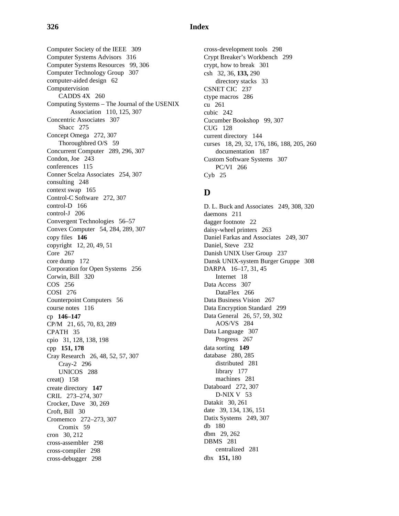#### **326 Index**

Computer Society of the IEEE 309 Computer Systems Advisors 316 Computer Systems Resources 99, 306 Computer Technology Group 307 computer-aided design 62 Computervision CADDS 4X 260 Computing Systems – The Journal of the USENIX Association 110, 125, 307 Concentric Associates 307 Shacc 275 Concept Omega 272, 307 Thoroughbred O/S 59 Concurrent Computer 289, 296, 307 Condon, Joe 243 conferences 115 Conner Scelza Associates 254, 307 consulting 248 context swap 165 Control-C Software 272, 307 control-D 166 control-J 206 Convergent Technologies 56–57 Convex Computer 54, 284, 289, 307 copy files **146** copyright 12, 20, 49, 51 Core 267 core dump 172 Corporation for Open Systems 256 Corwin, Bill 320 COS 256 COSI 276 Counterpoint Computers 56 course notes 116 cp **146–147** CP/M 21, 65, 70, 83, 289 CPATH 35 cpio 31, 128, 138, 198 cpp **151, 178** Cray Research 26, 48, 52, 57, 307 Cray-2 296 UNICOS 288 creat() 158 create directory **147** CRIL 273–274, 307 Crocker, Dave 30, 269 Croft, Bill 30 Cromemco 272–273, 307 Cromix 59 cron 30, 212 cross-assembler 298 cross-compiler 298 cross-debugger 298

cross-development tools 298 Crypt Breaker's Workbench 299 crypt, how to break 301 csh 32, 36, **133,** 290 directory stacks 33 CSNET CIC 237 ctype macros 286 cu 261 cubic 242 Cucumber Bookshop 99, 307 CUG 128 current directory 144 curses 18, 29, 32, 176, 186, 188, 205, 260 documentation 187 Custom Software Systems 307 PC/VI 266 Cyb 25

# **D**

D. L. Buck and Associates 249, 308, 320 daemons 211 dagger footnote 22 daisy-wheel printers 263 Daniel Farkas and Associates 249, 307 Daniel, Steve 232 Danish UNIX User Group 237 Dansk UNIX-system Burger Gruppe 308 DARPA 16–17, 31, 45 Internet 18 Data Access 307 DataFlex 266 Data Business Vision 267 Data Encryption Standard 299 Data General 26, 57, 59, 302 AOS/VS 284 Data Language 307 Progress 267 data sorting **149** database 280, 285 distributed 281 library 177 machines 281 Databoard 272, 307 D-NIX V 53 Datakit 30, 261 date 39, 134, 136, 151 Datix Systems 249, 307 db 180 dbm 29, 262 DBMS 281 centralized 281 dbx **151,** 180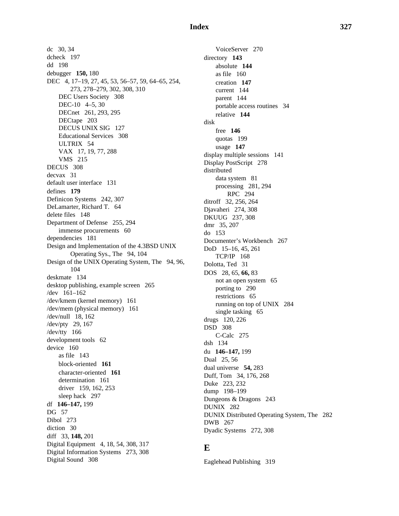dc 30, 34 dcheck 197 dd 198 debugger **150,** 180 DEC 4, 17–19, 27, 45, 53, 56–57, 59, 64–65, 254, 273, 278–279, 302, 308, 310 DEC Users Society 308 DEC-10 4–5, 30 DECnet 261, 293, 295 DECtape 203 DECUS UNIX SIG 127 Educational Services 308 ULTRIX 54 VAX 17, 19, 77, 288 VMS 215 DECUS 308 decvax 31 default user interface 131 defines **179** Definicon Systems 242, 307 DeLamarter, Richard T. 64 delete files 148 Department of Defense 255, 294 immense procurements 60 dependencies 181 Design and Implementation of the 4.3BSD UNIX Operating Sys., The 94, 104 Design of the UNIX Operating System, The 94, 96, 104 deskmate 134 desktop publishing, example screen 265 /dev 161–162 /dev/kmem (kernel memory) 161 /dev/mem (physical memory) 161 /dev/null 18, 162 /dev/pty 29, 167 /dev/tty 166 development tools 62 device 160 as file 143 block-oriented **161** character-oriented **161** determination 161 driver 159, 162, 253 sleep hack 297 df **146–147,** 199 DG 57 Dibol 273 diction 30 diff 33, **148,** 201 Digital Equipment 4, 18, 54, 308, 317 Digital Information Systems 273, 308 Digital Sound 308

VoiceServer 270 directory **143** absolute **144** as file 160 creation **147** current 144 parent 144 portable access routines 34 relative **144** disk free **146** quotas 199 usage **147** display multiple sessions 141 Display PostScript 278 distributed data system 81 processing 281, 294 RPC 294 ditroff 32, 256, 264 Djavaheri 274, 308 DKUUG 237, 308 dmr 35, 207 do 153 Documenter's Workbench 267 DoD 15–16, 45, 261 TCP/IP 168 Dolotta, Ted 31 DOS 28, 65, **66,** 83 not an open system 65 porting to 290 restrictions 65 running on top of UNIX 284 single tasking 65 drugs 120, 226 DSD 308 C-Calc 275 dsh 134 du **146–147,** 199 Dual 25, 56 dual universe **54,** 283 Duff, Tom 34, 176, 268 Duke 223, 232 dump 198–199 Dungeons & Dragons 243 DUNIX 282 DUNIX Distributed Operating System, The 282 DWB 267 Dyadic Systems 272, 308

# **E**

Eaglehead Publishing 319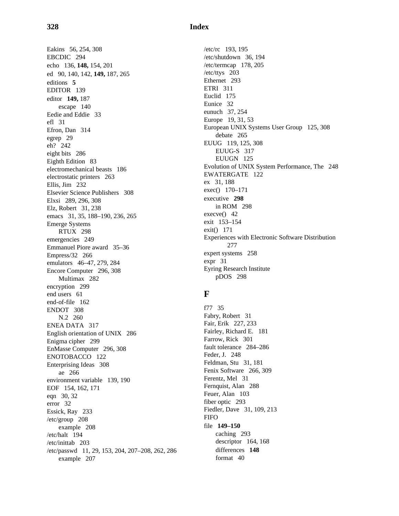#### **328 Index**

Eakins 56, 254, 308 EBCDIC 294 echo 136, **148,** 154, 201 ed 90, 140, 142, **149,** 187, 265 editions **5** EDITOR 139 editor **149,** 187 escape 140 Eedie and Eddie 33 efl 31 Efron, Dan 314 egrep 29 eh? 242 eight bits 286 Eighth Edition 83 electromechanical beasts 186 electrostatic printers 263 Ellis, Jim 232 Elsevier Science Publishers 308 Elxsi 289, 296, 308 Elz, Robert 31, 238 emacs 31, 35, 188–190, 236, 265 Emerge Systems RTUX 298 emergencies 249 Emmanuel Piore award 35–36 Empress/32 266 emulators 46–47, 279, 284 Encore Computer 296, 308 Multimax 282 encryption 299 end users 61 end-of-file 162 ENDOT 308 N.2 260 ENEA DATA 317 English orientation of UNIX 286 Enigma cipher 299 EnMasse Computer 296, 308 ENOTOBACCO 122 Enterprising Ideas 308 ae 266 environment variable 139, 190 EOF 154, 162, 171 eqn 30, 32 error 32 Essick, Ray 233 /etc/group 208 example 208 /etc/halt 194 /etc/inittab 203 /etc/passwd 11, 29, 153, 204, 207–208, 262, 286 example 207

/etc/rc 193, 195 /etc/shutdown 36, 194 /etc/termcap 178, 205 /etc/ttys 203 Ethernet 293 ETRI 311 Euclid 175 Eunice 32 eunuch 37, 254 Europe 19, 31, 53 European UNIX Systems User Group 125, 308 debate 265 EUUG 119, 125, 308 EUUG-S 317 EUUGN 125 Evolution of UNIX System Performance, The 248 EWATERGATE 122 ex 31, 188 exec() 170–171 executive **298** in ROM 298 execve() 42 exit 153–154 exit() 171 Experiences with Electronic Software Distribution 277 expert systems 258 expr 31 Eyring Research Institute pDOS 298

# **F**

f77 35 Fabry, Robert 31 Fair, Erik 227, 233 Fairley, Richard E. 181 Farrow, Rick 301 fault tolerance 284–286 Feder, J. 248 Feldman, Stu 31, 181 Fenix Software 266, 309 Ferentz, Mel 31 Fernquist, Alan 288 Feuer, Alan 103 fiber optic 293 Fiedler, Dave 31, 109, 213 FIFO file **149–150** caching 293 descriptor 164, 168 differences **148** format 40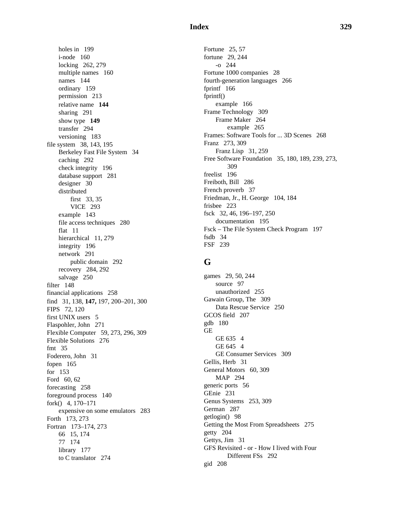#### **12329** Index

holes in 199 i-node 160 locking 262, 279 multiple names 160 names 144 ordinary 159 permission 213 relative name **144** sharing 291 show type **149** transfer 294 versioning 183 file system 38, 143, 195 Berkeley Fast File System 34 caching 292 check integrity 196 database support 281 designer 30 distributed first 33, 35 VICE 293 example 143 file access techniques 280 flat 11 hierarchical 11, 279 integrity 196 network 291 public domain 292 recovery 284, 292 salvage 250 filter 148 financial applications 258 find 31, 138, **147,** 197, 200–201, 300 FIPS 72, 120 first UNIX users 5 Flaspohler, John 271 Flexible Computer 59, 273, 296, 309 Flexible Solutions 276 fmt 35 Foderero, John 31 fopen 165 for 153 Ford 60, 62 forecasting 258 foreground process 140 fork() 4, 170–171 expensive on some emulators 283 Forth 173, 273 Fortran 173–174, 273 66 15, 174 77 174 library 177 to C translator 274

Fortune 25, 57 fortune 29, 244 -o 244 Fortune 1000 companies 28 fourth-generation languages 266 fprintf 166 fprintf() example 166 Frame Technology 309 Frame Maker 264 example 265 Frames: Software Tools for ... 3D Scenes 268 Franz 273, 309 Franz Lisp 31, 259 Free Software Foundation 35, 180, 189, 239, 273, 309 freelist 196 Freiboth, Bill 286 French proverb 37 Friedman, Jr., H. George 104, 184 frisbee 223 fsck 32, 46, 196–197, 250 documentation 195 Fsck – The File System Check Program 197 fsdb 34 FSF 239

# **G**

games 29, 50, 244 source 97 unauthorized 255 Gawain Group, The 309 Data Rescue Service 250 GCOS field 207 gdb 180 **GE** GE 635 4 GE 645 4 GE Consumer Services 309 Gellis, Herb 31 General Motors 60, 309 MAP 294 generic ports 56 GEnie 231 Genus Systems 253, 309 German 287 getlogin() 98 Getting the Most From Spreadsheets 275 getty 204 Gettys, Jim 31 GFS Revisited - or - How I lived with Four Different FSs 292 gid 208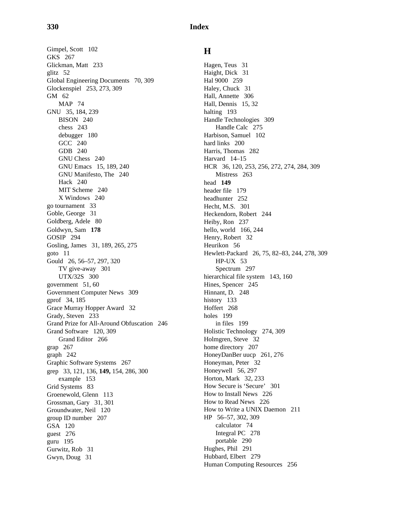Gimpel, Scott 102 GKS 267 Glickman, Matt 233 glitz 52 Global Engineering Documents 70, 309 Glockenspiel 253, 273, 309 GM 62 MAP 74 GNU 35, 184, 239 BISON 240 chess 243 debugger 180 GCC 240 GDB 240 GNU Chess 240 GNU Emacs 15, 189, 240 GNU Manifesto, The 240 Hack 240 MIT Scheme 240 X Windows 240 go tournament 33 Goble, George 31 Goldberg, Adele 80 Goldwyn, Sam **178** GOSIP 294 Gosling, James 31, 189, 265, 275 goto 11 Gould 26, 56–57, 297, 320 TV give-away 301 UTX/32S 300 government 51, 60 Government Computer News 309 gprof 34, 185 Grace Murray Hopper Award 32 Grady, Steven 233 Grand Prize for All-Around Obfuscation 246 Grand Software 120, 309 Grand Editor 266 grap 267 graph 242 Graphic Software Systems 267 grep 33, 121, 136, **149,** 154, 286, 300 example 153 Grid Systems 83 Groenewold, Glenn 113 Grossman, Gary 31, 301 Groundwater, Neil 120 group ID number 207 GSA 120 guest 276 guru 195 Gurwitz, Rob 31 Gwyn, Doug 31

# **H**

Hagen, Teus 31 Haight, Dick 31 Hal 9000 259 Haley, Chuck 31 Hall, Annette 306 Hall, Dennis 15, 32 halting 193 Handle Technologies 309 Handle Calc 275 Harbison, Samuel 102 hard links 200 Harris, Thomas 282 Harvard 14–15 HCR 36, 120, 253, 256, 272, 274, 284, 309 Mistress 263 head **149** header file 179 headhunter 252 Hecht, M.S. 301 Heckendorn, Robert 244 Heiby, Ron 237 hello, world 166, 244 Henry, Robert 32 Heurikon 56 Hewlett-Packard 26, 75, 82–83, 244, 278, 309 HP-UX 53 Spectrum 297 hierarchical file system 143, 160 Hines, Spencer 245 Hinnant, D. 248 history 133 Hoffert 268 holes 199 in files 199 Holistic Technology 274, 309 Holmgren, Steve 32 home directory 207 HoneyDanBer uucp 261, 276 Honeyman, Peter 32 Honeywell 56, 297 Horton, Mark 32, 233 How Secure is 'Secure' 301 How to Install News 226 How to Read News 226 How to Write a UNIX Daemon 211 HP 56–57, 302, 309 calculator 74 Integral PC 278 portable 290 Hughes, Phil 291 Hubbard, Elbert 279 Human Computing Resources 256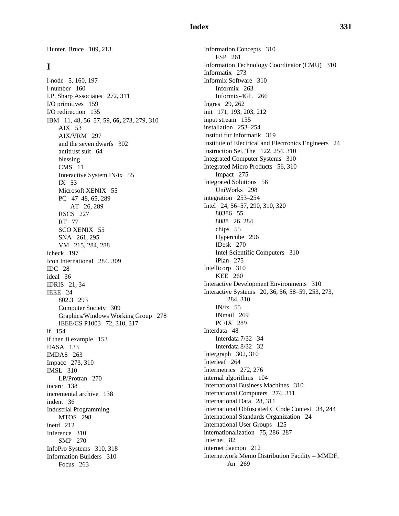Hunter, Bruce 109, 213

#### **I**

i-node 5, 160, 197 i-number 160 I.P. Sharp Associates 272, 311 I/O primitives 159 I/O redirection 135 IBM 11, 48, 56–57, 59, **66,** 273, 279, 310 AIX 53 AIX/VRM 297 and the seven dwarfs 302 antitrust suit 64 blessing CMS 11 Interactive System IN/ix 55 IX 53 Microsoft XENIX 55 PC 47–48, 65, 289 AT 26, 289 RSCS 227 RT 77 SCO XENIX 55 SNA 261, 295 VM 215, 284, 288 icheck 197 Icon International 284, 309 IDC 28 ideal 36 IDRIS 21, 34 IEEE 24 802.3 293 Computer Society 309 Graphics/Windows Working Group 278 IEEE/CS P1003 72, 310, 317 if 154 if then fi example 153 IIASA 133 IMDAS 263 Impacc 273, 310 IMSL 310 LP/Protran 270 incarc 138 incremental archive 138 indent 36 Industrial Programming MTOS 298 inetd 212 Inference 310 SMP 270 InfoPro Systems 310, 318 Information Builders 310 Focus 263

Information Concepts 310 FSP 261 Information Technology Coordinator (CMU) 310 Informatix 273 Informix Software 310 Informix 263 Informix-4GL 266 Ingres 29, 262 init 171, 193, 203, 212 input stream 135 installation 253–254 Institut fur Informatik 319 Institute of Electrical and Electronics Engineers 24 Instruction Set, The 122, 254, 310 Integrated Computer Systems 310 Integrated Micro Products 56, 310 Impact 275 Integrated Solutions 56 UniWorks 298 integration 253–254 Intel 24, 56–57, 290, 310, 320 80386 55 8088 26, 284 chips 55 Hypercube 296 IDesk 270 Intel Scientific Computers 310 iPlan 275 Intellicorp 310 KEE 260 Interactive Development Environments 310 Interactive Systems 20, 36, 56, 58–59, 253, 273, 284, 310 IN/ix 55 INmail 269 PC/IX 289 Interdata 48 Interdata 7/32 34 Interdata 8/32 32 Intergraph 302, 310 Interleaf 264 Intermetrics 272, 276 internal algorithms 104 International Business Machines 310 International Computers 274, 311 International Data 28, 311 International Obfuscated C Code Contest 34, 244 International Standards Organization 24 International User Groups 125 internationalization 75, 286–287 Internet 82 internet daemon 212 Internetwork Memo Distribution Facility – MMDF, An 269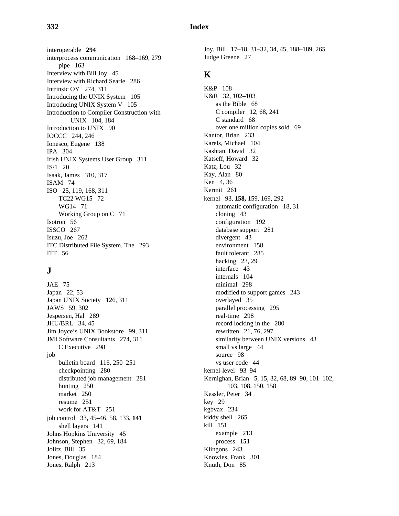#### **332 Index**

interoperable **294** interprocess communication 168–169, 279 pipe 163 Interview with Bill Joy 45 Interview with Richard Searle 286 Intrinsic OY 274, 311 Introducing the UNIX System 105 Introducing UNIX System V 105 Introduction to Compiler Construction with UNIX 104, 184 Introduction to UNIX 90 IOCCC 244, 246 Ionesco, Eugene 138 IPA 304 Irish UNIX Systems User Group 311 IS/1 20 Isaak, James 310, 317 ISAM 74 ISO 25, 119, 168, 311 TC22 WG15 72 WG14 71 Working Group on C 71 Isotron 56 ISSCO 267 Isuzu, Joe 262 ITC Distributed File System, The 293 ITT 56

# **J**

JAE 75 Japan 22, 53 Japan UNIX Society 126, 311 JAWS 59, 302 Jespersen, Hal 289 JHU/BRL 34, 45 Jim Joyce's UNIX Bookstore 99, 311 JMI Software Consultants 274, 311 C Executive 298 job bulletin board 116, 250–251 checkpointing 280 distributed job management 281 hunting 250 market 250 resume 251 work for AT&T 251 job control 33, 45–46, 58, 133, **141** shell layers 141 Johns Hopkins University 45 Johnson, Stephen 32, 69, 184 Jolitz, Bill 35 Jones, Douglas 184 Jones, Ralph 213

Joy, Bill 17–18, 31–32, 34, 45, 188–189, 265 Judge Greene 27

# **K**

K&P 108 K&R 32, 102–103 as the Bible 68 C compiler 12, 68, 241 C standard 68 over one million copies sold 69 Kantor, Brian 233 Karels, Michael 104 Kashtan, David 32 Katseff, Howard 32 Katz, Lou 32 Kay, Alan 80 Ken 4, 36 Kermit 261 kernel 93, **158,** 159, 169, 292 automatic configuration 18, 31 cloning 43 configuration 192 database support 281 divergent 43 environment 158 fault tolerant 285 hacking 23, 29 interface 43 internals 104 minimal 298 modified to support games 243 overlayed 35 parallel processing 295 real-time 298 record locking in the 280 rewritten 21, 76, 297 similarity between UNIX versions 43 small vs large 44 source 98 vs user code 44 kernel-level 93–94 Kernighan, Brian 5, 15, 32, 68, 89–90, 101–102, 103, 108, 150, 158 Kessler, Peter 34 key 29 kgbvax 234 kiddy shell 265 kill 151 example 213 process **151** Klingons 243 Knowles, Frank 301 Knuth, Don 85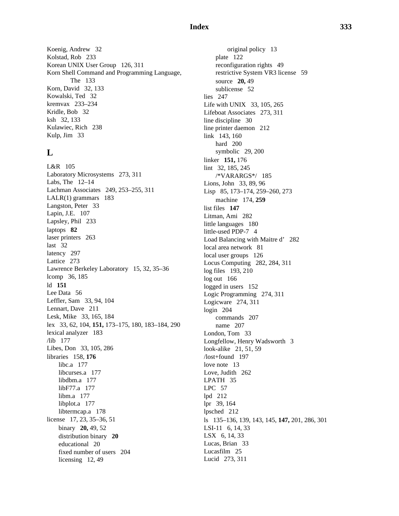Koenig, Andrew 32 Kolstad, Rob 233 Korean UNIX User Group 126, 311 Korn Shell Command and Programming Language, The 133 Korn, David 32, 133 Kowalski, Ted 32 kremvax 233–234 Kridle, Bob 32 ksh 32, 133 Kulawiec, Rich 238 Kulp, Jim 33

#### **L**

L&R 105 Laboratory Microsystems 273, 311 Labs, The 12–14 Lachman Associates 249, 253–255, 311 LALR(1) grammars 183 Langston, Peter 33 Lapin, J.E. 107 Lapsley, Phil 233 laptops **82** laser printers 263 last 32 latency 297 Lattice 273 Lawrence Berkeley Laboratory 15, 32, 35–36 lcomp 36, 185 ld **151** Lee Data 56 Leffler, Sam 33, 94, 104 Lennart, Dave 211 Lesk, Mike 33, 165, 184 lex 33, 62, 104, **151,** 173–175, 180, 183–184, 290 lexical analyzer 183 /lib 177 Libes, Don 33, 105, 286 libraries 158, **176** libc.a 177 libcurses.a 177 libdbm.a 177 libF77.a 177 libm.a 177 libplot.a 177 libtermcap.a 178 license 17, 23, 35–36, 51 binary **20,** 49, 52 distribution binary **20** educational 20 fixed number of users 204 licensing 12, 49

original policy 13 plate 122 reconfiguration rights 49 restrictive System VR3 license 59 source **20,** 49 sublicense 52 lies 247 Life with UNIX 33, 105, 265 Lifeboat Associates 273, 311 line discipline 30 line printer daemon 212 link 143, 160 hard 200 symbolic 29, 200 linker **151,** 176 lint 32, 185, 245 /\*VARARGS\*/ 185 Lions, John 33, 89, 96 Lisp 85, 173–174, 259–260, 273 machine 174, **259** list files **147** Litman, Ami 282 little languages 180 little-used PDP-7 4 Load Balancing with Maitre d' 282 local area network 81 local user groups 126 Locus Computing 282, 284, 311 log files 193, 210 log out 166 logged in users 152 Logic Programming 274, 311 Logicware 274, 311 login 204 commands 207 name 207 London, Tom 33 Longfellow, Henry Wadsworth 3 look-alike 21, 51, 59 /lost+found 197 love note 13 Love, Judith 262 LPATH 35 LPC 57 lpd 212 lpr 39, 164 lpsched 212 ls 135–136, 139, 143, 145, **147,** 201, 286, 301 LSI-11 6, 14, 33 LSX 6, 14, 33 Lucas, Brian 33 Lucasfilm 25 Lucid 273, 311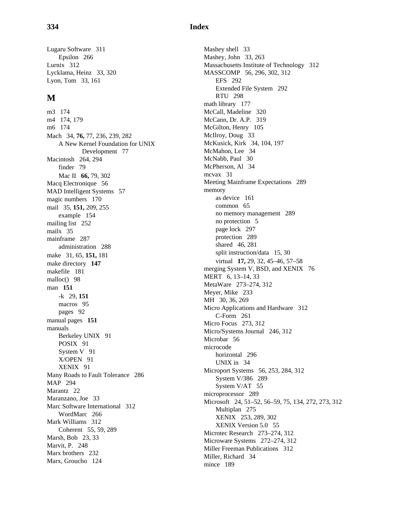Lugaru Software 311 Epsilon 266 Lurnix 312 Lycklama, Heinz 33, 320 Lyon, Tom 33, 161

# **M**

m3 174 m4 174, 179 m6 174 Mach 34, **76,** 77, 236, 239, 282 A New Kernel Foundation for UNIX Development 77 Macintosh 264, 294 finder 79 Mac II **66,** 79, 302 Macq Electronique 56 MAD Intelligent Systems 57 magic numbers 170 mail 35, **151,** 209, 255 example 154 mailing list 252 mailx 35 mainframe 287 administration 288 make 31, 65, **151,** 181 make directory **147** makefile 181 malloc() 98 man **151** -k 29, **151** macros 95 pages 92 manual pages **151** manuals Berkeley UNIX 91 POSIX 91 System V 91 X/OPEN 91 XENIX 91 Many Roads to Fault Tolerance 286 MAP 294 Marantz 22 Maranzano, Joe 33 Marc Software International 312 WordMarc 266 Mark Williams 312 Coherent 55, 59, 289 Marsh, Bob 23, 33 Marvit, P. 248 Marx brothers 232 Marx, Groucho 124

Mashey shell 33 Mashey, John 33, 263 Massachusetts Institute of Technology 312 MASSCOMP 56, 296, 302, 312 EFS 292 Extended File System 292 RTU 298 math library 177 McCall, Madeline 320 McCann, Dr. A.P. 319 McGilton, Henry 105 McIlroy, Doug 33 McKusick, Kirk 34, 104, 197 McMahon, Lee 34 McNabb, Paul 30 McPherson, Al 34 mcvax 31 Meeting Mainframe Expectations 289 memory as device 161 common 65 no memory management 289 no protection 5 page lock 297 protection 289 shared 46, 281 split instruction/data 15, 30 virtual **17,** 29, 32, 45–46, 57–58 merging System V, BSD, and XENIX 76 MERT 6, 13–14, 33 MetaWare 273–274, 312 Meyer, Mike 233 MH 30, 36, 269 Micro Applications and Hardware 312 C-Form 261 Micro Focus 273, 312 Micro/Systems Journal 246, 312 Microbar 56 microcode horizontal 296 UNIX in 34 Microport Systems 56, 253, 284, 312 System V/386 289 System V/AT 55 microprocessor 289 Microsoft 24, 51–52, 56–59, 75, 134, 272, 273, 312 Multiplan 275 XENIX 253, 289, 302 XENIX Version 5.0 55 Microtec Research 273–274, 312 Microware Systems 272–274, 312 Miller Freeman Publications 312 Miller, Richard 34 mince 189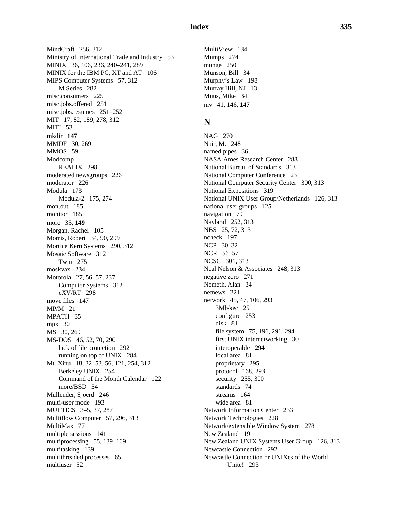MindCraft 256, 312 Ministry of International Trade and Industry 53 MINIX 36, 106, 236, 240–241, 289 MINIX for the IBM PC, XT and AT 106 MIPS Computer Systems 57, 312 M Series 282 misc.consumers 225 misc.jobs.offered 251 misc.jobs.resumes 251–252 MIT 17, 82, 189, 278, 312 MITI 53 mkdir **147** MMDF 30, 269 MMOS 59 Modcomp REALIX 298 moderated newsgroups 226 moderator 226 Modula 173 Modula-2 175, 274 mon.out 185 monitor 185 more 35, **149** Morgan, Rachel 105 Morris, Robert 34, 90, 299 Mortice Kern Systems 290, 312 Mosaic Software 312 Twin 275 moskvax 234 Motorola 27, 56–57, 237 Computer Systems 312 cXV/RT 298 move files 147 MP/M 21 MPATH 35 mpx 30 MS 30, 269 MS-DOS 46, 52, 70, 290 lack of file protection 292 running on top of UNIX 284 Mt. Xinu 18, 32, 53, 56, 121, 254, 312 Berkeley UNIX 254 Command of the Month Calendar 122 more/BSD 54 Mullender, Sjoerd 246 multi-user mode 193 MULTICS 3–5, 37, 287 Multiflow Computer 57, 296, 313 MultiMax 77 multiple sessions 141 multiprocessing 55, 139, 169 multitasking 139 multithreaded processes 65 multiuser 52

MultiView 134 Mumps 274 munge 250 Munson, Bill 34 Murphy's Law 198 Murray Hill, NJ 13 Muus, Mike 34 mv 41, 146, **147**

# **N**

NAG 270 Nair, M. 248 named pipes 36 NASA Ames Research Center 288 National Bureau of Standards 313 National Computer Conference 23 National Computer Security Center 300, 313 National Expositions 319 National UNIX User Group/Netherlands 126, 313 national user groups 125 navigation 79 Nayland 252, 313 NBS 25, 72, 313 ncheck 197 NCP 30–32 NCR 56–57 NCSC 301, 313 Neal Nelson & Associates 248, 313 negative zero 271 Nemeth, Alan 34 netnews 221 network 45, 47, 106, 293 3Mb/sec 25 configure 253 disk 81 file system 75, 196, 291–294 first UNIX internetworking 30 interoperable **294** local area 81 proprietary 295 protocol 168, 293 security 255, 300 standards 74 streams 164 wide area 81 Network Information Center 233 Network Technologies 228 Network/extensible Window System 278 New Zealand 19 New Zealand UNIX Systems User Group 126, 313 Newcastle Connection 292 Newcastle Connection or UNIXes of the World Unite! 293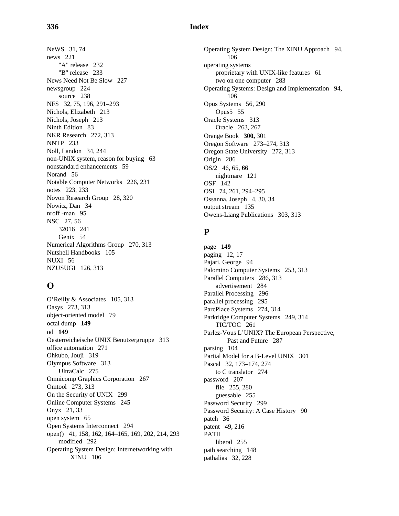NeWS 31, 74 news 221 "A" release 232 "B" release 233 News Need Not Be Slow 227 newsgroup 224 source 238 NFS 32, 75, 196, 291–293 Nichols, Elizabeth 213 Nichols, Joseph 213 Ninth Edition 83 NKR Research 272, 313 NNTP 233 Noll, Landon 34, 244 non-UNIX system, reason for buying 63 nonstandard enhancements 59 Norand 56 Notable Computer Networks 226, 231 notes 223, 233 Novon Research Group 28, 320 Nowitz, Dan 34 nroff -man 95 NSC 27, 56 32016 241 Genix 54 Numerical Algorithms Group 270, 313 Nutshell Handbooks 105 NUXI 56 NZUSUGI 126, 313

# **O**

O'Reilly & Associates 105, 313 Oasys 273, 313 object-oriented model 79 octal dump **149** od **149** Oesterreicheische UNIX Benutzergruppe 313 office automation 271 Ohkubo, Jouji 319 Olympus Software 313 UltraCalc 275 Omnicomp Graphics Corporation 267 Omtool 273, 313 On the Security of UNIX 299 Online Computer Systems 245 Onyx 21, 33 open system 65 Open Systems Interconnect 294 open() 41, 158, 162, 164–165, 169, 202, 214, 293 modified 292 Operating System Design: Internetworking with XINU 106

Operating System Design: The XINU Approach 94, 106 operating systems proprietary with UNIX-like features 61 two on one computer 283 Operating Systems: Design and Implementation 94, 106 Opus Systems 56, 290 Opus5 55 Oracle Systems 313 Oracle 263, 267 Orange Book **300,** 301 Oregon Software 273–274, 313 Oregon State University 272, 313 Origin 286 OS/2 46, 65, **66** nightmare 121 OSF 142 OSI 74, 261, 294–295 Ossanna, Joseph 4, 30, 34 output stream 135 Owens-Liang Publications 303, 313

# **P**

page **149** paging 12, 17 Pajari, George 94 Palomino Computer Systems 253, 313 Parallel Computers 286, 313 advertisement 284 Parallel Processing 296 parallel processing 295 ParcPlace Systems 274, 314 Parkridge Computer Systems 249, 314 TIC/TOC 261 Parlez-Vous L'UNIX? The European Perspective, Past and Future 287 parsing 104 Partial Model for a B-Level UNIX 301 Pascal 32, 173–174, 274 to C translator 274 password 207 file 255, 280 guessable 255 Password Security 299 Password Security: A Case History 90 patch 36 patent 49, 216 PATH liberal 255 path searching 148 pathalias 32, 228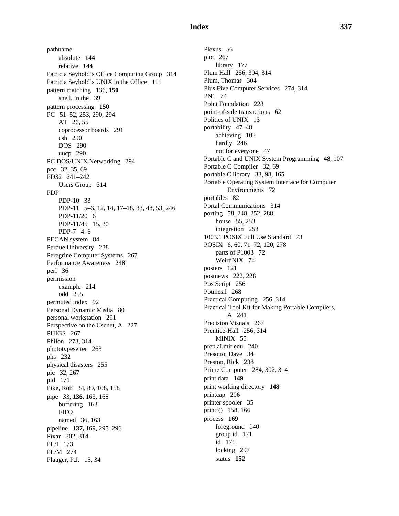pathname absolute **144** relative **144** Patricia Seybold's Office Computing Group 314 Patricia Seybold's UNIX in the Office 111 pattern matching 136, **150** shell, in the 39 pattern processing **150** PC 51–52, 253, 290, 294 AT 26, 55 coprocessor boards 291 csh 290 DOS 290 uucp 290 PC DOS/UNIX Networking 294 pcc 32, 35, 69 PD32 241–242 Users Group 314 PDP PDP-10 33 PDP-11 5–6, 12, 14, 17–18, 33, 48, 53, 246 PDP-11/20 6 PDP-11/45 15, 30 PDP-7 4–6 PECAN system 84 Perdue University 238 Peregrine Computer Systems 267 Performance Awareness 248 perl 36 permission example 214 odd 255 permuted index 92 Personal Dynamic Media 80 personal workstation 291 Perspective on the Usenet, A 227 PHIGS 267 Philon 273, 314 phototypesetter 263 phs 232 physical disasters 255 pic 32, 267 pid 171 Pike, Rob 34, 89, 108, 158 pipe 33, **136,** 163, 168 buffering 163 **FIFO** named 36, 163 pipeline **137,** 169, 295–296 Pixar 302, 314 PL/I 173 PL/M 274 Plauger, P.J. 15, 34

Plexus 56 plot 267 library 177 Plum Hall 256, 304, 314 Plum, Thomas 304 Plus Five Computer Services 274, 314 PN1 74 Point Foundation 228 point-of-sale transactions 62 Politics of UNIX 13 portability 47–48 achieving 107 hardly 246 not for everyone 47 Portable C and UNIX System Programming 48, 107 Portable C Compiler 32, 69 portable C library 33, 98, 165 Portable Operating System Interface for Computer Environments 72 portables 82 Portal Communications 314 porting 58, 248, 252, 288 house 55, 253 integration 253 1003.1 POSIX Full Use Standard 73 POSIX 6, 60, 71–72, 120, 278 parts of P1003 72 WeirdNIX 74 posters 121 postnews 222, 228 PostScript 256 Potmesil 268 Practical Computing 256, 314 Practical Tool Kit for Making Portable Compilers, A 241 Precision Visuals 267 Prentice-Hall 256, 314 MINIX 55 prep.ai.mit.edu 240 Presotto, Dave 34 Preston, Rick 238 Prime Computer 284, 302, 314 print data **149** print working directory **148** printcap 206 printer spooler 35 printf() 158, 166 process **169** foreground 140 group id 171 id 171 locking 297 status **152**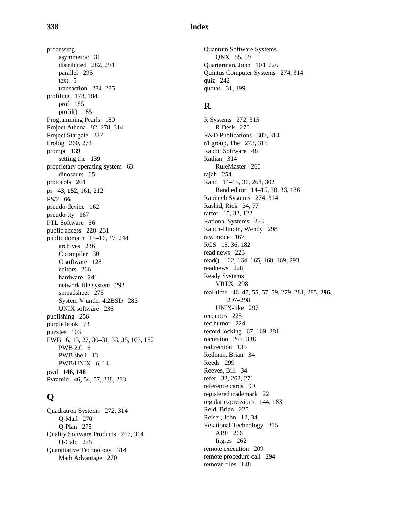processing asymmetric 31 distributed 282, 294 parallel 295 text 5 transaction 284–285 profiling 178, 184 prof 185 profil() 185 Programming Pearls 180 Project Athena 82, 278, 314 Project Stargate 227 Prolog 260, 274 prompt 139 setting the 139 proprietary operating system 63 dinosaurs 65 protocols 261 ps 43, **152,** 161, 212 PS/2 **66** pseudo-device 162 pseudo-tty 167 PTL Software 56 public access 228–231 public domain 15–16, 47, 244 archives 236 C compiler 30 C software 128 editors 266 hardware 241 network file system 292 spreadsheet 275 System V under 4.2BSD 283 UNIX software 236 publishing 256 purple book 73 puzzles 103 PWB 6, 13, 27, 30–31, 33, 35, 163, 182 PWB 2.0 6 PWB shell 13 PWB/UNIX 6, 14 pwd **146, 148**

# **Q**

Quadratron Systems 272, 314 Q-Mail 270 Q-Plan 275 Quality Software Products 267, 314 Q-Calc 275 Quantitative Technology 314 Math Advantage 270

Pyramid 46, 54, 57, 238, 283

Quantum Software Systems QNX 55, 59 Quarterman, John 104, 226 Quintus Computer Systems 274, 314 quiz 242 quotas 31, 199

# **R**

R Systems 272, 315 R Desk 270 R&D Publications 307, 314 r/l group, The 273, 315 Rabbit Software 48 Radian 314 RuleMaster 260 rajah 254 Rand 14–15, 36, 268, 302 Rand editor 14–15, 30, 36, 186 Rapitech Systems 274, 314 Rashid, Rick 34, 77 ratfor 15, 32, 122 Rational Systems 273 Rauch-Hindin, Wendy 298 raw mode 167 RCS 15, 36, 182 read news 223 read() 162, 164–165, 168–169, 293 readnews 228 Ready Systems VRTX 298 real-time 46–47, 55, 57, 59, 279, 281, 285, **296,**  297–298 UNIX-like 297 rec.autos 225 rec.humor 224 record locking 67, 169, 281 recursion 265, 338 redirection 135 Redman, Brian 34 Reeds 299 Reeves, Bill 34 refer 33, 262, 271 reference cards 99 registered trademark 22 regular expressions 144, 183 Reid, Brian 225 Reiser, John 12, 34 Relational Technology 315 ABF 266 Ingres 262 remote execution 209 remote procedure call 294 remove files 148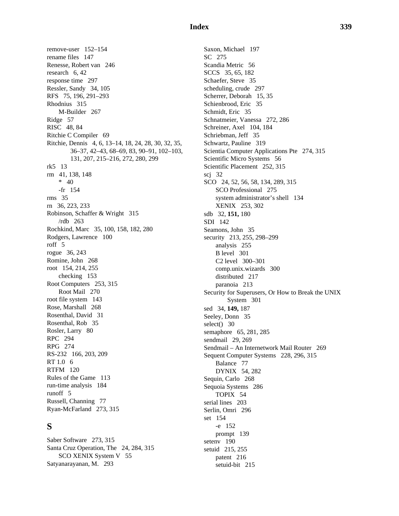remove-user 152–154 rename files 147 Renesse, Robert van 246 research 6, 42 response time 297 Ressler, Sandy 34, 105 RFS 75, 196, 291–293 Rhodnius 315 M-Builder 267 Ridge 57 RISC 48, 84 Ritchie C Compiler 69 Ritchie, Dennis 4, 6, 13–14, 18, 24, 28, 30, 32, 35, 36–37, 42–43, 68–69, 83, 90–91, 102–103, 131, 207, 215–216, 272, 280, 299 rk5 13 rm 41, 138, 148  $* 40$ -fr 154 rms 35 rn 36, 223, 233 Robinson, Schaffer & Wright 315 /rdb 263 Rochkind, Marc 35, 100, 158, 182, 280 Rodgers, Lawrence 100 roff 5 rogue 36, 243 Romine, John 268 root 154, 214, 255 checking 153 Root Computers 253, 315 Root Mail 270 root file system 143 Rose, Marshall 268 Rosenthal, David 31 Rosenthal, Rob 35 Rosler, Larry 80 RPC 294 RPG 274 RS-232 166, 203, 209 RT 1.0 6 RTFM 120 Rules of the Game 113 run-time analysis 184 runoff 5 Russell, Channing 77 Ryan-McFarland 273, 315

## **S**

Saber Software 273, 315 Santa Cruz Operation, The 24, 284, 315 SCO XENIX System V 55 Satyanarayanan, M. 293

Saxon, Michael 197 SC 275 Scandia Metric 56 SCCS 35, 65, 182 Schaefer, Steve 35 scheduling, crude 297 Scherrer, Deborah 15, 35 Schienbrood, Eric 35 Schmidt, Eric 35 Schnatmeier, Vanessa 272, 286 Schreiner, Axel 104, 184 Schriebman, Jeff 35 Schwartz, Pauline 319 Scientia Computer Applications Pte 274, 315 Scientific Micro Systems 56 Scientific Placement 252, 315 scj 32 SCO 24, 52, 56, 58, 134, 289, 315 SCO Professional 275 system administrator's shell 134 XENIX 253, 302 sdb 32, **151,** 180 SDI 142 Seamons, John 35 security 213, 255, 298–299 analysis 255 B level 301 C2 level 300–301 comp.unix.wizards 300 distributed 217 paranoia 213 Security for Superusers, Or How to Break the UNIX System 301 sed 34, **149,** 187 Seeley, Donn 35 select() 30 semaphore 65, 281, 285 sendmail 29, 269 Sendmail – An Internetwork Mail Router 269 Sequent Computer Systems 228, 296, 315 Balance 77 DYNIX 54, 282 Sequin, Carlo 268 Sequoia Systems 286 TOPIX 54 serial lines 203 Serlin, Omri 296 set 154 -e 152 prompt 139 setenv 190 setuid 215, 255 patent 216 setuid-bit 215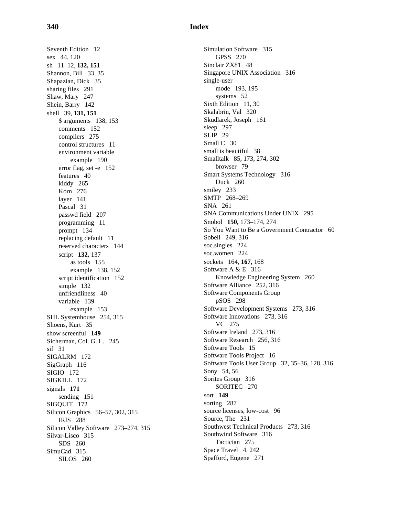Seventh Edition 12 sex 44, 120 sh 11–12, **132, 151** Shannon, Bill 33, 35 Shapazian, Dick 35 sharing files 291 Shaw, Mary 247 Shein, Barry 142 shell 39, **131, 151** \$ arguments 138, 153 comments 152 compilers 275 control structures 11 environment variable example 190 error flag, set -e 152 features 40 kiddy 265 Korn 276 layer 141 Pascal 31 passwd field 207 programming 11 prompt 134 replacing default 11 reserved characters 144 script **132,** 137 as tools 155 example 138, 152 script identification 152 simple 132 unfriendliness 40 variable 139 example 153 SHL Systemhouse 254, 315 Shoens, Kurt 35 show screenful **149** Sicherman, Col. G. L. 245 sif 31 SIGALRM 172 SigGraph 116 SIGIO 172 SIGKILL 172 signals **171** sending 151 SIGQUIT 172 Silicon Graphics 56–57, 302, 315 IRIS 288 Silicon Valley Software 273–274, 315 Silvar-Lisco 315 SDS 260 SimuCad 315 SILOS 260

Simulation Software 315 GPSS 270 Sinclair ZX81 48 Singapore UNIX Association 316 single-user mode 193, 195 systems 52 Sixth Edition 11, 30 Skalabrin, Val 320 Skudlarek, Joseph 161 sleep 297 SLIP 29 Small C 30 small is beautiful 38 Smalltalk 85, 173, 274, 302 browser 79 Smart Systems Technology 316 Duck 260 smiley 233 SMTP 268–269 SNA 261 SNA Communications Under UNIX 295 Snobol **150,** 173–174, 274 So You Want to Be a Government Contractor 60 Sobell 249, 316 soc.singles 224 soc.women 224 sockets 164, **167,** 168 Software A & E 316 Knowledge Engineering System 260 Software Alliance 252, 316 Software Components Group pSOS 298 Software Development Systems 273, 316 Software Innovations 273, 316 VC 275 Software Ireland 273, 316 Software Research 256, 316 Software Tools 15 Software Tools Project 16 Software Tools User Group 32, 35–36, 128, 316 Sony 54, 56 Sorites Group 316 SORITEC 270 sort **149** sorting 287 source licenses, low-cost 96 Source, The 231 Southwest Technical Products 273, 316 Southwind Software 316 Tactician 275 Space Travel 4, 242 Spafford, Eugene 271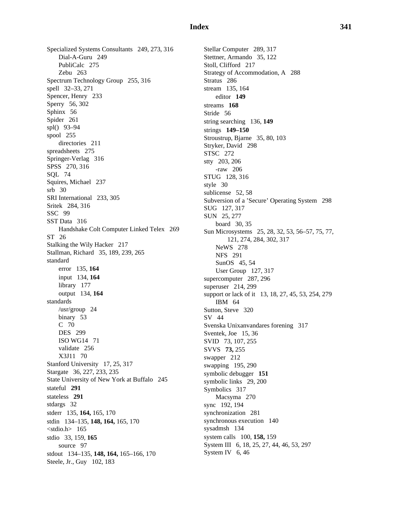Specialized Systems Consultants 249, 273, 316 Dial-A-Guru 249 PubliCalc 275 Zebu  $263$ Spectrum Technology Group 255, 316 spell 32-33, 271 Spencer, Henry 233 Sperry 56, 302 Sphinx 56 Spider 261 spl() 93-94 spool 255 directories 211 spreadsheets 275 Springer-Verlag 316 SPSS 270, 316 SQL 74 Squires, Michael 237  $srb$  30 SRI International 233, 305 Sritek 284, 316 SSC 99 SST Data 316 Handshake Colt Computer Linked Telex 269 ST 26 Stalking the Wily Hacker 217 Stallman, Richard 35, 189, 239, 265 standard error 135, 164 input 134, 164 library 177 output 134, 164 standards  $\sqrt{usr/group}$  24 binary 53  $C$  70 DES 299 ISO WG14 71 validate 256 X3J11 70 Stanford University 17, 25, 317 Stargate 36, 227, 233, 235 State University of New York at Buffalo 245 stateful 291 stateless 291 stdargs 32 stderr 135, 164, 165, 170 stdin 134-135, 148, 164, 165, 170  $<$ stdio.h> 165 stdio 33, 159, 165 source 97 stdout 134–135, 148, 164, 165–166, 170 Steele, Jr., Guy 102, 183

Stellar Computer 289, 317 Stettner, Armando 35, 122 Stoll, Clifford 217 Strategy of Accommodation, A 288 Stratus 286 stream 135, 164 editor 149 streams 168 Stride 56 string searching 136, 149 strings  $149-150$ Stroustrup, Bjarne 35, 80, 103 Stryker, David 298 STSC 272 stty 203, 206  $-raw$  206 STUG 128, 316 style 30 sublicense 52, 58 Subversion of a 'Secure' Operating System 298 SUG 127, 317 SUN 25, 277 board 30, 35 Sun Microsystems 25, 28, 32, 53, 56–57, 75, 77, 121, 274, 284, 302, 317 NeWS 278 NFS 291 SunOS 45, 54 User Group 127, 317 supercomputer 287, 296 superuser 214, 299 support or lack of it 13, 18, 27, 45, 53, 254, 279 IBM 64 Sutton, Steve 320 SV 44 Svenska Unixanvandares forening 317 Sventek, Joe 15, 36 SVID 73, 107, 255 SVVS 73, 255 swapper 212 swapping 195, 290 symbolic debugger 151 symbolic links 29, 200 Symbolics 317 Macsyma 270 sync 192, 194 synchronization 281 synchronous execution 140 sysadmsh 134 system calls 100, 158, 159 System III 6, 18, 25, 27, 44, 46, 53, 297 System IV 6, 46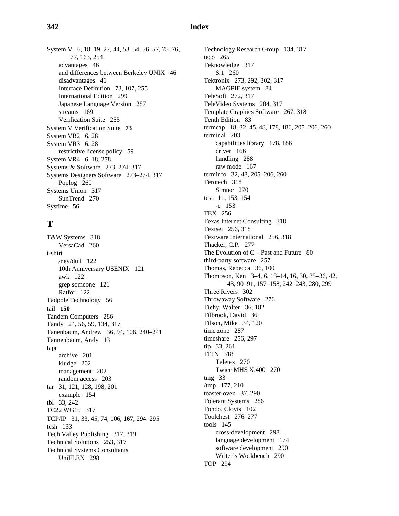System V 6, 18–19, 27, 44, 53–54, 56–57, 75–76, 77, 163, 254 advantages 46 and differences between Berkeley UNIX 46 disadvantages 46 Interface Definition 73, 107, 255 International Edition 299 Japanese Language Version 287 streams 169 Verification Suite 255 System V Verification Suite **73** System VR2 6, 28 System VR3 6, 28 restrictive license policy 59 System VR4 6, 18, 278 Systems & Software 273–274, 317 Systems Designers Software 273–274, 317 Poplog 260 Systems Union 317 SunTrend 270 Systime 56

# **T**

T&W Systems 318 VersaCad 260 t-shirt /nev/dull 122 10th Anniversary USENIX 121 awk 122 grep someone 121 Ratfor 122 Tadpole Technology 56 tail **150** Tandem Computers 286 Tandy 24, 56, 59, 134, 317 Tanenbaum, Andrew 36, 94, 106, 240–241 Tannenbaum, Andy 13 tape archive 201 kludge 202 management 202 random access 203 tar 31, 121, 128, 198, 201 example 154 tbl 33, 242 TC22 WG15 317 TCP/IP 31, 33, 45, 74, 106, **167,** 294–295 tcsh 133 Tech Valley Publishing 317, 319 Technical Solutions 253, 317 Technical Systems Consultants UniFLEX 298

Technology Research Group 134, 317 teco 265 Teknowledge 317 S.1 260 Tektronix 273, 292, 302, 317 MAGPIE system 84 TeleSoft 272, 317 TeleVideo Systems 284, 317 Template Graphics Software 267, 318 Tenth Edition 83 termcap 18, 32, 45, 48, 178, 186, 205–206, 260 terminal 203 capabilities library 178, 186 driver 166 handling 288 raw mode 167 terminfo 32, 48, 205–206, 260 Terotech 318 Simtec 270 test 11, 153–154 -e 153 TEX 256 Texas Internet Consulting 318 Textset 256, 318 Textware International 256, 318 Thacker, C.P. 277 The Evolution of  $C -$  Past and Future 80 third-party software 257 Thomas, Rebecca 36, 100 Thompson, Ken 3–4, 6, 13–14, 16, 30, 35–36, 42, 43, 90–91, 157–158, 242–243, 280, 299 Three Rivers 302 Throwaway Software 276 Tichy, Walter 36, 182 Tilbrook, David 36 Tilson, Mike 34, 120 time zone 287 timeshare 256, 297 tip 33, 261 TITN 318 Teletex 270 Twice MHS X.400 270 tmg 33 /tmp 177, 210 toaster oven 37, 290 Tolerant Systems 286 Tondo, Clovis 102 Toolchest 276–277 tools 145 cross-development 298 language development 174 software development 290 Writer's Workbench 290 TOP 294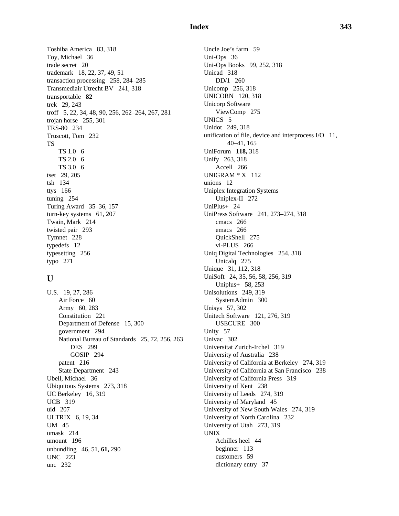Toshiba America 83, 318 Toy, Michael 36 trade secret 20 trademark 18, 22, 37, 49, 51 transaction processing 258, 284–285 Transmediair Utrecht BV 241, 318 transportable 82 trek 29, 243 troff 5, 22, 34, 48, 90, 256, 262-264, 267, 281 trojan horse  $255, 301$ TRS-80 234 Truscott, Tom 232 TS TS 1.0 6 TS 2.0 6 TS 3.0 6 tset 29, 205 tsh 134 ttys  $166$ tuning 254 Turing Award 35–36, 157 turn-key systems 61, 207 Twain, Mark 214 twisted pair 293 Tymnet 228 typedefs 12 typesetting 256 typo 271

# $\mathbf{U}$

U.S. 19, 27, 286 Air Force 60 Army 60, 283 Constitution 221 Department of Defense 15, 300 government 294 National Bureau of Standards 25, 72, 256, 263 DES 299 GOSIP 294 patent 216 State Department 243 Ubell, Michael 36 Ubiquitous Systems 273, 318 UC Berkeley 16, 319 **UCB** 319 uid 207 ULTRIX 6, 19, 34 UM 45 umask 214 umount 196 unbundling 46, 51, 61, 290 **UNC** 223 unc 232

Uncle Joe's farm 59 Uni-Ops 36 Uni-Ops Books 99, 252, 318 Unicad 318  $DD/1$  260 Unicomp 256, 318 **UNICORN** 120, 318 **Unicorp Software** ViewComp 275 UNICS<sub>5</sub> Unidot 249, 318 unification of file, device and interprocess I/O 11,  $40 - 41, 165$ UniForum 118, 318 Unify 263, 318 Accell 266 UNIGRAM  $*$  X 112 unions 12 **Uniplex Integration Systems** Uniplex-II 272 UniPlus+ 24 UniPress Software 241, 273-274, 318 cmacs 266 emacs 266 QuickShell 275 vi-PLUS 266 Uniq Digital Technologies 254, 318 Unicalq 275 Unique 31, 112, 318 UniSoft 24, 35, 56, 58, 256, 319 Uniplus+ 58, 253 Unisolutions 249, 319 SystemAdmin 300 Unisys 57, 302 Unitech Software 121, 276, 319 USECURE 300 Unity 57 Univac 302 Universitat Zurich-Irchel 319 University of Australia 238 University of California at Berkeley 274, 319 University of California at San Francisco 238 University of California Press 319 University of Kent 238 University of Leeds 274, 319 University of Maryland 45 University of New South Wales 274, 319 University of North Carolina 232 University of Utah 273, 319 **UNIX** Achilles heel 44 beginner 113 customers 59 dictionary entry 37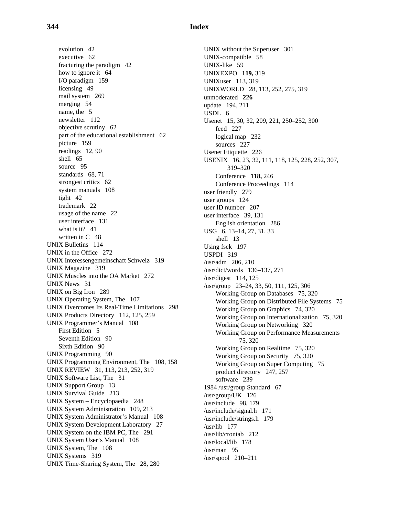evolution 42 executive 62 fracturing the paradigm 42 how to ignore it 64 I/O paradigm 159 licensing 49 mail system 269 merging 54 name, the 5 newsletter 112 objective scrutiny 62 part of the educational establishment 62 picture 159 readings 12, 90 shell 65 source 95 standards 68, 71 strongest critics 62 system manuals 108 tight 42 trademark 22 usage of the name 22 user interface 131 what is it? 41 written in C 48 UNIX Bulletins 114 UNIX in the Office 272 UNIX Interessengemeinschaft Schweiz 319 UNIX Magazine 319 UNIX Muscles into the OA Market 272 UNIX News 31 UNIX on Big Iron 289 UNIX Operating System, The 107 UNIX Overcomes Its Real-Time Limitations 298 UNIX Products Directory 112, 125, 259 UNIX Programmer's Manual 108 First Edition 5 Seventh Edition 90 Sixth Edition 90 UNIX Programming 90 UNIX Programming Environment, The 108, 158 UNIX REVIEW 31, 113, 213, 252, 319 UNIX Software List, The 31 UNIX Support Group 13 UNIX Survival Guide 213 UNIX System – Encyclopaedia 248 UNIX System Administration 109, 213 UNIX System Administrator's Manual 108 UNIX System Development Laboratory 27 UNIX System on the IBM PC, The 291 UNIX System User's Manual 108 UNIX System, The 108 UNIX Systems 319 UNIX Time-Sharing System, The 28, 280

UNIX without the Superuser 301 UNIX-compatible 58 UNIX-like 59 UNIXEXPO **119,** 319 UNIXuser 113, 319 UNIXWORLD 28, 113, 252, 275, 319 unmoderated **226** update 194, 211 USDL 6 Usenet 15, 30, 32, 209, 221, 250–252, 300 feed 227 logical map 232 sources 227 Usenet Etiquette 226 USENIX 16, 23, 32, 111, 118, 125, 228, 252, 307, 319–320 Conference **118,** 246 Conference Proceedings 114 user friendly 279 user groups 124 user ID number 207 user interface 39, 131 English orientation 286 USG 6, 13–14, 27, 31, 33 shell 13 Using fsck 197 USPDI 319 /usr/adm 206, 210 /usr/dict/words 136–137, 271 /usr/digest 114, 125 /usr/group 23–24, 33, 50, 111, 125, 306 Working Group on Databases 75, 320 Working Group on Distributed File Systems 75 Working Group on Graphics 74, 320 Working Group on Internationalization 75, 320 Working Group on Networking 320 Working Group on Performance Measurements 75, 320 Working Group on Realtime 75, 320 Working Group on Security 75, 320 Working Group on Super Computing 75 product directory 247, 257 software 239 1984 /usr/group Standard 67 /usr/group/UK 126 /usr/include 98, 179 /usr/include/signal.h 171 /usr/include/strings.h 179 /usr/lib 177 /usr/lib/crontab 212 /usr/local/lib 178 /usr/man 95 /usr/spool 210–211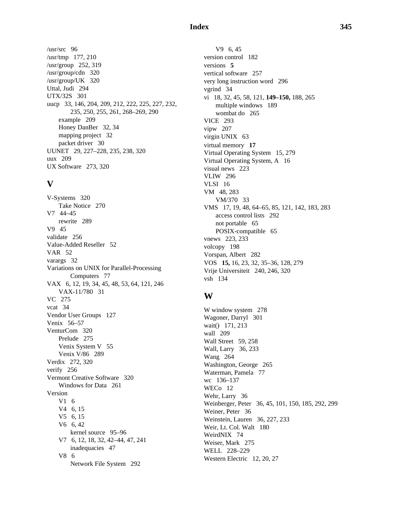/usr/src 96 /usr/tmp 177, 210 /usr/group 252, 319 /usr/group/cdn 320 /usr/group/UK 320 Uttal, Judi 294 UTX/32S 301 uucp 33, 146, 204, 209, 212, 222, 225, 227, 232, 235, 250, 255, 261, 268–269, 290 example 209 Honey DanBer 32, 34 mapping project 32 packet driver 30 UUNET 29, 227–228, 235, 238, 320 uux 209 UX Software 273, 320

## **V**

V-Systems 320 Take Notice 270 V7 44–45 rewrite 289 V9 45 validate 256 Value-Added Reseller 52 VAR 52 varargs 32 Variations on UNIX for Parallel-Processing Computers 77 VAX 6, 12, 19, 34, 45, 48, 53, 64, 121, 246 VAX-11/780 31 VC 275 vcat 34 Vendor User Groups 127 Venix 56–57 VenturCom 320 Prelude 275 Venix System V 55 Venix V/86 289 Verdix 272, 320 verify 256 Vermont Creative Software 320 Windows for Data 261 Version V1 6 V4 6, 15 V5 6, 15 V6 6, 42 kernel source 95–96 V7 6, 12, 18, 32, 42–44, 47, 241 inadequacies 47 V8 6 Network File System 292

V9 6, 45 version control 182 versions **5** vertical software 257 very long instruction word 296 vgrind 34 vi 18, 32, 45, 58, 121, **149–150,** 188, 265 multiple windows 189 wombat do 265 VICE 293 vipw 207 virgin UNIX 63 virtual memory **17** Virtual Operating System 15, 279 Virtual Operating System, A 16 visual news 223 VLIW 296 VLSI 16 VM 48, 283 VM/370 33 VMS 17, 19, 48, 64–65, 85, 121, 142, 183, 283 access control lists 292 not portable 65 POSIX-compatible 65 vnews 223, 233 volcopy 198 Vorspan, Albert 282 VOS **15,** 16, 23, 32, 35–36, 128, 279 Vrije Universiteit 240, 246, 320 vsh 134

## **W**

W window system 278 Wagoner, Darryl 301 wait() 171, 213 wall 209 Wall Street 59, 258 Wall, Larry 36, 233 Wang 264 Washington, George 265 Waterman, Pamela 77 wc 136–137 WECo 12 Wehr, Larry 36 Weinberger, Peter 36, 45, 101, 150, 185, 292, 299 Weiner, Peter 36 Weinstein, Lauren 36, 227, 233 Weir, Lt. Col. Walt 180 WeirdNIX 74 Weiser, Mark 275 WELL 228–229 Western Electric 12, 20, 27